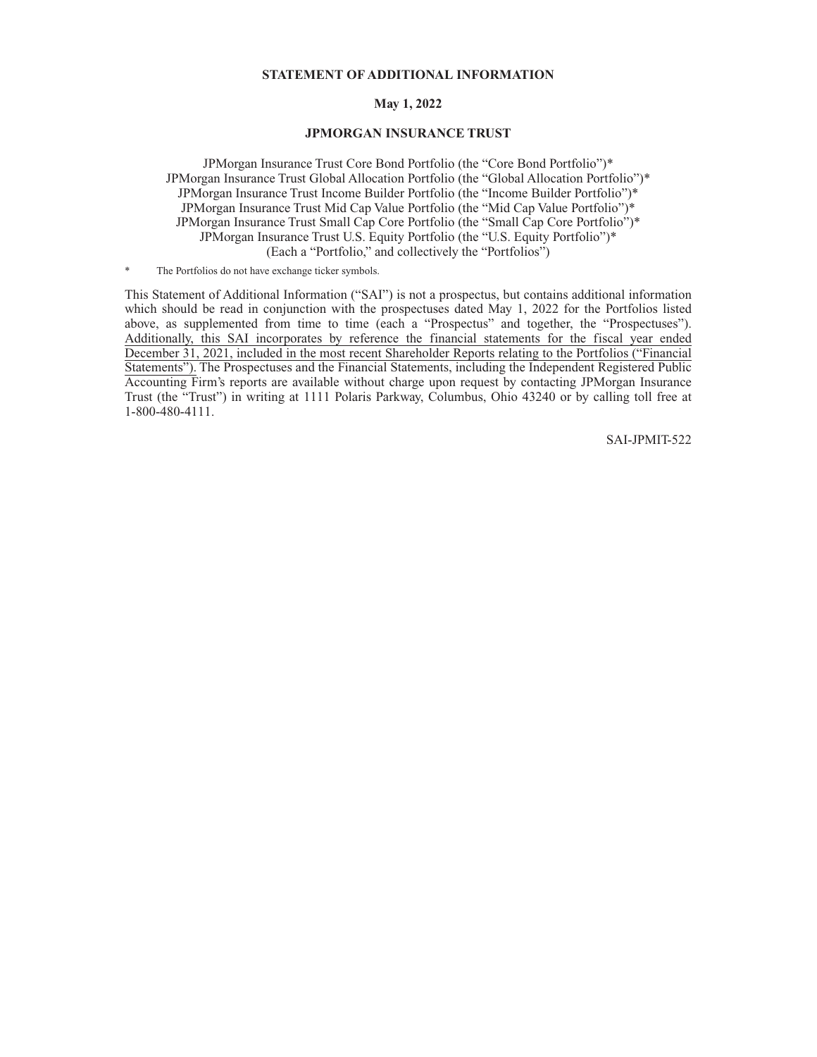# **STATEMENT OF ADDITIONAL INFORMATION**

# **May 1, 2022**

# **JPMORGAN INSURANCE TRUST**

JPMorgan Insurance Trust Core Bond Portfolio (the "Core Bond Portfolio")\* JPMorgan Insurance Trust Global Allocation Portfolio (the "Global Allocation Portfolio")\* JPMorgan Insurance Trust Income Builder Portfolio (the "Income Builder Portfolio")\* JPMorgan Insurance Trust Mid Cap Value Portfolio (the "Mid Cap Value Portfolio")\* JPMorgan Insurance Trust Small Cap Core Portfolio (the "Small Cap Core Portfolio")\* JPMorgan Insurance Trust U.S. Equity Portfolio (the "U.S. Equity Portfolio")\* (Each a "Portfolio," and collectively the "Portfolios")

\* The Portfolios do not have exchange ticker symbols.

This Statement of Additional Information ("SAI") is not a prospectus, but contains additional information which should be read in conjunction with the prospectuses dated May 1, 2022 for the Portfolios listed above, as supplemented from time to time (each a "Prospectus" and together, the "Prospectuses"). [Additionally, this SAI incorporates by reference the financial statements for the fiscal year ended](https://www.sec.gov/Archives/edgar/data/0000909221/000119312522048451/d213000dncsr.htm) [December 31, 2021, included in the most recent Shareholder Reports relating to the Portfolios \("Financial](https://www.sec.gov/Archives/edgar/data/0000909221/000119312522048451/d213000dncsr.htm) [Statements"\).](https://www.sec.gov/Archives/edgar/data/0000909221/000119312522048451/d213000dncsr.htm) The Prospectuses and the Financial Statements, including the Independent Registered Public Accounting Firm's reports are available without charge upon request by contacting JPMorgan Insurance Trust (the "Trust") in writing at 1111 Polaris Parkway, Columbus, Ohio 43240 or by calling toll free at 1-800-480-4111.

SAI-JPMIT-522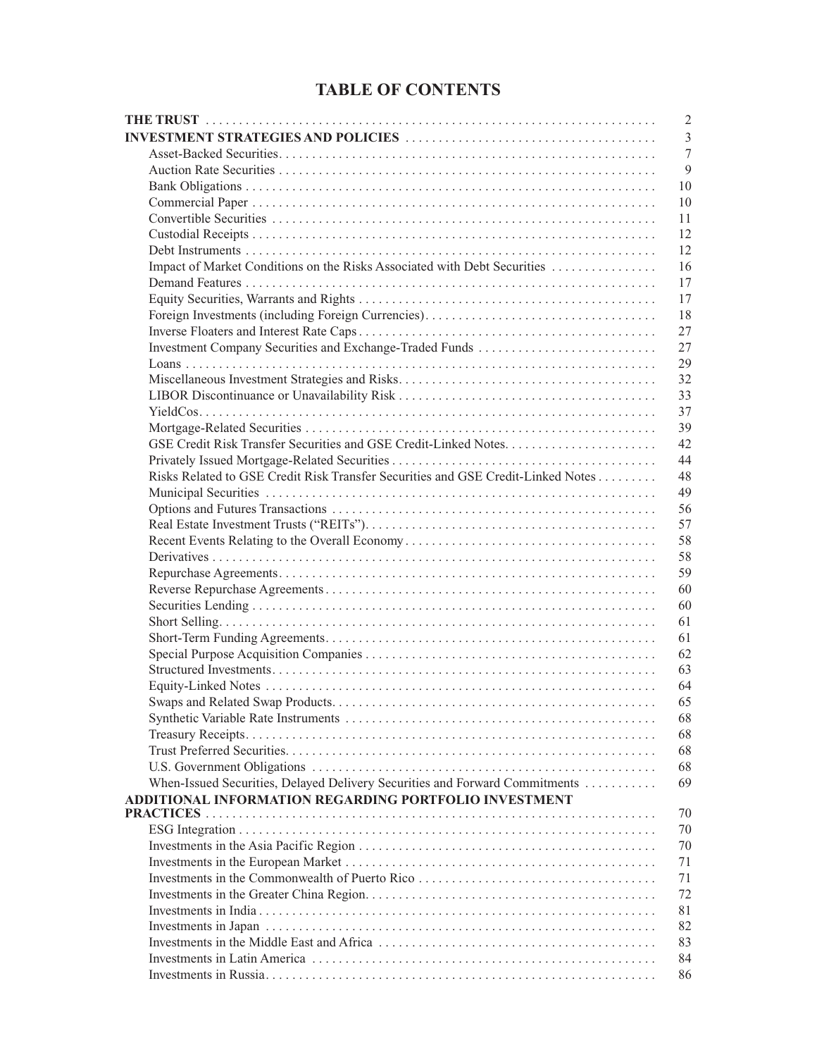# **TABLE OF CONTENTS**

|                                                                                  | $\overline{2}$ |
|----------------------------------------------------------------------------------|----------------|
|                                                                                  | $\overline{3}$ |
|                                                                                  | $\overline{7}$ |
|                                                                                  | 9              |
|                                                                                  | 10             |
|                                                                                  | 10             |
|                                                                                  | 11             |
|                                                                                  | 12             |
|                                                                                  | 12             |
| Impact of Market Conditions on the Risks Associated with Debt Securities         | 16             |
|                                                                                  | 17             |
|                                                                                  | 17             |
|                                                                                  | 18             |
|                                                                                  | 27             |
|                                                                                  | 27             |
|                                                                                  | 29             |
|                                                                                  | 32             |
|                                                                                  | 33             |
|                                                                                  | 37             |
|                                                                                  | 39             |
|                                                                                  | 42             |
|                                                                                  | 44             |
| Risks Related to GSE Credit Risk Transfer Securities and GSE Credit-Linked Notes | 48             |
|                                                                                  | 49             |
|                                                                                  | 56             |
|                                                                                  | 57             |
|                                                                                  | 58             |
|                                                                                  |                |
|                                                                                  | 58             |
|                                                                                  | 59             |
|                                                                                  | 60             |
|                                                                                  | 60             |
|                                                                                  | 61             |
|                                                                                  | 61             |
|                                                                                  | 62             |
|                                                                                  | 63             |
|                                                                                  | 64             |
|                                                                                  | 65             |
|                                                                                  | 68             |
|                                                                                  | 68             |
|                                                                                  | 68             |
|                                                                                  | 68             |
| When-Issued Securities, Delayed Delivery Securities and Forward Commitments      | 69             |
| ADDITIONAL INFORMATION REGARDING PORTFOLIO INVESTMENT                            | 70             |
|                                                                                  | 70             |
|                                                                                  | 70             |
|                                                                                  | 71             |
|                                                                                  | 71             |
|                                                                                  | 72             |
|                                                                                  | 81             |
|                                                                                  | 82             |
|                                                                                  | 83             |
|                                                                                  | 84             |
|                                                                                  | 86             |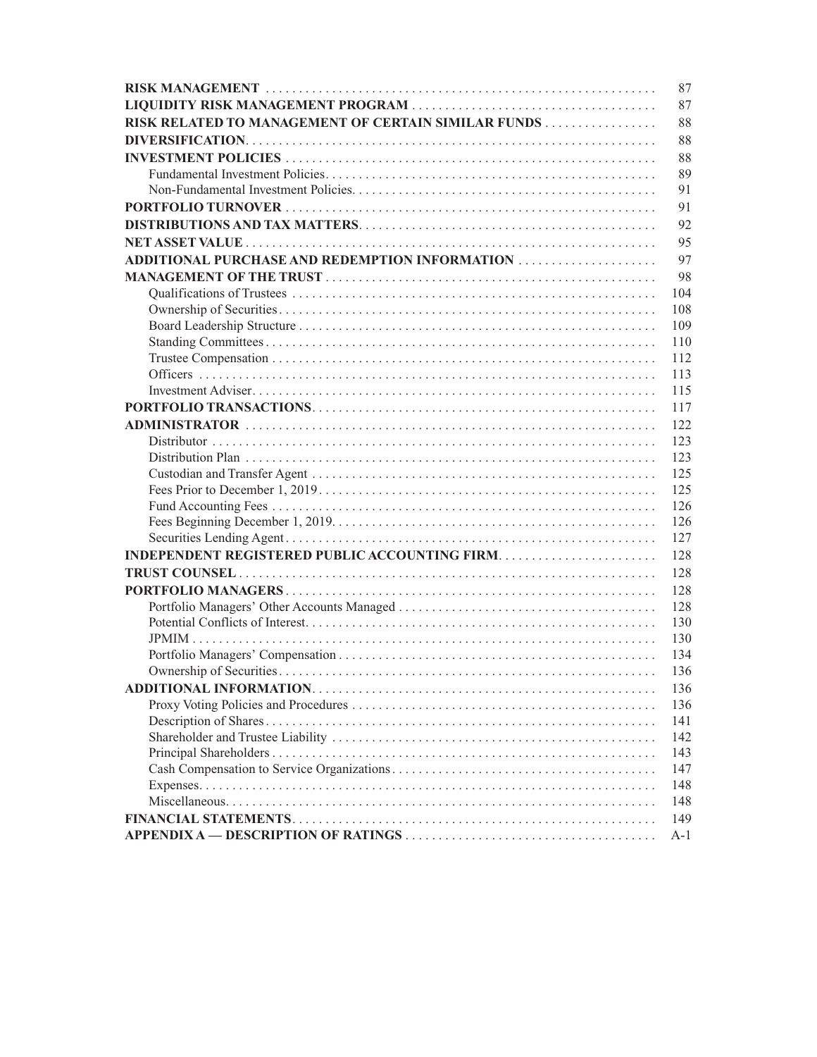|                                                | 87    |
|------------------------------------------------|-------|
|                                                | 87    |
|                                                | 88    |
|                                                | 88    |
|                                                | 88    |
|                                                | 89    |
|                                                | 91    |
|                                                | 91    |
|                                                | 92    |
|                                                |       |
|                                                | 95    |
| ADDITIONAL PURCHASE AND REDEMPTION INFORMATION | 97    |
|                                                | 98    |
|                                                | 104   |
|                                                | 108   |
|                                                | 109   |
|                                                | 110   |
|                                                | 112   |
|                                                | 113   |
|                                                | 115   |
|                                                | 117   |
|                                                | 122   |
|                                                | 123   |
|                                                | 123   |
|                                                | 125   |
|                                                | 125   |
|                                                | 126   |
|                                                | 126   |
|                                                | 127   |
|                                                | 128   |
|                                                | 128   |
|                                                | 128   |
|                                                | 128   |
|                                                | 130   |
|                                                | 130   |
|                                                | 134   |
|                                                | 136   |
|                                                | 136   |
|                                                | 136   |
|                                                | 141   |
|                                                | 142   |
|                                                | 143   |
|                                                | 147   |
|                                                | 148   |
|                                                |       |
|                                                | 148   |
|                                                | 149   |
|                                                | $A-1$ |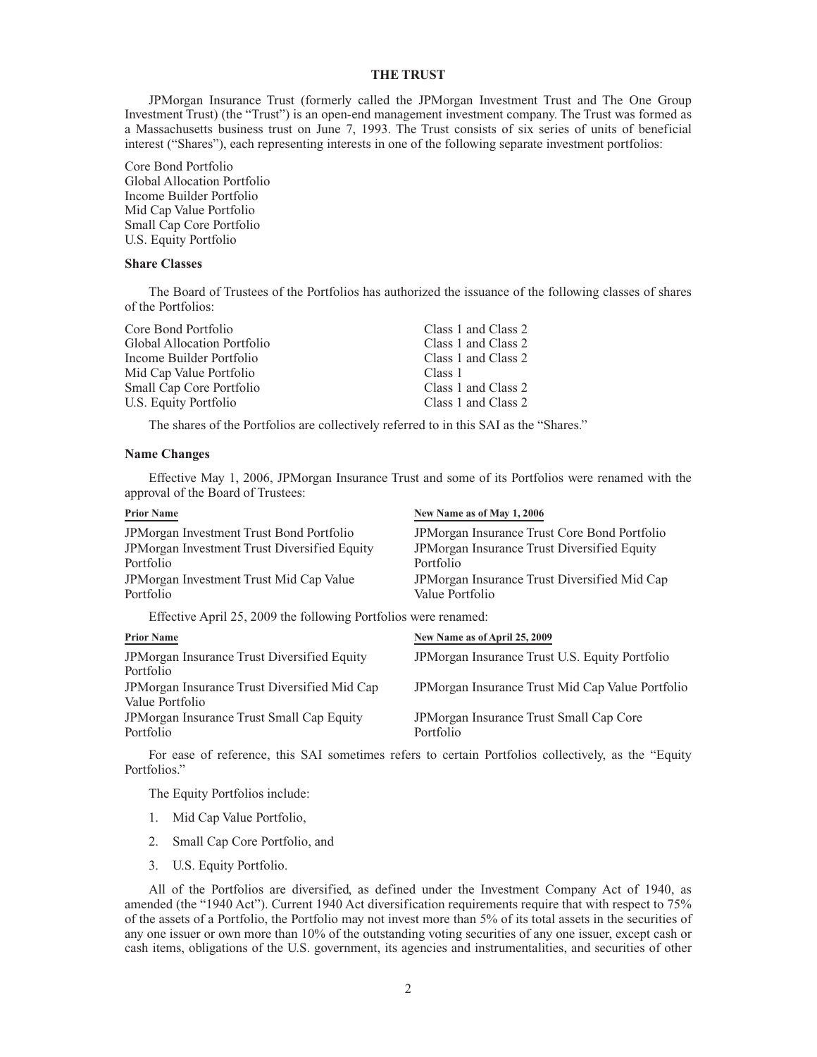# **THE TRUST**

<span id="page-3-0"></span>JPMorgan Insurance Trust (formerly called the JPMorgan Investment Trust and The One Group Investment Trust) (the "Trust") is an open-end management investment company. The Trust was formed as a Massachusetts business trust on June 7, 1993. The Trust consists of six series of units of beneficial interest ("Shares"), each representing interests in one of the following separate investment portfolios:

Core Bond Portfolio Global Allocation Portfolio Income Builder Portfolio Mid Cap Value Portfolio Small Cap Core Portfolio U.S. Equity Portfolio

# **Share Classes**

The Board of Trustees of the Portfolios has authorized the issuance of the following classes of shares of the Portfolios:

| Core Bond Portfolio         | Class 1 and Class 2 |
|-----------------------------|---------------------|
| Global Allocation Portfolio | Class 1 and Class 2 |
| Income Builder Portfolio    | Class 1 and Class 2 |
| Mid Cap Value Portfolio     | Class 1             |
| Small Cap Core Portfolio    | Class 1 and Class 2 |
| U.S. Equity Portfolio       | Class 1 and Class 2 |

The shares of the Portfolios are collectively referred to in this SAI as the "Shares."

### **Name Changes**

Effective May 1, 2006, JPMorgan Insurance Trust and some of its Portfolios were renamed with the approval of the Board of Trustees:

# **Prior Name** New Name as of May 1, 2006

| <b>JPM</b> organ Investment Trust Bond Portfolio                  | <b>JPMorgan Insurance Trust Core Bond Portfolio</b>       |
|-------------------------------------------------------------------|-----------------------------------------------------------|
| <b>JPM</b> organ Investment Trust Diversified Equity<br>Portfolio | JPM organ Insurance Trust Diversified Equity<br>Portfolio |
| <b>JPM</b> organ Investment Trust Mid Cap Value                   | JPM organ Insurance Trust Diversified Mid Cap             |
| Portfolio                                                         | Value Portfolio                                           |
| Effective April 25, 2009 the following Portfolios were renamed:   |                                                           |
| <b>Prior Name</b>                                                 | New Name as of April 25, 2009                             |
| JPMorgan Insurance Trust Diversified Equity<br>Portfolio          | JPM organ Insurance Trust U.S. Equity Portfolio           |
| JPM organ Insurance Trust Diversified Mid Cap<br>Value Portfolio  | JPMorgan Insurance Trust Mid Cap Value Portfolio          |
| JPM organ Insurance Trust Small Cap Equity<br>Portfolio           | JPM organ Insurance Trust Small Cap Core<br>Portfolio     |

For ease of reference, this SAI sometimes refers to certain Portfolios collectively, as the "Equity Portfolios."

The Equity Portfolios include:

- 1. Mid Cap Value Portfolio,
- 2. Small Cap Core Portfolio, and
- 3. U.S. Equity Portfolio.

All of the Portfolios are diversified, as defined under the Investment Company Act of 1940, as amended (the "1940 Act"). Current 1940 Act diversification requirements require that with respect to 75% of the assets of a Portfolio, the Portfolio may not invest more than 5% of its total assets in the securities of any one issuer or own more than 10% of the outstanding voting securities of any one issuer, except cash or cash items, obligations of the U.S. government, its agencies and instrumentalities, and securities of other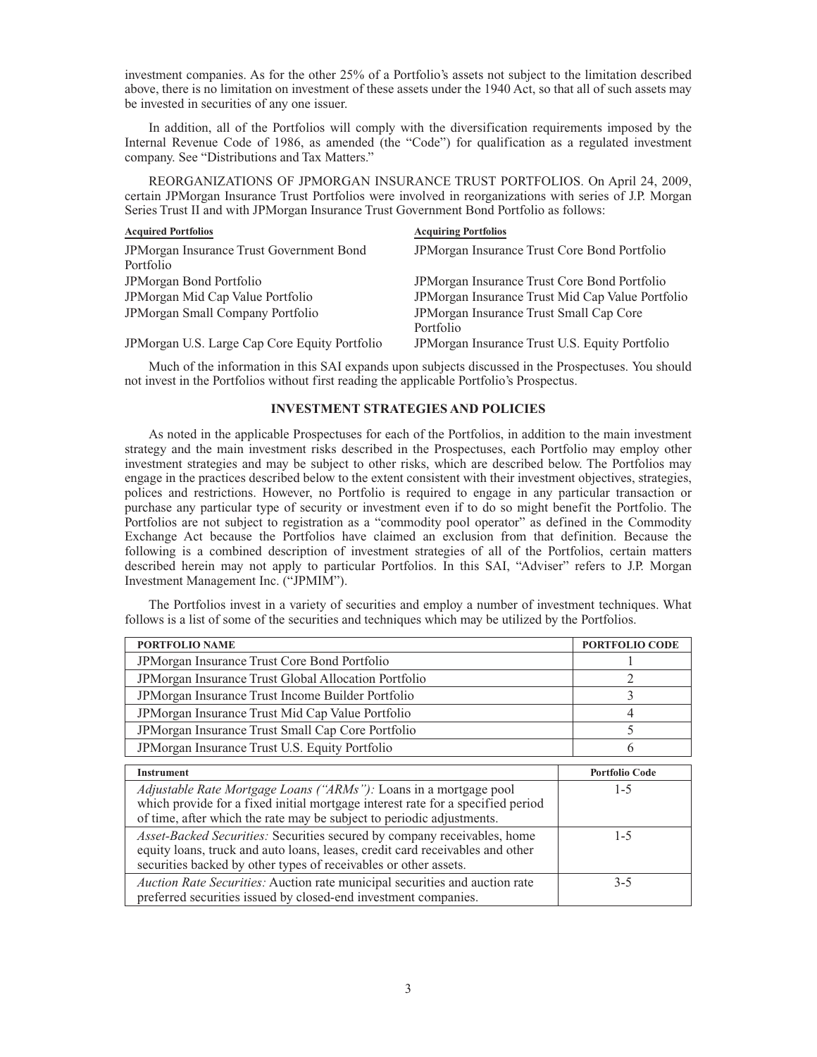<span id="page-4-0"></span>investment companies. As for the other 25% of a Portfolio's assets not subject to the limitation described above, there is no limitation on investment of these assets under the 1940 Act, so that all of such assets may be invested in securities of any one issuer.

In addition, all of the Portfolios will comply with the diversification requirements imposed by the Internal Revenue Code of 1986, as amended (the "Code") for qualification as a regulated investment company. See "Distributions and Tax Matters."

REORGANIZATIONS OF JPMORGAN INSURANCE TRUST PORTFOLIOS. On April 24, 2009, certain JPMorgan Insurance Trust Portfolios were involved in reorganizations with series of J.P. Morgan Series Trust II and with JPMorgan Insurance Trust Government Bond Portfolio as follows:

| <b>Acquired Portfolios</b>                                   | <b>Acquiring Portfolios</b>                         |
|--------------------------------------------------------------|-----------------------------------------------------|
| <b>JPMorgan Insurance Trust Government Bond</b><br>Portfolio | <b>JPMorgan Insurance Trust Core Bond Portfolio</b> |
| <b>JPMorgan Bond Portfolio</b>                               | <b>JPMorgan Insurance Trust Core Bond Portfolio</b> |
| JPM organ Mid Cap Value Portfolio                            | JPM organ Insurance Trust Mid Cap Value Portfolio   |
| <b>JPMorgan Small Company Portfolio</b>                      | JPMorgan Insurance Trust Small Cap Core             |
|                                                              | Portfolio                                           |
| JPM organ U.S. Large Cap Core Equity Portfolio               | JPM organ Insurance Trust U.S. Equity Portfolio     |

Much of the information in this SAI expands upon subjects discussed in the Prospectuses. You should not invest in the Portfolios without first reading the applicable Portfolio's Prospectus.

# **INVESTMENT STRATEGIES AND POLICIES**

As noted in the applicable Prospectuses for each of the Portfolios, in addition to the main investment strategy and the main investment risks described in the Prospectuses, each Portfolio may employ other investment strategies and may be subject to other risks, which are described below. The Portfolios may engage in the practices described below to the extent consistent with their investment objectives, strategies, polices and restrictions. However, no Portfolio is required to engage in any particular transaction or purchase any particular type of security or investment even if to do so might benefit the Portfolio. The Portfolios are not subject to registration as a "commodity pool operator" as defined in the Commodity Exchange Act because the Portfolios have claimed an exclusion from that definition. Because the following is a combined description of investment strategies of all of the Portfolios, certain matters described herein may not apply to particular Portfolios. In this SAI, "Adviser" refers to J.P. Morgan Investment Management Inc. ("JPMIM").

The Portfolios invest in a variety of securities and employ a number of investment techniques. What follows is a list of some of the securities and techniques which may be utilized by the Portfolios.

| PORTFOLIO NAME                                                                                                                                                                                                                | <b>PORTFOLIO CODE</b> |
|-------------------------------------------------------------------------------------------------------------------------------------------------------------------------------------------------------------------------------|-----------------------|
| JPMorgan Insurance Trust Core Bond Portfolio                                                                                                                                                                                  |                       |
| JPMorgan Insurance Trust Global Allocation Portfolio                                                                                                                                                                          | 2                     |
| JPM organ Insurance Trust Income Builder Portfolio                                                                                                                                                                            | 3                     |
| JPM organ Insurance Trust Mid Cap Value Portfolio                                                                                                                                                                             | 4                     |
| JPM organ Insurance Trust Small Cap Core Portfolio                                                                                                                                                                            | 5                     |
| JPMorgan Insurance Trust U.S. Equity Portfolio                                                                                                                                                                                | 6                     |
| <b>Instrument</b>                                                                                                                                                                                                             | <b>Portfolio Code</b> |
| Adjustable Rate Mortgage Loans ("ARMs"): Loans in a mortgage pool<br>which provide for a fixed initial mortgage interest rate for a specified period<br>of time, after which the rate may be subject to periodic adjustments. | $1 - 5$               |
| Asset-Backed Securities: Securities secured by company receivables, home<br>equity loans, truck and auto loans, leases, credit card receivables and other<br>securities backed by other types of receivables or other assets. | $1 - 5$               |
| Auction Rate Securities: Auction rate municipal securities and auction rate<br>preferred securities issued by closed-end investment companies.                                                                                | $3-5$                 |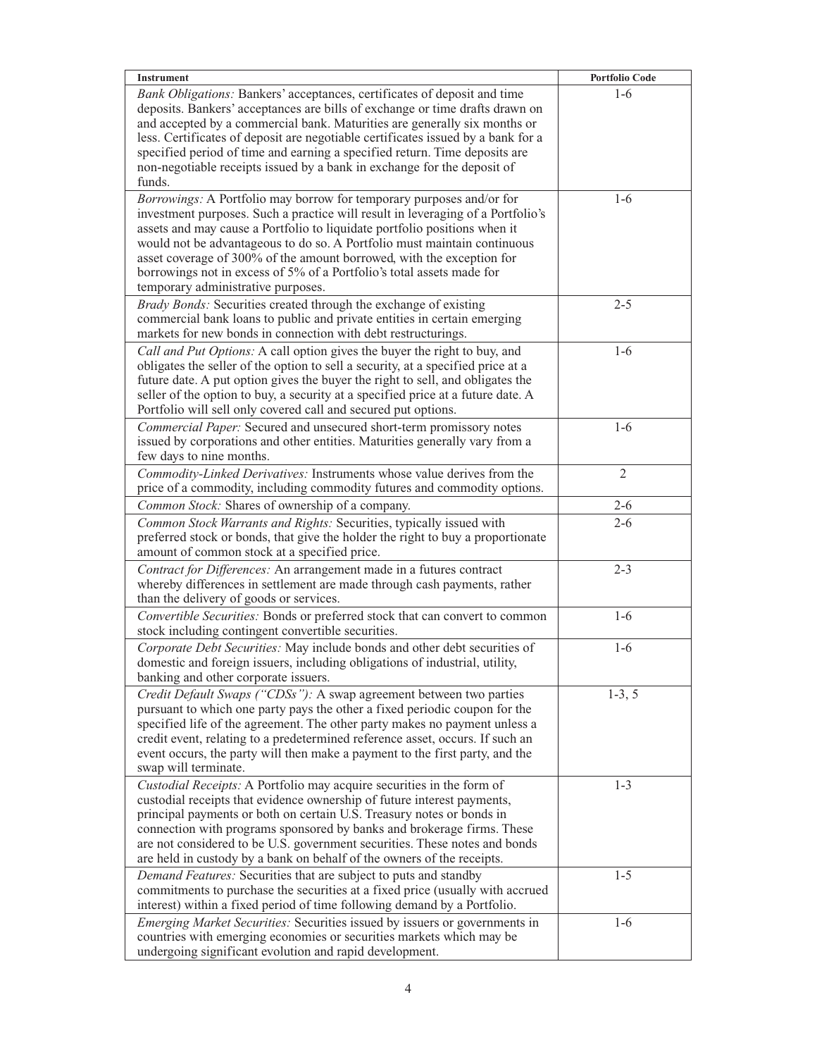| <b>Instrument</b>                                                                                                                                                                                                                                                                                                                                                                                                                                                                                        | <b>Portfolio Code</b> |
|----------------------------------------------------------------------------------------------------------------------------------------------------------------------------------------------------------------------------------------------------------------------------------------------------------------------------------------------------------------------------------------------------------------------------------------------------------------------------------------------------------|-----------------------|
| Bank Obligations: Bankers' acceptances, certificates of deposit and time<br>deposits. Bankers' acceptances are bills of exchange or time drafts drawn on<br>and accepted by a commercial bank. Maturities are generally six months or<br>less. Certificates of deposit are negotiable certificates issued by a bank for a<br>specified period of time and earning a specified return. Time deposits are<br>non-negotiable receipts issued by a bank in exchange for the deposit of<br>funds.             | $1-6$                 |
| Borrowings: A Portfolio may borrow for temporary purposes and/or for<br>investment purposes. Such a practice will result in leveraging of a Portfolio's<br>assets and may cause a Portfolio to liquidate portfolio positions when it<br>would not be advantageous to do so. A Portfolio must maintain continuous<br>asset coverage of 300% of the amount borrowed, with the exception for<br>borrowings not in excess of 5% of a Portfolio's total assets made for<br>temporary administrative purposes. | $1-6$                 |
| Brady Bonds: Securities created through the exchange of existing<br>commercial bank loans to public and private entities in certain emerging<br>markets for new bonds in connection with debt restructurings.                                                                                                                                                                                                                                                                                            | $2 - 5$               |
| Call and Put Options: A call option gives the buyer the right to buy, and<br>obligates the seller of the option to sell a security, at a specified price at a<br>future date. A put option gives the buyer the right to sell, and obligates the<br>seller of the option to buy, a security at a specified price at a future date. A<br>Portfolio will sell only covered call and secured put options.                                                                                                    | $1-6$                 |
| Commercial Paper: Secured and unsecured short-term promissory notes<br>issued by corporations and other entities. Maturities generally vary from a<br>few days to nine months.                                                                                                                                                                                                                                                                                                                           | $1-6$                 |
| Commodity-Linked Derivatives: Instruments whose value derives from the<br>price of a commodity, including commodity futures and commodity options.                                                                                                                                                                                                                                                                                                                                                       | $\overline{2}$        |
| Common Stock: Shares of ownership of a company.                                                                                                                                                                                                                                                                                                                                                                                                                                                          | $2 - 6$               |
| Common Stock Warrants and Rights: Securities, typically issued with<br>preferred stock or bonds, that give the holder the right to buy a proportionate<br>amount of common stock at a specified price.                                                                                                                                                                                                                                                                                                   | $2 - 6$               |
| Contract for Differences: An arrangement made in a futures contract<br>whereby differences in settlement are made through cash payments, rather<br>than the delivery of goods or services.                                                                                                                                                                                                                                                                                                               | $2 - 3$               |
| Convertible Securities: Bonds or preferred stock that can convert to common<br>stock including contingent convertible securities.                                                                                                                                                                                                                                                                                                                                                                        | $1-6$                 |
| Corporate Debt Securities: May include bonds and other debt securities of<br>domestic and foreign issuers, including obligations of industrial, utility,<br>banking and other corporate issuers.                                                                                                                                                                                                                                                                                                         | $1-6$                 |
| Credit Default Swaps ("CDSs"): A swap agreement between two parties<br>pursuant to which one party pays the other a fixed periodic coupon for the<br>specified life of the agreement. The other party makes no payment unless a<br>credit event, relating to a predetermined reference asset, occurs. If such an<br>event occurs, the party will then make a payment to the first party, and the<br>swap will terminate.                                                                                 | $1-3, 5$              |
| Custodial Receipts: A Portfolio may acquire securities in the form of<br>custodial receipts that evidence ownership of future interest payments,<br>principal payments or both on certain U.S. Treasury notes or bonds in<br>connection with programs sponsored by banks and brokerage firms. These<br>are not considered to be U.S. government securities. These notes and bonds<br>are held in custody by a bank on behalf of the owners of the receipts.                                              | $1 - 3$               |
| Demand Features: Securities that are subject to puts and standby<br>commitments to purchase the securities at a fixed price (usually with accrued<br>interest) within a fixed period of time following demand by a Portfolio.                                                                                                                                                                                                                                                                            | $1 - 5$               |
| <i>Emerging Market Securities: Securities issued by issuers or governments in</i><br>countries with emerging economies or securities markets which may be<br>undergoing significant evolution and rapid development.                                                                                                                                                                                                                                                                                     | $1-6$                 |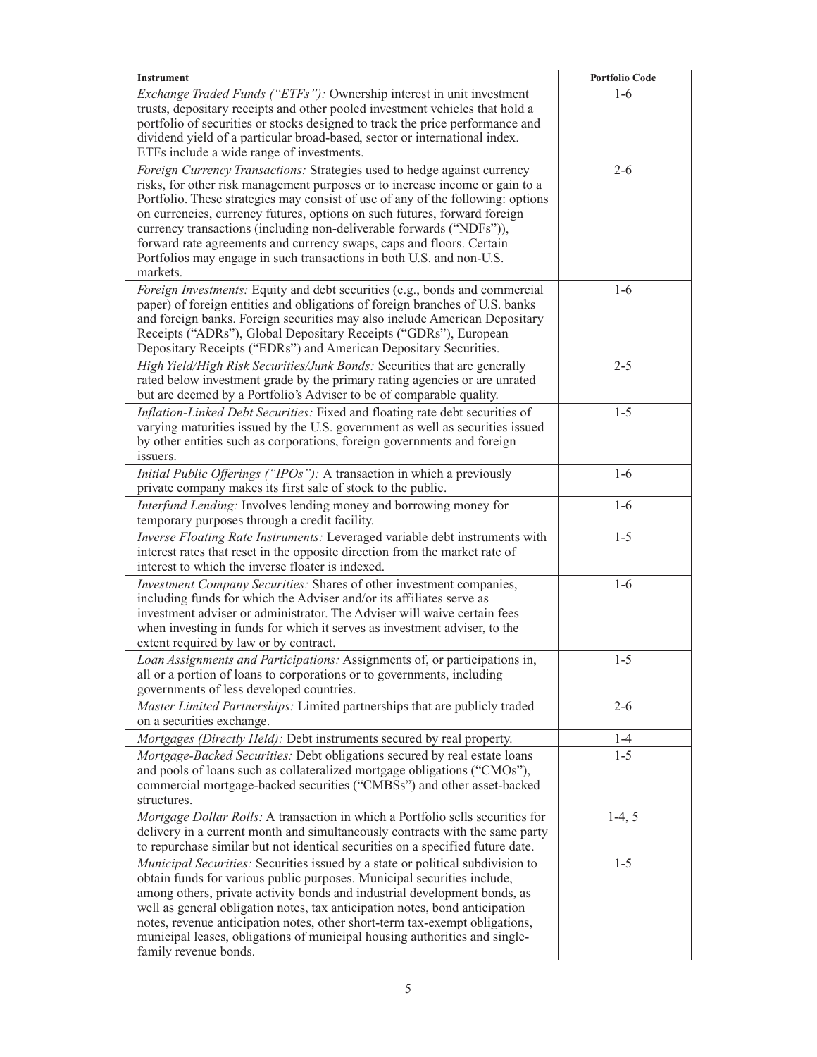| <b>Instrument</b>                                                                                                                                                                                                                                                                                                                                                                                                                                                                                                                                            | <b>Portfolio Code</b> |
|--------------------------------------------------------------------------------------------------------------------------------------------------------------------------------------------------------------------------------------------------------------------------------------------------------------------------------------------------------------------------------------------------------------------------------------------------------------------------------------------------------------------------------------------------------------|-----------------------|
| <i>Exchange Traded Funds ("ETFs")</i> : Ownership interest in unit investment<br>trusts, depositary receipts and other pooled investment vehicles that hold a<br>portfolio of securities or stocks designed to track the price performance and<br>dividend yield of a particular broad-based, sector or international index.<br>ETFs include a wide range of investments.                                                                                                                                                                                    | $1 - 6$               |
| Foreign Currency Transactions: Strategies used to hedge against currency<br>risks, for other risk management purposes or to increase income or gain to a<br>Portfolio. These strategies may consist of use of any of the following: options<br>on currencies, currency futures, options on such futures, forward foreign<br>currency transactions (including non-deliverable forwards ("NDFs")),<br>forward rate agreements and currency swaps, caps and floors. Certain<br>Portfolios may engage in such transactions in both U.S. and non-U.S.<br>markets. | $2 - 6$               |
| Foreign Investments: Equity and debt securities (e.g., bonds and commercial<br>paper) of foreign entities and obligations of foreign branches of U.S. banks<br>and foreign banks. Foreign securities may also include American Depositary<br>Receipts ("ADRs"), Global Depositary Receipts ("GDRs"), European<br>Depositary Receipts ("EDRs") and American Depositary Securities.                                                                                                                                                                            | $1-6$                 |
| High Yield/High Risk Securities/Junk Bonds: Securities that are generally<br>rated below investment grade by the primary rating agencies or are unrated<br>but are deemed by a Portfolio's Adviser to be of comparable quality.                                                                                                                                                                                                                                                                                                                              | $2 - 5$               |
| Inflation-Linked Debt Securities: Fixed and floating rate debt securities of<br>varying maturities issued by the U.S. government as well as securities issued<br>by other entities such as corporations, foreign governments and foreign<br>issuers.                                                                                                                                                                                                                                                                                                         | $1 - 5$               |
| Initial Public Offerings ("IPOs"): A transaction in which a previously<br>private company makes its first sale of stock to the public.                                                                                                                                                                                                                                                                                                                                                                                                                       | $1-6$                 |
| Interfund Lending: Involves lending money and borrowing money for<br>temporary purposes through a credit facility.                                                                                                                                                                                                                                                                                                                                                                                                                                           | $1 - 6$               |
| Inverse Floating Rate Instruments: Leveraged variable debt instruments with<br>interest rates that reset in the opposite direction from the market rate of<br>interest to which the inverse floater is indexed.                                                                                                                                                                                                                                                                                                                                              | $1 - 5$               |
| Investment Company Securities: Shares of other investment companies,<br>including funds for which the Adviser and/or its affiliates serve as<br>investment adviser or administrator. The Adviser will waive certain fees<br>when investing in funds for which it serves as investment adviser, to the<br>extent required by law or by contract.                                                                                                                                                                                                              | $1-6$                 |
| Loan Assignments and Participations: Assignments of, or participations in,<br>all or a portion of loans to corporations or to governments, including<br>governments of less developed countries.                                                                                                                                                                                                                                                                                                                                                             | $1 - 5$               |
| Master Limited Partnerships: Limited partnerships that are publicly traded<br>on a securities exchange.                                                                                                                                                                                                                                                                                                                                                                                                                                                      | $2 - 6$               |
| Mortgages (Directly Held): Debt instruments secured by real property.                                                                                                                                                                                                                                                                                                                                                                                                                                                                                        | $1 - 4$               |
| Mortgage-Backed Securities: Debt obligations secured by real estate loans<br>and pools of loans such as collateralized mortgage obligations ("CMOs"),<br>commercial mortgage-backed securities ("CMBSs") and other asset-backed<br>structures.                                                                                                                                                                                                                                                                                                               | $1 - 5$               |
| Mortgage Dollar Rolls: A transaction in which a Portfolio sells securities for<br>delivery in a current month and simultaneously contracts with the same party<br>to repurchase similar but not identical securities on a specified future date.                                                                                                                                                                                                                                                                                                             | $1-4, 5$              |
| Municipal Securities: Securities issued by a state or political subdivision to<br>obtain funds for various public purposes. Municipal securities include,<br>among others, private activity bonds and industrial development bonds, as<br>well as general obligation notes, tax anticipation notes, bond anticipation<br>notes, revenue anticipation notes, other short-term tax-exempt obligations,<br>municipal leases, obligations of municipal housing authorities and single-<br>family revenue bonds.                                                  | $1 - 5$               |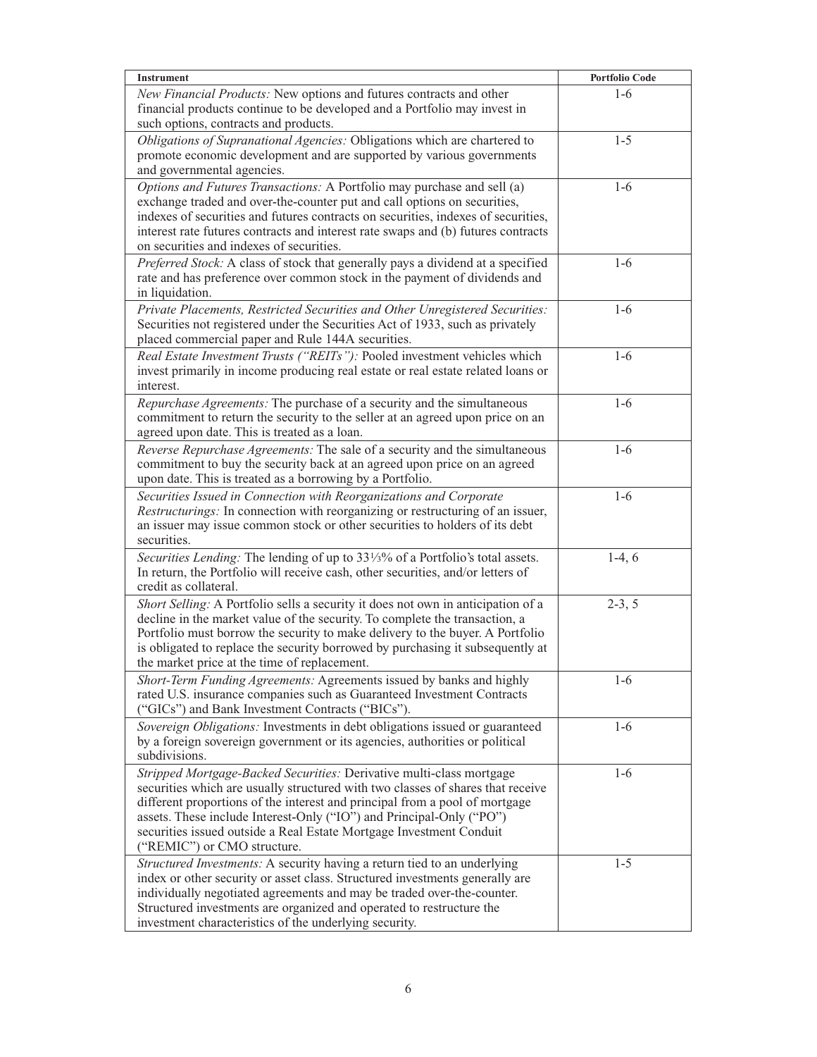| Instrument                                                                                                                                                                                                                                                                                                                                                                                                           | <b>Portfolio Code</b> |
|----------------------------------------------------------------------------------------------------------------------------------------------------------------------------------------------------------------------------------------------------------------------------------------------------------------------------------------------------------------------------------------------------------------------|-----------------------|
| New Financial Products: New options and futures contracts and other<br>financial products continue to be developed and a Portfolio may invest in<br>such options, contracts and products.                                                                                                                                                                                                                            | $1-6$                 |
| Obligations of Supranational Agencies: Obligations which are chartered to<br>promote economic development and are supported by various governments<br>and governmental agencies.                                                                                                                                                                                                                                     | $1 - 5$               |
| Options and Futures Transactions: A Portfolio may purchase and sell (a)<br>exchange traded and over-the-counter put and call options on securities,<br>indexes of securities and futures contracts on securities, indexes of securities,<br>interest rate futures contracts and interest rate swaps and (b) futures contracts<br>on securities and indexes of securities.                                            | $1-6$                 |
| Preferred Stock: A class of stock that generally pays a dividend at a specified<br>rate and has preference over common stock in the payment of dividends and<br>in liquidation.                                                                                                                                                                                                                                      | $1-6$                 |
| Private Placements, Restricted Securities and Other Unregistered Securities:<br>Securities not registered under the Securities Act of 1933, such as privately<br>placed commercial paper and Rule 144A securities.                                                                                                                                                                                                   | $1-6$                 |
| Real Estate Investment Trusts ("REITs"): Pooled investment vehicles which<br>invest primarily in income producing real estate or real estate related loans or<br>interest.                                                                                                                                                                                                                                           | $1-6$                 |
| Repurchase Agreements: The purchase of a security and the simultaneous<br>commitment to return the security to the seller at an agreed upon price on an<br>agreed upon date. This is treated as a loan.                                                                                                                                                                                                              | $1 - 6$               |
| Reverse Repurchase Agreements: The sale of a security and the simultaneous<br>commitment to buy the security back at an agreed upon price on an agreed<br>upon date. This is treated as a borrowing by a Portfolio.                                                                                                                                                                                                  | $1 - 6$               |
| Securities Issued in Connection with Reorganizations and Corporate<br>Restructurings: In connection with reorganizing or restructuring of an issuer,<br>an issuer may issue common stock or other securities to holders of its debt<br>securities.                                                                                                                                                                   | $1-6$                 |
| Securities Lending: The lending of up to 331/3% of a Portfolio's total assets.<br>In return, the Portfolio will receive cash, other securities, and/or letters of<br>credit as collateral.                                                                                                                                                                                                                           | $1-4, 6$              |
| Short Selling: A Portfolio sells a security it does not own in anticipation of a<br>decline in the market value of the security. To complete the transaction, a<br>Portfolio must borrow the security to make delivery to the buyer. A Portfolio<br>is obligated to replace the security borrowed by purchasing it subsequently at<br>the market price at the time of replacement.                                   | $2-3, 5$              |
| Short-Term Funding Agreements: Agreements issued by banks and highly<br>rated U.S. insurance companies such as Guaranteed Investment Contracts<br>("GICs") and Bank Investment Contracts ("BICs").                                                                                                                                                                                                                   | $1-6$                 |
| Sovereign Obligations: Investments in debt obligations issued or guaranteed<br>by a foreign sovereign government or its agencies, authorities or political<br>subdivisions.                                                                                                                                                                                                                                          | $1-6$                 |
| Stripped Mortgage-Backed Securities: Derivative multi-class mortgage<br>securities which are usually structured with two classes of shares that receive<br>different proportions of the interest and principal from a pool of mortgage<br>assets. These include Interest-Only ("IO") and Principal-Only ("PO")<br>securities issued outside a Real Estate Mortgage Investment Conduit<br>("REMIC") or CMO structure. | $1-6$                 |
| Structured Investments: A security having a return tied to an underlying<br>index or other security or asset class. Structured investments generally are<br>individually negotiated agreements and may be traded over-the-counter.<br>Structured investments are organized and operated to restructure the<br>investment characteristics of the underlying security.                                                 | $1 - 5$               |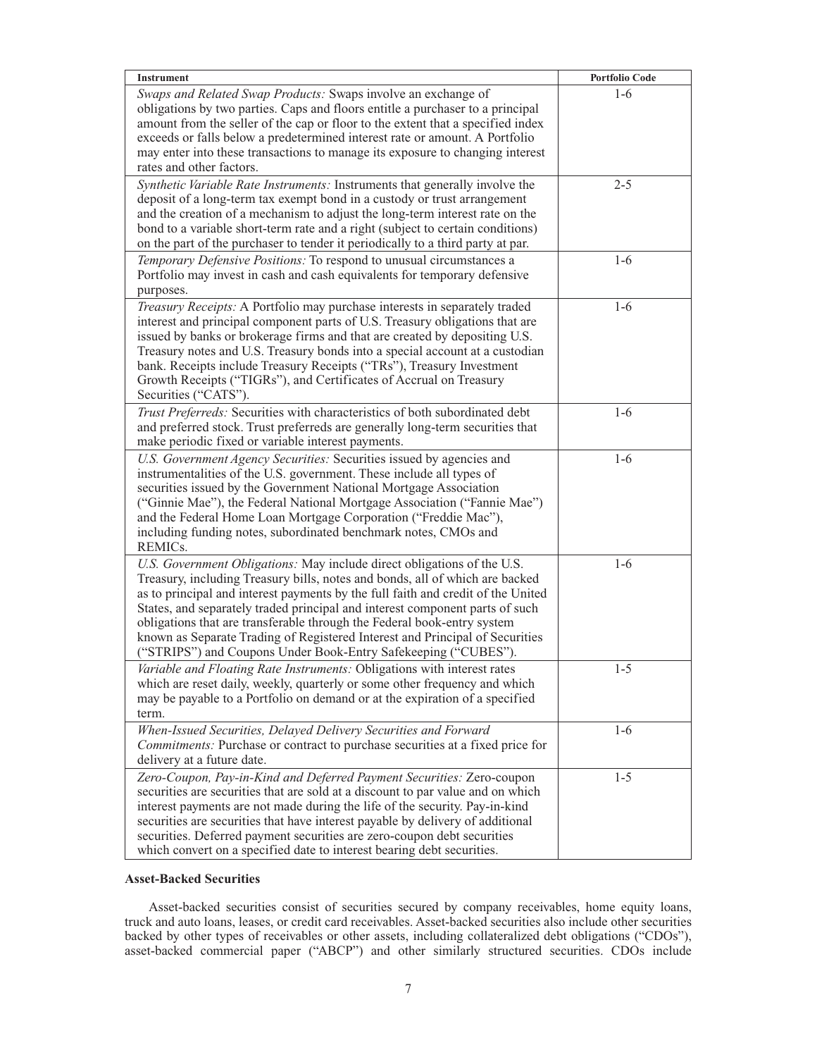<span id="page-8-0"></span>

| <b>Instrument</b>                                                                                                                                                                                                                                                                                                                                                                                                                                                                                                                                        | <b>Portfolio Code</b> |
|----------------------------------------------------------------------------------------------------------------------------------------------------------------------------------------------------------------------------------------------------------------------------------------------------------------------------------------------------------------------------------------------------------------------------------------------------------------------------------------------------------------------------------------------------------|-----------------------|
| Swaps and Related Swap Products: Swaps involve an exchange of<br>obligations by two parties. Caps and floors entitle a purchaser to a principal<br>amount from the seller of the cap or floor to the extent that a specified index<br>exceeds or falls below a predetermined interest rate or amount. A Portfolio<br>may enter into these transactions to manage its exposure to changing interest<br>rates and other factors.                                                                                                                           | $1 - 6$               |
| Synthetic Variable Rate Instruments: Instruments that generally involve the<br>deposit of a long-term tax exempt bond in a custody or trust arrangement<br>and the creation of a mechanism to adjust the long-term interest rate on the<br>bond to a variable short-term rate and a right (subject to certain conditions)<br>on the part of the purchaser to tender it periodically to a third party at par.                                                                                                                                             | $2 - 5$               |
| Temporary Defensive Positions: To respond to unusual circumstances a<br>Portfolio may invest in cash and cash equivalents for temporary defensive<br>purposes.                                                                                                                                                                                                                                                                                                                                                                                           | $1-6$                 |
| Treasury Receipts: A Portfolio may purchase interests in separately traded<br>interest and principal component parts of U.S. Treasury obligations that are<br>issued by banks or brokerage firms and that are created by depositing U.S.<br>Treasury notes and U.S. Treasury bonds into a special account at a custodian<br>bank. Receipts include Treasury Receipts ("TRs"), Treasury Investment<br>Growth Receipts ("TIGRs"), and Certificates of Accrual on Treasury<br>Securities ("CATS").                                                          | $1 - 6$               |
| Trust Preferreds: Securities with characteristics of both subordinated debt<br>and preferred stock. Trust preferreds are generally long-term securities that<br>make periodic fixed or variable interest payments.                                                                                                                                                                                                                                                                                                                                       | $1-6$                 |
| U.S. Government Agency Securities: Securities issued by agencies and<br>instrumentalities of the U.S. government. These include all types of<br>securities issued by the Government National Mortgage Association<br>("Ginnie Mae"), the Federal National Mortgage Association ("Fannie Mae")<br>and the Federal Home Loan Mortgage Corporation ("Freddie Mac"),<br>including funding notes, subordinated benchmark notes, CMOs and<br>REMICs.                                                                                                           | $1-6$                 |
| U.S. Government Obligations: May include direct obligations of the U.S.<br>Treasury, including Treasury bills, notes and bonds, all of which are backed<br>as to principal and interest payments by the full faith and credit of the United<br>States, and separately traded principal and interest component parts of such<br>obligations that are transferable through the Federal book-entry system<br>known as Separate Trading of Registered Interest and Principal of Securities<br>("STRIPS") and Coupons Under Book-Entry Safekeeping ("CUBES"). | $1-6$                 |
| Variable and Floating Rate Instruments: Obligations with interest rates<br>which are reset daily, weekly, quarterly or some other frequency and which<br>may be payable to a Portfolio on demand or at the expiration of a specified<br>term.                                                                                                                                                                                                                                                                                                            | $1-5$                 |
| When-Issued Securities, Delayed Delivery Securities and Forward<br>Commitments: Purchase or contract to purchase securities at a fixed price for<br>delivery at a future date.                                                                                                                                                                                                                                                                                                                                                                           | $1-6$                 |
| Zero-Coupon, Pay-in-Kind and Deferred Payment Securities: Zero-coupon<br>securities are securities that are sold at a discount to par value and on which<br>interest payments are not made during the life of the security. Pay-in-kind<br>securities are securities that have interest payable by delivery of additional<br>securities. Deferred payment securities are zero-coupon debt securities<br>which convert on a specified date to interest bearing debt securities.                                                                           | $1 - 5$               |

# **Asset-Backed Securities**

Asset-backed securities consist of securities secured by company receivables, home equity loans, truck and auto loans, leases, or credit card receivables. Asset-backed securities also include other securities backed by other types of receivables or other assets, including collateralized debt obligations ("CDOs"), asset-backed commercial paper ("ABCP") and other similarly structured securities. CDOs include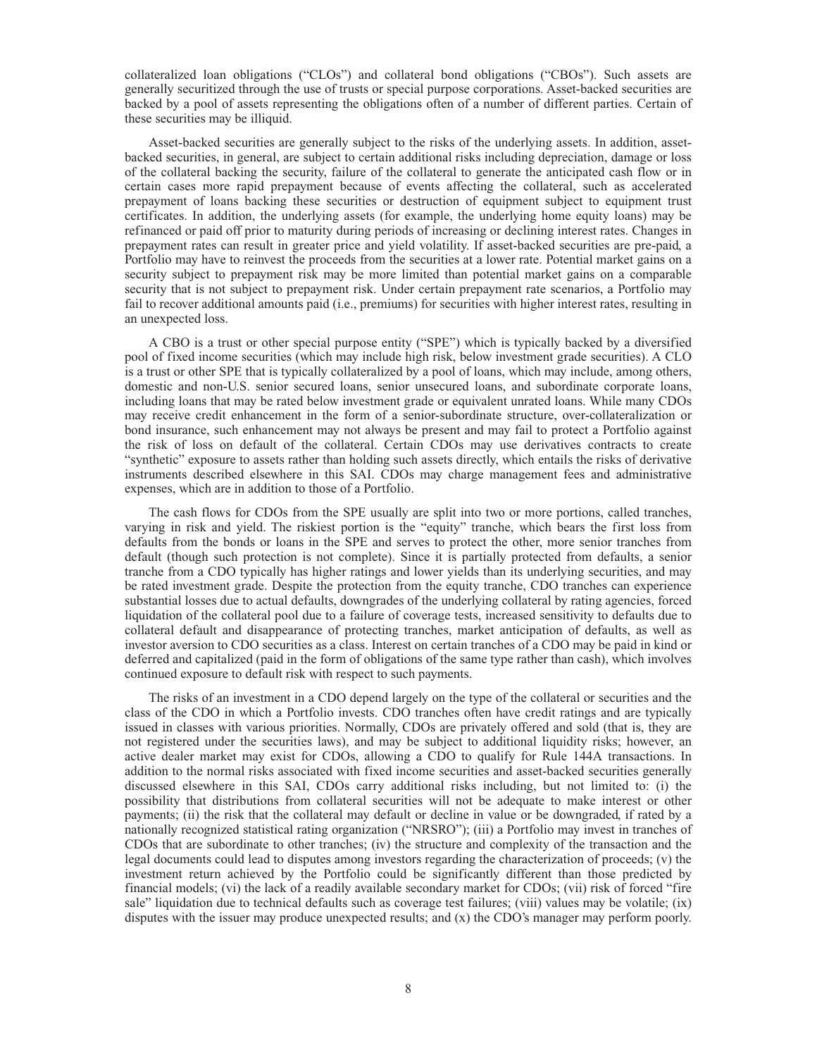collateralized loan obligations ("CLOs") and collateral bond obligations ("CBOs"). Such assets are generally securitized through the use of trusts or special purpose corporations. Asset-backed securities are backed by a pool of assets representing the obligations often of a number of different parties. Certain of these securities may be illiquid.

Asset-backed securities are generally subject to the risks of the underlying assets. In addition, assetbacked securities, in general, are subject to certain additional risks including depreciation, damage or loss of the collateral backing the security, failure of the collateral to generate the anticipated cash flow or in certain cases more rapid prepayment because of events affecting the collateral, such as accelerated prepayment of loans backing these securities or destruction of equipment subject to equipment trust certificates. In addition, the underlying assets (for example, the underlying home equity loans) may be refinanced or paid off prior to maturity during periods of increasing or declining interest rates. Changes in prepayment rates can result in greater price and yield volatility. If asset-backed securities are pre-paid, a Portfolio may have to reinvest the proceeds from the securities at a lower rate. Potential market gains on a security subject to prepayment risk may be more limited than potential market gains on a comparable security that is not subject to prepayment risk. Under certain prepayment rate scenarios, a Portfolio may fail to recover additional amounts paid (i.e., premiums) for securities with higher interest rates, resulting in an unexpected loss.

A CBO is a trust or other special purpose entity ("SPE") which is typically backed by a diversified pool of fixed income securities (which may include high risk, below investment grade securities). A CLO is a trust or other SPE that is typically collateralized by a pool of loans, which may include, among others, domestic and non-U.S. senior secured loans, senior unsecured loans, and subordinate corporate loans, including loans that may be rated below investment grade or equivalent unrated loans. While many CDOs may receive credit enhancement in the form of a senior-subordinate structure, over-collateralization or bond insurance, such enhancement may not always be present and may fail to protect a Portfolio against the risk of loss on default of the collateral. Certain CDOs may use derivatives contracts to create "synthetic" exposure to assets rather than holding such assets directly, which entails the risks of derivative instruments described elsewhere in this SAI. CDOs may charge management fees and administrative expenses, which are in addition to those of a Portfolio.

The cash flows for CDOs from the SPE usually are split into two or more portions, called tranches, varying in risk and yield. The riskiest portion is the "equity" tranche, which bears the first loss from defaults from the bonds or loans in the SPE and serves to protect the other, more senior tranches from default (though such protection is not complete). Since it is partially protected from defaults, a senior tranche from a CDO typically has higher ratings and lower yields than its underlying securities, and may be rated investment grade. Despite the protection from the equity tranche, CDO tranches can experience substantial losses due to actual defaults, downgrades of the underlying collateral by rating agencies, forced liquidation of the collateral pool due to a failure of coverage tests, increased sensitivity to defaults due to collateral default and disappearance of protecting tranches, market anticipation of defaults, as well as investor aversion to CDO securities as a class. Interest on certain tranches of a CDO may be paid in kind or deferred and capitalized (paid in the form of obligations of the same type rather than cash), which involves continued exposure to default risk with respect to such payments.

The risks of an investment in a CDO depend largely on the type of the collateral or securities and the class of the CDO in which a Portfolio invests. CDO tranches often have credit ratings and are typically issued in classes with various priorities. Normally, CDOs are privately offered and sold (that is, they are not registered under the securities laws), and may be subject to additional liquidity risks; however, an active dealer market may exist for CDOs, allowing a CDO to qualify for Rule 144A transactions. In addition to the normal risks associated with fixed income securities and asset-backed securities generally discussed elsewhere in this SAI, CDOs carry additional risks including, but not limited to: (i) the possibility that distributions from collateral securities will not be adequate to make interest or other payments; (ii) the risk that the collateral may default or decline in value or be downgraded, if rated by a nationally recognized statistical rating organization ("NRSRO"); (iii) a Portfolio may invest in tranches of CDOs that are subordinate to other tranches; (iv) the structure and complexity of the transaction and the legal documents could lead to disputes among investors regarding the characterization of proceeds; (v) the investment return achieved by the Portfolio could be significantly different than those predicted by financial models; (vi) the lack of a readily available secondary market for CDOs; (vii) risk of forced "fire sale" liquidation due to technical defaults such as coverage test failures; (viii) values may be volatile; (ix) disputes with the issuer may produce unexpected results; and (x) the CDO's manager may perform poorly.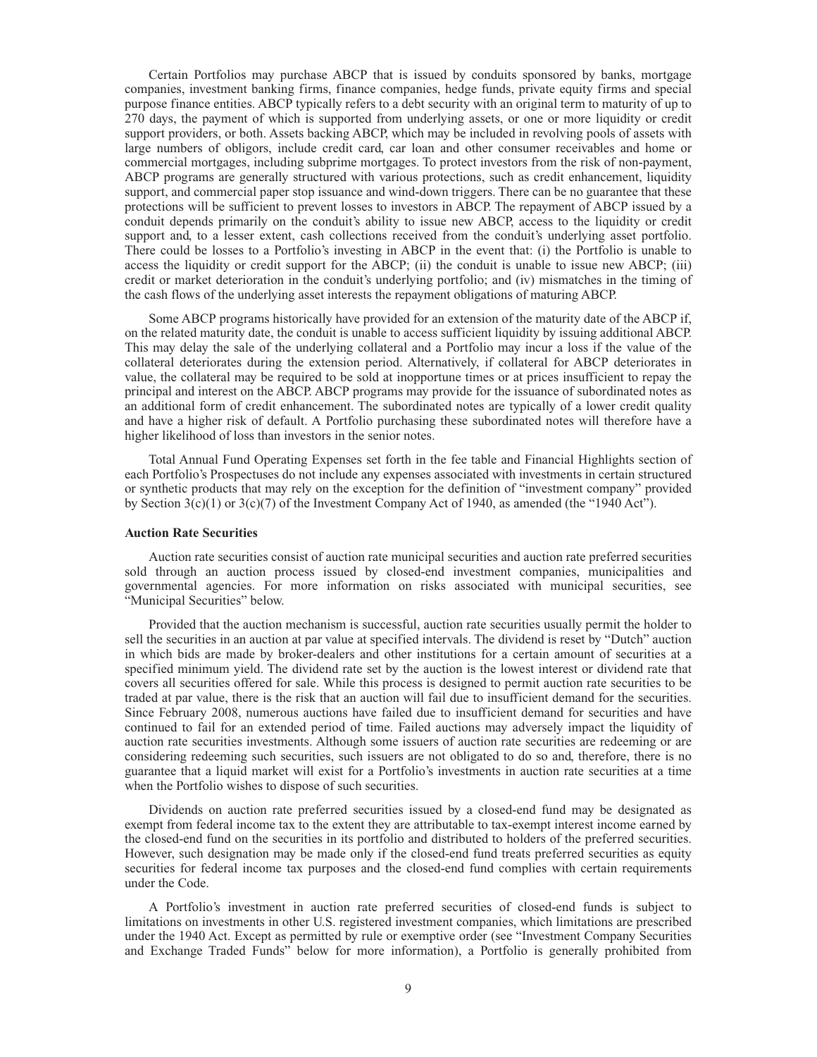<span id="page-10-0"></span>Certain Portfolios may purchase ABCP that is issued by conduits sponsored by banks, mortgage companies, investment banking firms, finance companies, hedge funds, private equity firms and special purpose finance entities. ABCP typically refers to a debt security with an original term to maturity of up to 270 days, the payment of which is supported from underlying assets, or one or more liquidity or credit support providers, or both. Assets backing ABCP, which may be included in revolving pools of assets with large numbers of obligors, include credit card, car loan and other consumer receivables and home or commercial mortgages, including subprime mortgages. To protect investors from the risk of non-payment, ABCP programs are generally structured with various protections, such as credit enhancement, liquidity support, and commercial paper stop issuance and wind-down triggers. There can be no guarantee that these protections will be sufficient to prevent losses to investors in ABCP. The repayment of ABCP issued by a conduit depends primarily on the conduit's ability to issue new ABCP, access to the liquidity or credit support and, to a lesser extent, cash collections received from the conduit's underlying asset portfolio. There could be losses to a Portfolio's investing in ABCP in the event that: (i) the Portfolio is unable to access the liquidity or credit support for the ABCP; (ii) the conduit is unable to issue new ABCP; (iii) credit or market deterioration in the conduit's underlying portfolio; and (iv) mismatches in the timing of the cash flows of the underlying asset interests the repayment obligations of maturing ABCP.

Some ABCP programs historically have provided for an extension of the maturity date of the ABCP if, on the related maturity date, the conduit is unable to access sufficient liquidity by issuing additional ABCP. This may delay the sale of the underlying collateral and a Portfolio may incur a loss if the value of the collateral deteriorates during the extension period. Alternatively, if collateral for ABCP deteriorates in value, the collateral may be required to be sold at inopportune times or at prices insufficient to repay the principal and interest on the ABCP. ABCP programs may provide for the issuance of subordinated notes as an additional form of credit enhancement. The subordinated notes are typically of a lower credit quality and have a higher risk of default. A Portfolio purchasing these subordinated notes will therefore have a higher likelihood of loss than investors in the senior notes.

Total Annual Fund Operating Expenses set forth in the fee table and Financial Highlights section of each Portfolio's Prospectuses do not include any expenses associated with investments in certain structured or synthetic products that may rely on the exception for the definition of "investment company" provided by Section 3(c)(1) or 3(c)(7) of the Investment Company Act of 1940, as amended (the "1940 Act").

### **Auction Rate Securities**

Auction rate securities consist of auction rate municipal securities and auction rate preferred securities sold through an auction process issued by closed-end investment companies, municipalities and governmental agencies. For more information on risks associated with municipal securities, see "Municipal Securities" below.

Provided that the auction mechanism is successful, auction rate securities usually permit the holder to sell the securities in an auction at par value at specified intervals. The dividend is reset by "Dutch" auction in which bids are made by broker-dealers and other institutions for a certain amount of securities at a specified minimum yield. The dividend rate set by the auction is the lowest interest or dividend rate that covers all securities offered for sale. While this process is designed to permit auction rate securities to be traded at par value, there is the risk that an auction will fail due to insufficient demand for the securities. Since February 2008, numerous auctions have failed due to insufficient demand for securities and have continued to fail for an extended period of time. Failed auctions may adversely impact the liquidity of auction rate securities investments. Although some issuers of auction rate securities are redeeming or are considering redeeming such securities, such issuers are not obligated to do so and, therefore, there is no guarantee that a liquid market will exist for a Portfolio's investments in auction rate securities at a time when the Portfolio wishes to dispose of such securities.

Dividends on auction rate preferred securities issued by a closed-end fund may be designated as exempt from federal income tax to the extent they are attributable to tax-exempt interest income earned by the closed-end fund on the securities in its portfolio and distributed to holders of the preferred securities. However, such designation may be made only if the closed-end fund treats preferred securities as equity securities for federal income tax purposes and the closed-end fund complies with certain requirements under the Code.

A Portfolio's investment in auction rate preferred securities of closed-end funds is subject to limitations on investments in other U.S. registered investment companies, which limitations are prescribed under the 1940 Act. Except as permitted by rule or exemptive order (see "Investment Company Securities and Exchange Traded Funds" below for more information), a Portfolio is generally prohibited from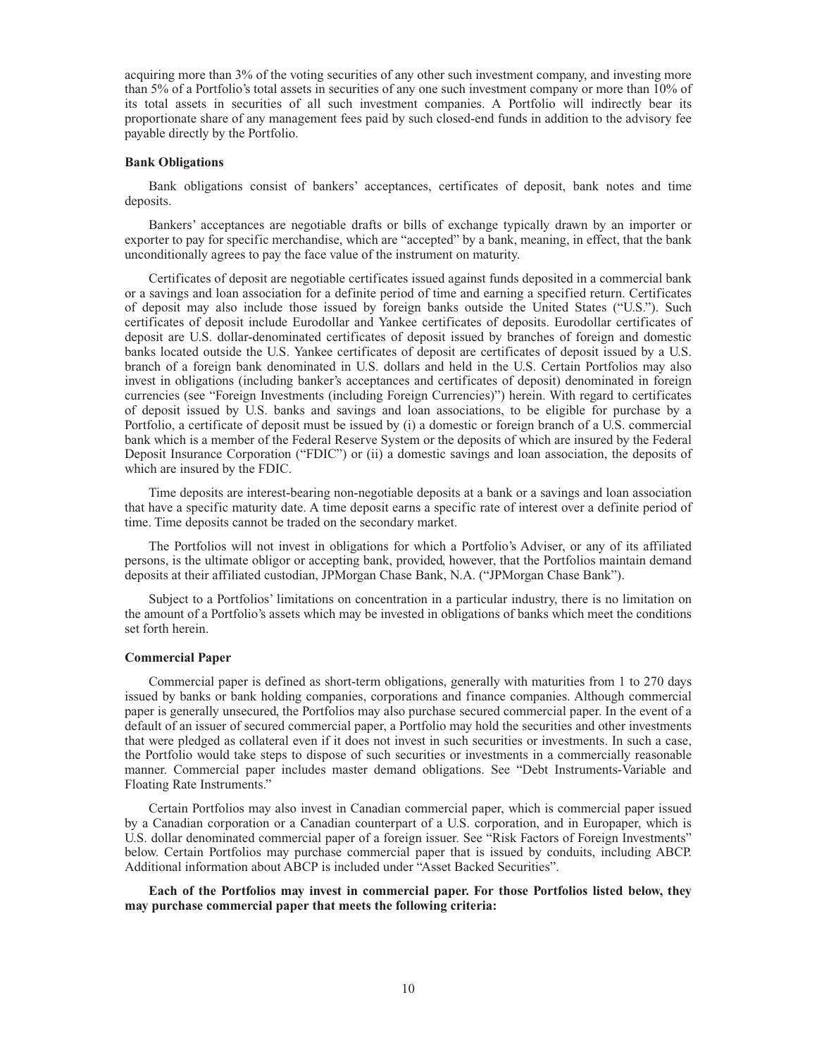<span id="page-11-0"></span>acquiring more than 3% of the voting securities of any other such investment company, and investing more than 5% of a Portfolio's total assets in securities of any one such investment company or more than 10% of its total assets in securities of all such investment companies. A Portfolio will indirectly bear its proportionate share of any management fees paid by such closed-end funds in addition to the advisory fee payable directly by the Portfolio.

# **Bank Obligations**

Bank obligations consist of bankers' acceptances, certificates of deposit, bank notes and time deposits.

Bankers' acceptances are negotiable drafts or bills of exchange typically drawn by an importer or exporter to pay for specific merchandise, which are "accepted" by a bank, meaning, in effect, that the bank unconditionally agrees to pay the face value of the instrument on maturity.

Certificates of deposit are negotiable certificates issued against funds deposited in a commercial bank or a savings and loan association for a definite period of time and earning a specified return. Certificates of deposit may also include those issued by foreign banks outside the United States ("U.S."). Such certificates of deposit include Eurodollar and Yankee certificates of deposits. Eurodollar certificates of deposit are U.S. dollar-denominated certificates of deposit issued by branches of foreign and domestic banks located outside the U.S. Yankee certificates of deposit are certificates of deposit issued by a U.S. branch of a foreign bank denominated in U.S. dollars and held in the U.S. Certain Portfolios may also invest in obligations (including banker's acceptances and certificates of deposit) denominated in foreign currencies (see "Foreign Investments (including Foreign Currencies)") herein. With regard to certificates of deposit issued by U.S. banks and savings and loan associations, to be eligible for purchase by a Portfolio, a certificate of deposit must be issued by (i) a domestic or foreign branch of a U.S. commercial bank which is a member of the Federal Reserve System or the deposits of which are insured by the Federal Deposit Insurance Corporation ("FDIC") or (ii) a domestic savings and loan association, the deposits of which are insured by the FDIC.

Time deposits are interest-bearing non-negotiable deposits at a bank or a savings and loan association that have a specific maturity date. A time deposit earns a specific rate of interest over a definite period of time. Time deposits cannot be traded on the secondary market.

The Portfolios will not invest in obligations for which a Portfolio's Adviser, or any of its affiliated persons, is the ultimate obligor or accepting bank, provided, however, that the Portfolios maintain demand deposits at their affiliated custodian, JPMorgan Chase Bank, N.A. ("JPMorgan Chase Bank").

Subject to a Portfolios' limitations on concentration in a particular industry, there is no limitation on the amount of a Portfolio's assets which may be invested in obligations of banks which meet the conditions set forth herein.

# **Commercial Paper**

Commercial paper is defined as short-term obligations, generally with maturities from 1 to 270 days issued by banks or bank holding companies, corporations and finance companies. Although commercial paper is generally unsecured, the Portfolios may also purchase secured commercial paper. In the event of a default of an issuer of secured commercial paper, a Portfolio may hold the securities and other investments that were pledged as collateral even if it does not invest in such securities or investments. In such a case, the Portfolio would take steps to dispose of such securities or investments in a commercially reasonable manner. Commercial paper includes master demand obligations. See "Debt Instruments-Variable and Floating Rate Instruments."

Certain Portfolios may also invest in Canadian commercial paper, which is commercial paper issued by a Canadian corporation or a Canadian counterpart of a U.S. corporation, and in Europaper, which is U.S. dollar denominated commercial paper of a foreign issuer. See "Risk Factors of Foreign Investments" below. Certain Portfolios may purchase commercial paper that is issued by conduits, including ABCP. Additional information about ABCP is included under "Asset Backed Securities".

**Each of the Portfolios may invest in commercial paper. For those Portfolios listed below, they may purchase commercial paper that meets the following criteria:**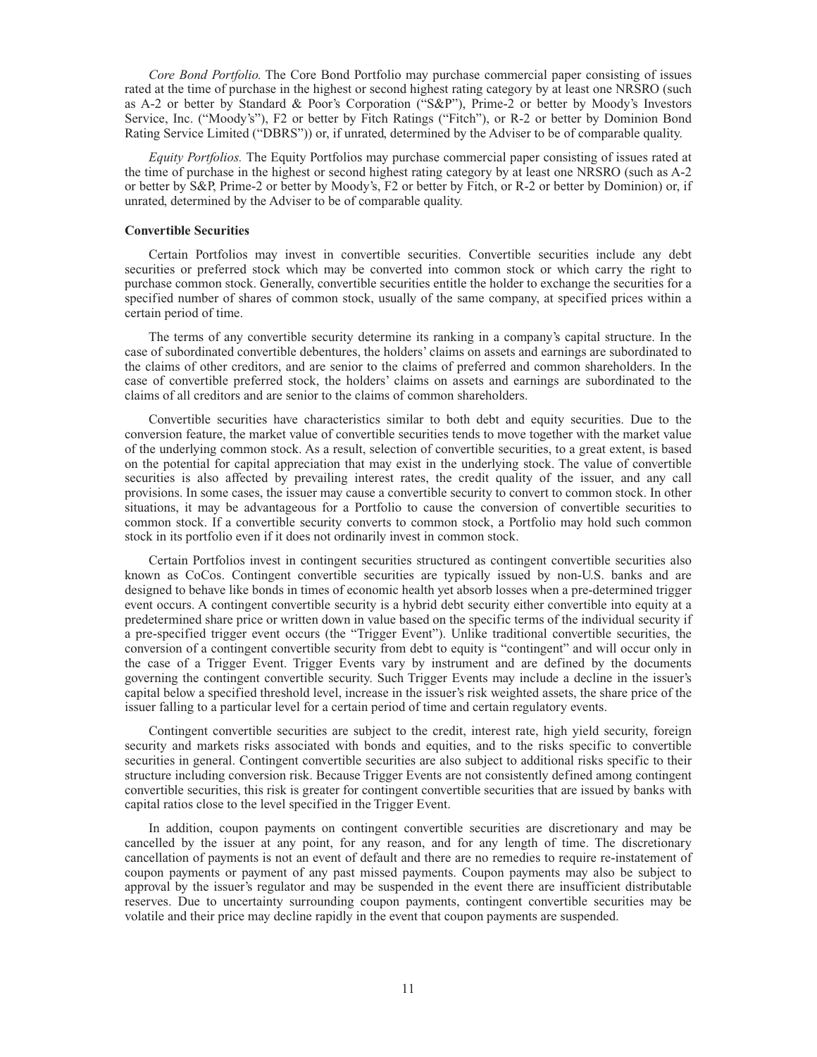<span id="page-12-0"></span>*Core Bond Portfolio.* The Core Bond Portfolio may purchase commercial paper consisting of issues rated at the time of purchase in the highest or second highest rating category by at least one NRSRO (such as A-2 or better by Standard & Poor's Corporation ("S&P"), Prime-2 or better by Moody's Investors Service, Inc. ("Moody's"), F2 or better by Fitch Ratings ("Fitch"), or R-2 or better by Dominion Bond Rating Service Limited ("DBRS")) or, if unrated, determined by the Adviser to be of comparable quality.

*Equity Portfolios.* The Equity Portfolios may purchase commercial paper consisting of issues rated at the time of purchase in the highest or second highest rating category by at least one NRSRO (such as A-2 or better by S&P, Prime-2 or better by Moody's, F2 or better by Fitch, or R-2 or better by Dominion) or, if unrated, determined by the Adviser to be of comparable quality.

#### **Convertible Securities**

Certain Portfolios may invest in convertible securities. Convertible securities include any debt securities or preferred stock which may be converted into common stock or which carry the right to purchase common stock. Generally, convertible securities entitle the holder to exchange the securities for a specified number of shares of common stock, usually of the same company, at specified prices within a certain period of time.

The terms of any convertible security determine its ranking in a company's capital structure. In the case of subordinated convertible debentures, the holders' claims on assets and earnings are subordinated to the claims of other creditors, and are senior to the claims of preferred and common shareholders. In the case of convertible preferred stock, the holders' claims on assets and earnings are subordinated to the claims of all creditors and are senior to the claims of common shareholders.

Convertible securities have characteristics similar to both debt and equity securities. Due to the conversion feature, the market value of convertible securities tends to move together with the market value of the underlying common stock. As a result, selection of convertible securities, to a great extent, is based on the potential for capital appreciation that may exist in the underlying stock. The value of convertible securities is also affected by prevailing interest rates, the credit quality of the issuer, and any call provisions. In some cases, the issuer may cause a convertible security to convert to common stock. In other situations, it may be advantageous for a Portfolio to cause the conversion of convertible securities to common stock. If a convertible security converts to common stock, a Portfolio may hold such common stock in its portfolio even if it does not ordinarily invest in common stock.

Certain Portfolios invest in contingent securities structured as contingent convertible securities also known as CoCos. Contingent convertible securities are typically issued by non-U.S. banks and are designed to behave like bonds in times of economic health yet absorb losses when a pre-determined trigger event occurs. A contingent convertible security is a hybrid debt security either convertible into equity at a predetermined share price or written down in value based on the specific terms of the individual security if a pre-specified trigger event occurs (the "Trigger Event"). Unlike traditional convertible securities, the conversion of a contingent convertible security from debt to equity is "contingent" and will occur only in the case of a Trigger Event. Trigger Events vary by instrument and are defined by the documents governing the contingent convertible security. Such Trigger Events may include a decline in the issuer's capital below a specified threshold level, increase in the issuer's risk weighted assets, the share price of the issuer falling to a particular level for a certain period of time and certain regulatory events.

Contingent convertible securities are subject to the credit, interest rate, high yield security, foreign security and markets risks associated with bonds and equities, and to the risks specific to convertible securities in general. Contingent convertible securities are also subject to additional risks specific to their structure including conversion risk. Because Trigger Events are not consistently defined among contingent convertible securities, this risk is greater for contingent convertible securities that are issued by banks with capital ratios close to the level specified in the Trigger Event.

In addition, coupon payments on contingent convertible securities are discretionary and may be cancelled by the issuer at any point, for any reason, and for any length of time. The discretionary cancellation of payments is not an event of default and there are no remedies to require re-instatement of coupon payments or payment of any past missed payments. Coupon payments may also be subject to approval by the issuer's regulator and may be suspended in the event there are insufficient distributable reserves. Due to uncertainty surrounding coupon payments, contingent convertible securities may be volatile and their price may decline rapidly in the event that coupon payments are suspended.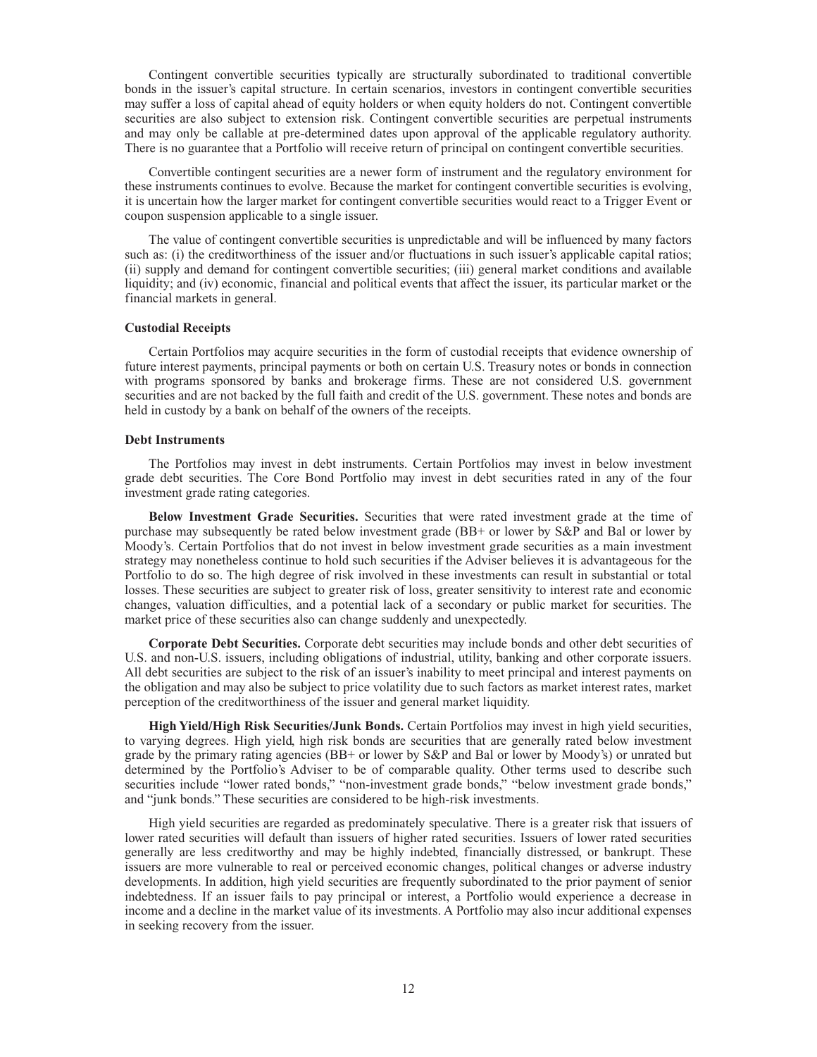<span id="page-13-0"></span>Contingent convertible securities typically are structurally subordinated to traditional convertible bonds in the issuer's capital structure. In certain scenarios, investors in contingent convertible securities may suffer a loss of capital ahead of equity holders or when equity holders do not. Contingent convertible securities are also subject to extension risk. Contingent convertible securities are perpetual instruments and may only be callable at pre-determined dates upon approval of the applicable regulatory authority. There is no guarantee that a Portfolio will receive return of principal on contingent convertible securities.

Convertible contingent securities are a newer form of instrument and the regulatory environment for these instruments continues to evolve. Because the market for contingent convertible securities is evolving, it is uncertain how the larger market for contingent convertible securities would react to a Trigger Event or coupon suspension applicable to a single issuer.

The value of contingent convertible securities is unpredictable and will be influenced by many factors such as: (i) the creditworthiness of the issuer and/or fluctuations in such issuer's applicable capital ratios; (ii) supply and demand for contingent convertible securities; (iii) general market conditions and available liquidity; and (iv) economic, financial and political events that affect the issuer, its particular market or the financial markets in general.

### **Custodial Receipts**

Certain Portfolios may acquire securities in the form of custodial receipts that evidence ownership of future interest payments, principal payments or both on certain U.S. Treasury notes or bonds in connection with programs sponsored by banks and brokerage firms. These are not considered U.S. government securities and are not backed by the full faith and credit of the U.S. government. These notes and bonds are held in custody by a bank on behalf of the owners of the receipts.

### **Debt Instruments**

The Portfolios may invest in debt instruments. Certain Portfolios may invest in below investment grade debt securities. The Core Bond Portfolio may invest in debt securities rated in any of the four investment grade rating categories.

**Below Investment Grade Securities.** Securities that were rated investment grade at the time of purchase may subsequently be rated below investment grade (BB+ or lower by S&P and Bal or lower by Moody's. Certain Portfolios that do not invest in below investment grade securities as a main investment strategy may nonetheless continue to hold such securities if the Adviser believes it is advantageous for the Portfolio to do so. The high degree of risk involved in these investments can result in substantial or total losses. These securities are subject to greater risk of loss, greater sensitivity to interest rate and economic changes, valuation difficulties, and a potential lack of a secondary or public market for securities. The market price of these securities also can change suddenly and unexpectedly.

**Corporate Debt Securities.** Corporate debt securities may include bonds and other debt securities of U.S. and non-U.S. issuers, including obligations of industrial, utility, banking and other corporate issuers. All debt securities are subject to the risk of an issuer's inability to meet principal and interest payments on the obligation and may also be subject to price volatility due to such factors as market interest rates, market perception of the creditworthiness of the issuer and general market liquidity.

**High Yield/High Risk Securities/Junk Bonds.** Certain Portfolios may invest in high yield securities, to varying degrees. High yield, high risk bonds are securities that are generally rated below investment grade by the primary rating agencies (BB+ or lower by S&P and Bal or lower by Moody's) or unrated but determined by the Portfolio's Adviser to be of comparable quality. Other terms used to describe such securities include "lower rated bonds," "non-investment grade bonds," "below investment grade bonds," and "junk bonds." These securities are considered to be high-risk investments.

High yield securities are regarded as predominately speculative. There is a greater risk that issuers of lower rated securities will default than issuers of higher rated securities. Issuers of lower rated securities generally are less creditworthy and may be highly indebted, financially distressed, or bankrupt. These issuers are more vulnerable to real or perceived economic changes, political changes or adverse industry developments. In addition, high yield securities are frequently subordinated to the prior payment of senior indebtedness. If an issuer fails to pay principal or interest, a Portfolio would experience a decrease in income and a decline in the market value of its investments. A Portfolio may also incur additional expenses in seeking recovery from the issuer.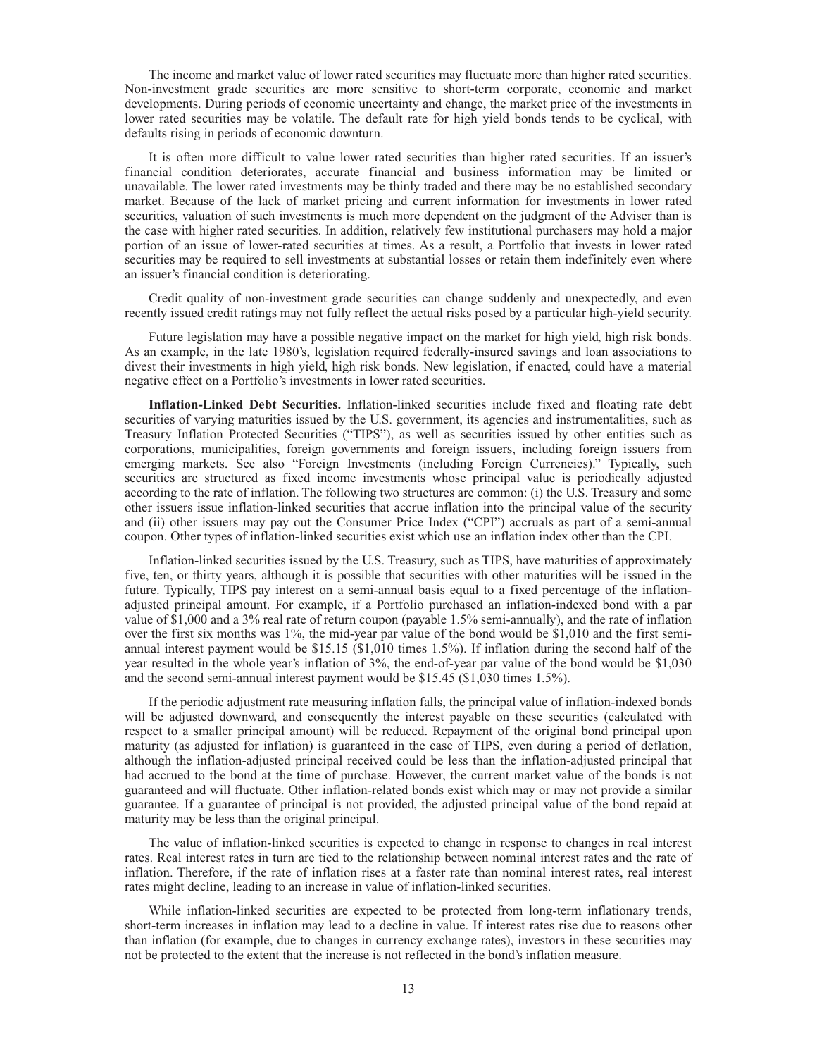The income and market value of lower rated securities may fluctuate more than higher rated securities. Non-investment grade securities are more sensitive to short-term corporate, economic and market developments. During periods of economic uncertainty and change, the market price of the investments in lower rated securities may be volatile. The default rate for high yield bonds tends to be cyclical, with defaults rising in periods of economic downturn.

It is often more difficult to value lower rated securities than higher rated securities. If an issuer's financial condition deteriorates, accurate financial and business information may be limited or unavailable. The lower rated investments may be thinly traded and there may be no established secondary market. Because of the lack of market pricing and current information for investments in lower rated securities, valuation of such investments is much more dependent on the judgment of the Adviser than is the case with higher rated securities. In addition, relatively few institutional purchasers may hold a major portion of an issue of lower-rated securities at times. As a result, a Portfolio that invests in lower rated securities may be required to sell investments at substantial losses or retain them indefinitely even where an issuer's financial condition is deteriorating.

Credit quality of non-investment grade securities can change suddenly and unexpectedly, and even recently issued credit ratings may not fully reflect the actual risks posed by a particular high-yield security.

Future legislation may have a possible negative impact on the market for high yield, high risk bonds. As an example, in the late 1980's, legislation required federally-insured savings and loan associations to divest their investments in high yield, high risk bonds. New legislation, if enacted, could have a material negative effect on a Portfolio's investments in lower rated securities.

**Inflation-Linked Debt Securities.** Inflation-linked securities include fixed and floating rate debt securities of varying maturities issued by the U.S. government, its agencies and instrumentalities, such as Treasury Inflation Protected Securities ("TIPS"), as well as securities issued by other entities such as corporations, municipalities, foreign governments and foreign issuers, including foreign issuers from emerging markets. See also "Foreign Investments (including Foreign Currencies)." Typically, such securities are structured as fixed income investments whose principal value is periodically adjusted according to the rate of inflation. The following two structures are common: (i) the U.S. Treasury and some other issuers issue inflation-linked securities that accrue inflation into the principal value of the security and (ii) other issuers may pay out the Consumer Price Index ("CPI") accruals as part of a semi-annual coupon. Other types of inflation-linked securities exist which use an inflation index other than the CPI.

Inflation-linked securities issued by the U.S. Treasury, such as TIPS, have maturities of approximately five, ten, or thirty years, although it is possible that securities with other maturities will be issued in the future. Typically, TIPS pay interest on a semi-annual basis equal to a fixed percentage of the inflationadjusted principal amount. For example, if a Portfolio purchased an inflation-indexed bond with a par value of \$1,000 and a 3% real rate of return coupon (payable 1.5% semi-annually), and the rate of inflation over the first six months was 1%, the mid-year par value of the bond would be \$1,010 and the first semiannual interest payment would be \$15.15 (\$1,010 times 1.5%). If inflation during the second half of the year resulted in the whole year's inflation of 3%, the end-of-year par value of the bond would be \$1,030 and the second semi-annual interest payment would be \$15.45 (\$1,030 times 1.5%).

If the periodic adjustment rate measuring inflation falls, the principal value of inflation-indexed bonds will be adjusted downward, and consequently the interest payable on these securities (calculated with respect to a smaller principal amount) will be reduced. Repayment of the original bond principal upon maturity (as adjusted for inflation) is guaranteed in the case of TIPS, even during a period of deflation, although the inflation-adjusted principal received could be less than the inflation-adjusted principal that had accrued to the bond at the time of purchase. However, the current market value of the bonds is not guaranteed and will fluctuate. Other inflation-related bonds exist which may or may not provide a similar guarantee. If a guarantee of principal is not provided, the adjusted principal value of the bond repaid at maturity may be less than the original principal.

The value of inflation-linked securities is expected to change in response to changes in real interest rates. Real interest rates in turn are tied to the relationship between nominal interest rates and the rate of inflation. Therefore, if the rate of inflation rises at a faster rate than nominal interest rates, real interest rates might decline, leading to an increase in value of inflation-linked securities.

While inflation-linked securities are expected to be protected from long-term inflationary trends, short-term increases in inflation may lead to a decline in value. If interest rates rise due to reasons other than inflation (for example, due to changes in currency exchange rates), investors in these securities may not be protected to the extent that the increase is not reflected in the bond's inflation measure.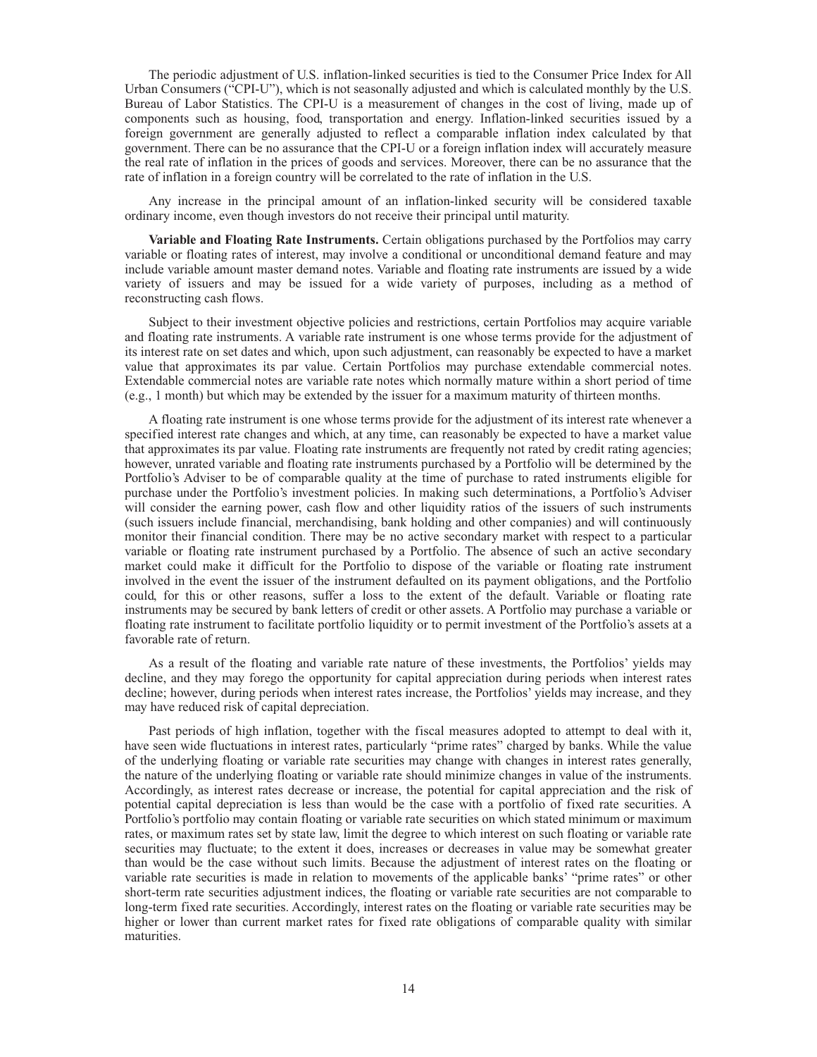The periodic adjustment of U.S. inflation-linked securities is tied to the Consumer Price Index for All Urban Consumers ("CPI-U"), which is not seasonally adjusted and which is calculated monthly by the U.S. Bureau of Labor Statistics. The CPI-U is a measurement of changes in the cost of living, made up of components such as housing, food, transportation and energy. Inflation-linked securities issued by a foreign government are generally adjusted to reflect a comparable inflation index calculated by that government. There can be no assurance that the CPI-U or a foreign inflation index will accurately measure the real rate of inflation in the prices of goods and services. Moreover, there can be no assurance that the rate of inflation in a foreign country will be correlated to the rate of inflation in the U.S.

Any increase in the principal amount of an inflation-linked security will be considered taxable ordinary income, even though investors do not receive their principal until maturity.

**Variable and Floating Rate Instruments.** Certain obligations purchased by the Portfolios may carry variable or floating rates of interest, may involve a conditional or unconditional demand feature and may include variable amount master demand notes. Variable and floating rate instruments are issued by a wide variety of issuers and may be issued for a wide variety of purposes, including as a method of reconstructing cash flows.

Subject to their investment objective policies and restrictions, certain Portfolios may acquire variable and floating rate instruments. A variable rate instrument is one whose terms provide for the adjustment of its interest rate on set dates and which, upon such adjustment, can reasonably be expected to have a market value that approximates its par value. Certain Portfolios may purchase extendable commercial notes. Extendable commercial notes are variable rate notes which normally mature within a short period of time (e.g., 1 month) but which may be extended by the issuer for a maximum maturity of thirteen months.

A floating rate instrument is one whose terms provide for the adjustment of its interest rate whenever a specified interest rate changes and which, at any time, can reasonably be expected to have a market value that approximates its par value. Floating rate instruments are frequently not rated by credit rating agencies; however, unrated variable and floating rate instruments purchased by a Portfolio will be determined by the Portfolio's Adviser to be of comparable quality at the time of purchase to rated instruments eligible for purchase under the Portfolio's investment policies. In making such determinations, a Portfolio's Adviser will consider the earning power, cash flow and other liquidity ratios of the issuers of such instruments (such issuers include financial, merchandising, bank holding and other companies) and will continuously monitor their financial condition. There may be no active secondary market with respect to a particular variable or floating rate instrument purchased by a Portfolio. The absence of such an active secondary market could make it difficult for the Portfolio to dispose of the variable or floating rate instrument involved in the event the issuer of the instrument defaulted on its payment obligations, and the Portfolio could, for this or other reasons, suffer a loss to the extent of the default. Variable or floating rate instruments may be secured by bank letters of credit or other assets. A Portfolio may purchase a variable or floating rate instrument to facilitate portfolio liquidity or to permit investment of the Portfolio's assets at a favorable rate of return.

As a result of the floating and variable rate nature of these investments, the Portfolios' yields may decline, and they may forego the opportunity for capital appreciation during periods when interest rates decline; however, during periods when interest rates increase, the Portfolios' yields may increase, and they may have reduced risk of capital depreciation.

Past periods of high inflation, together with the fiscal measures adopted to attempt to deal with it, have seen wide fluctuations in interest rates, particularly "prime rates" charged by banks. While the value of the underlying floating or variable rate securities may change with changes in interest rates generally, the nature of the underlying floating or variable rate should minimize changes in value of the instruments. Accordingly, as interest rates decrease or increase, the potential for capital appreciation and the risk of potential capital depreciation is less than would be the case with a portfolio of fixed rate securities. A Portfolio's portfolio may contain floating or variable rate securities on which stated minimum or maximum rates, or maximum rates set by state law, limit the degree to which interest on such floating or variable rate securities may fluctuate; to the extent it does, increases or decreases in value may be somewhat greater than would be the case without such limits. Because the adjustment of interest rates on the floating or variable rate securities is made in relation to movements of the applicable banks' "prime rates" or other short-term rate securities adjustment indices, the floating or variable rate securities are not comparable to long-term fixed rate securities. Accordingly, interest rates on the floating or variable rate securities may be higher or lower than current market rates for fixed rate obligations of comparable quality with similar maturities.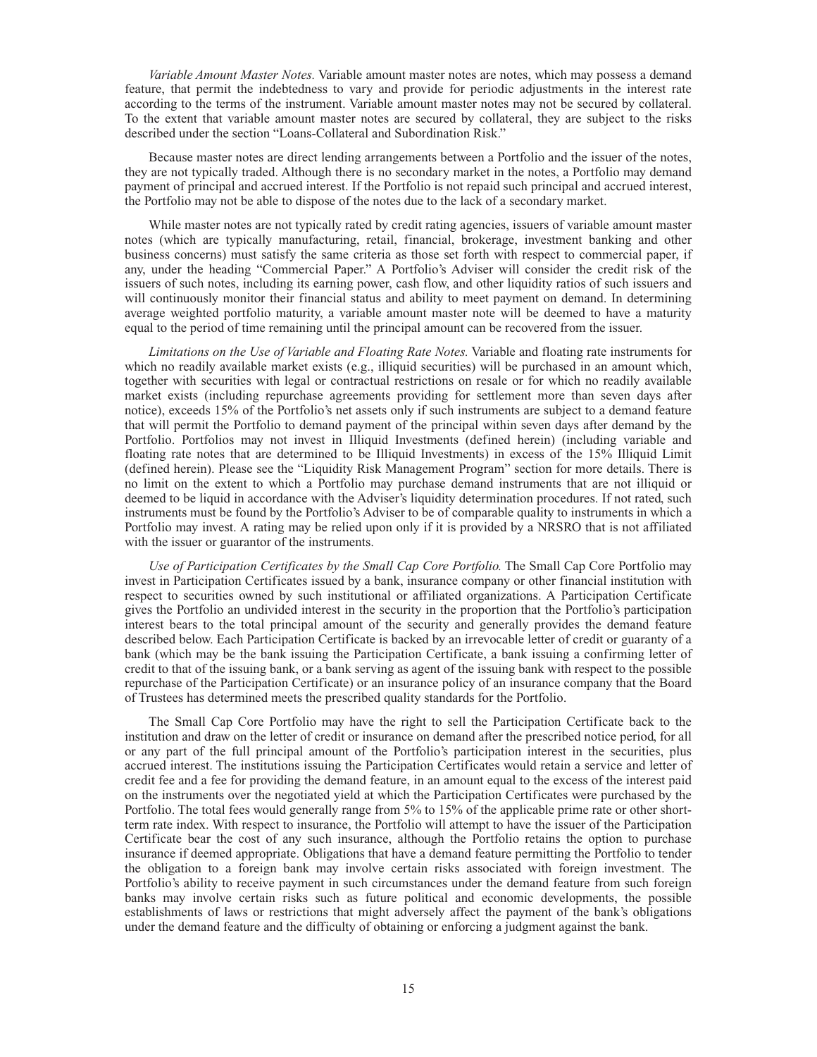*Variable Amount Master Notes.* Variable amount master notes are notes, which may possess a demand feature, that permit the indebtedness to vary and provide for periodic adjustments in the interest rate according to the terms of the instrument. Variable amount master notes may not be secured by collateral. To the extent that variable amount master notes are secured by collateral, they are subject to the risks described under the section "Loans-Collateral and Subordination Risk."

Because master notes are direct lending arrangements between a Portfolio and the issuer of the notes, they are not typically traded. Although there is no secondary market in the notes, a Portfolio may demand payment of principal and accrued interest. If the Portfolio is not repaid such principal and accrued interest, the Portfolio may not be able to dispose of the notes due to the lack of a secondary market.

While master notes are not typically rated by credit rating agencies, issuers of variable amount master notes (which are typically manufacturing, retail, financial, brokerage, investment banking and other business concerns) must satisfy the same criteria as those set forth with respect to commercial paper, if any, under the heading "Commercial Paper." A Portfolio's Adviser will consider the credit risk of the issuers of such notes, including its earning power, cash flow, and other liquidity ratios of such issuers and will continuously monitor their financial status and ability to meet payment on demand. In determining average weighted portfolio maturity, a variable amount master note will be deemed to have a maturity equal to the period of time remaining until the principal amount can be recovered from the issuer.

*Limitations on the Use of Variable and Floating Rate Notes.* Variable and floating rate instruments for which no readily available market exists (e.g., illiquid securities) will be purchased in an amount which, together with securities with legal or contractual restrictions on resale or for which no readily available market exists (including repurchase agreements providing for settlement more than seven days after notice), exceeds 15% of the Portfolio's net assets only if such instruments are subject to a demand feature that will permit the Portfolio to demand payment of the principal within seven days after demand by the Portfolio. Portfolios may not invest in Illiquid Investments (defined herein) (including variable and floating rate notes that are determined to be Illiquid Investments) in excess of the 15% Illiquid Limit (defined herein). Please see the "Liquidity Risk Management Program" section for more details. There is no limit on the extent to which a Portfolio may purchase demand instruments that are not illiquid or deemed to be liquid in accordance with the Adviser's liquidity determination procedures. If not rated, such instruments must be found by the Portfolio's Adviser to be of comparable quality to instruments in which a Portfolio may invest. A rating may be relied upon only if it is provided by a NRSRO that is not affiliated with the issuer or guarantor of the instruments.

*Use of Participation Certificates by the Small Cap Core Portfolio.* The Small Cap Core Portfolio may invest in Participation Certificates issued by a bank, insurance company or other financial institution with respect to securities owned by such institutional or affiliated organizations. A Participation Certificate gives the Portfolio an undivided interest in the security in the proportion that the Portfolio's participation interest bears to the total principal amount of the security and generally provides the demand feature described below. Each Participation Certificate is backed by an irrevocable letter of credit or guaranty of a bank (which may be the bank issuing the Participation Certificate, a bank issuing a confirming letter of credit to that of the issuing bank, or a bank serving as agent of the issuing bank with respect to the possible repurchase of the Participation Certificate) or an insurance policy of an insurance company that the Board of Trustees has determined meets the prescribed quality standards for the Portfolio.

The Small Cap Core Portfolio may have the right to sell the Participation Certificate back to the institution and draw on the letter of credit or insurance on demand after the prescribed notice period, for all or any part of the full principal amount of the Portfolio's participation interest in the securities, plus accrued interest. The institutions issuing the Participation Certificates would retain a service and letter of credit fee and a fee for providing the demand feature, in an amount equal to the excess of the interest paid on the instruments over the negotiated yield at which the Participation Certificates were purchased by the Portfolio. The total fees would generally range from 5% to 15% of the applicable prime rate or other shortterm rate index. With respect to insurance, the Portfolio will attempt to have the issuer of the Participation Certificate bear the cost of any such insurance, although the Portfolio retains the option to purchase insurance if deemed appropriate. Obligations that have a demand feature permitting the Portfolio to tender the obligation to a foreign bank may involve certain risks associated with foreign investment. The Portfolio's ability to receive payment in such circumstances under the demand feature from such foreign banks may involve certain risks such as future political and economic developments, the possible establishments of laws or restrictions that might adversely affect the payment of the bank's obligations under the demand feature and the difficulty of obtaining or enforcing a judgment against the bank.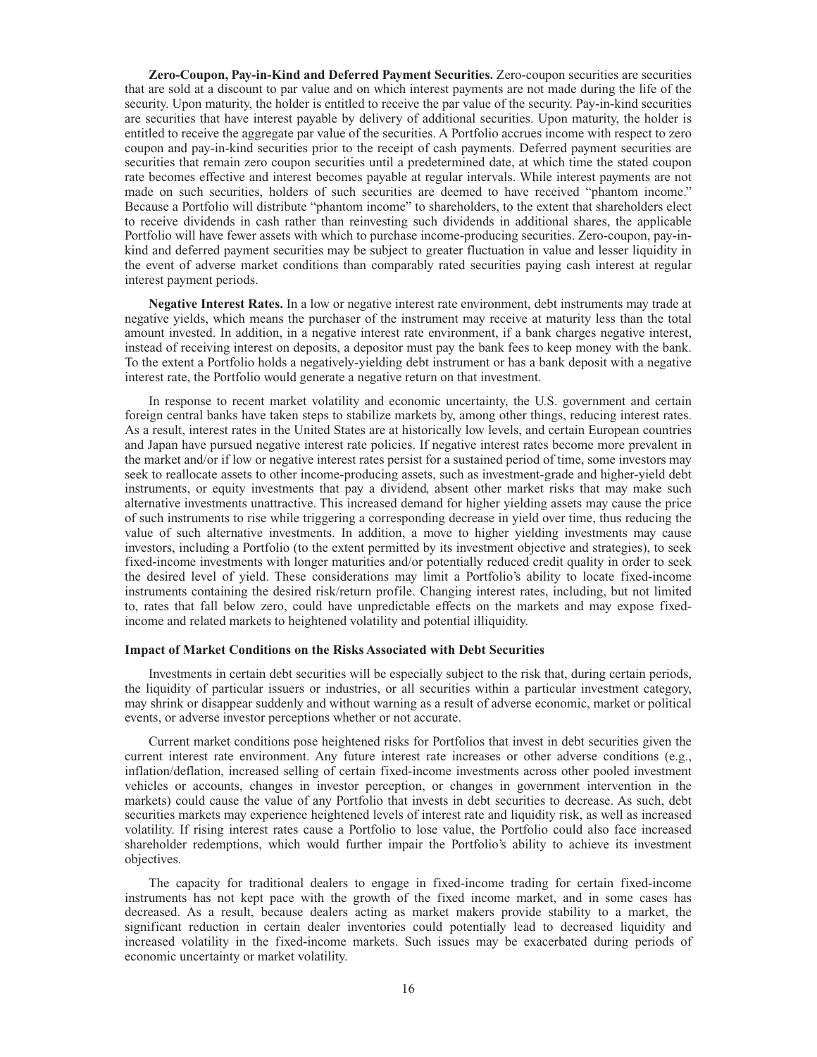<span id="page-17-0"></span>**Zero-Coupon, Pay-in-Kind and Deferred Payment Securities.** Zero-coupon securities are securities that are sold at a discount to par value and on which interest payments are not made during the life of the security. Upon maturity, the holder is entitled to receive the par value of the security. Pay-in-kind securities are securities that have interest payable by delivery of additional securities. Upon maturity, the holder is entitled to receive the aggregate par value of the securities. A Portfolio accrues income with respect to zero coupon and pay-in-kind securities prior to the receipt of cash payments. Deferred payment securities are securities that remain zero coupon securities until a predetermined date, at which time the stated coupon rate becomes effective and interest becomes payable at regular intervals. While interest payments are not made on such securities, holders of such securities are deemed to have received "phantom income." Because a Portfolio will distribute "phantom income" to shareholders, to the extent that shareholders elect to receive dividends in cash rather than reinvesting such dividends in additional shares, the applicable Portfolio will have fewer assets with which to purchase income-producing securities. Zero-coupon, pay-inkind and deferred payment securities may be subject to greater fluctuation in value and lesser liquidity in the event of adverse market conditions than comparably rated securities paying cash interest at regular interest payment periods.

**Negative Interest Rates.** In a low or negative interest rate environment, debt instruments may trade at negative yields, which means the purchaser of the instrument may receive at maturity less than the total amount invested. In addition, in a negative interest rate environment, if a bank charges negative interest, instead of receiving interest on deposits, a depositor must pay the bank fees to keep money with the bank. To the extent a Portfolio holds a negatively-yielding debt instrument or has a bank deposit with a negative interest rate, the Portfolio would generate a negative return on that investment.

In response to recent market volatility and economic uncertainty, the U.S. government and certain foreign central banks have taken steps to stabilize markets by, among other things, reducing interest rates. As a result, interest rates in the United States are at historically low levels, and certain European countries and Japan have pursued negative interest rate policies. If negative interest rates become more prevalent in the market and/or if low or negative interest rates persist for a sustained period of time, some investors may seek to reallocate assets to other income-producing assets, such as investment-grade and higher-yield debt instruments, or equity investments that pay a dividend, absent other market risks that may make such alternative investments unattractive. This increased demand for higher yielding assets may cause the price of such instruments to rise while triggering a corresponding decrease in yield over time, thus reducing the value of such alternative investments. In addition, a move to higher yielding investments may cause investors, including a Portfolio (to the extent permitted by its investment objective and strategies), to seek fixed-income investments with longer maturities and/or potentially reduced credit quality in order to seek the desired level of yield. These considerations may limit a Portfolio's ability to locate fixed-income instruments containing the desired risk/return profile. Changing interest rates, including, but not limited to, rates that fall below zero, could have unpredictable effects on the markets and may expose fixedincome and related markets to heightened volatility and potential illiquidity.

### **Impact of Market Conditions on the Risks Associated with Debt Securities**

Investments in certain debt securities will be especially subject to the risk that, during certain periods, the liquidity of particular issuers or industries, or all securities within a particular investment category, may shrink or disappear suddenly and without warning as a result of adverse economic, market or political events, or adverse investor perceptions whether or not accurate.

Current market conditions pose heightened risks for Portfolios that invest in debt securities given the current interest rate environment. Any future interest rate increases or other adverse conditions (e.g., inflation/deflation, increased selling of certain fixed-income investments across other pooled investment vehicles or accounts, changes in investor perception, or changes in government intervention in the markets) could cause the value of any Portfolio that invests in debt securities to decrease. As such, debt securities markets may experience heightened levels of interest rate and liquidity risk, as well as increased volatility. If rising interest rates cause a Portfolio to lose value, the Portfolio could also face increased shareholder redemptions, which would further impair the Portfolio's ability to achieve its investment objectives.

The capacity for traditional dealers to engage in fixed-income trading for certain fixed-income instruments has not kept pace with the growth of the fixed income market, and in some cases has decreased. As a result, because dealers acting as market makers provide stability to a market, the significant reduction in certain dealer inventories could potentially lead to decreased liquidity and increased volatility in the fixed-income markets. Such issues may be exacerbated during periods of economic uncertainty or market volatility.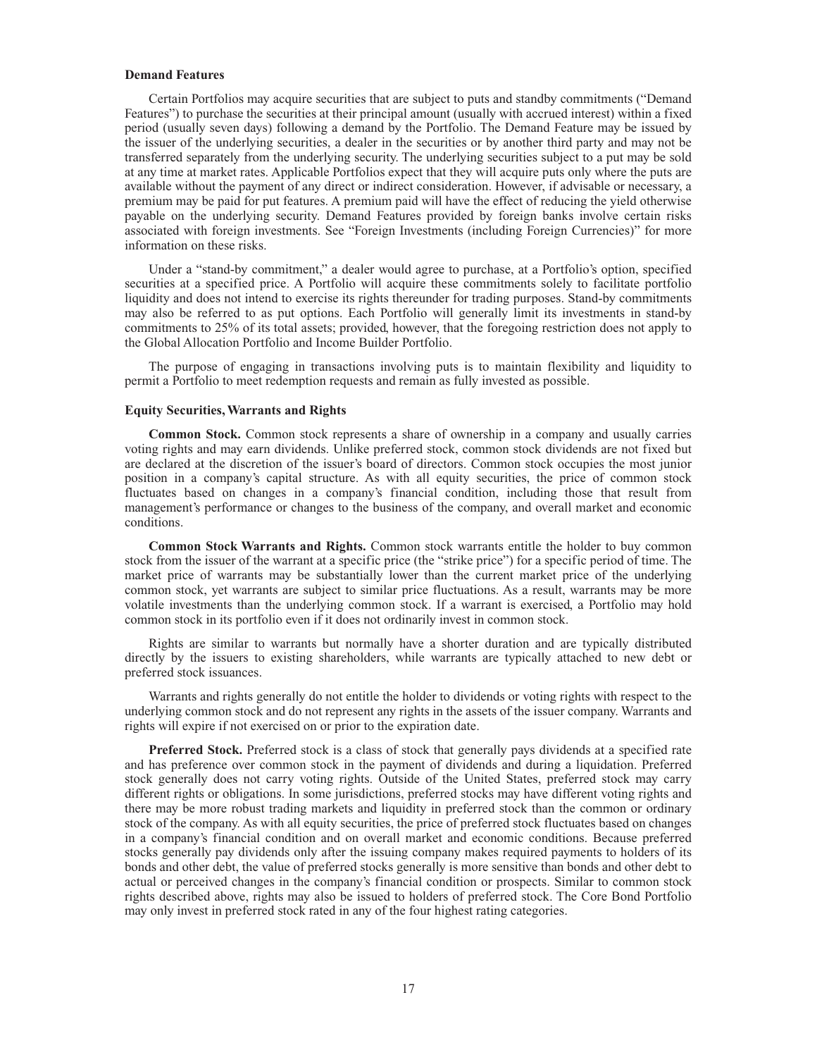# <span id="page-18-0"></span>**Demand Features**

Certain Portfolios may acquire securities that are subject to puts and standby commitments ("Demand Features") to purchase the securities at their principal amount (usually with accrued interest) within a fixed period (usually seven days) following a demand by the Portfolio. The Demand Feature may be issued by the issuer of the underlying securities, a dealer in the securities or by another third party and may not be transferred separately from the underlying security. The underlying securities subject to a put may be sold at any time at market rates. Applicable Portfolios expect that they will acquire puts only where the puts are available without the payment of any direct or indirect consideration. However, if advisable or necessary, a premium may be paid for put features. A premium paid will have the effect of reducing the yield otherwise payable on the underlying security. Demand Features provided by foreign banks involve certain risks associated with foreign investments. See "Foreign Investments (including Foreign Currencies)" for more information on these risks.

Under a "stand-by commitment," a dealer would agree to purchase, at a Portfolio's option, specified securities at a specified price. A Portfolio will acquire these commitments solely to facilitate portfolio liquidity and does not intend to exercise its rights thereunder for trading purposes. Stand-by commitments may also be referred to as put options. Each Portfolio will generally limit its investments in stand-by commitments to 25% of its total assets; provided, however, that the foregoing restriction does not apply to the Global Allocation Portfolio and Income Builder Portfolio.

The purpose of engaging in transactions involving puts is to maintain flexibility and liquidity to permit a Portfolio to meet redemption requests and remain as fully invested as possible.

### **Equity Securities,Warrants and Rights**

**Common Stock.** Common stock represents a share of ownership in a company and usually carries voting rights and may earn dividends. Unlike preferred stock, common stock dividends are not fixed but are declared at the discretion of the issuer's board of directors. Common stock occupies the most junior position in a company's capital structure. As with all equity securities, the price of common stock fluctuates based on changes in a company's financial condition, including those that result from management's performance or changes to the business of the company, and overall market and economic conditions.

**Common Stock Warrants and Rights.** Common stock warrants entitle the holder to buy common stock from the issuer of the warrant at a specific price (the "strike price") for a specific period of time. The market price of warrants may be substantially lower than the current market price of the underlying common stock, yet warrants are subject to similar price fluctuations. As a result, warrants may be more volatile investments than the underlying common stock. If a warrant is exercised, a Portfolio may hold common stock in its portfolio even if it does not ordinarily invest in common stock.

Rights are similar to warrants but normally have a shorter duration and are typically distributed directly by the issuers to existing shareholders, while warrants are typically attached to new debt or preferred stock issuances.

Warrants and rights generally do not entitle the holder to dividends or voting rights with respect to the underlying common stock and do not represent any rights in the assets of the issuer company. Warrants and rights will expire if not exercised on or prior to the expiration date.

**Preferred Stock.** Preferred stock is a class of stock that generally pays dividends at a specified rate and has preference over common stock in the payment of dividends and during a liquidation. Preferred stock generally does not carry voting rights. Outside of the United States, preferred stock may carry different rights or obligations. In some jurisdictions, preferred stocks may have different voting rights and there may be more robust trading markets and liquidity in preferred stock than the common or ordinary stock of the company. As with all equity securities, the price of preferred stock fluctuates based on changes in a company's financial condition and on overall market and economic conditions. Because preferred stocks generally pay dividends only after the issuing company makes required payments to holders of its bonds and other debt, the value of preferred stocks generally is more sensitive than bonds and other debt to actual or perceived changes in the company's financial condition or prospects. Similar to common stock rights described above, rights may also be issued to holders of preferred stock. The Core Bond Portfolio may only invest in preferred stock rated in any of the four highest rating categories.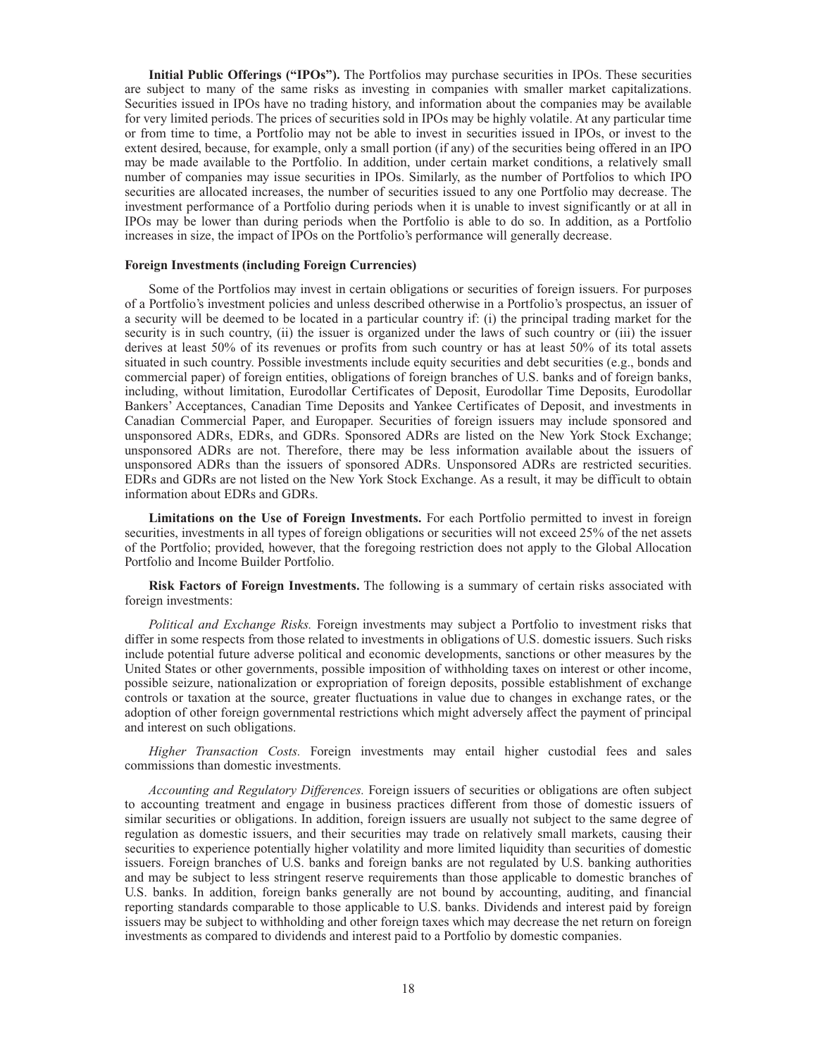<span id="page-19-0"></span>**Initial Public Offerings ("IPOs").** The Portfolios may purchase securities in IPOs. These securities are subject to many of the same risks as investing in companies with smaller market capitalizations. Securities issued in IPOs have no trading history, and information about the companies may be available for very limited periods. The prices of securities sold in IPOs may be highly volatile. At any particular time or from time to time, a Portfolio may not be able to invest in securities issued in IPOs, or invest to the extent desired, because, for example, only a small portion (if any) of the securities being offered in an IPO may be made available to the Portfolio. In addition, under certain market conditions, a relatively small number of companies may issue securities in IPOs. Similarly, as the number of Portfolios to which IPO securities are allocated increases, the number of securities issued to any one Portfolio may decrease. The investment performance of a Portfolio during periods when it is unable to invest significantly or at all in IPOs may be lower than during periods when the Portfolio is able to do so. In addition, as a Portfolio increases in size, the impact of IPOs on the Portfolio's performance will generally decrease.

# **Foreign Investments (including Foreign Currencies)**

Some of the Portfolios may invest in certain obligations or securities of foreign issuers. For purposes of a Portfolio's investment policies and unless described otherwise in a Portfolio's prospectus, an issuer of a security will be deemed to be located in a particular country if: (i) the principal trading market for the security is in such country, (ii) the issuer is organized under the laws of such country or (iii) the issuer derives at least 50% of its revenues or profits from such country or has at least 50% of its total assets situated in such country. Possible investments include equity securities and debt securities (e.g., bonds and commercial paper) of foreign entities, obligations of foreign branches of U.S. banks and of foreign banks, including, without limitation, Eurodollar Certificates of Deposit, Eurodollar Time Deposits, Eurodollar Bankers' Acceptances, Canadian Time Deposits and Yankee Certificates of Deposit, and investments in Canadian Commercial Paper, and Europaper. Securities of foreign issuers may include sponsored and unsponsored ADRs, EDRs, and GDRs. Sponsored ADRs are listed on the New York Stock Exchange; unsponsored ADRs are not. Therefore, there may be less information available about the issuers of unsponsored ADRs than the issuers of sponsored ADRs. Unsponsored ADRs are restricted securities. EDRs and GDRs are not listed on the New York Stock Exchange. As a result, it may be difficult to obtain information about EDRs and GDRs.

**Limitations on the Use of Foreign Investments.** For each Portfolio permitted to invest in foreign securities, investments in all types of foreign obligations or securities will not exceed 25% of the net assets of the Portfolio; provided, however, that the foregoing restriction does not apply to the Global Allocation Portfolio and Income Builder Portfolio.

**Risk Factors of Foreign Investments.** The following is a summary of certain risks associated with foreign investments:

*Political and Exchange Risks.* Foreign investments may subject a Portfolio to investment risks that differ in some respects from those related to investments in obligations of U.S. domestic issuers. Such risks include potential future adverse political and economic developments, sanctions or other measures by the United States or other governments, possible imposition of withholding taxes on interest or other income, possible seizure, nationalization or expropriation of foreign deposits, possible establishment of exchange controls or taxation at the source, greater fluctuations in value due to changes in exchange rates, or the adoption of other foreign governmental restrictions which might adversely affect the payment of principal and interest on such obligations.

*Higher Transaction Costs.* Foreign investments may entail higher custodial fees and sales commissions than domestic investments.

*Accounting and Regulatory Differences.* Foreign issuers of securities or obligations are often subject to accounting treatment and engage in business practices different from those of domestic issuers of similar securities or obligations. In addition, foreign issuers are usually not subject to the same degree of regulation as domestic issuers, and their securities may trade on relatively small markets, causing their securities to experience potentially higher volatility and more limited liquidity than securities of domestic issuers. Foreign branches of U.S. banks and foreign banks are not regulated by U.S. banking authorities and may be subject to less stringent reserve requirements than those applicable to domestic branches of U.S. banks. In addition, foreign banks generally are not bound by accounting, auditing, and financial reporting standards comparable to those applicable to U.S. banks. Dividends and interest paid by foreign issuers may be subject to withholding and other foreign taxes which may decrease the net return on foreign investments as compared to dividends and interest paid to a Portfolio by domestic companies.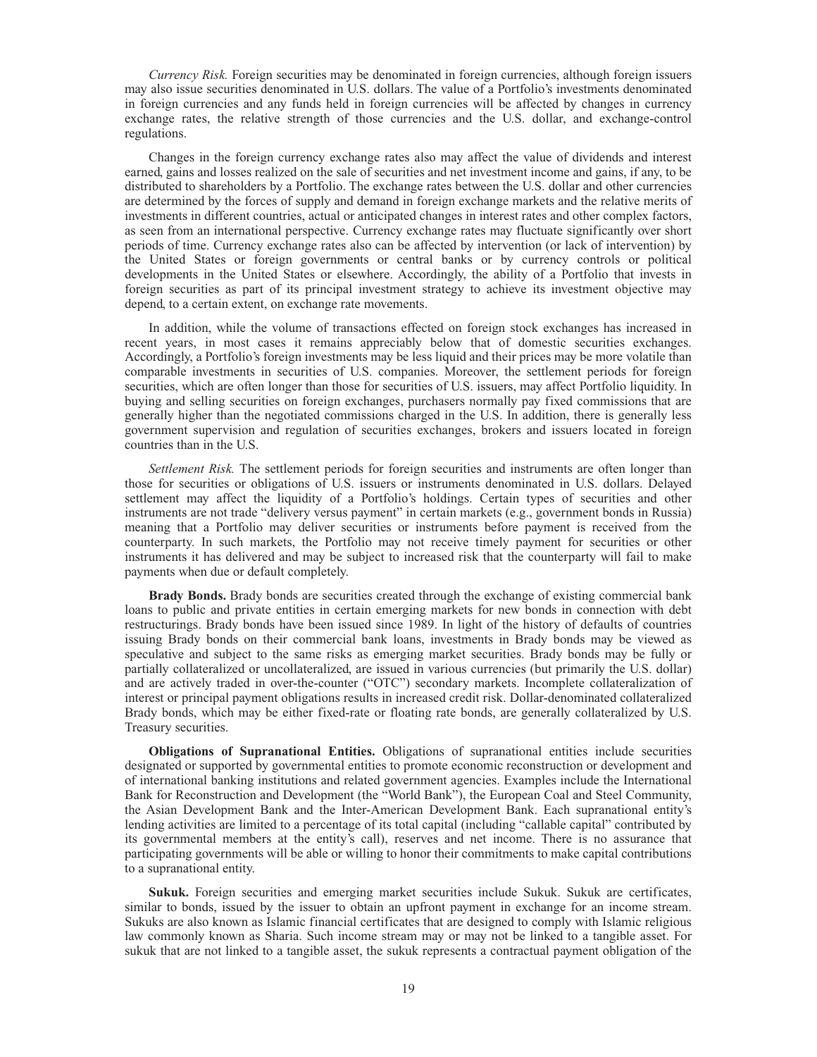*Currency Risk.* Foreign securities may be denominated in foreign currencies, although foreign issuers may also issue securities denominated in U.S. dollars. The value of a Portfolio's investments denominated in foreign currencies and any funds held in foreign currencies will be affected by changes in currency exchange rates, the relative strength of those currencies and the U.S. dollar, and exchange-control regulations.

Changes in the foreign currency exchange rates also may affect the value of dividends and interest earned, gains and losses realized on the sale of securities and net investment income and gains, if any, to be distributed to shareholders by a Portfolio. The exchange rates between the U.S. dollar and other currencies are determined by the forces of supply and demand in foreign exchange markets and the relative merits of investments in different countries, actual or anticipated changes in interest rates and other complex factors, as seen from an international perspective. Currency exchange rates may fluctuate significantly over short periods of time. Currency exchange rates also can be affected by intervention (or lack of intervention) by the United States or foreign governments or central banks or by currency controls or political developments in the United States or elsewhere. Accordingly, the ability of a Portfolio that invests in foreign securities as part of its principal investment strategy to achieve its investment objective may depend, to a certain extent, on exchange rate movements.

In addition, while the volume of transactions effected on foreign stock exchanges has increased in recent years, in most cases it remains appreciably below that of domestic securities exchanges. Accordingly, a Portfolio's foreign investments may be less liquid and their prices may be more volatile than comparable investments in securities of U.S. companies. Moreover, the settlement periods for foreign securities, which are often longer than those for securities of U.S. issuers, may affect Portfolio liquidity. In buying and selling securities on foreign exchanges, purchasers normally pay fixed commissions that are generally higher than the negotiated commissions charged in the U.S. In addition, there is generally less government supervision and regulation of securities exchanges, brokers and issuers located in foreign countries than in the U.S.

*Settlement Risk.* The settlement periods for foreign securities and instruments are often longer than those for securities or obligations of U.S. issuers or instruments denominated in U.S. dollars. Delayed settlement may affect the liquidity of a Portfolio's holdings. Certain types of securities and other instruments are not trade "delivery versus payment" in certain markets (e.g., government bonds in Russia) meaning that a Portfolio may deliver securities or instruments before payment is received from the counterparty. In such markets, the Portfolio may not receive timely payment for securities or other instruments it has delivered and may be subject to increased risk that the counterparty will fail to make payments when due or default completely.

**Brady Bonds.** Brady bonds are securities created through the exchange of existing commercial bank loans to public and private entities in certain emerging markets for new bonds in connection with debt restructurings. Brady bonds have been issued since 1989. In light of the history of defaults of countries issuing Brady bonds on their commercial bank loans, investments in Brady bonds may be viewed as speculative and subject to the same risks as emerging market securities. Brady bonds may be fully or partially collateralized or uncollateralized, are issued in various currencies (but primarily the U.S. dollar) and are actively traded in over-the-counter ("OTC") secondary markets. Incomplete collateralization of interest or principal payment obligations results in increased credit risk. Dollar-denominated collateralized Brady bonds, which may be either fixed-rate or floating rate bonds, are generally collateralized by U.S. Treasury securities.

**Obligations of Supranational Entities.** Obligations of supranational entities include securities designated or supported by governmental entities to promote economic reconstruction or development and of international banking institutions and related government agencies. Examples include the International Bank for Reconstruction and Development (the "World Bank"), the European Coal and Steel Community, the Asian Development Bank and the Inter-American Development Bank. Each supranational entity's lending activities are limited to a percentage of its total capital (including "callable capital" contributed by its governmental members at the entity's call), reserves and net income. There is no assurance that participating governments will be able or willing to honor their commitments to make capital contributions to a supranational entity.

**Sukuk.** Foreign securities and emerging market securities include Sukuk. Sukuk are certificates, similar to bonds, issued by the issuer to obtain an upfront payment in exchange for an income stream. Sukuks are also known as Islamic financial certificates that are designed to comply with Islamic religious law commonly known as Sharia. Such income stream may or may not be linked to a tangible asset. For sukuk that are not linked to a tangible asset, the sukuk represents a contractual payment obligation of the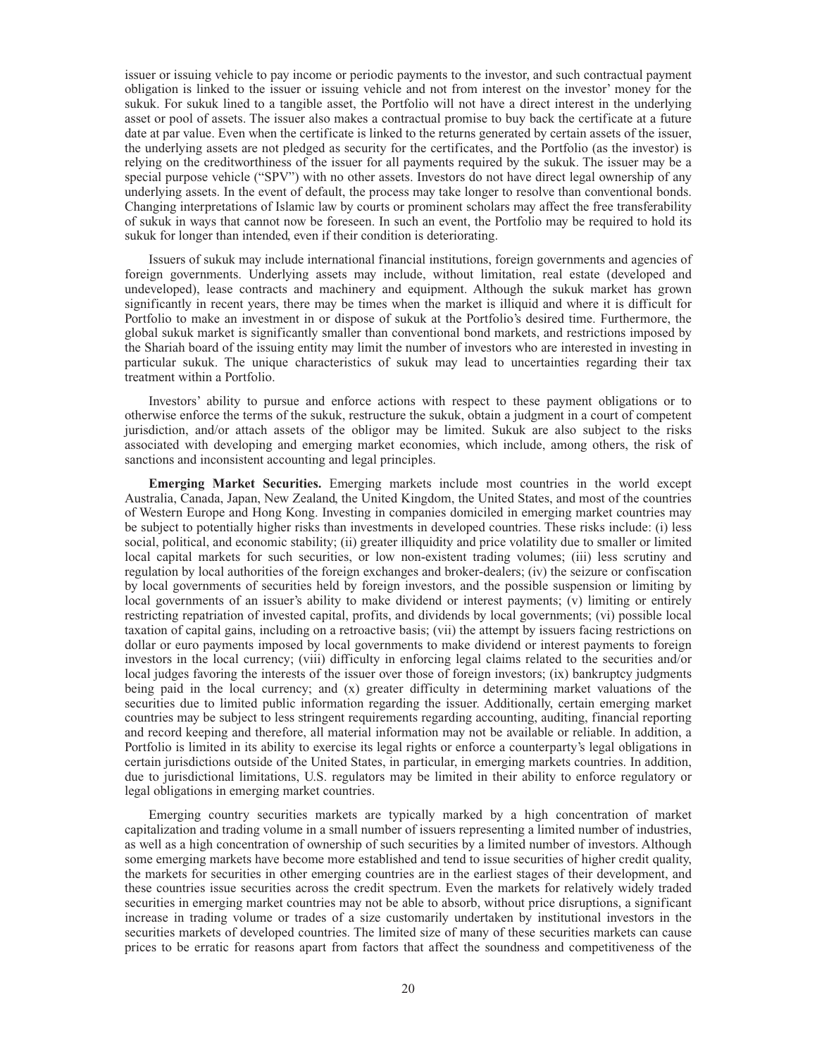issuer or issuing vehicle to pay income or periodic payments to the investor, and such contractual payment obligation is linked to the issuer or issuing vehicle and not from interest on the investor' money for the sukuk. For sukuk lined to a tangible asset, the Portfolio will not have a direct interest in the underlying asset or pool of assets. The issuer also makes a contractual promise to buy back the certificate at a future date at par value. Even when the certificate is linked to the returns generated by certain assets of the issuer, the underlying assets are not pledged as security for the certificates, and the Portfolio (as the investor) is relying on the creditworthiness of the issuer for all payments required by the sukuk. The issuer may be a special purpose vehicle ("SPV") with no other assets. Investors do not have direct legal ownership of any underlying assets. In the event of default, the process may take longer to resolve than conventional bonds. Changing interpretations of Islamic law by courts or prominent scholars may affect the free transferability of sukuk in ways that cannot now be foreseen. In such an event, the Portfolio may be required to hold its sukuk for longer than intended, even if their condition is deteriorating.

Issuers of sukuk may include international financial institutions, foreign governments and agencies of foreign governments. Underlying assets may include, without limitation, real estate (developed and undeveloped), lease contracts and machinery and equipment. Although the sukuk market has grown significantly in recent years, there may be times when the market is illiquid and where it is difficult for Portfolio to make an investment in or dispose of sukuk at the Portfolio's desired time. Furthermore, the global sukuk market is significantly smaller than conventional bond markets, and restrictions imposed by the Shariah board of the issuing entity may limit the number of investors who are interested in investing in particular sukuk. The unique characteristics of sukuk may lead to uncertainties regarding their tax treatment within a Portfolio.

Investors' ability to pursue and enforce actions with respect to these payment obligations or to otherwise enforce the terms of the sukuk, restructure the sukuk, obtain a judgment in a court of competent jurisdiction, and/or attach assets of the obligor may be limited. Sukuk are also subject to the risks associated with developing and emerging market economies, which include, among others, the risk of sanctions and inconsistent accounting and legal principles.

**Emerging Market Securities.** Emerging markets include most countries in the world except Australia, Canada, Japan, New Zealand, the United Kingdom, the United States, and most of the countries of Western Europe and Hong Kong. Investing in companies domiciled in emerging market countries may be subject to potentially higher risks than investments in developed countries. These risks include: (i) less social, political, and economic stability; (ii) greater illiquidity and price volatility due to smaller or limited local capital markets for such securities, or low non-existent trading volumes; (iii) less scrutiny and regulation by local authorities of the foreign exchanges and broker-dealers; (iv) the seizure or confiscation by local governments of securities held by foreign investors, and the possible suspension or limiting by local governments of an issuer's ability to make dividend or interest payments; (v) limiting or entirely restricting repatriation of invested capital, profits, and dividends by local governments; (vi) possible local taxation of capital gains, including on a retroactive basis; (vii) the attempt by issuers facing restrictions on dollar or euro payments imposed by local governments to make dividend or interest payments to foreign investors in the local currency; (viii) difficulty in enforcing legal claims related to the securities and/or local judges favoring the interests of the issuer over those of foreign investors; (ix) bankruptcy judgments being paid in the local currency; and (x) greater difficulty in determining market valuations of the securities due to limited public information regarding the issuer. Additionally, certain emerging market countries may be subject to less stringent requirements regarding accounting, auditing, financial reporting and record keeping and therefore, all material information may not be available or reliable. In addition, a Portfolio is limited in its ability to exercise its legal rights or enforce a counterparty's legal obligations in certain jurisdictions outside of the United States, in particular, in emerging markets countries. In addition, due to jurisdictional limitations, U.S. regulators may be limited in their ability to enforce regulatory or legal obligations in emerging market countries.

Emerging country securities markets are typically marked by a high concentration of market capitalization and trading volume in a small number of issuers representing a limited number of industries, as well as a high concentration of ownership of such securities by a limited number of investors. Although some emerging markets have become more established and tend to issue securities of higher credit quality, the markets for securities in other emerging countries are in the earliest stages of their development, and these countries issue securities across the credit spectrum. Even the markets for relatively widely traded securities in emerging market countries may not be able to absorb, without price disruptions, a significant increase in trading volume or trades of a size customarily undertaken by institutional investors in the securities markets of developed countries. The limited size of many of these securities markets can cause prices to be erratic for reasons apart from factors that affect the soundness and competitiveness of the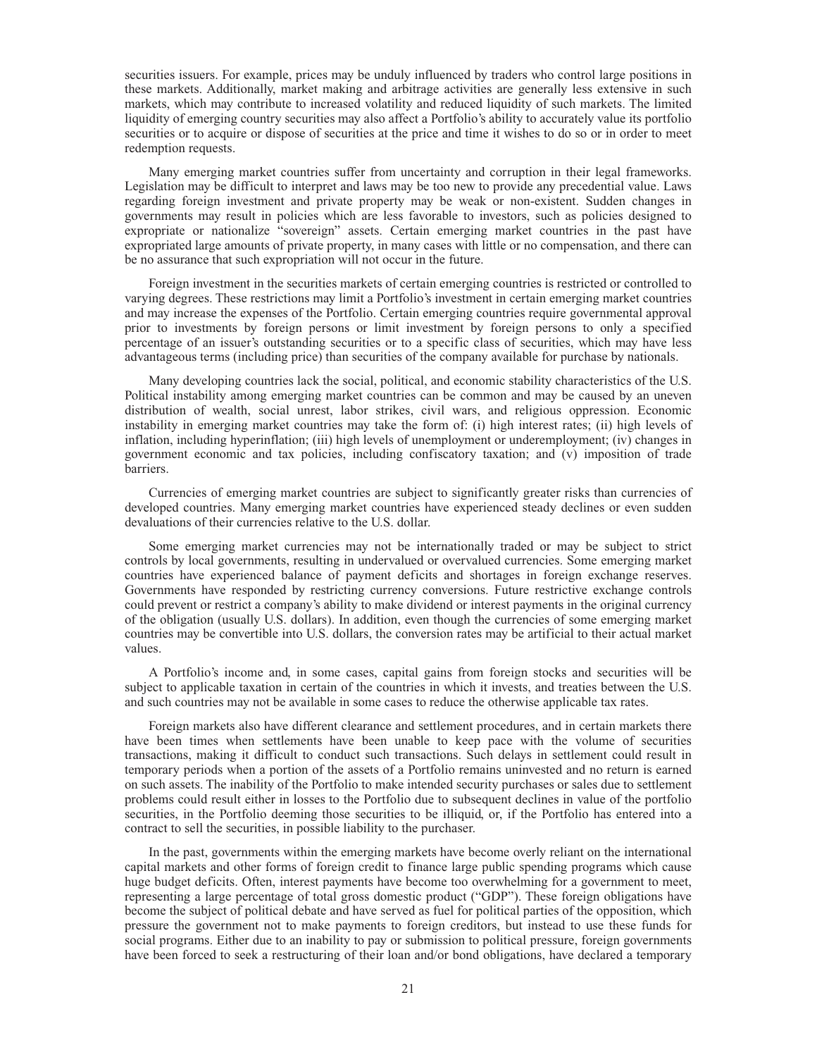securities issuers. For example, prices may be unduly influenced by traders who control large positions in these markets. Additionally, market making and arbitrage activities are generally less extensive in such markets, which may contribute to increased volatility and reduced liquidity of such markets. The limited liquidity of emerging country securities may also affect a Portfolio's ability to accurately value its portfolio securities or to acquire or dispose of securities at the price and time it wishes to do so or in order to meet redemption requests.

Many emerging market countries suffer from uncertainty and corruption in their legal frameworks. Legislation may be difficult to interpret and laws may be too new to provide any precedential value. Laws regarding foreign investment and private property may be weak or non-existent. Sudden changes in governments may result in policies which are less favorable to investors, such as policies designed to expropriate or nationalize "sovereign" assets. Certain emerging market countries in the past have expropriated large amounts of private property, in many cases with little or no compensation, and there can be no assurance that such expropriation will not occur in the future.

Foreign investment in the securities markets of certain emerging countries is restricted or controlled to varying degrees. These restrictions may limit a Portfolio's investment in certain emerging market countries and may increase the expenses of the Portfolio. Certain emerging countries require governmental approval prior to investments by foreign persons or limit investment by foreign persons to only a specified percentage of an issuer's outstanding securities or to a specific class of securities, which may have less advantageous terms (including price) than securities of the company available for purchase by nationals.

Many developing countries lack the social, political, and economic stability characteristics of the U.S. Political instability among emerging market countries can be common and may be caused by an uneven distribution of wealth, social unrest, labor strikes, civil wars, and religious oppression. Economic instability in emerging market countries may take the form of: (i) high interest rates; (ii) high levels of inflation, including hyperinflation; (iii) high levels of unemployment or underemployment; (iv) changes in government economic and tax policies, including confiscatory taxation; and (v) imposition of trade barriers.

Currencies of emerging market countries are subject to significantly greater risks than currencies of developed countries. Many emerging market countries have experienced steady declines or even sudden devaluations of their currencies relative to the U.S. dollar.

Some emerging market currencies may not be internationally traded or may be subject to strict controls by local governments, resulting in undervalued or overvalued currencies. Some emerging market countries have experienced balance of payment deficits and shortages in foreign exchange reserves. Governments have responded by restricting currency conversions. Future restrictive exchange controls could prevent or restrict a company's ability to make dividend or interest payments in the original currency of the obligation (usually U.S. dollars). In addition, even though the currencies of some emerging market countries may be convertible into U.S. dollars, the conversion rates may be artificial to their actual market values.

A Portfolio's income and, in some cases, capital gains from foreign stocks and securities will be subject to applicable taxation in certain of the countries in which it invests, and treaties between the U.S. and such countries may not be available in some cases to reduce the otherwise applicable tax rates.

Foreign markets also have different clearance and settlement procedures, and in certain markets there have been times when settlements have been unable to keep pace with the volume of securities transactions, making it difficult to conduct such transactions. Such delays in settlement could result in temporary periods when a portion of the assets of a Portfolio remains uninvested and no return is earned on such assets. The inability of the Portfolio to make intended security purchases or sales due to settlement problems could result either in losses to the Portfolio due to subsequent declines in value of the portfolio securities, in the Portfolio deeming those securities to be illiquid, or, if the Portfolio has entered into a contract to sell the securities, in possible liability to the purchaser.

In the past, governments within the emerging markets have become overly reliant on the international capital markets and other forms of foreign credit to finance large public spending programs which cause huge budget deficits. Often, interest payments have become too overwhelming for a government to meet, representing a large percentage of total gross domestic product ("GDP"). These foreign obligations have become the subject of political debate and have served as fuel for political parties of the opposition, which pressure the government not to make payments to foreign creditors, but instead to use these funds for social programs. Either due to an inability to pay or submission to political pressure, foreign governments have been forced to seek a restructuring of their loan and/or bond obligations, have declared a temporary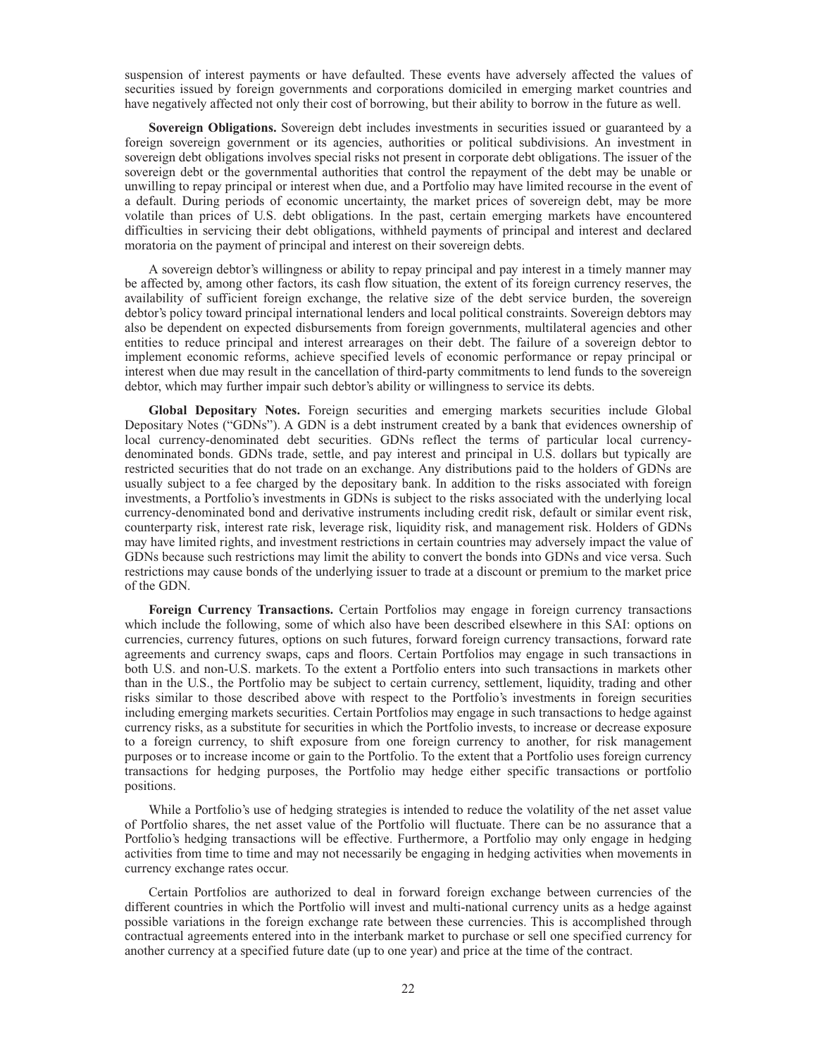suspension of interest payments or have defaulted. These events have adversely affected the values of securities issued by foreign governments and corporations domiciled in emerging market countries and have negatively affected not only their cost of borrowing, but their ability to borrow in the future as well.

**Sovereign Obligations.** Sovereign debt includes investments in securities issued or guaranteed by a foreign sovereign government or its agencies, authorities or political subdivisions. An investment in sovereign debt obligations involves special risks not present in corporate debt obligations. The issuer of the sovereign debt or the governmental authorities that control the repayment of the debt may be unable or unwilling to repay principal or interest when due, and a Portfolio may have limited recourse in the event of a default. During periods of economic uncertainty, the market prices of sovereign debt, may be more volatile than prices of U.S. debt obligations. In the past, certain emerging markets have encountered difficulties in servicing their debt obligations, withheld payments of principal and interest and declared moratoria on the payment of principal and interest on their sovereign debts.

A sovereign debtor's willingness or ability to repay principal and pay interest in a timely manner may be affected by, among other factors, its cash flow situation, the extent of its foreign currency reserves, the availability of sufficient foreign exchange, the relative size of the debt service burden, the sovereign debtor's policy toward principal international lenders and local political constraints. Sovereign debtors may also be dependent on expected disbursements from foreign governments, multilateral agencies and other entities to reduce principal and interest arrearages on their debt. The failure of a sovereign debtor to implement economic reforms, achieve specified levels of economic performance or repay principal or interest when due may result in the cancellation of third-party commitments to lend funds to the sovereign debtor, which may further impair such debtor's ability or willingness to service its debts.

**Global Depositary Notes.** Foreign securities and emerging markets securities include Global Depositary Notes ("GDNs"). A GDN is a debt instrument created by a bank that evidences ownership of local currency-denominated debt securities. GDNs reflect the terms of particular local currencydenominated bonds. GDNs trade, settle, and pay interest and principal in U.S. dollars but typically are restricted securities that do not trade on an exchange. Any distributions paid to the holders of GDNs are usually subject to a fee charged by the depositary bank. In addition to the risks associated with foreign investments, a Portfolio's investments in GDNs is subject to the risks associated with the underlying local currency-denominated bond and derivative instruments including credit risk, default or similar event risk, counterparty risk, interest rate risk, leverage risk, liquidity risk, and management risk. Holders of GDNs may have limited rights, and investment restrictions in certain countries may adversely impact the value of GDNs because such restrictions may limit the ability to convert the bonds into GDNs and vice versa. Such restrictions may cause bonds of the underlying issuer to trade at a discount or premium to the market price of the GDN.

**Foreign Currency Transactions.** Certain Portfolios may engage in foreign currency transactions which include the following, some of which also have been described elsewhere in this SAI: options on currencies, currency futures, options on such futures, forward foreign currency transactions, forward rate agreements and currency swaps, caps and floors. Certain Portfolios may engage in such transactions in both U.S. and non-U.S. markets. To the extent a Portfolio enters into such transactions in markets other than in the U.S., the Portfolio may be subject to certain currency, settlement, liquidity, trading and other risks similar to those described above with respect to the Portfolio's investments in foreign securities including emerging markets securities. Certain Portfolios may engage in such transactions to hedge against currency risks, as a substitute for securities in which the Portfolio invests, to increase or decrease exposure to a foreign currency, to shift exposure from one foreign currency to another, for risk management purposes or to increase income or gain to the Portfolio. To the extent that a Portfolio uses foreign currency transactions for hedging purposes, the Portfolio may hedge either specific transactions or portfolio positions.

While a Portfolio's use of hedging strategies is intended to reduce the volatility of the net asset value of Portfolio shares, the net asset value of the Portfolio will fluctuate. There can be no assurance that a Portfolio's hedging transactions will be effective. Furthermore, a Portfolio may only engage in hedging activities from time to time and may not necessarily be engaging in hedging activities when movements in currency exchange rates occur.

Certain Portfolios are authorized to deal in forward foreign exchange between currencies of the different countries in which the Portfolio will invest and multi-national currency units as a hedge against possible variations in the foreign exchange rate between these currencies. This is accomplished through contractual agreements entered into in the interbank market to purchase or sell one specified currency for another currency at a specified future date (up to one year) and price at the time of the contract.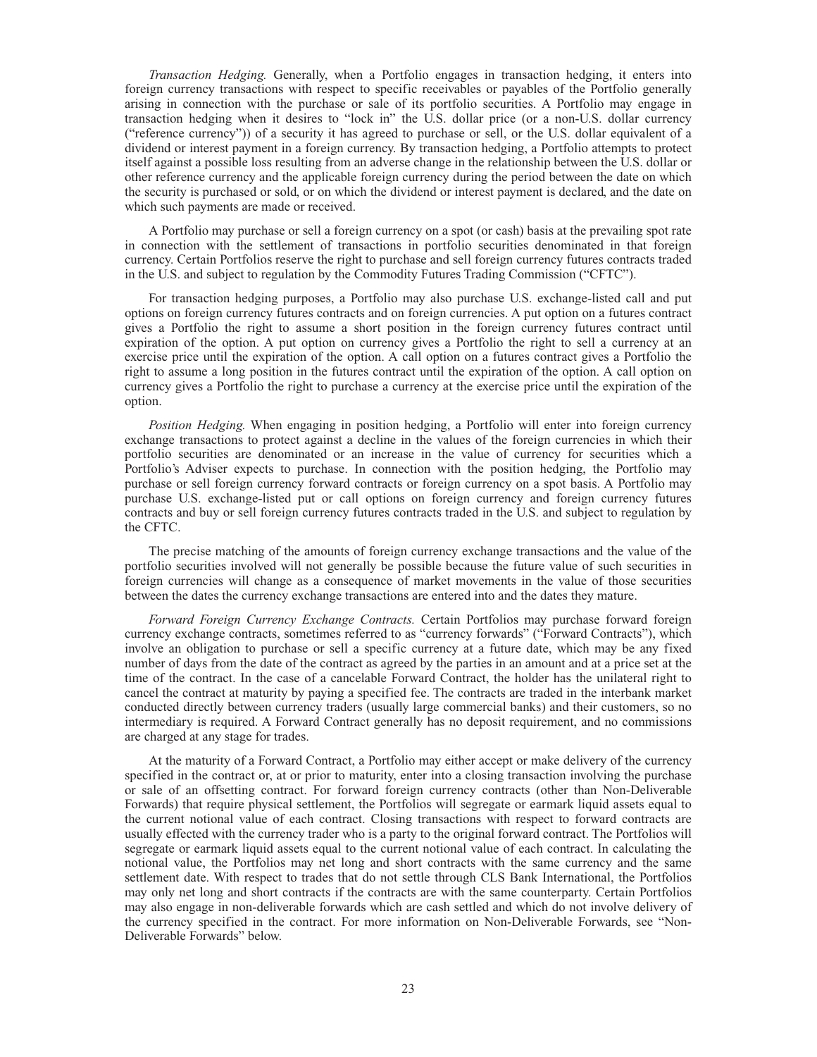*Transaction Hedging.* Generally, when a Portfolio engages in transaction hedging, it enters into foreign currency transactions with respect to specific receivables or payables of the Portfolio generally arising in connection with the purchase or sale of its portfolio securities. A Portfolio may engage in transaction hedging when it desires to "lock in" the U.S. dollar price (or a non-U.S. dollar currency ("reference currency")) of a security it has agreed to purchase or sell, or the U.S. dollar equivalent of a dividend or interest payment in a foreign currency. By transaction hedging, a Portfolio attempts to protect itself against a possible loss resulting from an adverse change in the relationship between the U.S. dollar or other reference currency and the applicable foreign currency during the period between the date on which the security is purchased or sold, or on which the dividend or interest payment is declared, and the date on which such payments are made or received.

A Portfolio may purchase or sell a foreign currency on a spot (or cash) basis at the prevailing spot rate in connection with the settlement of transactions in portfolio securities denominated in that foreign currency. Certain Portfolios reserve the right to purchase and sell foreign currency futures contracts traded in the U.S. and subject to regulation by the Commodity Futures Trading Commission ("CFTC").

For transaction hedging purposes, a Portfolio may also purchase U.S. exchange-listed call and put options on foreign currency futures contracts and on foreign currencies. A put option on a futures contract gives a Portfolio the right to assume a short position in the foreign currency futures contract until expiration of the option. A put option on currency gives a Portfolio the right to sell a currency at an exercise price until the expiration of the option. A call option on a futures contract gives a Portfolio the right to assume a long position in the futures contract until the expiration of the option. A call option on currency gives a Portfolio the right to purchase a currency at the exercise price until the expiration of the option.

*Position Hedging.* When engaging in position hedging, a Portfolio will enter into foreign currency exchange transactions to protect against a decline in the values of the foreign currencies in which their portfolio securities are denominated or an increase in the value of currency for securities which a Portfolio's Adviser expects to purchase. In connection with the position hedging, the Portfolio may purchase or sell foreign currency forward contracts or foreign currency on a spot basis. A Portfolio may purchase U.S. exchange-listed put or call options on foreign currency and foreign currency futures contracts and buy or sell foreign currency futures contracts traded in the U.S. and subject to regulation by the CFTC.

The precise matching of the amounts of foreign currency exchange transactions and the value of the portfolio securities involved will not generally be possible because the future value of such securities in foreign currencies will change as a consequence of market movements in the value of those securities between the dates the currency exchange transactions are entered into and the dates they mature.

*Forward Foreign Currency Exchange Contracts.* Certain Portfolios may purchase forward foreign currency exchange contracts, sometimes referred to as "currency forwards" ("Forward Contracts"), which involve an obligation to purchase or sell a specific currency at a future date, which may be any fixed number of days from the date of the contract as agreed by the parties in an amount and at a price set at the time of the contract. In the case of a cancelable Forward Contract, the holder has the unilateral right to cancel the contract at maturity by paying a specified fee. The contracts are traded in the interbank market conducted directly between currency traders (usually large commercial banks) and their customers, so no intermediary is required. A Forward Contract generally has no deposit requirement, and no commissions are charged at any stage for trades.

At the maturity of a Forward Contract, a Portfolio may either accept or make delivery of the currency specified in the contract or, at or prior to maturity, enter into a closing transaction involving the purchase or sale of an offsetting contract. For forward foreign currency contracts (other than Non-Deliverable Forwards) that require physical settlement, the Portfolios will segregate or earmark liquid assets equal to the current notional value of each contract. Closing transactions with respect to forward contracts are usually effected with the currency trader who is a party to the original forward contract. The Portfolios will segregate or earmark liquid assets equal to the current notional value of each contract. In calculating the notional value, the Portfolios may net long and short contracts with the same currency and the same settlement date. With respect to trades that do not settle through CLS Bank International, the Portfolios may only net long and short contracts if the contracts are with the same counterparty. Certain Portfolios may also engage in non-deliverable forwards which are cash settled and which do not involve delivery of the currency specified in the contract. For more information on Non-Deliverable Forwards, see "Non-Deliverable Forwards" below.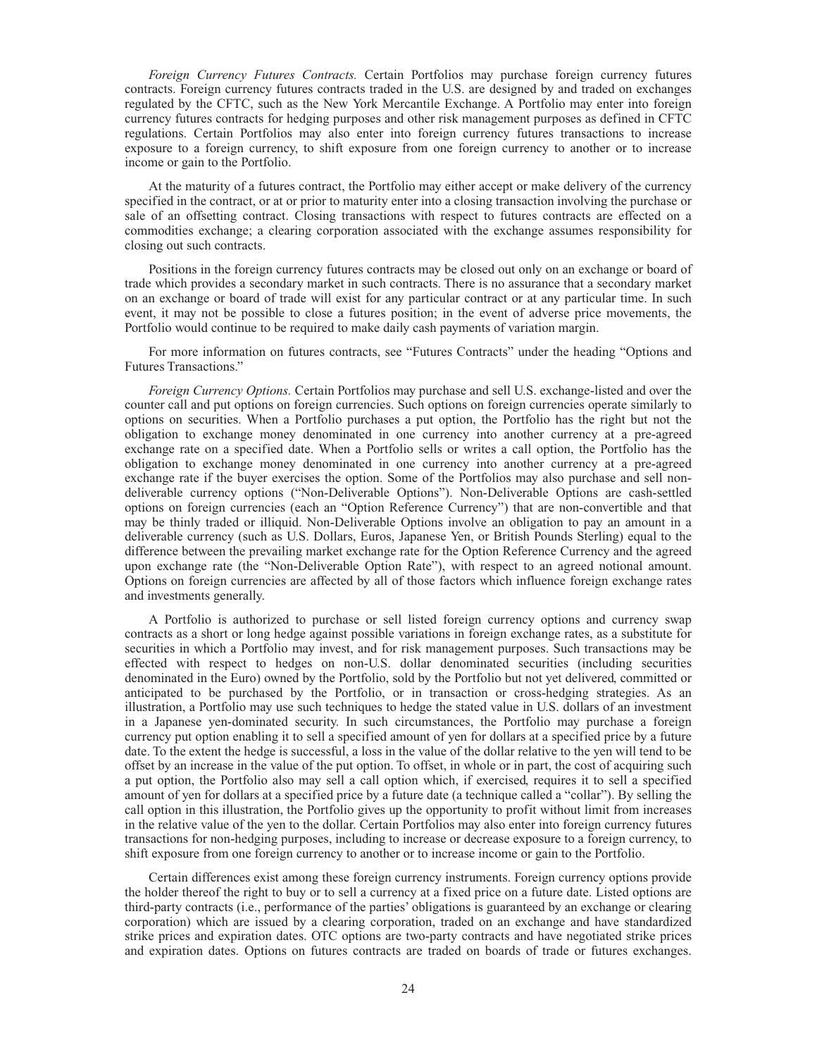*Foreign Currency Futures Contracts.* Certain Portfolios may purchase foreign currency futures contracts. Foreign currency futures contracts traded in the U.S. are designed by and traded on exchanges regulated by the CFTC, such as the New York Mercantile Exchange. A Portfolio may enter into foreign currency futures contracts for hedging purposes and other risk management purposes as defined in CFTC regulations. Certain Portfolios may also enter into foreign currency futures transactions to increase exposure to a foreign currency, to shift exposure from one foreign currency to another or to increase income or gain to the Portfolio.

At the maturity of a futures contract, the Portfolio may either accept or make delivery of the currency specified in the contract, or at or prior to maturity enter into a closing transaction involving the purchase or sale of an offsetting contract. Closing transactions with respect to futures contracts are effected on a commodities exchange; a clearing corporation associated with the exchange assumes responsibility for closing out such contracts.

Positions in the foreign currency futures contracts may be closed out only on an exchange or board of trade which provides a secondary market in such contracts. There is no assurance that a secondary market on an exchange or board of trade will exist for any particular contract or at any particular time. In such event, it may not be possible to close a futures position; in the event of adverse price movements, the Portfolio would continue to be required to make daily cash payments of variation margin.

For more information on futures contracts, see "Futures Contracts" under the heading "Options and Futures Transactions."

*Foreign Currency Options.* Certain Portfolios may purchase and sell U.S. exchange-listed and over the counter call and put options on foreign currencies. Such options on foreign currencies operate similarly to options on securities. When a Portfolio purchases a put option, the Portfolio has the right but not the obligation to exchange money denominated in one currency into another currency at a pre-agreed exchange rate on a specified date. When a Portfolio sells or writes a call option, the Portfolio has the obligation to exchange money denominated in one currency into another currency at a pre-agreed exchange rate if the buyer exercises the option. Some of the Portfolios may also purchase and sell nondeliverable currency options ("Non-Deliverable Options"). Non-Deliverable Options are cash-settled options on foreign currencies (each an "Option Reference Currency") that are non-convertible and that may be thinly traded or illiquid. Non-Deliverable Options involve an obligation to pay an amount in a deliverable currency (such as U.S. Dollars, Euros, Japanese Yen, or British Pounds Sterling) equal to the difference between the prevailing market exchange rate for the Option Reference Currency and the agreed upon exchange rate (the "Non-Deliverable Option Rate"), with respect to an agreed notional amount. Options on foreign currencies are affected by all of those factors which influence foreign exchange rates and investments generally.

A Portfolio is authorized to purchase or sell listed foreign currency options and currency swap contracts as a short or long hedge against possible variations in foreign exchange rates, as a substitute for securities in which a Portfolio may invest, and for risk management purposes. Such transactions may be effected with respect to hedges on non-U.S. dollar denominated securities (including securities denominated in the Euro) owned by the Portfolio, sold by the Portfolio but not yet delivered, committed or anticipated to be purchased by the Portfolio, or in transaction or cross-hedging strategies. As an illustration, a Portfolio may use such techniques to hedge the stated value in U.S. dollars of an investment in a Japanese yen-dominated security. In such circumstances, the Portfolio may purchase a foreign currency put option enabling it to sell a specified amount of yen for dollars at a specified price by a future date. To the extent the hedge is successful, a loss in the value of the dollar relative to the yen will tend to be offset by an increase in the value of the put option. To offset, in whole or in part, the cost of acquiring such a put option, the Portfolio also may sell a call option which, if exercised, requires it to sell a specified amount of yen for dollars at a specified price by a future date (a technique called a "collar"). By selling the call option in this illustration, the Portfolio gives up the opportunity to profit without limit from increases in the relative value of the yen to the dollar. Certain Portfolios may also enter into foreign currency futures transactions for non-hedging purposes, including to increase or decrease exposure to a foreign currency, to shift exposure from one foreign currency to another or to increase income or gain to the Portfolio.

Certain differences exist among these foreign currency instruments. Foreign currency options provide the holder thereof the right to buy or to sell a currency at a fixed price on a future date. Listed options are third-party contracts (i.e., performance of the parties' obligations is guaranteed by an exchange or clearing corporation) which are issued by a clearing corporation, traded on an exchange and have standardized strike prices and expiration dates. OTC options are two-party contracts and have negotiated strike prices and expiration dates. Options on futures contracts are traded on boards of trade or futures exchanges.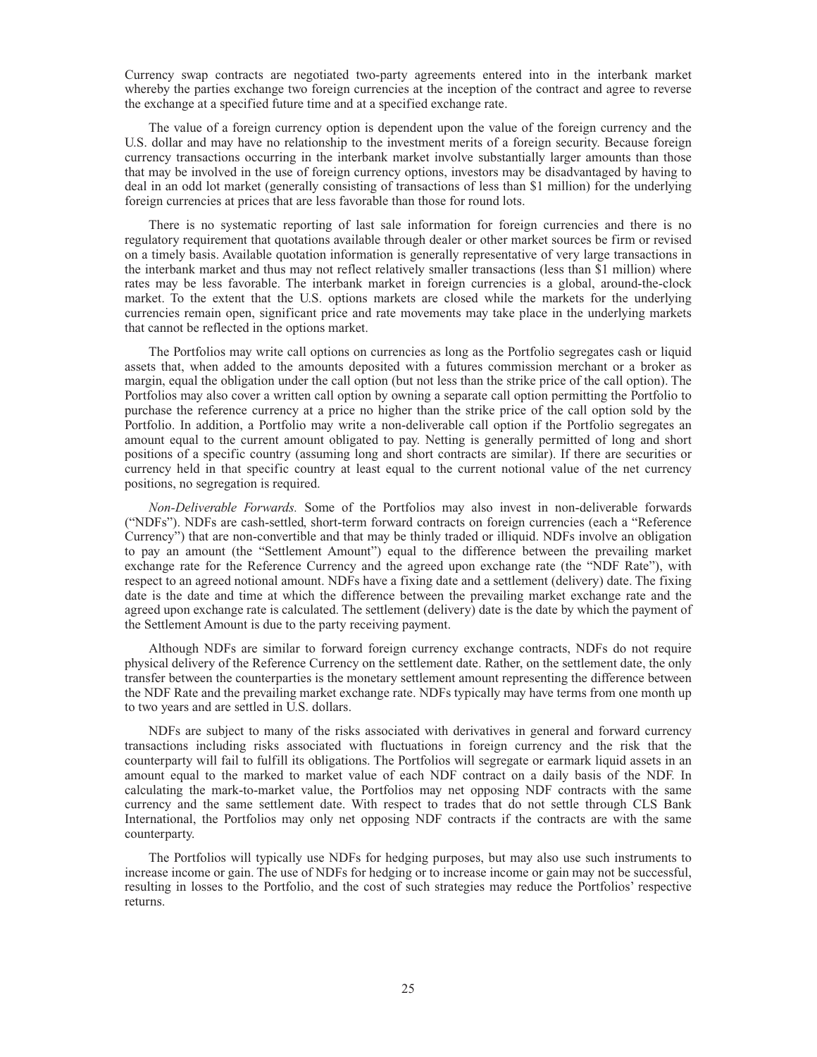Currency swap contracts are negotiated two-party agreements entered into in the interbank market whereby the parties exchange two foreign currencies at the inception of the contract and agree to reverse the exchange at a specified future time and at a specified exchange rate.

The value of a foreign currency option is dependent upon the value of the foreign currency and the U.S. dollar and may have no relationship to the investment merits of a foreign security. Because foreign currency transactions occurring in the interbank market involve substantially larger amounts than those that may be involved in the use of foreign currency options, investors may be disadvantaged by having to deal in an odd lot market (generally consisting of transactions of less than \$1 million) for the underlying foreign currencies at prices that are less favorable than those for round lots.

There is no systematic reporting of last sale information for foreign currencies and there is no regulatory requirement that quotations available through dealer or other market sources be firm or revised on a timely basis. Available quotation information is generally representative of very large transactions in the interbank market and thus may not reflect relatively smaller transactions (less than \$1 million) where rates may be less favorable. The interbank market in foreign currencies is a global, around-the-clock market. To the extent that the U.S. options markets are closed while the markets for the underlying currencies remain open, significant price and rate movements may take place in the underlying markets that cannot be reflected in the options market.

The Portfolios may write call options on currencies as long as the Portfolio segregates cash or liquid assets that, when added to the amounts deposited with a futures commission merchant or a broker as margin, equal the obligation under the call option (but not less than the strike price of the call option). The Portfolios may also cover a written call option by owning a separate call option permitting the Portfolio to purchase the reference currency at a price no higher than the strike price of the call option sold by the Portfolio. In addition, a Portfolio may write a non-deliverable call option if the Portfolio segregates an amount equal to the current amount obligated to pay. Netting is generally permitted of long and short positions of a specific country (assuming long and short contracts are similar). If there are securities or currency held in that specific country at least equal to the current notional value of the net currency positions, no segregation is required.

*Non-Deliverable Forwards.* Some of the Portfolios may also invest in non-deliverable forwards ("NDFs"). NDFs are cash-settled, short-term forward contracts on foreign currencies (each a "Reference Currency") that are non-convertible and that may be thinly traded or illiquid. NDFs involve an obligation to pay an amount (the "Settlement Amount") equal to the difference between the prevailing market exchange rate for the Reference Currency and the agreed upon exchange rate (the "NDF Rate"), with respect to an agreed notional amount. NDFs have a fixing date and a settlement (delivery) date. The fixing date is the date and time at which the difference between the prevailing market exchange rate and the agreed upon exchange rate is calculated. The settlement (delivery) date is the date by which the payment of the Settlement Amount is due to the party receiving payment.

Although NDFs are similar to forward foreign currency exchange contracts, NDFs do not require physical delivery of the Reference Currency on the settlement date. Rather, on the settlement date, the only transfer between the counterparties is the monetary settlement amount representing the difference between the NDF Rate and the prevailing market exchange rate. NDFs typically may have terms from one month up to two years and are settled in U.S. dollars.

NDFs are subject to many of the risks associated with derivatives in general and forward currency transactions including risks associated with fluctuations in foreign currency and the risk that the counterparty will fail to fulfill its obligations. The Portfolios will segregate or earmark liquid assets in an amount equal to the marked to market value of each NDF contract on a daily basis of the NDF. In calculating the mark-to-market value, the Portfolios may net opposing NDF contracts with the same currency and the same settlement date. With respect to trades that do not settle through CLS Bank International, the Portfolios may only net opposing NDF contracts if the contracts are with the same counterparty.

The Portfolios will typically use NDFs for hedging purposes, but may also use such instruments to increase income or gain. The use of NDFs for hedging or to increase income or gain may not be successful, resulting in losses to the Portfolio, and the cost of such strategies may reduce the Portfolios' respective returns.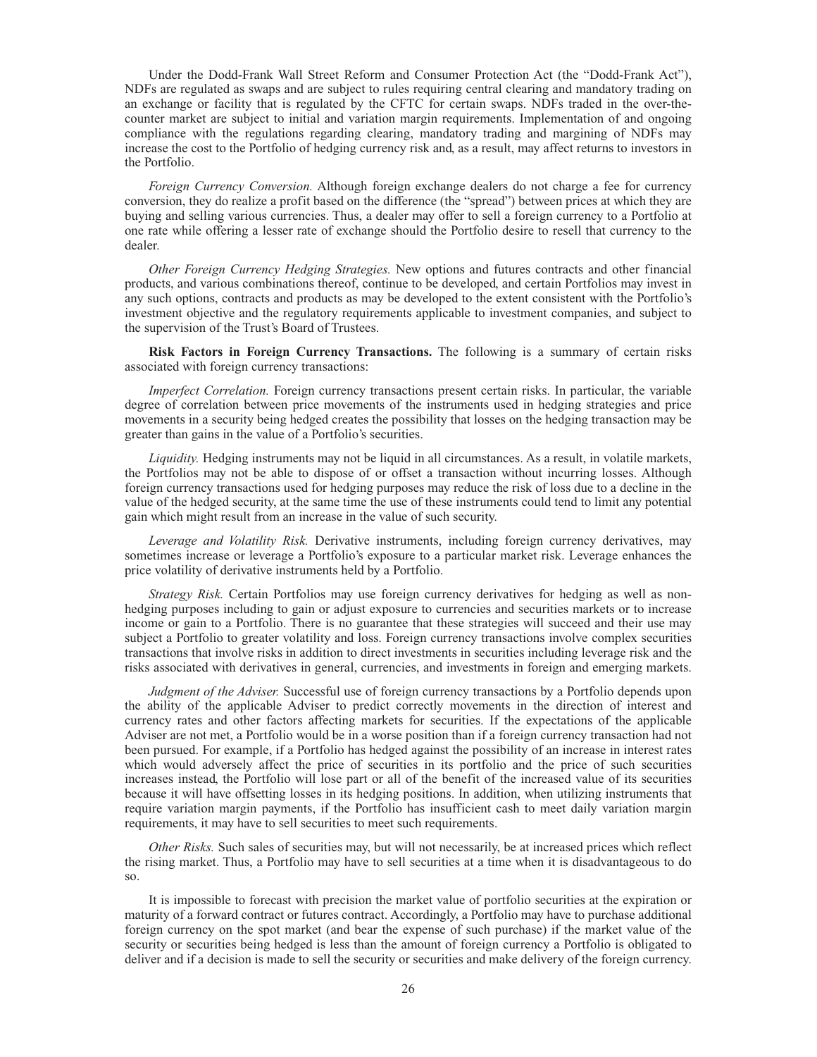Under the Dodd-Frank Wall Street Reform and Consumer Protection Act (the "Dodd-Frank Act"), NDFs are regulated as swaps and are subject to rules requiring central clearing and mandatory trading on an exchange or facility that is regulated by the CFTC for certain swaps. NDFs traded in the over-thecounter market are subject to initial and variation margin requirements. Implementation of and ongoing compliance with the regulations regarding clearing, mandatory trading and margining of NDFs may increase the cost to the Portfolio of hedging currency risk and, as a result, may affect returns to investors in the Portfolio.

*Foreign Currency Conversion.* Although foreign exchange dealers do not charge a fee for currency conversion, they do realize a profit based on the difference (the "spread") between prices at which they are buying and selling various currencies. Thus, a dealer may offer to sell a foreign currency to a Portfolio at one rate while offering a lesser rate of exchange should the Portfolio desire to resell that currency to the dealer.

*Other Foreign Currency Hedging Strategies.* New options and futures contracts and other financial products, and various combinations thereof, continue to be developed, and certain Portfolios may invest in any such options, contracts and products as may be developed to the extent consistent with the Portfolio's investment objective and the regulatory requirements applicable to investment companies, and subject to the supervision of the Trust's Board of Trustees.

**Risk Factors in Foreign Currency Transactions.** The following is a summary of certain risks associated with foreign currency transactions:

*Imperfect Correlation*. Foreign currency transactions present certain risks. In particular, the variable degree of correlation between price movements of the instruments used in hedging strategies and price movements in a security being hedged creates the possibility that losses on the hedging transaction may be greater than gains in the value of a Portfolio's securities.

*Liquidity.* Hedging instruments may not be liquid in all circumstances. As a result, in volatile markets, the Portfolios may not be able to dispose of or offset a transaction without incurring losses. Although foreign currency transactions used for hedging purposes may reduce the risk of loss due to a decline in the value of the hedged security, at the same time the use of these instruments could tend to limit any potential gain which might result from an increase in the value of such security.

*Leverage and Volatility Risk.* Derivative instruments, including foreign currency derivatives, may sometimes increase or leverage a Portfolio's exposure to a particular market risk. Leverage enhances the price volatility of derivative instruments held by a Portfolio.

*Strategy Risk.* Certain Portfolios may use foreign currency derivatives for hedging as well as nonhedging purposes including to gain or adjust exposure to currencies and securities markets or to increase income or gain to a Portfolio. There is no guarantee that these strategies will succeed and their use may subject a Portfolio to greater volatility and loss. Foreign currency transactions involve complex securities transactions that involve risks in addition to direct investments in securities including leverage risk and the risks associated with derivatives in general, currencies, and investments in foreign and emerging markets.

*Judgment of the Adviser.* Successful use of foreign currency transactions by a Portfolio depends upon the ability of the applicable Adviser to predict correctly movements in the direction of interest and currency rates and other factors affecting markets for securities. If the expectations of the applicable Adviser are not met, a Portfolio would be in a worse position than if a foreign currency transaction had not been pursued. For example, if a Portfolio has hedged against the possibility of an increase in interest rates which would adversely affect the price of securities in its portfolio and the price of such securities increases instead, the Portfolio will lose part or all of the benefit of the increased value of its securities because it will have offsetting losses in its hedging positions. In addition, when utilizing instruments that require variation margin payments, if the Portfolio has insufficient cash to meet daily variation margin requirements, it may have to sell securities to meet such requirements.

*Other Risks.* Such sales of securities may, but will not necessarily, be at increased prices which reflect the rising market. Thus, a Portfolio may have to sell securities at a time when it is disadvantageous to do so.

It is impossible to forecast with precision the market value of portfolio securities at the expiration or maturity of a forward contract or futures contract. Accordingly, a Portfolio may have to purchase additional foreign currency on the spot market (and bear the expense of such purchase) if the market value of the security or securities being hedged is less than the amount of foreign currency a Portfolio is obligated to deliver and if a decision is made to sell the security or securities and make delivery of the foreign currency.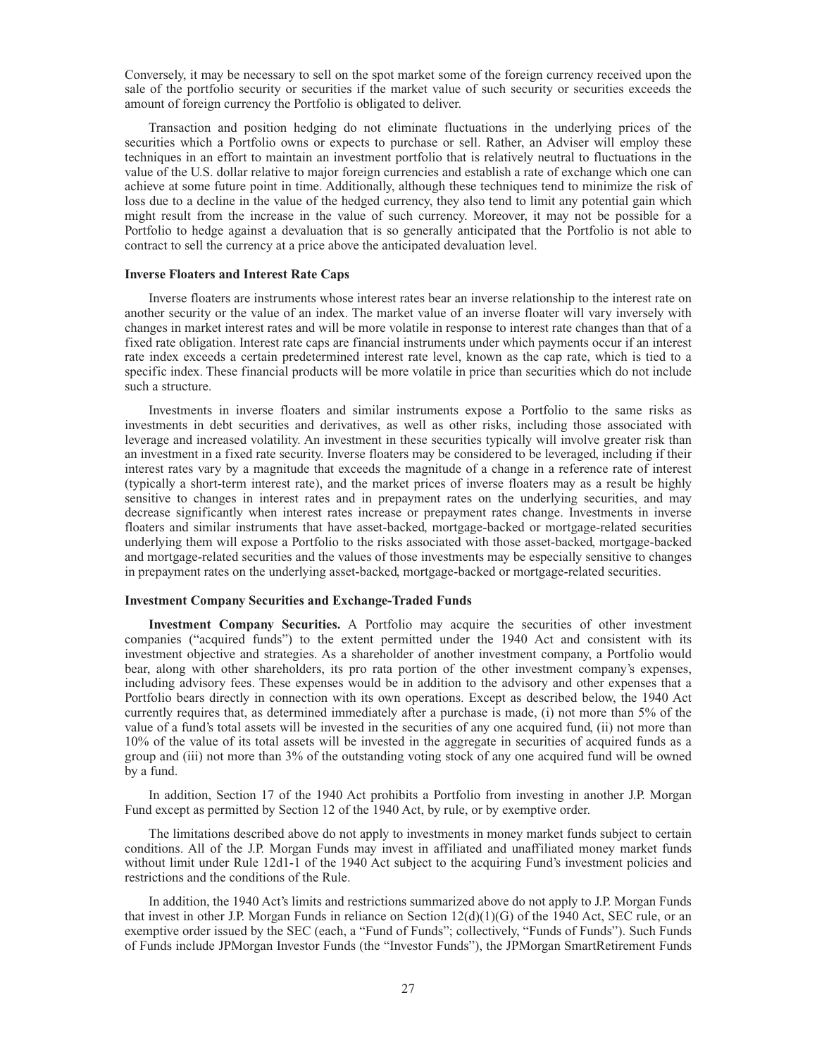<span id="page-28-0"></span>Conversely, it may be necessary to sell on the spot market some of the foreign currency received upon the sale of the portfolio security or securities if the market value of such security or securities exceeds the amount of foreign currency the Portfolio is obligated to deliver.

Transaction and position hedging do not eliminate fluctuations in the underlying prices of the securities which a Portfolio owns or expects to purchase or sell. Rather, an Adviser will employ these techniques in an effort to maintain an investment portfolio that is relatively neutral to fluctuations in the value of the U.S. dollar relative to major foreign currencies and establish a rate of exchange which one can achieve at some future point in time. Additionally, although these techniques tend to minimize the risk of loss due to a decline in the value of the hedged currency, they also tend to limit any potential gain which might result from the increase in the value of such currency. Moreover, it may not be possible for a Portfolio to hedge against a devaluation that is so generally anticipated that the Portfolio is not able to contract to sell the currency at a price above the anticipated devaluation level.

## **Inverse Floaters and Interest Rate Caps**

Inverse floaters are instruments whose interest rates bear an inverse relationship to the interest rate on another security or the value of an index. The market value of an inverse floater will vary inversely with changes in market interest rates and will be more volatile in response to interest rate changes than that of a fixed rate obligation. Interest rate caps are financial instruments under which payments occur if an interest rate index exceeds a certain predetermined interest rate level, known as the cap rate, which is tied to a specific index. These financial products will be more volatile in price than securities which do not include such a structure.

Investments in inverse floaters and similar instruments expose a Portfolio to the same risks as investments in debt securities and derivatives, as well as other risks, including those associated with leverage and increased volatility. An investment in these securities typically will involve greater risk than an investment in a fixed rate security. Inverse floaters may be considered to be leveraged, including if their interest rates vary by a magnitude that exceeds the magnitude of a change in a reference rate of interest (typically a short-term interest rate), and the market prices of inverse floaters may as a result be highly sensitive to changes in interest rates and in prepayment rates on the underlying securities, and may decrease significantly when interest rates increase or prepayment rates change. Investments in inverse floaters and similar instruments that have asset-backed, mortgage-backed or mortgage-related securities underlying them will expose a Portfolio to the risks associated with those asset-backed, mortgage-backed and mortgage-related securities and the values of those investments may be especially sensitive to changes in prepayment rates on the underlying asset-backed, mortgage-backed or mortgage-related securities.

### **Investment Company Securities and Exchange-Traded Funds**

**Investment Company Securities.** A Portfolio may acquire the securities of other investment companies ("acquired funds") to the extent permitted under the 1940 Act and consistent with its investment objective and strategies. As a shareholder of another investment company, a Portfolio would bear, along with other shareholders, its pro rata portion of the other investment company's expenses, including advisory fees. These expenses would be in addition to the advisory and other expenses that a Portfolio bears directly in connection with its own operations. Except as described below, the 1940 Act currently requires that, as determined immediately after a purchase is made, (i) not more than 5% of the value of a fund's total assets will be invested in the securities of any one acquired fund, (ii) not more than 10% of the value of its total assets will be invested in the aggregate in securities of acquired funds as a group and (iii) not more than 3% of the outstanding voting stock of any one acquired fund will be owned by a fund.

In addition, Section 17 of the 1940 Act prohibits a Portfolio from investing in another J.P. Morgan Fund except as permitted by Section 12 of the 1940 Act, by rule, or by exemptive order.

The limitations described above do not apply to investments in money market funds subject to certain conditions. All of the J.P. Morgan Funds may invest in affiliated and unaffiliated money market funds without limit under Rule 12d1-1 of the 1940 Act subject to the acquiring Fund's investment policies and restrictions and the conditions of the Rule.

In addition, the 1940 Act's limits and restrictions summarized above do not apply to J.P. Morgan Funds that invest in other J.P. Morgan Funds in reliance on Section  $12(d)(1)(G)$  of the 1940 Act, SEC rule, or an exemptive order issued by the SEC (each, a "Fund of Funds"; collectively, "Funds of Funds"). Such Funds of Funds include JPMorgan Investor Funds (the "Investor Funds"), the JPMorgan SmartRetirement Funds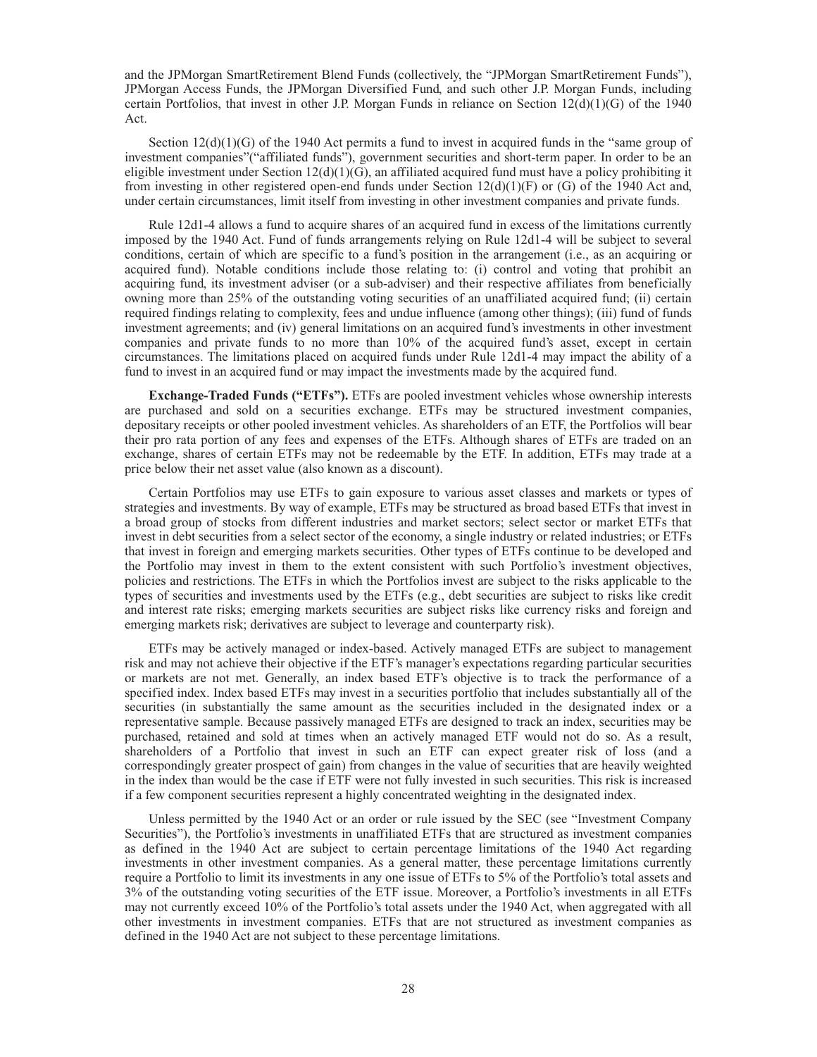and the JPMorgan SmartRetirement Blend Funds (collectively, the "JPMorgan SmartRetirement Funds"), JPMorgan Access Funds, the JPMorgan Diversified Fund, and such other J.P. Morgan Funds, including certain Portfolios, that invest in other J.P. Morgan Funds in reliance on Section  $12(d)(1)(G)$  of the 1940 Act.

Section  $12(d)(1)(G)$  of the 1940 Act permits a fund to invest in acquired funds in the "same group of investment companies"("affiliated funds"), government securities and short-term paper. In order to be an eligible investment under Section  $12(d)(1)(G)$ , an affiliated acquired fund must have a policy prohibiting it from investing in other registered open-end funds under Section  $12(d)(1)(F)$  or (G) of the 1940 Act and, under certain circumstances, limit itself from investing in other investment companies and private funds.

Rule 12d1-4 allows a fund to acquire shares of an acquired fund in excess of the limitations currently imposed by the 1940 Act. Fund of funds arrangements relying on Rule 12d1-4 will be subject to several conditions, certain of which are specific to a fund's position in the arrangement (i.e., as an acquiring or acquired fund). Notable conditions include those relating to: (i) control and voting that prohibit an acquiring fund, its investment adviser (or a sub-adviser) and their respective affiliates from beneficially owning more than 25% of the outstanding voting securities of an unaffiliated acquired fund; (ii) certain required findings relating to complexity, fees and undue influence (among other things); (iii) fund of funds investment agreements; and (iv) general limitations on an acquired fund's investments in other investment companies and private funds to no more than 10% of the acquired fund's asset, except in certain circumstances. The limitations placed on acquired funds under Rule 12d1-4 may impact the ability of a fund to invest in an acquired fund or may impact the investments made by the acquired fund.

**Exchange-Traded Funds ("ETFs").** ETFs are pooled investment vehicles whose ownership interests are purchased and sold on a securities exchange. ETFs may be structured investment companies, depositary receipts or other pooled investment vehicles. As shareholders of an ETF, the Portfolios will bear their pro rata portion of any fees and expenses of the ETFs. Although shares of ETFs are traded on an exchange, shares of certain ETFs may not be redeemable by the ETF. In addition, ETFs may trade at a price below their net asset value (also known as a discount).

Certain Portfolios may use ETFs to gain exposure to various asset classes and markets or types of strategies and investments. By way of example, ETFs may be structured as broad based ETFs that invest in a broad group of stocks from different industries and market sectors; select sector or market ETFs that invest in debt securities from a select sector of the economy, a single industry or related industries; or ETFs that invest in foreign and emerging markets securities. Other types of ETFs continue to be developed and the Portfolio may invest in them to the extent consistent with such Portfolio's investment objectives, policies and restrictions. The ETFs in which the Portfolios invest are subject to the risks applicable to the types of securities and investments used by the ETFs (e.g., debt securities are subject to risks like credit and interest rate risks; emerging markets securities are subject risks like currency risks and foreign and emerging markets risk; derivatives are subject to leverage and counterparty risk).

ETFs may be actively managed or index-based. Actively managed ETFs are subject to management risk and may not achieve their objective if the ETF's manager's expectations regarding particular securities or markets are not met. Generally, an index based ETF's objective is to track the performance of a specified index. Index based ETFs may invest in a securities portfolio that includes substantially all of the securities (in substantially the same amount as the securities included in the designated index or a representative sample. Because passively managed ETFs are designed to track an index, securities may be purchased, retained and sold at times when an actively managed ETF would not do so. As a result, shareholders of a Portfolio that invest in such an ETF can expect greater risk of loss (and a correspondingly greater prospect of gain) from changes in the value of securities that are heavily weighted in the index than would be the case if ETF were not fully invested in such securities. This risk is increased if a few component securities represent a highly concentrated weighting in the designated index.

Unless permitted by the 1940 Act or an order or rule issued by the SEC (see "Investment Company Securities"), the Portfolio's investments in unaffiliated ETFs that are structured as investment companies as defined in the 1940 Act are subject to certain percentage limitations of the 1940 Act regarding investments in other investment companies. As a general matter, these percentage limitations currently require a Portfolio to limit its investments in any one issue of ETFs to 5% of the Portfolio's total assets and 3% of the outstanding voting securities of the ETF issue. Moreover, a Portfolio's investments in all ETFs may not currently exceed 10% of the Portfolio's total assets under the 1940 Act, when aggregated with all other investments in investment companies. ETFs that are not structured as investment companies as defined in the 1940 Act are not subject to these percentage limitations.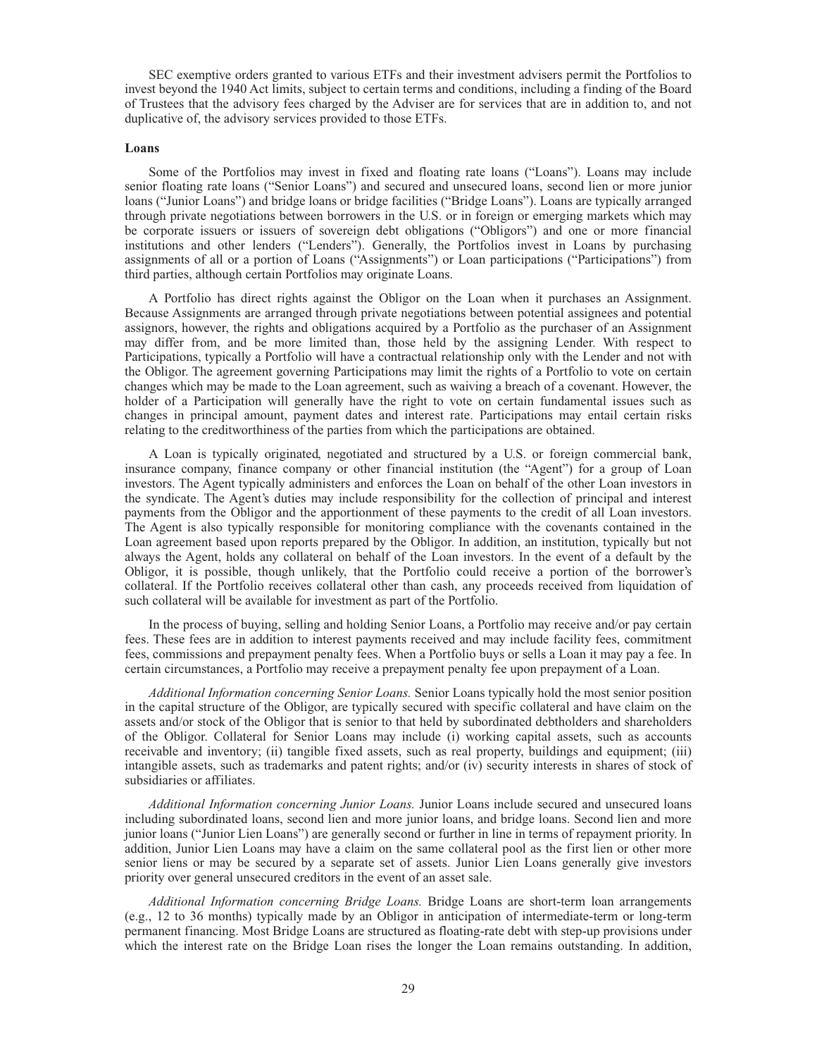<span id="page-30-0"></span>SEC exemptive orders granted to various ETFs and their investment advisers permit the Portfolios to invest beyond the 1940 Act limits, subject to certain terms and conditions, including a finding of the Board of Trustees that the advisory fees charged by the Adviser are for services that are in addition to, and not duplicative of, the advisory services provided to those ETFs.

### **Loans**

Some of the Portfolios may invest in fixed and floating rate loans ("Loans"). Loans may include senior floating rate loans ("Senior Loans") and secured and unsecured loans, second lien or more junior loans ("Junior Loans") and bridge loans or bridge facilities ("Bridge Loans"). Loans are typically arranged through private negotiations between borrowers in the U.S. or in foreign or emerging markets which may be corporate issuers or issuers of sovereign debt obligations ("Obligors") and one or more financial institutions and other lenders ("Lenders"). Generally, the Portfolios invest in Loans by purchasing assignments of all or a portion of Loans ("Assignments") or Loan participations ("Participations") from third parties, although certain Portfolios may originate Loans.

A Portfolio has direct rights against the Obligor on the Loan when it purchases an Assignment. Because Assignments are arranged through private negotiations between potential assignees and potential assignors, however, the rights and obligations acquired by a Portfolio as the purchaser of an Assignment may differ from, and be more limited than, those held by the assigning Lender. With respect to Participations, typically a Portfolio will have a contractual relationship only with the Lender and not with the Obligor. The agreement governing Participations may limit the rights of a Portfolio to vote on certain changes which may be made to the Loan agreement, such as waiving a breach of a covenant. However, the holder of a Participation will generally have the right to vote on certain fundamental issues such as changes in principal amount, payment dates and interest rate. Participations may entail certain risks relating to the creditworthiness of the parties from which the participations are obtained.

A Loan is typically originated, negotiated and structured by a U.S. or foreign commercial bank, insurance company, finance company or other financial institution (the "Agent") for a group of Loan investors. The Agent typically administers and enforces the Loan on behalf of the other Loan investors in the syndicate. The Agent's duties may include responsibility for the collection of principal and interest payments from the Obligor and the apportionment of these payments to the credit of all Loan investors. The Agent is also typically responsible for monitoring compliance with the covenants contained in the Loan agreement based upon reports prepared by the Obligor. In addition, an institution, typically but not always the Agent, holds any collateral on behalf of the Loan investors. In the event of a default by the Obligor, it is possible, though unlikely, that the Portfolio could receive a portion of the borrower's collateral. If the Portfolio receives collateral other than cash, any proceeds received from liquidation of such collateral will be available for investment as part of the Portfolio.

In the process of buying, selling and holding Senior Loans, a Portfolio may receive and/or pay certain fees. These fees are in addition to interest payments received and may include facility fees, commitment fees, commissions and prepayment penalty fees. When a Portfolio buys or sells a Loan it may pay a fee. In certain circumstances, a Portfolio may receive a prepayment penalty fee upon prepayment of a Loan.

*Additional Information concerning Senior Loans.* Senior Loans typically hold the most senior position in the capital structure of the Obligor, are typically secured with specific collateral and have claim on the assets and/or stock of the Obligor that is senior to that held by subordinated debtholders and shareholders of the Obligor. Collateral for Senior Loans may include (i) working capital assets, such as accounts receivable and inventory; (ii) tangible fixed assets, such as real property, buildings and equipment; (iii) intangible assets, such as trademarks and patent rights; and/or (iv) security interests in shares of stock of subsidiaries or affiliates.

*Additional Information concerning Junior Loans.* Junior Loans include secured and unsecured loans including subordinated loans, second lien and more junior loans, and bridge loans. Second lien and more junior loans ("Junior Lien Loans") are generally second or further in line in terms of repayment priority. In addition, Junior Lien Loans may have a claim on the same collateral pool as the first lien or other more senior liens or may be secured by a separate set of assets. Junior Lien Loans generally give investors priority over general unsecured creditors in the event of an asset sale.

*Additional Information concerning Bridge Loans.* Bridge Loans are short-term loan arrangements (e.g., 12 to 36 months) typically made by an Obligor in anticipation of intermediate-term or long-term permanent financing. Most Bridge Loans are structured as floating-rate debt with step-up provisions under which the interest rate on the Bridge Loan rises the longer the Loan remains outstanding. In addition,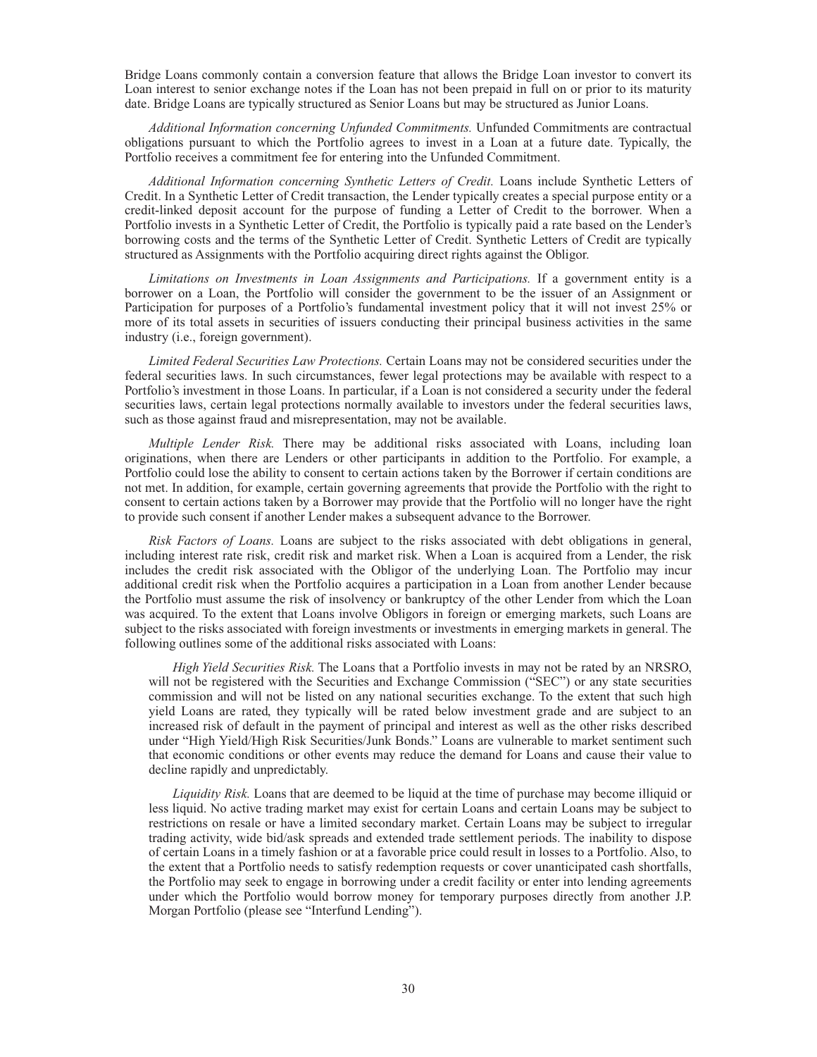Bridge Loans commonly contain a conversion feature that allows the Bridge Loan investor to convert its Loan interest to senior exchange notes if the Loan has not been prepaid in full on or prior to its maturity date. Bridge Loans are typically structured as Senior Loans but may be structured as Junior Loans.

*Additional Information concerning Unfunded Commitments.* Unfunded Commitments are contractual obligations pursuant to which the Portfolio agrees to invest in a Loan at a future date. Typically, the Portfolio receives a commitment fee for entering into the Unfunded Commitment.

*Additional Information concerning Synthetic Letters of Credit.* Loans include Synthetic Letters of Credit. In a Synthetic Letter of Credit transaction, the Lender typically creates a special purpose entity or a credit-linked deposit account for the purpose of funding a Letter of Credit to the borrower. When a Portfolio invests in a Synthetic Letter of Credit, the Portfolio is typically paid a rate based on the Lender's borrowing costs and the terms of the Synthetic Letter of Credit. Synthetic Letters of Credit are typically structured as Assignments with the Portfolio acquiring direct rights against the Obligor.

*Limitations on Investments in Loan Assignments and Participations.* If a government entity is a borrower on a Loan, the Portfolio will consider the government to be the issuer of an Assignment or Participation for purposes of a Portfolio's fundamental investment policy that it will not invest 25% or more of its total assets in securities of issuers conducting their principal business activities in the same industry (i.e., foreign government).

*Limited Federal Securities Law Protections.* Certain Loans may not be considered securities under the federal securities laws. In such circumstances, fewer legal protections may be available with respect to a Portfolio's investment in those Loans. In particular, if a Loan is not considered a security under the federal securities laws, certain legal protections normally available to investors under the federal securities laws, such as those against fraud and misrepresentation, may not be available.

*Multiple Lender Risk.* There may be additional risks associated with Loans, including loan originations, when there are Lenders or other participants in addition to the Portfolio. For example, a Portfolio could lose the ability to consent to certain actions taken by the Borrower if certain conditions are not met. In addition, for example, certain governing agreements that provide the Portfolio with the right to consent to certain actions taken by a Borrower may provide that the Portfolio will no longer have the right to provide such consent if another Lender makes a subsequent advance to the Borrower.

*Risk Factors of Loans.* Loans are subject to the risks associated with debt obligations in general, including interest rate risk, credit risk and market risk. When a Loan is acquired from a Lender, the risk includes the credit risk associated with the Obligor of the underlying Loan. The Portfolio may incur additional credit risk when the Portfolio acquires a participation in a Loan from another Lender because the Portfolio must assume the risk of insolvency or bankruptcy of the other Lender from which the Loan was acquired. To the extent that Loans involve Obligors in foreign or emerging markets, such Loans are subject to the risks associated with foreign investments or investments in emerging markets in general. The following outlines some of the additional risks associated with Loans:

*High Yield Securities Risk.* The Loans that a Portfolio invests in may not be rated by an NRSRO, will not be registered with the Securities and Exchange Commission ("SEC") or any state securities commission and will not be listed on any national securities exchange. To the extent that such high yield Loans are rated, they typically will be rated below investment grade and are subject to an increased risk of default in the payment of principal and interest as well as the other risks described under "High Yield/High Risk Securities/Junk Bonds." Loans are vulnerable to market sentiment such that economic conditions or other events may reduce the demand for Loans and cause their value to decline rapidly and unpredictably.

*Liquidity Risk.* Loans that are deemed to be liquid at the time of purchase may become illiquid or less liquid. No active trading market may exist for certain Loans and certain Loans may be subject to restrictions on resale or have a limited secondary market. Certain Loans may be subject to irregular trading activity, wide bid/ask spreads and extended trade settlement periods. The inability to dispose of certain Loans in a timely fashion or at a favorable price could result in losses to a Portfolio. Also, to the extent that a Portfolio needs to satisfy redemption requests or cover unanticipated cash shortfalls, the Portfolio may seek to engage in borrowing under a credit facility or enter into lending agreements under which the Portfolio would borrow money for temporary purposes directly from another J.P. Morgan Portfolio (please see "Interfund Lending").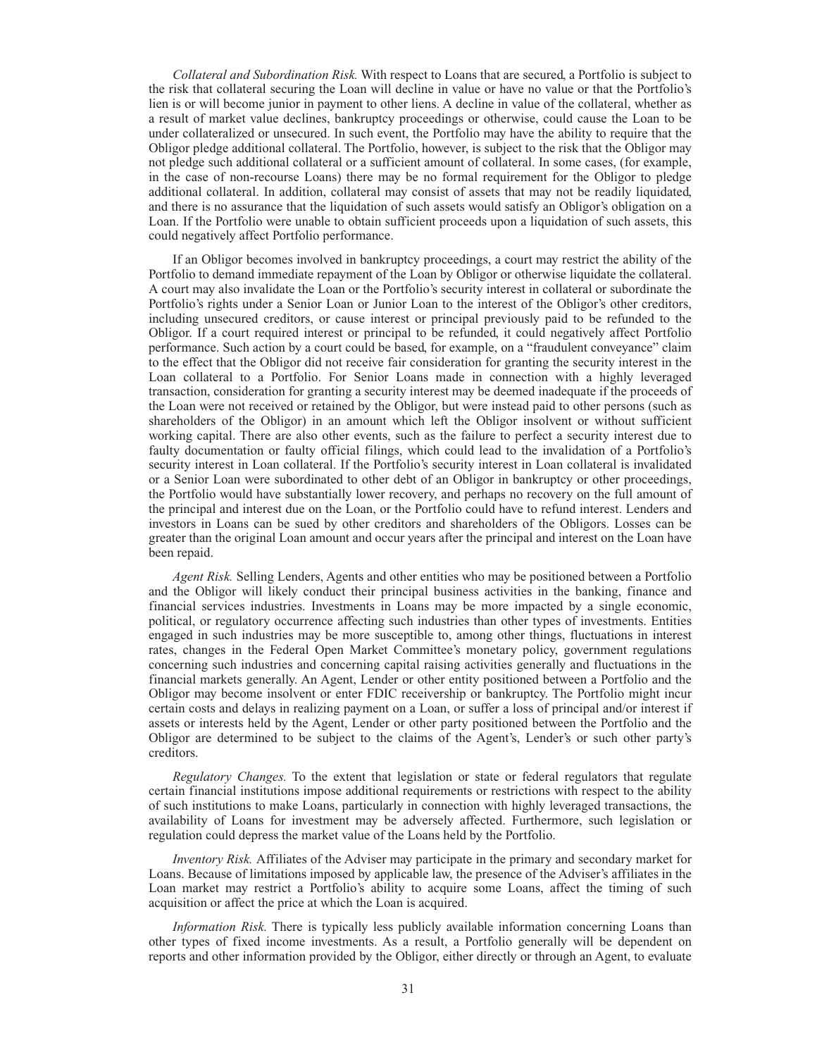*Collateral and Subordination Risk.* With respect to Loans that are secured, a Portfolio is subject to the risk that collateral securing the Loan will decline in value or have no value or that the Portfolio's lien is or will become junior in payment to other liens. A decline in value of the collateral, whether as a result of market value declines, bankruptcy proceedings or otherwise, could cause the Loan to be under collateralized or unsecured. In such event, the Portfolio may have the ability to require that the Obligor pledge additional collateral. The Portfolio, however, is subject to the risk that the Obligor may not pledge such additional collateral or a sufficient amount of collateral. In some cases, (for example, in the case of non-recourse Loans) there may be no formal requirement for the Obligor to pledge additional collateral. In addition, collateral may consist of assets that may not be readily liquidated, and there is no assurance that the liquidation of such assets would satisfy an Obligor's obligation on a Loan. If the Portfolio were unable to obtain sufficient proceeds upon a liquidation of such assets, this could negatively affect Portfolio performance.

If an Obligor becomes involved in bankruptcy proceedings, a court may restrict the ability of the Portfolio to demand immediate repayment of the Loan by Obligor or otherwise liquidate the collateral. A court may also invalidate the Loan or the Portfolio's security interest in collateral or subordinate the Portfolio's rights under a Senior Loan or Junior Loan to the interest of the Obligor's other creditors, including unsecured creditors, or cause interest or principal previously paid to be refunded to the Obligor. If a court required interest or principal to be refunded, it could negatively affect Portfolio performance. Such action by a court could be based, for example, on a "fraudulent conveyance" claim to the effect that the Obligor did not receive fair consideration for granting the security interest in the Loan collateral to a Portfolio. For Senior Loans made in connection with a highly leveraged transaction, consideration for granting a security interest may be deemed inadequate if the proceeds of the Loan were not received or retained by the Obligor, but were instead paid to other persons (such as shareholders of the Obligor) in an amount which left the Obligor insolvent or without sufficient working capital. There are also other events, such as the failure to perfect a security interest due to faulty documentation or faulty official filings, which could lead to the invalidation of a Portfolio's security interest in Loan collateral. If the Portfolio's security interest in Loan collateral is invalidated or a Senior Loan were subordinated to other debt of an Obligor in bankruptcy or other proceedings, the Portfolio would have substantially lower recovery, and perhaps no recovery on the full amount of the principal and interest due on the Loan, or the Portfolio could have to refund interest. Lenders and investors in Loans can be sued by other creditors and shareholders of the Obligors. Losses can be greater than the original Loan amount and occur years after the principal and interest on the Loan have been repaid.

*Agent Risk.* Selling Lenders, Agents and other entities who may be positioned between a Portfolio and the Obligor will likely conduct their principal business activities in the banking, finance and financial services industries. Investments in Loans may be more impacted by a single economic, political, or regulatory occurrence affecting such industries than other types of investments. Entities engaged in such industries may be more susceptible to, among other things, fluctuations in interest rates, changes in the Federal Open Market Committee's monetary policy, government regulations concerning such industries and concerning capital raising activities generally and fluctuations in the financial markets generally. An Agent, Lender or other entity positioned between a Portfolio and the Obligor may become insolvent or enter FDIC receivership or bankruptcy. The Portfolio might incur certain costs and delays in realizing payment on a Loan, or suffer a loss of principal and/or interest if assets or interests held by the Agent, Lender or other party positioned between the Portfolio and the Obligor are determined to be subject to the claims of the Agent's, Lender's or such other party's creditors.

*Regulatory Changes.* To the extent that legislation or state or federal regulators that regulate certain financial institutions impose additional requirements or restrictions with respect to the ability of such institutions to make Loans, particularly in connection with highly leveraged transactions, the availability of Loans for investment may be adversely affected. Furthermore, such legislation or regulation could depress the market value of the Loans held by the Portfolio.

*Inventory Risk.* Affiliates of the Adviser may participate in the primary and secondary market for Loans. Because of limitations imposed by applicable law, the presence of the Adviser's affiliates in the Loan market may restrict a Portfolio's ability to acquire some Loans, affect the timing of such acquisition or affect the price at which the Loan is acquired.

*Information Risk.* There is typically less publicly available information concerning Loans than other types of fixed income investments. As a result, a Portfolio generally will be dependent on reports and other information provided by the Obligor, either directly or through an Agent, to evaluate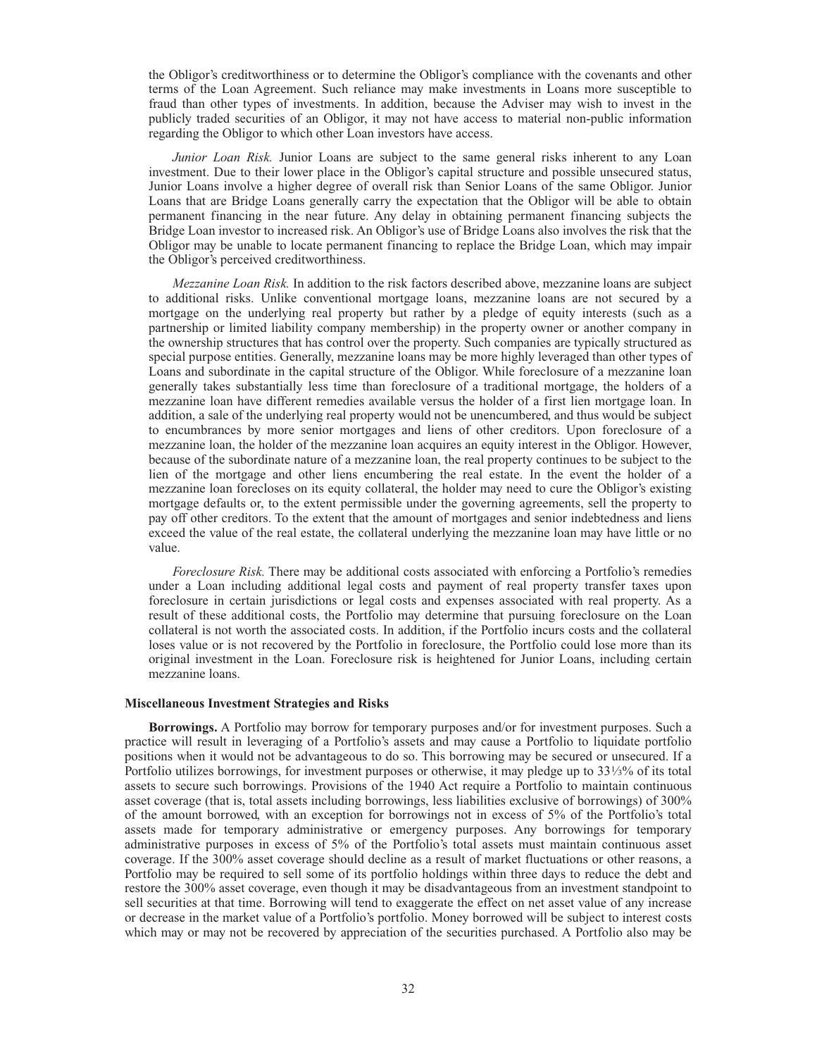<span id="page-33-0"></span>the Obligor's creditworthiness or to determine the Obligor's compliance with the covenants and other terms of the Loan Agreement. Such reliance may make investments in Loans more susceptible to fraud than other types of investments. In addition, because the Adviser may wish to invest in the publicly traded securities of an Obligor, it may not have access to material non-public information regarding the Obligor to which other Loan investors have access.

*Junior Loan Risk.* Junior Loans are subject to the same general risks inherent to any Loan investment. Due to their lower place in the Obligor's capital structure and possible unsecured status, Junior Loans involve a higher degree of overall risk than Senior Loans of the same Obligor. Junior Loans that are Bridge Loans generally carry the expectation that the Obligor will be able to obtain permanent financing in the near future. Any delay in obtaining permanent financing subjects the Bridge Loan investor to increased risk. An Obligor's use of Bridge Loans also involves the risk that the Obligor may be unable to locate permanent financing to replace the Bridge Loan, which may impair the Obligor's perceived creditworthiness.

*Mezzanine Loan Risk.* In addition to the risk factors described above, mezzanine loans are subject to additional risks. Unlike conventional mortgage loans, mezzanine loans are not secured by a mortgage on the underlying real property but rather by a pledge of equity interests (such as a partnership or limited liability company membership) in the property owner or another company in the ownership structures that has control over the property. Such companies are typically structured as special purpose entities. Generally, mezzanine loans may be more highly leveraged than other types of Loans and subordinate in the capital structure of the Obligor. While foreclosure of a mezzanine loan generally takes substantially less time than foreclosure of a traditional mortgage, the holders of a mezzanine loan have different remedies available versus the holder of a first lien mortgage loan. In addition, a sale of the underlying real property would not be unencumbered, and thus would be subject to encumbrances by more senior mortgages and liens of other creditors. Upon foreclosure of a mezzanine loan, the holder of the mezzanine loan acquires an equity interest in the Obligor. However, because of the subordinate nature of a mezzanine loan, the real property continues to be subject to the lien of the mortgage and other liens encumbering the real estate. In the event the holder of a mezzanine loan forecloses on its equity collateral, the holder may need to cure the Obligor's existing mortgage defaults or, to the extent permissible under the governing agreements, sell the property to pay off other creditors. To the extent that the amount of mortgages and senior indebtedness and liens exceed the value of the real estate, the collateral underlying the mezzanine loan may have little or no value.

*Foreclosure Risk.* There may be additional costs associated with enforcing a Portfolio's remedies under a Loan including additional legal costs and payment of real property transfer taxes upon foreclosure in certain jurisdictions or legal costs and expenses associated with real property. As a result of these additional costs, the Portfolio may determine that pursuing foreclosure on the Loan collateral is not worth the associated costs. In addition, if the Portfolio incurs costs and the collateral loses value or is not recovered by the Portfolio in foreclosure, the Portfolio could lose more than its original investment in the Loan. Foreclosure risk is heightened for Junior Loans, including certain mezzanine loans.

### **Miscellaneous Investment Strategies and Risks**

**Borrowings.** A Portfolio may borrow for temporary purposes and/or for investment purposes. Such a practice will result in leveraging of a Portfolio's assets and may cause a Portfolio to liquidate portfolio positions when it would not be advantageous to do so. This borrowing may be secured or unsecured. If a Portfolio utilizes borrowings, for investment purposes or otherwise, it may pledge up to 331⁄3% of its total assets to secure such borrowings. Provisions of the 1940 Act require a Portfolio to maintain continuous asset coverage (that is, total assets including borrowings, less liabilities exclusive of borrowings) of 300% of the amount borrowed, with an exception for borrowings not in excess of 5% of the Portfolio's total assets made for temporary administrative or emergency purposes. Any borrowings for temporary administrative purposes in excess of 5% of the Portfolio's total assets must maintain continuous asset coverage. If the 300% asset coverage should decline as a result of market fluctuations or other reasons, a Portfolio may be required to sell some of its portfolio holdings within three days to reduce the debt and restore the 300% asset coverage, even though it may be disadvantageous from an investment standpoint to sell securities at that time. Borrowing will tend to exaggerate the effect on net asset value of any increase or decrease in the market value of a Portfolio's portfolio. Money borrowed will be subject to interest costs which may or may not be recovered by appreciation of the securities purchased. A Portfolio also may be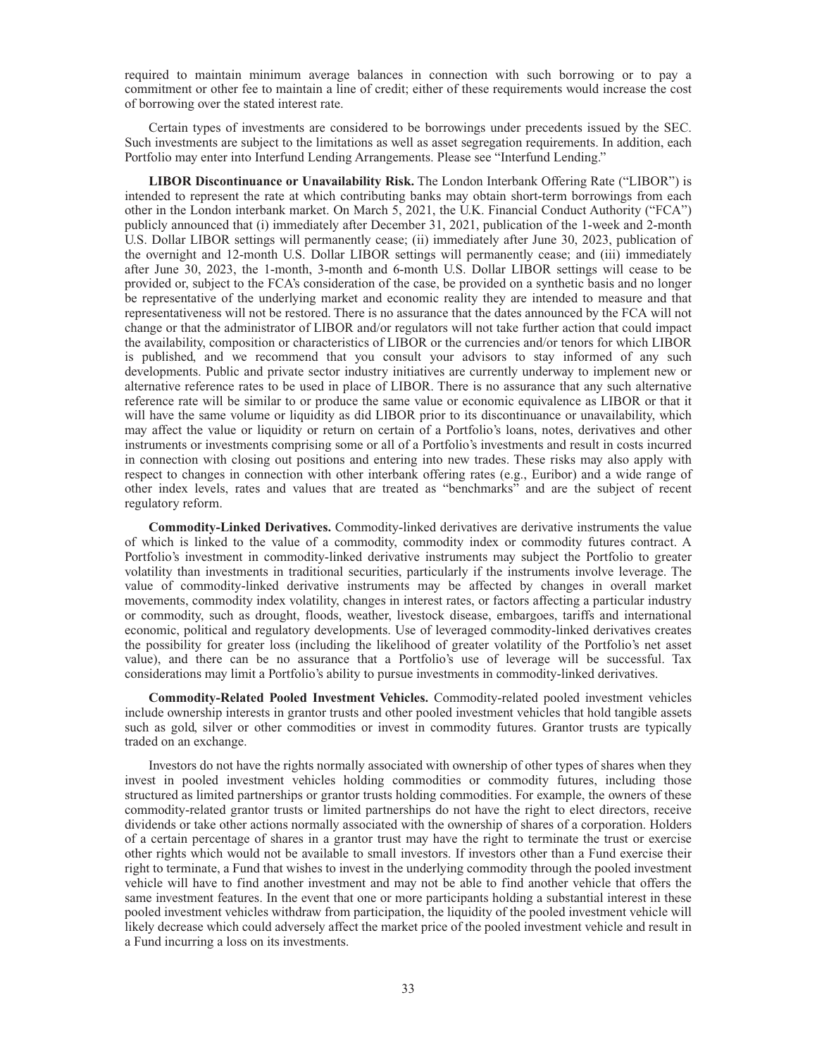<span id="page-34-0"></span>required to maintain minimum average balances in connection with such borrowing or to pay a commitment or other fee to maintain a line of credit; either of these requirements would increase the cost of borrowing over the stated interest rate.

Certain types of investments are considered to be borrowings under precedents issued by the SEC. Such investments are subject to the limitations as well as asset segregation requirements. In addition, each Portfolio may enter into Interfund Lending Arrangements. Please see "Interfund Lending."

**LIBOR Discontinuance or Unavailability Risk.** The London Interbank Offering Rate ("LIBOR") is intended to represent the rate at which contributing banks may obtain short-term borrowings from each other in the London interbank market. On March 5, 2021, the U.K. Financial Conduct Authority ("FCA") publicly announced that (i) immediately after December 31, 2021, publication of the 1-week and 2-month U.S. Dollar LIBOR settings will permanently cease; (ii) immediately after June 30, 2023, publication of the overnight and 12-month U.S. Dollar LIBOR settings will permanently cease; and (iii) immediately after June 30, 2023, the 1-month, 3-month and 6-month U.S. Dollar LIBOR settings will cease to be provided or, subject to the FCA's consideration of the case, be provided on a synthetic basis and no longer be representative of the underlying market and economic reality they are intended to measure and that representativeness will not be restored. There is no assurance that the dates announced by the FCA will not change or that the administrator of LIBOR and/or regulators will not take further action that could impact the availability, composition or characteristics of LIBOR or the currencies and/or tenors for which LIBOR is published, and we recommend that you consult your advisors to stay informed of any such developments. Public and private sector industry initiatives are currently underway to implement new or alternative reference rates to be used in place of LIBOR. There is no assurance that any such alternative reference rate will be similar to or produce the same value or economic equivalence as LIBOR or that it will have the same volume or liquidity as did LIBOR prior to its discontinuance or unavailability, which may affect the value or liquidity or return on certain of a Portfolio's loans, notes, derivatives and other instruments or investments comprising some or all of a Portfolio's investments and result in costs incurred in connection with closing out positions and entering into new trades. These risks may also apply with respect to changes in connection with other interbank offering rates (e.g., Euribor) and a wide range of other index levels, rates and values that are treated as "benchmarks" and are the subject of recent regulatory reform.

**Commodity-Linked Derivatives.** Commodity-linked derivatives are derivative instruments the value of which is linked to the value of a commodity, commodity index or commodity futures contract. A Portfolio's investment in commodity-linked derivative instruments may subject the Portfolio to greater volatility than investments in traditional securities, particularly if the instruments involve leverage. The value of commodity-linked derivative instruments may be affected by changes in overall market movements, commodity index volatility, changes in interest rates, or factors affecting a particular industry or commodity, such as drought, floods, weather, livestock disease, embargoes, tariffs and international economic, political and regulatory developments. Use of leveraged commodity-linked derivatives creates the possibility for greater loss (including the likelihood of greater volatility of the Portfolio's net asset value), and there can be no assurance that a Portfolio's use of leverage will be successful. Tax considerations may limit a Portfolio's ability to pursue investments in commodity-linked derivatives.

**Commodity-Related Pooled Investment Vehicles.** Commodity-related pooled investment vehicles include ownership interests in grantor trusts and other pooled investment vehicles that hold tangible assets such as gold, silver or other commodities or invest in commodity futures. Grantor trusts are typically traded on an exchange.

Investors do not have the rights normally associated with ownership of other types of shares when they invest in pooled investment vehicles holding commodities or commodity futures, including those structured as limited partnerships or grantor trusts holding commodities. For example, the owners of these commodity-related grantor trusts or limited partnerships do not have the right to elect directors, receive dividends or take other actions normally associated with the ownership of shares of a corporation. Holders of a certain percentage of shares in a grantor trust may have the right to terminate the trust or exercise other rights which would not be available to small investors. If investors other than a Fund exercise their right to terminate, a Fund that wishes to invest in the underlying commodity through the pooled investment vehicle will have to find another investment and may not be able to find another vehicle that offers the same investment features. In the event that one or more participants holding a substantial interest in these pooled investment vehicles withdraw from participation, the liquidity of the pooled investment vehicle will likely decrease which could adversely affect the market price of the pooled investment vehicle and result in a Fund incurring a loss on its investments.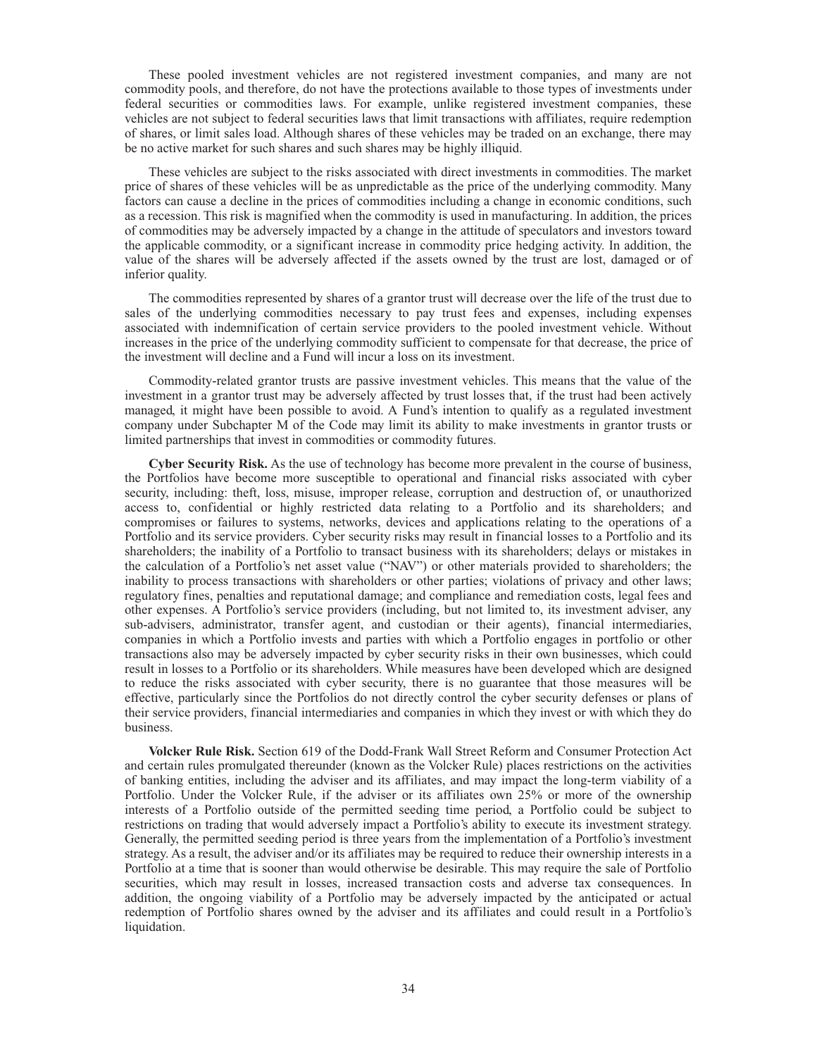These pooled investment vehicles are not registered investment companies, and many are not commodity pools, and therefore, do not have the protections available to those types of investments under federal securities or commodities laws. For example, unlike registered investment companies, these vehicles are not subject to federal securities laws that limit transactions with affiliates, require redemption of shares, or limit sales load. Although shares of these vehicles may be traded on an exchange, there may be no active market for such shares and such shares may be highly illiquid.

These vehicles are subject to the risks associated with direct investments in commodities. The market price of shares of these vehicles will be as unpredictable as the price of the underlying commodity. Many factors can cause a decline in the prices of commodities including a change in economic conditions, such as a recession. This risk is magnified when the commodity is used in manufacturing. In addition, the prices of commodities may be adversely impacted by a change in the attitude of speculators and investors toward the applicable commodity, or a significant increase in commodity price hedging activity. In addition, the value of the shares will be adversely affected if the assets owned by the trust are lost, damaged or of inferior quality.

The commodities represented by shares of a grantor trust will decrease over the life of the trust due to sales of the underlying commodities necessary to pay trust fees and expenses, including expenses associated with indemnification of certain service providers to the pooled investment vehicle. Without increases in the price of the underlying commodity sufficient to compensate for that decrease, the price of the investment will decline and a Fund will incur a loss on its investment.

Commodity-related grantor trusts are passive investment vehicles. This means that the value of the investment in a grantor trust may be adversely affected by trust losses that, if the trust had been actively managed, it might have been possible to avoid. A Fund's intention to qualify as a regulated investment company under Subchapter M of the Code may limit its ability to make investments in grantor trusts or limited partnerships that invest in commodities or commodity futures.

**Cyber Security Risk.** As the use of technology has become more prevalent in the course of business, the Portfolios have become more susceptible to operational and financial risks associated with cyber security, including: theft, loss, misuse, improper release, corruption and destruction of, or unauthorized access to, confidential or highly restricted data relating to a Portfolio and its shareholders; and compromises or failures to systems, networks, devices and applications relating to the operations of a Portfolio and its service providers. Cyber security risks may result in financial losses to a Portfolio and its shareholders; the inability of a Portfolio to transact business with its shareholders; delays or mistakes in the calculation of a Portfolio's net asset value ("NAV") or other materials provided to shareholders; the inability to process transactions with shareholders or other parties; violations of privacy and other laws; regulatory fines, penalties and reputational damage; and compliance and remediation costs, legal fees and other expenses. A Portfolio's service providers (including, but not limited to, its investment adviser, any sub-advisers, administrator, transfer agent, and custodian or their agents), financial intermediaries, companies in which a Portfolio invests and parties with which a Portfolio engages in portfolio or other transactions also may be adversely impacted by cyber security risks in their own businesses, which could result in losses to a Portfolio or its shareholders. While measures have been developed which are designed to reduce the risks associated with cyber security, there is no guarantee that those measures will be effective, particularly since the Portfolios do not directly control the cyber security defenses or plans of their service providers, financial intermediaries and companies in which they invest or with which they do business.

**Volcker Rule Risk.** Section 619 of the Dodd-Frank Wall Street Reform and Consumer Protection Act and certain rules promulgated thereunder (known as the Volcker Rule) places restrictions on the activities of banking entities, including the adviser and its affiliates, and may impact the long-term viability of a Portfolio. Under the Volcker Rule, if the adviser or its affiliates own 25% or more of the ownership interests of a Portfolio outside of the permitted seeding time period, a Portfolio could be subject to restrictions on trading that would adversely impact a Portfolio's ability to execute its investment strategy. Generally, the permitted seeding period is three years from the implementation of a Portfolio's investment strategy. As a result, the adviser and/or its affiliates may be required to reduce their ownership interests in a Portfolio at a time that is sooner than would otherwise be desirable. This may require the sale of Portfolio securities, which may result in losses, increased transaction costs and adverse tax consequences. In addition, the ongoing viability of a Portfolio may be adversely impacted by the anticipated or actual redemption of Portfolio shares owned by the adviser and its affiliates and could result in a Portfolio's liquidation.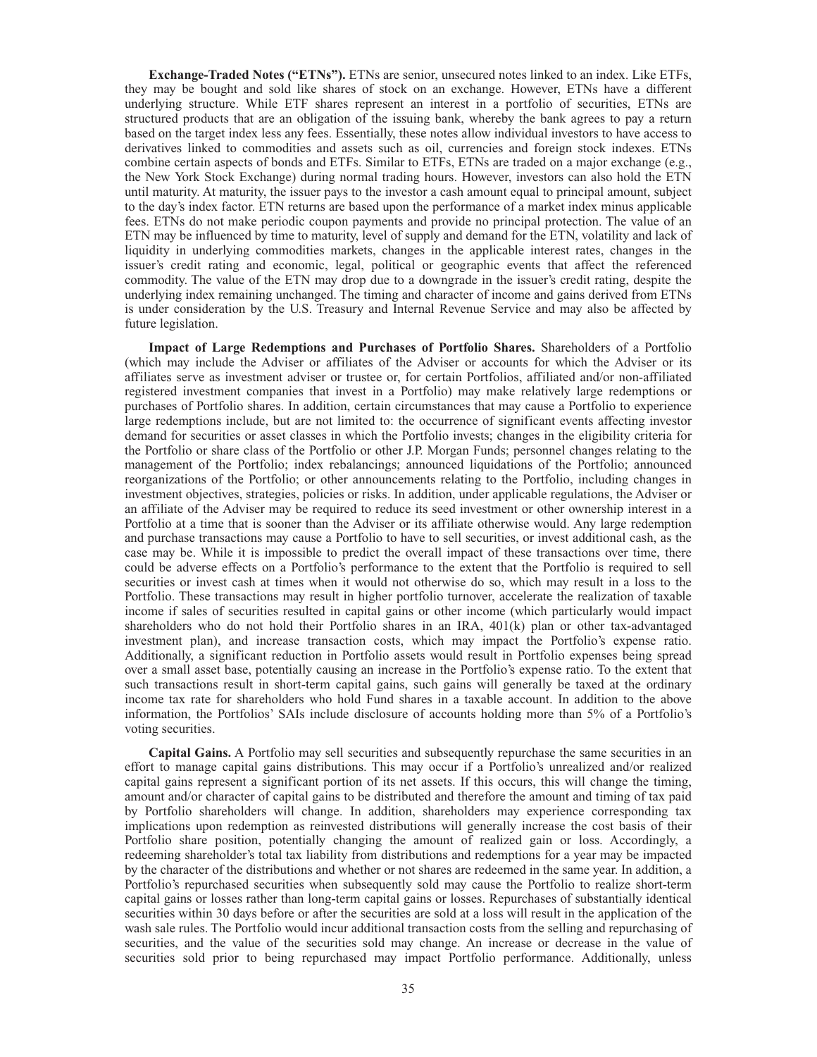**Exchange-Traded Notes ("ETNs").** ETNs are senior, unsecured notes linked to an index. Like ETFs, they may be bought and sold like shares of stock on an exchange. However, ETNs have a different underlying structure. While ETF shares represent an interest in a portfolio of securities, ETNs are structured products that are an obligation of the issuing bank, whereby the bank agrees to pay a return based on the target index less any fees. Essentially, these notes allow individual investors to have access to derivatives linked to commodities and assets such as oil, currencies and foreign stock indexes. ETNs combine certain aspects of bonds and ETFs. Similar to ETFs, ETNs are traded on a major exchange (e.g., the New York Stock Exchange) during normal trading hours. However, investors can also hold the ETN until maturity. At maturity, the issuer pays to the investor a cash amount equal to principal amount, subject to the day's index factor. ETN returns are based upon the performance of a market index minus applicable fees. ETNs do not make periodic coupon payments and provide no principal protection. The value of an ETN may be influenced by time to maturity, level of supply and demand for the ETN, volatility and lack of liquidity in underlying commodities markets, changes in the applicable interest rates, changes in the issuer's credit rating and economic, legal, political or geographic events that affect the referenced commodity. The value of the ETN may drop due to a downgrade in the issuer's credit rating, despite the underlying index remaining unchanged. The timing and character of income and gains derived from ETNs is under consideration by the U.S. Treasury and Internal Revenue Service and may also be affected by future legislation.

**Impact of Large Redemptions and Purchases of Portfolio Shares.** Shareholders of a Portfolio (which may include the Adviser or affiliates of the Adviser or accounts for which the Adviser or its affiliates serve as investment adviser or trustee or, for certain Portfolios, affiliated and/or non-affiliated registered investment companies that invest in a Portfolio) may make relatively large redemptions or purchases of Portfolio shares. In addition, certain circumstances that may cause a Portfolio to experience large redemptions include, but are not limited to: the occurrence of significant events affecting investor demand for securities or asset classes in which the Portfolio invests; changes in the eligibility criteria for the Portfolio or share class of the Portfolio or other J.P. Morgan Funds; personnel changes relating to the management of the Portfolio; index rebalancings; announced liquidations of the Portfolio; announced reorganizations of the Portfolio; or other announcements relating to the Portfolio, including changes in investment objectives, strategies, policies or risks. In addition, under applicable regulations, the Adviser or an affiliate of the Adviser may be required to reduce its seed investment or other ownership interest in a Portfolio at a time that is sooner than the Adviser or its affiliate otherwise would. Any large redemption and purchase transactions may cause a Portfolio to have to sell securities, or invest additional cash, as the case may be. While it is impossible to predict the overall impact of these transactions over time, there could be adverse effects on a Portfolio's performance to the extent that the Portfolio is required to sell securities or invest cash at times when it would not otherwise do so, which may result in a loss to the Portfolio. These transactions may result in higher portfolio turnover, accelerate the realization of taxable income if sales of securities resulted in capital gains or other income (which particularly would impact shareholders who do not hold their Portfolio shares in an IRA, 401(k) plan or other tax-advantaged investment plan), and increase transaction costs, which may impact the Portfolio's expense ratio. Additionally, a significant reduction in Portfolio assets would result in Portfolio expenses being spread over a small asset base, potentially causing an increase in the Portfolio's expense ratio. To the extent that such transactions result in short-term capital gains, such gains will generally be taxed at the ordinary income tax rate for shareholders who hold Fund shares in a taxable account. In addition to the above information, the Portfolios' SAIs include disclosure of accounts holding more than 5% of a Portfolio's voting securities.

**Capital Gains.** A Portfolio may sell securities and subsequently repurchase the same securities in an effort to manage capital gains distributions. This may occur if a Portfolio's unrealized and/or realized capital gains represent a significant portion of its net assets. If this occurs, this will change the timing, amount and/or character of capital gains to be distributed and therefore the amount and timing of tax paid by Portfolio shareholders will change. In addition, shareholders may experience corresponding tax implications upon redemption as reinvested distributions will generally increase the cost basis of their Portfolio share position, potentially changing the amount of realized gain or loss. Accordingly, a redeeming shareholder's total tax liability from distributions and redemptions for a year may be impacted by the character of the distributions and whether or not shares are redeemed in the same year. In addition, a Portfolio's repurchased securities when subsequently sold may cause the Portfolio to realize short-term capital gains or losses rather than long-term capital gains or losses. Repurchases of substantially identical securities within 30 days before or after the securities are sold at a loss will result in the application of the wash sale rules. The Portfolio would incur additional transaction costs from the selling and repurchasing of securities, and the value of the securities sold may change. An increase or decrease in the value of securities sold prior to being repurchased may impact Portfolio performance. Additionally, unless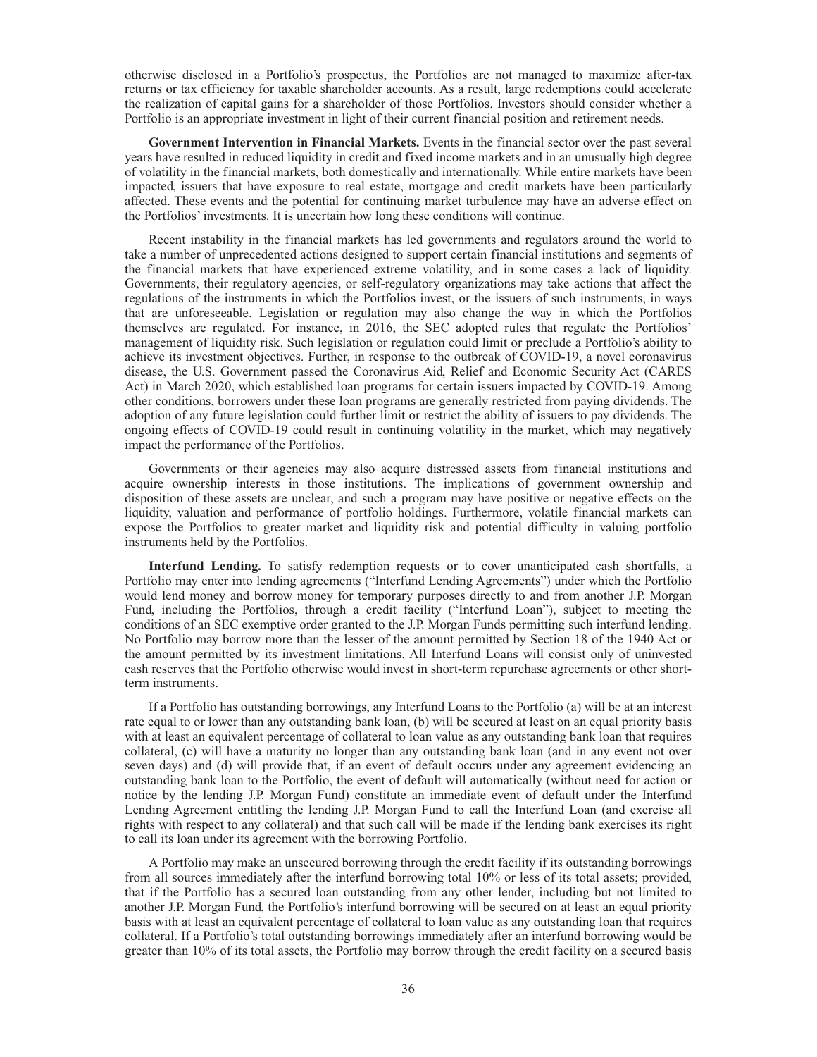otherwise disclosed in a Portfolio's prospectus, the Portfolios are not managed to maximize after-tax returns or tax efficiency for taxable shareholder accounts. As a result, large redemptions could accelerate the realization of capital gains for a shareholder of those Portfolios. Investors should consider whether a Portfolio is an appropriate investment in light of their current financial position and retirement needs.

**Government Intervention in Financial Markets.** Events in the financial sector over the past several years have resulted in reduced liquidity in credit and fixed income markets and in an unusually high degree of volatility in the financial markets, both domestically and internationally. While entire markets have been impacted, issuers that have exposure to real estate, mortgage and credit markets have been particularly affected. These events and the potential for continuing market turbulence may have an adverse effect on the Portfolios' investments. It is uncertain how long these conditions will continue.

Recent instability in the financial markets has led governments and regulators around the world to take a number of unprecedented actions designed to support certain financial institutions and segments of the financial markets that have experienced extreme volatility, and in some cases a lack of liquidity. Governments, their regulatory agencies, or self-regulatory organizations may take actions that affect the regulations of the instruments in which the Portfolios invest, or the issuers of such instruments, in ways that are unforeseeable. Legislation or regulation may also change the way in which the Portfolios themselves are regulated. For instance, in 2016, the SEC adopted rules that regulate the Portfolios' management of liquidity risk. Such legislation or regulation could limit or preclude a Portfolio's ability to achieve its investment objectives. Further, in response to the outbreak of COVID-19, a novel coronavirus disease, the U.S. Government passed the Coronavirus Aid, Relief and Economic Security Act (CARES Act) in March 2020, which established loan programs for certain issuers impacted by COVID-19. Among other conditions, borrowers under these loan programs are generally restricted from paying dividends. The adoption of any future legislation could further limit or restrict the ability of issuers to pay dividends. The ongoing effects of COVID-19 could result in continuing volatility in the market, which may negatively impact the performance of the Portfolios.

Governments or their agencies may also acquire distressed assets from financial institutions and acquire ownership interests in those institutions. The implications of government ownership and disposition of these assets are unclear, and such a program may have positive or negative effects on the liquidity, valuation and performance of portfolio holdings. Furthermore, volatile financial markets can expose the Portfolios to greater market and liquidity risk and potential difficulty in valuing portfolio instruments held by the Portfolios.

**Interfund Lending.** To satisfy redemption requests or to cover unanticipated cash shortfalls, a Portfolio may enter into lending agreements ("Interfund Lending Agreements") under which the Portfolio would lend money and borrow money for temporary purposes directly to and from another J.P. Morgan Fund, including the Portfolios, through a credit facility ("Interfund Loan"), subject to meeting the conditions of an SEC exemptive order granted to the J.P. Morgan Funds permitting such interfund lending. No Portfolio may borrow more than the lesser of the amount permitted by Section 18 of the 1940 Act or the amount permitted by its investment limitations. All Interfund Loans will consist only of uninvested cash reserves that the Portfolio otherwise would invest in short-term repurchase agreements or other shortterm instruments.

If a Portfolio has outstanding borrowings, any Interfund Loans to the Portfolio (a) will be at an interest rate equal to or lower than any outstanding bank loan, (b) will be secured at least on an equal priority basis with at least an equivalent percentage of collateral to loan value as any outstanding bank loan that requires collateral, (c) will have a maturity no longer than any outstanding bank loan (and in any event not over seven days) and (d) will provide that, if an event of default occurs under any agreement evidencing an outstanding bank loan to the Portfolio, the event of default will automatically (without need for action or notice by the lending J.P. Morgan Fund) constitute an immediate event of default under the Interfund Lending Agreement entitling the lending J.P. Morgan Fund to call the Interfund Loan (and exercise all rights with respect to any collateral) and that such call will be made if the lending bank exercises its right to call its loan under its agreement with the borrowing Portfolio.

A Portfolio may make an unsecured borrowing through the credit facility if its outstanding borrowings from all sources immediately after the interfund borrowing total 10% or less of its total assets; provided, that if the Portfolio has a secured loan outstanding from any other lender, including but not limited to another J.P. Morgan Fund, the Portfolio's interfund borrowing will be secured on at least an equal priority basis with at least an equivalent percentage of collateral to loan value as any outstanding loan that requires collateral. If a Portfolio's total outstanding borrowings immediately after an interfund borrowing would be greater than 10% of its total assets, the Portfolio may borrow through the credit facility on a secured basis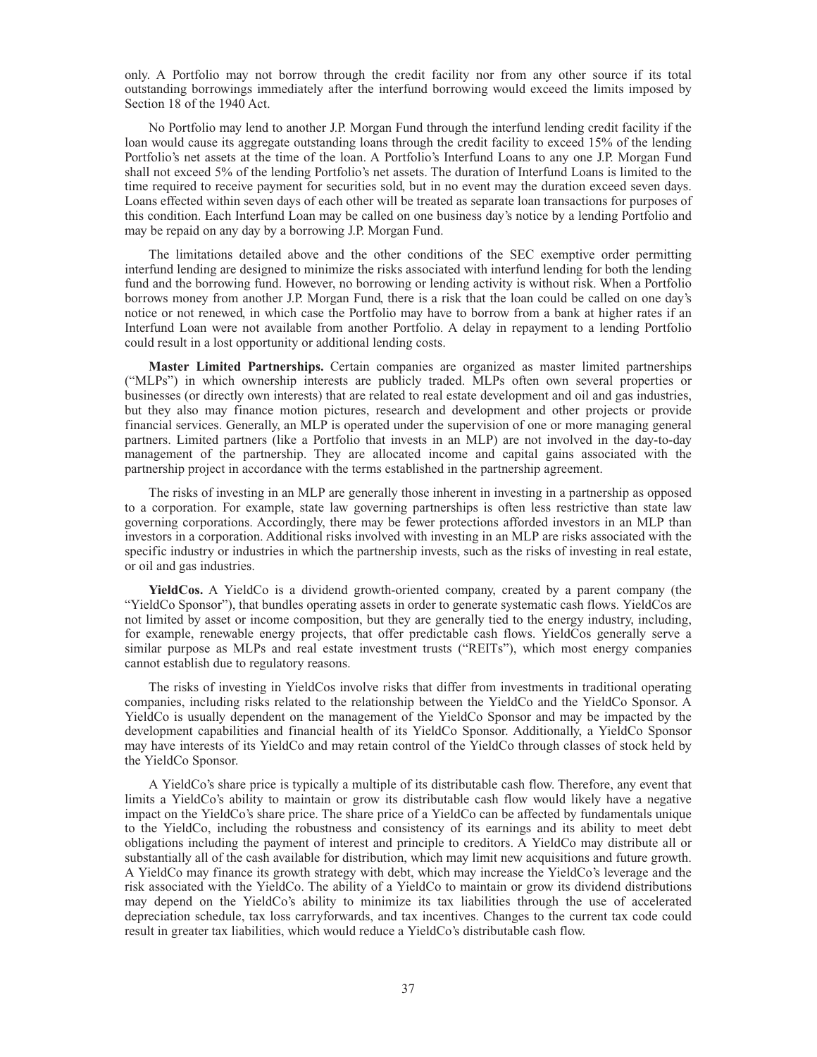only. A Portfolio may not borrow through the credit facility nor from any other source if its total outstanding borrowings immediately after the interfund borrowing would exceed the limits imposed by Section 18 of the 1940 Act.

No Portfolio may lend to another J.P. Morgan Fund through the interfund lending credit facility if the loan would cause its aggregate outstanding loans through the credit facility to exceed 15% of the lending Portfolio's net assets at the time of the loan. A Portfolio's Interfund Loans to any one J.P. Morgan Fund shall not exceed 5% of the lending Portfolio's net assets. The duration of Interfund Loans is limited to the time required to receive payment for securities sold, but in no event may the duration exceed seven days. Loans effected within seven days of each other will be treated as separate loan transactions for purposes of this condition. Each Interfund Loan may be called on one business day's notice by a lending Portfolio and may be repaid on any day by a borrowing J.P. Morgan Fund.

The limitations detailed above and the other conditions of the SEC exemptive order permitting interfund lending are designed to minimize the risks associated with interfund lending for both the lending fund and the borrowing fund. However, no borrowing or lending activity is without risk. When a Portfolio borrows money from another J.P. Morgan Fund, there is a risk that the loan could be called on one day's notice or not renewed, in which case the Portfolio may have to borrow from a bank at higher rates if an Interfund Loan were not available from another Portfolio. A delay in repayment to a lending Portfolio could result in a lost opportunity or additional lending costs.

**Master Limited Partnerships.** Certain companies are organized as master limited partnerships ("MLPs") in which ownership interests are publicly traded. MLPs often own several properties or businesses (or directly own interests) that are related to real estate development and oil and gas industries, but they also may finance motion pictures, research and development and other projects or provide financial services. Generally, an MLP is operated under the supervision of one or more managing general partners. Limited partners (like a Portfolio that invests in an MLP) are not involved in the day-to-day management of the partnership. They are allocated income and capital gains associated with the partnership project in accordance with the terms established in the partnership agreement.

The risks of investing in an MLP are generally those inherent in investing in a partnership as opposed to a corporation. For example, state law governing partnerships is often less restrictive than state law governing corporations. Accordingly, there may be fewer protections afforded investors in an MLP than investors in a corporation. Additional risks involved with investing in an MLP are risks associated with the specific industry or industries in which the partnership invests, such as the risks of investing in real estate, or oil and gas industries.

**YieldCos.** A YieldCo is a dividend growth-oriented company, created by a parent company (the "YieldCo Sponsor"), that bundles operating assets in order to generate systematic cash flows. YieldCos are not limited by asset or income composition, but they are generally tied to the energy industry, including, for example, renewable energy projects, that offer predictable cash flows. YieldCos generally serve a similar purpose as MLPs and real estate investment trusts ("REITs"), which most energy companies cannot establish due to regulatory reasons.

The risks of investing in YieldCos involve risks that differ from investments in traditional operating companies, including risks related to the relationship between the YieldCo and the YieldCo Sponsor. A YieldCo is usually dependent on the management of the YieldCo Sponsor and may be impacted by the development capabilities and financial health of its YieldCo Sponsor. Additionally, a YieldCo Sponsor may have interests of its YieldCo and may retain control of the YieldCo through classes of stock held by the YieldCo Sponsor.

A YieldCo's share price is typically a multiple of its distributable cash flow. Therefore, any event that limits a YieldCo's ability to maintain or grow its distributable cash flow would likely have a negative impact on the YieldCo's share price. The share price of a YieldCo can be affected by fundamentals unique to the YieldCo, including the robustness and consistency of its earnings and its ability to meet debt obligations including the payment of interest and principle to creditors. A YieldCo may distribute all or substantially all of the cash available for distribution, which may limit new acquisitions and future growth. A YieldCo may finance its growth strategy with debt, which may increase the YieldCo's leverage and the risk associated with the YieldCo. The ability of a YieldCo to maintain or grow its dividend distributions may depend on the YieldCo's ability to minimize its tax liabilities through the use of accelerated depreciation schedule, tax loss carryforwards, and tax incentives. Changes to the current tax code could result in greater tax liabilities, which would reduce a YieldCo's distributable cash flow.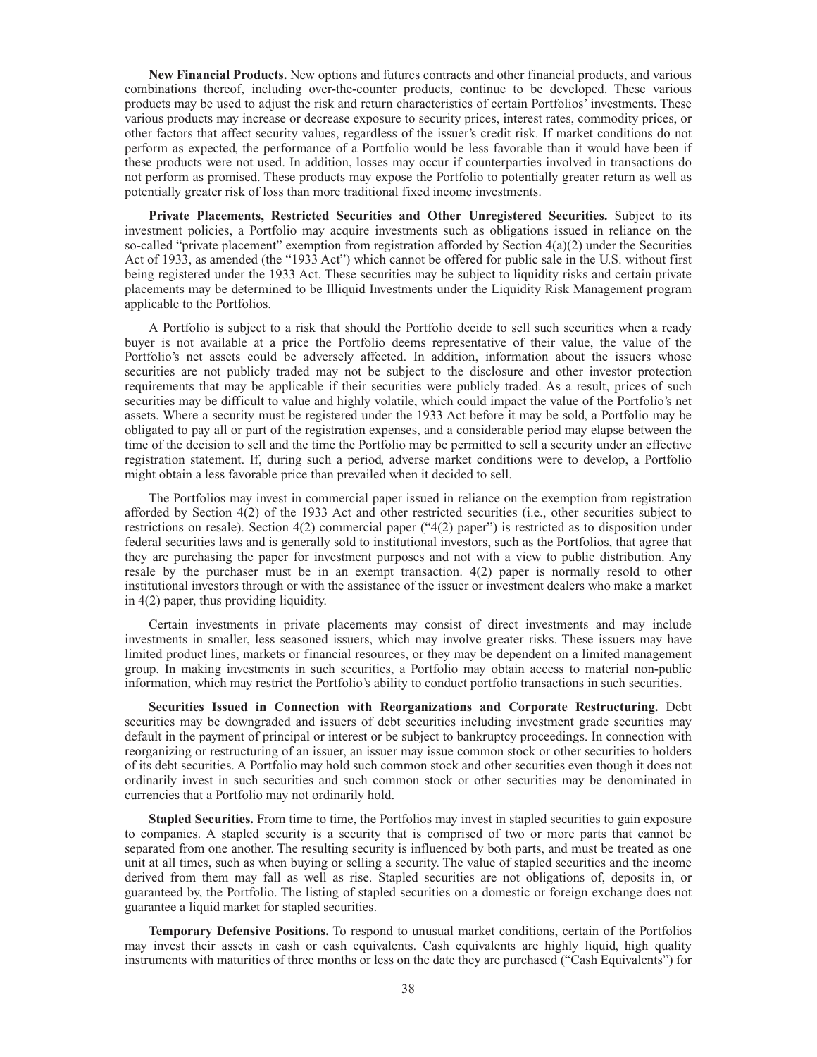**New Financial Products.** New options and futures contracts and other financial products, and various combinations thereof, including over-the-counter products, continue to be developed. These various products may be used to adjust the risk and return characteristics of certain Portfolios' investments. These various products may increase or decrease exposure to security prices, interest rates, commodity prices, or other factors that affect security values, regardless of the issuer's credit risk. If market conditions do not perform as expected, the performance of a Portfolio would be less favorable than it would have been if these products were not used. In addition, losses may occur if counterparties involved in transactions do not perform as promised. These products may expose the Portfolio to potentially greater return as well as potentially greater risk of loss than more traditional fixed income investments.

**Private Placements, Restricted Securities and Other Unregistered Securities.** Subject to its investment policies, a Portfolio may acquire investments such as obligations issued in reliance on the so-called "private placement" exemption from registration afforded by Section 4(a)(2) under the Securities Act of 1933, as amended (the "1933 Act") which cannot be offered for public sale in the U.S. without first being registered under the 1933 Act. These securities may be subject to liquidity risks and certain private placements may be determined to be Illiquid Investments under the Liquidity Risk Management program applicable to the Portfolios.

A Portfolio is subject to a risk that should the Portfolio decide to sell such securities when a ready buyer is not available at a price the Portfolio deems representative of their value, the value of the Portfolio's net assets could be adversely affected. In addition, information about the issuers whose securities are not publicly traded may not be subject to the disclosure and other investor protection requirements that may be applicable if their securities were publicly traded. As a result, prices of such securities may be difficult to value and highly volatile, which could impact the value of the Portfolio's net assets. Where a security must be registered under the 1933 Act before it may be sold, a Portfolio may be obligated to pay all or part of the registration expenses, and a considerable period may elapse between the time of the decision to sell and the time the Portfolio may be permitted to sell a security under an effective registration statement. If, during such a period, adverse market conditions were to develop, a Portfolio might obtain a less favorable price than prevailed when it decided to sell.

The Portfolios may invest in commercial paper issued in reliance on the exemption from registration afforded by Section 4(2) of the 1933 Act and other restricted securities (i.e., other securities subject to restrictions on resale). Section 4(2) commercial paper ("4(2) paper") is restricted as to disposition under federal securities laws and is generally sold to institutional investors, such as the Portfolios, that agree that they are purchasing the paper for investment purposes and not with a view to public distribution. Any resale by the purchaser must be in an exempt transaction. 4(2) paper is normally resold to other institutional investors through or with the assistance of the issuer or investment dealers who make a market in 4(2) paper, thus providing liquidity.

Certain investments in private placements may consist of direct investments and may include investments in smaller, less seasoned issuers, which may involve greater risks. These issuers may have limited product lines, markets or financial resources, or they may be dependent on a limited management group. In making investments in such securities, a Portfolio may obtain access to material non-public information, which may restrict the Portfolio's ability to conduct portfolio transactions in such securities.

**Securities Issued in Connection with Reorganizations and Corporate Restructuring.** Debt securities may be downgraded and issuers of debt securities including investment grade securities may default in the payment of principal or interest or be subject to bankruptcy proceedings. In connection with reorganizing or restructuring of an issuer, an issuer may issue common stock or other securities to holders of its debt securities. A Portfolio may hold such common stock and other securities even though it does not ordinarily invest in such securities and such common stock or other securities may be denominated in currencies that a Portfolio may not ordinarily hold.

**Stapled Securities.** From time to time, the Portfolios may invest in stapled securities to gain exposure to companies. A stapled security is a security that is comprised of two or more parts that cannot be separated from one another. The resulting security is influenced by both parts, and must be treated as one unit at all times, such as when buying or selling a security. The value of stapled securities and the income derived from them may fall as well as rise. Stapled securities are not obligations of, deposits in, or guaranteed by, the Portfolio. The listing of stapled securities on a domestic or foreign exchange does not guarantee a liquid market for stapled securities.

**Temporary Defensive Positions.** To respond to unusual market conditions, certain of the Portfolios may invest their assets in cash or cash equivalents. Cash equivalents are highly liquid, high quality instruments with maturities of three months or less on the date they are purchased ("Cash Equivalents") for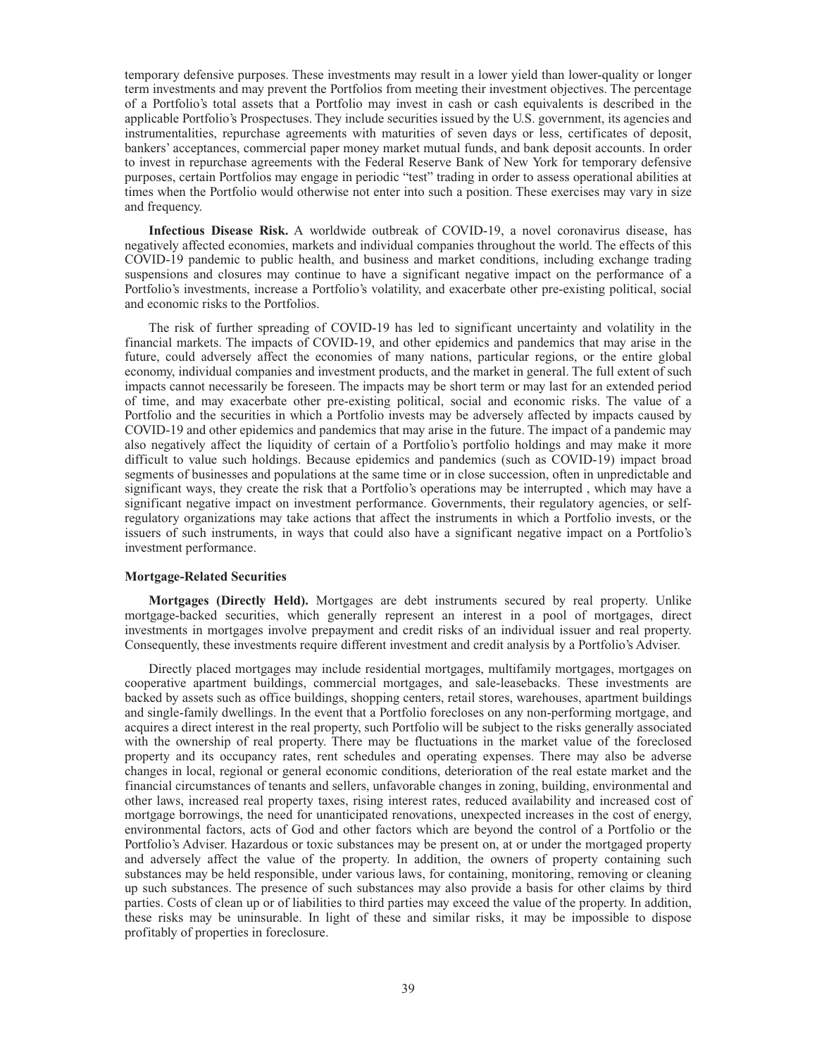temporary defensive purposes. These investments may result in a lower yield than lower-quality or longer term investments and may prevent the Portfolios from meeting their investment objectives. The percentage of a Portfolio's total assets that a Portfolio may invest in cash or cash equivalents is described in the applicable Portfolio's Prospectuses. They include securities issued by the U.S. government, its agencies and instrumentalities, repurchase agreements with maturities of seven days or less, certificates of deposit, bankers' acceptances, commercial paper money market mutual funds, and bank deposit accounts. In order to invest in repurchase agreements with the Federal Reserve Bank of New York for temporary defensive purposes, certain Portfolios may engage in periodic "test" trading in order to assess operational abilities at times when the Portfolio would otherwise not enter into such a position. These exercises may vary in size and frequency.

**Infectious Disease Risk.** A worldwide outbreak of COVID-19, a novel coronavirus disease, has negatively affected economies, markets and individual companies throughout the world. The effects of this COVID-19 pandemic to public health, and business and market conditions, including exchange trading suspensions and closures may continue to have a significant negative impact on the performance of a Portfolio's investments, increase a Portfolio's volatility, and exacerbate other pre-existing political, social and economic risks to the Portfolios.

The risk of further spreading of COVID-19 has led to significant uncertainty and volatility in the financial markets. The impacts of COVID-19, and other epidemics and pandemics that may arise in the future, could adversely affect the economies of many nations, particular regions, or the entire global economy, individual companies and investment products, and the market in general. The full extent of such impacts cannot necessarily be foreseen. The impacts may be short term or may last for an extended period of time, and may exacerbate other pre-existing political, social and economic risks. The value of a Portfolio and the securities in which a Portfolio invests may be adversely affected by impacts caused by COVID-19 and other epidemics and pandemics that may arise in the future. The impact of a pandemic may also negatively affect the liquidity of certain of a Portfolio's portfolio holdings and may make it more difficult to value such holdings. Because epidemics and pandemics (such as COVID-19) impact broad segments of businesses and populations at the same time or in close succession, often in unpredictable and significant ways, they create the risk that a Portfolio's operations may be interrupted , which may have a significant negative impact on investment performance. Governments, their regulatory agencies, or selfregulatory organizations may take actions that affect the instruments in which a Portfolio invests, or the issuers of such instruments, in ways that could also have a significant negative impact on a Portfolio's investment performance.

## **Mortgage-Related Securities**

**Mortgages (Directly Held).** Mortgages are debt instruments secured by real property. Unlike mortgage-backed securities, which generally represent an interest in a pool of mortgages, direct investments in mortgages involve prepayment and credit risks of an individual issuer and real property. Consequently, these investments require different investment and credit analysis by a Portfolio's Adviser.

Directly placed mortgages may include residential mortgages, multifamily mortgages, mortgages on cooperative apartment buildings, commercial mortgages, and sale-leasebacks. These investments are backed by assets such as office buildings, shopping centers, retail stores, warehouses, apartment buildings and single-family dwellings. In the event that a Portfolio forecloses on any non-performing mortgage, and acquires a direct interest in the real property, such Portfolio will be subject to the risks generally associated with the ownership of real property. There may be fluctuations in the market value of the foreclosed property and its occupancy rates, rent schedules and operating expenses. There may also be adverse changes in local, regional or general economic conditions, deterioration of the real estate market and the financial circumstances of tenants and sellers, unfavorable changes in zoning, building, environmental and other laws, increased real property taxes, rising interest rates, reduced availability and increased cost of mortgage borrowings, the need for unanticipated renovations, unexpected increases in the cost of energy, environmental factors, acts of God and other factors which are beyond the control of a Portfolio or the Portfolio's Adviser. Hazardous or toxic substances may be present on, at or under the mortgaged property and adversely affect the value of the property. In addition, the owners of property containing such substances may be held responsible, under various laws, for containing, monitoring, removing or cleaning up such substances. The presence of such substances may also provide a basis for other claims by third parties. Costs of clean up or of liabilities to third parties may exceed the value of the property. In addition, these risks may be uninsurable. In light of these and similar risks, it may be impossible to dispose profitably of properties in foreclosure.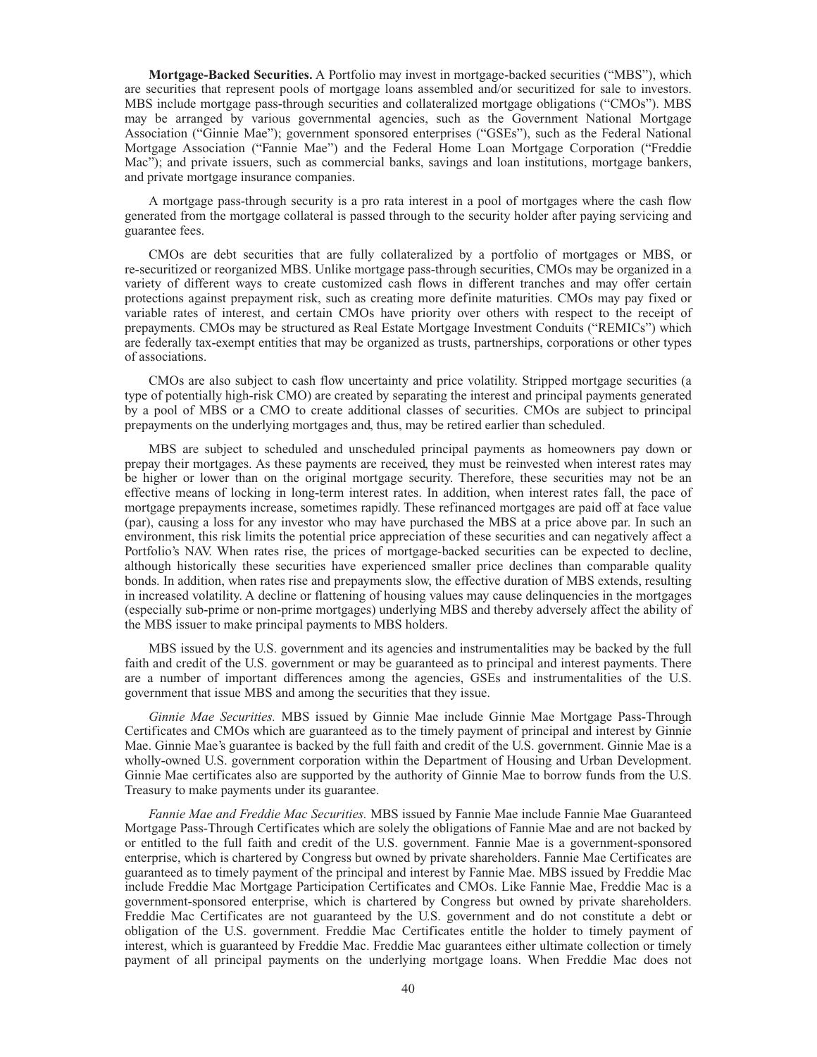**Mortgage-Backed Securities.** A Portfolio may invest in mortgage-backed securities ("MBS"), which are securities that represent pools of mortgage loans assembled and/or securitized for sale to investors. MBS include mortgage pass-through securities and collateralized mortgage obligations ("CMOs"). MBS may be arranged by various governmental agencies, such as the Government National Mortgage Association ("Ginnie Mae"); government sponsored enterprises ("GSEs"), such as the Federal National Mortgage Association ("Fannie Mae") and the Federal Home Loan Mortgage Corporation ("Freddie Mac"); and private issuers, such as commercial banks, savings and loan institutions, mortgage bankers, and private mortgage insurance companies.

A mortgage pass-through security is a pro rata interest in a pool of mortgages where the cash flow generated from the mortgage collateral is passed through to the security holder after paying servicing and guarantee fees.

CMOs are debt securities that are fully collateralized by a portfolio of mortgages or MBS, or re-securitized or reorganized MBS. Unlike mortgage pass-through securities, CMOs may be organized in a variety of different ways to create customized cash flows in different tranches and may offer certain protections against prepayment risk, such as creating more definite maturities. CMOs may pay fixed or variable rates of interest, and certain CMOs have priority over others with respect to the receipt of prepayments. CMOs may be structured as Real Estate Mortgage Investment Conduits ("REMICs") which are federally tax-exempt entities that may be organized as trusts, partnerships, corporations or other types of associations.

CMOs are also subject to cash flow uncertainty and price volatility. Stripped mortgage securities (a type of potentially high-risk CMO) are created by separating the interest and principal payments generated by a pool of MBS or a CMO to create additional classes of securities. CMOs are subject to principal prepayments on the underlying mortgages and, thus, may be retired earlier than scheduled.

MBS are subject to scheduled and unscheduled principal payments as homeowners pay down or prepay their mortgages. As these payments are received, they must be reinvested when interest rates may be higher or lower than on the original mortgage security. Therefore, these securities may not be an effective means of locking in long-term interest rates. In addition, when interest rates fall, the pace of mortgage prepayments increase, sometimes rapidly. These refinanced mortgages are paid off at face value (par), causing a loss for any investor who may have purchased the MBS at a price above par. In such an environment, this risk limits the potential price appreciation of these securities and can negatively affect a Portfolio's NAV. When rates rise, the prices of mortgage-backed securities can be expected to decline, although historically these securities have experienced smaller price declines than comparable quality bonds. In addition, when rates rise and prepayments slow, the effective duration of MBS extends, resulting in increased volatility. A decline or flattening of housing values may cause delinquencies in the mortgages (especially sub-prime or non-prime mortgages) underlying MBS and thereby adversely affect the ability of the MBS issuer to make principal payments to MBS holders.

MBS issued by the U.S. government and its agencies and instrumentalities may be backed by the full faith and credit of the U.S. government or may be guaranteed as to principal and interest payments. There are a number of important differences among the agencies, GSEs and instrumentalities of the U.S. government that issue MBS and among the securities that they issue.

*Ginnie Mae Securities.* MBS issued by Ginnie Mae include Ginnie Mae Mortgage Pass-Through Certificates and CMOs which are guaranteed as to the timely payment of principal and interest by Ginnie Mae. Ginnie Mae's guarantee is backed by the full faith and credit of the U.S. government. Ginnie Mae is a wholly-owned U.S. government corporation within the Department of Housing and Urban Development. Ginnie Mae certificates also are supported by the authority of Ginnie Mae to borrow funds from the U.S. Treasury to make payments under its guarantee.

*Fannie Mae and Freddie Mac Securities.* MBS issued by Fannie Mae include Fannie Mae Guaranteed Mortgage Pass-Through Certificates which are solely the obligations of Fannie Mae and are not backed by or entitled to the full faith and credit of the U.S. government. Fannie Mae is a government-sponsored enterprise, which is chartered by Congress but owned by private shareholders. Fannie Mae Certificates are guaranteed as to timely payment of the principal and interest by Fannie Mae. MBS issued by Freddie Mac include Freddie Mac Mortgage Participation Certificates and CMOs. Like Fannie Mae, Freddie Mac is a government-sponsored enterprise, which is chartered by Congress but owned by private shareholders. Freddie Mac Certificates are not guaranteed by the U.S. government and do not constitute a debt or obligation of the U.S. government. Freddie Mac Certificates entitle the holder to timely payment of interest, which is guaranteed by Freddie Mac. Freddie Mac guarantees either ultimate collection or timely payment of all principal payments on the underlying mortgage loans. When Freddie Mac does not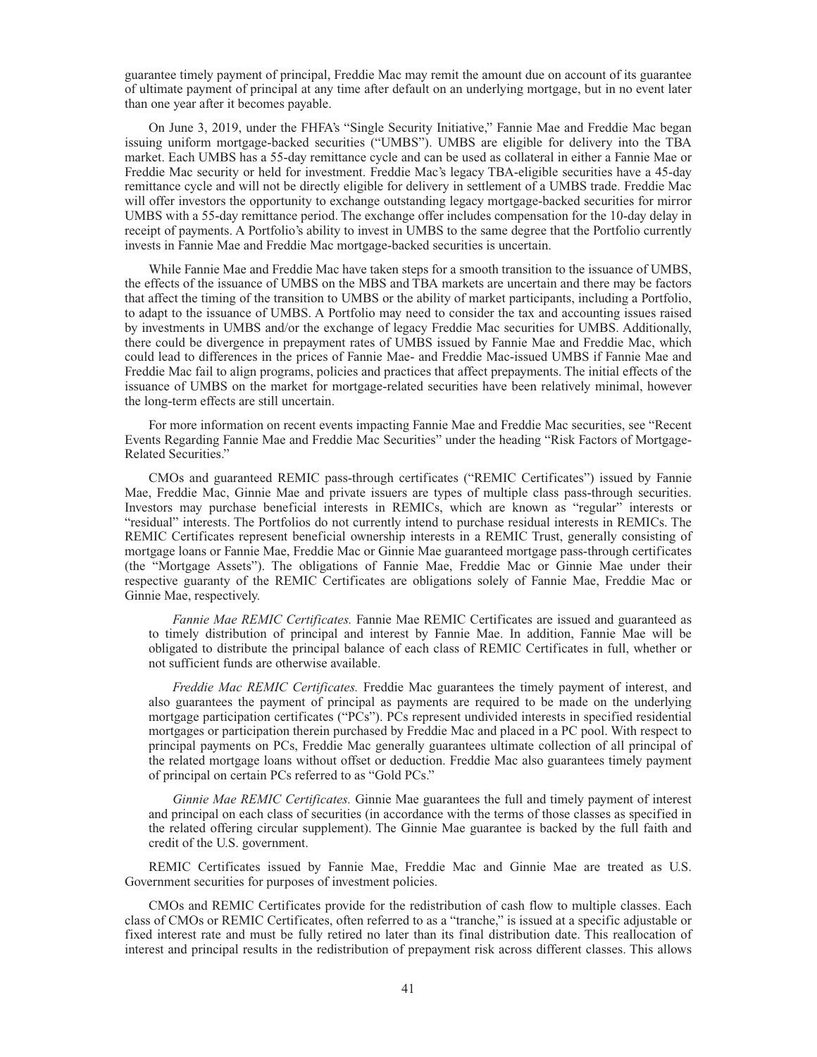guarantee timely payment of principal, Freddie Mac may remit the amount due on account of its guarantee of ultimate payment of principal at any time after default on an underlying mortgage, but in no event later than one year after it becomes payable.

On June 3, 2019, under the FHFA's "Single Security Initiative," Fannie Mae and Freddie Mac began issuing uniform mortgage-backed securities ("UMBS"). UMBS are eligible for delivery into the TBA market. Each UMBS has a 55-day remittance cycle and can be used as collateral in either a Fannie Mae or Freddie Mac security or held for investment. Freddie Mac's legacy TBA-eligible securities have a 45-day remittance cycle and will not be directly eligible for delivery in settlement of a UMBS trade. Freddie Mac will offer investors the opportunity to exchange outstanding legacy mortgage-backed securities for mirror UMBS with a 55-day remittance period. The exchange offer includes compensation for the 10-day delay in receipt of payments. A Portfolio's ability to invest in UMBS to the same degree that the Portfolio currently invests in Fannie Mae and Freddie Mac mortgage-backed securities is uncertain.

While Fannie Mae and Freddie Mac have taken steps for a smooth transition to the issuance of UMBS, the effects of the issuance of UMBS on the MBS and TBA markets are uncertain and there may be factors that affect the timing of the transition to UMBS or the ability of market participants, including a Portfolio, to adapt to the issuance of UMBS. A Portfolio may need to consider the tax and accounting issues raised by investments in UMBS and/or the exchange of legacy Freddie Mac securities for UMBS. Additionally, there could be divergence in prepayment rates of UMBS issued by Fannie Mae and Freddie Mac, which could lead to differences in the prices of Fannie Mae- and Freddie Mac-issued UMBS if Fannie Mae and Freddie Mac fail to align programs, policies and practices that affect prepayments. The initial effects of the issuance of UMBS on the market for mortgage-related securities have been relatively minimal, however the long-term effects are still uncertain.

For more information on recent events impacting Fannie Mae and Freddie Mac securities, see "Recent Events Regarding Fannie Mae and Freddie Mac Securities" under the heading "Risk Factors of Mortgage-Related Securities."

CMOs and guaranteed REMIC pass-through certificates ("REMIC Certificates") issued by Fannie Mae, Freddie Mac, Ginnie Mae and private issuers are types of multiple class pass-through securities. Investors may purchase beneficial interests in REMICs, which are known as "regular" interests or "residual" interests. The Portfolios do not currently intend to purchase residual interests in REMICs. The REMIC Certificates represent beneficial ownership interests in a REMIC Trust, generally consisting of mortgage loans or Fannie Mae, Freddie Mac or Ginnie Mae guaranteed mortgage pass-through certificates (the "Mortgage Assets"). The obligations of Fannie Mae, Freddie Mac or Ginnie Mae under their respective guaranty of the REMIC Certificates are obligations solely of Fannie Mae, Freddie Mac or Ginnie Mae, respectively.

*Fannie Mae REMIC Certificates.* Fannie Mae REMIC Certificates are issued and guaranteed as to timely distribution of principal and interest by Fannie Mae. In addition, Fannie Mae will be obligated to distribute the principal balance of each class of REMIC Certificates in full, whether or not sufficient funds are otherwise available.

*Freddie Mac REMIC Certificates.* Freddie Mac guarantees the timely payment of interest, and also guarantees the payment of principal as payments are required to be made on the underlying mortgage participation certificates ("PCs"). PCs represent undivided interests in specified residential mortgages or participation therein purchased by Freddie Mac and placed in a PC pool. With respect to principal payments on PCs, Freddie Mac generally guarantees ultimate collection of all principal of the related mortgage loans without offset or deduction. Freddie Mac also guarantees timely payment of principal on certain PCs referred to as "Gold PCs."

*Ginnie Mae REMIC Certificates.* Ginnie Mae guarantees the full and timely payment of interest and principal on each class of securities (in accordance with the terms of those classes as specified in the related offering circular supplement). The Ginnie Mae guarantee is backed by the full faith and credit of the U.S. government.

REMIC Certificates issued by Fannie Mae, Freddie Mac and Ginnie Mae are treated as U.S. Government securities for purposes of investment policies.

CMOs and REMIC Certificates provide for the redistribution of cash flow to multiple classes. Each class of CMOs or REMIC Certificates, often referred to as a "tranche," is issued at a specific adjustable or fixed interest rate and must be fully retired no later than its final distribution date. This reallocation of interest and principal results in the redistribution of prepayment risk across different classes. This allows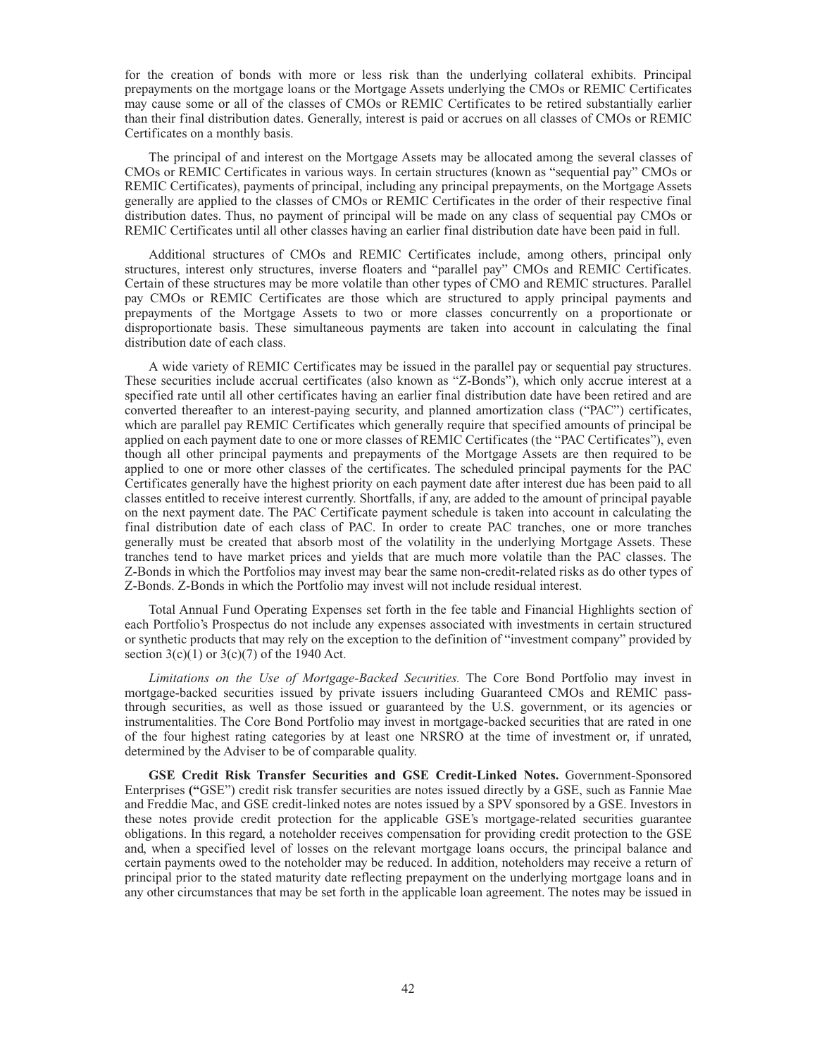for the creation of bonds with more or less risk than the underlying collateral exhibits. Principal prepayments on the mortgage loans or the Mortgage Assets underlying the CMOs or REMIC Certificates may cause some or all of the classes of CMOs or REMIC Certificates to be retired substantially earlier than their final distribution dates. Generally, interest is paid or accrues on all classes of CMOs or REMIC Certificates on a monthly basis.

The principal of and interest on the Mortgage Assets may be allocated among the several classes of CMOs or REMIC Certificates in various ways. In certain structures (known as "sequential pay" CMOs or REMIC Certificates), payments of principal, including any principal prepayments, on the Mortgage Assets generally are applied to the classes of CMOs or REMIC Certificates in the order of their respective final distribution dates. Thus, no payment of principal will be made on any class of sequential pay CMOs or REMIC Certificates until all other classes having an earlier final distribution date have been paid in full.

Additional structures of CMOs and REMIC Certificates include, among others, principal only structures, interest only structures, inverse floaters and "parallel pay" CMOs and REMIC Certificates. Certain of these structures may be more volatile than other types of CMO and REMIC structures. Parallel pay CMOs or REMIC Certificates are those which are structured to apply principal payments and prepayments of the Mortgage Assets to two or more classes concurrently on a proportionate or disproportionate basis. These simultaneous payments are taken into account in calculating the final distribution date of each class.

A wide variety of REMIC Certificates may be issued in the parallel pay or sequential pay structures. These securities include accrual certificates (also known as "Z-Bonds"), which only accrue interest at a specified rate until all other certificates having an earlier final distribution date have been retired and are converted thereafter to an interest-paying security, and planned amortization class ("PAC") certificates, which are parallel pay REMIC Certificates which generally require that specified amounts of principal be applied on each payment date to one or more classes of REMIC Certificates (the "PAC Certificates"), even though all other principal payments and prepayments of the Mortgage Assets are then required to be applied to one or more other classes of the certificates. The scheduled principal payments for the PAC Certificates generally have the highest priority on each payment date after interest due has been paid to all classes entitled to receive interest currently. Shortfalls, if any, are added to the amount of principal payable on the next payment date. The PAC Certificate payment schedule is taken into account in calculating the final distribution date of each class of PAC. In order to create PAC tranches, one or more tranches generally must be created that absorb most of the volatility in the underlying Mortgage Assets. These tranches tend to have market prices and yields that are much more volatile than the PAC classes. The Z-Bonds in which the Portfolios may invest may bear the same non-credit-related risks as do other types of Z-Bonds. Z-Bonds in which the Portfolio may invest will not include residual interest.

Total Annual Fund Operating Expenses set forth in the fee table and Financial Highlights section of each Portfolio's Prospectus do not include any expenses associated with investments in certain structured or synthetic products that may rely on the exception to the definition of "investment company" provided by section  $3(c)(1)$  or  $3(c)(7)$  of the 1940 Act.

*Limitations on the Use of Mortgage-Backed Securities.* The Core Bond Portfolio may invest in mortgage-backed securities issued by private issuers including Guaranteed CMOs and REMIC passthrough securities, as well as those issued or guaranteed by the U.S. government, or its agencies or instrumentalities. The Core Bond Portfolio may invest in mortgage-backed securities that are rated in one of the four highest rating categories by at least one NRSRO at the time of investment or, if unrated, determined by the Adviser to be of comparable quality.

**GSE Credit Risk Transfer Securities and GSE Credit-Linked Notes.** Government-Sponsored Enterprises **("**GSE") credit risk transfer securities are notes issued directly by a GSE, such as Fannie Mae and Freddie Mac, and GSE credit-linked notes are notes issued by a SPV sponsored by a GSE. Investors in these notes provide credit protection for the applicable GSE's mortgage-related securities guarantee obligations. In this regard, a noteholder receives compensation for providing credit protection to the GSE and, when a specified level of losses on the relevant mortgage loans occurs, the principal balance and certain payments owed to the noteholder may be reduced. In addition, noteholders may receive a return of principal prior to the stated maturity date reflecting prepayment on the underlying mortgage loans and in any other circumstances that may be set forth in the applicable loan agreement. The notes may be issued in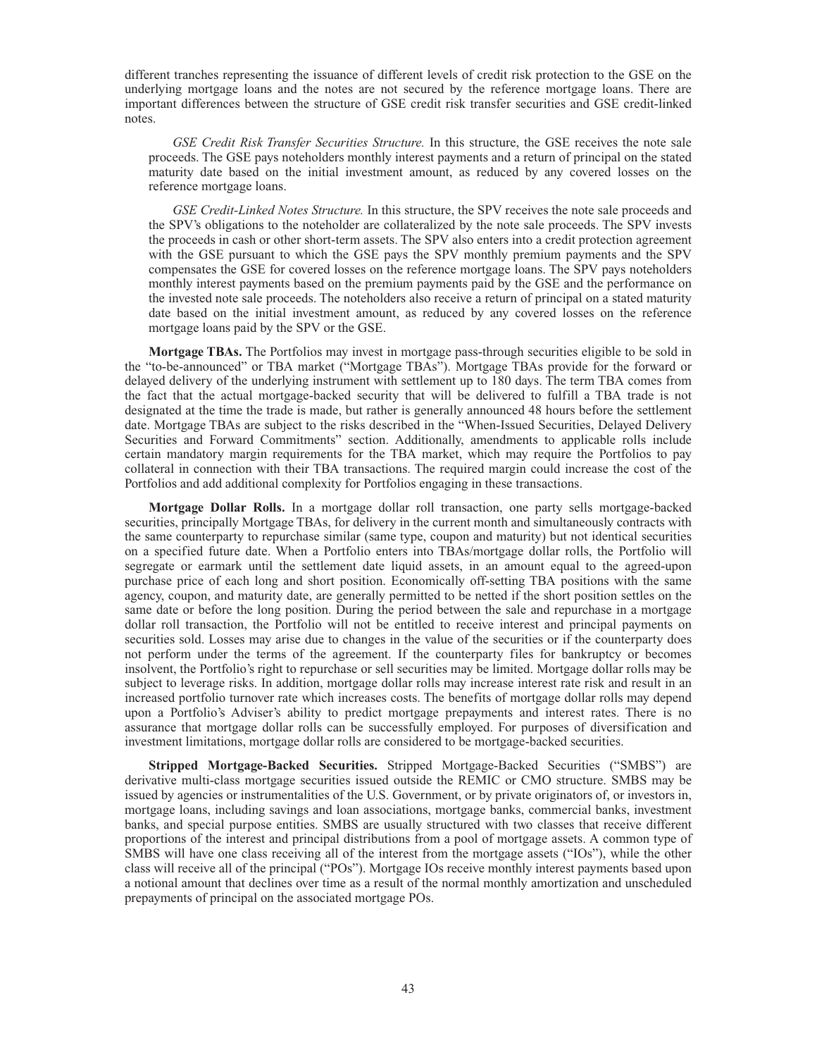different tranches representing the issuance of different levels of credit risk protection to the GSE on the underlying mortgage loans and the notes are not secured by the reference mortgage loans. There are important differences between the structure of GSE credit risk transfer securities and GSE credit-linked notes.

*GSE Credit Risk Transfer Securities Structure.* In this structure, the GSE receives the note sale proceeds. The GSE pays noteholders monthly interest payments and a return of principal on the stated maturity date based on the initial investment amount, as reduced by any covered losses on the reference mortgage loans.

*GSE Credit-Linked Notes Structure.* In this structure, the SPV receives the note sale proceeds and the SPV's obligations to the noteholder are collateralized by the note sale proceeds. The SPV invests the proceeds in cash or other short-term assets. The SPV also enters into a credit protection agreement with the GSE pursuant to which the GSE pays the SPV monthly premium payments and the SPV compensates the GSE for covered losses on the reference mortgage loans. The SPV pays noteholders monthly interest payments based on the premium payments paid by the GSE and the performance on the invested note sale proceeds. The noteholders also receive a return of principal on a stated maturity date based on the initial investment amount, as reduced by any covered losses on the reference mortgage loans paid by the SPV or the GSE.

**Mortgage TBAs.** The Portfolios may invest in mortgage pass-through securities eligible to be sold in the "to-be-announced" or TBA market ("Mortgage TBAs"). Mortgage TBAs provide for the forward or delayed delivery of the underlying instrument with settlement up to 180 days. The term TBA comes from the fact that the actual mortgage-backed security that will be delivered to fulfill a TBA trade is not designated at the time the trade is made, but rather is generally announced 48 hours before the settlement date. Mortgage TBAs are subject to the risks described in the "When-Issued Securities, Delayed Delivery Securities and Forward Commitments" section. Additionally, amendments to applicable rolls include certain mandatory margin requirements for the TBA market, which may require the Portfolios to pay collateral in connection with their TBA transactions. The required margin could increase the cost of the Portfolios and add additional complexity for Portfolios engaging in these transactions.

**Mortgage Dollar Rolls.** In a mortgage dollar roll transaction, one party sells mortgage-backed securities, principally Mortgage TBAs, for delivery in the current month and simultaneously contracts with the same counterparty to repurchase similar (same type, coupon and maturity) but not identical securities on a specified future date. When a Portfolio enters into TBAs/mortgage dollar rolls, the Portfolio will segregate or earmark until the settlement date liquid assets, in an amount equal to the agreed-upon purchase price of each long and short position. Economically off-setting TBA positions with the same agency, coupon, and maturity date, are generally permitted to be netted if the short position settles on the same date or before the long position. During the period between the sale and repurchase in a mortgage dollar roll transaction, the Portfolio will not be entitled to receive interest and principal payments on securities sold. Losses may arise due to changes in the value of the securities or if the counterparty does not perform under the terms of the agreement. If the counterparty files for bankruptcy or becomes insolvent, the Portfolio's right to repurchase or sell securities may be limited. Mortgage dollar rolls may be subject to leverage risks. In addition, mortgage dollar rolls may increase interest rate risk and result in an increased portfolio turnover rate which increases costs. The benefits of mortgage dollar rolls may depend upon a Portfolio's Adviser's ability to predict mortgage prepayments and interest rates. There is no assurance that mortgage dollar rolls can be successfully employed. For purposes of diversification and investment limitations, mortgage dollar rolls are considered to be mortgage-backed securities.

**Stripped Mortgage-Backed Securities.** Stripped Mortgage-Backed Securities ("SMBS") are derivative multi-class mortgage securities issued outside the REMIC or CMO structure. SMBS may be issued by agencies or instrumentalities of the U.S. Government, or by private originators of, or investors in, mortgage loans, including savings and loan associations, mortgage banks, commercial banks, investment banks, and special purpose entities. SMBS are usually structured with two classes that receive different proportions of the interest and principal distributions from a pool of mortgage assets. A common type of SMBS will have one class receiving all of the interest from the mortgage assets ("IOs"), while the other class will receive all of the principal ("POs"). Mortgage IOs receive monthly interest payments based upon a notional amount that declines over time as a result of the normal monthly amortization and unscheduled prepayments of principal on the associated mortgage POs.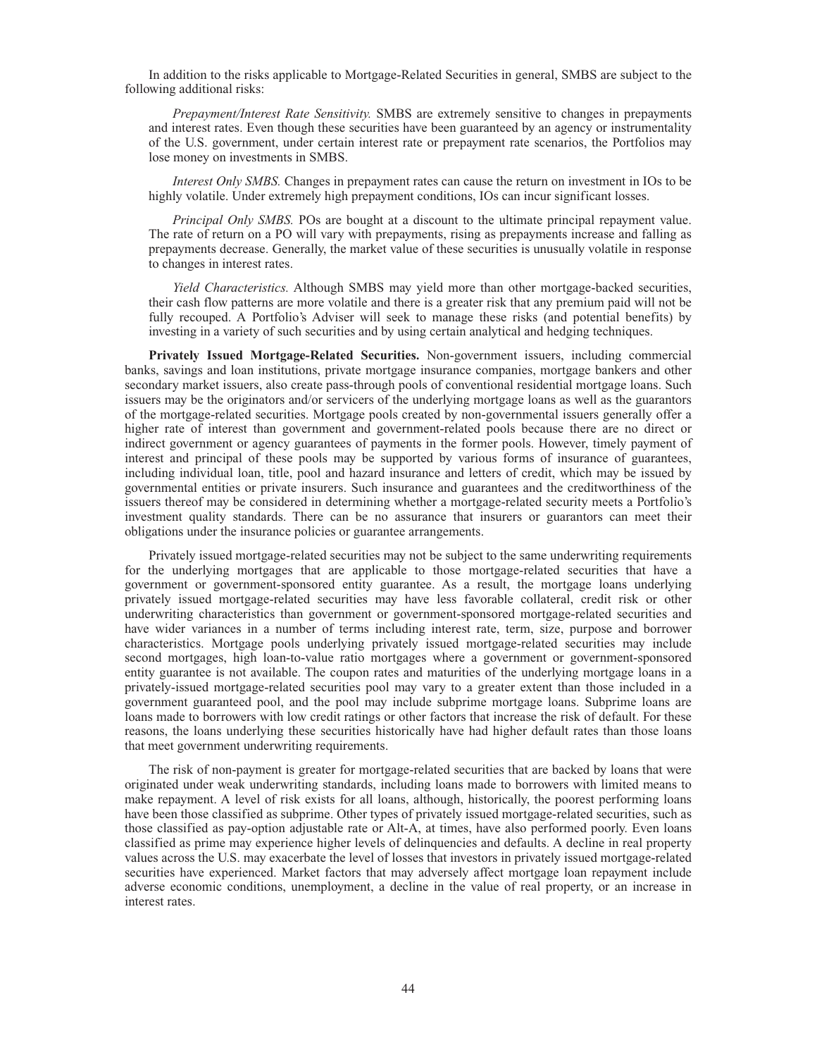In addition to the risks applicable to Mortgage-Related Securities in general, SMBS are subject to the following additional risks:

*Prepayment/Interest Rate Sensitivity.* SMBS are extremely sensitive to changes in prepayments and interest rates. Even though these securities have been guaranteed by an agency or instrumentality of the U.S. government, under certain interest rate or prepayment rate scenarios, the Portfolios may lose money on investments in SMBS.

*Interest Only SMBS*. Changes in prepayment rates can cause the return on investment in IOs to be highly volatile. Under extremely high prepayment conditions, IOs can incur significant losses.

*Principal Only SMBS.* POs are bought at a discount to the ultimate principal repayment value. The rate of return on a PO will vary with prepayments, rising as prepayments increase and falling as prepayments decrease. Generally, the market value of these securities is unusually volatile in response to changes in interest rates.

*Yield Characteristics.* Although SMBS may yield more than other mortgage-backed securities, their cash flow patterns are more volatile and there is a greater risk that any premium paid will not be fully recouped. A Portfolio's Adviser will seek to manage these risks (and potential benefits) by investing in a variety of such securities and by using certain analytical and hedging techniques.

**Privately Issued Mortgage-Related Securities.** Non-government issuers, including commercial banks, savings and loan institutions, private mortgage insurance companies, mortgage bankers and other secondary market issuers, also create pass-through pools of conventional residential mortgage loans. Such issuers may be the originators and/or servicers of the underlying mortgage loans as well as the guarantors of the mortgage-related securities. Mortgage pools created by non-governmental issuers generally offer a higher rate of interest than government and government-related pools because there are no direct or indirect government or agency guarantees of payments in the former pools. However, timely payment of interest and principal of these pools may be supported by various forms of insurance of guarantees, including individual loan, title, pool and hazard insurance and letters of credit, which may be issued by governmental entities or private insurers. Such insurance and guarantees and the creditworthiness of the issuers thereof may be considered in determining whether a mortgage-related security meets a Portfolio's investment quality standards. There can be no assurance that insurers or guarantors can meet their obligations under the insurance policies or guarantee arrangements.

Privately issued mortgage-related securities may not be subject to the same underwriting requirements for the underlying mortgages that are applicable to those mortgage-related securities that have a government or government-sponsored entity guarantee. As a result, the mortgage loans underlying privately issued mortgage-related securities may have less favorable collateral, credit risk or other underwriting characteristics than government or government-sponsored mortgage-related securities and have wider variances in a number of terms including interest rate, term, size, purpose and borrower characteristics. Mortgage pools underlying privately issued mortgage-related securities may include second mortgages, high loan-to-value ratio mortgages where a government or government-sponsored entity guarantee is not available. The coupon rates and maturities of the underlying mortgage loans in a privately-issued mortgage-related securities pool may vary to a greater extent than those included in a government guaranteed pool, and the pool may include subprime mortgage loans. Subprime loans are loans made to borrowers with low credit ratings or other factors that increase the risk of default. For these reasons, the loans underlying these securities historically have had higher default rates than those loans that meet government underwriting requirements.

The risk of non-payment is greater for mortgage-related securities that are backed by loans that were originated under weak underwriting standards, including loans made to borrowers with limited means to make repayment. A level of risk exists for all loans, although, historically, the poorest performing loans have been those classified as subprime. Other types of privately issued mortgage-related securities, such as those classified as pay-option adjustable rate or Alt-A, at times, have also performed poorly. Even loans classified as prime may experience higher levels of delinquencies and defaults. A decline in real property values across the U.S. may exacerbate the level of losses that investors in privately issued mortgage-related securities have experienced. Market factors that may adversely affect mortgage loan repayment include adverse economic conditions, unemployment, a decline in the value of real property, or an increase in interest rates.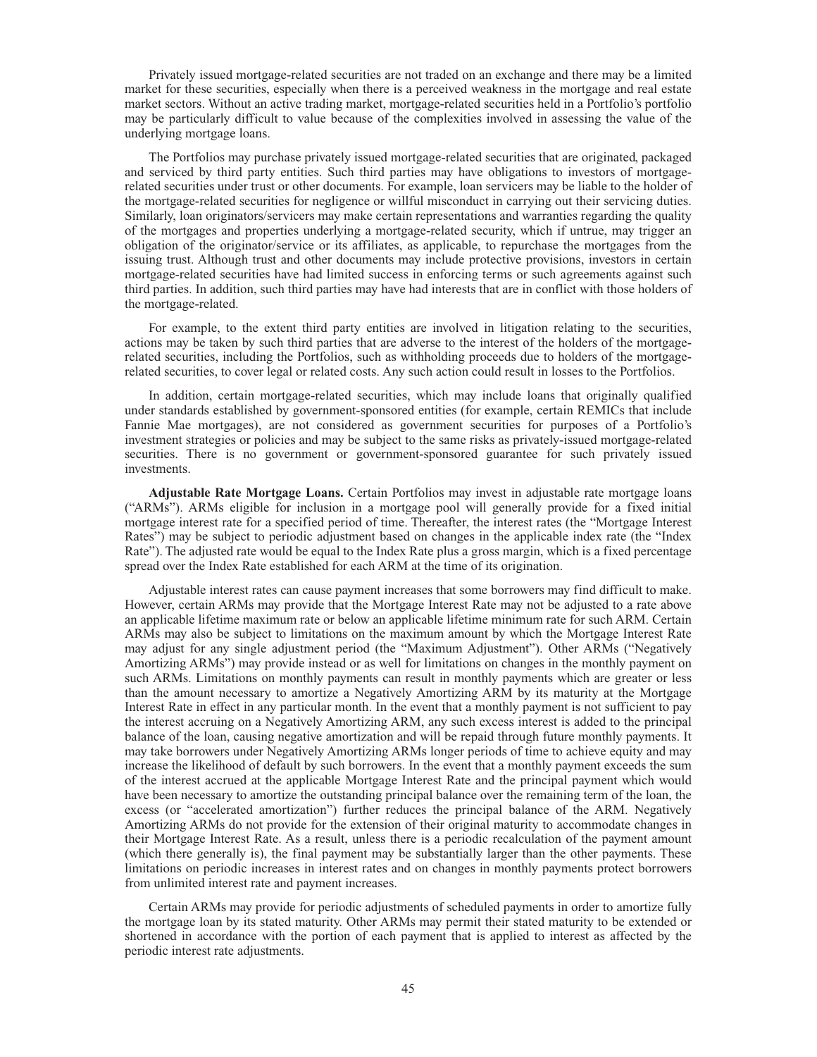Privately issued mortgage-related securities are not traded on an exchange and there may be a limited market for these securities, especially when there is a perceived weakness in the mortgage and real estate market sectors. Without an active trading market, mortgage-related securities held in a Portfolio's portfolio may be particularly difficult to value because of the complexities involved in assessing the value of the underlying mortgage loans.

The Portfolios may purchase privately issued mortgage-related securities that are originated, packaged and serviced by third party entities. Such third parties may have obligations to investors of mortgagerelated securities under trust or other documents. For example, loan servicers may be liable to the holder of the mortgage-related securities for negligence or willful misconduct in carrying out their servicing duties. Similarly, loan originators/servicers may make certain representations and warranties regarding the quality of the mortgages and properties underlying a mortgage-related security, which if untrue, may trigger an obligation of the originator/service or its affiliates, as applicable, to repurchase the mortgages from the issuing trust. Although trust and other documents may include protective provisions, investors in certain mortgage-related securities have had limited success in enforcing terms or such agreements against such third parties. In addition, such third parties may have had interests that are in conflict with those holders of the mortgage-related.

For example, to the extent third party entities are involved in litigation relating to the securities, actions may be taken by such third parties that are adverse to the interest of the holders of the mortgagerelated securities, including the Portfolios, such as withholding proceeds due to holders of the mortgagerelated securities, to cover legal or related costs. Any such action could result in losses to the Portfolios.

In addition, certain mortgage-related securities, which may include loans that originally qualified under standards established by government-sponsored entities (for example, certain REMICs that include Fannie Mae mortgages), are not considered as government securities for purposes of a Portfolio's investment strategies or policies and may be subject to the same risks as privately-issued mortgage-related securities. There is no government or government-sponsored guarantee for such privately issued investments.

**Adjustable Rate Mortgage Loans.** Certain Portfolios may invest in adjustable rate mortgage loans ("ARMs"). ARMs eligible for inclusion in a mortgage pool will generally provide for a fixed initial mortgage interest rate for a specified period of time. Thereafter, the interest rates (the "Mortgage Interest Rates") may be subject to periodic adjustment based on changes in the applicable index rate (the "Index Rate"). The adjusted rate would be equal to the Index Rate plus a gross margin, which is a fixed percentage spread over the Index Rate established for each ARM at the time of its origination.

Adjustable interest rates can cause payment increases that some borrowers may find difficult to make. However, certain ARMs may provide that the Mortgage Interest Rate may not be adjusted to a rate above an applicable lifetime maximum rate or below an applicable lifetime minimum rate for such ARM. Certain ARMs may also be subject to limitations on the maximum amount by which the Mortgage Interest Rate may adjust for any single adjustment period (the "Maximum Adjustment"). Other ARMs ("Negatively Amortizing ARMs") may provide instead or as well for limitations on changes in the monthly payment on such ARMs. Limitations on monthly payments can result in monthly payments which are greater or less than the amount necessary to amortize a Negatively Amortizing ARM by its maturity at the Mortgage Interest Rate in effect in any particular month. In the event that a monthly payment is not sufficient to pay the interest accruing on a Negatively Amortizing ARM, any such excess interest is added to the principal balance of the loan, causing negative amortization and will be repaid through future monthly payments. It may take borrowers under Negatively Amortizing ARMs longer periods of time to achieve equity and may increase the likelihood of default by such borrowers. In the event that a monthly payment exceeds the sum of the interest accrued at the applicable Mortgage Interest Rate and the principal payment which would have been necessary to amortize the outstanding principal balance over the remaining term of the loan, the excess (or "accelerated amortization") further reduces the principal balance of the ARM. Negatively Amortizing ARMs do not provide for the extension of their original maturity to accommodate changes in their Mortgage Interest Rate. As a result, unless there is a periodic recalculation of the payment amount (which there generally is), the final payment may be substantially larger than the other payments. These limitations on periodic increases in interest rates and on changes in monthly payments protect borrowers from unlimited interest rate and payment increases.

Certain ARMs may provide for periodic adjustments of scheduled payments in order to amortize fully the mortgage loan by its stated maturity. Other ARMs may permit their stated maturity to be extended or shortened in accordance with the portion of each payment that is applied to interest as affected by the periodic interest rate adjustments.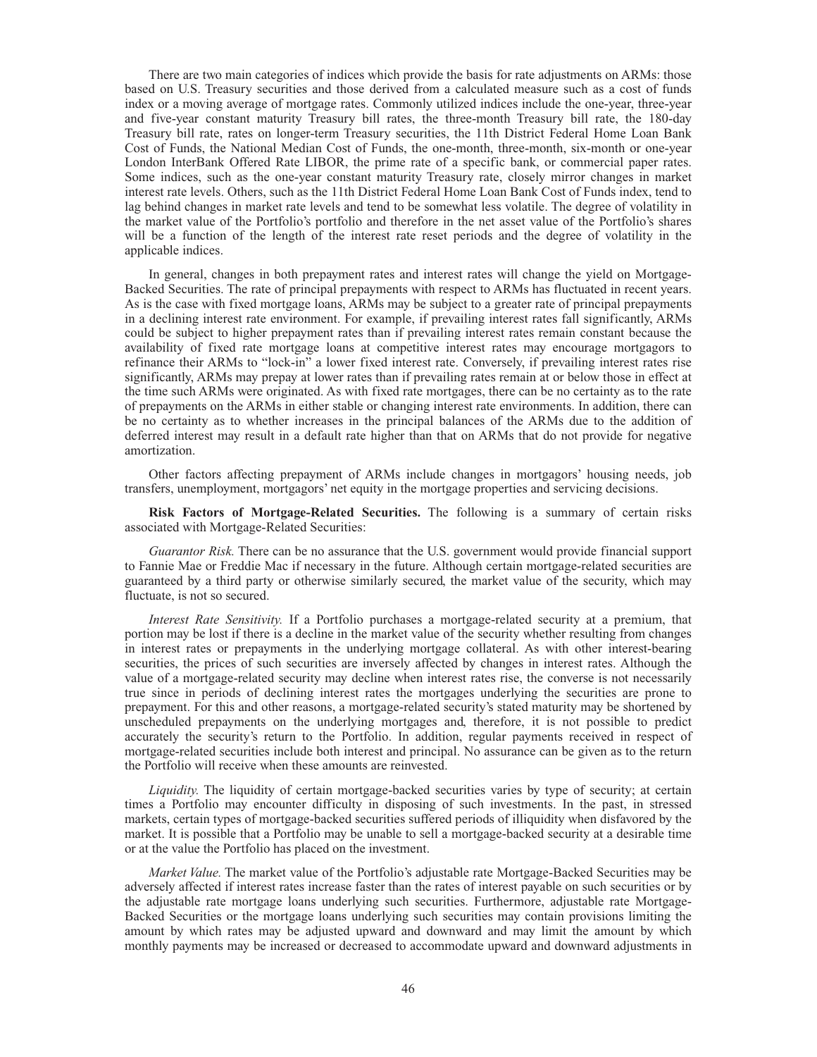There are two main categories of indices which provide the basis for rate adjustments on ARMs: those based on U.S. Treasury securities and those derived from a calculated measure such as a cost of funds index or a moving average of mortgage rates. Commonly utilized indices include the one-year, three-year and five-year constant maturity Treasury bill rates, the three-month Treasury bill rate, the 180-day Treasury bill rate, rates on longer-term Treasury securities, the 11th District Federal Home Loan Bank Cost of Funds, the National Median Cost of Funds, the one-month, three-month, six-month or one-year London InterBank Offered Rate LIBOR, the prime rate of a specific bank, or commercial paper rates. Some indices, such as the one-year constant maturity Treasury rate, closely mirror changes in market interest rate levels. Others, such as the 11th District Federal Home Loan Bank Cost of Funds index, tend to lag behind changes in market rate levels and tend to be somewhat less volatile. The degree of volatility in the market value of the Portfolio's portfolio and therefore in the net asset value of the Portfolio's shares will be a function of the length of the interest rate reset periods and the degree of volatility in the applicable indices.

In general, changes in both prepayment rates and interest rates will change the yield on Mortgage-Backed Securities. The rate of principal prepayments with respect to ARMs has fluctuated in recent years. As is the case with fixed mortgage loans, ARMs may be subject to a greater rate of principal prepayments in a declining interest rate environment. For example, if prevailing interest rates fall significantly, ARMs could be subject to higher prepayment rates than if prevailing interest rates remain constant because the availability of fixed rate mortgage loans at competitive interest rates may encourage mortgagors to refinance their ARMs to "lock-in" a lower fixed interest rate. Conversely, if prevailing interest rates rise significantly, ARMs may prepay at lower rates than if prevailing rates remain at or below those in effect at the time such ARMs were originated. As with fixed rate mortgages, there can be no certainty as to the rate of prepayments on the ARMs in either stable or changing interest rate environments. In addition, there can be no certainty as to whether increases in the principal balances of the ARMs due to the addition of deferred interest may result in a default rate higher than that on ARMs that do not provide for negative amortization.

Other factors affecting prepayment of ARMs include changes in mortgagors' housing needs, job transfers, unemployment, mortgagors' net equity in the mortgage properties and servicing decisions.

**Risk Factors of Mortgage-Related Securities.** The following is a summary of certain risks associated with Mortgage-Related Securities:

*Guarantor Risk.* There can be no assurance that the U.S. government would provide financial support to Fannie Mae or Freddie Mac if necessary in the future. Although certain mortgage-related securities are guaranteed by a third party or otherwise similarly secured, the market value of the security, which may fluctuate, is not so secured.

*Interest Rate Sensitivity.* If a Portfolio purchases a mortgage-related security at a premium, that portion may be lost if there is a decline in the market value of the security whether resulting from changes in interest rates or prepayments in the underlying mortgage collateral. As with other interest-bearing securities, the prices of such securities are inversely affected by changes in interest rates. Although the value of a mortgage-related security may decline when interest rates rise, the converse is not necessarily true since in periods of declining interest rates the mortgages underlying the securities are prone to prepayment. For this and other reasons, a mortgage-related security's stated maturity may be shortened by unscheduled prepayments on the underlying mortgages and, therefore, it is not possible to predict accurately the security's return to the Portfolio. In addition, regular payments received in respect of mortgage-related securities include both interest and principal. No assurance can be given as to the return the Portfolio will receive when these amounts are reinvested.

*Liquidity.* The liquidity of certain mortgage-backed securities varies by type of security; at certain times a Portfolio may encounter difficulty in disposing of such investments. In the past, in stressed markets, certain types of mortgage-backed securities suffered periods of illiquidity when disfavored by the market. It is possible that a Portfolio may be unable to sell a mortgage-backed security at a desirable time or at the value the Portfolio has placed on the investment.

*Market Value.* The market value of the Portfolio's adjustable rate Mortgage-Backed Securities may be adversely affected if interest rates increase faster than the rates of interest payable on such securities or by the adjustable rate mortgage loans underlying such securities. Furthermore, adjustable rate Mortgage-Backed Securities or the mortgage loans underlying such securities may contain provisions limiting the amount by which rates may be adjusted upward and downward and may limit the amount by which monthly payments may be increased or decreased to accommodate upward and downward adjustments in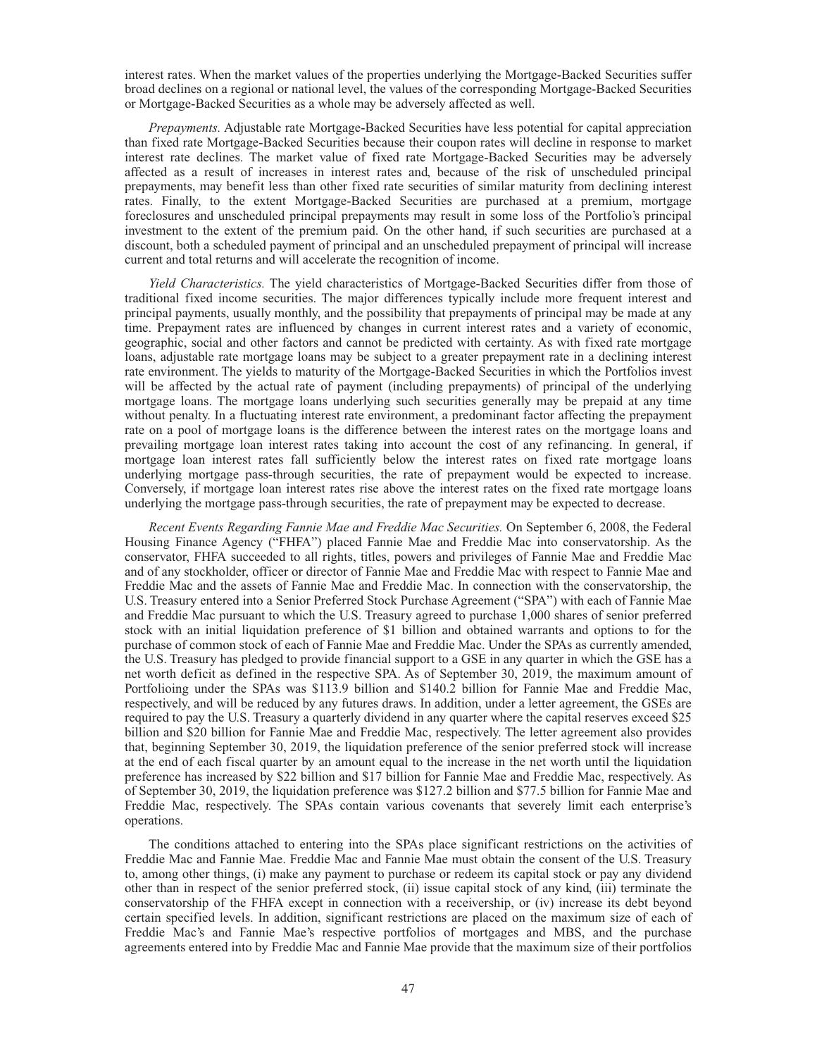interest rates. When the market values of the properties underlying the Mortgage-Backed Securities suffer broad declines on a regional or national level, the values of the corresponding Mortgage-Backed Securities or Mortgage-Backed Securities as a whole may be adversely affected as well.

*Prepayments.* Adjustable rate Mortgage-Backed Securities have less potential for capital appreciation than fixed rate Mortgage-Backed Securities because their coupon rates will decline in response to market interest rate declines. The market value of fixed rate Mortgage-Backed Securities may be adversely affected as a result of increases in interest rates and, because of the risk of unscheduled principal prepayments, may benefit less than other fixed rate securities of similar maturity from declining interest rates. Finally, to the extent Mortgage-Backed Securities are purchased at a premium, mortgage foreclosures and unscheduled principal prepayments may result in some loss of the Portfolio's principal investment to the extent of the premium paid. On the other hand, if such securities are purchased at a discount, both a scheduled payment of principal and an unscheduled prepayment of principal will increase current and total returns and will accelerate the recognition of income.

*Yield Characteristics.* The yield characteristics of Mortgage-Backed Securities differ from those of traditional fixed income securities. The major differences typically include more frequent interest and principal payments, usually monthly, and the possibility that prepayments of principal may be made at any time. Prepayment rates are influenced by changes in current interest rates and a variety of economic, geographic, social and other factors and cannot be predicted with certainty. As with fixed rate mortgage loans, adjustable rate mortgage loans may be subject to a greater prepayment rate in a declining interest rate environment. The yields to maturity of the Mortgage-Backed Securities in which the Portfolios invest will be affected by the actual rate of payment (including prepayments) of principal of the underlying mortgage loans. The mortgage loans underlying such securities generally may be prepaid at any time without penalty. In a fluctuating interest rate environment, a predominant factor affecting the prepayment rate on a pool of mortgage loans is the difference between the interest rates on the mortgage loans and prevailing mortgage loan interest rates taking into account the cost of any refinancing. In general, if mortgage loan interest rates fall sufficiently below the interest rates on fixed rate mortgage loans underlying mortgage pass-through securities, the rate of prepayment would be expected to increase. Conversely, if mortgage loan interest rates rise above the interest rates on the fixed rate mortgage loans underlying the mortgage pass-through securities, the rate of prepayment may be expected to decrease.

*Recent Events Regarding Fannie Mae and Freddie Mac Securities.* On September 6, 2008, the Federal Housing Finance Agency ("FHFA") placed Fannie Mae and Freddie Mac into conservatorship. As the conservator, FHFA succeeded to all rights, titles, powers and privileges of Fannie Mae and Freddie Mac and of any stockholder, officer or director of Fannie Mae and Freddie Mac with respect to Fannie Mae and Freddie Mac and the assets of Fannie Mae and Freddie Mac. In connection with the conservatorship, the U.S. Treasury entered into a Senior Preferred Stock Purchase Agreement ("SPA") with each of Fannie Mae and Freddie Mac pursuant to which the U.S. Treasury agreed to purchase 1,000 shares of senior preferred stock with an initial liquidation preference of \$1 billion and obtained warrants and options to for the purchase of common stock of each of Fannie Mae and Freddie Mac. Under the SPAs as currently amended, the U.S. Treasury has pledged to provide financial support to a GSE in any quarter in which the GSE has a net worth deficit as defined in the respective SPA. As of September 30, 2019, the maximum amount of Portfolioing under the SPAs was \$113.9 billion and \$140.2 billion for Fannie Mae and Freddie Mac, respectively, and will be reduced by any futures draws. In addition, under a letter agreement, the GSEs are required to pay the U.S. Treasury a quarterly dividend in any quarter where the capital reserves exceed \$25 billion and \$20 billion for Fannie Mae and Freddie Mac, respectively. The letter agreement also provides that, beginning September 30, 2019, the liquidation preference of the senior preferred stock will increase at the end of each fiscal quarter by an amount equal to the increase in the net worth until the liquidation preference has increased by \$22 billion and \$17 billion for Fannie Mae and Freddie Mac, respectively. As of September 30, 2019, the liquidation preference was \$127.2 billion and \$77.5 billion for Fannie Mae and Freddie Mac, respectively. The SPAs contain various covenants that severely limit each enterprise's operations.

The conditions attached to entering into the SPAs place significant restrictions on the activities of Freddie Mac and Fannie Mae. Freddie Mac and Fannie Mae must obtain the consent of the U.S. Treasury to, among other things, (i) make any payment to purchase or redeem its capital stock or pay any dividend other than in respect of the senior preferred stock, (ii) issue capital stock of any kind, (iii) terminate the conservatorship of the FHFA except in connection with a receivership, or (iv) increase its debt beyond certain specified levels. In addition, significant restrictions are placed on the maximum size of each of Freddie Mac's and Fannie Mae's respective portfolios of mortgages and MBS, and the purchase agreements entered into by Freddie Mac and Fannie Mae provide that the maximum size of their portfolios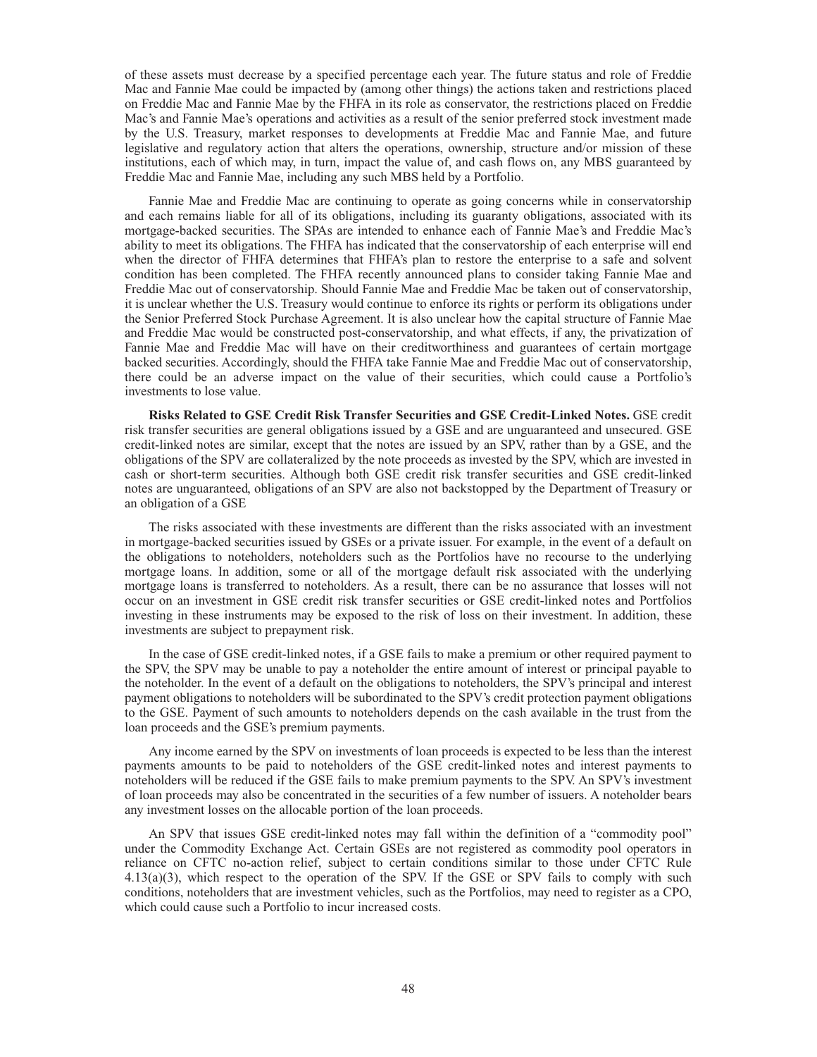of these assets must decrease by a specified percentage each year. The future status and role of Freddie Mac and Fannie Mae could be impacted by (among other things) the actions taken and restrictions placed on Freddie Mac and Fannie Mae by the FHFA in its role as conservator, the restrictions placed on Freddie Mac's and Fannie Mae's operations and activities as a result of the senior preferred stock investment made by the U.S. Treasury, market responses to developments at Freddie Mac and Fannie Mae, and future legislative and regulatory action that alters the operations, ownership, structure and/or mission of these institutions, each of which may, in turn, impact the value of, and cash flows on, any MBS guaranteed by Freddie Mac and Fannie Mae, including any such MBS held by a Portfolio.

Fannie Mae and Freddie Mac are continuing to operate as going concerns while in conservatorship and each remains liable for all of its obligations, including its guaranty obligations, associated with its mortgage-backed securities. The SPAs are intended to enhance each of Fannie Mae's and Freddie Mac's ability to meet its obligations. The FHFA has indicated that the conservatorship of each enterprise will end when the director of FHFA determines that FHFA's plan to restore the enterprise to a safe and solvent condition has been completed. The FHFA recently announced plans to consider taking Fannie Mae and Freddie Mac out of conservatorship. Should Fannie Mae and Freddie Mac be taken out of conservatorship, it is unclear whether the U.S. Treasury would continue to enforce its rights or perform its obligations under the Senior Preferred Stock Purchase Agreement. It is also unclear how the capital structure of Fannie Mae and Freddie Mac would be constructed post-conservatorship, and what effects, if any, the privatization of Fannie Mae and Freddie Mac will have on their creditworthiness and guarantees of certain mortgage backed securities. Accordingly, should the FHFA take Fannie Mae and Freddie Mac out of conservatorship, there could be an adverse impact on the value of their securities, which could cause a Portfolio's investments to lose value.

**Risks Related to GSE Credit Risk Transfer Securities and GSE Credit-Linked Notes.** GSE credit risk transfer securities are general obligations issued by a GSE and are unguaranteed and unsecured. GSE credit-linked notes are similar, except that the notes are issued by an SPV, rather than by a GSE, and the obligations of the SPV are collateralized by the note proceeds as invested by the SPV, which are invested in cash or short-term securities. Although both GSE credit risk transfer securities and GSE credit-linked notes are unguaranteed, obligations of an SPV are also not backstopped by the Department of Treasury or an obligation of a GSE

The risks associated with these investments are different than the risks associated with an investment in mortgage-backed securities issued by GSEs or a private issuer. For example, in the event of a default on the obligations to noteholders, noteholders such as the Portfolios have no recourse to the underlying mortgage loans. In addition, some or all of the mortgage default risk associated with the underlying mortgage loans is transferred to noteholders. As a result, there can be no assurance that losses will not occur on an investment in GSE credit risk transfer securities or GSE credit-linked notes and Portfolios investing in these instruments may be exposed to the risk of loss on their investment. In addition, these investments are subject to prepayment risk.

In the case of GSE credit-linked notes, if a GSE fails to make a premium or other required payment to the SPV, the SPV may be unable to pay a noteholder the entire amount of interest or principal payable to the noteholder. In the event of a default on the obligations to noteholders, the SPV's principal and interest payment obligations to noteholders will be subordinated to the SPV's credit protection payment obligations to the GSE. Payment of such amounts to noteholders depends on the cash available in the trust from the loan proceeds and the GSE's premium payments.

Any income earned by the SPV on investments of loan proceeds is expected to be less than the interest payments amounts to be paid to noteholders of the GSE credit-linked notes and interest payments to noteholders will be reduced if the GSE fails to make premium payments to the SPV. An SPV's investment of loan proceeds may also be concentrated in the securities of a few number of issuers. A noteholder bears any investment losses on the allocable portion of the loan proceeds.

An SPV that issues GSE credit-linked notes may fall within the definition of a "commodity pool" under the Commodity Exchange Act. Certain GSEs are not registered as commodity pool operators in reliance on CFTC no-action relief, subject to certain conditions similar to those under CFTC Rule 4.13(a)(3), which respect to the operation of the SPV. If the GSE or SPV fails to comply with such conditions, noteholders that are investment vehicles, such as the Portfolios, may need to register as a CPO, which could cause such a Portfolio to incur increased costs.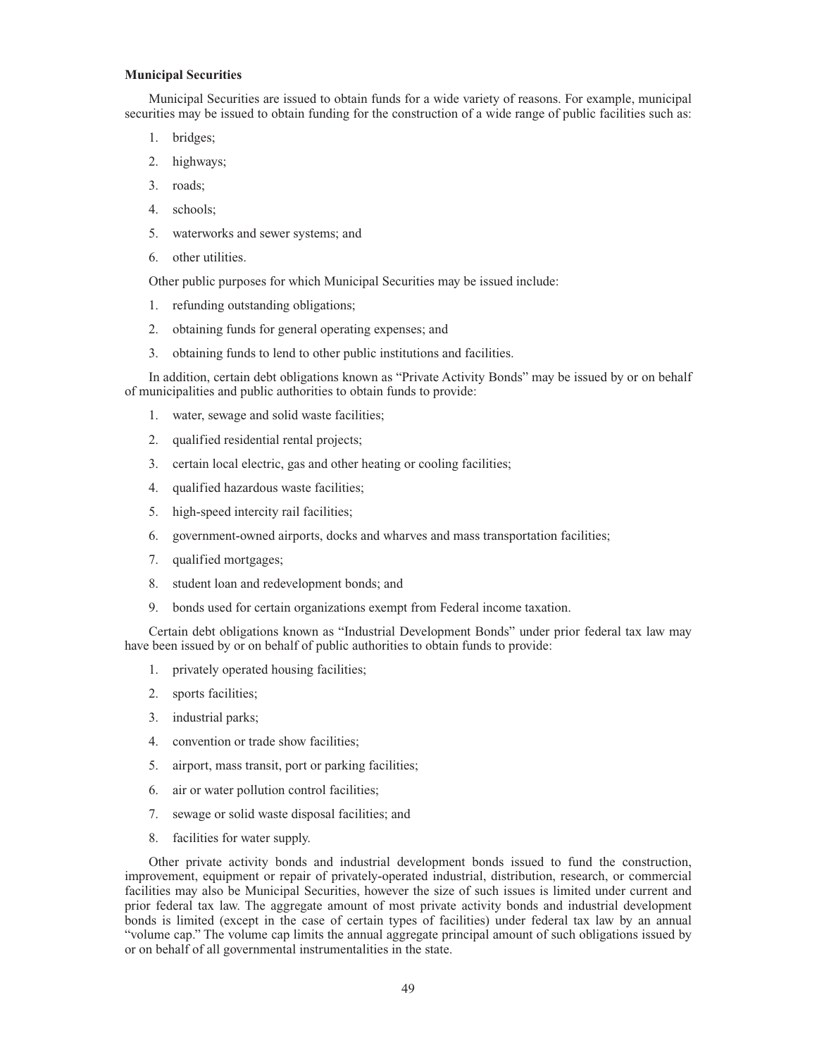## **Municipal Securities**

Municipal Securities are issued to obtain funds for a wide variety of reasons. For example, municipal securities may be issued to obtain funding for the construction of a wide range of public facilities such as:

- 1. bridges;
- 2. highways;
- 3. roads;
- 4. schools;
- 5. waterworks and sewer systems; and
- 6. other utilities.

Other public purposes for which Municipal Securities may be issued include:

- 1. refunding outstanding obligations;
- 2. obtaining funds for general operating expenses; and
- 3. obtaining funds to lend to other public institutions and facilities.

In addition, certain debt obligations known as "Private Activity Bonds" may be issued by or on behalf of municipalities and public authorities to obtain funds to provide:

- 1. water, sewage and solid waste facilities;
- 2. qualified residential rental projects;
- 3. certain local electric, gas and other heating or cooling facilities;
- 4. qualified hazardous waste facilities;
- 5. high-speed intercity rail facilities;
- 6. government-owned airports, docks and wharves and mass transportation facilities;
- 7. qualified mortgages;
- 8. student loan and redevelopment bonds; and
- 9. bonds used for certain organizations exempt from Federal income taxation.

Certain debt obligations known as "Industrial Development Bonds" under prior federal tax law may have been issued by or on behalf of public authorities to obtain funds to provide:

- 1. privately operated housing facilities;
- 2. sports facilities;
- 3. industrial parks;
- 4. convention or trade show facilities;
- 5. airport, mass transit, port or parking facilities;
- 6. air or water pollution control facilities;
- 7. sewage or solid waste disposal facilities; and
- 8. facilities for water supply.

Other private activity bonds and industrial development bonds issued to fund the construction, improvement, equipment or repair of privately-operated industrial, distribution, research, or commercial facilities may also be Municipal Securities, however the size of such issues is limited under current and prior federal tax law. The aggregate amount of most private activity bonds and industrial development bonds is limited (except in the case of certain types of facilities) under federal tax law by an annual "volume cap." The volume cap limits the annual aggregate principal amount of such obligations issued by or on behalf of all governmental instrumentalities in the state.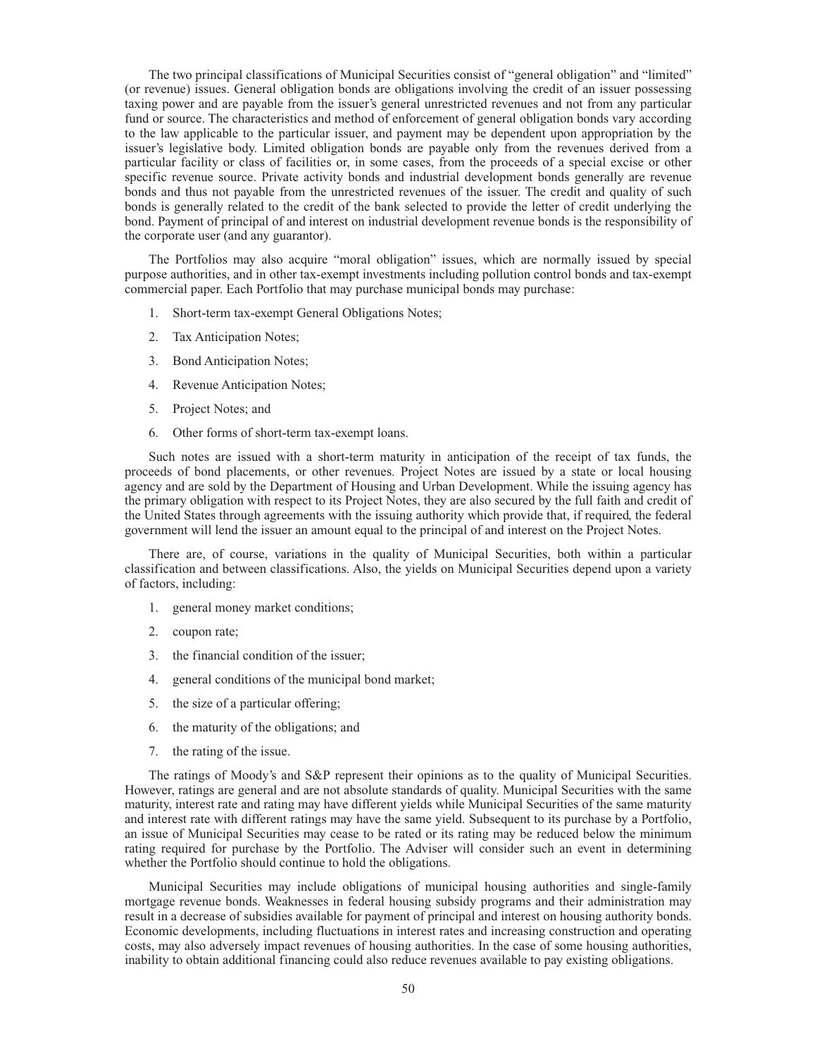The two principal classifications of Municipal Securities consist of "general obligation" and "limited" (or revenue) issues. General obligation bonds are obligations involving the credit of an issuer possessing taxing power and are payable from the issuer's general unrestricted revenues and not from any particular fund or source. The characteristics and method of enforcement of general obligation bonds vary according to the law applicable to the particular issuer, and payment may be dependent upon appropriation by the issuer's legislative body. Limited obligation bonds are payable only from the revenues derived from a particular facility or class of facilities or, in some cases, from the proceeds of a special excise or other specific revenue source. Private activity bonds and industrial development bonds generally are revenue bonds and thus not payable from the unrestricted revenues of the issuer. The credit and quality of such bonds is generally related to the credit of the bank selected to provide the letter of credit underlying the bond. Payment of principal of and interest on industrial development revenue bonds is the responsibility of the corporate user (and any guarantor).

The Portfolios may also acquire "moral obligation" issues, which are normally issued by special purpose authorities, and in other tax-exempt investments including pollution control bonds and tax-exempt commercial paper. Each Portfolio that may purchase municipal bonds may purchase:

- 1. Short-term tax-exempt General Obligations Notes;
- 2. Tax Anticipation Notes;
- 3. Bond Anticipation Notes;
- 4. Revenue Anticipation Notes;
- 5. Project Notes; and
- 6. Other forms of short-term tax-exempt loans.

Such notes are issued with a short-term maturity in anticipation of the receipt of tax funds, the proceeds of bond placements, or other revenues. Project Notes are issued by a state or local housing agency and are sold by the Department of Housing and Urban Development. While the issuing agency has the primary obligation with respect to its Project Notes, they are also secured by the full faith and credit of the United States through agreements with the issuing authority which provide that, if required, the federal government will lend the issuer an amount equal to the principal of and interest on the Project Notes.

There are, of course, variations in the quality of Municipal Securities, both within a particular classification and between classifications. Also, the yields on Municipal Securities depend upon a variety of factors, including:

- 1. general money market conditions;
- 2. coupon rate;
- 3. the financial condition of the issuer;
- 4. general conditions of the municipal bond market;
- 5. the size of a particular offering;
- 6. the maturity of the obligations; and
- 7. the rating of the issue.

The ratings of Moody's and S&P represent their opinions as to the quality of Municipal Securities. However, ratings are general and are not absolute standards of quality. Municipal Securities with the same maturity, interest rate and rating may have different yields while Municipal Securities of the same maturity and interest rate with different ratings may have the same yield. Subsequent to its purchase by a Portfolio, an issue of Municipal Securities may cease to be rated or its rating may be reduced below the minimum rating required for purchase by the Portfolio. The Adviser will consider such an event in determining whether the Portfolio should continue to hold the obligations.

Municipal Securities may include obligations of municipal housing authorities and single-family mortgage revenue bonds. Weaknesses in federal housing subsidy programs and their administration may result in a decrease of subsidies available for payment of principal and interest on housing authority bonds. Economic developments, including fluctuations in interest rates and increasing construction and operating costs, may also adversely impact revenues of housing authorities. In the case of some housing authorities, inability to obtain additional financing could also reduce revenues available to pay existing obligations.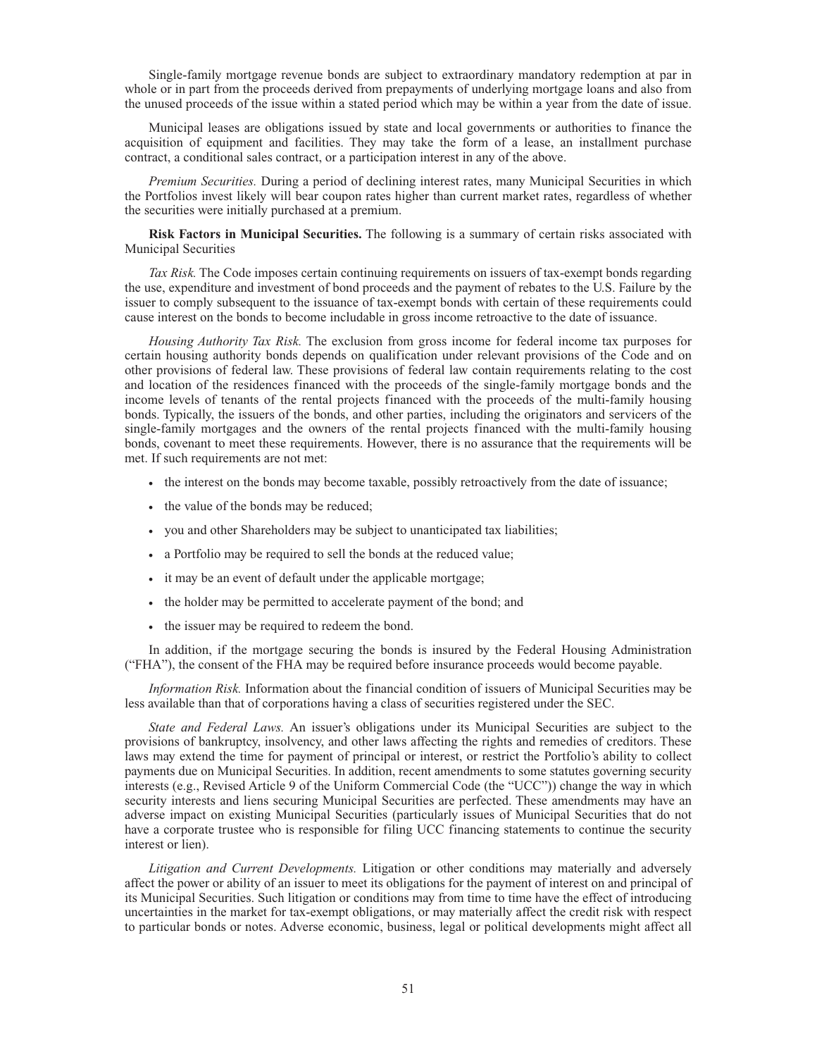Single-family mortgage revenue bonds are subject to extraordinary mandatory redemption at par in whole or in part from the proceeds derived from prepayments of underlying mortgage loans and also from the unused proceeds of the issue within a stated period which may be within a year from the date of issue.

Municipal leases are obligations issued by state and local governments or authorities to finance the acquisition of equipment and facilities. They may take the form of a lease, an installment purchase contract, a conditional sales contract, or a participation interest in any of the above.

*Premium Securities.* During a period of declining interest rates, many Municipal Securities in which the Portfolios invest likely will bear coupon rates higher than current market rates, regardless of whether the securities were initially purchased at a premium.

**Risk Factors in Municipal Securities.** The following is a summary of certain risks associated with Municipal Securities

*Tax Risk.* The Code imposes certain continuing requirements on issuers of tax-exempt bonds regarding the use, expenditure and investment of bond proceeds and the payment of rebates to the U.S. Failure by the issuer to comply subsequent to the issuance of tax-exempt bonds with certain of these requirements could cause interest on the bonds to become includable in gross income retroactive to the date of issuance.

*Housing Authority Tax Risk.* The exclusion from gross income for federal income tax purposes for certain housing authority bonds depends on qualification under relevant provisions of the Code and on other provisions of federal law. These provisions of federal law contain requirements relating to the cost and location of the residences financed with the proceeds of the single-family mortgage bonds and the income levels of tenants of the rental projects financed with the proceeds of the multi-family housing bonds. Typically, the issuers of the bonds, and other parties, including the originators and servicers of the single-family mortgages and the owners of the rental projects financed with the multi-family housing bonds, covenant to meet these requirements. However, there is no assurance that the requirements will be met. If such requirements are not met:

- the interest on the bonds may become taxable, possibly retroactively from the date of issuance;
- the value of the bonds may be reduced;
- you and other Shareholders may be subject to unanticipated tax liabilities;
- a Portfolio may be required to sell the bonds at the reduced value;
- it may be an event of default under the applicable mortgage;
- the holder may be permitted to accelerate payment of the bond; and
- the issuer may be required to redeem the bond.

In addition, if the mortgage securing the bonds is insured by the Federal Housing Administration ("FHA"), the consent of the FHA may be required before insurance proceeds would become payable.

*Information Risk.* Information about the financial condition of issuers of Municipal Securities may be less available than that of corporations having a class of securities registered under the SEC.

*State and Federal Laws.* An issuer's obligations under its Municipal Securities are subject to the provisions of bankruptcy, insolvency, and other laws affecting the rights and remedies of creditors. These laws may extend the time for payment of principal or interest, or restrict the Portfolio's ability to collect payments due on Municipal Securities. In addition, recent amendments to some statutes governing security interests (e.g., Revised Article 9 of the Uniform Commercial Code (the "UCC")) change the way in which security interests and liens securing Municipal Securities are perfected. These amendments may have an adverse impact on existing Municipal Securities (particularly issues of Municipal Securities that do not have a corporate trustee who is responsible for filing UCC financing statements to continue the security interest or lien).

*Litigation and Current Developments.* Litigation or other conditions may materially and adversely affect the power or ability of an issuer to meet its obligations for the payment of interest on and principal of its Municipal Securities. Such litigation or conditions may from time to time have the effect of introducing uncertainties in the market for tax-exempt obligations, or may materially affect the credit risk with respect to particular bonds or notes. Adverse economic, business, legal or political developments might affect all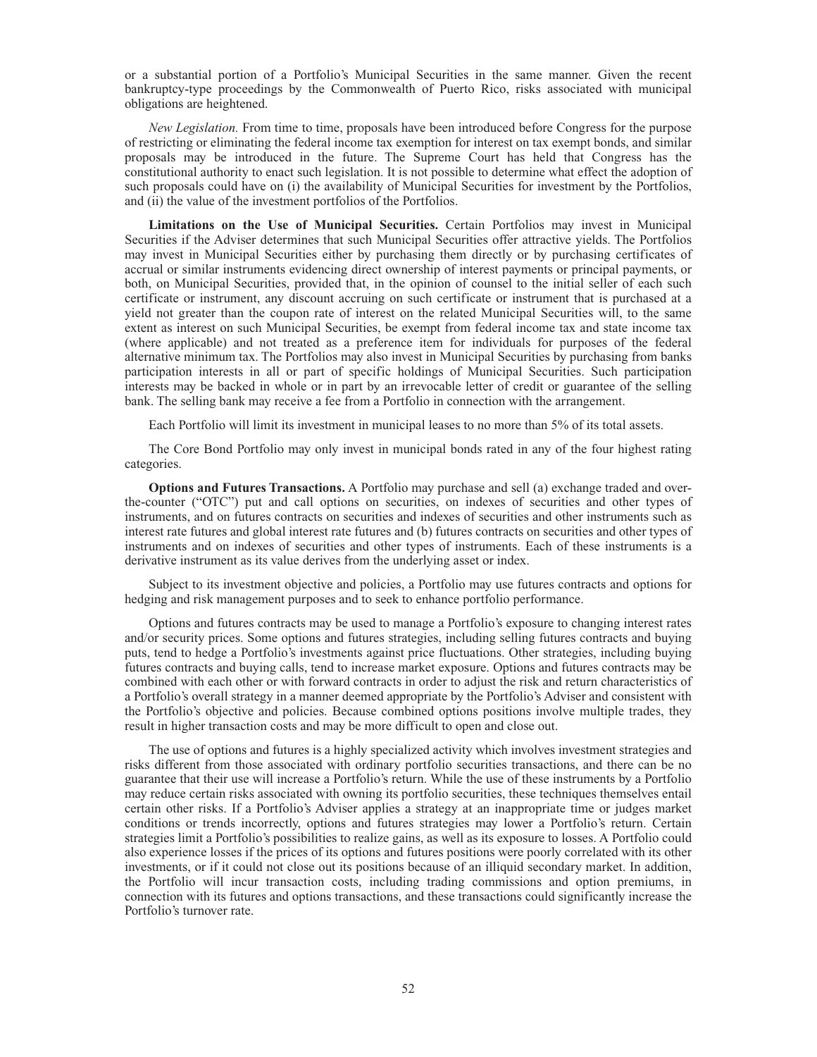or a substantial portion of a Portfolio's Municipal Securities in the same manner. Given the recent bankruptcy-type proceedings by the Commonwealth of Puerto Rico, risks associated with municipal obligations are heightened.

*New Legislation.* From time to time, proposals have been introduced before Congress for the purpose of restricting or eliminating the federal income tax exemption for interest on tax exempt bonds, and similar proposals may be introduced in the future. The Supreme Court has held that Congress has the constitutional authority to enact such legislation. It is not possible to determine what effect the adoption of such proposals could have on (i) the availability of Municipal Securities for investment by the Portfolios, and (ii) the value of the investment portfolios of the Portfolios.

**Limitations on the Use of Municipal Securities.** Certain Portfolios may invest in Municipal Securities if the Adviser determines that such Municipal Securities offer attractive yields. The Portfolios may invest in Municipal Securities either by purchasing them directly or by purchasing certificates of accrual or similar instruments evidencing direct ownership of interest payments or principal payments, or both, on Municipal Securities, provided that, in the opinion of counsel to the initial seller of each such certificate or instrument, any discount accruing on such certificate or instrument that is purchased at a yield not greater than the coupon rate of interest on the related Municipal Securities will, to the same extent as interest on such Municipal Securities, be exempt from federal income tax and state income tax (where applicable) and not treated as a preference item for individuals for purposes of the federal alternative minimum tax. The Portfolios may also invest in Municipal Securities by purchasing from banks participation interests in all or part of specific holdings of Municipal Securities. Such participation interests may be backed in whole or in part by an irrevocable letter of credit or guarantee of the selling bank. The selling bank may receive a fee from a Portfolio in connection with the arrangement.

Each Portfolio will limit its investment in municipal leases to no more than 5% of its total assets.

The Core Bond Portfolio may only invest in municipal bonds rated in any of the four highest rating categories.

**Options and Futures Transactions.** A Portfolio may purchase and sell (a) exchange traded and overthe-counter ("OTC") put and call options on securities, on indexes of securities and other types of instruments, and on futures contracts on securities and indexes of securities and other instruments such as interest rate futures and global interest rate futures and (b) futures contracts on securities and other types of instruments and on indexes of securities and other types of instruments. Each of these instruments is a derivative instrument as its value derives from the underlying asset or index.

Subject to its investment objective and policies, a Portfolio may use futures contracts and options for hedging and risk management purposes and to seek to enhance portfolio performance.

Options and futures contracts may be used to manage a Portfolio's exposure to changing interest rates and/or security prices. Some options and futures strategies, including selling futures contracts and buying puts, tend to hedge a Portfolio's investments against price fluctuations. Other strategies, including buying futures contracts and buying calls, tend to increase market exposure. Options and futures contracts may be combined with each other or with forward contracts in order to adjust the risk and return characteristics of a Portfolio's overall strategy in a manner deemed appropriate by the Portfolio's Adviser and consistent with the Portfolio's objective and policies. Because combined options positions involve multiple trades, they result in higher transaction costs and may be more difficult to open and close out.

The use of options and futures is a highly specialized activity which involves investment strategies and risks different from those associated with ordinary portfolio securities transactions, and there can be no guarantee that their use will increase a Portfolio's return. While the use of these instruments by a Portfolio may reduce certain risks associated with owning its portfolio securities, these techniques themselves entail certain other risks. If a Portfolio's Adviser applies a strategy at an inappropriate time or judges market conditions or trends incorrectly, options and futures strategies may lower a Portfolio's return. Certain strategies limit a Portfolio's possibilities to realize gains, as well as its exposure to losses. A Portfolio could also experience losses if the prices of its options and futures positions were poorly correlated with its other investments, or if it could not close out its positions because of an illiquid secondary market. In addition, the Portfolio will incur transaction costs, including trading commissions and option premiums, in connection with its futures and options transactions, and these transactions could significantly increase the Portfolio's turnover rate.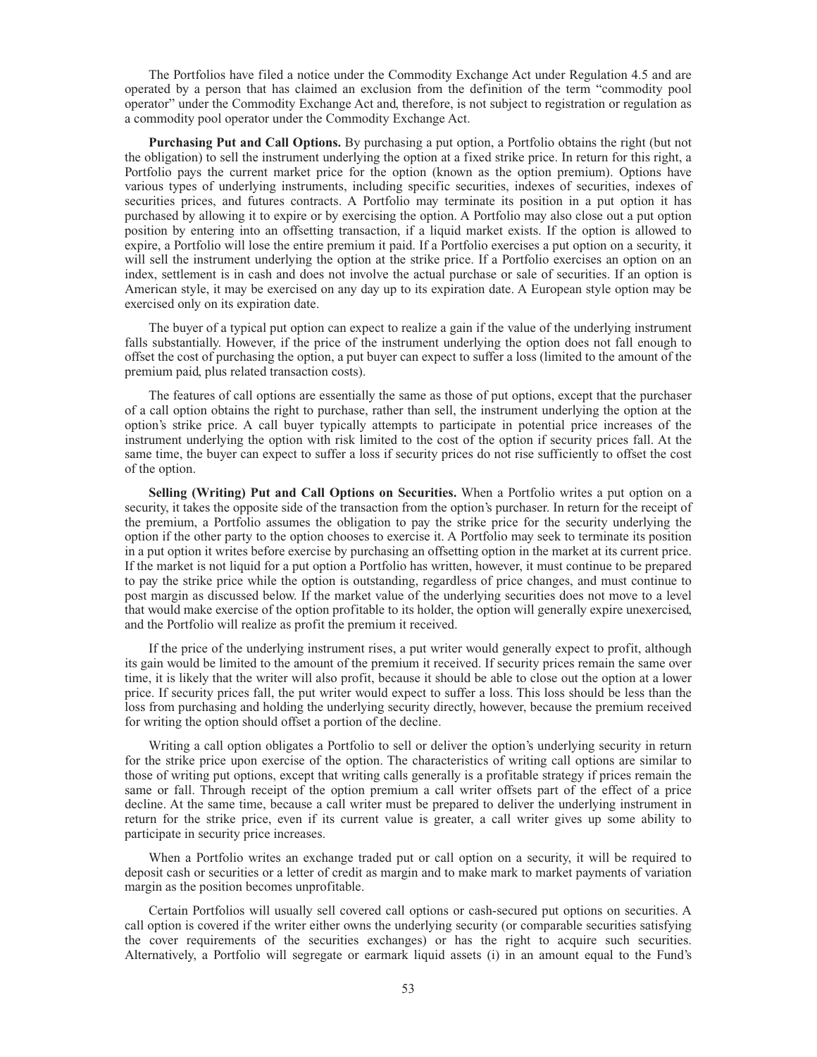The Portfolios have filed a notice under the Commodity Exchange Act under Regulation 4.5 and are operated by a person that has claimed an exclusion from the definition of the term "commodity pool operator" under the Commodity Exchange Act and, therefore, is not subject to registration or regulation as a commodity pool operator under the Commodity Exchange Act.

**Purchasing Put and Call Options.** By purchasing a put option, a Portfolio obtains the right (but not the obligation) to sell the instrument underlying the option at a fixed strike price. In return for this right, a Portfolio pays the current market price for the option (known as the option premium). Options have various types of underlying instruments, including specific securities, indexes of securities, indexes of securities prices, and futures contracts. A Portfolio may terminate its position in a put option it has purchased by allowing it to expire or by exercising the option. A Portfolio may also close out a put option position by entering into an offsetting transaction, if a liquid market exists. If the option is allowed to expire, a Portfolio will lose the entire premium it paid. If a Portfolio exercises a put option on a security, it will sell the instrument underlying the option at the strike price. If a Portfolio exercises an option on an index, settlement is in cash and does not involve the actual purchase or sale of securities. If an option is American style, it may be exercised on any day up to its expiration date. A European style option may be exercised only on its expiration date.

The buyer of a typical put option can expect to realize a gain if the value of the underlying instrument falls substantially. However, if the price of the instrument underlying the option does not fall enough to offset the cost of purchasing the option, a put buyer can expect to suffer a loss (limited to the amount of the premium paid, plus related transaction costs).

The features of call options are essentially the same as those of put options, except that the purchaser of a call option obtains the right to purchase, rather than sell, the instrument underlying the option at the option's strike price. A call buyer typically attempts to participate in potential price increases of the instrument underlying the option with risk limited to the cost of the option if security prices fall. At the same time, the buyer can expect to suffer a loss if security prices do not rise sufficiently to offset the cost of the option.

**Selling (Writing) Put and Call Options on Securities.** When a Portfolio writes a put option on a security, it takes the opposite side of the transaction from the option's purchaser. In return for the receipt of the premium, a Portfolio assumes the obligation to pay the strike price for the security underlying the option if the other party to the option chooses to exercise it. A Portfolio may seek to terminate its position in a put option it writes before exercise by purchasing an offsetting option in the market at its current price. If the market is not liquid for a put option a Portfolio has written, however, it must continue to be prepared to pay the strike price while the option is outstanding, regardless of price changes, and must continue to post margin as discussed below. If the market value of the underlying securities does not move to a level that would make exercise of the option profitable to its holder, the option will generally expire unexercised, and the Portfolio will realize as profit the premium it received.

If the price of the underlying instrument rises, a put writer would generally expect to profit, although its gain would be limited to the amount of the premium it received. If security prices remain the same over time, it is likely that the writer will also profit, because it should be able to close out the option at a lower price. If security prices fall, the put writer would expect to suffer a loss. This loss should be less than the loss from purchasing and holding the underlying security directly, however, because the premium received for writing the option should offset a portion of the decline.

Writing a call option obligates a Portfolio to sell or deliver the option's underlying security in return for the strike price upon exercise of the option. The characteristics of writing call options are similar to those of writing put options, except that writing calls generally is a profitable strategy if prices remain the same or fall. Through receipt of the option premium a call writer offsets part of the effect of a price decline. At the same time, because a call writer must be prepared to deliver the underlying instrument in return for the strike price, even if its current value is greater, a call writer gives up some ability to participate in security price increases.

When a Portfolio writes an exchange traded put or call option on a security, it will be required to deposit cash or securities or a letter of credit as margin and to make mark to market payments of variation margin as the position becomes unprofitable.

Certain Portfolios will usually sell covered call options or cash-secured put options on securities. A call option is covered if the writer either owns the underlying security (or comparable securities satisfying the cover requirements of the securities exchanges) or has the right to acquire such securities. Alternatively, a Portfolio will segregate or earmark liquid assets (i) in an amount equal to the Fund's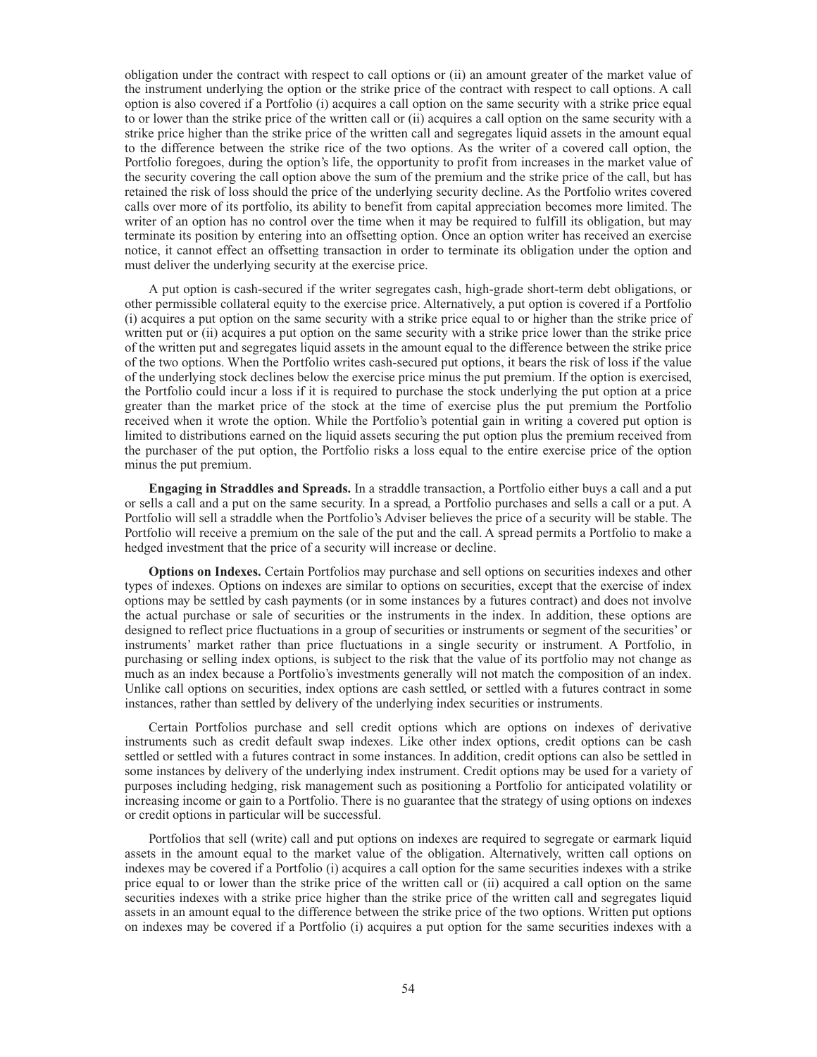obligation under the contract with respect to call options or (ii) an amount greater of the market value of the instrument underlying the option or the strike price of the contract with respect to call options. A call option is also covered if a Portfolio (i) acquires a call option on the same security with a strike price equal to or lower than the strike price of the written call or (ii) acquires a call option on the same security with a strike price higher than the strike price of the written call and segregates liquid assets in the amount equal to the difference between the strike rice of the two options. As the writer of a covered call option, the Portfolio foregoes, during the option's life, the opportunity to profit from increases in the market value of the security covering the call option above the sum of the premium and the strike price of the call, but has retained the risk of loss should the price of the underlying security decline. As the Portfolio writes covered calls over more of its portfolio, its ability to benefit from capital appreciation becomes more limited. The writer of an option has no control over the time when it may be required to fulfill its obligation, but may terminate its position by entering into an offsetting option. Once an option writer has received an exercise notice, it cannot effect an offsetting transaction in order to terminate its obligation under the option and must deliver the underlying security at the exercise price.

A put option is cash-secured if the writer segregates cash, high-grade short-term debt obligations, or other permissible collateral equity to the exercise price. Alternatively, a put option is covered if a Portfolio (i) acquires a put option on the same security with a strike price equal to or higher than the strike price of written put or (ii) acquires a put option on the same security with a strike price lower than the strike price of the written put and segregates liquid assets in the amount equal to the difference between the strike price of the two options. When the Portfolio writes cash-secured put options, it bears the risk of loss if the value of the underlying stock declines below the exercise price minus the put premium. If the option is exercised, the Portfolio could incur a loss if it is required to purchase the stock underlying the put option at a price greater than the market price of the stock at the time of exercise plus the put premium the Portfolio received when it wrote the option. While the Portfolio's potential gain in writing a covered put option is limited to distributions earned on the liquid assets securing the put option plus the premium received from the purchaser of the put option, the Portfolio risks a loss equal to the entire exercise price of the option minus the put premium.

**Engaging in Straddles and Spreads.** In a straddle transaction, a Portfolio either buys a call and a put or sells a call and a put on the same security. In a spread, a Portfolio purchases and sells a call or a put. A Portfolio will sell a straddle when the Portfolio's Adviser believes the price of a security will be stable. The Portfolio will receive a premium on the sale of the put and the call. A spread permits a Portfolio to make a hedged investment that the price of a security will increase or decline.

**Options on Indexes.** Certain Portfolios may purchase and sell options on securities indexes and other types of indexes. Options on indexes are similar to options on securities, except that the exercise of index options may be settled by cash payments (or in some instances by a futures contract) and does not involve the actual purchase or sale of securities or the instruments in the index. In addition, these options are designed to reflect price fluctuations in a group of securities or instruments or segment of the securities' or instruments' market rather than price fluctuations in a single security or instrument. A Portfolio, in purchasing or selling index options, is subject to the risk that the value of its portfolio may not change as much as an index because a Portfolio's investments generally will not match the composition of an index. Unlike call options on securities, index options are cash settled, or settled with a futures contract in some instances, rather than settled by delivery of the underlying index securities or instruments.

Certain Portfolios purchase and sell credit options which are options on indexes of derivative instruments such as credit default swap indexes. Like other index options, credit options can be cash settled or settled with a futures contract in some instances. In addition, credit options can also be settled in some instances by delivery of the underlying index instrument. Credit options may be used for a variety of purposes including hedging, risk management such as positioning a Portfolio for anticipated volatility or increasing income or gain to a Portfolio. There is no guarantee that the strategy of using options on indexes or credit options in particular will be successful.

Portfolios that sell (write) call and put options on indexes are required to segregate or earmark liquid assets in the amount equal to the market value of the obligation. Alternatively, written call options on indexes may be covered if a Portfolio (i) acquires a call option for the same securities indexes with a strike price equal to or lower than the strike price of the written call or (ii) acquired a call option on the same securities indexes with a strike price higher than the strike price of the written call and segregates liquid assets in an amount equal to the difference between the strike price of the two options. Written put options on indexes may be covered if a Portfolio (i) acquires a put option for the same securities indexes with a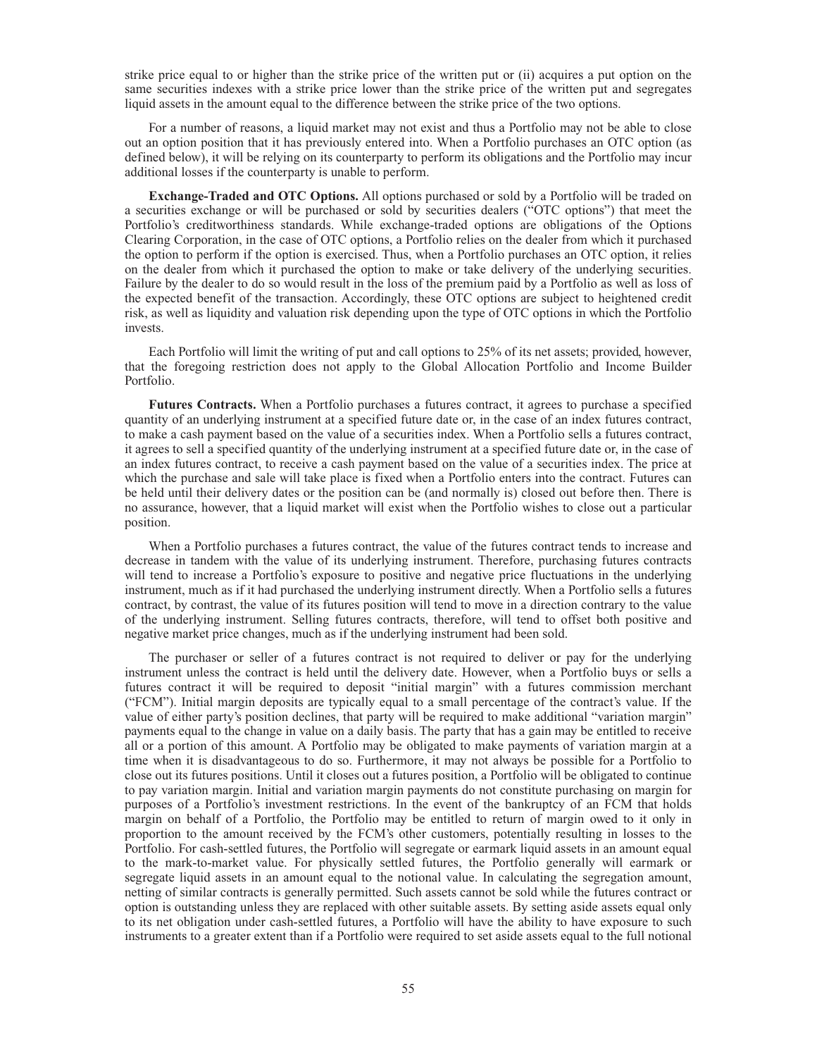strike price equal to or higher than the strike price of the written put or (ii) acquires a put option on the same securities indexes with a strike price lower than the strike price of the written put and segregates liquid assets in the amount equal to the difference between the strike price of the two options.

For a number of reasons, a liquid market may not exist and thus a Portfolio may not be able to close out an option position that it has previously entered into. When a Portfolio purchases an OTC option (as defined below), it will be relying on its counterparty to perform its obligations and the Portfolio may incur additional losses if the counterparty is unable to perform.

**Exchange-Traded and OTC Options.** All options purchased or sold by a Portfolio will be traded on a securities exchange or will be purchased or sold by securities dealers ("OTC options") that meet the Portfolio's creditworthiness standards. While exchange-traded options are obligations of the Options Clearing Corporation, in the case of OTC options, a Portfolio relies on the dealer from which it purchased the option to perform if the option is exercised. Thus, when a Portfolio purchases an OTC option, it relies on the dealer from which it purchased the option to make or take delivery of the underlying securities. Failure by the dealer to do so would result in the loss of the premium paid by a Portfolio as well as loss of the expected benefit of the transaction. Accordingly, these OTC options are subject to heightened credit risk, as well as liquidity and valuation risk depending upon the type of OTC options in which the Portfolio invests.

Each Portfolio will limit the writing of put and call options to 25% of its net assets; provided, however, that the foregoing restriction does not apply to the Global Allocation Portfolio and Income Builder Portfolio.

**Futures Contracts.** When a Portfolio purchases a futures contract, it agrees to purchase a specified quantity of an underlying instrument at a specified future date or, in the case of an index futures contract, to make a cash payment based on the value of a securities index. When a Portfolio sells a futures contract, it agrees to sell a specified quantity of the underlying instrument at a specified future date or, in the case of an index futures contract, to receive a cash payment based on the value of a securities index. The price at which the purchase and sale will take place is fixed when a Portfolio enters into the contract. Futures can be held until their delivery dates or the position can be (and normally is) closed out before then. There is no assurance, however, that a liquid market will exist when the Portfolio wishes to close out a particular position.

When a Portfolio purchases a futures contract, the value of the futures contract tends to increase and decrease in tandem with the value of its underlying instrument. Therefore, purchasing futures contracts will tend to increase a Portfolio's exposure to positive and negative price fluctuations in the underlying instrument, much as if it had purchased the underlying instrument directly. When a Portfolio sells a futures contract, by contrast, the value of its futures position will tend to move in a direction contrary to the value of the underlying instrument. Selling futures contracts, therefore, will tend to offset both positive and negative market price changes, much as if the underlying instrument had been sold.

The purchaser or seller of a futures contract is not required to deliver or pay for the underlying instrument unless the contract is held until the delivery date. However, when a Portfolio buys or sells a futures contract it will be required to deposit "initial margin" with a futures commission merchant ("FCM"). Initial margin deposits are typically equal to a small percentage of the contract's value. If the value of either party's position declines, that party will be required to make additional "variation margin" payments equal to the change in value on a daily basis. The party that has a gain may be entitled to receive all or a portion of this amount. A Portfolio may be obligated to make payments of variation margin at a time when it is disadvantageous to do so. Furthermore, it may not always be possible for a Portfolio to close out its futures positions. Until it closes out a futures position, a Portfolio will be obligated to continue to pay variation margin. Initial and variation margin payments do not constitute purchasing on margin for purposes of a Portfolio's investment restrictions. In the event of the bankruptcy of an FCM that holds margin on behalf of a Portfolio, the Portfolio may be entitled to return of margin owed to it only in proportion to the amount received by the FCM's other customers, potentially resulting in losses to the Portfolio. For cash-settled futures, the Portfolio will segregate or earmark liquid assets in an amount equal to the mark-to-market value. For physically settled futures, the Portfolio generally will earmark or segregate liquid assets in an amount equal to the notional value. In calculating the segregation amount, netting of similar contracts is generally permitted. Such assets cannot be sold while the futures contract or option is outstanding unless they are replaced with other suitable assets. By setting aside assets equal only to its net obligation under cash-settled futures, a Portfolio will have the ability to have exposure to such instruments to a greater extent than if a Portfolio were required to set aside assets equal to the full notional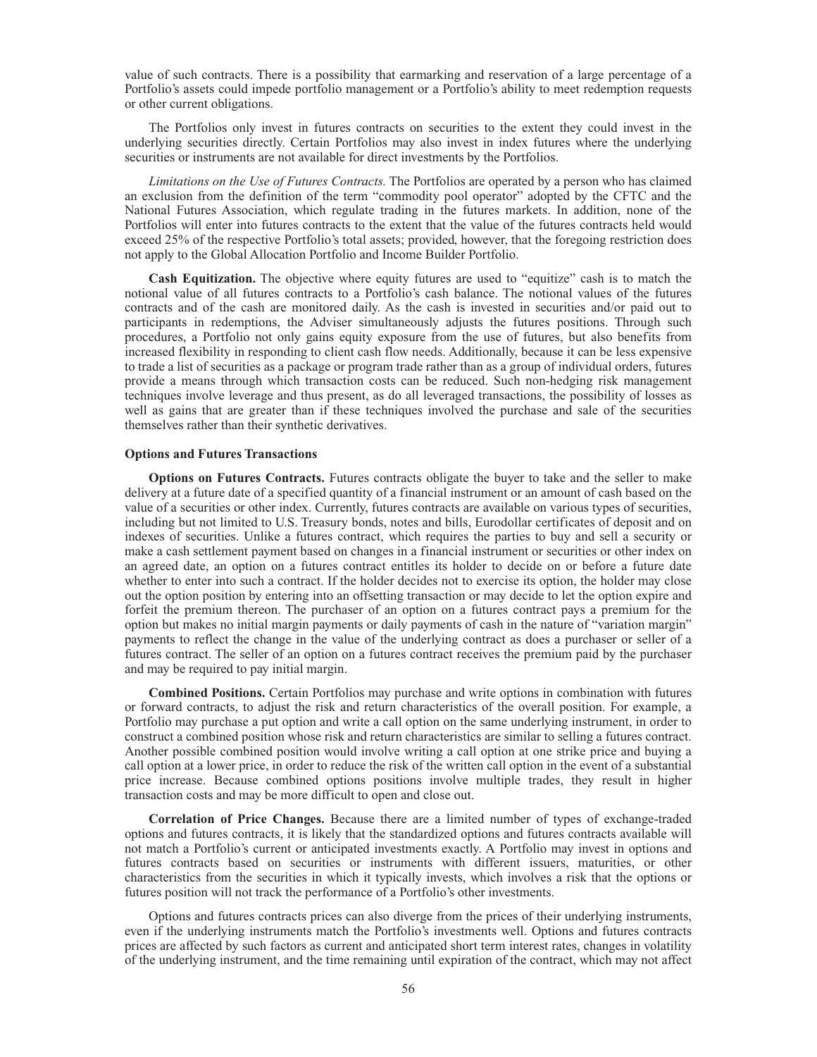value of such contracts. There is a possibility that earmarking and reservation of a large percentage of a Portfolio's assets could impede portfolio management or a Portfolio's ability to meet redemption requests or other current obligations.

The Portfolios only invest in futures contracts on securities to the extent they could invest in the underlying securities directly. Certain Portfolios may also invest in index futures where the underlying securities or instruments are not available for direct investments by the Portfolios.

*Limitations on the Use of Futures Contracts.* The Portfolios are operated by a person who has claimed an exclusion from the definition of the term "commodity pool operator" adopted by the CFTC and the National Futures Association, which regulate trading in the futures markets. In addition, none of the Portfolios will enter into futures contracts to the extent that the value of the futures contracts held would exceed 25% of the respective Portfolio's total assets; provided, however, that the foregoing restriction does not apply to the Global Allocation Portfolio and Income Builder Portfolio.

**Cash Equitization.** The objective where equity futures are used to "equitize" cash is to match the notional value of all futures contracts to a Portfolio's cash balance. The notional values of the futures contracts and of the cash are monitored daily. As the cash is invested in securities and/or paid out to participants in redemptions, the Adviser simultaneously adjusts the futures positions. Through such procedures, a Portfolio not only gains equity exposure from the use of futures, but also benefits from increased flexibility in responding to client cash flow needs. Additionally, because it can be less expensive to trade a list of securities as a package or program trade rather than as a group of individual orders, futures provide a means through which transaction costs can be reduced. Such non-hedging risk management techniques involve leverage and thus present, as do all leveraged transactions, the possibility of losses as well as gains that are greater than if these techniques involved the purchase and sale of the securities themselves rather than their synthetic derivatives.

#### **Options and Futures Transactions**

**Options on Futures Contracts.** Futures contracts obligate the buyer to take and the seller to make delivery at a future date of a specified quantity of a financial instrument or an amount of cash based on the value of a securities or other index. Currently, futures contracts are available on various types of securities, including but not limited to U.S. Treasury bonds, notes and bills, Eurodollar certificates of deposit and on indexes of securities. Unlike a futures contract, which requires the parties to buy and sell a security or make a cash settlement payment based on changes in a financial instrument or securities or other index on an agreed date, an option on a futures contract entitles its holder to decide on or before a future date whether to enter into such a contract. If the holder decides not to exercise its option, the holder may close out the option position by entering into an offsetting transaction or may decide to let the option expire and forfeit the premium thereon. The purchaser of an option on a futures contract pays a premium for the option but makes no initial margin payments or daily payments of cash in the nature of "variation margin" payments to reflect the change in the value of the underlying contract as does a purchaser or seller of a futures contract. The seller of an option on a futures contract receives the premium paid by the purchaser and may be required to pay initial margin.

**Combined Positions.** Certain Portfolios may purchase and write options in combination with futures or forward contracts, to adjust the risk and return characteristics of the overall position. For example, a Portfolio may purchase a put option and write a call option on the same underlying instrument, in order to construct a combined position whose risk and return characteristics are similar to selling a futures contract. Another possible combined position would involve writing a call option at one strike price and buying a call option at a lower price, in order to reduce the risk of the written call option in the event of a substantial price increase. Because combined options positions involve multiple trades, they result in higher transaction costs and may be more difficult to open and close out.

**Correlation of Price Changes.** Because there are a limited number of types of exchange-traded options and futures contracts, it is likely that the standardized options and futures contracts available will not match a Portfolio's current or anticipated investments exactly. A Portfolio may invest in options and futures contracts based on securities or instruments with different issuers, maturities, or other characteristics from the securities in which it typically invests, which involves a risk that the options or futures position will not track the performance of a Portfolio's other investments.

Options and futures contracts prices can also diverge from the prices of their underlying instruments, even if the underlying instruments match the Portfolio's investments well. Options and futures contracts prices are affected by such factors as current and anticipated short term interest rates, changes in volatility of the underlying instrument, and the time remaining until expiration of the contract, which may not affect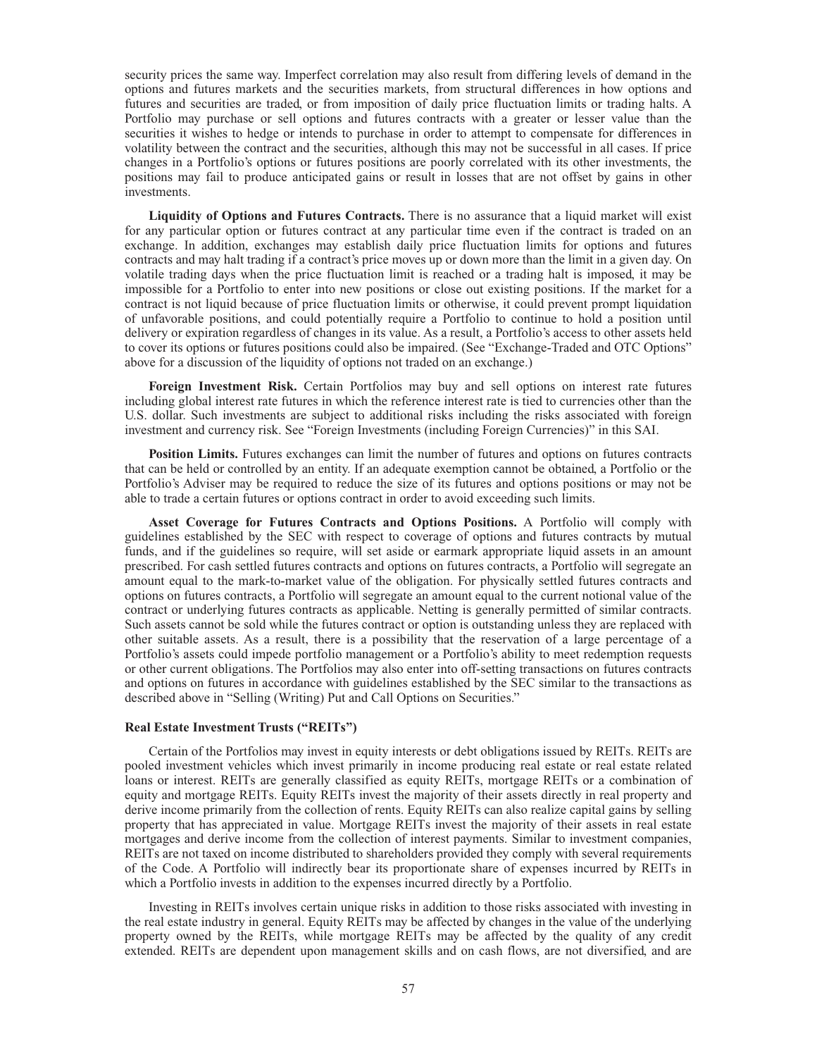security prices the same way. Imperfect correlation may also result from differing levels of demand in the options and futures markets and the securities markets, from structural differences in how options and futures and securities are traded, or from imposition of daily price fluctuation limits or trading halts. A Portfolio may purchase or sell options and futures contracts with a greater or lesser value than the securities it wishes to hedge or intends to purchase in order to attempt to compensate for differences in volatility between the contract and the securities, although this may not be successful in all cases. If price changes in a Portfolio's options or futures positions are poorly correlated with its other investments, the positions may fail to produce anticipated gains or result in losses that are not offset by gains in other investments.

**Liquidity of Options and Futures Contracts.** There is no assurance that a liquid market will exist for any particular option or futures contract at any particular time even if the contract is traded on an exchange. In addition, exchanges may establish daily price fluctuation limits for options and futures contracts and may halt trading if a contract's price moves up or down more than the limit in a given day. On volatile trading days when the price fluctuation limit is reached or a trading halt is imposed, it may be impossible for a Portfolio to enter into new positions or close out existing positions. If the market for a contract is not liquid because of price fluctuation limits or otherwise, it could prevent prompt liquidation of unfavorable positions, and could potentially require a Portfolio to continue to hold a position until delivery or expiration regardless of changes in its value. As a result, a Portfolio's access to other assets held to cover its options or futures positions could also be impaired. (See "Exchange-Traded and OTC Options" above for a discussion of the liquidity of options not traded on an exchange.)

**Foreign Investment Risk.** Certain Portfolios may buy and sell options on interest rate futures including global interest rate futures in which the reference interest rate is tied to currencies other than the U.S. dollar. Such investments are subject to additional risks including the risks associated with foreign investment and currency risk. See "Foreign Investments (including Foreign Currencies)" in this SAI.

**Position Limits.** Futures exchanges can limit the number of futures and options on futures contracts that can be held or controlled by an entity. If an adequate exemption cannot be obtained, a Portfolio or the Portfolio's Adviser may be required to reduce the size of its futures and options positions or may not be able to trade a certain futures or options contract in order to avoid exceeding such limits.

**Asset Coverage for Futures Contracts and Options Positions.** A Portfolio will comply with guidelines established by the SEC with respect to coverage of options and futures contracts by mutual funds, and if the guidelines so require, will set aside or earmark appropriate liquid assets in an amount prescribed. For cash settled futures contracts and options on futures contracts, a Portfolio will segregate an amount equal to the mark-to-market value of the obligation. For physically settled futures contracts and options on futures contracts, a Portfolio will segregate an amount equal to the current notional value of the contract or underlying futures contracts as applicable. Netting is generally permitted of similar contracts. Such assets cannot be sold while the futures contract or option is outstanding unless they are replaced with other suitable assets. As a result, there is a possibility that the reservation of a large percentage of a Portfolio's assets could impede portfolio management or a Portfolio's ability to meet redemption requests or other current obligations. The Portfolios may also enter into off-setting transactions on futures contracts and options on futures in accordance with guidelines established by the SEC similar to the transactions as described above in "Selling (Writing) Put and Call Options on Securities."

# **Real Estate Investment Trusts ("REITs")**

Certain of the Portfolios may invest in equity interests or debt obligations issued by REITs. REITs are pooled investment vehicles which invest primarily in income producing real estate or real estate related loans or interest. REITs are generally classified as equity REITs, mortgage REITs or a combination of equity and mortgage REITs. Equity REITs invest the majority of their assets directly in real property and derive income primarily from the collection of rents. Equity REITs can also realize capital gains by selling property that has appreciated in value. Mortgage REITs invest the majority of their assets in real estate mortgages and derive income from the collection of interest payments. Similar to investment companies, REITs are not taxed on income distributed to shareholders provided they comply with several requirements of the Code. A Portfolio will indirectly bear its proportionate share of expenses incurred by REITs in which a Portfolio invests in addition to the expenses incurred directly by a Portfolio.

Investing in REITs involves certain unique risks in addition to those risks associated with investing in the real estate industry in general. Equity REITs may be affected by changes in the value of the underlying property owned by the REITs, while mortgage REITs may be affected by the quality of any credit extended. REITs are dependent upon management skills and on cash flows, are not diversified, and are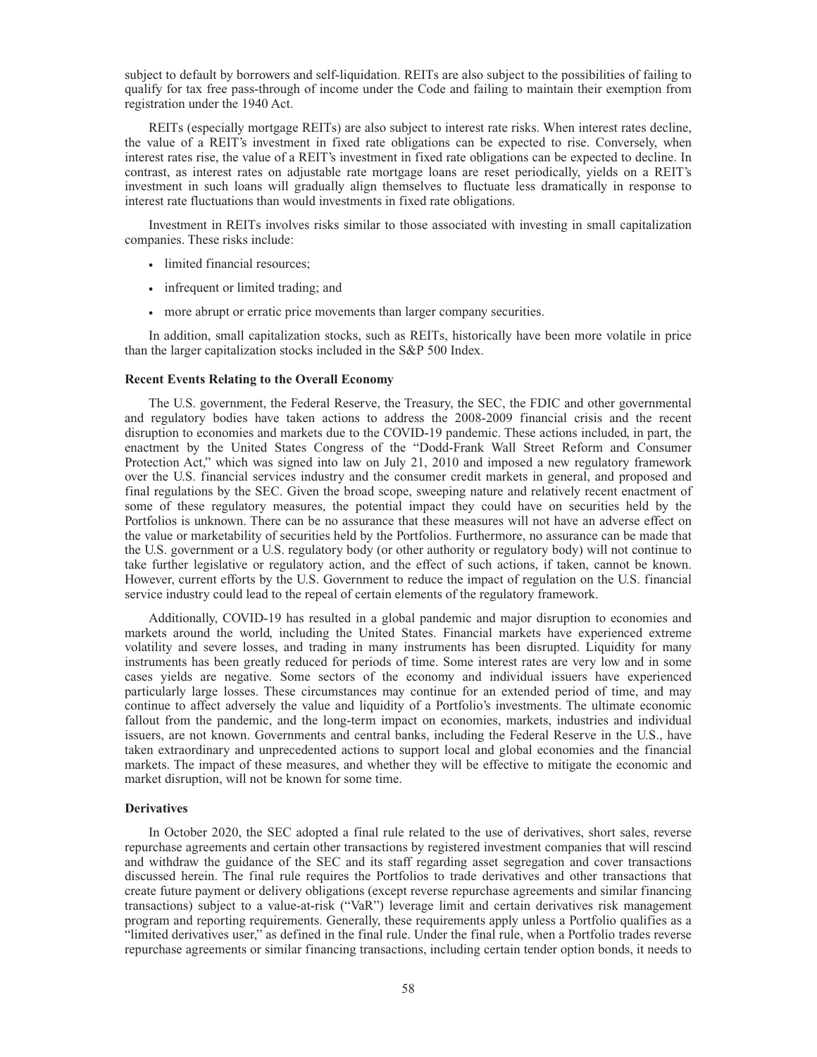subject to default by borrowers and self-liquidation. REITs are also subject to the possibilities of failing to qualify for tax free pass-through of income under the Code and failing to maintain their exemption from registration under the 1940 Act.

REITs (especially mortgage REITs) are also subject to interest rate risks. When interest rates decline, the value of a REIT's investment in fixed rate obligations can be expected to rise. Conversely, when interest rates rise, the value of a REIT's investment in fixed rate obligations can be expected to decline. In contrast, as interest rates on adjustable rate mortgage loans are reset periodically, yields on a REIT's investment in such loans will gradually align themselves to fluctuate less dramatically in response to interest rate fluctuations than would investments in fixed rate obligations.

Investment in REITs involves risks similar to those associated with investing in small capitalization companies. These risks include:

- limited financial resources;
- infrequent or limited trading; and
- more abrupt or erratic price movements than larger company securities.

In addition, small capitalization stocks, such as REITs, historically have been more volatile in price than the larger capitalization stocks included in the S&P 500 Index.

## **Recent Events Relating to the Overall Economy**

The U.S. government, the Federal Reserve, the Treasury, the SEC, the FDIC and other governmental and regulatory bodies have taken actions to address the 2008-2009 financial crisis and the recent disruption to economies and markets due to the COVID-19 pandemic. These actions included, in part, the enactment by the United States Congress of the "Dodd-Frank Wall Street Reform and Consumer Protection Act," which was signed into law on July 21, 2010 and imposed a new regulatory framework over the U.S. financial services industry and the consumer credit markets in general, and proposed and final regulations by the SEC. Given the broad scope, sweeping nature and relatively recent enactment of some of these regulatory measures, the potential impact they could have on securities held by the Portfolios is unknown. There can be no assurance that these measures will not have an adverse effect on the value or marketability of securities held by the Portfolios. Furthermore, no assurance can be made that the U.S. government or a U.S. regulatory body (or other authority or regulatory body) will not continue to take further legislative or regulatory action, and the effect of such actions, if taken, cannot be known. However, current efforts by the U.S. Government to reduce the impact of regulation on the U.S. financial service industry could lead to the repeal of certain elements of the regulatory framework.

Additionally, COVID-19 has resulted in a global pandemic and major disruption to economies and markets around the world, including the United States. Financial markets have experienced extreme volatility and severe losses, and trading in many instruments has been disrupted. Liquidity for many instruments has been greatly reduced for periods of time. Some interest rates are very low and in some cases yields are negative. Some sectors of the economy and individual issuers have experienced particularly large losses. These circumstances may continue for an extended period of time, and may continue to affect adversely the value and liquidity of a Portfolio's investments. The ultimate economic fallout from the pandemic, and the long-term impact on economies, markets, industries and individual issuers, are not known. Governments and central banks, including the Federal Reserve in the U.S., have taken extraordinary and unprecedented actions to support local and global economies and the financial markets. The impact of these measures, and whether they will be effective to mitigate the economic and market disruption, will not be known for some time.

#### **Derivatives**

In October 2020, the SEC adopted a final rule related to the use of derivatives, short sales, reverse repurchase agreements and certain other transactions by registered investment companies that will rescind and withdraw the guidance of the SEC and its staff regarding asset segregation and cover transactions discussed herein. The final rule requires the Portfolios to trade derivatives and other transactions that create future payment or delivery obligations (except reverse repurchase agreements and similar financing transactions) subject to a value-at-risk ("VaR") leverage limit and certain derivatives risk management program and reporting requirements. Generally, these requirements apply unless a Portfolio qualifies as a "limited derivatives user," as defined in the final rule. Under the final rule, when a Portfolio trades reverse repurchase agreements or similar financing transactions, including certain tender option bonds, it needs to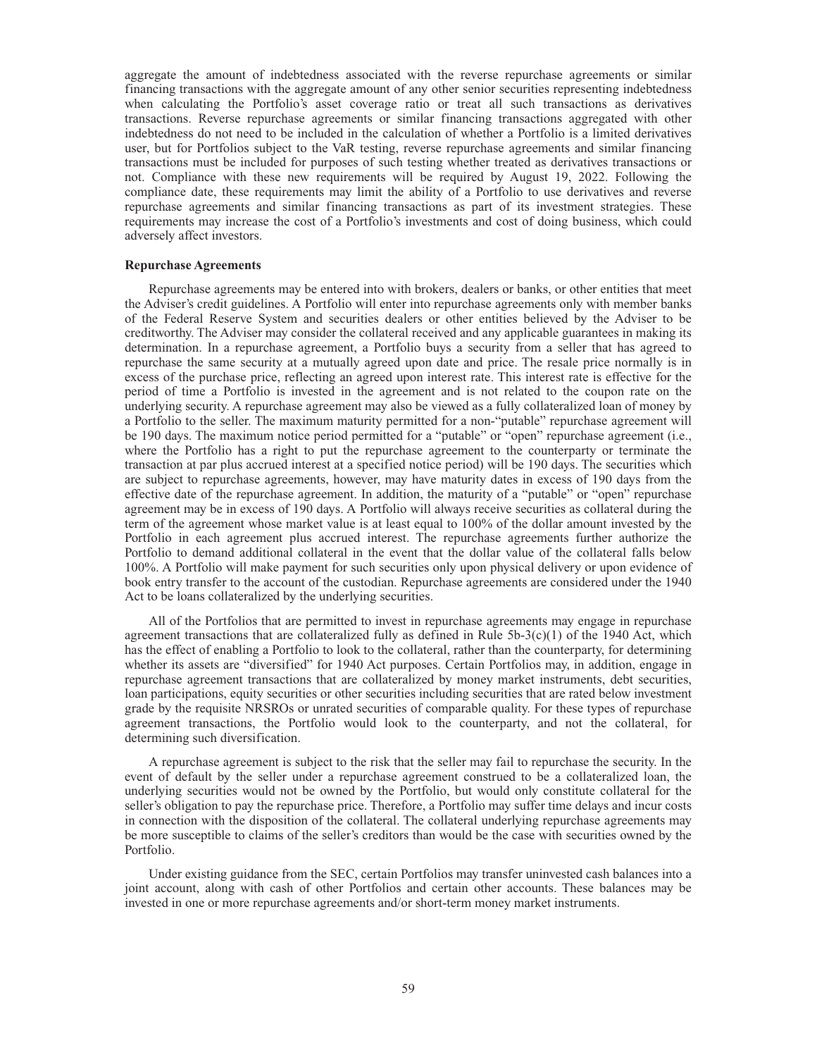aggregate the amount of indebtedness associated with the reverse repurchase agreements or similar financing transactions with the aggregate amount of any other senior securities representing indebtedness when calculating the Portfolio's asset coverage ratio or treat all such transactions as derivatives transactions. Reverse repurchase agreements or similar financing transactions aggregated with other indebtedness do not need to be included in the calculation of whether a Portfolio is a limited derivatives user, but for Portfolios subject to the VaR testing, reverse repurchase agreements and similar financing transactions must be included for purposes of such testing whether treated as derivatives transactions or not. Compliance with these new requirements will be required by August 19, 2022. Following the compliance date, these requirements may limit the ability of a Portfolio to use derivatives and reverse repurchase agreements and similar financing transactions as part of its investment strategies. These requirements may increase the cost of a Portfolio's investments and cost of doing business, which could adversely affect investors.

## **Repurchase Agreements**

Repurchase agreements may be entered into with brokers, dealers or banks, or other entities that meet the Adviser's credit guidelines. A Portfolio will enter into repurchase agreements only with member banks of the Federal Reserve System and securities dealers or other entities believed by the Adviser to be creditworthy. The Adviser may consider the collateral received and any applicable guarantees in making its determination. In a repurchase agreement, a Portfolio buys a security from a seller that has agreed to repurchase the same security at a mutually agreed upon date and price. The resale price normally is in excess of the purchase price, reflecting an agreed upon interest rate. This interest rate is effective for the period of time a Portfolio is invested in the agreement and is not related to the coupon rate on the underlying security. A repurchase agreement may also be viewed as a fully collateralized loan of money by a Portfolio to the seller. The maximum maturity permitted for a non-"putable" repurchase agreement will be 190 days. The maximum notice period permitted for a "putable" or "open" repurchase agreement (i.e., where the Portfolio has a right to put the repurchase agreement to the counterparty or terminate the transaction at par plus accrued interest at a specified notice period) will be 190 days. The securities which are subject to repurchase agreements, however, may have maturity dates in excess of 190 days from the effective date of the repurchase agreement. In addition, the maturity of a "putable" or "open" repurchase agreement may be in excess of 190 days. A Portfolio will always receive securities as collateral during the term of the agreement whose market value is at least equal to 100% of the dollar amount invested by the Portfolio in each agreement plus accrued interest. The repurchase agreements further authorize the Portfolio to demand additional collateral in the event that the dollar value of the collateral falls below 100%. A Portfolio will make payment for such securities only upon physical delivery or upon evidence of book entry transfer to the account of the custodian. Repurchase agreements are considered under the 1940 Act to be loans collateralized by the underlying securities.

All of the Portfolios that are permitted to invest in repurchase agreements may engage in repurchase agreement transactions that are collateralized fully as defined in Rule  $5b-3(c)(1)$  of the 1940 Act, which has the effect of enabling a Portfolio to look to the collateral, rather than the counterparty, for determining whether its assets are "diversified" for 1940 Act purposes. Certain Portfolios may, in addition, engage in repurchase agreement transactions that are collateralized by money market instruments, debt securities, loan participations, equity securities or other securities including securities that are rated below investment grade by the requisite NRSROs or unrated securities of comparable quality. For these types of repurchase agreement transactions, the Portfolio would look to the counterparty, and not the collateral, for determining such diversification.

A repurchase agreement is subject to the risk that the seller may fail to repurchase the security. In the event of default by the seller under a repurchase agreement construed to be a collateralized loan, the underlying securities would not be owned by the Portfolio, but would only constitute collateral for the seller's obligation to pay the repurchase price. Therefore, a Portfolio may suffer time delays and incur costs in connection with the disposition of the collateral. The collateral underlying repurchase agreements may be more susceptible to claims of the seller's creditors than would be the case with securities owned by the Portfolio.

Under existing guidance from the SEC, certain Portfolios may transfer uninvested cash balances into a joint account, along with cash of other Portfolios and certain other accounts. These balances may be invested in one or more repurchase agreements and/or short-term money market instruments.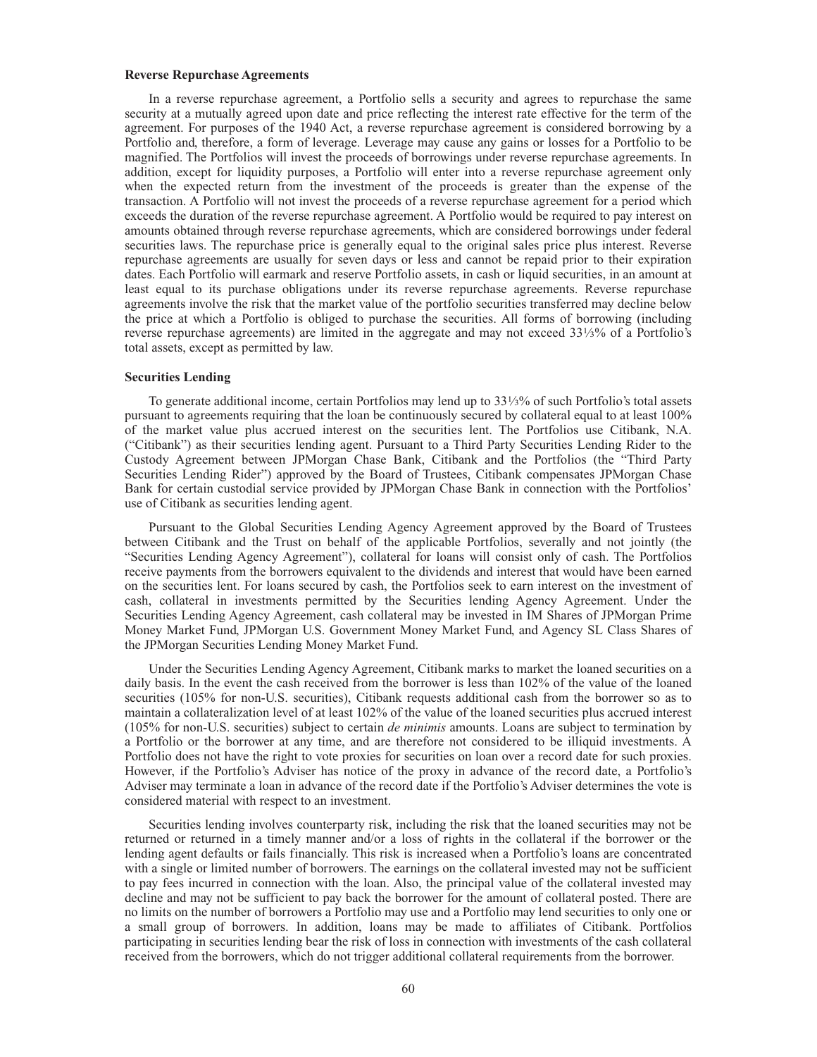## **Reverse Repurchase Agreements**

In a reverse repurchase agreement, a Portfolio sells a security and agrees to repurchase the same security at a mutually agreed upon date and price reflecting the interest rate effective for the term of the agreement. For purposes of the 1940 Act, a reverse repurchase agreement is considered borrowing by a Portfolio and, therefore, a form of leverage. Leverage may cause any gains or losses for a Portfolio to be magnified. The Portfolios will invest the proceeds of borrowings under reverse repurchase agreements. In addition, except for liquidity purposes, a Portfolio will enter into a reverse repurchase agreement only when the expected return from the investment of the proceeds is greater than the expense of the transaction. A Portfolio will not invest the proceeds of a reverse repurchase agreement for a period which exceeds the duration of the reverse repurchase agreement. A Portfolio would be required to pay interest on amounts obtained through reverse repurchase agreements, which are considered borrowings under federal securities laws. The repurchase price is generally equal to the original sales price plus interest. Reverse repurchase agreements are usually for seven days or less and cannot be repaid prior to their expiration dates. Each Portfolio will earmark and reserve Portfolio assets, in cash or liquid securities, in an amount at least equal to its purchase obligations under its reverse repurchase agreements. Reverse repurchase agreements involve the risk that the market value of the portfolio securities transferred may decline below the price at which a Portfolio is obliged to purchase the securities. All forms of borrowing (including reverse repurchase agreements) are limited in the aggregate and may not exceed 331⁄3% of a Portfolio's total assets, except as permitted by law.

## **Securities Lending**

To generate additional income, certain Portfolios may lend up to 331⁄3% of such Portfolio's total assets pursuant to agreements requiring that the loan be continuously secured by collateral equal to at least 100% of the market value plus accrued interest on the securities lent. The Portfolios use Citibank, N.A. ("Citibank") as their securities lending agent. Pursuant to a Third Party Securities Lending Rider to the Custody Agreement between JPMorgan Chase Bank, Citibank and the Portfolios (the "Third Party Securities Lending Rider") approved by the Board of Trustees, Citibank compensates JPMorgan Chase Bank for certain custodial service provided by JPMorgan Chase Bank in connection with the Portfolios' use of Citibank as securities lending agent.

Pursuant to the Global Securities Lending Agency Agreement approved by the Board of Trustees between Citibank and the Trust on behalf of the applicable Portfolios, severally and not jointly (the "Securities Lending Agency Agreement"), collateral for loans will consist only of cash. The Portfolios receive payments from the borrowers equivalent to the dividends and interest that would have been earned on the securities lent. For loans secured by cash, the Portfolios seek to earn interest on the investment of cash, collateral in investments permitted by the Securities lending Agency Agreement. Under the Securities Lending Agency Agreement, cash collateral may be invested in IM Shares of JPMorgan Prime Money Market Fund, JPMorgan U.S. Government Money Market Fund, and Agency SL Class Shares of the JPMorgan Securities Lending Money Market Fund.

Under the Securities Lending Agency Agreement, Citibank marks to market the loaned securities on a daily basis. In the event the cash received from the borrower is less than 102% of the value of the loaned securities (105% for non-U.S. securities), Citibank requests additional cash from the borrower so as to maintain a collateralization level of at least 102% of the value of the loaned securities plus accrued interest (105% for non-U.S. securities) subject to certain *de minimis* amounts. Loans are subject to termination by a Portfolio or the borrower at any time, and are therefore not considered to be illiquid investments. A Portfolio does not have the right to vote proxies for securities on loan over a record date for such proxies. However, if the Portfolio's Adviser has notice of the proxy in advance of the record date, a Portfolio's Adviser may terminate a loan in advance of the record date if the Portfolio's Adviser determines the vote is considered material with respect to an investment.

Securities lending involves counterparty risk, including the risk that the loaned securities may not be returned or returned in a timely manner and/or a loss of rights in the collateral if the borrower or the lending agent defaults or fails financially. This risk is increased when a Portfolio's loans are concentrated with a single or limited number of borrowers. The earnings on the collateral invested may not be sufficient to pay fees incurred in connection with the loan. Also, the principal value of the collateral invested may decline and may not be sufficient to pay back the borrower for the amount of collateral posted. There are no limits on the number of borrowers a Portfolio may use and a Portfolio may lend securities to only one or a small group of borrowers. In addition, loans may be made to affiliates of Citibank. Portfolios participating in securities lending bear the risk of loss in connection with investments of the cash collateral received from the borrowers, which do not trigger additional collateral requirements from the borrower.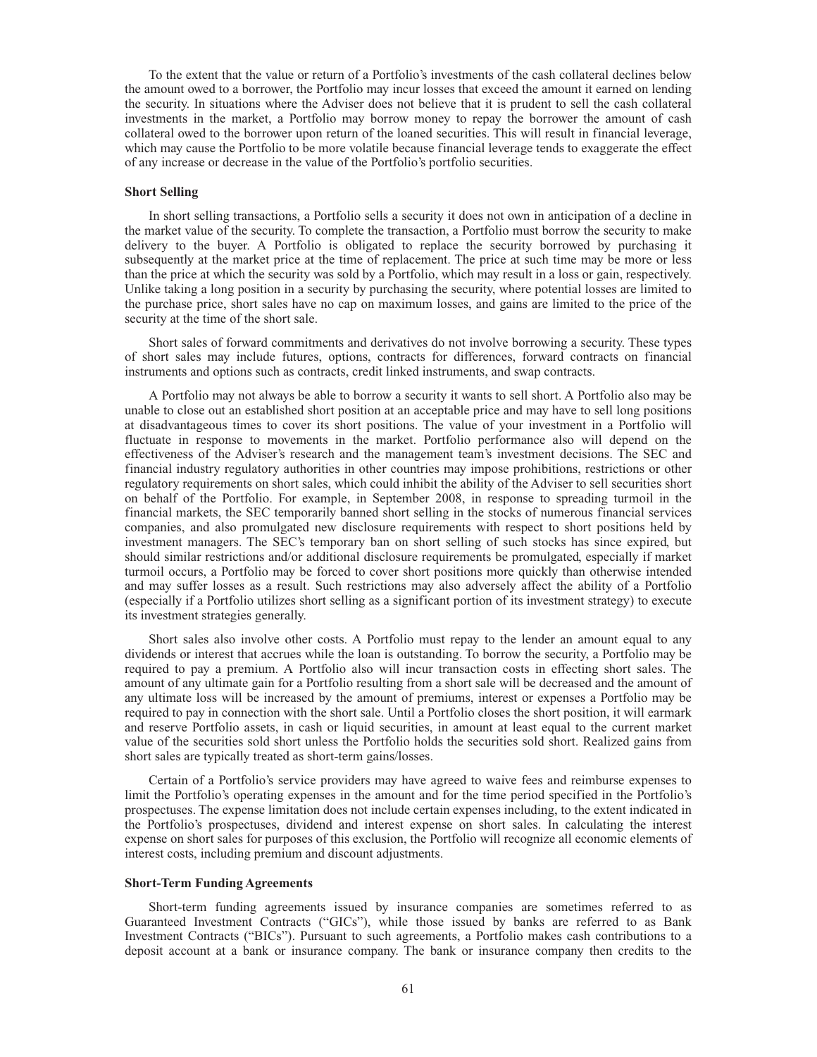To the extent that the value or return of a Portfolio's investments of the cash collateral declines below the amount owed to a borrower, the Portfolio may incur losses that exceed the amount it earned on lending the security. In situations where the Adviser does not believe that it is prudent to sell the cash collateral investments in the market, a Portfolio may borrow money to repay the borrower the amount of cash collateral owed to the borrower upon return of the loaned securities. This will result in financial leverage, which may cause the Portfolio to be more volatile because financial leverage tends to exaggerate the effect of any increase or decrease in the value of the Portfolio's portfolio securities.

## **Short Selling**

In short selling transactions, a Portfolio sells a security it does not own in anticipation of a decline in the market value of the security. To complete the transaction, a Portfolio must borrow the security to make delivery to the buyer. A Portfolio is obligated to replace the security borrowed by purchasing it subsequently at the market price at the time of replacement. The price at such time may be more or less than the price at which the security was sold by a Portfolio, which may result in a loss or gain, respectively. Unlike taking a long position in a security by purchasing the security, where potential losses are limited to the purchase price, short sales have no cap on maximum losses, and gains are limited to the price of the security at the time of the short sale.

Short sales of forward commitments and derivatives do not involve borrowing a security. These types of short sales may include futures, options, contracts for differences, forward contracts on financial instruments and options such as contracts, credit linked instruments, and swap contracts.

A Portfolio may not always be able to borrow a security it wants to sell short. A Portfolio also may be unable to close out an established short position at an acceptable price and may have to sell long positions at disadvantageous times to cover its short positions. The value of your investment in a Portfolio will fluctuate in response to movements in the market. Portfolio performance also will depend on the effectiveness of the Adviser's research and the management team's investment decisions. The SEC and financial industry regulatory authorities in other countries may impose prohibitions, restrictions or other regulatory requirements on short sales, which could inhibit the ability of the Adviser to sell securities short on behalf of the Portfolio. For example, in September 2008, in response to spreading turmoil in the financial markets, the SEC temporarily banned short selling in the stocks of numerous financial services companies, and also promulgated new disclosure requirements with respect to short positions held by investment managers. The SEC's temporary ban on short selling of such stocks has since expired, but should similar restrictions and/or additional disclosure requirements be promulgated, especially if market turmoil occurs, a Portfolio may be forced to cover short positions more quickly than otherwise intended and may suffer losses as a result. Such restrictions may also adversely affect the ability of a Portfolio (especially if a Portfolio utilizes short selling as a significant portion of its investment strategy) to execute its investment strategies generally.

Short sales also involve other costs. A Portfolio must repay to the lender an amount equal to any dividends or interest that accrues while the loan is outstanding. To borrow the security, a Portfolio may be required to pay a premium. A Portfolio also will incur transaction costs in effecting short sales. The amount of any ultimate gain for a Portfolio resulting from a short sale will be decreased and the amount of any ultimate loss will be increased by the amount of premiums, interest or expenses a Portfolio may be required to pay in connection with the short sale. Until a Portfolio closes the short position, it will earmark and reserve Portfolio assets, in cash or liquid securities, in amount at least equal to the current market value of the securities sold short unless the Portfolio holds the securities sold short. Realized gains from short sales are typically treated as short-term gains/losses.

Certain of a Portfolio's service providers may have agreed to waive fees and reimburse expenses to limit the Portfolio's operating expenses in the amount and for the time period specified in the Portfolio's prospectuses. The expense limitation does not include certain expenses including, to the extent indicated in the Portfolio's prospectuses, dividend and interest expense on short sales. In calculating the interest expense on short sales for purposes of this exclusion, the Portfolio will recognize all economic elements of interest costs, including premium and discount adjustments.

## **Short-Term Funding Agreements**

Short-term funding agreements issued by insurance companies are sometimes referred to as Guaranteed Investment Contracts ("GICs"), while those issued by banks are referred to as Bank Investment Contracts ("BICs"). Pursuant to such agreements, a Portfolio makes cash contributions to a deposit account at a bank or insurance company. The bank or insurance company then credits to the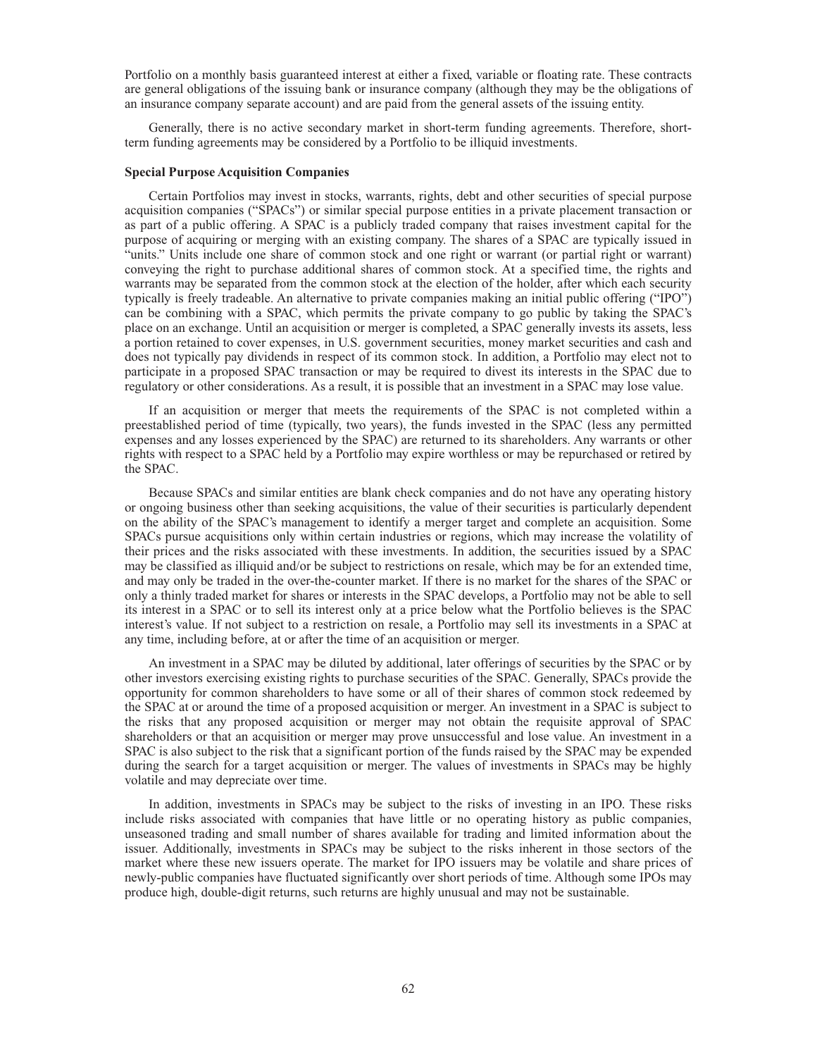Portfolio on a monthly basis guaranteed interest at either a fixed, variable or floating rate. These contracts are general obligations of the issuing bank or insurance company (although they may be the obligations of an insurance company separate account) and are paid from the general assets of the issuing entity.

Generally, there is no active secondary market in short-term funding agreements. Therefore, shortterm funding agreements may be considered by a Portfolio to be illiquid investments.

#### **Special Purpose Acquisition Companies**

Certain Portfolios may invest in stocks, warrants, rights, debt and other securities of special purpose acquisition companies ("SPACs") or similar special purpose entities in a private placement transaction or as part of a public offering. A SPAC is a publicly traded company that raises investment capital for the purpose of acquiring or merging with an existing company. The shares of a SPAC are typically issued in "units." Units include one share of common stock and one right or warrant (or partial right or warrant) conveying the right to purchase additional shares of common stock. At a specified time, the rights and warrants may be separated from the common stock at the election of the holder, after which each security typically is freely tradeable. An alternative to private companies making an initial public offering ("IPO") can be combining with a SPAC, which permits the private company to go public by taking the SPAC's place on an exchange. Until an acquisition or merger is completed, a SPAC generally invests its assets, less a portion retained to cover expenses, in U.S. government securities, money market securities and cash and does not typically pay dividends in respect of its common stock. In addition, a Portfolio may elect not to participate in a proposed SPAC transaction or may be required to divest its interests in the SPAC due to regulatory or other considerations. As a result, it is possible that an investment in a SPAC may lose value.

If an acquisition or merger that meets the requirements of the SPAC is not completed within a preestablished period of time (typically, two years), the funds invested in the SPAC (less any permitted expenses and any losses experienced by the SPAC) are returned to its shareholders. Any warrants or other rights with respect to a SPAC held by a Portfolio may expire worthless or may be repurchased or retired by the SPAC.

Because SPACs and similar entities are blank check companies and do not have any operating history or ongoing business other than seeking acquisitions, the value of their securities is particularly dependent on the ability of the SPAC's management to identify a merger target and complete an acquisition. Some SPACs pursue acquisitions only within certain industries or regions, which may increase the volatility of their prices and the risks associated with these investments. In addition, the securities issued by a SPAC may be classified as illiquid and/or be subject to restrictions on resale, which may be for an extended time, and may only be traded in the over-the-counter market. If there is no market for the shares of the SPAC or only a thinly traded market for shares or interests in the SPAC develops, a Portfolio may not be able to sell its interest in a SPAC or to sell its interest only at a price below what the Portfolio believes is the SPAC interest's value. If not subject to a restriction on resale, a Portfolio may sell its investments in a SPAC at any time, including before, at or after the time of an acquisition or merger.

An investment in a SPAC may be diluted by additional, later offerings of securities by the SPAC or by other investors exercising existing rights to purchase securities of the SPAC. Generally, SPACs provide the opportunity for common shareholders to have some or all of their shares of common stock redeemed by the SPAC at or around the time of a proposed acquisition or merger. An investment in a SPAC is subject to the risks that any proposed acquisition or merger may not obtain the requisite approval of SPAC shareholders or that an acquisition or merger may prove unsuccessful and lose value. An investment in a SPAC is also subject to the risk that a significant portion of the funds raised by the SPAC may be expended during the search for a target acquisition or merger. The values of investments in SPACs may be highly volatile and may depreciate over time.

In addition, investments in SPACs may be subject to the risks of investing in an IPO. These risks include risks associated with companies that have little or no operating history as public companies, unseasoned trading and small number of shares available for trading and limited information about the issuer. Additionally, investments in SPACs may be subject to the risks inherent in those sectors of the market where these new issuers operate. The market for IPO issuers may be volatile and share prices of newly-public companies have fluctuated significantly over short periods of time. Although some IPOs may produce high, double-digit returns, such returns are highly unusual and may not be sustainable.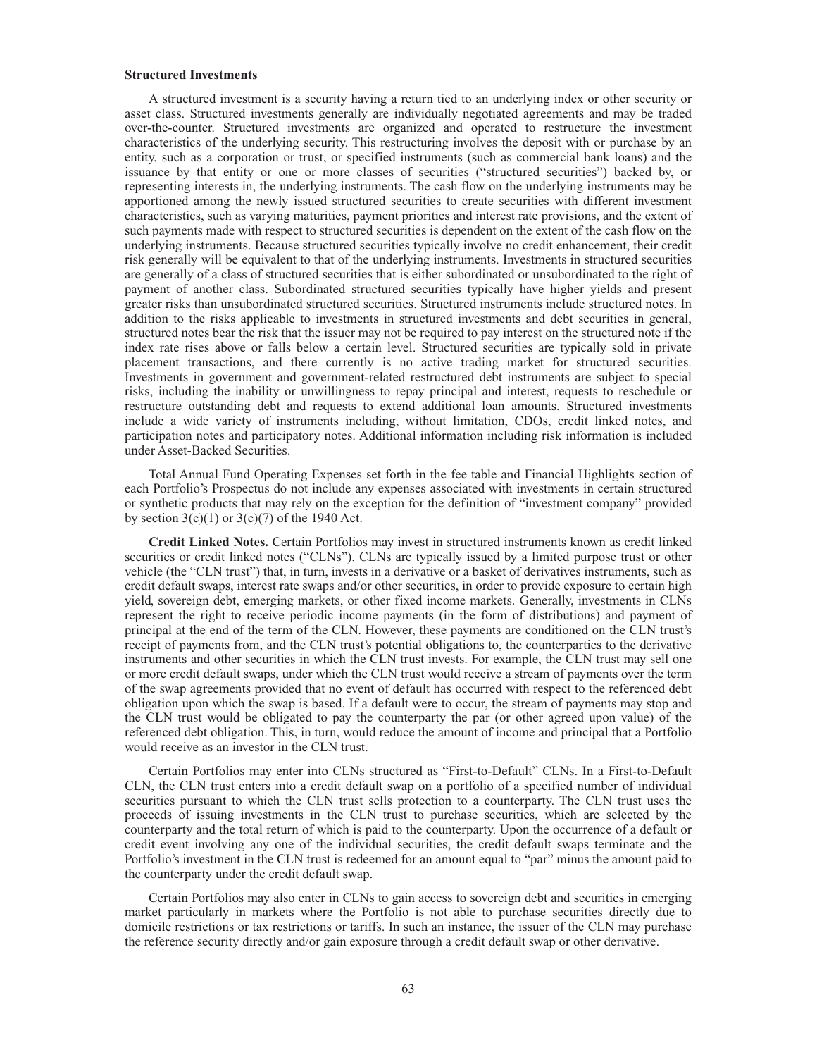## **Structured Investments**

A structured investment is a security having a return tied to an underlying index or other security or asset class. Structured investments generally are individually negotiated agreements and may be traded over-the-counter. Structured investments are organized and operated to restructure the investment characteristics of the underlying security. This restructuring involves the deposit with or purchase by an entity, such as a corporation or trust, or specified instruments (such as commercial bank loans) and the issuance by that entity or one or more classes of securities ("structured securities") backed by, or representing interests in, the underlying instruments. The cash flow on the underlying instruments may be apportioned among the newly issued structured securities to create securities with different investment characteristics, such as varying maturities, payment priorities and interest rate provisions, and the extent of such payments made with respect to structured securities is dependent on the extent of the cash flow on the underlying instruments. Because structured securities typically involve no credit enhancement, their credit risk generally will be equivalent to that of the underlying instruments. Investments in structured securities are generally of a class of structured securities that is either subordinated or unsubordinated to the right of payment of another class. Subordinated structured securities typically have higher yields and present greater risks than unsubordinated structured securities. Structured instruments include structured notes. In addition to the risks applicable to investments in structured investments and debt securities in general, structured notes bear the risk that the issuer may not be required to pay interest on the structured note if the index rate rises above or falls below a certain level. Structured securities are typically sold in private placement transactions, and there currently is no active trading market for structured securities. Investments in government and government-related restructured debt instruments are subject to special risks, including the inability or unwillingness to repay principal and interest, requests to reschedule or restructure outstanding debt and requests to extend additional loan amounts. Structured investments include a wide variety of instruments including, without limitation, CDOs, credit linked notes, and participation notes and participatory notes. Additional information including risk information is included under Asset-Backed Securities.

Total Annual Fund Operating Expenses set forth in the fee table and Financial Highlights section of each Portfolio's Prospectus do not include any expenses associated with investments in certain structured or synthetic products that may rely on the exception for the definition of "investment company" provided by section  $3(c)(1)$  or  $3(c)(7)$  of the 1940 Act.

**Credit Linked Notes.** Certain Portfolios may invest in structured instruments known as credit linked securities or credit linked notes ("CLNs"). CLNs are typically issued by a limited purpose trust or other vehicle (the "CLN trust") that, in turn, invests in a derivative or a basket of derivatives instruments, such as credit default swaps, interest rate swaps and/or other securities, in order to provide exposure to certain high yield, sovereign debt, emerging markets, or other fixed income markets. Generally, investments in CLNs represent the right to receive periodic income payments (in the form of distributions) and payment of principal at the end of the term of the CLN. However, these payments are conditioned on the CLN trust's receipt of payments from, and the CLN trust's potential obligations to, the counterparties to the derivative instruments and other securities in which the CLN trust invests. For example, the CLN trust may sell one or more credit default swaps, under which the CLN trust would receive a stream of payments over the term of the swap agreements provided that no event of default has occurred with respect to the referenced debt obligation upon which the swap is based. If a default were to occur, the stream of payments may stop and the CLN trust would be obligated to pay the counterparty the par (or other agreed upon value) of the referenced debt obligation. This, in turn, would reduce the amount of income and principal that a Portfolio would receive as an investor in the CLN trust.

Certain Portfolios may enter into CLNs structured as "First-to-Default" CLNs. In a First-to-Default CLN, the CLN trust enters into a credit default swap on a portfolio of a specified number of individual securities pursuant to which the CLN trust sells protection to a counterparty. The CLN trust uses the proceeds of issuing investments in the CLN trust to purchase securities, which are selected by the counterparty and the total return of which is paid to the counterparty. Upon the occurrence of a default or credit event involving any one of the individual securities, the credit default swaps terminate and the Portfolio's investment in the CLN trust is redeemed for an amount equal to "par" minus the amount paid to the counterparty under the credit default swap.

Certain Portfolios may also enter in CLNs to gain access to sovereign debt and securities in emerging market particularly in markets where the Portfolio is not able to purchase securities directly due to domicile restrictions or tax restrictions or tariffs. In such an instance, the issuer of the CLN may purchase the reference security directly and/or gain exposure through a credit default swap or other derivative.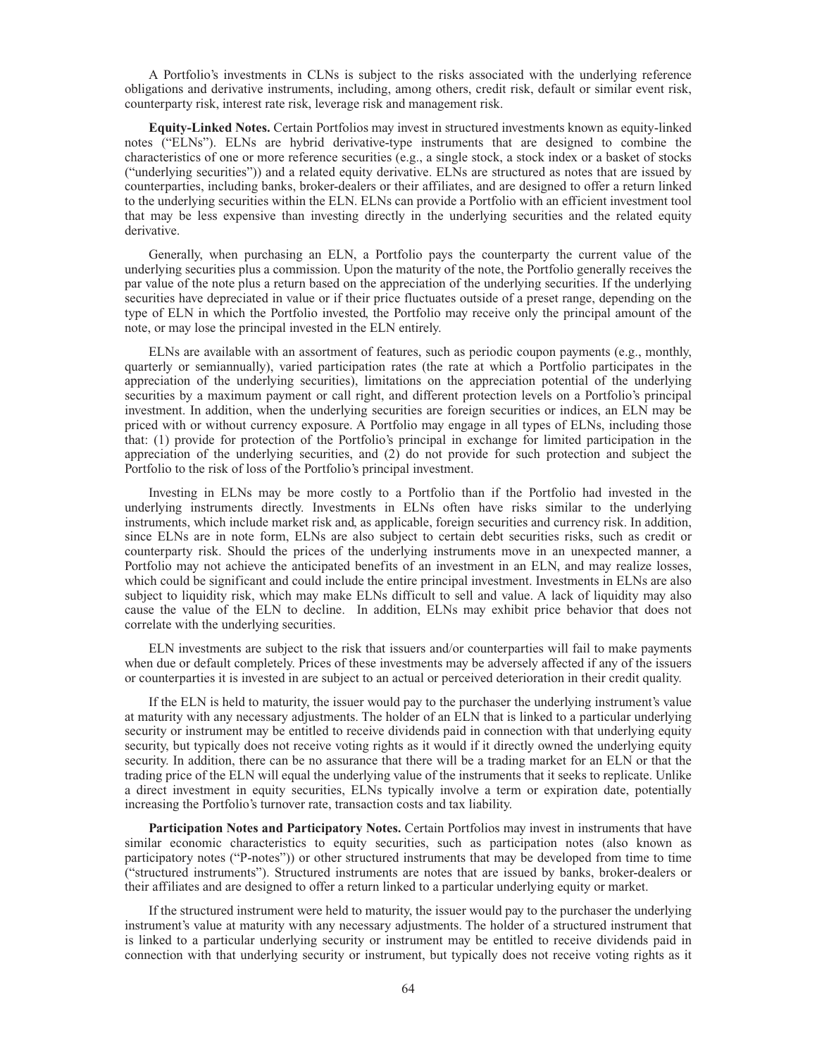A Portfolio's investments in CLNs is subject to the risks associated with the underlying reference obligations and derivative instruments, including, among others, credit risk, default or similar event risk, counterparty risk, interest rate risk, leverage risk and management risk.

**Equity-Linked Notes.** Certain Portfolios may invest in structured investments known as equity-linked notes ("ELNs"). ELNs are hybrid derivative-type instruments that are designed to combine the characteristics of one or more reference securities (e.g., a single stock, a stock index or a basket of stocks ("underlying securities")) and a related equity derivative. ELNs are structured as notes that are issued by counterparties, including banks, broker-dealers or their affiliates, and are designed to offer a return linked to the underlying securities within the ELN. ELNs can provide a Portfolio with an efficient investment tool that may be less expensive than investing directly in the underlying securities and the related equity derivative.

Generally, when purchasing an ELN, a Portfolio pays the counterparty the current value of the underlying securities plus a commission. Upon the maturity of the note, the Portfolio generally receives the par value of the note plus a return based on the appreciation of the underlying securities. If the underlying securities have depreciated in value or if their price fluctuates outside of a preset range, depending on the type of ELN in which the Portfolio invested, the Portfolio may receive only the principal amount of the note, or may lose the principal invested in the ELN entirely.

ELNs are available with an assortment of features, such as periodic coupon payments (e.g., monthly, quarterly or semiannually), varied participation rates (the rate at which a Portfolio participates in the appreciation of the underlying securities), limitations on the appreciation potential of the underlying securities by a maximum payment or call right, and different protection levels on a Portfolio's principal investment. In addition, when the underlying securities are foreign securities or indices, an ELN may be priced with or without currency exposure. A Portfolio may engage in all types of ELNs, including those that: (1) provide for protection of the Portfolio's principal in exchange for limited participation in the appreciation of the underlying securities, and (2) do not provide for such protection and subject the Portfolio to the risk of loss of the Portfolio's principal investment.

Investing in ELNs may be more costly to a Portfolio than if the Portfolio had invested in the underlying instruments directly. Investments in ELNs often have risks similar to the underlying instruments, which include market risk and, as applicable, foreign securities and currency risk. In addition, since ELNs are in note form, ELNs are also subject to certain debt securities risks, such as credit or counterparty risk. Should the prices of the underlying instruments move in an unexpected manner, a Portfolio may not achieve the anticipated benefits of an investment in an ELN, and may realize losses, which could be significant and could include the entire principal investment. Investments in ELNs are also subject to liquidity risk, which may make ELNs difficult to sell and value. A lack of liquidity may also cause the value of the ELN to decline. In addition, ELNs may exhibit price behavior that does not correlate with the underlying securities.

ELN investments are subject to the risk that issuers and/or counterparties will fail to make payments when due or default completely. Prices of these investments may be adversely affected if any of the issuers or counterparties it is invested in are subject to an actual or perceived deterioration in their credit quality.

If the ELN is held to maturity, the issuer would pay to the purchaser the underlying instrument's value at maturity with any necessary adjustments. The holder of an ELN that is linked to a particular underlying security or instrument may be entitled to receive dividends paid in connection with that underlying equity security, but typically does not receive voting rights as it would if it directly owned the underlying equity security. In addition, there can be no assurance that there will be a trading market for an ELN or that the trading price of the ELN will equal the underlying value of the instruments that it seeks to replicate. Unlike a direct investment in equity securities, ELNs typically involve a term or expiration date, potentially increasing the Portfolio's turnover rate, transaction costs and tax liability.

**Participation Notes and Participatory Notes.** Certain Portfolios may invest in instruments that have similar economic characteristics to equity securities, such as participation notes (also known as participatory notes ("P-notes")) or other structured instruments that may be developed from time to time ("structured instruments"). Structured instruments are notes that are issued by banks, broker-dealers or their affiliates and are designed to offer a return linked to a particular underlying equity or market.

If the structured instrument were held to maturity, the issuer would pay to the purchaser the underlying instrument's value at maturity with any necessary adjustments. The holder of a structured instrument that is linked to a particular underlying security or instrument may be entitled to receive dividends paid in connection with that underlying security or instrument, but typically does not receive voting rights as it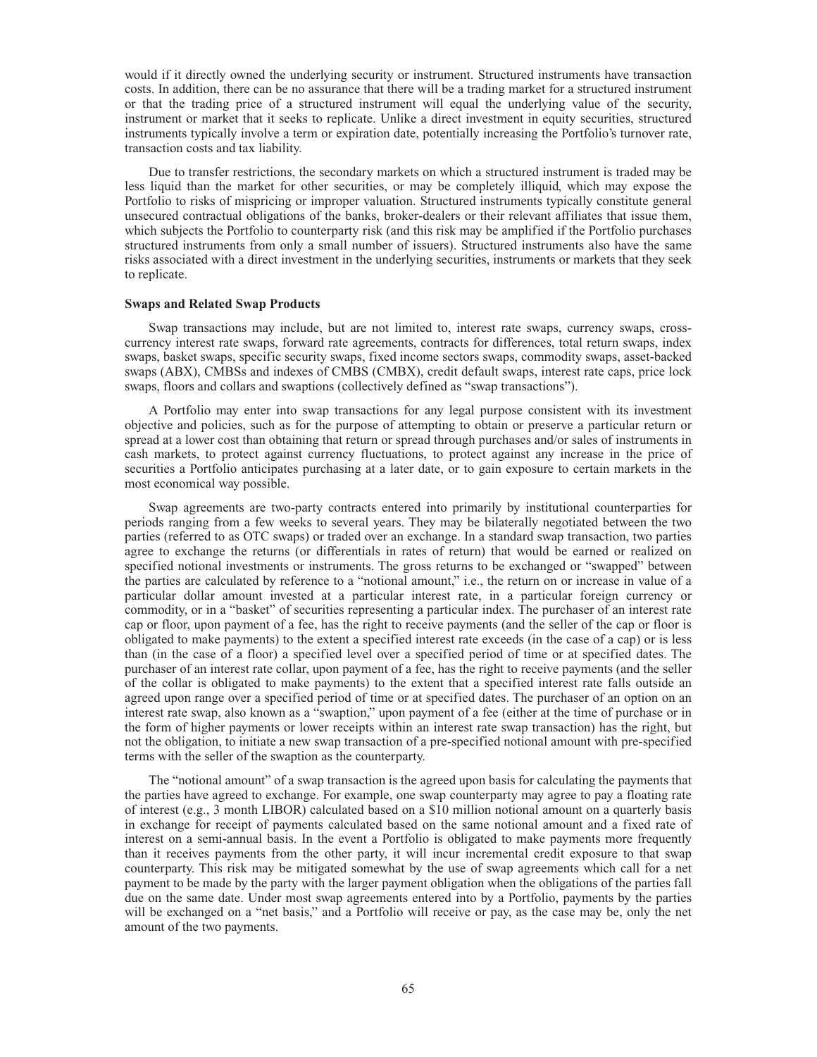would if it directly owned the underlying security or instrument. Structured instruments have transaction costs. In addition, there can be no assurance that there will be a trading market for a structured instrument or that the trading price of a structured instrument will equal the underlying value of the security, instrument or market that it seeks to replicate. Unlike a direct investment in equity securities, structured instruments typically involve a term or expiration date, potentially increasing the Portfolio's turnover rate, transaction costs and tax liability.

Due to transfer restrictions, the secondary markets on which a structured instrument is traded may be less liquid than the market for other securities, or may be completely illiquid, which may expose the Portfolio to risks of mispricing or improper valuation. Structured instruments typically constitute general unsecured contractual obligations of the banks, broker-dealers or their relevant affiliates that issue them, which subjects the Portfolio to counterparty risk (and this risk may be amplified if the Portfolio purchases structured instruments from only a small number of issuers). Structured instruments also have the same risks associated with a direct investment in the underlying securities, instruments or markets that they seek to replicate.

## **Swaps and Related Swap Products**

Swap transactions may include, but are not limited to, interest rate swaps, currency swaps, crosscurrency interest rate swaps, forward rate agreements, contracts for differences, total return swaps, index swaps, basket swaps, specific security swaps, fixed income sectors swaps, commodity swaps, asset-backed swaps (ABX), CMBSs and indexes of CMBS (CMBX), credit default swaps, interest rate caps, price lock swaps, floors and collars and swaptions (collectively defined as "swap transactions").

A Portfolio may enter into swap transactions for any legal purpose consistent with its investment objective and policies, such as for the purpose of attempting to obtain or preserve a particular return or spread at a lower cost than obtaining that return or spread through purchases and/or sales of instruments in cash markets, to protect against currency fluctuations, to protect against any increase in the price of securities a Portfolio anticipates purchasing at a later date, or to gain exposure to certain markets in the most economical way possible.

Swap agreements are two-party contracts entered into primarily by institutional counterparties for periods ranging from a few weeks to several years. They may be bilaterally negotiated between the two parties (referred to as OTC swaps) or traded over an exchange. In a standard swap transaction, two parties agree to exchange the returns (or differentials in rates of return) that would be earned or realized on specified notional investments or instruments. The gross returns to be exchanged or "swapped" between the parties are calculated by reference to a "notional amount," i.e., the return on or increase in value of a particular dollar amount invested at a particular interest rate, in a particular foreign currency or commodity, or in a "basket" of securities representing a particular index. The purchaser of an interest rate cap or floor, upon payment of a fee, has the right to receive payments (and the seller of the cap or floor is obligated to make payments) to the extent a specified interest rate exceeds (in the case of a cap) or is less than (in the case of a floor) a specified level over a specified period of time or at specified dates. The purchaser of an interest rate collar, upon payment of a fee, has the right to receive payments (and the seller of the collar is obligated to make payments) to the extent that a specified interest rate falls outside an agreed upon range over a specified period of time or at specified dates. The purchaser of an option on an interest rate swap, also known as a "swaption," upon payment of a fee (either at the time of purchase or in the form of higher payments or lower receipts within an interest rate swap transaction) has the right, but not the obligation, to initiate a new swap transaction of a pre-specified notional amount with pre-specified terms with the seller of the swaption as the counterparty.

The "notional amount" of a swap transaction is the agreed upon basis for calculating the payments that the parties have agreed to exchange. For example, one swap counterparty may agree to pay a floating rate of interest (e.g., 3 month LIBOR) calculated based on a \$10 million notional amount on a quarterly basis in exchange for receipt of payments calculated based on the same notional amount and a fixed rate of interest on a semi-annual basis. In the event a Portfolio is obligated to make payments more frequently than it receives payments from the other party, it will incur incremental credit exposure to that swap counterparty. This risk may be mitigated somewhat by the use of swap agreements which call for a net payment to be made by the party with the larger payment obligation when the obligations of the parties fall due on the same date. Under most swap agreements entered into by a Portfolio, payments by the parties will be exchanged on a "net basis," and a Portfolio will receive or pay, as the case may be, only the net amount of the two payments.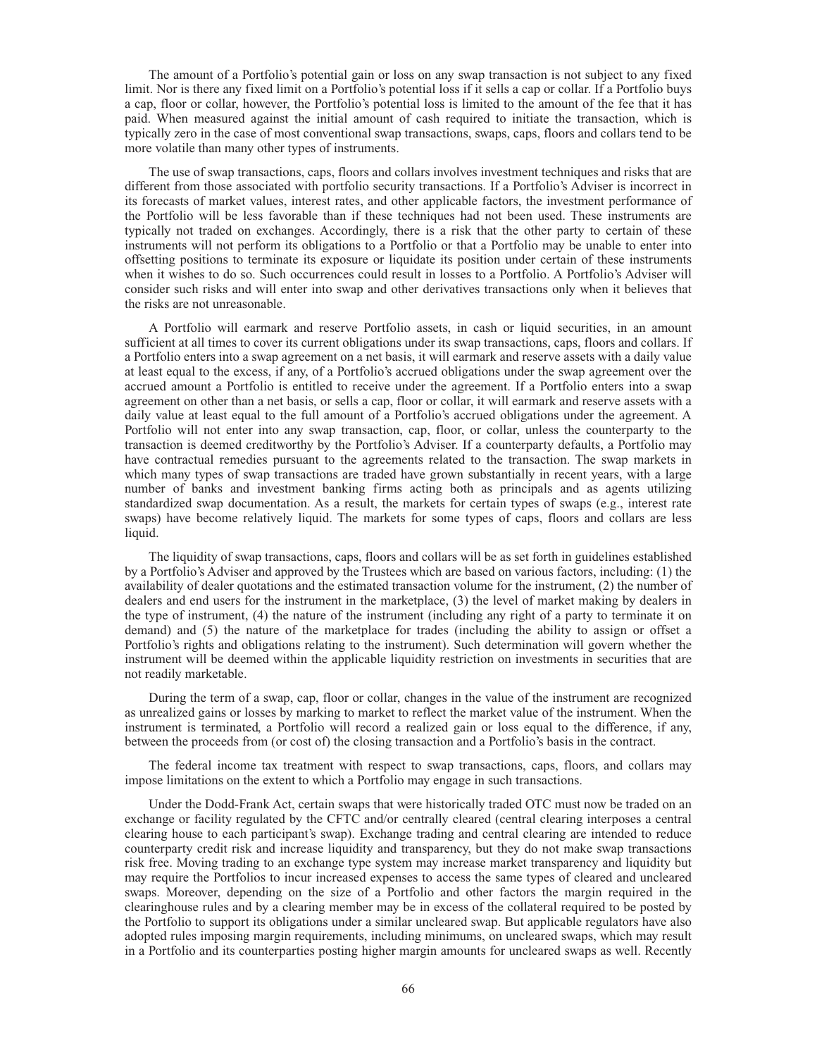The amount of a Portfolio's potential gain or loss on any swap transaction is not subject to any fixed limit. Nor is there any fixed limit on a Portfolio's potential loss if it sells a cap or collar. If a Portfolio buys a cap, floor or collar, however, the Portfolio's potential loss is limited to the amount of the fee that it has paid. When measured against the initial amount of cash required to initiate the transaction, which is typically zero in the case of most conventional swap transactions, swaps, caps, floors and collars tend to be more volatile than many other types of instruments.

The use of swap transactions, caps, floors and collars involves investment techniques and risks that are different from those associated with portfolio security transactions. If a Portfolio's Adviser is incorrect in its forecasts of market values, interest rates, and other applicable factors, the investment performance of the Portfolio will be less favorable than if these techniques had not been used. These instruments are typically not traded on exchanges. Accordingly, there is a risk that the other party to certain of these instruments will not perform its obligations to a Portfolio or that a Portfolio may be unable to enter into offsetting positions to terminate its exposure or liquidate its position under certain of these instruments when it wishes to do so. Such occurrences could result in losses to a Portfolio. A Portfolio's Adviser will consider such risks and will enter into swap and other derivatives transactions only when it believes that the risks are not unreasonable.

A Portfolio will earmark and reserve Portfolio assets, in cash or liquid securities, in an amount sufficient at all times to cover its current obligations under its swap transactions, caps, floors and collars. If a Portfolio enters into a swap agreement on a net basis, it will earmark and reserve assets with a daily value at least equal to the excess, if any, of a Portfolio's accrued obligations under the swap agreement over the accrued amount a Portfolio is entitled to receive under the agreement. If a Portfolio enters into a swap agreement on other than a net basis, or sells a cap, floor or collar, it will earmark and reserve assets with a daily value at least equal to the full amount of a Portfolio's accrued obligations under the agreement. A Portfolio will not enter into any swap transaction, cap, floor, or collar, unless the counterparty to the transaction is deemed creditworthy by the Portfolio's Adviser. If a counterparty defaults, a Portfolio may have contractual remedies pursuant to the agreements related to the transaction. The swap markets in which many types of swap transactions are traded have grown substantially in recent years, with a large number of banks and investment banking firms acting both as principals and as agents utilizing standardized swap documentation. As a result, the markets for certain types of swaps (e.g., interest rate swaps) have become relatively liquid. The markets for some types of caps, floors and collars are less liquid.

The liquidity of swap transactions, caps, floors and collars will be as set forth in guidelines established by a Portfolio's Adviser and approved by the Trustees which are based on various factors, including: (1) the availability of dealer quotations and the estimated transaction volume for the instrument, (2) the number of dealers and end users for the instrument in the marketplace, (3) the level of market making by dealers in the type of instrument, (4) the nature of the instrument (including any right of a party to terminate it on demand) and (5) the nature of the marketplace for trades (including the ability to assign or offset a Portfolio's rights and obligations relating to the instrument). Such determination will govern whether the instrument will be deemed within the applicable liquidity restriction on investments in securities that are not readily marketable.

During the term of a swap, cap, floor or collar, changes in the value of the instrument are recognized as unrealized gains or losses by marking to market to reflect the market value of the instrument. When the instrument is terminated, a Portfolio will record a realized gain or loss equal to the difference, if any, between the proceeds from (or cost of) the closing transaction and a Portfolio's basis in the contract.

The federal income tax treatment with respect to swap transactions, caps, floors, and collars may impose limitations on the extent to which a Portfolio may engage in such transactions.

Under the Dodd-Frank Act, certain swaps that were historically traded OTC must now be traded on an exchange or facility regulated by the CFTC and/or centrally cleared (central clearing interposes a central clearing house to each participant's swap). Exchange trading and central clearing are intended to reduce counterparty credit risk and increase liquidity and transparency, but they do not make swap transactions risk free. Moving trading to an exchange type system may increase market transparency and liquidity but may require the Portfolios to incur increased expenses to access the same types of cleared and uncleared swaps. Moreover, depending on the size of a Portfolio and other factors the margin required in the clearinghouse rules and by a clearing member may be in excess of the collateral required to be posted by the Portfolio to support its obligations under a similar uncleared swap. But applicable regulators have also adopted rules imposing margin requirements, including minimums, on uncleared swaps, which may result in a Portfolio and its counterparties posting higher margin amounts for uncleared swaps as well. Recently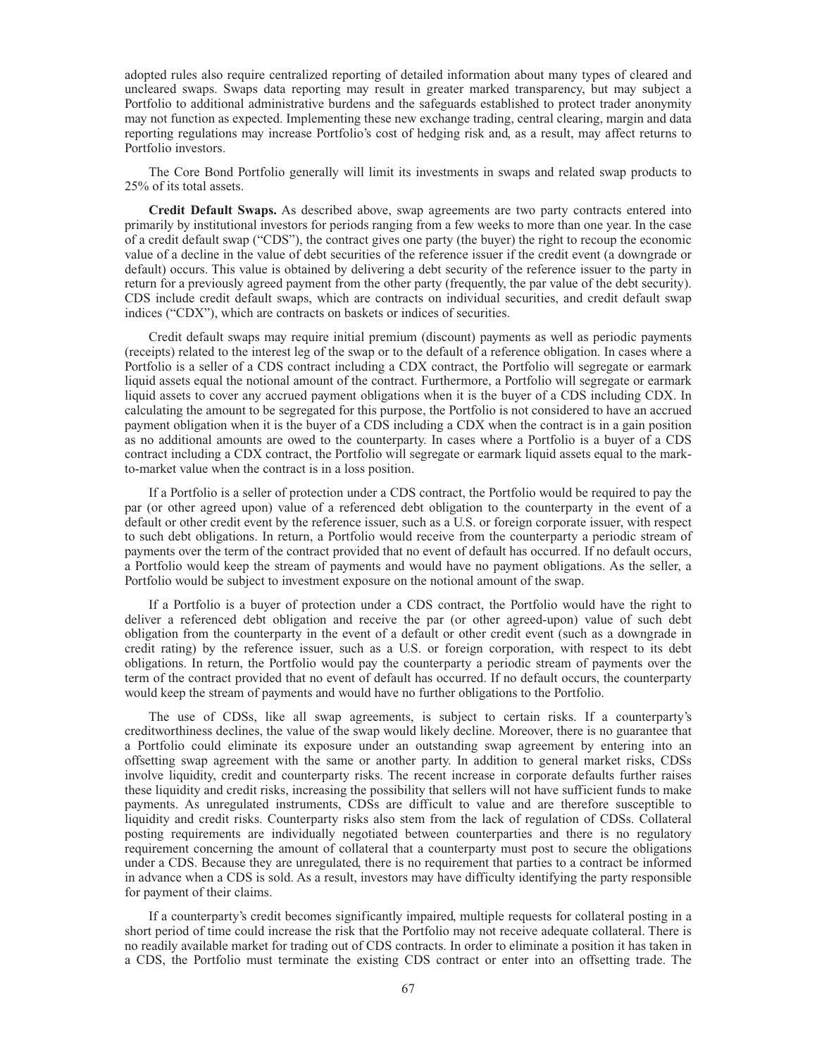adopted rules also require centralized reporting of detailed information about many types of cleared and uncleared swaps. Swaps data reporting may result in greater marked transparency, but may subject a Portfolio to additional administrative burdens and the safeguards established to protect trader anonymity may not function as expected. Implementing these new exchange trading, central clearing, margin and data reporting regulations may increase Portfolio's cost of hedging risk and, as a result, may affect returns to Portfolio investors.

The Core Bond Portfolio generally will limit its investments in swaps and related swap products to 25% of its total assets.

**Credit Default Swaps.** As described above, swap agreements are two party contracts entered into primarily by institutional investors for periods ranging from a few weeks to more than one year. In the case of a credit default swap ("CDS"), the contract gives one party (the buyer) the right to recoup the economic value of a decline in the value of debt securities of the reference issuer if the credit event (a downgrade or default) occurs. This value is obtained by delivering a debt security of the reference issuer to the party in return for a previously agreed payment from the other party (frequently, the par value of the debt security). CDS include credit default swaps, which are contracts on individual securities, and credit default swap indices ("CDX"), which are contracts on baskets or indices of securities.

Credit default swaps may require initial premium (discount) payments as well as periodic payments (receipts) related to the interest leg of the swap or to the default of a reference obligation. In cases where a Portfolio is a seller of a CDS contract including a CDX contract, the Portfolio will segregate or earmark liquid assets equal the notional amount of the contract. Furthermore, a Portfolio will segregate or earmark liquid assets to cover any accrued payment obligations when it is the buyer of a CDS including CDX. In calculating the amount to be segregated for this purpose, the Portfolio is not considered to have an accrued payment obligation when it is the buyer of a CDS including a CDX when the contract is in a gain position as no additional amounts are owed to the counterparty. In cases where a Portfolio is a buyer of a CDS contract including a CDX contract, the Portfolio will segregate or earmark liquid assets equal to the markto-market value when the contract is in a loss position.

If a Portfolio is a seller of protection under a CDS contract, the Portfolio would be required to pay the par (or other agreed upon) value of a referenced debt obligation to the counterparty in the event of a default or other credit event by the reference issuer, such as a U.S. or foreign corporate issuer, with respect to such debt obligations. In return, a Portfolio would receive from the counterparty a periodic stream of payments over the term of the contract provided that no event of default has occurred. If no default occurs, a Portfolio would keep the stream of payments and would have no payment obligations. As the seller, a Portfolio would be subject to investment exposure on the notional amount of the swap.

If a Portfolio is a buyer of protection under a CDS contract, the Portfolio would have the right to deliver a referenced debt obligation and receive the par (or other agreed-upon) value of such debt obligation from the counterparty in the event of a default or other credit event (such as a downgrade in credit rating) by the reference issuer, such as a U.S. or foreign corporation, with respect to its debt obligations. In return, the Portfolio would pay the counterparty a periodic stream of payments over the term of the contract provided that no event of default has occurred. If no default occurs, the counterparty would keep the stream of payments and would have no further obligations to the Portfolio.

The use of CDSs, like all swap agreements, is subject to certain risks. If a counterparty's creditworthiness declines, the value of the swap would likely decline. Moreover, there is no guarantee that a Portfolio could eliminate its exposure under an outstanding swap agreement by entering into an offsetting swap agreement with the same or another party. In addition to general market risks, CDSs involve liquidity, credit and counterparty risks. The recent increase in corporate defaults further raises these liquidity and credit risks, increasing the possibility that sellers will not have sufficient funds to make payments. As unregulated instruments, CDSs are difficult to value and are therefore susceptible to liquidity and credit risks. Counterparty risks also stem from the lack of regulation of CDSs. Collateral posting requirements are individually negotiated between counterparties and there is no regulatory requirement concerning the amount of collateral that a counterparty must post to secure the obligations under a CDS. Because they are unregulated, there is no requirement that parties to a contract be informed in advance when a CDS is sold. As a result, investors may have difficulty identifying the party responsible for payment of their claims.

If a counterparty's credit becomes significantly impaired, multiple requests for collateral posting in a short period of time could increase the risk that the Portfolio may not receive adequate collateral. There is no readily available market for trading out of CDS contracts. In order to eliminate a position it has taken in a CDS, the Portfolio must terminate the existing CDS contract or enter into an offsetting trade. The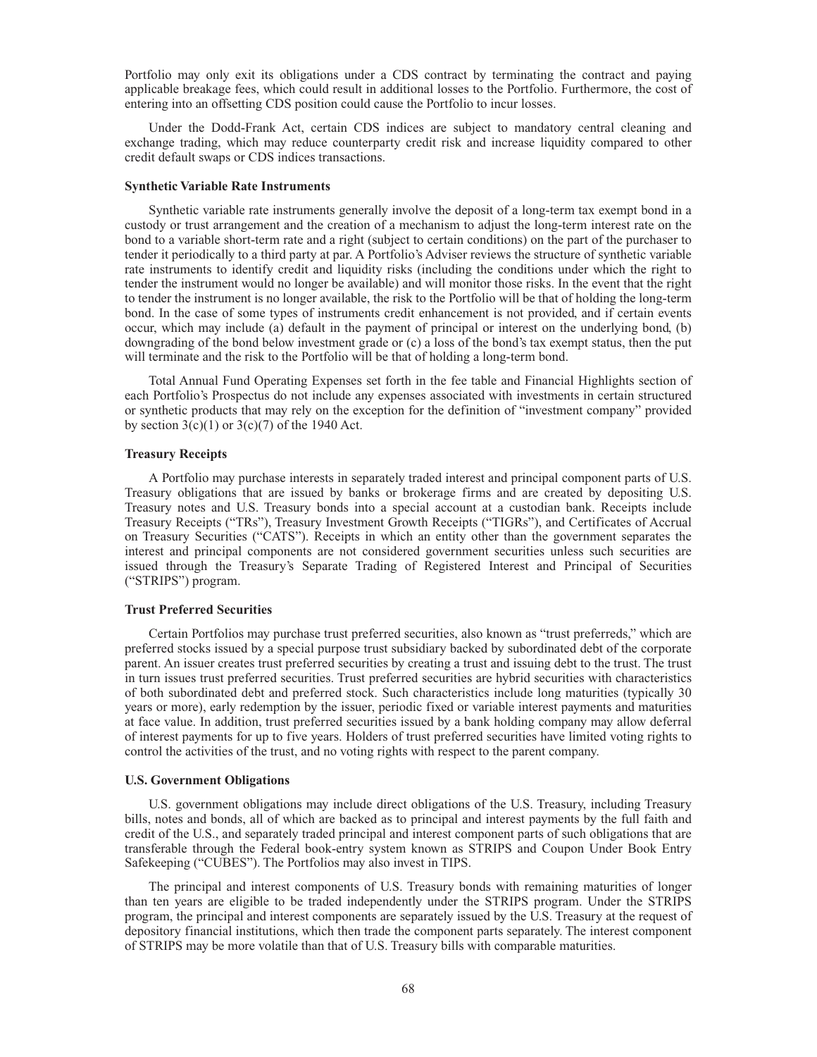Portfolio may only exit its obligations under a CDS contract by terminating the contract and paying applicable breakage fees, which could result in additional losses to the Portfolio. Furthermore, the cost of entering into an offsetting CDS position could cause the Portfolio to incur losses.

Under the Dodd-Frank Act, certain CDS indices are subject to mandatory central cleaning and exchange trading, which may reduce counterparty credit risk and increase liquidity compared to other credit default swaps or CDS indices transactions.

## **Synthetic Variable Rate Instruments**

Synthetic variable rate instruments generally involve the deposit of a long-term tax exempt bond in a custody or trust arrangement and the creation of a mechanism to adjust the long-term interest rate on the bond to a variable short-term rate and a right (subject to certain conditions) on the part of the purchaser to tender it periodically to a third party at par. A Portfolio's Adviser reviews the structure of synthetic variable rate instruments to identify credit and liquidity risks (including the conditions under which the right to tender the instrument would no longer be available) and will monitor those risks. In the event that the right to tender the instrument is no longer available, the risk to the Portfolio will be that of holding the long-term bond. In the case of some types of instruments credit enhancement is not provided, and if certain events occur, which may include (a) default in the payment of principal or interest on the underlying bond, (b) downgrading of the bond below investment grade or (c) a loss of the bond's tax exempt status, then the put will terminate and the risk to the Portfolio will be that of holding a long-term bond.

Total Annual Fund Operating Expenses set forth in the fee table and Financial Highlights section of each Portfolio's Prospectus do not include any expenses associated with investments in certain structured or synthetic products that may rely on the exception for the definition of "investment company" provided by section  $3(c)(1)$  or  $3(c)(7)$  of the 1940 Act.

## **Treasury Receipts**

A Portfolio may purchase interests in separately traded interest and principal component parts of U.S. Treasury obligations that are issued by banks or brokerage firms and are created by depositing U.S. Treasury notes and U.S. Treasury bonds into a special account at a custodian bank. Receipts include Treasury Receipts ("TRs"), Treasury Investment Growth Receipts ("TIGRs"), and Certificates of Accrual on Treasury Securities ("CATS"). Receipts in which an entity other than the government separates the interest and principal components are not considered government securities unless such securities are issued through the Treasury's Separate Trading of Registered Interest and Principal of Securities ("STRIPS") program.

#### **Trust Preferred Securities**

Certain Portfolios may purchase trust preferred securities, also known as "trust preferreds," which are preferred stocks issued by a special purpose trust subsidiary backed by subordinated debt of the corporate parent. An issuer creates trust preferred securities by creating a trust and issuing debt to the trust. The trust in turn issues trust preferred securities. Trust preferred securities are hybrid securities with characteristics of both subordinated debt and preferred stock. Such characteristics include long maturities (typically 30 years or more), early redemption by the issuer, periodic fixed or variable interest payments and maturities at face value. In addition, trust preferred securities issued by a bank holding company may allow deferral of interest payments for up to five years. Holders of trust preferred securities have limited voting rights to control the activities of the trust, and no voting rights with respect to the parent company.

#### **U.S. Government Obligations**

U.S. government obligations may include direct obligations of the U.S. Treasury, including Treasury bills, notes and bonds, all of which are backed as to principal and interest payments by the full faith and credit of the U.S., and separately traded principal and interest component parts of such obligations that are transferable through the Federal book-entry system known as STRIPS and Coupon Under Book Entry Safekeeping ("CUBES"). The Portfolios may also invest in TIPS.

The principal and interest components of U.S. Treasury bonds with remaining maturities of longer than ten years are eligible to be traded independently under the STRIPS program. Under the STRIPS program, the principal and interest components are separately issued by the U.S. Treasury at the request of depository financial institutions, which then trade the component parts separately. The interest component of STRIPS may be more volatile than that of U.S. Treasury bills with comparable maturities.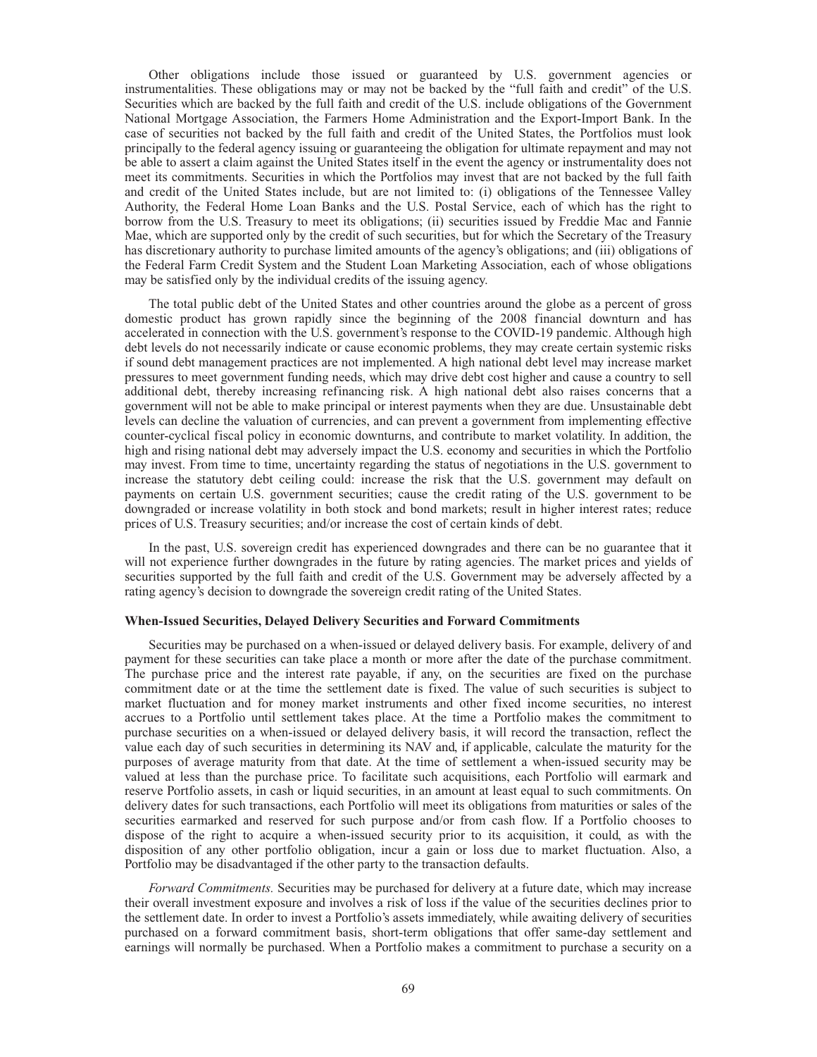Other obligations include those issued or guaranteed by U.S. government agencies or instrumentalities. These obligations may or may not be backed by the "full faith and credit" of the U.S. Securities which are backed by the full faith and credit of the U.S. include obligations of the Government National Mortgage Association, the Farmers Home Administration and the Export-Import Bank. In the case of securities not backed by the full faith and credit of the United States, the Portfolios must look principally to the federal agency issuing or guaranteeing the obligation for ultimate repayment and may not be able to assert a claim against the United States itself in the event the agency or instrumentality does not meet its commitments. Securities in which the Portfolios may invest that are not backed by the full faith and credit of the United States include, but are not limited to: (i) obligations of the Tennessee Valley Authority, the Federal Home Loan Banks and the U.S. Postal Service, each of which has the right to borrow from the U.S. Treasury to meet its obligations; (ii) securities issued by Freddie Mac and Fannie Mae, which are supported only by the credit of such securities, but for which the Secretary of the Treasury has discretionary authority to purchase limited amounts of the agency's obligations; and (iii) obligations of the Federal Farm Credit System and the Student Loan Marketing Association, each of whose obligations may be satisfied only by the individual credits of the issuing agency.

The total public debt of the United States and other countries around the globe as a percent of gross domestic product has grown rapidly since the beginning of the 2008 financial downturn and has accelerated in connection with the U.S. government's response to the COVID-19 pandemic. Although high debt levels do not necessarily indicate or cause economic problems, they may create certain systemic risks if sound debt management practices are not implemented. A high national debt level may increase market pressures to meet government funding needs, which may drive debt cost higher and cause a country to sell additional debt, thereby increasing refinancing risk. A high national debt also raises concerns that a government will not be able to make principal or interest payments when they are due. Unsustainable debt levels can decline the valuation of currencies, and can prevent a government from implementing effective counter-cyclical fiscal policy in economic downturns, and contribute to market volatility. In addition, the high and rising national debt may adversely impact the U.S. economy and securities in which the Portfolio may invest. From time to time, uncertainty regarding the status of negotiations in the U.S. government to increase the statutory debt ceiling could: increase the risk that the U.S. government may default on payments on certain U.S. government securities; cause the credit rating of the U.S. government to be downgraded or increase volatility in both stock and bond markets; result in higher interest rates; reduce prices of U.S. Treasury securities; and/or increase the cost of certain kinds of debt.

In the past, U.S. sovereign credit has experienced downgrades and there can be no guarantee that it will not experience further downgrades in the future by rating agencies. The market prices and yields of securities supported by the full faith and credit of the U.S. Government may be adversely affected by a rating agency's decision to downgrade the sovereign credit rating of the United States.

#### **When-Issued Securities, Delayed Delivery Securities and Forward Commitments**

Securities may be purchased on a when-issued or delayed delivery basis. For example, delivery of and payment for these securities can take place a month or more after the date of the purchase commitment. The purchase price and the interest rate payable, if any, on the securities are fixed on the purchase commitment date or at the time the settlement date is fixed. The value of such securities is subject to market fluctuation and for money market instruments and other fixed income securities, no interest accrues to a Portfolio until settlement takes place. At the time a Portfolio makes the commitment to purchase securities on a when-issued or delayed delivery basis, it will record the transaction, reflect the value each day of such securities in determining its NAV and, if applicable, calculate the maturity for the purposes of average maturity from that date. At the time of settlement a when-issued security may be valued at less than the purchase price. To facilitate such acquisitions, each Portfolio will earmark and reserve Portfolio assets, in cash or liquid securities, in an amount at least equal to such commitments. On delivery dates for such transactions, each Portfolio will meet its obligations from maturities or sales of the securities earmarked and reserved for such purpose and/or from cash flow. If a Portfolio chooses to dispose of the right to acquire a when-issued security prior to its acquisition, it could, as with the disposition of any other portfolio obligation, incur a gain or loss due to market fluctuation. Also, a Portfolio may be disadvantaged if the other party to the transaction defaults.

*Forward Commitments.* Securities may be purchased for delivery at a future date, which may increase their overall investment exposure and involves a risk of loss if the value of the securities declines prior to the settlement date. In order to invest a Portfolio's assets immediately, while awaiting delivery of securities purchased on a forward commitment basis, short-term obligations that offer same-day settlement and earnings will normally be purchased. When a Portfolio makes a commitment to purchase a security on a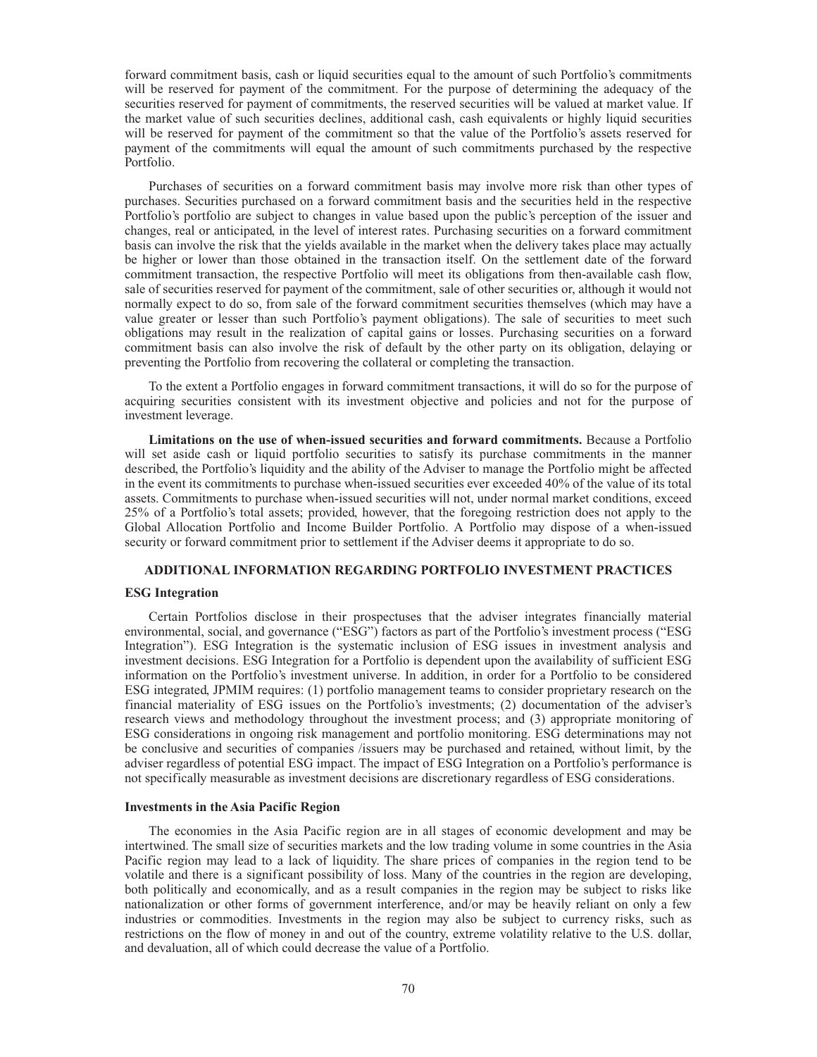forward commitment basis, cash or liquid securities equal to the amount of such Portfolio's commitments will be reserved for payment of the commitment. For the purpose of determining the adequacy of the securities reserved for payment of commitments, the reserved securities will be valued at market value. If the market value of such securities declines, additional cash, cash equivalents or highly liquid securities will be reserved for payment of the commitment so that the value of the Portfolio's assets reserved for payment of the commitments will equal the amount of such commitments purchased by the respective Portfolio.

Purchases of securities on a forward commitment basis may involve more risk than other types of purchases. Securities purchased on a forward commitment basis and the securities held in the respective Portfolio's portfolio are subject to changes in value based upon the public's perception of the issuer and changes, real or anticipated, in the level of interest rates. Purchasing securities on a forward commitment basis can involve the risk that the yields available in the market when the delivery takes place may actually be higher or lower than those obtained in the transaction itself. On the settlement date of the forward commitment transaction, the respective Portfolio will meet its obligations from then-available cash flow, sale of securities reserved for payment of the commitment, sale of other securities or, although it would not normally expect to do so, from sale of the forward commitment securities themselves (which may have a value greater or lesser than such Portfolio's payment obligations). The sale of securities to meet such obligations may result in the realization of capital gains or losses. Purchasing securities on a forward commitment basis can also involve the risk of default by the other party on its obligation, delaying or preventing the Portfolio from recovering the collateral or completing the transaction.

To the extent a Portfolio engages in forward commitment transactions, it will do so for the purpose of acquiring securities consistent with its investment objective and policies and not for the purpose of investment leverage.

**Limitations on the use of when-issued securities and forward commitments.** Because a Portfolio will set aside cash or liquid portfolio securities to satisfy its purchase commitments in the manner described, the Portfolio's liquidity and the ability of the Adviser to manage the Portfolio might be affected in the event its commitments to purchase when-issued securities ever exceeded 40% of the value of its total assets. Commitments to purchase when-issued securities will not, under normal market conditions, exceed 25% of a Portfolio's total assets; provided, however, that the foregoing restriction does not apply to the Global Allocation Portfolio and Income Builder Portfolio. A Portfolio may dispose of a when-issued security or forward commitment prior to settlement if the Adviser deems it appropriate to do so.

## **ADDITIONAL INFORMATION REGARDING PORTFOLIO INVESTMENT PRACTICES**

## **ESG Integration**

Certain Portfolios disclose in their prospectuses that the adviser integrates financially material environmental, social, and governance ("ESG") factors as part of the Portfolio's investment process ("ESG Integration"). ESG Integration is the systematic inclusion of ESG issues in investment analysis and investment decisions. ESG Integration for a Portfolio is dependent upon the availability of sufficient ESG information on the Portfolio's investment universe. In addition, in order for a Portfolio to be considered ESG integrated, JPMIM requires: (1) portfolio management teams to consider proprietary research on the financial materiality of ESG issues on the Portfolio's investments; (2) documentation of the adviser's research views and methodology throughout the investment process; and (3) appropriate monitoring of ESG considerations in ongoing risk management and portfolio monitoring. ESG determinations may not be conclusive and securities of companies /issuers may be purchased and retained, without limit, by the adviser regardless of potential ESG impact. The impact of ESG Integration on a Portfolio's performance is not specifically measurable as investment decisions are discretionary regardless of ESG considerations.

## **Investments in the Asia Pacific Region**

The economies in the Asia Pacific region are in all stages of economic development and may be intertwined. The small size of securities markets and the low trading volume in some countries in the Asia Pacific region may lead to a lack of liquidity. The share prices of companies in the region tend to be volatile and there is a significant possibility of loss. Many of the countries in the region are developing, both politically and economically, and as a result companies in the region may be subject to risks like nationalization or other forms of government interference, and/or may be heavily reliant on only a few industries or commodities. Investments in the region may also be subject to currency risks, such as restrictions on the flow of money in and out of the country, extreme volatility relative to the U.S. dollar, and devaluation, all of which could decrease the value of a Portfolio.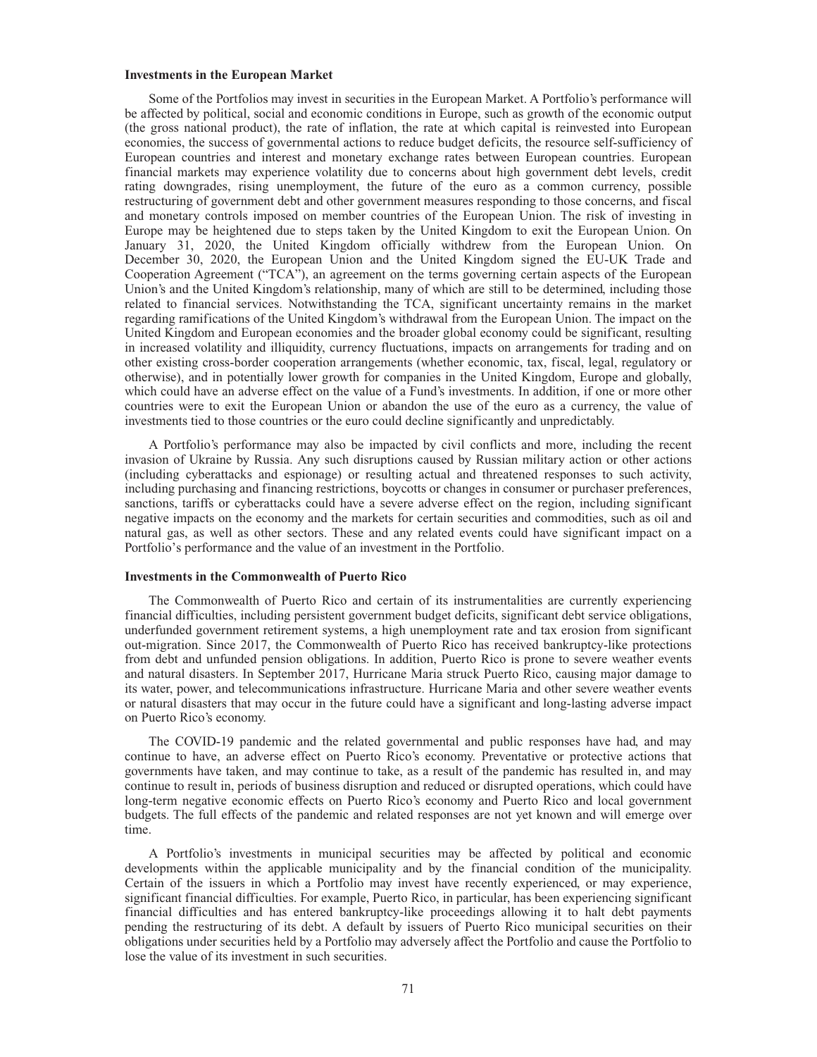### **Investments in the European Market**

Some of the Portfolios may invest in securities in the European Market. A Portfolio's performance will be affected by political, social and economic conditions in Europe, such as growth of the economic output (the gross national product), the rate of inflation, the rate at which capital is reinvested into European economies, the success of governmental actions to reduce budget deficits, the resource self-sufficiency of European countries and interest and monetary exchange rates between European countries. European financial markets may experience volatility due to concerns about high government debt levels, credit rating downgrades, rising unemployment, the future of the euro as a common currency, possible restructuring of government debt and other government measures responding to those concerns, and fiscal and monetary controls imposed on member countries of the European Union. The risk of investing in Europe may be heightened due to steps taken by the United Kingdom to exit the European Union. On January 31, 2020, the United Kingdom officially withdrew from the European Union. On December 30, 2020, the European Union and the United Kingdom signed the EU-UK Trade and Cooperation Agreement ("TCA"), an agreement on the terms governing certain aspects of the European Union's and the United Kingdom's relationship, many of which are still to be determined, including those related to financial services. Notwithstanding the TCA, significant uncertainty remains in the market regarding ramifications of the United Kingdom's withdrawal from the European Union. The impact on the United Kingdom and European economies and the broader global economy could be significant, resulting in increased volatility and illiquidity, currency fluctuations, impacts on arrangements for trading and on other existing cross-border cooperation arrangements (whether economic, tax, fiscal, legal, regulatory or otherwise), and in potentially lower growth for companies in the United Kingdom, Europe and globally, which could have an adverse effect on the value of a Fund's investments. In addition, if one or more other countries were to exit the European Union or abandon the use of the euro as a currency, the value of investments tied to those countries or the euro could decline significantly and unpredictably.

A Portfolio's performance may also be impacted by civil conflicts and more, including the recent invasion of Ukraine by Russia. Any such disruptions caused by Russian military action or other actions (including cyberattacks and espionage) or resulting actual and threatened responses to such activity, including purchasing and financing restrictions, boycotts or changes in consumer or purchaser preferences, sanctions, tariffs or cyberattacks could have a severe adverse effect on the region, including significant negative impacts on the economy and the markets for certain securities and commodities, such as oil and natural gas, as well as other sectors. These and any related events could have significant impact on a Portfolio's performance and the value of an investment in the Portfolio.

### **Investments in the Commonwealth of Puerto Rico**

The Commonwealth of Puerto Rico and certain of its instrumentalities are currently experiencing financial difficulties, including persistent government budget deficits, significant debt service obligations, underfunded government retirement systems, a high unemployment rate and tax erosion from significant out-migration. Since 2017, the Commonwealth of Puerto Rico has received bankruptcy-like protections from debt and unfunded pension obligations. In addition, Puerto Rico is prone to severe weather events and natural disasters. In September 2017, Hurricane Maria struck Puerto Rico, causing major damage to its water, power, and telecommunications infrastructure. Hurricane Maria and other severe weather events or natural disasters that may occur in the future could have a significant and long-lasting adverse impact on Puerto Rico's economy.

The COVID-19 pandemic and the related governmental and public responses have had, and may continue to have, an adverse effect on Puerto Rico's economy. Preventative or protective actions that governments have taken, and may continue to take, as a result of the pandemic has resulted in, and may continue to result in, periods of business disruption and reduced or disrupted operations, which could have long-term negative economic effects on Puerto Rico's economy and Puerto Rico and local government budgets. The full effects of the pandemic and related responses are not yet known and will emerge over time.

A Portfolio's investments in municipal securities may be affected by political and economic developments within the applicable municipality and by the financial condition of the municipality. Certain of the issuers in which a Portfolio may invest have recently experienced, or may experience, significant financial difficulties. For example, Puerto Rico, in particular, has been experiencing significant financial difficulties and has entered bankruptcy-like proceedings allowing it to halt debt payments pending the restructuring of its debt. A default by issuers of Puerto Rico municipal securities on their obligations under securities held by a Portfolio may adversely affect the Portfolio and cause the Portfolio to lose the value of its investment in such securities.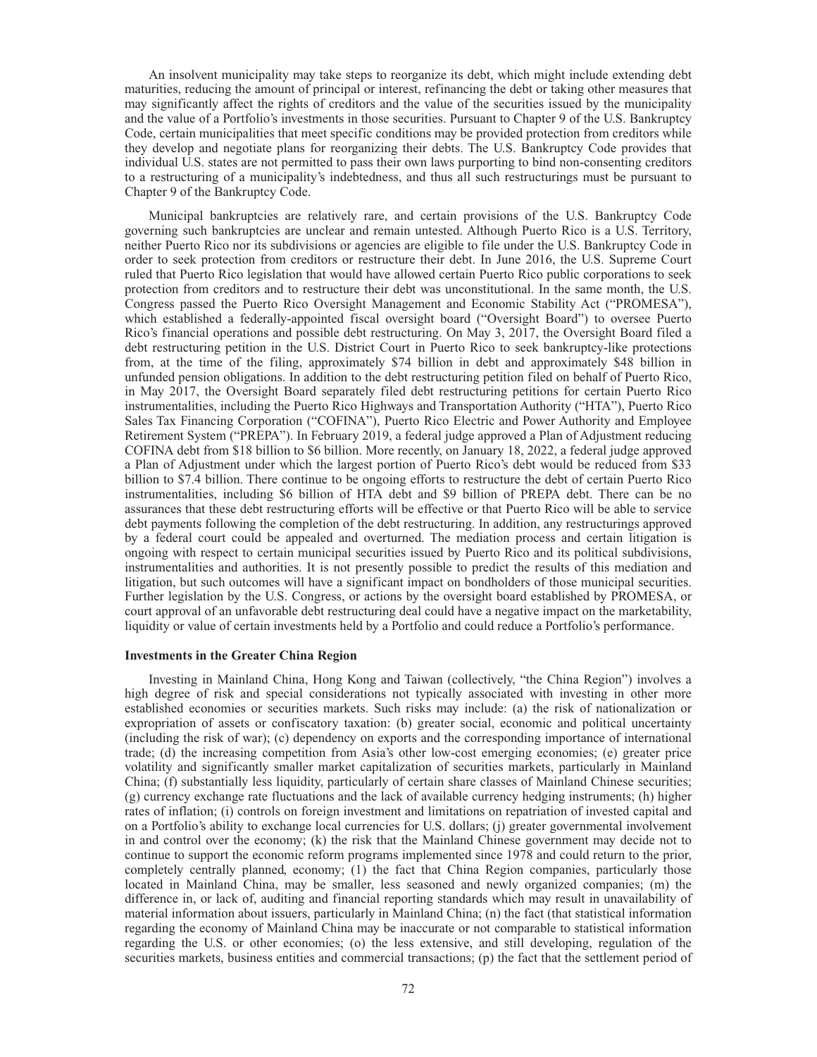An insolvent municipality may take steps to reorganize its debt, which might include extending debt maturities, reducing the amount of principal or interest, refinancing the debt or taking other measures that may significantly affect the rights of creditors and the value of the securities issued by the municipality and the value of a Portfolio's investments in those securities. Pursuant to Chapter 9 of the U.S. Bankruptcy Code, certain municipalities that meet specific conditions may be provided protection from creditors while they develop and negotiate plans for reorganizing their debts. The U.S. Bankruptcy Code provides that individual U.S. states are not permitted to pass their own laws purporting to bind non-consenting creditors to a restructuring of a municipality's indebtedness, and thus all such restructurings must be pursuant to Chapter 9 of the Bankruptcy Code.

Municipal bankruptcies are relatively rare, and certain provisions of the U.S. Bankruptcy Code governing such bankruptcies are unclear and remain untested. Although Puerto Rico is a U.S. Territory, neither Puerto Rico nor its subdivisions or agencies are eligible to file under the U.S. Bankruptcy Code in order to seek protection from creditors or restructure their debt. In June 2016, the U.S. Supreme Court ruled that Puerto Rico legislation that would have allowed certain Puerto Rico public corporations to seek protection from creditors and to restructure their debt was unconstitutional. In the same month, the U.S. Congress passed the Puerto Rico Oversight Management and Economic Stability Act ("PROMESA"), which established a federally-appointed fiscal oversight board ("Oversight Board") to oversee Puerto Rico's financial operations and possible debt restructuring. On May 3, 2017, the Oversight Board filed a debt restructuring petition in the U.S. District Court in Puerto Rico to seek bankruptcy-like protections from, at the time of the filing, approximately \$74 billion in debt and approximately \$48 billion in unfunded pension obligations. In addition to the debt restructuring petition filed on behalf of Puerto Rico, in May 2017, the Oversight Board separately filed debt restructuring petitions for certain Puerto Rico instrumentalities, including the Puerto Rico Highways and Transportation Authority ("HTA"), Puerto Rico Sales Tax Financing Corporation ("COFINA"), Puerto Rico Electric and Power Authority and Employee Retirement System ("PREPA"). In February 2019, a federal judge approved a Plan of Adjustment reducing COFINA debt from \$18 billion to \$6 billion. More recently, on January 18, 2022, a federal judge approved a Plan of Adjustment under which the largest portion of Puerto Rico's debt would be reduced from \$33 billion to \$7.4 billion. There continue to be ongoing efforts to restructure the debt of certain Puerto Rico instrumentalities, including \$6 billion of HTA debt and \$9 billion of PREPA debt. There can be no assurances that these debt restructuring efforts will be effective or that Puerto Rico will be able to service debt payments following the completion of the debt restructuring. In addition, any restructurings approved by a federal court could be appealed and overturned. The mediation process and certain litigation is ongoing with respect to certain municipal securities issued by Puerto Rico and its political subdivisions, instrumentalities and authorities. It is not presently possible to predict the results of this mediation and litigation, but such outcomes will have a significant impact on bondholders of those municipal securities. Further legislation by the U.S. Congress, or actions by the oversight board established by PROMESA, or court approval of an unfavorable debt restructuring deal could have a negative impact on the marketability, liquidity or value of certain investments held by a Portfolio and could reduce a Portfolio's performance.

### **Investments in the Greater China Region**

Investing in Mainland China, Hong Kong and Taiwan (collectively, "the China Region") involves a high degree of risk and special considerations not typically associated with investing in other more established economies or securities markets. Such risks may include: (a) the risk of nationalization or expropriation of assets or confiscatory taxation: (b) greater social, economic and political uncertainty (including the risk of war); (c) dependency on exports and the corresponding importance of international trade; (d) the increasing competition from Asia's other low-cost emerging economies; (e) greater price volatility and significantly smaller market capitalization of securities markets, particularly in Mainland China; (f) substantially less liquidity, particularly of certain share classes of Mainland Chinese securities; (g) currency exchange rate fluctuations and the lack of available currency hedging instruments; (h) higher rates of inflation; (i) controls on foreign investment and limitations on repatriation of invested capital and on a Portfolio's ability to exchange local currencies for U.S. dollars; (j) greater governmental involvement in and control over the economy; (k) the risk that the Mainland Chinese government may decide not to continue to support the economic reform programs implemented since 1978 and could return to the prior, completely centrally planned, economy; (1) the fact that China Region companies, particularly those located in Mainland China, may be smaller, less seasoned and newly organized companies; (m) the difference in, or lack of, auditing and financial reporting standards which may result in unavailability of material information about issuers, particularly in Mainland China; (n) the fact (that statistical information regarding the economy of Mainland China may be inaccurate or not comparable to statistical information regarding the U.S. or other economies; (o) the less extensive, and still developing, regulation of the securities markets, business entities and commercial transactions; (p) the fact that the settlement period of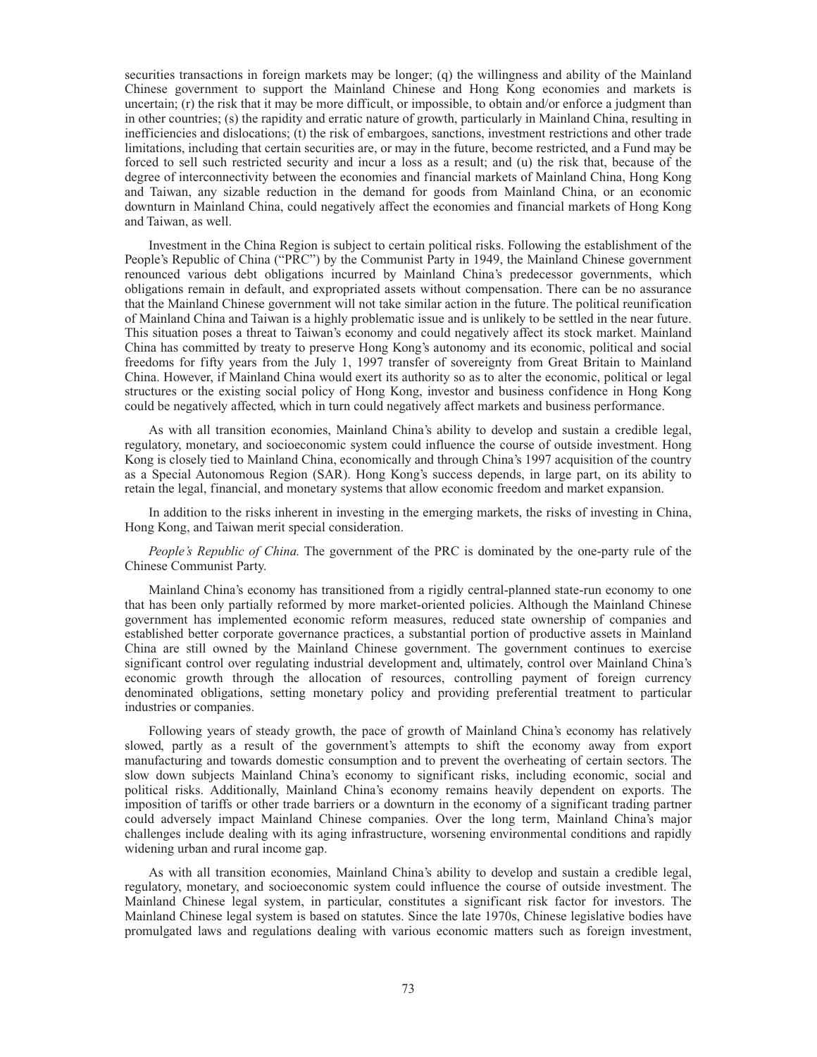securities transactions in foreign markets may be longer; (q) the willingness and ability of the Mainland Chinese government to support the Mainland Chinese and Hong Kong economies and markets is uncertain; (r) the risk that it may be more difficult, or impossible, to obtain and/or enforce a judgment than in other countries; (s) the rapidity and erratic nature of growth, particularly in Mainland China, resulting in inefficiencies and dislocations; (t) the risk of embargoes, sanctions, investment restrictions and other trade limitations, including that certain securities are, or may in the future, become restricted, and a Fund may be forced to sell such restricted security and incur a loss as a result; and (u) the risk that, because of the degree of interconnectivity between the economies and financial markets of Mainland China, Hong Kong and Taiwan, any sizable reduction in the demand for goods from Mainland China, or an economic downturn in Mainland China, could negatively affect the economies and financial markets of Hong Kong and Taiwan, as well.

Investment in the China Region is subject to certain political risks. Following the establishment of the People's Republic of China ("PRC") by the Communist Party in 1949, the Mainland Chinese government renounced various debt obligations incurred by Mainland China's predecessor governments, which obligations remain in default, and expropriated assets without compensation. There can be no assurance that the Mainland Chinese government will not take similar action in the future. The political reunification of Mainland China and Taiwan is a highly problematic issue and is unlikely to be settled in the near future. This situation poses a threat to Taiwan's economy and could negatively affect its stock market. Mainland China has committed by treaty to preserve Hong Kong's autonomy and its economic, political and social freedoms for fifty years from the July 1, 1997 transfer of sovereignty from Great Britain to Mainland China. However, if Mainland China would exert its authority so as to alter the economic, political or legal structures or the existing social policy of Hong Kong, investor and business confidence in Hong Kong could be negatively affected, which in turn could negatively affect markets and business performance.

As with all transition economies, Mainland China's ability to develop and sustain a credible legal, regulatory, monetary, and socioeconomic system could influence the course of outside investment. Hong Kong is closely tied to Mainland China, economically and through China's 1997 acquisition of the country as a Special Autonomous Region (SAR). Hong Kong's success depends, in large part, on its ability to retain the legal, financial, and monetary systems that allow economic freedom and market expansion.

In addition to the risks inherent in investing in the emerging markets, the risks of investing in China, Hong Kong, and Taiwan merit special consideration.

*People's Republic of China.* The government of the PRC is dominated by the one-party rule of the Chinese Communist Party.

Mainland China's economy has transitioned from a rigidly central-planned state-run economy to one that has been only partially reformed by more market-oriented policies. Although the Mainland Chinese government has implemented economic reform measures, reduced state ownership of companies and established better corporate governance practices, a substantial portion of productive assets in Mainland China are still owned by the Mainland Chinese government. The government continues to exercise significant control over regulating industrial development and, ultimately, control over Mainland China's economic growth through the allocation of resources, controlling payment of foreign currency denominated obligations, setting monetary policy and providing preferential treatment to particular industries or companies.

Following years of steady growth, the pace of growth of Mainland China's economy has relatively slowed, partly as a result of the government's attempts to shift the economy away from export manufacturing and towards domestic consumption and to prevent the overheating of certain sectors. The slow down subjects Mainland China's economy to significant risks, including economic, social and political risks. Additionally, Mainland China's economy remains heavily dependent on exports. The imposition of tariffs or other trade barriers or a downturn in the economy of a significant trading partner could adversely impact Mainland Chinese companies. Over the long term, Mainland China's major challenges include dealing with its aging infrastructure, worsening environmental conditions and rapidly widening urban and rural income gap.

As with all transition economies, Mainland China's ability to develop and sustain a credible legal, regulatory, monetary, and socioeconomic system could influence the course of outside investment. The Mainland Chinese legal system, in particular, constitutes a significant risk factor for investors. The Mainland Chinese legal system is based on statutes. Since the late 1970s, Chinese legislative bodies have promulgated laws and regulations dealing with various economic matters such as foreign investment,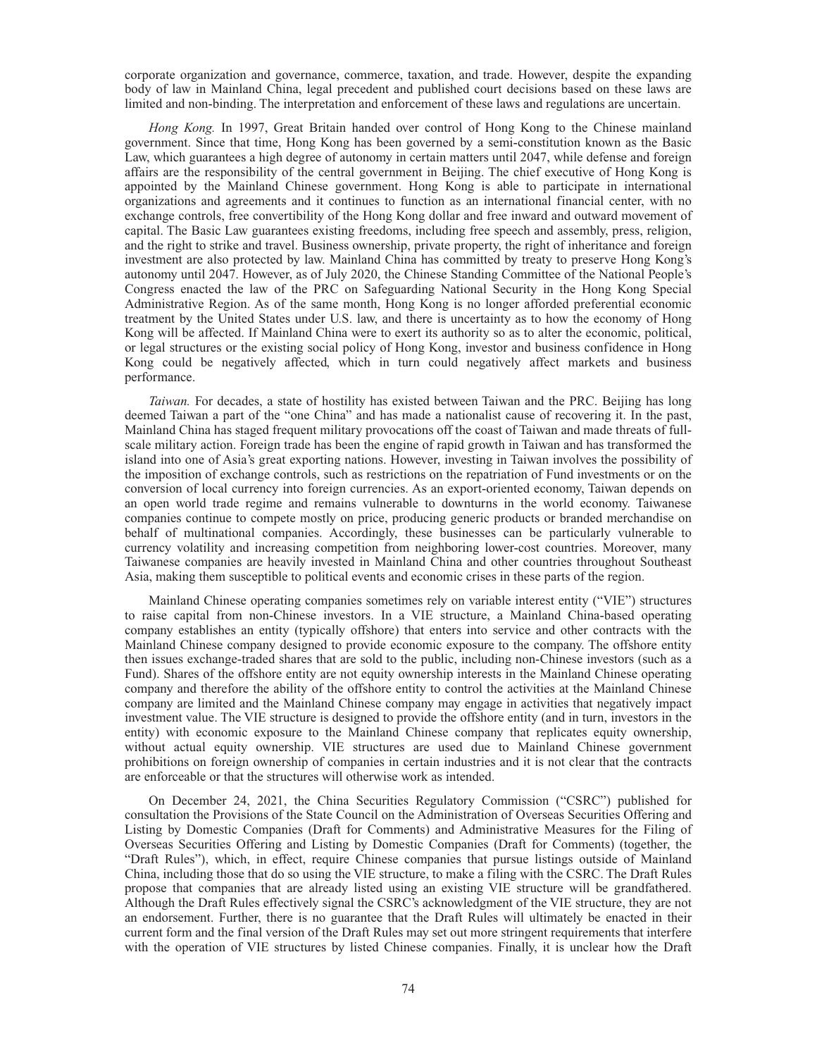corporate organization and governance, commerce, taxation, and trade. However, despite the expanding body of law in Mainland China, legal precedent and published court decisions based on these laws are limited and non-binding. The interpretation and enforcement of these laws and regulations are uncertain.

*Hong Kong.* In 1997, Great Britain handed over control of Hong Kong to the Chinese mainland government. Since that time, Hong Kong has been governed by a semi-constitution known as the Basic Law, which guarantees a high degree of autonomy in certain matters until 2047, while defense and foreign affairs are the responsibility of the central government in Beijing. The chief executive of Hong Kong is appointed by the Mainland Chinese government. Hong Kong is able to participate in international organizations and agreements and it continues to function as an international financial center, with no exchange controls, free convertibility of the Hong Kong dollar and free inward and outward movement of capital. The Basic Law guarantees existing freedoms, including free speech and assembly, press, religion, and the right to strike and travel. Business ownership, private property, the right of inheritance and foreign investment are also protected by law. Mainland China has committed by treaty to preserve Hong Kong's autonomy until 2047. However, as of July 2020, the Chinese Standing Committee of the National People's Congress enacted the law of the PRC on Safeguarding National Security in the Hong Kong Special Administrative Region. As of the same month, Hong Kong is no longer afforded preferential economic treatment by the United States under U.S. law, and there is uncertainty as to how the economy of Hong Kong will be affected. If Mainland China were to exert its authority so as to alter the economic, political, or legal structures or the existing social policy of Hong Kong, investor and business confidence in Hong Kong could be negatively affected, which in turn could negatively affect markets and business performance.

*Taiwan.* For decades, a state of hostility has existed between Taiwan and the PRC. Beijing has long deemed Taiwan a part of the "one China" and has made a nationalist cause of recovering it. In the past, Mainland China has staged frequent military provocations off the coast of Taiwan and made threats of fullscale military action. Foreign trade has been the engine of rapid growth in Taiwan and has transformed the island into one of Asia's great exporting nations. However, investing in Taiwan involves the possibility of the imposition of exchange controls, such as restrictions on the repatriation of Fund investments or on the conversion of local currency into foreign currencies. As an export-oriented economy, Taiwan depends on an open world trade regime and remains vulnerable to downturns in the world economy. Taiwanese companies continue to compete mostly on price, producing generic products or branded merchandise on behalf of multinational companies. Accordingly, these businesses can be particularly vulnerable to currency volatility and increasing competition from neighboring lower-cost countries. Moreover, many Taiwanese companies are heavily invested in Mainland China and other countries throughout Southeast Asia, making them susceptible to political events and economic crises in these parts of the region.

Mainland Chinese operating companies sometimes rely on variable interest entity ("VIE") structures to raise capital from non-Chinese investors. In a VIE structure, a Mainland China-based operating company establishes an entity (typically offshore) that enters into service and other contracts with the Mainland Chinese company designed to provide economic exposure to the company. The offshore entity then issues exchange-traded shares that are sold to the public, including non-Chinese investors (such as a Fund). Shares of the offshore entity are not equity ownership interests in the Mainland Chinese operating company and therefore the ability of the offshore entity to control the activities at the Mainland Chinese company are limited and the Mainland Chinese company may engage in activities that negatively impact investment value. The VIE structure is designed to provide the offshore entity (and in turn, investors in the entity) with economic exposure to the Mainland Chinese company that replicates equity ownership, without actual equity ownership. VIE structures are used due to Mainland Chinese government prohibitions on foreign ownership of companies in certain industries and it is not clear that the contracts are enforceable or that the structures will otherwise work as intended.

On December 24, 2021, the China Securities Regulatory Commission ("CSRC") published for consultation the Provisions of the State Council on the Administration of Overseas Securities Offering and Listing by Domestic Companies (Draft for Comments) and Administrative Measures for the Filing of Overseas Securities Offering and Listing by Domestic Companies (Draft for Comments) (together, the "Draft Rules"), which, in effect, require Chinese companies that pursue listings outside of Mainland China, including those that do so using the VIE structure, to make a filing with the CSRC. The Draft Rules propose that companies that are already listed using an existing VIE structure will be grandfathered. Although the Draft Rules effectively signal the CSRC's acknowledgment of the VIE structure, they are not an endorsement. Further, there is no guarantee that the Draft Rules will ultimately be enacted in their current form and the final version of the Draft Rules may set out more stringent requirements that interfere with the operation of VIE structures by listed Chinese companies. Finally, it is unclear how the Draft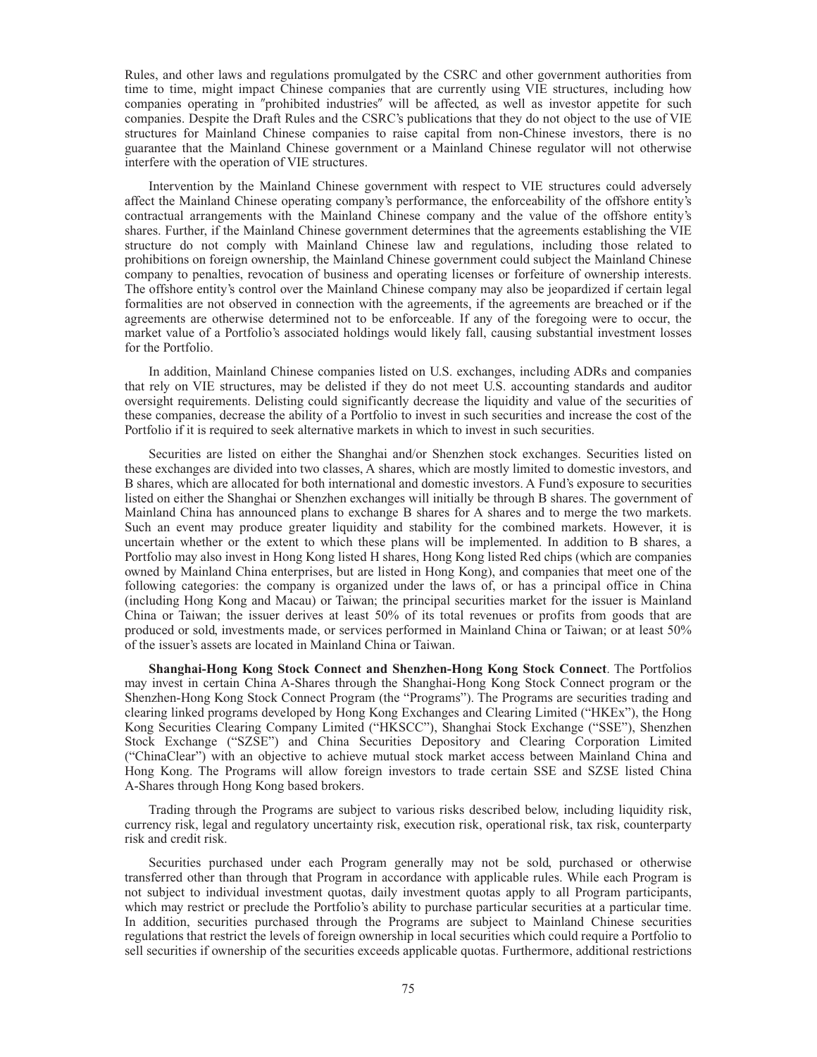Rules, and other laws and regulations promulgated by the CSRC and other government authorities from time to time, might impact Chinese companies that are currently using VIE structures, including how companies operating in "prohibited industries" will be affected, as well as investor appetite for such companies. Despite the Draft Rules and the CSRC's publications that they do not object to the use of VIE structures for Mainland Chinese companies to raise capital from non-Chinese investors, there is no guarantee that the Mainland Chinese government or a Mainland Chinese regulator will not otherwise interfere with the operation of VIE structures.

Intervention by the Mainland Chinese government with respect to VIE structures could adversely affect the Mainland Chinese operating company's performance, the enforceability of the offshore entity's contractual arrangements with the Mainland Chinese company and the value of the offshore entity's shares. Further, if the Mainland Chinese government determines that the agreements establishing the VIE structure do not comply with Mainland Chinese law and regulations, including those related to prohibitions on foreign ownership, the Mainland Chinese government could subject the Mainland Chinese company to penalties, revocation of business and operating licenses or forfeiture of ownership interests. The offshore entity's control over the Mainland Chinese company may also be jeopardized if certain legal formalities are not observed in connection with the agreements, if the agreements are breached or if the agreements are otherwise determined not to be enforceable. If any of the foregoing were to occur, the market value of a Portfolio's associated holdings would likely fall, causing substantial investment losses for the Portfolio.

In addition, Mainland Chinese companies listed on U.S. exchanges, including ADRs and companies that rely on VIE structures, may be delisted if they do not meet U.S. accounting standards and auditor oversight requirements. Delisting could significantly decrease the liquidity and value of the securities of these companies, decrease the ability of a Portfolio to invest in such securities and increase the cost of the Portfolio if it is required to seek alternative markets in which to invest in such securities.

Securities are listed on either the Shanghai and/or Shenzhen stock exchanges. Securities listed on these exchanges are divided into two classes, A shares, which are mostly limited to domestic investors, and B shares, which are allocated for both international and domestic investors. A Fund's exposure to securities listed on either the Shanghai or Shenzhen exchanges will initially be through B shares. The government of Mainland China has announced plans to exchange B shares for A shares and to merge the two markets. Such an event may produce greater liquidity and stability for the combined markets. However, it is uncertain whether or the extent to which these plans will be implemented. In addition to B shares, a Portfolio may also invest in Hong Kong listed H shares, Hong Kong listed Red chips (which are companies owned by Mainland China enterprises, but are listed in Hong Kong), and companies that meet one of the following categories: the company is organized under the laws of, or has a principal office in China (including Hong Kong and Macau) or Taiwan; the principal securities market for the issuer is Mainland China or Taiwan; the issuer derives at least 50% of its total revenues or profits from goods that are produced or sold, investments made, or services performed in Mainland China or Taiwan; or at least 50% of the issuer's assets are located in Mainland China or Taiwan.

**Shanghai-Hong Kong Stock Connect and Shenzhen-Hong Kong Stock Connect**. The Portfolios may invest in certain China A-Shares through the Shanghai-Hong Kong Stock Connect program or the Shenzhen-Hong Kong Stock Connect Program (the "Programs"). The Programs are securities trading and clearing linked programs developed by Hong Kong Exchanges and Clearing Limited ("HKEx"), the Hong Kong Securities Clearing Company Limited ("HKSCC"), Shanghai Stock Exchange ("SSE"), Shenzhen Stock Exchange ("SZSE") and China Securities Depository and Clearing Corporation Limited ("ChinaClear") with an objective to achieve mutual stock market access between Mainland China and Hong Kong. The Programs will allow foreign investors to trade certain SSE and SZSE listed China A-Shares through Hong Kong based brokers.

Trading through the Programs are subject to various risks described below, including liquidity risk, currency risk, legal and regulatory uncertainty risk, execution risk, operational risk, tax risk, counterparty risk and credit risk.

Securities purchased under each Program generally may not be sold, purchased or otherwise transferred other than through that Program in accordance with applicable rules. While each Program is not subject to individual investment quotas, daily investment quotas apply to all Program participants, which may restrict or preclude the Portfolio's ability to purchase particular securities at a particular time. In addition, securities purchased through the Programs are subject to Mainland Chinese securities regulations that restrict the levels of foreign ownership in local securities which could require a Portfolio to sell securities if ownership of the securities exceeds applicable quotas. Furthermore, additional restrictions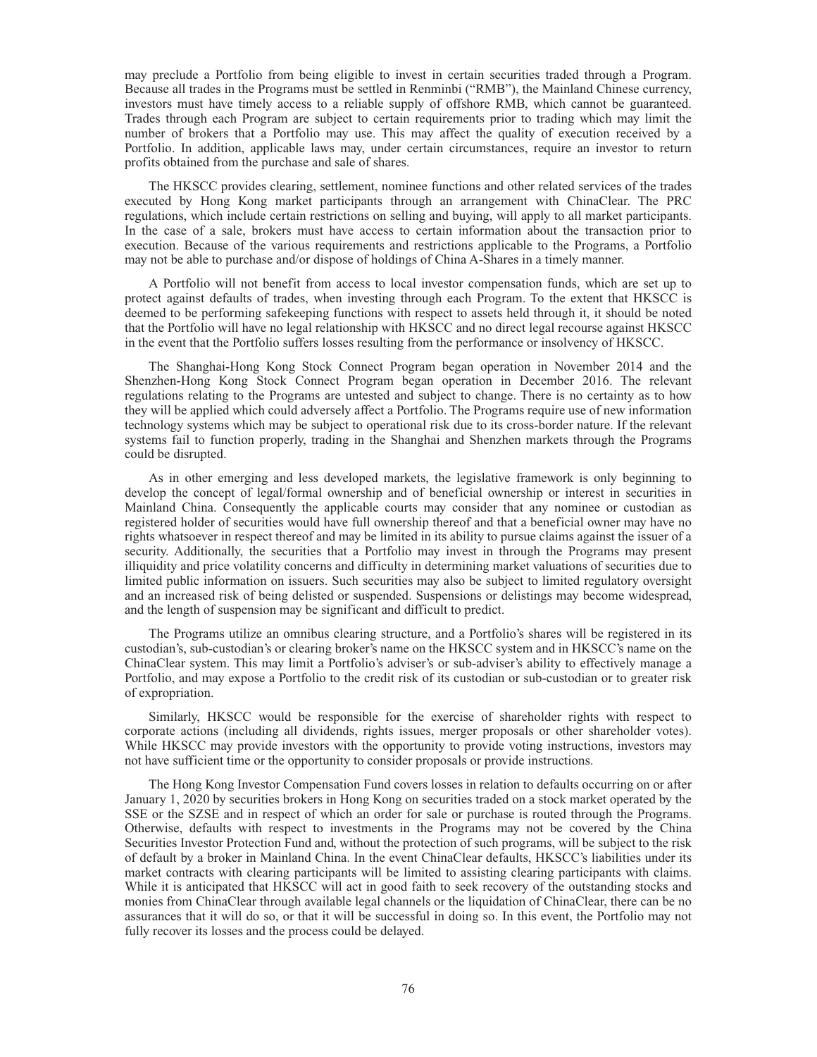may preclude a Portfolio from being eligible to invest in certain securities traded through a Program. Because all trades in the Programs must be settled in Renminbi ("RMB"), the Mainland Chinese currency, investors must have timely access to a reliable supply of offshore RMB, which cannot be guaranteed. Trades through each Program are subject to certain requirements prior to trading which may limit the number of brokers that a Portfolio may use. This may affect the quality of execution received by a Portfolio. In addition, applicable laws may, under certain circumstances, require an investor to return profits obtained from the purchase and sale of shares.

The HKSCC provides clearing, settlement, nominee functions and other related services of the trades executed by Hong Kong market participants through an arrangement with ChinaClear. The PRC regulations, which include certain restrictions on selling and buying, will apply to all market participants. In the case of a sale, brokers must have access to certain information about the transaction prior to execution. Because of the various requirements and restrictions applicable to the Programs, a Portfolio may not be able to purchase and/or dispose of holdings of China A-Shares in a timely manner.

A Portfolio will not benefit from access to local investor compensation funds, which are set up to protect against defaults of trades, when investing through each Program. To the extent that HKSCC is deemed to be performing safekeeping functions with respect to assets held through it, it should be noted that the Portfolio will have no legal relationship with HKSCC and no direct legal recourse against HKSCC in the event that the Portfolio suffers losses resulting from the performance or insolvency of HKSCC.

The Shanghai-Hong Kong Stock Connect Program began operation in November 2014 and the Shenzhen-Hong Kong Stock Connect Program began operation in December 2016. The relevant regulations relating to the Programs are untested and subject to change. There is no certainty as to how they will be applied which could adversely affect a Portfolio. The Programs require use of new information technology systems which may be subject to operational risk due to its cross-border nature. If the relevant systems fail to function properly, trading in the Shanghai and Shenzhen markets through the Programs could be disrupted.

As in other emerging and less developed markets, the legislative framework is only beginning to develop the concept of legal/formal ownership and of beneficial ownership or interest in securities in Mainland China. Consequently the applicable courts may consider that any nominee or custodian as registered holder of securities would have full ownership thereof and that a beneficial owner may have no rights whatsoever in respect thereof and may be limited in its ability to pursue claims against the issuer of a security. Additionally, the securities that a Portfolio may invest in through the Programs may present illiquidity and price volatility concerns and difficulty in determining market valuations of securities due to limited public information on issuers. Such securities may also be subject to limited regulatory oversight and an increased risk of being delisted or suspended. Suspensions or delistings may become widespread, and the length of suspension may be significant and difficult to predict.

The Programs utilize an omnibus clearing structure, and a Portfolio's shares will be registered in its custodian's, sub-custodian's or clearing broker's name on the HKSCC system and in HKSCC's name on the ChinaClear system. This may limit a Portfolio's adviser's or sub-adviser's ability to effectively manage a Portfolio, and may expose a Portfolio to the credit risk of its custodian or sub-custodian or to greater risk of expropriation.

Similarly, HKSCC would be responsible for the exercise of shareholder rights with respect to corporate actions (including all dividends, rights issues, merger proposals or other shareholder votes). While HKSCC may provide investors with the opportunity to provide voting instructions, investors may not have sufficient time or the opportunity to consider proposals or provide instructions.

The Hong Kong Investor Compensation Fund covers losses in relation to defaults occurring on or after January 1, 2020 by securities brokers in Hong Kong on securities traded on a stock market operated by the SSE or the SZSE and in respect of which an order for sale or purchase is routed through the Programs. Otherwise, defaults with respect to investments in the Programs may not be covered by the China Securities Investor Protection Fund and, without the protection of such programs, will be subject to the risk of default by a broker in Mainland China. In the event ChinaClear defaults, HKSCC's liabilities under its market contracts with clearing participants will be limited to assisting clearing participants with claims. While it is anticipated that HKSCC will act in good faith to seek recovery of the outstanding stocks and monies from ChinaClear through available legal channels or the liquidation of ChinaClear, there can be no assurances that it will do so, or that it will be successful in doing so. In this event, the Portfolio may not fully recover its losses and the process could be delayed.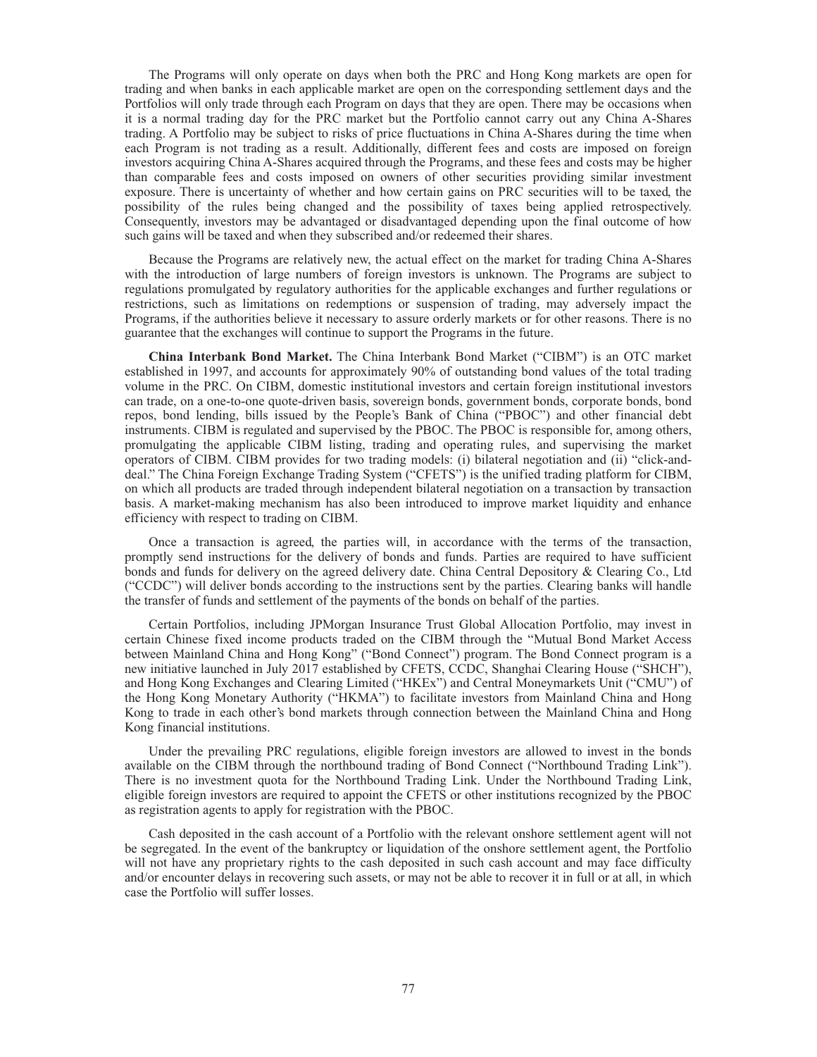The Programs will only operate on days when both the PRC and Hong Kong markets are open for trading and when banks in each applicable market are open on the corresponding settlement days and the Portfolios will only trade through each Program on days that they are open. There may be occasions when it is a normal trading day for the PRC market but the Portfolio cannot carry out any China A-Shares trading. A Portfolio may be subject to risks of price fluctuations in China A-Shares during the time when each Program is not trading as a result. Additionally, different fees and costs are imposed on foreign investors acquiring China A-Shares acquired through the Programs, and these fees and costs may be higher than comparable fees and costs imposed on owners of other securities providing similar investment exposure. There is uncertainty of whether and how certain gains on PRC securities will to be taxed, the possibility of the rules being changed and the possibility of taxes being applied retrospectively. Consequently, investors may be advantaged or disadvantaged depending upon the final outcome of how such gains will be taxed and when they subscribed and/or redeemed their shares.

Because the Programs are relatively new, the actual effect on the market for trading China A-Shares with the introduction of large numbers of foreign investors is unknown. The Programs are subject to regulations promulgated by regulatory authorities for the applicable exchanges and further regulations or restrictions, such as limitations on redemptions or suspension of trading, may adversely impact the Programs, if the authorities believe it necessary to assure orderly markets or for other reasons. There is no guarantee that the exchanges will continue to support the Programs in the future.

**China Interbank Bond Market.** The China Interbank Bond Market ("CIBM") is an OTC market established in 1997, and accounts for approximately 90% of outstanding bond values of the total trading volume in the PRC. On CIBM, domestic institutional investors and certain foreign institutional investors can trade, on a one-to-one quote-driven basis, sovereign bonds, government bonds, corporate bonds, bond repos, bond lending, bills issued by the People's Bank of China ("PBOC") and other financial debt instruments. CIBM is regulated and supervised by the PBOC. The PBOC is responsible for, among others, promulgating the applicable CIBM listing, trading and operating rules, and supervising the market operators of CIBM. CIBM provides for two trading models: (i) bilateral negotiation and (ii) "click-anddeal." The China Foreign Exchange Trading System ("CFETS") is the unified trading platform for CIBM, on which all products are traded through independent bilateral negotiation on a transaction by transaction basis. A market-making mechanism has also been introduced to improve market liquidity and enhance efficiency with respect to trading on CIBM.

Once a transaction is agreed, the parties will, in accordance with the terms of the transaction, promptly send instructions for the delivery of bonds and funds. Parties are required to have sufficient bonds and funds for delivery on the agreed delivery date. China Central Depository & Clearing Co., Ltd ("CCDC") will deliver bonds according to the instructions sent by the parties. Clearing banks will handle the transfer of funds and settlement of the payments of the bonds on behalf of the parties.

Certain Portfolios, including JPMorgan Insurance Trust Global Allocation Portfolio, may invest in certain Chinese fixed income products traded on the CIBM through the "Mutual Bond Market Access between Mainland China and Hong Kong" ("Bond Connect") program. The Bond Connect program is a new initiative launched in July 2017 established by CFETS, CCDC, Shanghai Clearing House ("SHCH"), and Hong Kong Exchanges and Clearing Limited ("HKEx") and Central Moneymarkets Unit ("CMU") of the Hong Kong Monetary Authority ("HKMA") to facilitate investors from Mainland China and Hong Kong to trade in each other's bond markets through connection between the Mainland China and Hong Kong financial institutions.

Under the prevailing PRC regulations, eligible foreign investors are allowed to invest in the bonds available on the CIBM through the northbound trading of Bond Connect ("Northbound Trading Link"). There is no investment quota for the Northbound Trading Link. Under the Northbound Trading Link, eligible foreign investors are required to appoint the CFETS or other institutions recognized by the PBOC as registration agents to apply for registration with the PBOC.

Cash deposited in the cash account of a Portfolio with the relevant onshore settlement agent will not be segregated. In the event of the bankruptcy or liquidation of the onshore settlement agent, the Portfolio will not have any proprietary rights to the cash deposited in such cash account and may face difficulty and/or encounter delays in recovering such assets, or may not be able to recover it in full or at all, in which case the Portfolio will suffer losses.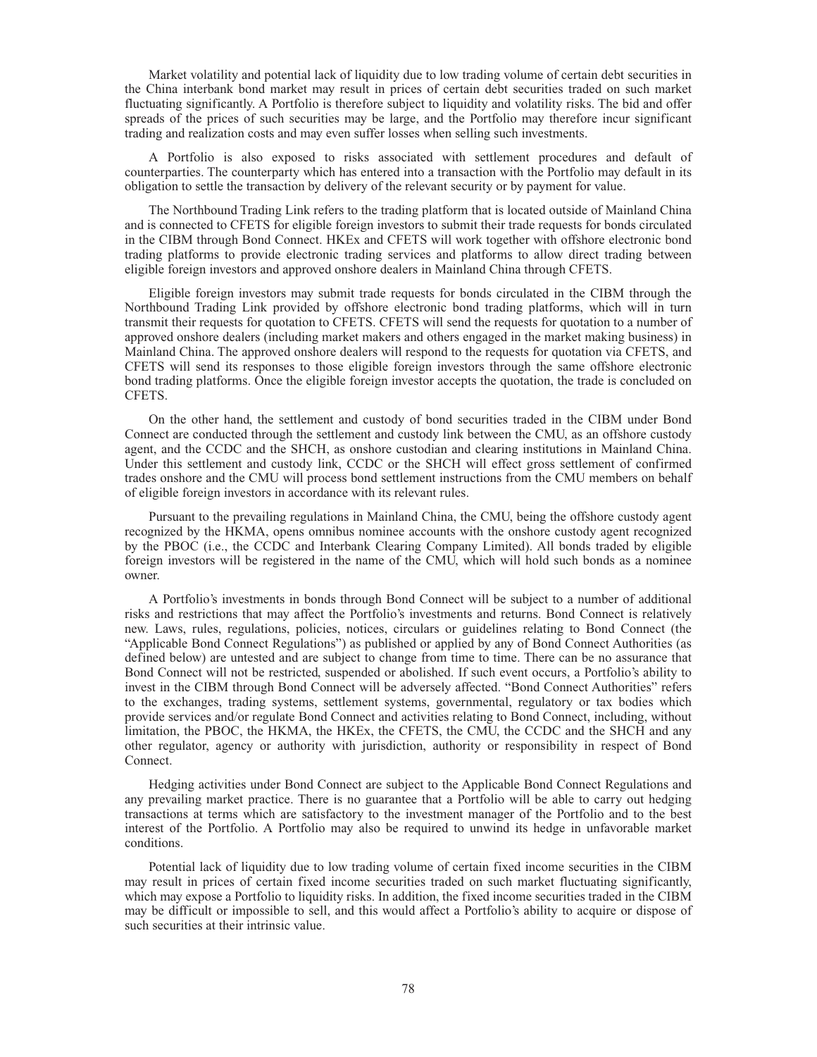Market volatility and potential lack of liquidity due to low trading volume of certain debt securities in the China interbank bond market may result in prices of certain debt securities traded on such market fluctuating significantly. A Portfolio is therefore subject to liquidity and volatility risks. The bid and offer spreads of the prices of such securities may be large, and the Portfolio may therefore incur significant trading and realization costs and may even suffer losses when selling such investments.

A Portfolio is also exposed to risks associated with settlement procedures and default of counterparties. The counterparty which has entered into a transaction with the Portfolio may default in its obligation to settle the transaction by delivery of the relevant security or by payment for value.

The Northbound Trading Link refers to the trading platform that is located outside of Mainland China and is connected to CFETS for eligible foreign investors to submit their trade requests for bonds circulated in the CIBM through Bond Connect. HKEx and CFETS will work together with offshore electronic bond trading platforms to provide electronic trading services and platforms to allow direct trading between eligible foreign investors and approved onshore dealers in Mainland China through CFETS.

Eligible foreign investors may submit trade requests for bonds circulated in the CIBM through the Northbound Trading Link provided by offshore electronic bond trading platforms, which will in turn transmit their requests for quotation to CFETS. CFETS will send the requests for quotation to a number of approved onshore dealers (including market makers and others engaged in the market making business) in Mainland China. The approved onshore dealers will respond to the requests for quotation via CFETS, and CFETS will send its responses to those eligible foreign investors through the same offshore electronic bond trading platforms. Once the eligible foreign investor accepts the quotation, the trade is concluded on CFETS.

On the other hand, the settlement and custody of bond securities traded in the CIBM under Bond Connect are conducted through the settlement and custody link between the CMU, as an offshore custody agent, and the CCDC and the SHCH, as onshore custodian and clearing institutions in Mainland China. Under this settlement and custody link, CCDC or the SHCH will effect gross settlement of confirmed trades onshore and the CMU will process bond settlement instructions from the CMU members on behalf of eligible foreign investors in accordance with its relevant rules.

Pursuant to the prevailing regulations in Mainland China, the CMU, being the offshore custody agent recognized by the HKMA, opens omnibus nominee accounts with the onshore custody agent recognized by the PBOC (i.e., the CCDC and Interbank Clearing Company Limited). All bonds traded by eligible foreign investors will be registered in the name of the CMU, which will hold such bonds as a nominee owner.

A Portfolio's investments in bonds through Bond Connect will be subject to a number of additional risks and restrictions that may affect the Portfolio's investments and returns. Bond Connect is relatively new. Laws, rules, regulations, policies, notices, circulars or guidelines relating to Bond Connect (the "Applicable Bond Connect Regulations") as published or applied by any of Bond Connect Authorities (as defined below) are untested and are subject to change from time to time. There can be no assurance that Bond Connect will not be restricted, suspended or abolished. If such event occurs, a Portfolio's ability to invest in the CIBM through Bond Connect will be adversely affected. "Bond Connect Authorities" refers to the exchanges, trading systems, settlement systems, governmental, regulatory or tax bodies which provide services and/or regulate Bond Connect and activities relating to Bond Connect, including, without limitation, the PBOC, the HKMA, the HKEx, the CFETS, the CMU, the CCDC and the SHCH and any other regulator, agency or authority with jurisdiction, authority or responsibility in respect of Bond Connect.

Hedging activities under Bond Connect are subject to the Applicable Bond Connect Regulations and any prevailing market practice. There is no guarantee that a Portfolio will be able to carry out hedging transactions at terms which are satisfactory to the investment manager of the Portfolio and to the best interest of the Portfolio. A Portfolio may also be required to unwind its hedge in unfavorable market conditions.

Potential lack of liquidity due to low trading volume of certain fixed income securities in the CIBM may result in prices of certain fixed income securities traded on such market fluctuating significantly, which may expose a Portfolio to liquidity risks. In addition, the fixed income securities traded in the CIBM may be difficult or impossible to sell, and this would affect a Portfolio's ability to acquire or dispose of such securities at their intrinsic value.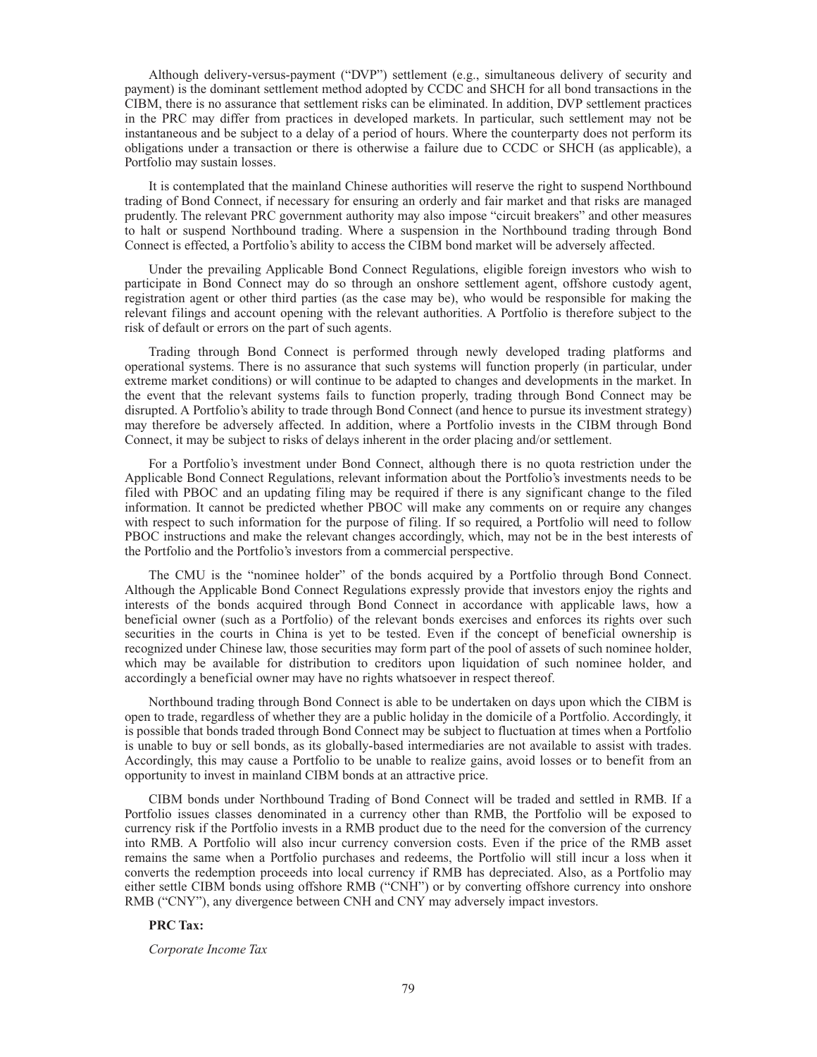Although delivery-versus-payment ("DVP") settlement (e.g., simultaneous delivery of security and payment) is the dominant settlement method adopted by CCDC and SHCH for all bond transactions in the CIBM, there is no assurance that settlement risks can be eliminated. In addition, DVP settlement practices in the PRC may differ from practices in developed markets. In particular, such settlement may not be instantaneous and be subject to a delay of a period of hours. Where the counterparty does not perform its obligations under a transaction or there is otherwise a failure due to CCDC or SHCH (as applicable), a Portfolio may sustain losses.

It is contemplated that the mainland Chinese authorities will reserve the right to suspend Northbound trading of Bond Connect, if necessary for ensuring an orderly and fair market and that risks are managed prudently. The relevant PRC government authority may also impose "circuit breakers" and other measures to halt or suspend Northbound trading. Where a suspension in the Northbound trading through Bond Connect is effected, a Portfolio's ability to access the CIBM bond market will be adversely affected.

Under the prevailing Applicable Bond Connect Regulations, eligible foreign investors who wish to participate in Bond Connect may do so through an onshore settlement agent, offshore custody agent, registration agent or other third parties (as the case may be), who would be responsible for making the relevant filings and account opening with the relevant authorities. A Portfolio is therefore subject to the risk of default or errors on the part of such agents.

Trading through Bond Connect is performed through newly developed trading platforms and operational systems. There is no assurance that such systems will function properly (in particular, under extreme market conditions) or will continue to be adapted to changes and developments in the market. In the event that the relevant systems fails to function properly, trading through Bond Connect may be disrupted. A Portfolio's ability to trade through Bond Connect (and hence to pursue its investment strategy) may therefore be adversely affected. In addition, where a Portfolio invests in the CIBM through Bond Connect, it may be subject to risks of delays inherent in the order placing and/or settlement.

For a Portfolio's investment under Bond Connect, although there is no quota restriction under the Applicable Bond Connect Regulations, relevant information about the Portfolio's investments needs to be filed with PBOC and an updating filing may be required if there is any significant change to the filed information. It cannot be predicted whether PBOC will make any comments on or require any changes with respect to such information for the purpose of filing. If so required, a Portfolio will need to follow PBOC instructions and make the relevant changes accordingly, which, may not be in the best interests of the Portfolio and the Portfolio's investors from a commercial perspective.

The CMU is the "nominee holder" of the bonds acquired by a Portfolio through Bond Connect. Although the Applicable Bond Connect Regulations expressly provide that investors enjoy the rights and interests of the bonds acquired through Bond Connect in accordance with applicable laws, how a beneficial owner (such as a Portfolio) of the relevant bonds exercises and enforces its rights over such securities in the courts in China is yet to be tested. Even if the concept of beneficial ownership is recognized under Chinese law, those securities may form part of the pool of assets of such nominee holder, which may be available for distribution to creditors upon liquidation of such nominee holder, and accordingly a beneficial owner may have no rights whatsoever in respect thereof.

Northbound trading through Bond Connect is able to be undertaken on days upon which the CIBM is open to trade, regardless of whether they are a public holiday in the domicile of a Portfolio. Accordingly, it is possible that bonds traded through Bond Connect may be subject to fluctuation at times when a Portfolio is unable to buy or sell bonds, as its globally-based intermediaries are not available to assist with trades. Accordingly, this may cause a Portfolio to be unable to realize gains, avoid losses or to benefit from an opportunity to invest in mainland CIBM bonds at an attractive price.

CIBM bonds under Northbound Trading of Bond Connect will be traded and settled in RMB. If a Portfolio issues classes denominated in a currency other than RMB, the Portfolio will be exposed to currency risk if the Portfolio invests in a RMB product due to the need for the conversion of the currency into RMB. A Portfolio will also incur currency conversion costs. Even if the price of the RMB asset remains the same when a Portfolio purchases and redeems, the Portfolio will still incur a loss when it converts the redemption proceeds into local currency if RMB has depreciated. Also, as a Portfolio may either settle CIBM bonds using offshore RMB ("CNH") or by converting offshore currency into onshore RMB ("CNY"), any divergence between CNH and CNY may adversely impact investors.

### **PRC Tax:**

*Corporate Income Tax*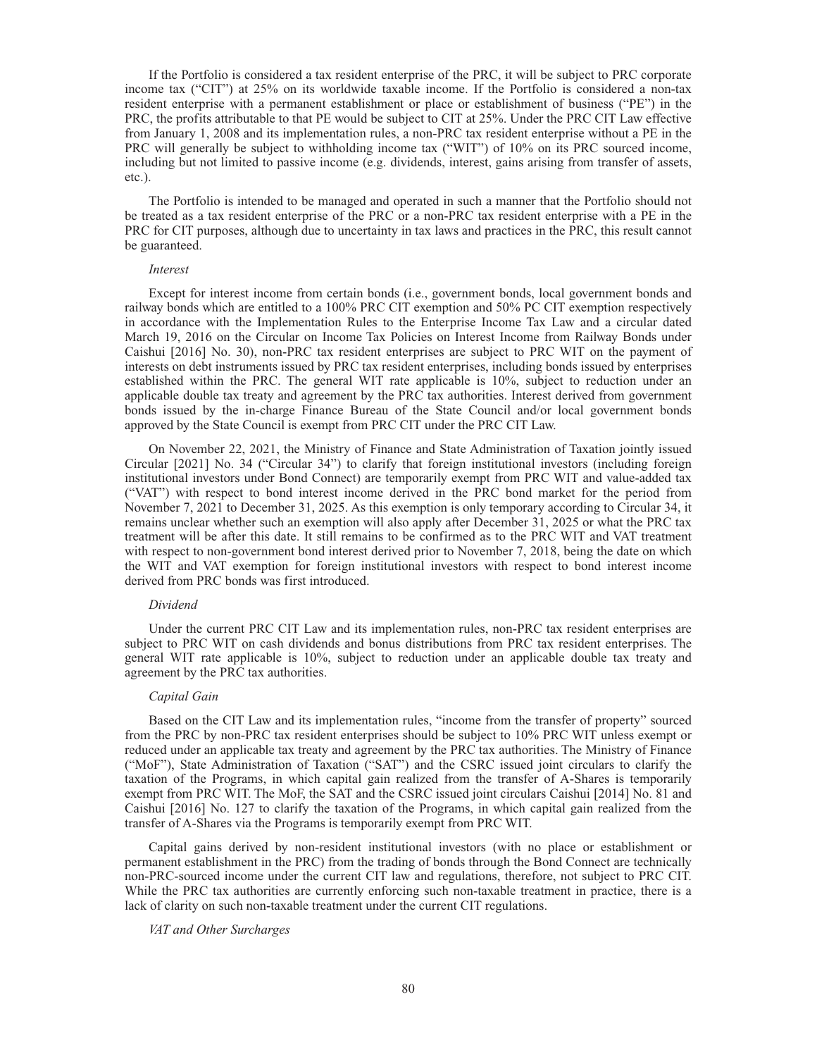If the Portfolio is considered a tax resident enterprise of the PRC, it will be subject to PRC corporate income tax ("CIT") at 25% on its worldwide taxable income. If the Portfolio is considered a non-tax resident enterprise with a permanent establishment or place or establishment of business ("PE") in the PRC, the profits attributable to that PE would be subject to CIT at 25%. Under the PRC CIT Law effective from January 1, 2008 and its implementation rules, a non-PRC tax resident enterprise without a PE in the PRC will generally be subject to withholding income tax ("WIT") of 10% on its PRC sourced income, including but not limited to passive income (e.g. dividends, interest, gains arising from transfer of assets, etc.).

The Portfolio is intended to be managed and operated in such a manner that the Portfolio should not be treated as a tax resident enterprise of the PRC or a non-PRC tax resident enterprise with a PE in the PRC for CIT purposes, although due to uncertainty in tax laws and practices in the PRC, this result cannot be guaranteed.

#### *Interest*

Except for interest income from certain bonds (i.e., government bonds, local government bonds and railway bonds which are entitled to a 100% PRC CIT exemption and 50% PC CIT exemption respectively in accordance with the Implementation Rules to the Enterprise Income Tax Law and a circular dated March 19, 2016 on the Circular on Income Tax Policies on Interest Income from Railway Bonds under Caishui [2016] No. 30), non-PRC tax resident enterprises are subject to PRC WIT on the payment of interests on debt instruments issued by PRC tax resident enterprises, including bonds issued by enterprises established within the PRC. The general WIT rate applicable is 10%, subject to reduction under an applicable double tax treaty and agreement by the PRC tax authorities. Interest derived from government bonds issued by the in-charge Finance Bureau of the State Council and/or local government bonds approved by the State Council is exempt from PRC CIT under the PRC CIT Law.

On November 22, 2021, the Ministry of Finance and State Administration of Taxation jointly issued Circular [2021] No. 34 ("Circular 34") to clarify that foreign institutional investors (including foreign institutional investors under Bond Connect) are temporarily exempt from PRC WIT and value-added tax ("VAT") with respect to bond interest income derived in the PRC bond market for the period from November 7, 2021 to December 31, 2025. As this exemption is only temporary according to Circular 34, it remains unclear whether such an exemption will also apply after December 31, 2025 or what the PRC tax treatment will be after this date. It still remains to be confirmed as to the PRC WIT and VAT treatment with respect to non-government bond interest derived prior to November 7, 2018, being the date on which the WIT and VAT exemption for foreign institutional investors with respect to bond interest income derived from PRC bonds was first introduced.

#### *Dividend*

Under the current PRC CIT Law and its implementation rules, non-PRC tax resident enterprises are subject to PRC WIT on cash dividends and bonus distributions from PRC tax resident enterprises. The general WIT rate applicable is 10%, subject to reduction under an applicable double tax treaty and agreement by the PRC tax authorities.

### *Capital Gain*

Based on the CIT Law and its implementation rules, "income from the transfer of property" sourced from the PRC by non-PRC tax resident enterprises should be subject to 10% PRC WIT unless exempt or reduced under an applicable tax treaty and agreement by the PRC tax authorities. The Ministry of Finance ("MoF"), State Administration of Taxation ("SAT") and the CSRC issued joint circulars to clarify the taxation of the Programs, in which capital gain realized from the transfer of A-Shares is temporarily exempt from PRC WIT. The MoF, the SAT and the CSRC issued joint circulars Caishui [2014] No. 81 and Caishui [2016] No. 127 to clarify the taxation of the Programs, in which capital gain realized from the transfer of A-Shares via the Programs is temporarily exempt from PRC WIT.

Capital gains derived by non-resident institutional investors (with no place or establishment or permanent establishment in the PRC) from the trading of bonds through the Bond Connect are technically non-PRC-sourced income under the current CIT law and regulations, therefore, not subject to PRC CIT. While the PRC tax authorities are currently enforcing such non-taxable treatment in practice, there is a lack of clarity on such non-taxable treatment under the current CIT regulations.

#### *VAT and Other Surcharges*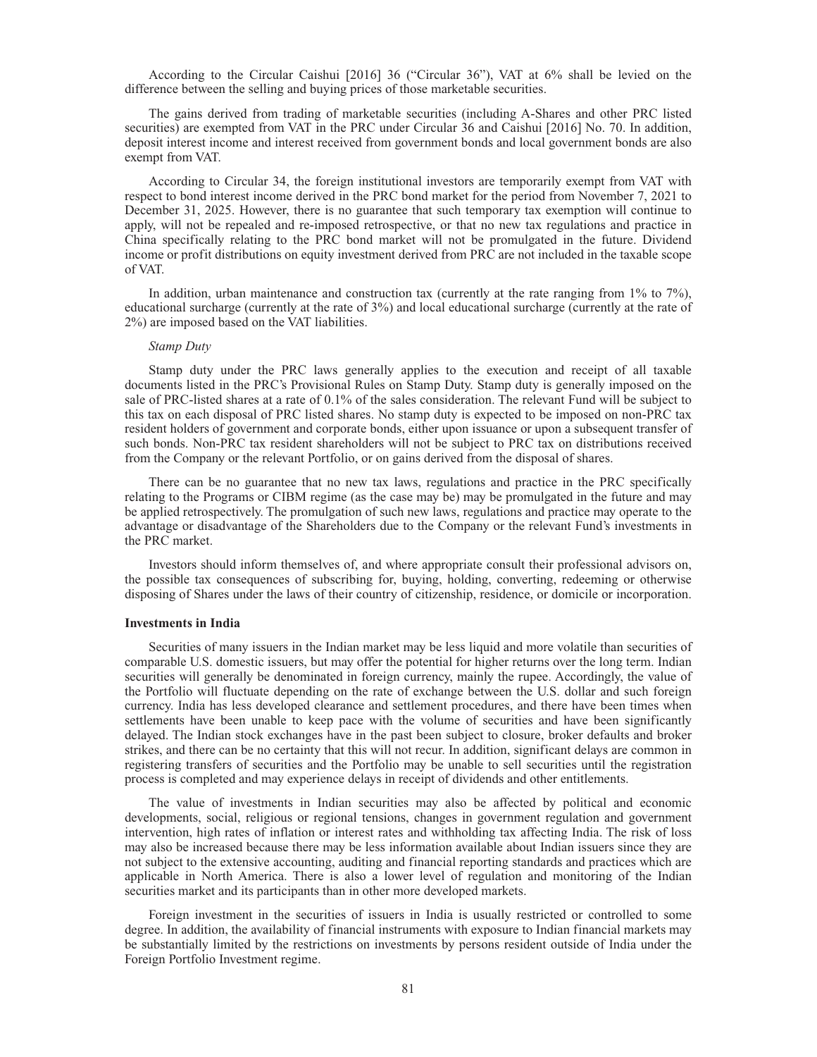According to the Circular Caishui [2016] 36 ("Circular 36"), VAT at 6% shall be levied on the difference between the selling and buying prices of those marketable securities.

The gains derived from trading of marketable securities (including A-Shares and other PRC listed securities) are exempted from VAT in the PRC under Circular 36 and Caishui [2016] No. 70. In addition, deposit interest income and interest received from government bonds and local government bonds are also exempt from VAT.

According to Circular 34, the foreign institutional investors are temporarily exempt from VAT with respect to bond interest income derived in the PRC bond market for the period from November 7, 2021 to December 31, 2025. However, there is no guarantee that such temporary tax exemption will continue to apply, will not be repealed and re-imposed retrospective, or that no new tax regulations and practice in China specifically relating to the PRC bond market will not be promulgated in the future. Dividend income or profit distributions on equity investment derived from PRC are not included in the taxable scope of VAT.

In addition, urban maintenance and construction tax (currently at the rate ranging from 1% to 7%), educational surcharge (currently at the rate of 3%) and local educational surcharge (currently at the rate of 2%) are imposed based on the VAT liabilities.

## *Stamp Duty*

Stamp duty under the PRC laws generally applies to the execution and receipt of all taxable documents listed in the PRC's Provisional Rules on Stamp Duty. Stamp duty is generally imposed on the sale of PRC-listed shares at a rate of 0.1% of the sales consideration. The relevant Fund will be subject to this tax on each disposal of PRC listed shares. No stamp duty is expected to be imposed on non-PRC tax resident holders of government and corporate bonds, either upon issuance or upon a subsequent transfer of such bonds. Non-PRC tax resident shareholders will not be subject to PRC tax on distributions received from the Company or the relevant Portfolio, or on gains derived from the disposal of shares.

There can be no guarantee that no new tax laws, regulations and practice in the PRC specifically relating to the Programs or CIBM regime (as the case may be) may be promulgated in the future and may be applied retrospectively. The promulgation of such new laws, regulations and practice may operate to the advantage or disadvantage of the Shareholders due to the Company or the relevant Fund's investments in the PRC market.

Investors should inform themselves of, and where appropriate consult their professional advisors on, the possible tax consequences of subscribing for, buying, holding, converting, redeeming or otherwise disposing of Shares under the laws of their country of citizenship, residence, or domicile or incorporation.

### **Investments in India**

Securities of many issuers in the Indian market may be less liquid and more volatile than securities of comparable U.S. domestic issuers, but may offer the potential for higher returns over the long term. Indian securities will generally be denominated in foreign currency, mainly the rupee. Accordingly, the value of the Portfolio will fluctuate depending on the rate of exchange between the U.S. dollar and such foreign currency. India has less developed clearance and settlement procedures, and there have been times when settlements have been unable to keep pace with the volume of securities and have been significantly delayed. The Indian stock exchanges have in the past been subject to closure, broker defaults and broker strikes, and there can be no certainty that this will not recur. In addition, significant delays are common in registering transfers of securities and the Portfolio may be unable to sell securities until the registration process is completed and may experience delays in receipt of dividends and other entitlements.

The value of investments in Indian securities may also be affected by political and economic developments, social, religious or regional tensions, changes in government regulation and government intervention, high rates of inflation or interest rates and withholding tax affecting India. The risk of loss may also be increased because there may be less information available about Indian issuers since they are not subject to the extensive accounting, auditing and financial reporting standards and practices which are applicable in North America. There is also a lower level of regulation and monitoring of the Indian securities market and its participants than in other more developed markets.

Foreign investment in the securities of issuers in India is usually restricted or controlled to some degree. In addition, the availability of financial instruments with exposure to Indian financial markets may be substantially limited by the restrictions on investments by persons resident outside of India under the Foreign Portfolio Investment regime.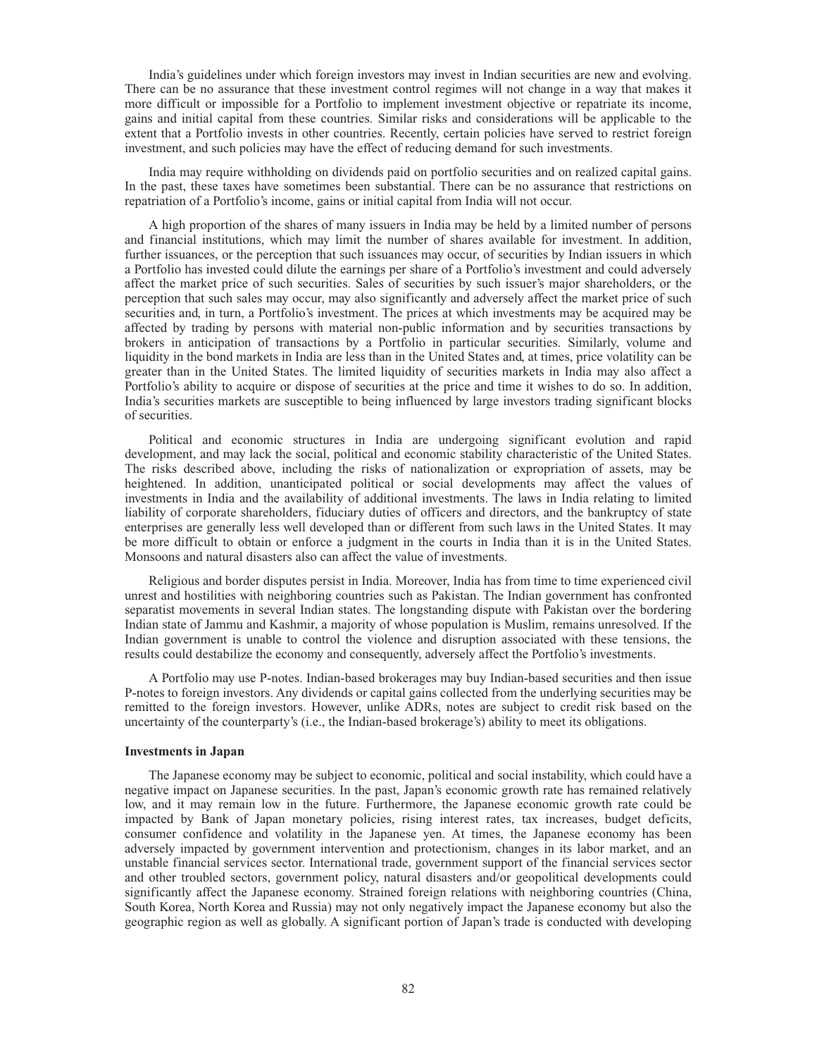India's guidelines under which foreign investors may invest in Indian securities are new and evolving. There can be no assurance that these investment control regimes will not change in a way that makes it more difficult or impossible for a Portfolio to implement investment objective or repatriate its income, gains and initial capital from these countries. Similar risks and considerations will be applicable to the extent that a Portfolio invests in other countries. Recently, certain policies have served to restrict foreign investment, and such policies may have the effect of reducing demand for such investments.

India may require withholding on dividends paid on portfolio securities and on realized capital gains. In the past, these taxes have sometimes been substantial. There can be no assurance that restrictions on repatriation of a Portfolio's income, gains or initial capital from India will not occur.

A high proportion of the shares of many issuers in India may be held by a limited number of persons and financial institutions, which may limit the number of shares available for investment. In addition, further issuances, or the perception that such issuances may occur, of securities by Indian issuers in which a Portfolio has invested could dilute the earnings per share of a Portfolio's investment and could adversely affect the market price of such securities. Sales of securities by such issuer's major shareholders, or the perception that such sales may occur, may also significantly and adversely affect the market price of such securities and, in turn, a Portfolio's investment. The prices at which investments may be acquired may be affected by trading by persons with material non-public information and by securities transactions by brokers in anticipation of transactions by a Portfolio in particular securities. Similarly, volume and liquidity in the bond markets in India are less than in the United States and, at times, price volatility can be greater than in the United States. The limited liquidity of securities markets in India may also affect a Portfolio's ability to acquire or dispose of securities at the price and time it wishes to do so. In addition, India's securities markets are susceptible to being influenced by large investors trading significant blocks of securities.

Political and economic structures in India are undergoing significant evolution and rapid development, and may lack the social, political and economic stability characteristic of the United States. The risks described above, including the risks of nationalization or expropriation of assets, may be heightened. In addition, unanticipated political or social developments may affect the values of investments in India and the availability of additional investments. The laws in India relating to limited liability of corporate shareholders, fiduciary duties of officers and directors, and the bankruptcy of state enterprises are generally less well developed than or different from such laws in the United States. It may be more difficult to obtain or enforce a judgment in the courts in India than it is in the United States. Monsoons and natural disasters also can affect the value of investments.

Religious and border disputes persist in India. Moreover, India has from time to time experienced civil unrest and hostilities with neighboring countries such as Pakistan. The Indian government has confronted separatist movements in several Indian states. The longstanding dispute with Pakistan over the bordering Indian state of Jammu and Kashmir, a majority of whose population is Muslim, remains unresolved. If the Indian government is unable to control the violence and disruption associated with these tensions, the results could destabilize the economy and consequently, adversely affect the Portfolio's investments.

A Portfolio may use P-notes. Indian-based brokerages may buy Indian-based securities and then issue P-notes to foreign investors. Any dividends or capital gains collected from the underlying securities may be remitted to the foreign investors. However, unlike ADRs, notes are subject to credit risk based on the uncertainty of the counterparty's (i.e., the Indian-based brokerage's) ability to meet its obligations.

#### **Investments in Japan**

The Japanese economy may be subject to economic, political and social instability, which could have a negative impact on Japanese securities. In the past, Japan's economic growth rate has remained relatively low, and it may remain low in the future. Furthermore, the Japanese economic growth rate could be impacted by Bank of Japan monetary policies, rising interest rates, tax increases, budget deficits, consumer confidence and volatility in the Japanese yen. At times, the Japanese economy has been adversely impacted by government intervention and protectionism, changes in its labor market, and an unstable financial services sector. International trade, government support of the financial services sector and other troubled sectors, government policy, natural disasters and/or geopolitical developments could significantly affect the Japanese economy. Strained foreign relations with neighboring countries (China, South Korea, North Korea and Russia) may not only negatively impact the Japanese economy but also the geographic region as well as globally. A significant portion of Japan's trade is conducted with developing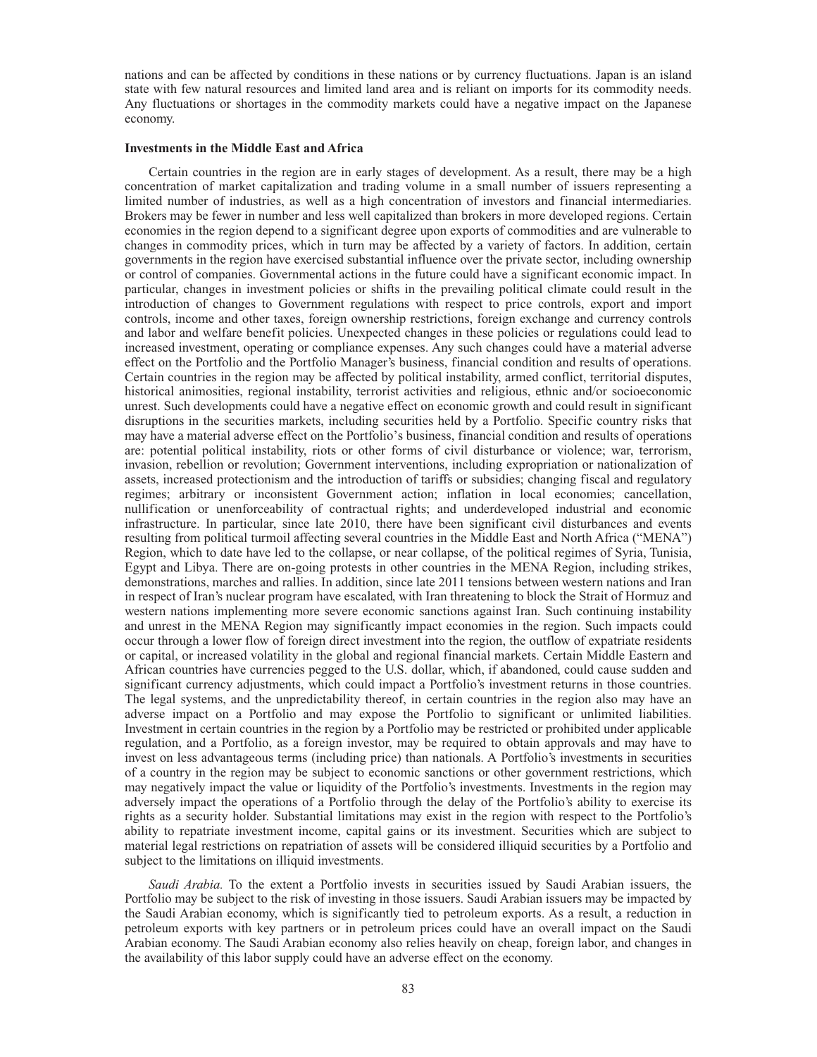nations and can be affected by conditions in these nations or by currency fluctuations. Japan is an island state with few natural resources and limited land area and is reliant on imports for its commodity needs. Any fluctuations or shortages in the commodity markets could have a negative impact on the Japanese economy.

## **Investments in the Middle East and Africa**

Certain countries in the region are in early stages of development. As a result, there may be a high concentration of market capitalization and trading volume in a small number of issuers representing a limited number of industries, as well as a high concentration of investors and financial intermediaries. Brokers may be fewer in number and less well capitalized than brokers in more developed regions. Certain economies in the region depend to a significant degree upon exports of commodities and are vulnerable to changes in commodity prices, which in turn may be affected by a variety of factors. In addition, certain governments in the region have exercised substantial influence over the private sector, including ownership or control of companies. Governmental actions in the future could have a significant economic impact. In particular, changes in investment policies or shifts in the prevailing political climate could result in the introduction of changes to Government regulations with respect to price controls, export and import controls, income and other taxes, foreign ownership restrictions, foreign exchange and currency controls and labor and welfare benefit policies. Unexpected changes in these policies or regulations could lead to increased investment, operating or compliance expenses. Any such changes could have a material adverse effect on the Portfolio and the Portfolio Manager's business, financial condition and results of operations. Certain countries in the region may be affected by political instability, armed conflict, territorial disputes, historical animosities, regional instability, terrorist activities and religious, ethnic and/or socioeconomic unrest. Such developments could have a negative effect on economic growth and could result in significant disruptions in the securities markets, including securities held by a Portfolio. Specific country risks that may have a material adverse effect on the Portfolio's business, financial condition and results of operations are: potential political instability, riots or other forms of civil disturbance or violence; war, terrorism, invasion, rebellion or revolution; Government interventions, including expropriation or nationalization of assets, increased protectionism and the introduction of tariffs or subsidies; changing fiscal and regulatory regimes; arbitrary or inconsistent Government action; inflation in local economies; cancellation, nullification or unenforceability of contractual rights; and underdeveloped industrial and economic infrastructure. In particular, since late 2010, there have been significant civil disturbances and events resulting from political turmoil affecting several countries in the Middle East and North Africa ("MENA") Region, which to date have led to the collapse, or near collapse, of the political regimes of Syria, Tunisia, Egypt and Libya. There are on-going protests in other countries in the MENA Region, including strikes, demonstrations, marches and rallies. In addition, since late 2011 tensions between western nations and Iran in respect of Iran's nuclear program have escalated, with Iran threatening to block the Strait of Hormuz and western nations implementing more severe economic sanctions against Iran. Such continuing instability and unrest in the MENA Region may significantly impact economies in the region. Such impacts could occur through a lower flow of foreign direct investment into the region, the outflow of expatriate residents or capital, or increased volatility in the global and regional financial markets. Certain Middle Eastern and African countries have currencies pegged to the U.S. dollar, which, if abandoned, could cause sudden and significant currency adjustments, which could impact a Portfolio's investment returns in those countries. The legal systems, and the unpredictability thereof, in certain countries in the region also may have an adverse impact on a Portfolio and may expose the Portfolio to significant or unlimited liabilities. Investment in certain countries in the region by a Portfolio may be restricted or prohibited under applicable regulation, and a Portfolio, as a foreign investor, may be required to obtain approvals and may have to invest on less advantageous terms (including price) than nationals. A Portfolio's investments in securities of a country in the region may be subject to economic sanctions or other government restrictions, which may negatively impact the value or liquidity of the Portfolio's investments. Investments in the region may adversely impact the operations of a Portfolio through the delay of the Portfolio's ability to exercise its rights as a security holder. Substantial limitations may exist in the region with respect to the Portfolio's ability to repatriate investment income, capital gains or its investment. Securities which are subject to material legal restrictions on repatriation of assets will be considered illiquid securities by a Portfolio and subject to the limitations on illiquid investments.

*Saudi Arabia.* To the extent a Portfolio invests in securities issued by Saudi Arabian issuers, the Portfolio may be subject to the risk of investing in those issuers. Saudi Arabian issuers may be impacted by the Saudi Arabian economy, which is significantly tied to petroleum exports. As a result, a reduction in petroleum exports with key partners or in petroleum prices could have an overall impact on the Saudi Arabian economy. The Saudi Arabian economy also relies heavily on cheap, foreign labor, and changes in the availability of this labor supply could have an adverse effect on the economy.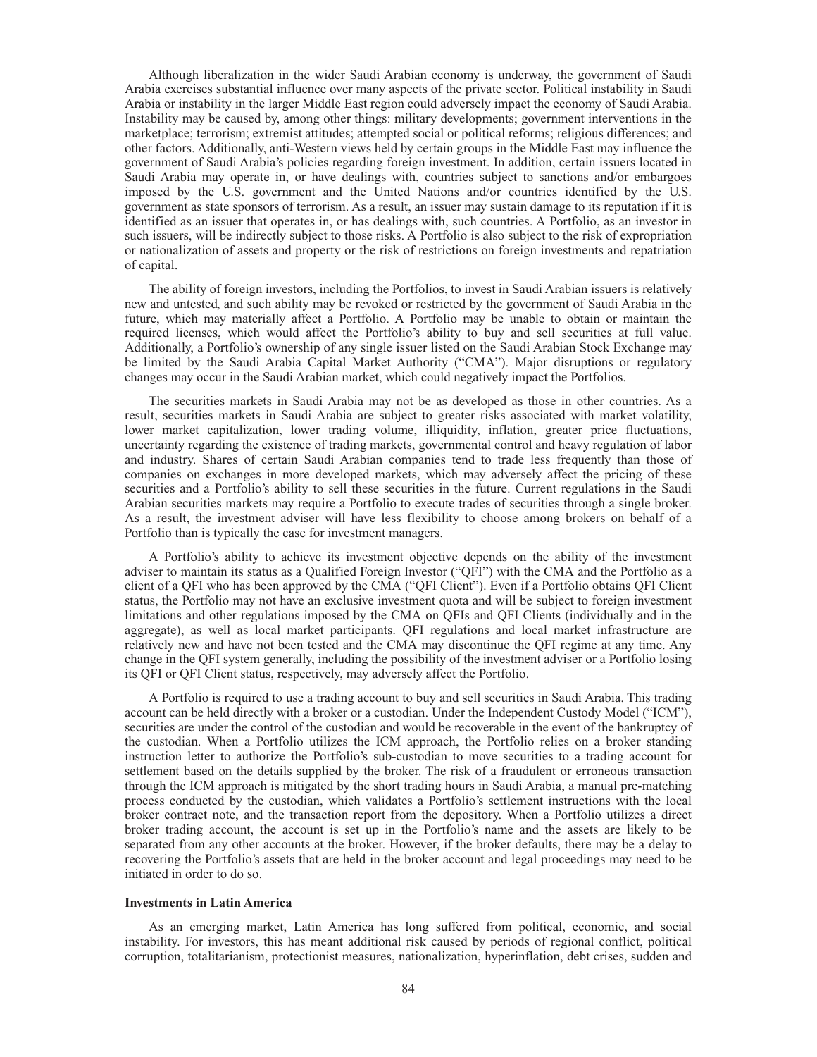Although liberalization in the wider Saudi Arabian economy is underway, the government of Saudi Arabia exercises substantial influence over many aspects of the private sector. Political instability in Saudi Arabia or instability in the larger Middle East region could adversely impact the economy of Saudi Arabia. Instability may be caused by, among other things: military developments; government interventions in the marketplace; terrorism; extremist attitudes; attempted social or political reforms; religious differences; and other factors. Additionally, anti-Western views held by certain groups in the Middle East may influence the government of Saudi Arabia's policies regarding foreign investment. In addition, certain issuers located in Saudi Arabia may operate in, or have dealings with, countries subject to sanctions and/or embargoes imposed by the U.S. government and the United Nations and/or countries identified by the U.S. government as state sponsors of terrorism. As a result, an issuer may sustain damage to its reputation if it is identified as an issuer that operates in, or has dealings with, such countries. A Portfolio, as an investor in such issuers, will be indirectly subject to those risks. A Portfolio is also subject to the risk of expropriation or nationalization of assets and property or the risk of restrictions on foreign investments and repatriation of capital.

The ability of foreign investors, including the Portfolios, to invest in Saudi Arabian issuers is relatively new and untested, and such ability may be revoked or restricted by the government of Saudi Arabia in the future, which may materially affect a Portfolio. A Portfolio may be unable to obtain or maintain the required licenses, which would affect the Portfolio's ability to buy and sell securities at full value. Additionally, a Portfolio's ownership of any single issuer listed on the Saudi Arabian Stock Exchange may be limited by the Saudi Arabia Capital Market Authority ("CMA"). Major disruptions or regulatory changes may occur in the Saudi Arabian market, which could negatively impact the Portfolios.

The securities markets in Saudi Arabia may not be as developed as those in other countries. As a result, securities markets in Saudi Arabia are subject to greater risks associated with market volatility, lower market capitalization, lower trading volume, illiquidity, inflation, greater price fluctuations, uncertainty regarding the existence of trading markets, governmental control and heavy regulation of labor and industry. Shares of certain Saudi Arabian companies tend to trade less frequently than those of companies on exchanges in more developed markets, which may adversely affect the pricing of these securities and a Portfolio's ability to sell these securities in the future. Current regulations in the Saudi Arabian securities markets may require a Portfolio to execute trades of securities through a single broker. As a result, the investment adviser will have less flexibility to choose among brokers on behalf of a Portfolio than is typically the case for investment managers.

A Portfolio's ability to achieve its investment objective depends on the ability of the investment adviser to maintain its status as a Qualified Foreign Investor ("QFI") with the CMA and the Portfolio as a client of a QFI who has been approved by the CMA ("QFI Client"). Even if a Portfolio obtains QFI Client status, the Portfolio may not have an exclusive investment quota and will be subject to foreign investment limitations and other regulations imposed by the CMA on QFIs and QFI Clients (individually and in the aggregate), as well as local market participants. QFI regulations and local market infrastructure are relatively new and have not been tested and the CMA may discontinue the QFI regime at any time. Any change in the QFI system generally, including the possibility of the investment adviser or a Portfolio losing its QFI or QFI Client status, respectively, may adversely affect the Portfolio.

A Portfolio is required to use a trading account to buy and sell securities in Saudi Arabia. This trading account can be held directly with a broker or a custodian. Under the Independent Custody Model ("ICM"), securities are under the control of the custodian and would be recoverable in the event of the bankruptcy of the custodian. When a Portfolio utilizes the ICM approach, the Portfolio relies on a broker standing instruction letter to authorize the Portfolio's sub-custodian to move securities to a trading account for settlement based on the details supplied by the broker. The risk of a fraudulent or erroneous transaction through the ICM approach is mitigated by the short trading hours in Saudi Arabia, a manual pre-matching process conducted by the custodian, which validates a Portfolio's settlement instructions with the local broker contract note, and the transaction report from the depository. When a Portfolio utilizes a direct broker trading account, the account is set up in the Portfolio's name and the assets are likely to be separated from any other accounts at the broker. However, if the broker defaults, there may be a delay to recovering the Portfolio's assets that are held in the broker account and legal proceedings may need to be initiated in order to do so.

## **Investments in Latin America**

As an emerging market, Latin America has long suffered from political, economic, and social instability. For investors, this has meant additional risk caused by periods of regional conflict, political corruption, totalitarianism, protectionist measures, nationalization, hyperinflation, debt crises, sudden and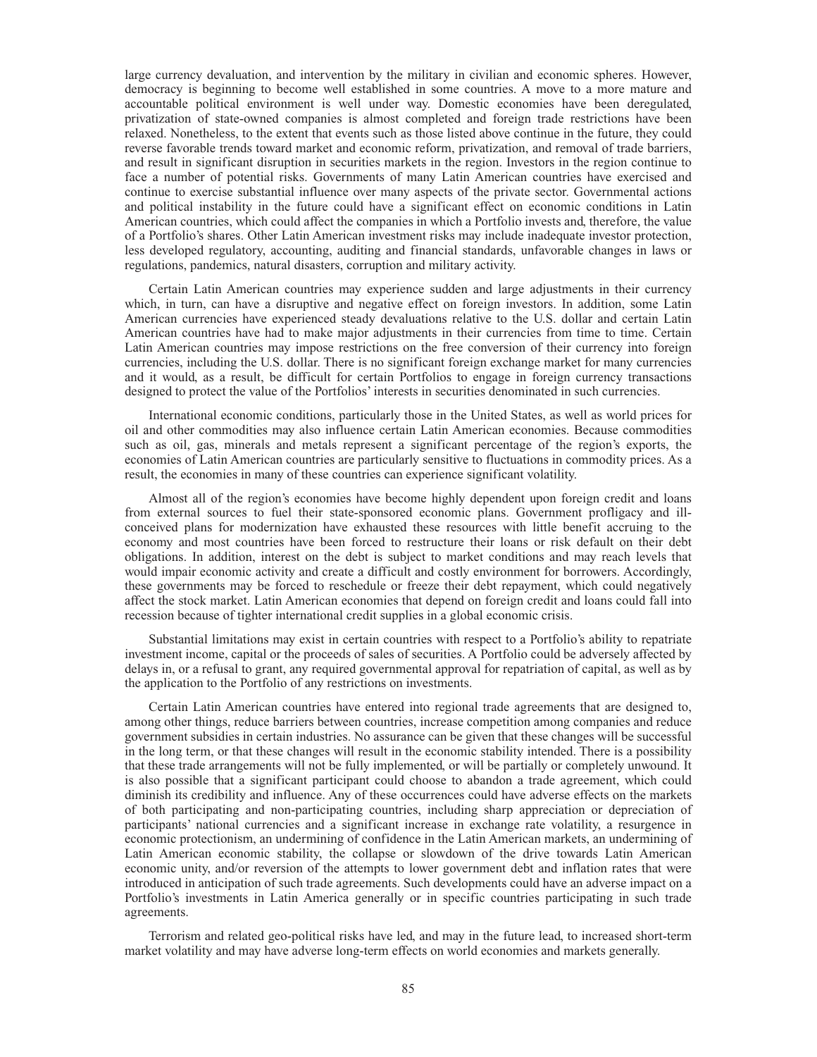large currency devaluation, and intervention by the military in civilian and economic spheres. However, democracy is beginning to become well established in some countries. A move to a more mature and accountable political environment is well under way. Domestic economies have been deregulated, privatization of state-owned companies is almost completed and foreign trade restrictions have been relaxed. Nonetheless, to the extent that events such as those listed above continue in the future, they could reverse favorable trends toward market and economic reform, privatization, and removal of trade barriers, and result in significant disruption in securities markets in the region. Investors in the region continue to face a number of potential risks. Governments of many Latin American countries have exercised and continue to exercise substantial influence over many aspects of the private sector. Governmental actions and political instability in the future could have a significant effect on economic conditions in Latin American countries, which could affect the companies in which a Portfolio invests and, therefore, the value of a Portfolio's shares. Other Latin American investment risks may include inadequate investor protection, less developed regulatory, accounting, auditing and financial standards, unfavorable changes in laws or regulations, pandemics, natural disasters, corruption and military activity.

Certain Latin American countries may experience sudden and large adjustments in their currency which, in turn, can have a disruptive and negative effect on foreign investors. In addition, some Latin American currencies have experienced steady devaluations relative to the U.S. dollar and certain Latin American countries have had to make major adjustments in their currencies from time to time. Certain Latin American countries may impose restrictions on the free conversion of their currency into foreign currencies, including the U.S. dollar. There is no significant foreign exchange market for many currencies and it would, as a result, be difficult for certain Portfolios to engage in foreign currency transactions designed to protect the value of the Portfolios' interests in securities denominated in such currencies.

International economic conditions, particularly those in the United States, as well as world prices for oil and other commodities may also influence certain Latin American economies. Because commodities such as oil, gas, minerals and metals represent a significant percentage of the region's exports, the economies of Latin American countries are particularly sensitive to fluctuations in commodity prices. As a result, the economies in many of these countries can experience significant volatility.

Almost all of the region's economies have become highly dependent upon foreign credit and loans from external sources to fuel their state-sponsored economic plans. Government profligacy and illconceived plans for modernization have exhausted these resources with little benefit accruing to the economy and most countries have been forced to restructure their loans or risk default on their debt obligations. In addition, interest on the debt is subject to market conditions and may reach levels that would impair economic activity and create a difficult and costly environment for borrowers. Accordingly, these governments may be forced to reschedule or freeze their debt repayment, which could negatively affect the stock market. Latin American economies that depend on foreign credit and loans could fall into recession because of tighter international credit supplies in a global economic crisis.

Substantial limitations may exist in certain countries with respect to a Portfolio's ability to repatriate investment income, capital or the proceeds of sales of securities. A Portfolio could be adversely affected by delays in, or a refusal to grant, any required governmental approval for repatriation of capital, as well as by the application to the Portfolio of any restrictions on investments.

Certain Latin American countries have entered into regional trade agreements that are designed to, among other things, reduce barriers between countries, increase competition among companies and reduce government subsidies in certain industries. No assurance can be given that these changes will be successful in the long term, or that these changes will result in the economic stability intended. There is a possibility that these trade arrangements will not be fully implemented, or will be partially or completely unwound. It is also possible that a significant participant could choose to abandon a trade agreement, which could diminish its credibility and influence. Any of these occurrences could have adverse effects on the markets of both participating and non-participating countries, including sharp appreciation or depreciation of participants' national currencies and a significant increase in exchange rate volatility, a resurgence in economic protectionism, an undermining of confidence in the Latin American markets, an undermining of Latin American economic stability, the collapse or slowdown of the drive towards Latin American economic unity, and/or reversion of the attempts to lower government debt and inflation rates that were introduced in anticipation of such trade agreements. Such developments could have an adverse impact on a Portfolio's investments in Latin America generally or in specific countries participating in such trade agreements.

Terrorism and related geo-political risks have led, and may in the future lead, to increased short-term market volatility and may have adverse long-term effects on world economies and markets generally.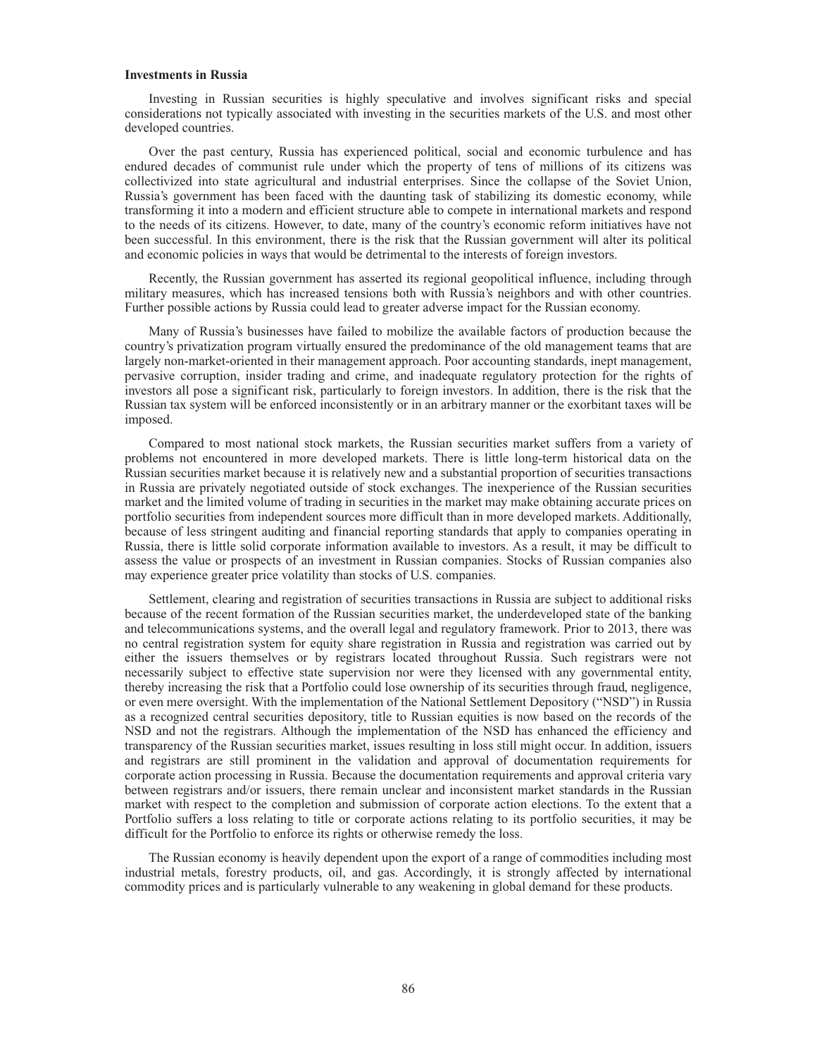#### **Investments in Russia**

Investing in Russian securities is highly speculative and involves significant risks and special considerations not typically associated with investing in the securities markets of the U.S. and most other developed countries.

Over the past century, Russia has experienced political, social and economic turbulence and has endured decades of communist rule under which the property of tens of millions of its citizens was collectivized into state agricultural and industrial enterprises. Since the collapse of the Soviet Union, Russia's government has been faced with the daunting task of stabilizing its domestic economy, while transforming it into a modern and efficient structure able to compete in international markets and respond to the needs of its citizens. However, to date, many of the country's economic reform initiatives have not been successful. In this environment, there is the risk that the Russian government will alter its political and economic policies in ways that would be detrimental to the interests of foreign investors.

Recently, the Russian government has asserted its regional geopolitical influence, including through military measures, which has increased tensions both with Russia's neighbors and with other countries. Further possible actions by Russia could lead to greater adverse impact for the Russian economy.

Many of Russia's businesses have failed to mobilize the available factors of production because the country's privatization program virtually ensured the predominance of the old management teams that are largely non-market-oriented in their management approach. Poor accounting standards, inept management, pervasive corruption, insider trading and crime, and inadequate regulatory protection for the rights of investors all pose a significant risk, particularly to foreign investors. In addition, there is the risk that the Russian tax system will be enforced inconsistently or in an arbitrary manner or the exorbitant taxes will be imposed.

Compared to most national stock markets, the Russian securities market suffers from a variety of problems not encountered in more developed markets. There is little long-term historical data on the Russian securities market because it is relatively new and a substantial proportion of securities transactions in Russia are privately negotiated outside of stock exchanges. The inexperience of the Russian securities market and the limited volume of trading in securities in the market may make obtaining accurate prices on portfolio securities from independent sources more difficult than in more developed markets. Additionally, because of less stringent auditing and financial reporting standards that apply to companies operating in Russia, there is little solid corporate information available to investors. As a result, it may be difficult to assess the value or prospects of an investment in Russian companies. Stocks of Russian companies also may experience greater price volatility than stocks of U.S. companies.

Settlement, clearing and registration of securities transactions in Russia are subject to additional risks because of the recent formation of the Russian securities market, the underdeveloped state of the banking and telecommunications systems, and the overall legal and regulatory framework. Prior to 2013, there was no central registration system for equity share registration in Russia and registration was carried out by either the issuers themselves or by registrars located throughout Russia. Such registrars were not necessarily subject to effective state supervision nor were they licensed with any governmental entity, thereby increasing the risk that a Portfolio could lose ownership of its securities through fraud, negligence, or even mere oversight. With the implementation of the National Settlement Depository ("NSD") in Russia as a recognized central securities depository, title to Russian equities is now based on the records of the NSD and not the registrars. Although the implementation of the NSD has enhanced the efficiency and transparency of the Russian securities market, issues resulting in loss still might occur. In addition, issuers and registrars are still prominent in the validation and approval of documentation requirements for corporate action processing in Russia. Because the documentation requirements and approval criteria vary between registrars and/or issuers, there remain unclear and inconsistent market standards in the Russian market with respect to the completion and submission of corporate action elections. To the extent that a Portfolio suffers a loss relating to title or corporate actions relating to its portfolio securities, it may be difficult for the Portfolio to enforce its rights or otherwise remedy the loss.

The Russian economy is heavily dependent upon the export of a range of commodities including most industrial metals, forestry products, oil, and gas. Accordingly, it is strongly affected by international commodity prices and is particularly vulnerable to any weakening in global demand for these products.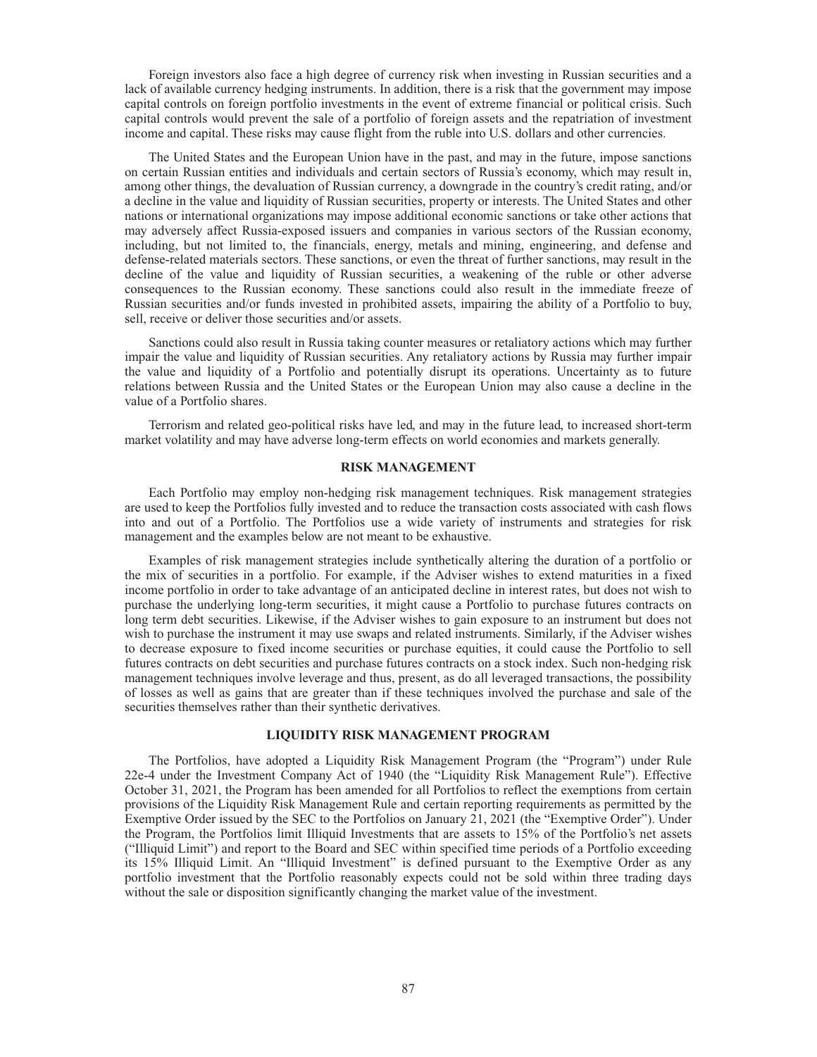Foreign investors also face a high degree of currency risk when investing in Russian securities and a lack of available currency hedging instruments. In addition, there is a risk that the government may impose capital controls on foreign portfolio investments in the event of extreme financial or political crisis. Such capital controls would prevent the sale of a portfolio of foreign assets and the repatriation of investment income and capital. These risks may cause flight from the ruble into U.S. dollars and other currencies.

The United States and the European Union have in the past, and may in the future, impose sanctions on certain Russian entities and individuals and certain sectors of Russia's economy, which may result in, among other things, the devaluation of Russian currency, a downgrade in the country's credit rating, and/or a decline in the value and liquidity of Russian securities, property or interests. The United States and other nations or international organizations may impose additional economic sanctions or take other actions that may adversely affect Russia-exposed issuers and companies in various sectors of the Russian economy, including, but not limited to, the financials, energy, metals and mining, engineering, and defense and defense-related materials sectors. These sanctions, or even the threat of further sanctions, may result in the decline of the value and liquidity of Russian securities, a weakening of the ruble or other adverse consequences to the Russian economy. These sanctions could also result in the immediate freeze of Russian securities and/or funds invested in prohibited assets, impairing the ability of a Portfolio to buy, sell, receive or deliver those securities and/or assets.

Sanctions could also result in Russia taking counter measures or retaliatory actions which may further impair the value and liquidity of Russian securities. Any retaliatory actions by Russia may further impair the value and liquidity of a Portfolio and potentially disrupt its operations. Uncertainty as to future relations between Russia and the United States or the European Union may also cause a decline in the value of a Portfolio shares.

Terrorism and related geo-political risks have led, and may in the future lead, to increased short-term market volatility and may have adverse long-term effects on world economies and markets generally.

## **RISK MANAGEMENT**

Each Portfolio may employ non-hedging risk management techniques. Risk management strategies are used to keep the Portfolios fully invested and to reduce the transaction costs associated with cash flows into and out of a Portfolio. The Portfolios use a wide variety of instruments and strategies for risk management and the examples below are not meant to be exhaustive.

Examples of risk management strategies include synthetically altering the duration of a portfolio or the mix of securities in a portfolio. For example, if the Adviser wishes to extend maturities in a fixed income portfolio in order to take advantage of an anticipated decline in interest rates, but does not wish to purchase the underlying long-term securities, it might cause a Portfolio to purchase futures contracts on long term debt securities. Likewise, if the Adviser wishes to gain exposure to an instrument but does not wish to purchase the instrument it may use swaps and related instruments. Similarly, if the Adviser wishes to decrease exposure to fixed income securities or purchase equities, it could cause the Portfolio to sell futures contracts on debt securities and purchase futures contracts on a stock index. Such non-hedging risk management techniques involve leverage and thus, present, as do all leveraged transactions, the possibility of losses as well as gains that are greater than if these techniques involved the purchase and sale of the securities themselves rather than their synthetic derivatives.

#### **LIQUIDITY RISK MANAGEMENT PROGRAM**

The Portfolios, have adopted a Liquidity Risk Management Program (the "Program") under Rule 22e-4 under the Investment Company Act of 1940 (the "Liquidity Risk Management Rule"). Effective October 31, 2021, the Program has been amended for all Portfolios to reflect the exemptions from certain provisions of the Liquidity Risk Management Rule and certain reporting requirements as permitted by the Exemptive Order issued by the SEC to the Portfolios on January 21, 2021 (the "Exemptive Order"). Under the Program, the Portfolios limit Illiquid Investments that are assets to 15% of the Portfolio's net assets ("Illiquid Limit") and report to the Board and SEC within specified time periods of a Portfolio exceeding its 15% Illiquid Limit. An "Illiquid Investment" is defined pursuant to the Exemptive Order as any portfolio investment that the Portfolio reasonably expects could not be sold within three trading days without the sale or disposition significantly changing the market value of the investment.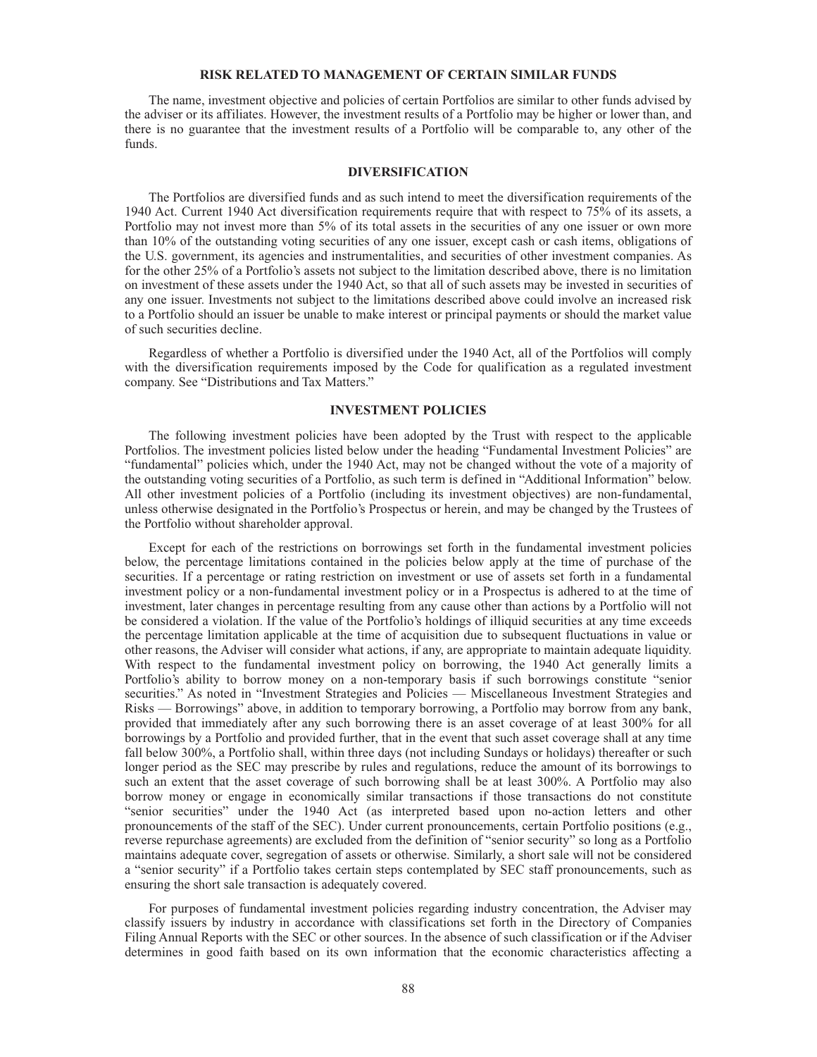## **RISK RELATED TO MANAGEMENT OF CERTAIN SIMILAR FUNDS**

The name, investment objective and policies of certain Portfolios are similar to other funds advised by the adviser or its affiliates. However, the investment results of a Portfolio may be higher or lower than, and there is no guarantee that the investment results of a Portfolio will be comparable to, any other of the funds.

## **DIVERSIFICATION**

The Portfolios are diversified funds and as such intend to meet the diversification requirements of the 1940 Act. Current 1940 Act diversification requirements require that with respect to 75% of its assets, a Portfolio may not invest more than 5% of its total assets in the securities of any one issuer or own more than 10% of the outstanding voting securities of any one issuer, except cash or cash items, obligations of the U.S. government, its agencies and instrumentalities, and securities of other investment companies. As for the other 25% of a Portfolio's assets not subject to the limitation described above, there is no limitation on investment of these assets under the 1940 Act, so that all of such assets may be invested in securities of any one issuer. Investments not subject to the limitations described above could involve an increased risk to a Portfolio should an issuer be unable to make interest or principal payments or should the market value of such securities decline.

Regardless of whether a Portfolio is diversified under the 1940 Act, all of the Portfolios will comply with the diversification requirements imposed by the Code for qualification as a regulated investment company. See "Distributions and Tax Matters."

## **INVESTMENT POLICIES**

The following investment policies have been adopted by the Trust with respect to the applicable Portfolios. The investment policies listed below under the heading "Fundamental Investment Policies" are "fundamental" policies which, under the 1940 Act, may not be changed without the vote of a majority of the outstanding voting securities of a Portfolio, as such term is defined in "Additional Information" below. All other investment policies of a Portfolio (including its investment objectives) are non-fundamental, unless otherwise designated in the Portfolio's Prospectus or herein, and may be changed by the Trustees of the Portfolio without shareholder approval.

Except for each of the restrictions on borrowings set forth in the fundamental investment policies below, the percentage limitations contained in the policies below apply at the time of purchase of the securities. If a percentage or rating restriction on investment or use of assets set forth in a fundamental investment policy or a non-fundamental investment policy or in a Prospectus is adhered to at the time of investment, later changes in percentage resulting from any cause other than actions by a Portfolio will not be considered a violation. If the value of the Portfolio's holdings of illiquid securities at any time exceeds the percentage limitation applicable at the time of acquisition due to subsequent fluctuations in value or other reasons, the Adviser will consider what actions, if any, are appropriate to maintain adequate liquidity. With respect to the fundamental investment policy on borrowing, the 1940 Act generally limits a Portfolio's ability to borrow money on a non-temporary basis if such borrowings constitute "senior securities." As noted in "Investment Strategies and Policies — Miscellaneous Investment Strategies and Risks — Borrowings" above, in addition to temporary borrowing, a Portfolio may borrow from any bank, provided that immediately after any such borrowing there is an asset coverage of at least 300% for all borrowings by a Portfolio and provided further, that in the event that such asset coverage shall at any time fall below 300%, a Portfolio shall, within three days (not including Sundays or holidays) thereafter or such longer period as the SEC may prescribe by rules and regulations, reduce the amount of its borrowings to such an extent that the asset coverage of such borrowing shall be at least 300%. A Portfolio may also borrow money or engage in economically similar transactions if those transactions do not constitute "senior securities" under the 1940 Act (as interpreted based upon no-action letters and other pronouncements of the staff of the SEC). Under current pronouncements, certain Portfolio positions (e.g., reverse repurchase agreements) are excluded from the definition of "senior security" so long as a Portfolio maintains adequate cover, segregation of assets or otherwise. Similarly, a short sale will not be considered a "senior security" if a Portfolio takes certain steps contemplated by SEC staff pronouncements, such as ensuring the short sale transaction is adequately covered.

For purposes of fundamental investment policies regarding industry concentration, the Adviser may classify issuers by industry in accordance with classifications set forth in the Directory of Companies Filing Annual Reports with the SEC or other sources. In the absence of such classification or if the Adviser determines in good faith based on its own information that the economic characteristics affecting a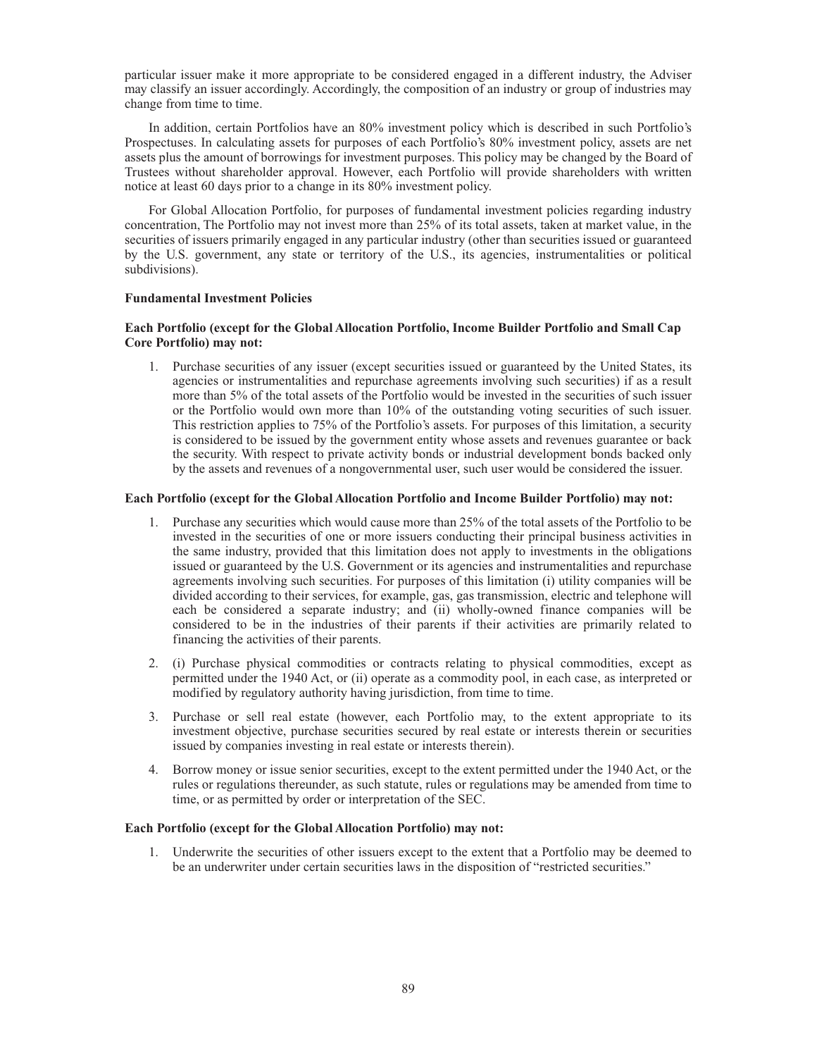particular issuer make it more appropriate to be considered engaged in a different industry, the Adviser may classify an issuer accordingly. Accordingly, the composition of an industry or group of industries may change from time to time.

In addition, certain Portfolios have an 80% investment policy which is described in such Portfolio's Prospectuses. In calculating assets for purposes of each Portfolio's 80% investment policy, assets are net assets plus the amount of borrowings for investment purposes. This policy may be changed by the Board of Trustees without shareholder approval. However, each Portfolio will provide shareholders with written notice at least 60 days prior to a change in its 80% investment policy.

For Global Allocation Portfolio, for purposes of fundamental investment policies regarding industry concentration, The Portfolio may not invest more than 25% of its total assets, taken at market value, in the securities of issuers primarily engaged in any particular industry (other than securities issued or guaranteed by the U.S. government, any state or territory of the U.S., its agencies, instrumentalities or political subdivisions).

## **Fundamental Investment Policies**

## **Each Portfolio (except for the Global Allocation Portfolio, Income Builder Portfolio and Small Cap Core Portfolio) may not:**

1. Purchase securities of any issuer (except securities issued or guaranteed by the United States, its agencies or instrumentalities and repurchase agreements involving such securities) if as a result more than 5% of the total assets of the Portfolio would be invested in the securities of such issuer or the Portfolio would own more than 10% of the outstanding voting securities of such issuer. This restriction applies to 75% of the Portfolio's assets. For purposes of this limitation, a security is considered to be issued by the government entity whose assets and revenues guarantee or back the security. With respect to private activity bonds or industrial development bonds backed only by the assets and revenues of a nongovernmental user, such user would be considered the issuer.

## **Each Portfolio (except for the Global Allocation Portfolio and Income Builder Portfolio) may not:**

- 1. Purchase any securities which would cause more than 25% of the total assets of the Portfolio to be invested in the securities of one or more issuers conducting their principal business activities in the same industry, provided that this limitation does not apply to investments in the obligations issued or guaranteed by the U.S. Government or its agencies and instrumentalities and repurchase agreements involving such securities. For purposes of this limitation (i) utility companies will be divided according to their services, for example, gas, gas transmission, electric and telephone will each be considered a separate industry; and (ii) wholly-owned finance companies will be considered to be in the industries of their parents if their activities are primarily related to financing the activities of their parents.
- 2. (i) Purchase physical commodities or contracts relating to physical commodities, except as permitted under the 1940 Act, or (ii) operate as a commodity pool, in each case, as interpreted or modified by regulatory authority having jurisdiction, from time to time.
- 3. Purchase or sell real estate (however, each Portfolio may, to the extent appropriate to its investment objective, purchase securities secured by real estate or interests therein or securities issued by companies investing in real estate or interests therein).
- 4. Borrow money or issue senior securities, except to the extent permitted under the 1940 Act, or the rules or regulations thereunder, as such statute, rules or regulations may be amended from time to time, or as permitted by order or interpretation of the SEC.

# **Each Portfolio (except for the Global Allocation Portfolio) may not:**

1. Underwrite the securities of other issuers except to the extent that a Portfolio may be deemed to be an underwriter under certain securities laws in the disposition of "restricted securities."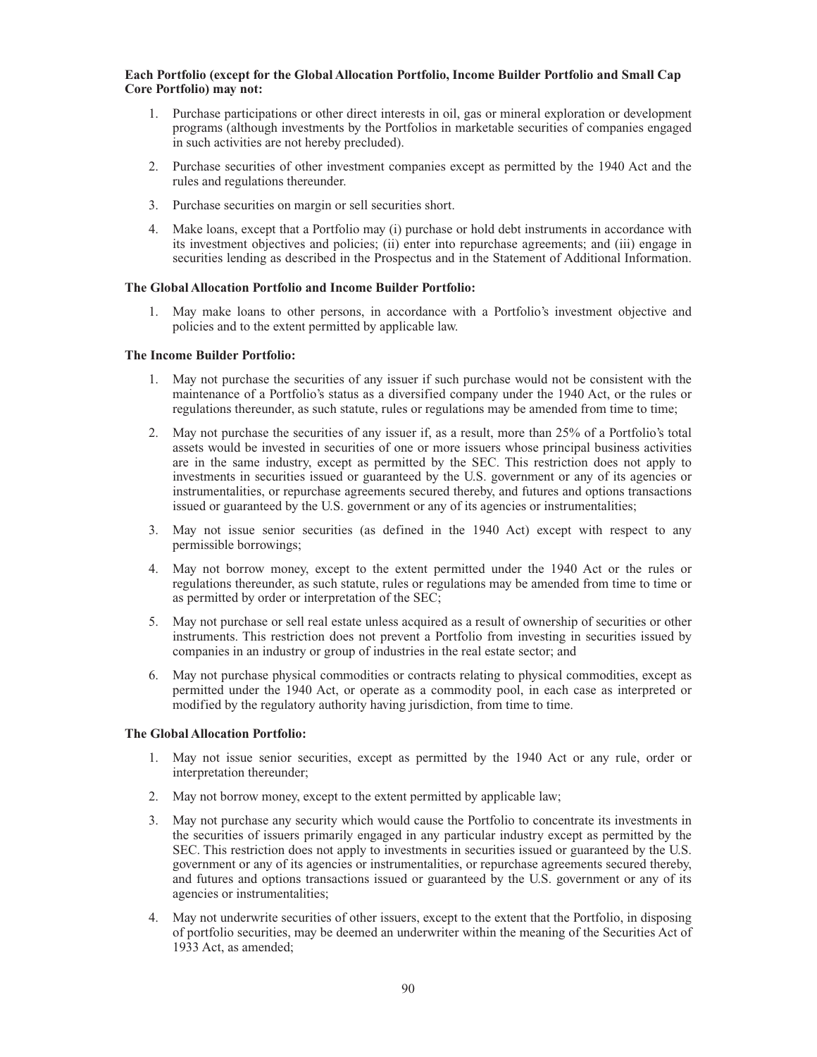## **Each Portfolio (except for the Global Allocation Portfolio, Income Builder Portfolio and Small Cap Core Portfolio) may not:**

- 1. Purchase participations or other direct interests in oil, gas or mineral exploration or development programs (although investments by the Portfolios in marketable securities of companies engaged in such activities are not hereby precluded).
- 2. Purchase securities of other investment companies except as permitted by the 1940 Act and the rules and regulations thereunder.
- 3. Purchase securities on margin or sell securities short.
- 4. Make loans, except that a Portfolio may (i) purchase or hold debt instruments in accordance with its investment objectives and policies; (ii) enter into repurchase agreements; and (iii) engage in securities lending as described in the Prospectus and in the Statement of Additional Information.

# **The Global Allocation Portfolio and Income Builder Portfolio:**

1. May make loans to other persons, in accordance with a Portfolio's investment objective and policies and to the extent permitted by applicable law.

# **The Income Builder Portfolio:**

- 1. May not purchase the securities of any issuer if such purchase would not be consistent with the maintenance of a Portfolio's status as a diversified company under the 1940 Act, or the rules or regulations thereunder, as such statute, rules or regulations may be amended from time to time;
- 2. May not purchase the securities of any issuer if, as a result, more than 25% of a Portfolio's total assets would be invested in securities of one or more issuers whose principal business activities are in the same industry, except as permitted by the SEC. This restriction does not apply to investments in securities issued or guaranteed by the U.S. government or any of its agencies or instrumentalities, or repurchase agreements secured thereby, and futures and options transactions issued or guaranteed by the U.S. government or any of its agencies or instrumentalities;
- 3. May not issue senior securities (as defined in the 1940 Act) except with respect to any permissible borrowings;
- 4. May not borrow money, except to the extent permitted under the 1940 Act or the rules or regulations thereunder, as such statute, rules or regulations may be amended from time to time or as permitted by order or interpretation of the SEC;
- 5. May not purchase or sell real estate unless acquired as a result of ownership of securities or other instruments. This restriction does not prevent a Portfolio from investing in securities issued by companies in an industry or group of industries in the real estate sector; and
- 6. May not purchase physical commodities or contracts relating to physical commodities, except as permitted under the 1940 Act, or operate as a commodity pool, in each case as interpreted or modified by the regulatory authority having jurisdiction, from time to time.

# **The Global Allocation Portfolio:**

- 1. May not issue senior securities, except as permitted by the 1940 Act or any rule, order or interpretation thereunder;
- 2. May not borrow money, except to the extent permitted by applicable law;
- 3. May not purchase any security which would cause the Portfolio to concentrate its investments in the securities of issuers primarily engaged in any particular industry except as permitted by the SEC. This restriction does not apply to investments in securities issued or guaranteed by the U.S. government or any of its agencies or instrumentalities, or repurchase agreements secured thereby, and futures and options transactions issued or guaranteed by the U.S. government or any of its agencies or instrumentalities;
- 4. May not underwrite securities of other issuers, except to the extent that the Portfolio, in disposing of portfolio securities, may be deemed an underwriter within the meaning of the Securities Act of 1933 Act, as amended;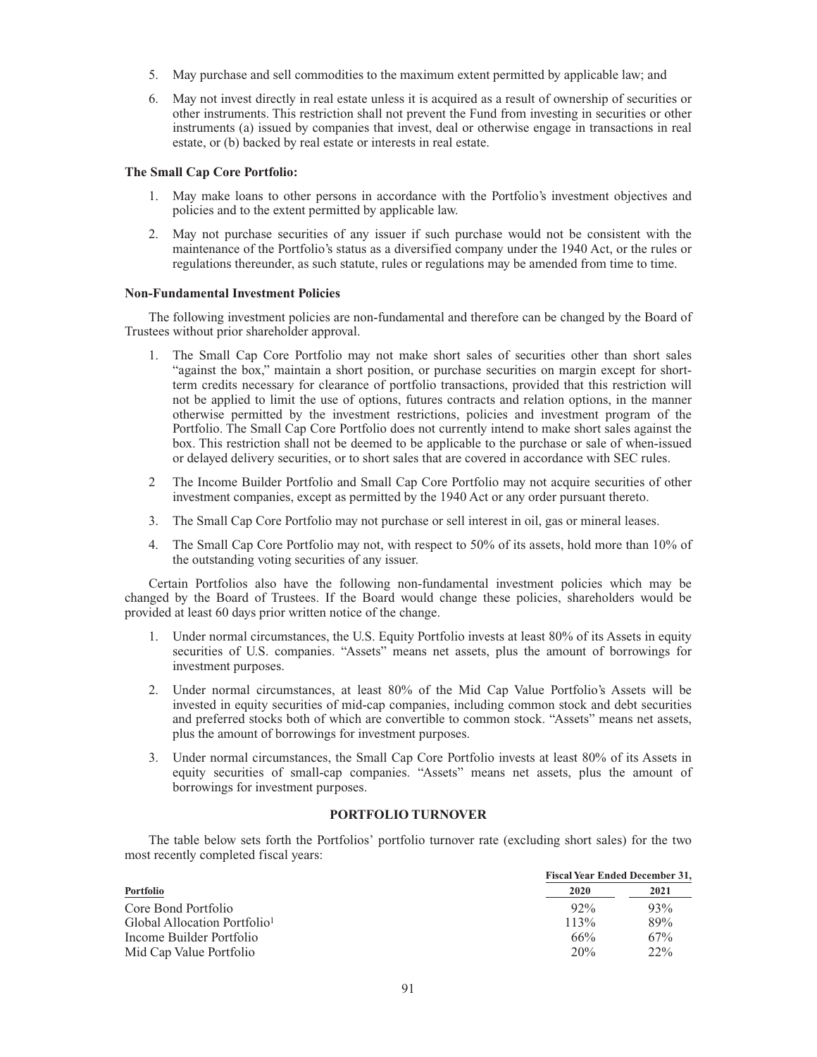- 5. May purchase and sell commodities to the maximum extent permitted by applicable law; and
- 6. May not invest directly in real estate unless it is acquired as a result of ownership of securities or other instruments. This restriction shall not prevent the Fund from investing in securities or other instruments (a) issued by companies that invest, deal or otherwise engage in transactions in real estate, or (b) backed by real estate or interests in real estate.

# **The Small Cap Core Portfolio:**

- 1. May make loans to other persons in accordance with the Portfolio's investment objectives and policies and to the extent permitted by applicable law.
- 2. May not purchase securities of any issuer if such purchase would not be consistent with the maintenance of the Portfolio's status as a diversified company under the 1940 Act, or the rules or regulations thereunder, as such statute, rules or regulations may be amended from time to time.

## **Non-Fundamental Investment Policies**

The following investment policies are non-fundamental and therefore can be changed by the Board of Trustees without prior shareholder approval.

- 1. The Small Cap Core Portfolio may not make short sales of securities other than short sales "against the box," maintain a short position, or purchase securities on margin except for shortterm credits necessary for clearance of portfolio transactions, provided that this restriction will not be applied to limit the use of options, futures contracts and relation options, in the manner otherwise permitted by the investment restrictions, policies and investment program of the Portfolio. The Small Cap Core Portfolio does not currently intend to make short sales against the box. This restriction shall not be deemed to be applicable to the purchase or sale of when-issued or delayed delivery securities, or to short sales that are covered in accordance with SEC rules.
- 2 The Income Builder Portfolio and Small Cap Core Portfolio may not acquire securities of other investment companies, except as permitted by the 1940 Act or any order pursuant thereto.
- 3. The Small Cap Core Portfolio may not purchase or sell interest in oil, gas or mineral leases.
- 4. The Small Cap Core Portfolio may not, with respect to 50% of its assets, hold more than 10% of the outstanding voting securities of any issuer.

Certain Portfolios also have the following non-fundamental investment policies which may be changed by the Board of Trustees. If the Board would change these policies, shareholders would be provided at least 60 days prior written notice of the change.

- 1. Under normal circumstances, the U.S. Equity Portfolio invests at least 80% of its Assets in equity securities of U.S. companies. "Assets" means net assets, plus the amount of borrowings for investment purposes.
- 2. Under normal circumstances, at least 80% of the Mid Cap Value Portfolio's Assets will be invested in equity securities of mid-cap companies, including common stock and debt securities and preferred stocks both of which are convertible to common stock. "Assets" means net assets, plus the amount of borrowings for investment purposes.
- 3. Under normal circumstances, the Small Cap Core Portfolio invests at least 80% of its Assets in equity securities of small-cap companies. "Assets" means net assets, plus the amount of borrowings for investment purposes.

# **PORTFOLIO TURNOVER**

The table below sets forth the Portfolios' portfolio turnover rate (excluding short sales) for the two most recently completed fiscal years:

|                                          | <b>Fiscal Year Ended December 31,</b> |        |
|------------------------------------------|---------------------------------------|--------|
| Portfolio                                | 2020                                  | 2021   |
| Core Bond Portfolio                      | $92\%$                                | 93%    |
| Global Allocation Portfolio <sup>1</sup> | 113%                                  | 89%    |
| Income Builder Portfolio                 | 66%                                   | $67\%$ |
| Mid Cap Value Portfolio                  | 20%                                   | $22\%$ |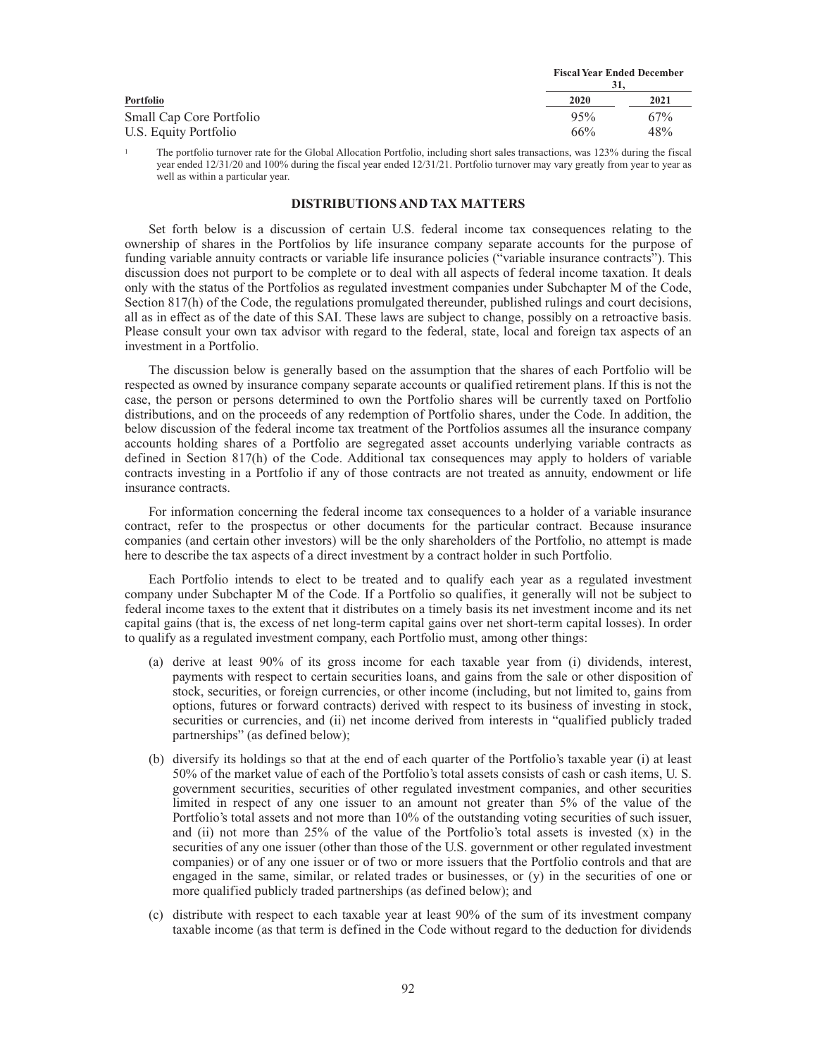|                          | <b>Fiscal Year Ended December</b> |      |
|--------------------------|-----------------------------------|------|
| Portfolio                | 2020                              | 2021 |
| Small Cap Core Portfolio | 95%                               | 67%  |
| U.S. Equity Portfolio    | 66%                               | 48%  |

<sup>1</sup> The portfolio turnover rate for the Global Allocation Portfolio, including short sales transactions, was 123% during the fiscal year ended 12/31/20 and 100% during the fiscal year ended 12/31/21. Portfolio turnover may vary greatly from year to year as well as within a particular year.

## **DISTRIBUTIONS AND TAX MATTERS**

Set forth below is a discussion of certain U.S. federal income tax consequences relating to the ownership of shares in the Portfolios by life insurance company separate accounts for the purpose of funding variable annuity contracts or variable life insurance policies ("variable insurance contracts"). This discussion does not purport to be complete or to deal with all aspects of federal income taxation. It deals only with the status of the Portfolios as regulated investment companies under Subchapter M of the Code, Section 817(h) of the Code, the regulations promulgated thereunder, published rulings and court decisions, all as in effect as of the date of this SAI. These laws are subject to change, possibly on a retroactive basis. Please consult your own tax advisor with regard to the federal, state, local and foreign tax aspects of an investment in a Portfolio.

The discussion below is generally based on the assumption that the shares of each Portfolio will be respected as owned by insurance company separate accounts or qualified retirement plans. If this is not the case, the person or persons determined to own the Portfolio shares will be currently taxed on Portfolio distributions, and on the proceeds of any redemption of Portfolio shares, under the Code. In addition, the below discussion of the federal income tax treatment of the Portfolios assumes all the insurance company accounts holding shares of a Portfolio are segregated asset accounts underlying variable contracts as defined in Section 817(h) of the Code. Additional tax consequences may apply to holders of variable contracts investing in a Portfolio if any of those contracts are not treated as annuity, endowment or life insurance contracts.

For information concerning the federal income tax consequences to a holder of a variable insurance contract, refer to the prospectus or other documents for the particular contract. Because insurance companies (and certain other investors) will be the only shareholders of the Portfolio, no attempt is made here to describe the tax aspects of a direct investment by a contract holder in such Portfolio.

Each Portfolio intends to elect to be treated and to qualify each year as a regulated investment company under Subchapter M of the Code. If a Portfolio so qualifies, it generally will not be subject to federal income taxes to the extent that it distributes on a timely basis its net investment income and its net capital gains (that is, the excess of net long-term capital gains over net short-term capital losses). In order to qualify as a regulated investment company, each Portfolio must, among other things:

- (a) derive at least 90% of its gross income for each taxable year from (i) dividends, interest, payments with respect to certain securities loans, and gains from the sale or other disposition of stock, securities, or foreign currencies, or other income (including, but not limited to, gains from options, futures or forward contracts) derived with respect to its business of investing in stock, securities or currencies, and (ii) net income derived from interests in "qualified publicly traded partnerships" (as defined below);
- (b) diversify its holdings so that at the end of each quarter of the Portfolio's taxable year (i) at least 50% of the market value of each of the Portfolio's total assets consists of cash or cash items, U. S. government securities, securities of other regulated investment companies, and other securities limited in respect of any one issuer to an amount not greater than 5% of the value of the Portfolio's total assets and not more than 10% of the outstanding voting securities of such issuer, and (ii) not more than  $25\%$  of the value of the Portfolio's total assets is invested (x) in the securities of any one issuer (other than those of the U.S. government or other regulated investment companies) or of any one issuer or of two or more issuers that the Portfolio controls and that are engaged in the same, similar, or related trades or businesses, or  $(y)$  in the securities of one or more qualified publicly traded partnerships (as defined below); and
- (c) distribute with respect to each taxable year at least 90% of the sum of its investment company taxable income (as that term is defined in the Code without regard to the deduction for dividends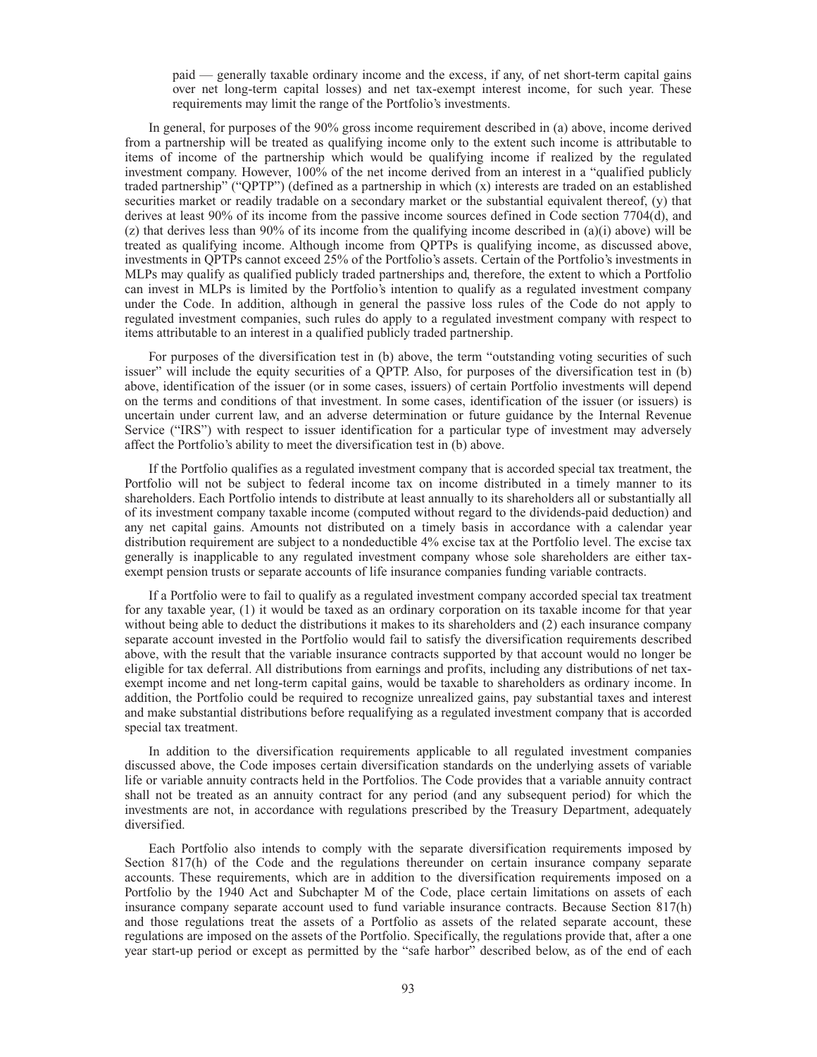paid — generally taxable ordinary income and the excess, if any, of net short-term capital gains over net long-term capital losses) and net tax-exempt interest income, for such year. These requirements may limit the range of the Portfolio's investments.

In general, for purposes of the 90% gross income requirement described in (a) above, income derived from a partnership will be treated as qualifying income only to the extent such income is attributable to items of income of the partnership which would be qualifying income if realized by the regulated investment company. However, 100% of the net income derived from an interest in a "qualified publicly traded partnership" ("QPTP") (defined as a partnership in which (x) interests are traded on an established securities market or readily tradable on a secondary market or the substantial equivalent thereof, (y) that derives at least 90% of its income from the passive income sources defined in Code section 7704(d), and (z) that derives less than 90% of its income from the qualifying income described in (a)(i) above) will be treated as qualifying income. Although income from QPTPs is qualifying income, as discussed above, investments in QPTPs cannot exceed 25% of the Portfolio's assets. Certain of the Portfolio's investments in MLPs may qualify as qualified publicly traded partnerships and, therefore, the extent to which a Portfolio can invest in MLPs is limited by the Portfolio's intention to qualify as a regulated investment company under the Code. In addition, although in general the passive loss rules of the Code do not apply to regulated investment companies, such rules do apply to a regulated investment company with respect to items attributable to an interest in a qualified publicly traded partnership.

For purposes of the diversification test in (b) above, the term "outstanding voting securities of such issuer" will include the equity securities of a QPTP. Also, for purposes of the diversification test in (b) above, identification of the issuer (or in some cases, issuers) of certain Portfolio investments will depend on the terms and conditions of that investment. In some cases, identification of the issuer (or issuers) is uncertain under current law, and an adverse determination or future guidance by the Internal Revenue Service ("IRS") with respect to issuer identification for a particular type of investment may adversely affect the Portfolio's ability to meet the diversification test in (b) above.

If the Portfolio qualifies as a regulated investment company that is accorded special tax treatment, the Portfolio will not be subject to federal income tax on income distributed in a timely manner to its shareholders. Each Portfolio intends to distribute at least annually to its shareholders all or substantially all of its investment company taxable income (computed without regard to the dividends-paid deduction) and any net capital gains. Amounts not distributed on a timely basis in accordance with a calendar year distribution requirement are subject to a nondeductible 4% excise tax at the Portfolio level. The excise tax generally is inapplicable to any regulated investment company whose sole shareholders are either taxexempt pension trusts or separate accounts of life insurance companies funding variable contracts.

If a Portfolio were to fail to qualify as a regulated investment company accorded special tax treatment for any taxable year, (1) it would be taxed as an ordinary corporation on its taxable income for that year without being able to deduct the distributions it makes to its shareholders and (2) each insurance company separate account invested in the Portfolio would fail to satisfy the diversification requirements described above, with the result that the variable insurance contracts supported by that account would no longer be eligible for tax deferral. All distributions from earnings and profits, including any distributions of net taxexempt income and net long-term capital gains, would be taxable to shareholders as ordinary income. In addition, the Portfolio could be required to recognize unrealized gains, pay substantial taxes and interest and make substantial distributions before requalifying as a regulated investment company that is accorded special tax treatment.

In addition to the diversification requirements applicable to all regulated investment companies discussed above, the Code imposes certain diversification standards on the underlying assets of variable life or variable annuity contracts held in the Portfolios. The Code provides that a variable annuity contract shall not be treated as an annuity contract for any period (and any subsequent period) for which the investments are not, in accordance with regulations prescribed by the Treasury Department, adequately diversified.

Each Portfolio also intends to comply with the separate diversification requirements imposed by Section 817(h) of the Code and the regulations thereunder on certain insurance company separate accounts. These requirements, which are in addition to the diversification requirements imposed on a Portfolio by the 1940 Act and Subchapter M of the Code, place certain limitations on assets of each insurance company separate account used to fund variable insurance contracts. Because Section 817(h) and those regulations treat the assets of a Portfolio as assets of the related separate account, these regulations are imposed on the assets of the Portfolio. Specifically, the regulations provide that, after a one year start-up period or except as permitted by the "safe harbor" described below, as of the end of each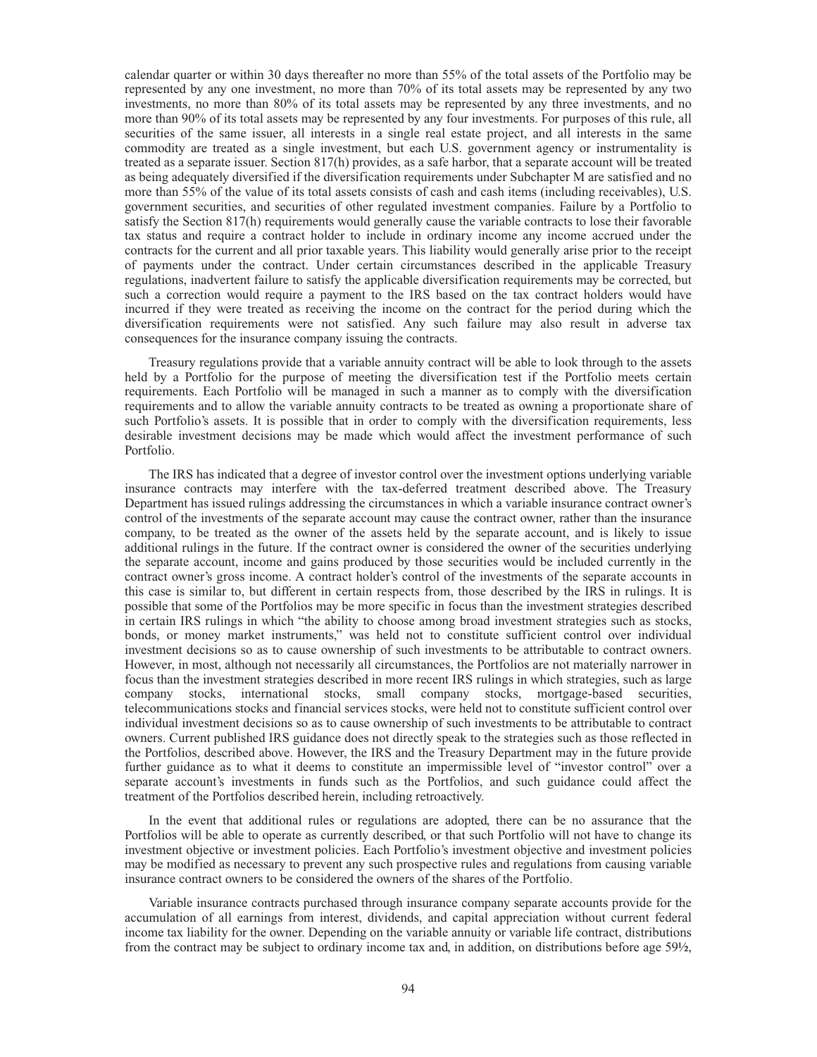calendar quarter or within 30 days thereafter no more than 55% of the total assets of the Portfolio may be represented by any one investment, no more than 70% of its total assets may be represented by any two investments, no more than 80% of its total assets may be represented by any three investments, and no more than 90% of its total assets may be represented by any four investments. For purposes of this rule, all securities of the same issuer, all interests in a single real estate project, and all interests in the same commodity are treated as a single investment, but each U.S. government agency or instrumentality is treated as a separate issuer. Section 817(h) provides, as a safe harbor, that a separate account will be treated as being adequately diversified if the diversification requirements under Subchapter M are satisfied and no more than 55% of the value of its total assets consists of cash and cash items (including receivables), U.S. government securities, and securities of other regulated investment companies. Failure by a Portfolio to satisfy the Section 817(h) requirements would generally cause the variable contracts to lose their favorable tax status and require a contract holder to include in ordinary income any income accrued under the contracts for the current and all prior taxable years. This liability would generally arise prior to the receipt of payments under the contract. Under certain circumstances described in the applicable Treasury regulations, inadvertent failure to satisfy the applicable diversification requirements may be corrected, but such a correction would require a payment to the IRS based on the tax contract holders would have incurred if they were treated as receiving the income on the contract for the period during which the diversification requirements were not satisfied. Any such failure may also result in adverse tax consequences for the insurance company issuing the contracts.

Treasury regulations provide that a variable annuity contract will be able to look through to the assets held by a Portfolio for the purpose of meeting the diversification test if the Portfolio meets certain requirements. Each Portfolio will be managed in such a manner as to comply with the diversification requirements and to allow the variable annuity contracts to be treated as owning a proportionate share of such Portfolio's assets. It is possible that in order to comply with the diversification requirements, less desirable investment decisions may be made which would affect the investment performance of such Portfolio.

The IRS has indicated that a degree of investor control over the investment options underlying variable insurance contracts may interfere with the tax-deferred treatment described above. The Treasury Department has issued rulings addressing the circumstances in which a variable insurance contract owner's control of the investments of the separate account may cause the contract owner, rather than the insurance company, to be treated as the owner of the assets held by the separate account, and is likely to issue additional rulings in the future. If the contract owner is considered the owner of the securities underlying the separate account, income and gains produced by those securities would be included currently in the contract owner's gross income. A contract holder's control of the investments of the separate accounts in this case is similar to, but different in certain respects from, those described by the IRS in rulings. It is possible that some of the Portfolios may be more specific in focus than the investment strategies described in certain IRS rulings in which "the ability to choose among broad investment strategies such as stocks, bonds, or money market instruments," was held not to constitute sufficient control over individual investment decisions so as to cause ownership of such investments to be attributable to contract owners. However, in most, although not necessarily all circumstances, the Portfolios are not materially narrower in focus than the investment strategies described in more recent IRS rulings in which strategies, such as large company stocks, international stocks, small company stocks, mortgage-based securities, telecommunications stocks and financial services stocks, were held not to constitute sufficient control over individual investment decisions so as to cause ownership of such investments to be attributable to contract owners. Current published IRS guidance does not directly speak to the strategies such as those reflected in the Portfolios, described above. However, the IRS and the Treasury Department may in the future provide further guidance as to what it deems to constitute an impermissible level of "investor control" over a separate account's investments in funds such as the Portfolios, and such guidance could affect the treatment of the Portfolios described herein, including retroactively.

In the event that additional rules or regulations are adopted, there can be no assurance that the Portfolios will be able to operate as currently described, or that such Portfolio will not have to change its investment objective or investment policies. Each Portfolio's investment objective and investment policies may be modified as necessary to prevent any such prospective rules and regulations from causing variable insurance contract owners to be considered the owners of the shares of the Portfolio.

Variable insurance contracts purchased through insurance company separate accounts provide for the accumulation of all earnings from interest, dividends, and capital appreciation without current federal income tax liability for the owner. Depending on the variable annuity or variable life contract, distributions from the contract may be subject to ordinary income tax and, in addition, on distributions before age 59½,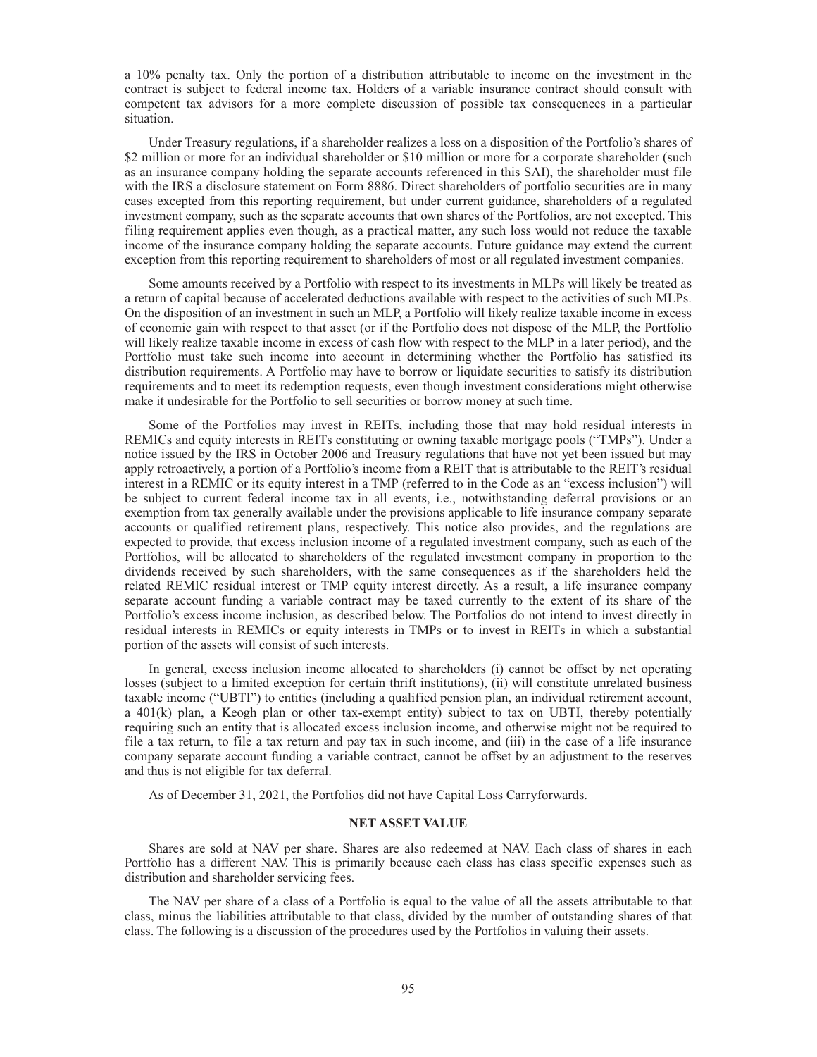a 10% penalty tax. Only the portion of a distribution attributable to income on the investment in the contract is subject to federal income tax. Holders of a variable insurance contract should consult with competent tax advisors for a more complete discussion of possible tax consequences in a particular situation.

Under Treasury regulations, if a shareholder realizes a loss on a disposition of the Portfolio's shares of \$2 million or more for an individual shareholder or \$10 million or more for a corporate shareholder (such as an insurance company holding the separate accounts referenced in this SAI), the shareholder must file with the IRS a disclosure statement on Form 8886. Direct shareholders of portfolio securities are in many cases excepted from this reporting requirement, but under current guidance, shareholders of a regulated investment company, such as the separate accounts that own shares of the Portfolios, are not excepted. This filing requirement applies even though, as a practical matter, any such loss would not reduce the taxable income of the insurance company holding the separate accounts. Future guidance may extend the current exception from this reporting requirement to shareholders of most or all regulated investment companies.

Some amounts received by a Portfolio with respect to its investments in MLPs will likely be treated as a return of capital because of accelerated deductions available with respect to the activities of such MLPs. On the disposition of an investment in such an MLP, a Portfolio will likely realize taxable income in excess of economic gain with respect to that asset (or if the Portfolio does not dispose of the MLP, the Portfolio will likely realize taxable income in excess of cash flow with respect to the MLP in a later period), and the Portfolio must take such income into account in determining whether the Portfolio has satisfied its distribution requirements. A Portfolio may have to borrow or liquidate securities to satisfy its distribution requirements and to meet its redemption requests, even though investment considerations might otherwise make it undesirable for the Portfolio to sell securities or borrow money at such time.

Some of the Portfolios may invest in REITs, including those that may hold residual interests in REMICs and equity interests in REITs constituting or owning taxable mortgage pools ("TMPs"). Under a notice issued by the IRS in October 2006 and Treasury regulations that have not yet been issued but may apply retroactively, a portion of a Portfolio's income from a REIT that is attributable to the REIT's residual interest in a REMIC or its equity interest in a TMP (referred to in the Code as an "excess inclusion") will be subject to current federal income tax in all events, i.e., notwithstanding deferral provisions or an exemption from tax generally available under the provisions applicable to life insurance company separate accounts or qualified retirement plans, respectively. This notice also provides, and the regulations are expected to provide, that excess inclusion income of a regulated investment company, such as each of the Portfolios, will be allocated to shareholders of the regulated investment company in proportion to the dividends received by such shareholders, with the same consequences as if the shareholders held the related REMIC residual interest or TMP equity interest directly. As a result, a life insurance company separate account funding a variable contract may be taxed currently to the extent of its share of the Portfolio's excess income inclusion, as described below. The Portfolios do not intend to invest directly in residual interests in REMICs or equity interests in TMPs or to invest in REITs in which a substantial portion of the assets will consist of such interests.

In general, excess inclusion income allocated to shareholders (i) cannot be offset by net operating losses (subject to a limited exception for certain thrift institutions), (ii) will constitute unrelated business taxable income ("UBTI") to entities (including a qualified pension plan, an individual retirement account, a 401(k) plan, a Keogh plan or other tax-exempt entity) subject to tax on UBTI, thereby potentially requiring such an entity that is allocated excess inclusion income, and otherwise might not be required to file a tax return, to file a tax return and pay tax in such income, and (iii) in the case of a life insurance company separate account funding a variable contract, cannot be offset by an adjustment to the reserves and thus is not eligible for tax deferral.

As of December 31, 2021, the Portfolios did not have Capital Loss Carryforwards.

### **NET ASSET VALUE**

Shares are sold at NAV per share. Shares are also redeemed at NAV. Each class of shares in each Portfolio has a different NAV. This is primarily because each class has class specific expenses such as distribution and shareholder servicing fees.

The NAV per share of a class of a Portfolio is equal to the value of all the assets attributable to that class, minus the liabilities attributable to that class, divided by the number of outstanding shares of that class. The following is a discussion of the procedures used by the Portfolios in valuing their assets.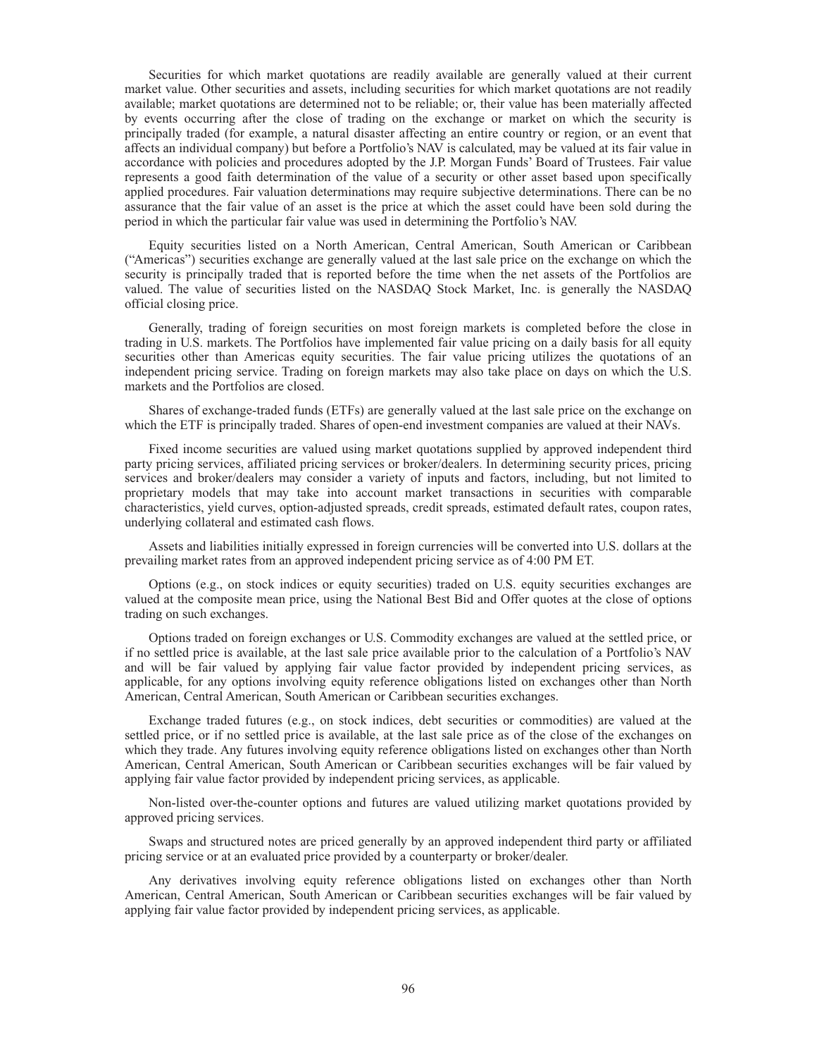Securities for which market quotations are readily available are generally valued at their current market value. Other securities and assets, including securities for which market quotations are not readily available; market quotations are determined not to be reliable; or, their value has been materially affected by events occurring after the close of trading on the exchange or market on which the security is principally traded (for example, a natural disaster affecting an entire country or region, or an event that affects an individual company) but before a Portfolio's NAV is calculated, may be valued at its fair value in accordance with policies and procedures adopted by the J.P. Morgan Funds' Board of Trustees. Fair value represents a good faith determination of the value of a security or other asset based upon specifically applied procedures. Fair valuation determinations may require subjective determinations. There can be no assurance that the fair value of an asset is the price at which the asset could have been sold during the period in which the particular fair value was used in determining the Portfolio's NAV.

Equity securities listed on a North American, Central American, South American or Caribbean ("Americas") securities exchange are generally valued at the last sale price on the exchange on which the security is principally traded that is reported before the time when the net assets of the Portfolios are valued. The value of securities listed on the NASDAQ Stock Market, Inc. is generally the NASDAQ official closing price.

Generally, trading of foreign securities on most foreign markets is completed before the close in trading in U.S. markets. The Portfolios have implemented fair value pricing on a daily basis for all equity securities other than Americas equity securities. The fair value pricing utilizes the quotations of an independent pricing service. Trading on foreign markets may also take place on days on which the U.S. markets and the Portfolios are closed.

Shares of exchange-traded funds (ETFs) are generally valued at the last sale price on the exchange on which the ETF is principally traded. Shares of open-end investment companies are valued at their NAVs.

Fixed income securities are valued using market quotations supplied by approved independent third party pricing services, affiliated pricing services or broker/dealers. In determining security prices, pricing services and broker/dealers may consider a variety of inputs and factors, including, but not limited to proprietary models that may take into account market transactions in securities with comparable characteristics, yield curves, option-adjusted spreads, credit spreads, estimated default rates, coupon rates, underlying collateral and estimated cash flows.

Assets and liabilities initially expressed in foreign currencies will be converted into U.S. dollars at the prevailing market rates from an approved independent pricing service as of 4:00 PM ET.

Options (e.g., on stock indices or equity securities) traded on U.S. equity securities exchanges are valued at the composite mean price, using the National Best Bid and Offer quotes at the close of options trading on such exchanges.

Options traded on foreign exchanges or U.S. Commodity exchanges are valued at the settled price, or if no settled price is available, at the last sale price available prior to the calculation of a Portfolio's NAV and will be fair valued by applying fair value factor provided by independent pricing services, as applicable, for any options involving equity reference obligations listed on exchanges other than North American, Central American, South American or Caribbean securities exchanges.

Exchange traded futures (e.g., on stock indices, debt securities or commodities) are valued at the settled price, or if no settled price is available, at the last sale price as of the close of the exchanges on which they trade. Any futures involving equity reference obligations listed on exchanges other than North American, Central American, South American or Caribbean securities exchanges will be fair valued by applying fair value factor provided by independent pricing services, as applicable.

Non-listed over-the-counter options and futures are valued utilizing market quotations provided by approved pricing services.

Swaps and structured notes are priced generally by an approved independent third party or affiliated pricing service or at an evaluated price provided by a counterparty or broker/dealer.

Any derivatives involving equity reference obligations listed on exchanges other than North American, Central American, South American or Caribbean securities exchanges will be fair valued by applying fair value factor provided by independent pricing services, as applicable.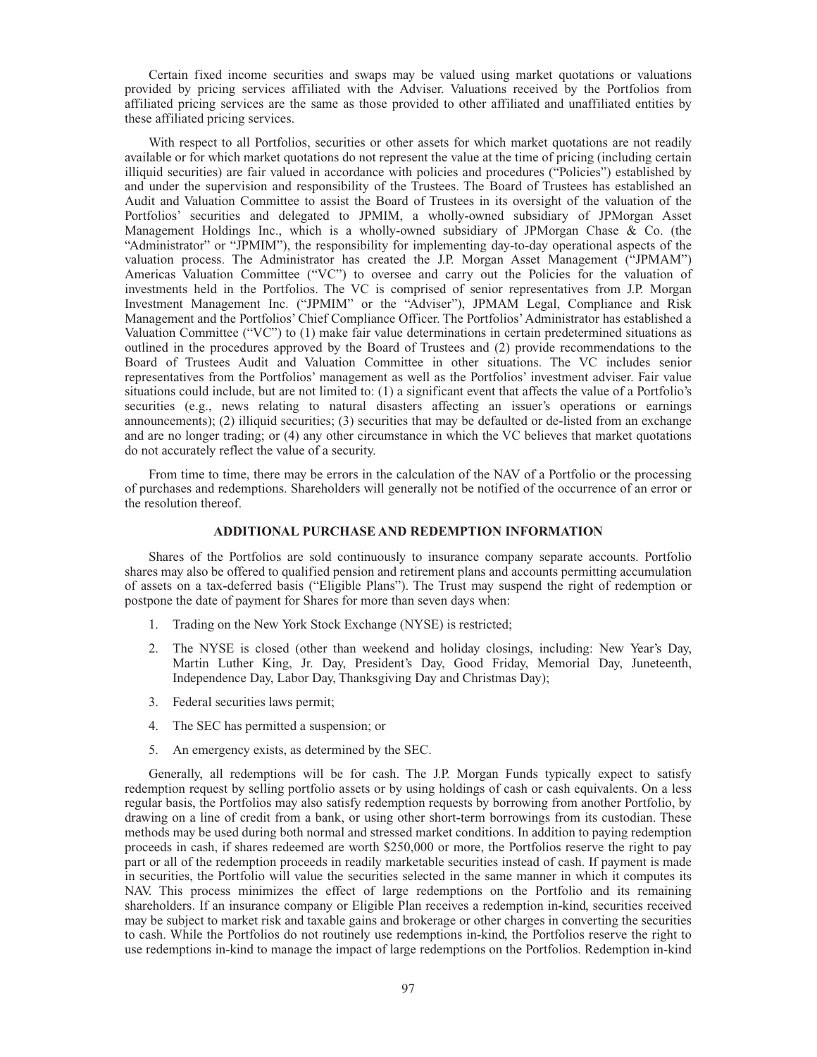Certain fixed income securities and swaps may be valued using market quotations or valuations provided by pricing services affiliated with the Adviser. Valuations received by the Portfolios from affiliated pricing services are the same as those provided to other affiliated and unaffiliated entities by these affiliated pricing services.

With respect to all Portfolios, securities or other assets for which market quotations are not readily available or for which market quotations do not represent the value at the time of pricing (including certain illiquid securities) are fair valued in accordance with policies and procedures ("Policies") established by and under the supervision and responsibility of the Trustees. The Board of Trustees has established an Audit and Valuation Committee to assist the Board of Trustees in its oversight of the valuation of the Portfolios' securities and delegated to JPMIM, a wholly-owned subsidiary of JPMorgan Asset Management Holdings Inc., which is a wholly-owned subsidiary of JPMorgan Chase & Co. (the "Administrator" or "JPMIM"), the responsibility for implementing day-to-day operational aspects of the valuation process. The Administrator has created the J.P. Morgan Asset Management ("JPMAM") Americas Valuation Committee ("VC") to oversee and carry out the Policies for the valuation of investments held in the Portfolios. The VC is comprised of senior representatives from J.P. Morgan Investment Management Inc. ("JPMIM" or the "Adviser"), JPMAM Legal, Compliance and Risk Management and the Portfolios' Chief Compliance Officer. The Portfolios'Administrator has established a Valuation Committee ("VC") to (1) make fair value determinations in certain predetermined situations as outlined in the procedures approved by the Board of Trustees and (2) provide recommendations to the Board of Trustees Audit and Valuation Committee in other situations. The VC includes senior representatives from the Portfolios' management as well as the Portfolios' investment adviser. Fair value situations could include, but are not limited to: (1) a significant event that affects the value of a Portfolio's securities (e.g., news relating to natural disasters affecting an issuer's operations or earnings announcements); (2) illiquid securities; (3) securities that may be defaulted or de-listed from an exchange and are no longer trading; or (4) any other circumstance in which the VC believes that market quotations do not accurately reflect the value of a security.

From time to time, there may be errors in the calculation of the NAV of a Portfolio or the processing of purchases and redemptions. Shareholders will generally not be notified of the occurrence of an error or the resolution thereof.

## **ADDITIONAL PURCHASE AND REDEMPTION INFORMATION**

Shares of the Portfolios are sold continuously to insurance company separate accounts. Portfolio shares may also be offered to qualified pension and retirement plans and accounts permitting accumulation of assets on a tax-deferred basis ("Eligible Plans"). The Trust may suspend the right of redemption or postpone the date of payment for Shares for more than seven days when:

- 1. Trading on the New York Stock Exchange (NYSE) is restricted;
- 2. The NYSE is closed (other than weekend and holiday closings, including: New Year's Day, Martin Luther King, Jr. Day, President's Day, Good Friday, Memorial Day, Juneteenth, Independence Day, Labor Day, Thanksgiving Day and Christmas Day);
- 3. Federal securities laws permit;
- 4. The SEC has permitted a suspension; or
- 5. An emergency exists, as determined by the SEC.

Generally, all redemptions will be for cash. The J.P. Morgan Funds typically expect to satisfy redemption request by selling portfolio assets or by using holdings of cash or cash equivalents. On a less regular basis, the Portfolios may also satisfy redemption requests by borrowing from another Portfolio, by drawing on a line of credit from a bank, or using other short-term borrowings from its custodian. These methods may be used during both normal and stressed market conditions. In addition to paying redemption proceeds in cash, if shares redeemed are worth \$250,000 or more, the Portfolios reserve the right to pay part or all of the redemption proceeds in readily marketable securities instead of cash. If payment is made in securities, the Portfolio will value the securities selected in the same manner in which it computes its NAV. This process minimizes the effect of large redemptions on the Portfolio and its remaining shareholders. If an insurance company or Eligible Plan receives a redemption in-kind, securities received may be subject to market risk and taxable gains and brokerage or other charges in converting the securities to cash. While the Portfolios do not routinely use redemptions in-kind, the Portfolios reserve the right to use redemptions in-kind to manage the impact of large redemptions on the Portfolios. Redemption in-kind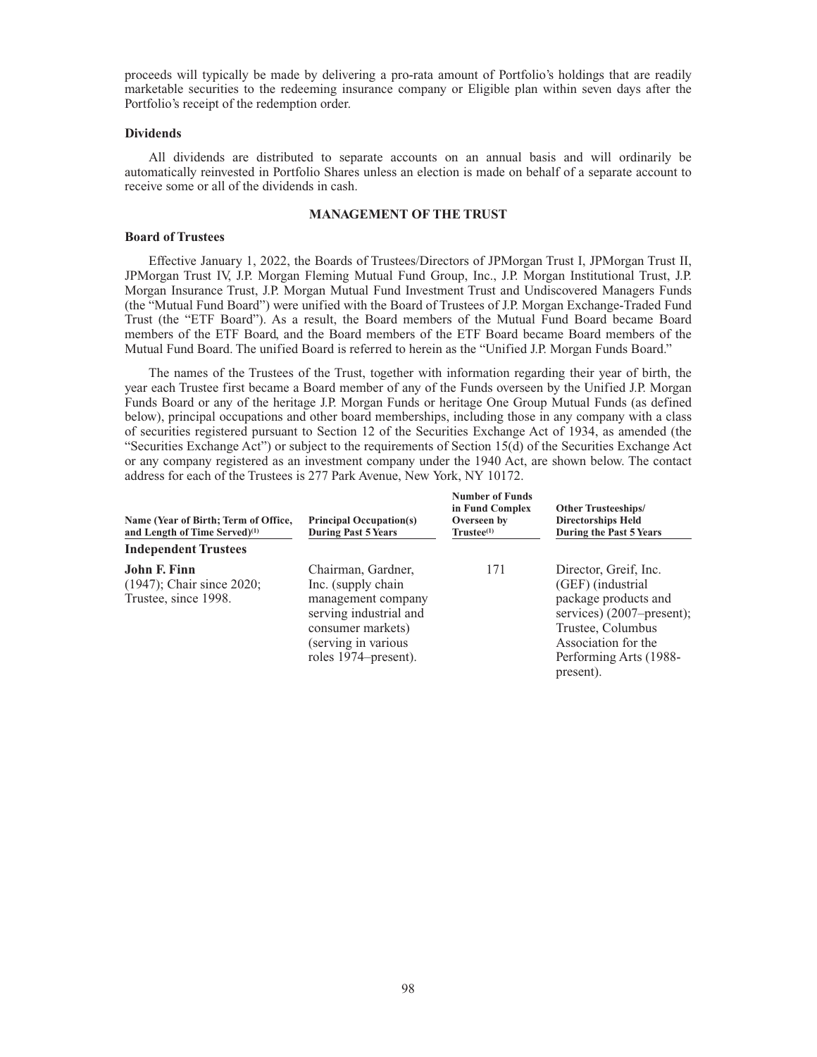proceeds will typically be made by delivering a pro-rata amount of Portfolio's holdings that are readily marketable securities to the redeeming insurance company or Eligible plan within seven days after the Portfolio's receipt of the redemption order.

### **Dividends**

All dividends are distributed to separate accounts on an annual basis and will ordinarily be automatically reinvested in Portfolio Shares unless an election is made on behalf of a separate account to receive some or all of the dividends in cash.

# **MANAGEMENT OF THE TRUST**

#### **Board of Trustees**

Effective January 1, 2022, the Boards of Trustees/Directors of JPMorgan Trust I, JPMorgan Trust II, JPMorgan Trust IV, J.P. Morgan Fleming Mutual Fund Group, Inc., J.P. Morgan Institutional Trust, J.P. Morgan Insurance Trust, J.P. Morgan Mutual Fund Investment Trust and Undiscovered Managers Funds (the "Mutual Fund Board") were unified with the Board of Trustees of J.P. Morgan Exchange-Traded Fund Trust (the "ETF Board"). As a result, the Board members of the Mutual Fund Board became Board members of the ETF Board, and the Board members of the ETF Board became Board members of the Mutual Fund Board. The unified Board is referred to herein as the "Unified J.P. Morgan Funds Board."

The names of the Trustees of the Trust, together with information regarding their year of birth, the year each Trustee first became a Board member of any of the Funds overseen by the Unified J.P. Morgan Funds Board or any of the heritage J.P. Morgan Funds or heritage One Group Mutual Funds (as defined below), principal occupations and other board memberships, including those in any company with a class of securities registered pursuant to Section 12 of the Securities Exchange Act of 1934, as amended (the "Securities Exchange Act") or subject to the requirements of Section 15(d) of the Securities Exchange Act or any company registered as an investment company under the 1940 Act, are shown below. The contact address for each of the Trustees is 277 Park Avenue, New York, NY 10172.

| Name (Year of Birth; Term of Office,<br>and Length of Time Served) <sup>(1)</sup><br><b>Independent Trustees</b> | <b>Principal Occupation(s)</b><br><b>During Past 5 Years</b>                                                                                                 | <b>Number of Funds</b><br>in Fund Complex<br>Overseen by<br>$Trustee^{(1)}$ | <b>Other Trusteeships/</b><br><b>Directorships Held</b><br>During the Past 5 Years                                                                                                    |
|------------------------------------------------------------------------------------------------------------------|--------------------------------------------------------------------------------------------------------------------------------------------------------------|-----------------------------------------------------------------------------|---------------------------------------------------------------------------------------------------------------------------------------------------------------------------------------|
| John F. Finn<br>$(1947)$ ; Chair since 2020;<br>Trustee, since 1998.                                             | Chairman, Gardner,<br>Inc. (supply chain<br>management company<br>serving industrial and<br>consumer markets)<br>(serving in various<br>roles 1974–present). | 171                                                                         | Director, Greif, Inc.<br>(GEF) (industrial)<br>package products and<br>services) $(2007–present);$<br>Trustee, Columbus<br>Association for the<br>Performing Arts (1988-<br>present). |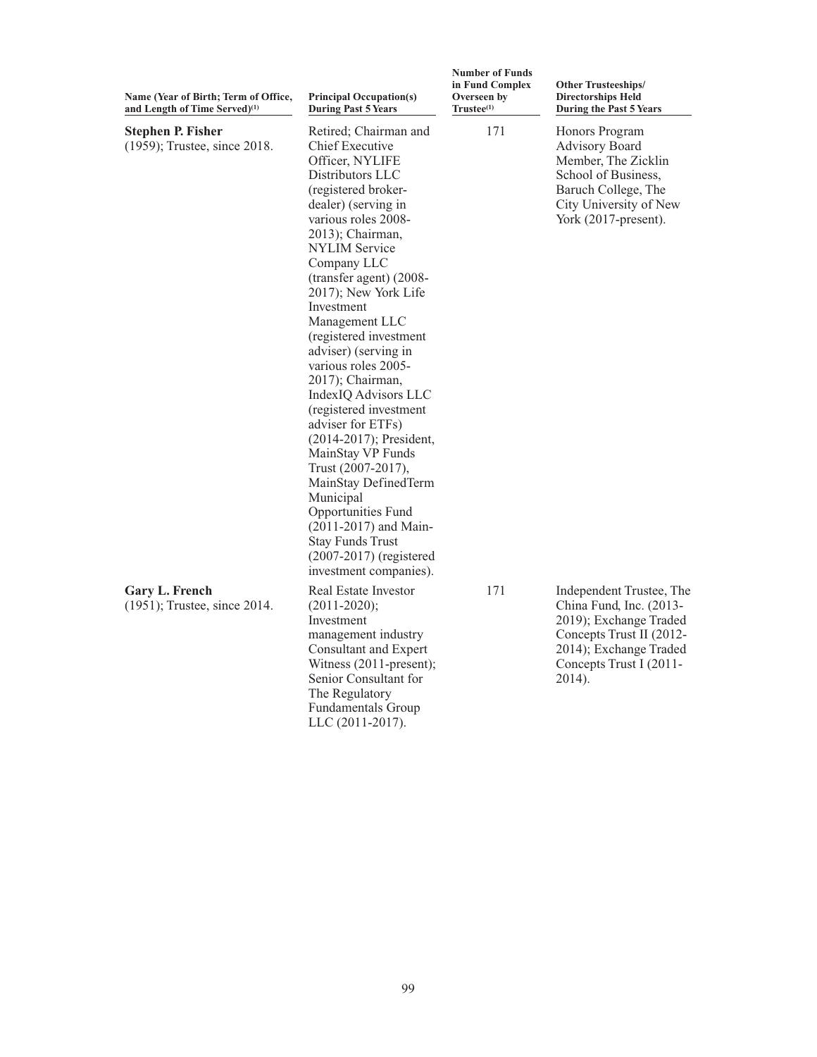| Name (Year of Birth; Term of Office,<br>and Length of Time Served) <sup>(1)</sup> | <b>Principal Occupation(s)</b><br><b>During Past 5 Years</b>                                                                                                                                                                                                                                                                                                                                                                                                                                                                                                                                                                                                                                                                  | <b>Number of Funds</b><br>in Fund Complex<br>Overseen by<br>Trustee <sup>(1)</sup> | <b>Other Trusteeships/</b><br><b>Directorships Held</b><br>During the Past 5 Years                                                                                       |
|-----------------------------------------------------------------------------------|-------------------------------------------------------------------------------------------------------------------------------------------------------------------------------------------------------------------------------------------------------------------------------------------------------------------------------------------------------------------------------------------------------------------------------------------------------------------------------------------------------------------------------------------------------------------------------------------------------------------------------------------------------------------------------------------------------------------------------|------------------------------------------------------------------------------------|--------------------------------------------------------------------------------------------------------------------------------------------------------------------------|
| <b>Stephen P. Fisher</b><br>(1959); Trustee, since 2018.                          | Retired; Chairman and<br><b>Chief Executive</b><br>Officer, NYLIFE<br>Distributors LLC<br>(registered broker-<br>dealer) (serving in<br>various roles 2008-<br>2013); Chairman,<br><b>NYLIM Service</b><br>Company LLC<br>(transfer agent) (2008-<br>2017); New York Life<br>Investment<br>Management LLC<br>(registered investment<br>adviser) (serving in<br>various roles 2005-<br>2017); Chairman,<br>IndexIQ Advisors LLC<br>(registered investment<br>adviser for ETFs)<br>(2014-2017); President,<br>MainStay VP Funds<br>Trust (2007-2017),<br>MainStay DefinedTerm<br>Municipal<br>Opportunities Fund<br>$(2011 - 2017)$ and Main-<br><b>Stay Funds Trust</b><br>$(2007-2017)$ (registered<br>investment companies). | 171                                                                                | Honors Program<br><b>Advisory Board</b><br>Member, The Zicklin<br>School of Business,<br>Baruch College, The<br>City University of New<br>York (2017-present).           |
| Gary L. French<br>(1951); Trustee, since 2014.                                    | Real Estate Investor<br>$(2011 - 2020);$<br>Investment<br>management industry<br>Consultant and Expert<br>Witness (2011-present);<br>Senior Consultant for<br>The Regulatory<br><b>Fundamentals Group</b><br>LLC (2011-2017).                                                                                                                                                                                                                                                                                                                                                                                                                                                                                                 | 171                                                                                | Independent Trustee, The<br>China Fund, Inc. (2013-<br>2019); Exchange Traded<br>Concepts Trust II (2012-<br>2014); Exchange Traded<br>Concepts Trust I (2011-<br>2014). |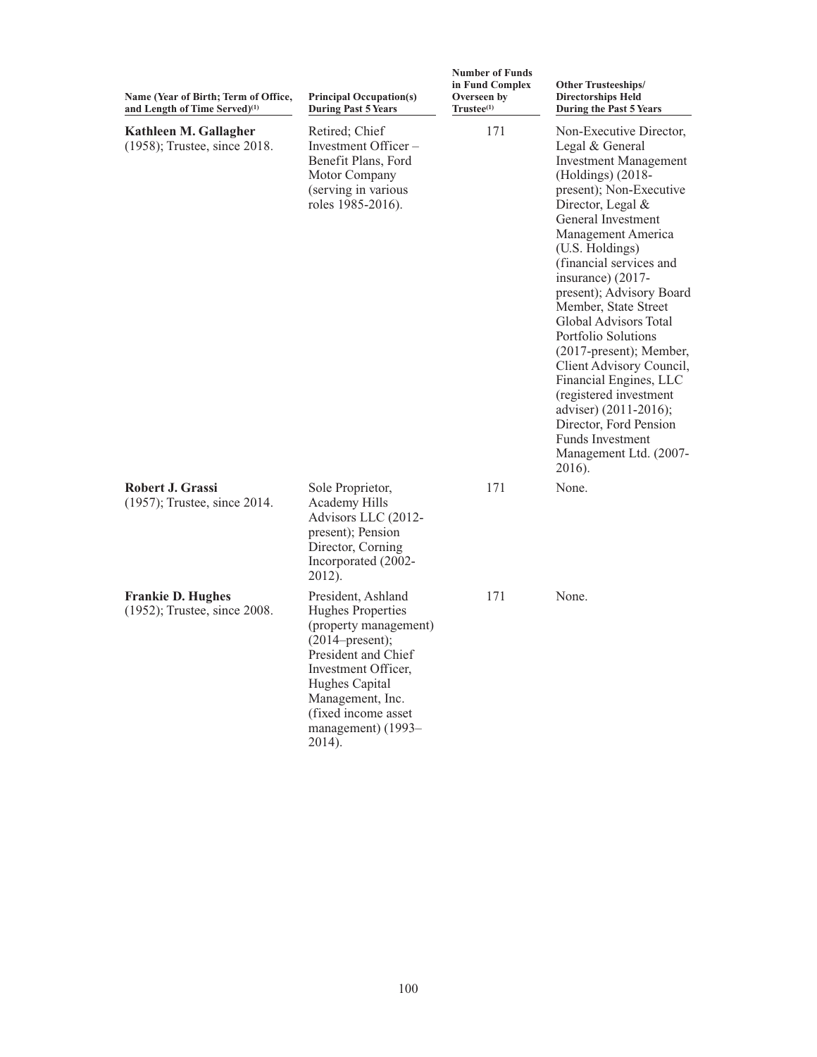| Name (Year of Birth; Term of Office,<br>and Length of Time Served) <sup>(1)</sup> | <b>Principal Occupation(s)</b><br><b>During Past 5 Years</b>                                                                                                                                                                          | <b>Number of Funds</b><br>in Fund Complex<br>Overseen by<br>Trustee <sup>(1)</sup> | <b>Other Trusteeships/</b><br><b>Directorships Held</b><br>During the Past 5 Years                                                                                                                                                                                                                                                                                                                                                                                                                                                                                                               |
|-----------------------------------------------------------------------------------|---------------------------------------------------------------------------------------------------------------------------------------------------------------------------------------------------------------------------------------|------------------------------------------------------------------------------------|--------------------------------------------------------------------------------------------------------------------------------------------------------------------------------------------------------------------------------------------------------------------------------------------------------------------------------------------------------------------------------------------------------------------------------------------------------------------------------------------------------------------------------------------------------------------------------------------------|
| Kathleen M. Gallagher<br>(1958); Trustee, since 2018.                             | Retired; Chief<br>Investment Officer –<br>Benefit Plans, Ford<br>Motor Company<br>(serving in various<br>roles 1985-2016).                                                                                                            | 171                                                                                | Non-Executive Director,<br>Legal & General<br><b>Investment Management</b><br>(Holdings) (2018-<br>present); Non-Executive<br>Director, Legal &<br>General Investment<br>Management America<br>(U.S. Holdings)<br>(financial services and)<br>insurance) (2017-<br>present); Advisory Board<br>Member, State Street<br>Global Advisors Total<br>Portfolio Solutions<br>(2017-present); Member,<br>Client Advisory Council,<br>Financial Engines, LLC<br>(registered investment<br>adviser) (2011-2016);<br>Director, Ford Pension<br><b>Funds Investment</b><br>Management Ltd. (2007-<br>2016). |
| Robert J. Grassi<br>(1957); Trustee, since 2014.                                  | Sole Proprietor,<br>Academy Hills<br>Advisors LLC (2012-<br>present); Pension<br>Director, Corning<br>Incorporated (2002-<br>2012).                                                                                                   | 171                                                                                | None.                                                                                                                                                                                                                                                                                                                                                                                                                                                                                                                                                                                            |
| <b>Frankie D. Hughes</b><br>$(1952)$ ; Trustee, since 2008.                       | President, Ashland<br><b>Hughes Properties</b><br>(property management)<br>(2014–present);<br>President and Chief<br>Investment Officer,<br>Hughes Capital<br>Management, Inc.<br>(fixed income asset<br>management) (1993-<br>2014). | 171                                                                                | None.                                                                                                                                                                                                                                                                                                                                                                                                                                                                                                                                                                                            |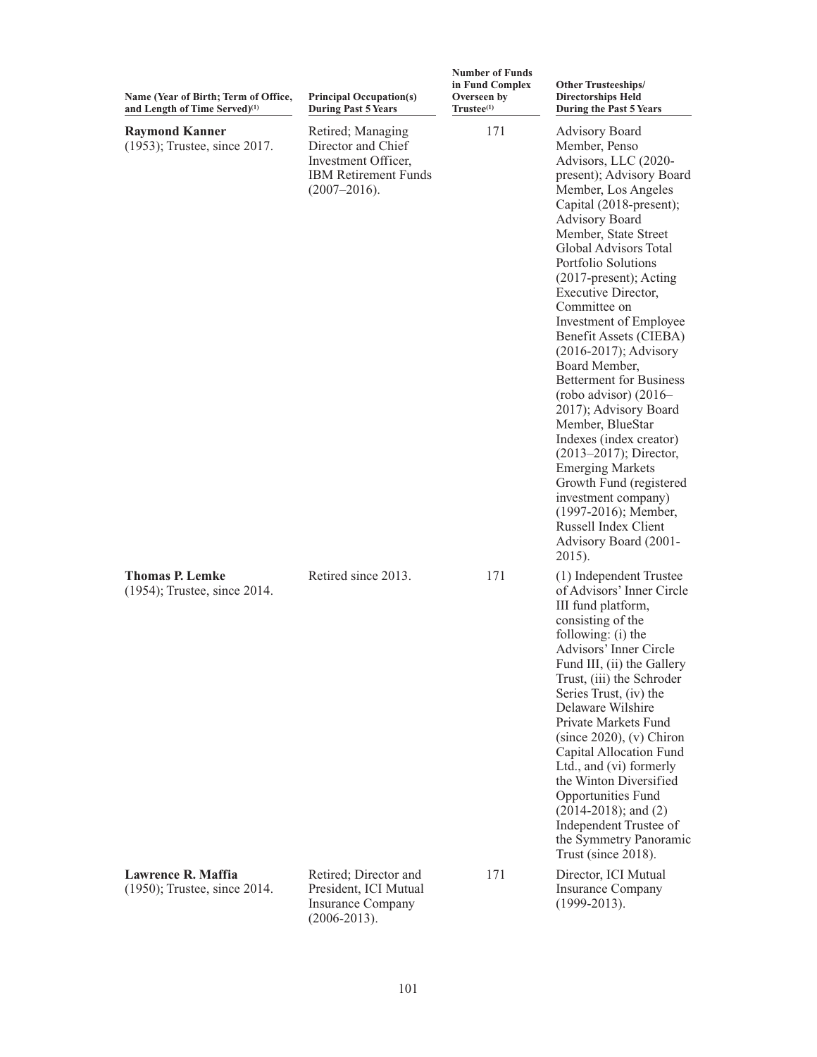| Name (Year of Birth; Term of Office,<br>and Length of Time Served $(1)$ | <b>Principal Occupation(s)</b><br><b>During Past 5 Years</b>                                                      | <b>Number of Funds</b><br>in Fund Complex<br>Overseen by<br>Trustee <sup>(1)</sup> | <b>Other Trusteeships/</b><br><b>Directorships Held</b><br>During the Past 5 Years                                                                                                                                                                                                                                                                                                                                                                                                                                                                                                                                                                                                                                                       |
|-------------------------------------------------------------------------|-------------------------------------------------------------------------------------------------------------------|------------------------------------------------------------------------------------|------------------------------------------------------------------------------------------------------------------------------------------------------------------------------------------------------------------------------------------------------------------------------------------------------------------------------------------------------------------------------------------------------------------------------------------------------------------------------------------------------------------------------------------------------------------------------------------------------------------------------------------------------------------------------------------------------------------------------------------|
| <b>Raymond Kanner</b><br>(1953); Trustee, since 2017.                   | Retired; Managing<br>Director and Chief<br>Investment Officer,<br><b>IBM</b> Retirement Funds<br>$(2007 - 2016).$ | 171                                                                                | Advisory Board<br>Member, Penso<br>Advisors, LLC (2020-<br>present); Advisory Board<br>Member, Los Angeles<br>Capital (2018-present);<br><b>Advisory Board</b><br>Member, State Street<br>Global Advisors Total<br>Portfolio Solutions<br>(2017-present); Acting<br>Executive Director,<br>Committee on<br>Investment of Employee<br>Benefit Assets (CIEBA)<br>$(2016-2017)$ ; Advisory<br>Board Member,<br><b>Betterment for Business</b><br>(robo advisor) (2016-<br>2017); Advisory Board<br>Member, BlueStar<br>Indexes (index creator)<br>$(2013-2017)$ ; Director,<br><b>Emerging Markets</b><br>Growth Fund (registered<br>investment company)<br>(1997-2016); Member,<br>Russell Index Client<br>Advisory Board (2001-<br>2015). |
| <b>Thomas P. Lemke</b><br>(1954); Trustee, since 2014.                  | Retired since 2013.                                                                                               | 171                                                                                | (1) Independent Trustee<br>of Advisors' Inner Circle<br>III fund platform,<br>consisting of the<br>following: (i) the<br>Advisors' Inner Circle<br>Fund III, (ii) the Gallery<br>Trust, (iii) the Schroder<br>Series Trust, (iv) the<br>Delaware Wilshire<br>Private Markets Fund<br>$(since 2020)$ , $(v) Chiron$<br>Capital Allocation Fund<br>Ltd., and (vi) formerly<br>the Winton Diversified<br><b>Opportunities Fund</b><br>$(2014-2018)$ ; and $(2)$<br>Independent Trustee of<br>the Symmetry Panoramic<br>Trust (since 2018).                                                                                                                                                                                                  |
| <b>Lawrence R. Maffia</b><br>(1950); Trustee, since 2014.               | Retired; Director and<br>President, ICI Mutual<br><b>Insurance Company</b><br>$(2006 - 2013).$                    | 171                                                                                | Director, ICI Mutual<br><b>Insurance Company</b><br>$(1999-2013).$                                                                                                                                                                                                                                                                                                                                                                                                                                                                                                                                                                                                                                                                       |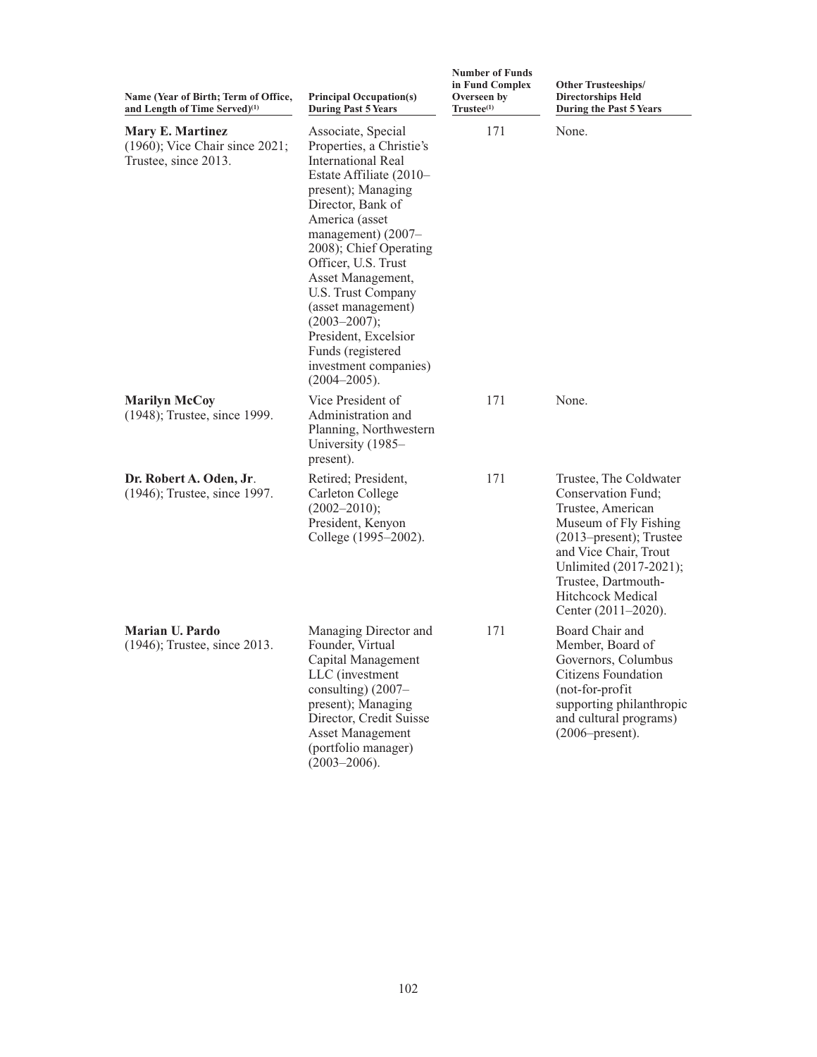| Name (Year of Birth; Term of Office,<br>and Length of Time Served) <sup>(1)</sup>    | <b>Principal Occupation(s)</b><br><b>During Past 5 Years</b>                                                                                                                                                                                                                                                                                                                                                                      | <b>Number of Funds</b><br>in Fund Complex<br>Overseen by<br>Trustee <sup>(1)</sup> | <b>Other Trusteeships/</b><br><b>Directorships Held</b><br>During the Past 5 Years                                                                                                                                                             |
|--------------------------------------------------------------------------------------|-----------------------------------------------------------------------------------------------------------------------------------------------------------------------------------------------------------------------------------------------------------------------------------------------------------------------------------------------------------------------------------------------------------------------------------|------------------------------------------------------------------------------------|------------------------------------------------------------------------------------------------------------------------------------------------------------------------------------------------------------------------------------------------|
| <b>Mary E. Martinez</b><br>$(1960)$ ; Vice Chair since 2021;<br>Trustee, since 2013. | Associate, Special<br>Properties, a Christie's<br><b>International Real</b><br>Estate Affiliate (2010–<br>present); Managing<br>Director, Bank of<br>America (asset<br>management) (2007-<br>2008); Chief Operating<br>Officer, U.S. Trust<br>Asset Management,<br><b>U.S. Trust Company</b><br>(asset management)<br>$(2003 - 2007);$<br>President, Excelsior<br>Funds (registered<br>investment companies)<br>$(2004 - 2005)$ . | 171                                                                                | None.                                                                                                                                                                                                                                          |
| <b>Marilyn McCoy</b><br>(1948); Trustee, since 1999.                                 | Vice President of<br>Administration and<br>Planning, Northwestern<br>University (1985–<br>present).                                                                                                                                                                                                                                                                                                                               | 171                                                                                | None.                                                                                                                                                                                                                                          |
| Dr. Robert A. Oden, Jr.<br>(1946); Trustee, since 1997.                              | Retired; President,<br>Carleton College<br>$(2002 - 2010);$<br>President, Kenyon<br>College (1995–2002).                                                                                                                                                                                                                                                                                                                          | 171                                                                                | Trustee, The Coldwater<br>Conservation Fund;<br>Trustee, American<br>Museum of Fly Fishing<br>$(2013–present)$ ; Trustee<br>and Vice Chair, Trout<br>Unlimited (2017-2021);<br>Trustee, Dartmouth-<br>Hitchcock Medical<br>Center (2011-2020). |
| Marian U. Pardo<br>(1946); Trustee, since 2013.                                      | Managing Director and<br>Founder, Virtual<br>Capital Management<br>LLC (investment<br>consulting) (2007-<br>present); Managing<br>Director, Credit Suisse<br><b>Asset Management</b><br>(portfolio manager)<br>$(2003 - 2006).$                                                                                                                                                                                                   | 171                                                                                | Board Chair and<br>Member, Board of<br>Governors, Columbus<br>Citizens Foundation<br>(not-for-profit<br>supporting philanthropic<br>and cultural programs)<br>(2006–present).                                                                  |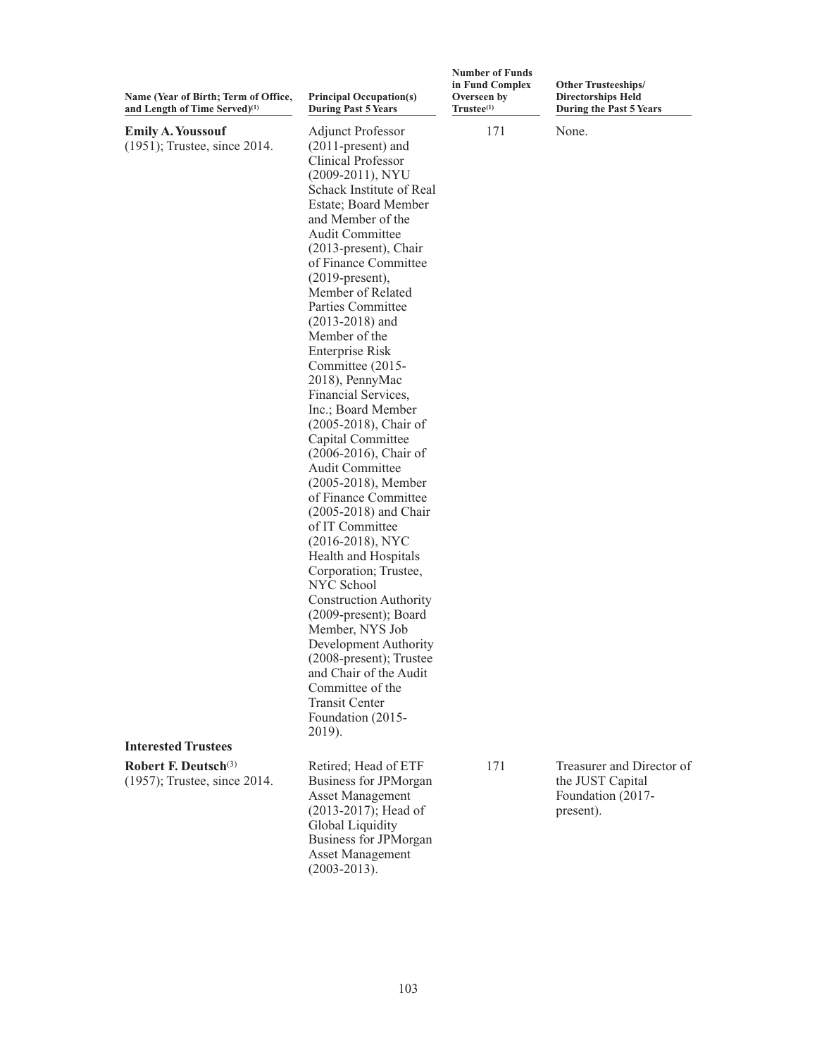| Name (Year of Birth; Term of Office,<br>and Length of Time Served) <sup>(1)</sup> | <b>Principal Occupation(s)</b><br><b>During Past 5 Years</b>                                                                                                                                                                                                                                                                                                                                                                                                                                                                                                                                                                                                                                                                                                                                                                                                                                                                                                                               | Number of Funds<br>in Fund Complex<br>Overseen by<br>$Trustee^{(1)}$ | <b>Other Trusteeships/</b><br><b>Directorships Held</b><br>During the Past 5 Years |
|-----------------------------------------------------------------------------------|--------------------------------------------------------------------------------------------------------------------------------------------------------------------------------------------------------------------------------------------------------------------------------------------------------------------------------------------------------------------------------------------------------------------------------------------------------------------------------------------------------------------------------------------------------------------------------------------------------------------------------------------------------------------------------------------------------------------------------------------------------------------------------------------------------------------------------------------------------------------------------------------------------------------------------------------------------------------------------------------|----------------------------------------------------------------------|------------------------------------------------------------------------------------|
| <b>Emily A. Youssouf</b><br>(1951); Trustee, since 2014.                          | <b>Adjunct Professor</b><br>$(2011$ -present) and<br>Clinical Professor<br>(2009-2011), NYU<br>Schack Institute of Real<br>Estate; Board Member<br>and Member of the<br><b>Audit Committee</b><br>(2013-present), Chair<br>of Finance Committee<br>$(2019$ -present),<br>Member of Related<br>Parties Committee<br>$(2013 - 2018)$ and<br>Member of the<br>Enterprise Risk<br>Committee (2015-<br>2018), PennyMac<br>Financial Services,<br>Inc.; Board Member<br>(2005-2018), Chair of<br>Capital Committee<br>(2006-2016), Chair of<br><b>Audit Committee</b><br>(2005-2018), Member<br>of Finance Committee<br>(2005-2018) and Chair<br>of IT Committee<br>$(2016-2018)$ , NYC<br>Health and Hospitals<br>Corporation; Trustee,<br>NYC School<br><b>Construction Authority</b><br>(2009-present); Board<br>Member, NYS Job<br>Development Authority<br>$(2008$ -present); Trustee<br>and Chair of the Audit<br>Committee of the<br><b>Transit Center</b><br>Foundation (2015-<br>2019). | 171                                                                  | None.                                                                              |
| <b>Interested Trustees</b>                                                        |                                                                                                                                                                                                                                                                                                                                                                                                                                                                                                                                                                                                                                                                                                                                                                                                                                                                                                                                                                                            |                                                                      |                                                                                    |
| Robert F. Deutsch $(3)$<br>(1957); Trustee, since 2014.                           | Retired; Head of ETF<br>Business for JPMorgan<br><b>Asset Management</b><br>(2013-2017); Head of<br>Global Liquidity<br><b>Business for JPMorgan</b><br><b>Asset Management</b><br>$(2003 - 2013).$                                                                                                                                                                                                                                                                                                                                                                                                                                                                                                                                                                                                                                                                                                                                                                                        | 171                                                                  | Treasurer and Director of<br>the JUST Capital<br>Foundation (2017-<br>present).    |

**Number of Funds**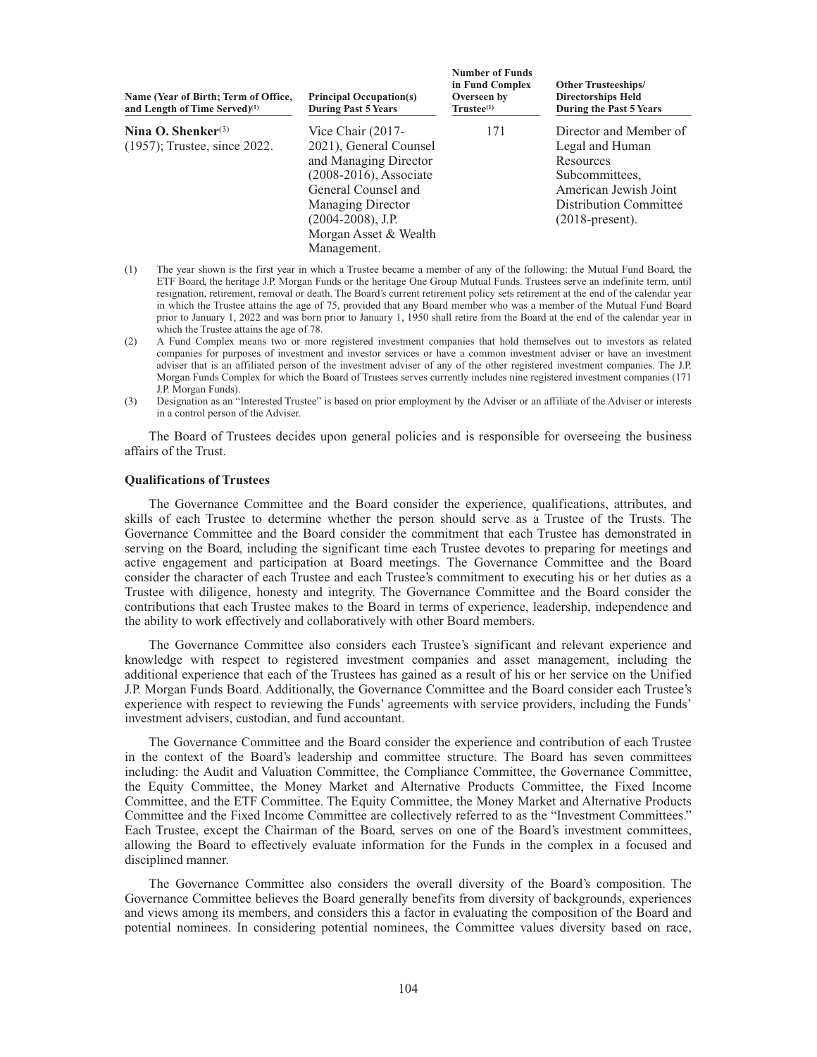| Name (Year of Birth; Term of Office,<br>and Length of Time Served) <sup>(1)</sup> | <b>Principal Occupation(s)</b><br><b>During Past 5 Years</b>                                                                                                                                                           | <b>Number of Funds</b><br>in Fund Complex<br>Overseen by<br>Trustee <sup>(1)</sup> | <b>Other Trusteeships/</b><br><b>Directorships Held</b><br>During the Past 5 Years                                                                |
|-----------------------------------------------------------------------------------|------------------------------------------------------------------------------------------------------------------------------------------------------------------------------------------------------------------------|------------------------------------------------------------------------------------|---------------------------------------------------------------------------------------------------------------------------------------------------|
| Nina O. Shenker $(3)$<br>(1957); Trustee, since 2022.                             | Vice Chair $(2017 -$<br>2021), General Counsel<br>and Managing Director<br>(2008-2016), Associate<br>General Counsel and<br><b>Managing Director</b><br>$(2004 - 2008)$ , J.P.<br>Morgan Asset & Wealth<br>Management. | 171                                                                                | Director and Member of<br>Legal and Human<br>Resources<br>Subcommittees.<br>American Jewish Joint<br>Distribution Committee<br>$(2018$ -present). |

- (1) The year shown is the first year in which a Trustee became a member of any of the following: the Mutual Fund Board, the ETF Board, the heritage J.P. Morgan Funds or the heritage One Group Mutual Funds. Trustees serve an indefinite term, until resignation, retirement, removal or death. The Board's current retirement policy sets retirement at the end of the calendar year in which the Trustee attains the age of 75, provided that any Board member who was a member of the Mutual Fund Board prior to January 1, 2022 and was born prior to January 1, 1950 shall retire from the Board at the end of the calendar year in which the Trustee attains the age of 78.
- (2) A Fund Complex means two or more registered investment companies that hold themselves out to investors as related companies for purposes of investment and investor services or have a common investment adviser or have an investment adviser that is an affiliated person of the investment adviser of any of the other registered investment companies. The J.P. Morgan Funds Complex for which the Board of Trustees serves currently includes nine registered investment companies (171 J.P. Morgan Funds).
- (3) Designation as an "Interested Trustee" is based on prior employment by the Adviser or an affiliate of the Adviser or interests in a control person of the Adviser.

The Board of Trustees decides upon general policies and is responsible for overseeing the business affairs of the Trust.

## **Qualifications of Trustees**

The Governance Committee and the Board consider the experience, qualifications, attributes, and skills of each Trustee to determine whether the person should serve as a Trustee of the Trusts. The Governance Committee and the Board consider the commitment that each Trustee has demonstrated in serving on the Board, including the significant time each Trustee devotes to preparing for meetings and active engagement and participation at Board meetings. The Governance Committee and the Board consider the character of each Trustee and each Trustee's commitment to executing his or her duties as a Trustee with diligence, honesty and integrity. The Governance Committee and the Board consider the contributions that each Trustee makes to the Board in terms of experience, leadership, independence and the ability to work effectively and collaboratively with other Board members.

The Governance Committee also considers each Trustee's significant and relevant experience and knowledge with respect to registered investment companies and asset management, including the additional experience that each of the Trustees has gained as a result of his or her service on the Unified J.P. Morgan Funds Board. Additionally, the Governance Committee and the Board consider each Trustee's experience with respect to reviewing the Funds' agreements with service providers, including the Funds' investment advisers, custodian, and fund accountant.

The Governance Committee and the Board consider the experience and contribution of each Trustee in the context of the Board's leadership and committee structure. The Board has seven committees including: the Audit and Valuation Committee, the Compliance Committee, the Governance Committee, the Equity Committee, the Money Market and Alternative Products Committee, the Fixed Income Committee, and the ETF Committee. The Equity Committee, the Money Market and Alternative Products Committee and the Fixed Income Committee are collectively referred to as the "Investment Committees." Each Trustee, except the Chairman of the Board, serves on one of the Board's investment committees, allowing the Board to effectively evaluate information for the Funds in the complex in a focused and disciplined manner.

The Governance Committee also considers the overall diversity of the Board's composition. The Governance Committee believes the Board generally benefits from diversity of backgrounds, experiences and views among its members, and considers this a factor in evaluating the composition of the Board and potential nominees. In considering potential nominees, the Committee values diversity based on race,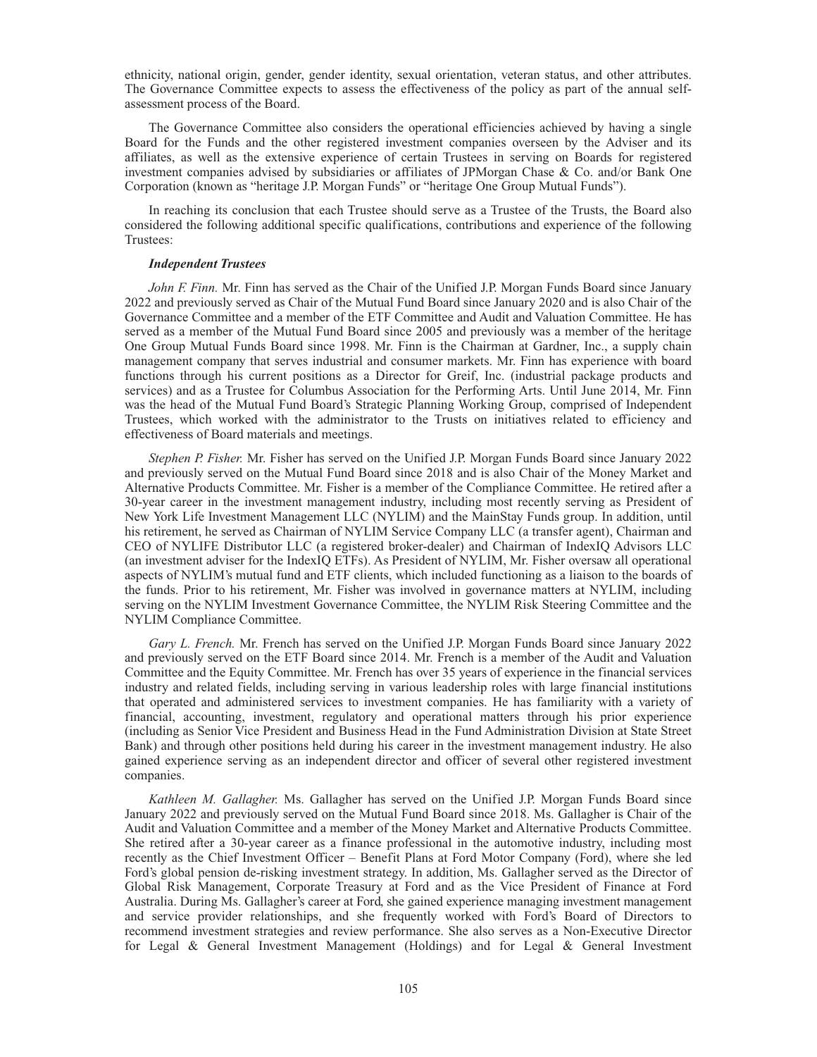ethnicity, national origin, gender, gender identity, sexual orientation, veteran status, and other attributes. The Governance Committee expects to assess the effectiveness of the policy as part of the annual selfassessment process of the Board.

The Governance Committee also considers the operational efficiencies achieved by having a single Board for the Funds and the other registered investment companies overseen by the Adviser and its affiliates, as well as the extensive experience of certain Trustees in serving on Boards for registered investment companies advised by subsidiaries or affiliates of JPMorgan Chase & Co. and/or Bank One Corporation (known as "heritage J.P. Morgan Funds" or "heritage One Group Mutual Funds").

In reaching its conclusion that each Trustee should serve as a Trustee of the Trusts, the Board also considered the following additional specific qualifications, contributions and experience of the following Trustees:

## *Independent Trustees*

*John F. Finn.* Mr. Finn has served as the Chair of the Unified J.P. Morgan Funds Board since January 2022 and previously served as Chair of the Mutual Fund Board since January 2020 and is also Chair of the Governance Committee and a member of the ETF Committee and Audit and Valuation Committee. He has served as a member of the Mutual Fund Board since 2005 and previously was a member of the heritage One Group Mutual Funds Board since 1998. Mr. Finn is the Chairman at Gardner, Inc., a supply chain management company that serves industrial and consumer markets. Mr. Finn has experience with board functions through his current positions as a Director for Greif, Inc. (industrial package products and services) and as a Trustee for Columbus Association for the Performing Arts. Until June 2014, Mr. Finn was the head of the Mutual Fund Board's Strategic Planning Working Group, comprised of Independent Trustees, which worked with the administrator to the Trusts on initiatives related to efficiency and effectiveness of Board materials and meetings.

*Stephen P. Fisher.* Mr. Fisher has served on the Unified J.P. Morgan Funds Board since January 2022 and previously served on the Mutual Fund Board since 2018 and is also Chair of the Money Market and Alternative Products Committee. Mr. Fisher is a member of the Compliance Committee. He retired after a 30-year career in the investment management industry, including most recently serving as President of New York Life Investment Management LLC (NYLIM) and the MainStay Funds group. In addition, until his retirement, he served as Chairman of NYLIM Service Company LLC (a transfer agent), Chairman and CEO of NYLIFE Distributor LLC (a registered broker-dealer) and Chairman of IndexIQ Advisors LLC (an investment adviser for the IndexIQ ETFs). As President of NYLIM, Mr. Fisher oversaw all operational aspects of NYLIM's mutual fund and ETF clients, which included functioning as a liaison to the boards of the funds. Prior to his retirement, Mr. Fisher was involved in governance matters at NYLIM, including serving on the NYLIM Investment Governance Committee, the NYLIM Risk Steering Committee and the NYLIM Compliance Committee.

*Gary L. French.* Mr. French has served on the Unified J.P. Morgan Funds Board since January 2022 and previously served on the ETF Board since 2014. Mr. French is a member of the Audit and Valuation Committee and the Equity Committee. Mr. French has over 35 years of experience in the financial services industry and related fields, including serving in various leadership roles with large financial institutions that operated and administered services to investment companies. He has familiarity with a variety of financial, accounting, investment, regulatory and operational matters through his prior experience (including as Senior Vice President and Business Head in the Fund Administration Division at State Street Bank) and through other positions held during his career in the investment management industry. He also gained experience serving as an independent director and officer of several other registered investment companies.

*Kathleen M. Gallagher.* Ms. Gallagher has served on the Unified J.P. Morgan Funds Board since January 2022 and previously served on the Mutual Fund Board since 2018. Ms. Gallagher is Chair of the Audit and Valuation Committee and a member of the Money Market and Alternative Products Committee. She retired after a 30-year career as a finance professional in the automotive industry, including most recently as the Chief Investment Officer – Benefit Plans at Ford Motor Company (Ford), where she led Ford's global pension de-risking investment strategy. In addition, Ms. Gallagher served as the Director of Global Risk Management, Corporate Treasury at Ford and as the Vice President of Finance at Ford Australia. During Ms. Gallagher's career at Ford, she gained experience managing investment management and service provider relationships, and she frequently worked with Ford's Board of Directors to recommend investment strategies and review performance. She also serves as a Non-Executive Director for Legal & General Investment Management (Holdings) and for Legal & General Investment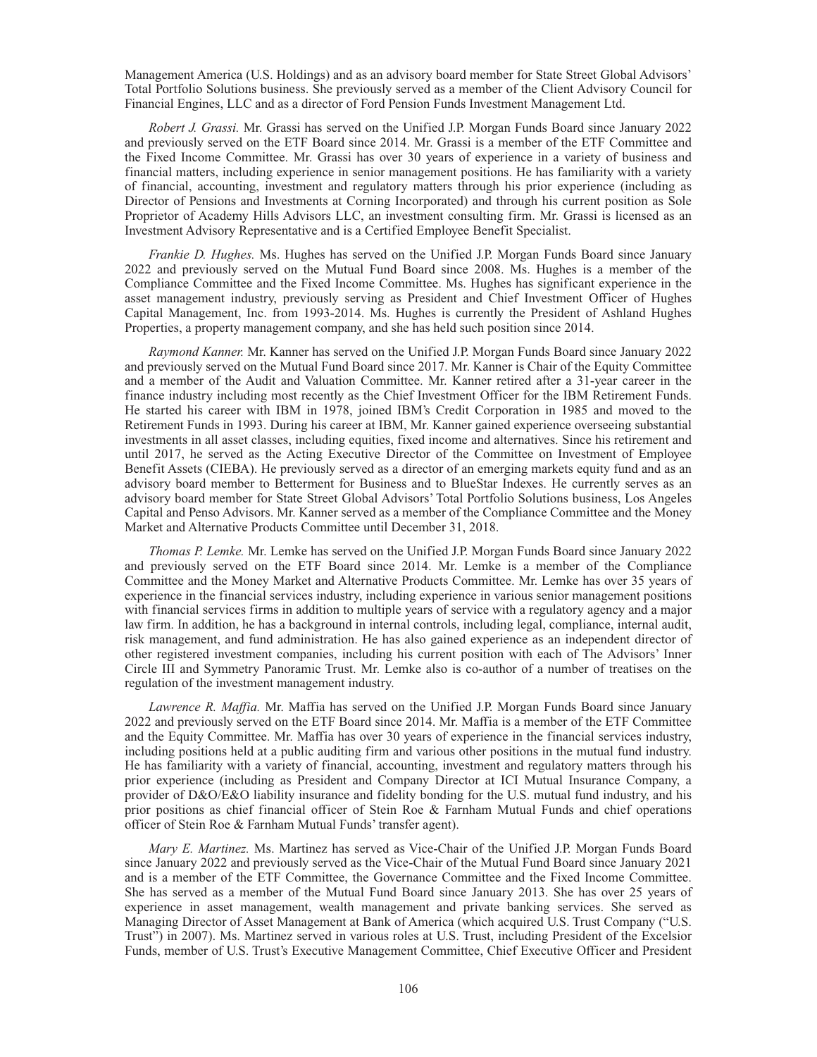Management America (U.S. Holdings) and as an advisory board member for State Street Global Advisors' Total Portfolio Solutions business. She previously served as a member of the Client Advisory Council for Financial Engines, LLC and as a director of Ford Pension Funds Investment Management Ltd.

*Robert J. Grassi.* Mr. Grassi has served on the Unified J.P. Morgan Funds Board since January 2022 and previously served on the ETF Board since 2014. Mr. Grassi is a member of the ETF Committee and the Fixed Income Committee. Mr. Grassi has over 30 years of experience in a variety of business and financial matters, including experience in senior management positions. He has familiarity with a variety of financial, accounting, investment and regulatory matters through his prior experience (including as Director of Pensions and Investments at Corning Incorporated) and through his current position as Sole Proprietor of Academy Hills Advisors LLC, an investment consulting firm. Mr. Grassi is licensed as an Investment Advisory Representative and is a Certified Employee Benefit Specialist.

*Frankie D. Hughes.* Ms. Hughes has served on the Unified J.P. Morgan Funds Board since January 2022 and previously served on the Mutual Fund Board since 2008. Ms. Hughes is a member of the Compliance Committee and the Fixed Income Committee. Ms. Hughes has significant experience in the asset management industry, previously serving as President and Chief Investment Officer of Hughes Capital Management, Inc. from 1993-2014. Ms. Hughes is currently the President of Ashland Hughes Properties, a property management company, and she has held such position since 2014.

*Raymond Kanner.* Mr. Kanner has served on the Unified J.P. Morgan Funds Board since January 2022 and previously served on the Mutual Fund Board since 2017. Mr. Kanner is Chair of the Equity Committee and a member of the Audit and Valuation Committee. Mr. Kanner retired after a 31-year career in the finance industry including most recently as the Chief Investment Officer for the IBM Retirement Funds. He started his career with IBM in 1978, joined IBM's Credit Corporation in 1985 and moved to the Retirement Funds in 1993. During his career at IBM, Mr. Kanner gained experience overseeing substantial investments in all asset classes, including equities, fixed income and alternatives. Since his retirement and until 2017, he served as the Acting Executive Director of the Committee on Investment of Employee Benefit Assets (CIEBA). He previously served as a director of an emerging markets equity fund and as an advisory board member to Betterment for Business and to BlueStar Indexes. He currently serves as an advisory board member for State Street Global Advisors' Total Portfolio Solutions business, Los Angeles Capital and Penso Advisors. Mr. Kanner served as a member of the Compliance Committee and the Money Market and Alternative Products Committee until December 31, 2018.

*Thomas P. Lemke.* Mr. Lemke has served on the Unified J.P. Morgan Funds Board since January 2022 and previously served on the ETF Board since 2014. Mr. Lemke is a member of the Compliance Committee and the Money Market and Alternative Products Committee. Mr. Lemke has over 35 years of experience in the financial services industry, including experience in various senior management positions with financial services firms in addition to multiple years of service with a regulatory agency and a major law firm. In addition, he has a background in internal controls, including legal, compliance, internal audit, risk management, and fund administration. He has also gained experience as an independent director of other registered investment companies, including his current position with each of The Advisors' Inner Circle III and Symmetry Panoramic Trust. Mr. Lemke also is co-author of a number of treatises on the regulation of the investment management industry.

*Lawrence R. Maffia.* Mr. Maffia has served on the Unified J.P. Morgan Funds Board since January 2022 and previously served on the ETF Board since 2014. Mr. Maffia is a member of the ETF Committee and the Equity Committee. Mr. Maffia has over 30 years of experience in the financial services industry, including positions held at a public auditing firm and various other positions in the mutual fund industry. He has familiarity with a variety of financial, accounting, investment and regulatory matters through his prior experience (including as President and Company Director at ICI Mutual Insurance Company, a provider of D&O/E&O liability insurance and fidelity bonding for the U.S. mutual fund industry, and his prior positions as chief financial officer of Stein Roe & Farnham Mutual Funds and chief operations officer of Stein Roe & Farnham Mutual Funds' transfer agent).

*Mary E. Martinez.* Ms. Martinez has served as Vice-Chair of the Unified J.P. Morgan Funds Board since January 2022 and previously served as the Vice-Chair of the Mutual Fund Board since January 2021 and is a member of the ETF Committee, the Governance Committee and the Fixed Income Committee. She has served as a member of the Mutual Fund Board since January 2013. She has over 25 years of experience in asset management, wealth management and private banking services. She served as Managing Director of Asset Management at Bank of America (which acquired U.S. Trust Company ("U.S. Trust") in 2007). Ms. Martinez served in various roles at U.S. Trust, including President of the Excelsior Funds, member of U.S. Trust's Executive Management Committee, Chief Executive Officer and President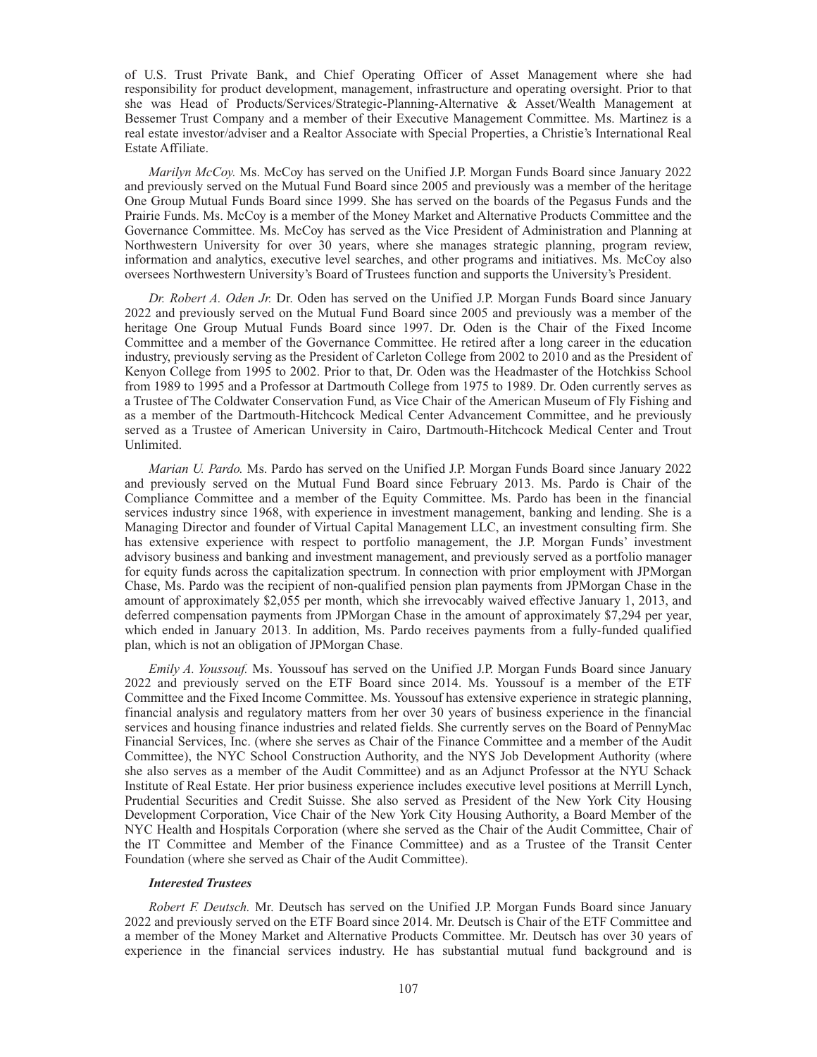of U.S. Trust Private Bank, and Chief Operating Officer of Asset Management where she had responsibility for product development, management, infrastructure and operating oversight. Prior to that she was Head of Products/Services/Strategic-Planning-Alternative & Asset/Wealth Management at Bessemer Trust Company and a member of their Executive Management Committee. Ms. Martinez is a real estate investor/adviser and a Realtor Associate with Special Properties, a Christie's International Real Estate Affiliate.

*Marilyn McCoy.* Ms. McCoy has served on the Unified J.P. Morgan Funds Board since January 2022 and previously served on the Mutual Fund Board since 2005 and previously was a member of the heritage One Group Mutual Funds Board since 1999. She has served on the boards of the Pegasus Funds and the Prairie Funds. Ms. McCoy is a member of the Money Market and Alternative Products Committee and the Governance Committee. Ms. McCoy has served as the Vice President of Administration and Planning at Northwestern University for over 30 years, where she manages strategic planning, program review, information and analytics, executive level searches, and other programs and initiatives. Ms. McCoy also oversees Northwestern University's Board of Trustees function and supports the University's President.

*Dr. Robert A. Oden Jr.* Dr. Oden has served on the Unified J.P. Morgan Funds Board since January 2022 and previously served on the Mutual Fund Board since 2005 and previously was a member of the heritage One Group Mutual Funds Board since 1997. Dr. Oden is the Chair of the Fixed Income Committee and a member of the Governance Committee. He retired after a long career in the education industry, previously serving as the President of Carleton College from 2002 to 2010 and as the President of Kenyon College from 1995 to 2002. Prior to that, Dr. Oden was the Headmaster of the Hotchkiss School from 1989 to 1995 and a Professor at Dartmouth College from 1975 to 1989. Dr. Oden currently serves as a Trustee of The Coldwater Conservation Fund, as Vice Chair of the American Museum of Fly Fishing and as a member of the Dartmouth-Hitchcock Medical Center Advancement Committee, and he previously served as a Trustee of American University in Cairo, Dartmouth-Hitchcock Medical Center and Trout Unlimited.

*Marian U. Pardo.* Ms. Pardo has served on the Unified J.P. Morgan Funds Board since January 2022 and previously served on the Mutual Fund Board since February 2013. Ms. Pardo is Chair of the Compliance Committee and a member of the Equity Committee. Ms. Pardo has been in the financial services industry since 1968, with experience in investment management, banking and lending. She is a Managing Director and founder of Virtual Capital Management LLC, an investment consulting firm. She has extensive experience with respect to portfolio management, the J.P. Morgan Funds' investment advisory business and banking and investment management, and previously served as a portfolio manager for equity funds across the capitalization spectrum. In connection with prior employment with JPMorgan Chase, Ms. Pardo was the recipient of non-qualified pension plan payments from JPMorgan Chase in the amount of approximately \$2,055 per month, which she irrevocably waived effective January 1, 2013, and deferred compensation payments from JPMorgan Chase in the amount of approximately \$7,294 per year, which ended in January 2013. In addition, Ms. Pardo receives payments from a fully-funded qualified plan, which is not an obligation of JPMorgan Chase.

*Emily A. Youssouf.* Ms. Youssouf has served on the Unified J.P. Morgan Funds Board since January 2022 and previously served on the ETF Board since 2014. Ms. Youssouf is a member of the ETF Committee and the Fixed Income Committee. Ms. Youssouf has extensive experience in strategic planning, financial analysis and regulatory matters from her over 30 years of business experience in the financial services and housing finance industries and related fields. She currently serves on the Board of PennyMac Financial Services, Inc. (where she serves as Chair of the Finance Committee and a member of the Audit Committee), the NYC School Construction Authority, and the NYS Job Development Authority (where she also serves as a member of the Audit Committee) and as an Adjunct Professor at the NYU Schack Institute of Real Estate. Her prior business experience includes executive level positions at Merrill Lynch, Prudential Securities and Credit Suisse. She also served as President of the New York City Housing Development Corporation, Vice Chair of the New York City Housing Authority, a Board Member of the NYC Health and Hospitals Corporation (where she served as the Chair of the Audit Committee, Chair of the IT Committee and Member of the Finance Committee) and as a Trustee of the Transit Center Foundation (where she served as Chair of the Audit Committee).

### *Interested Trustees*

*Robert F. Deutsch.* Mr. Deutsch has served on the Unified J.P. Morgan Funds Board since January 2022 and previously served on the ETF Board since 2014. Mr. Deutsch is Chair of the ETF Committee and a member of the Money Market and Alternative Products Committee. Mr. Deutsch has over 30 years of experience in the financial services industry. He has substantial mutual fund background and is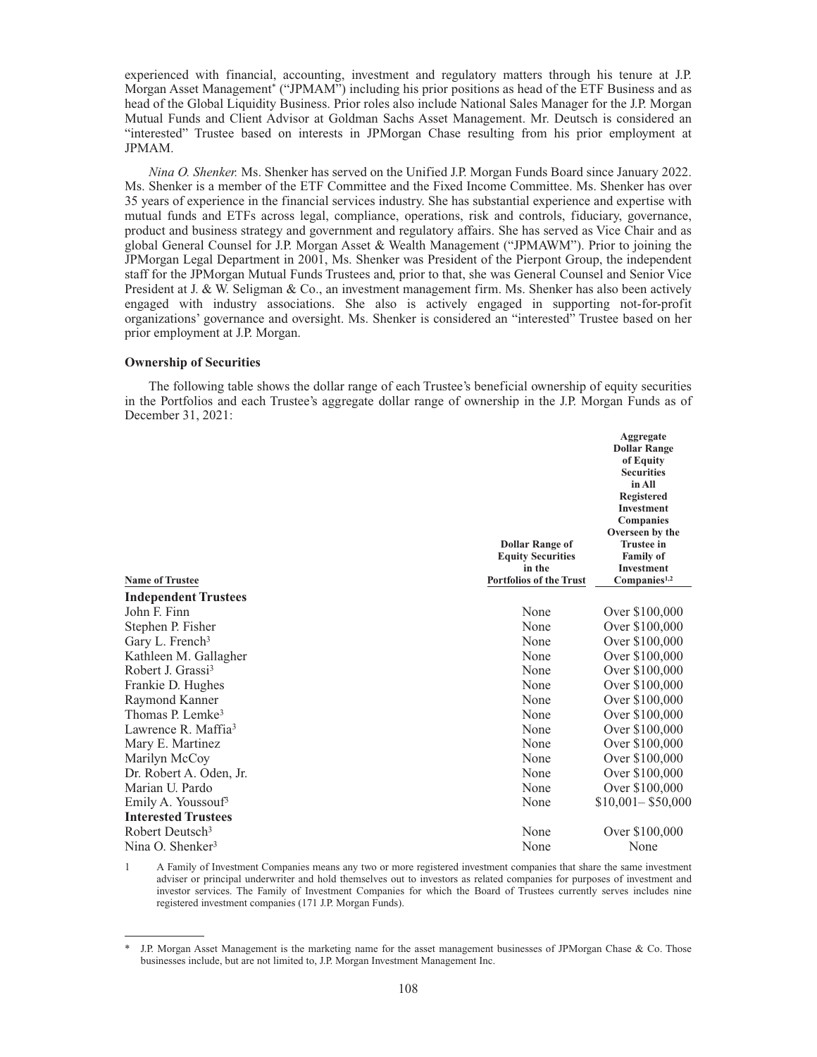experienced with financial, accounting, investment and regulatory matters through his tenure at J.P. Morgan Asset Management\* ("JPMAM") including his prior positions as head of the ETF Business and as head of the Global Liquidity Business. Prior roles also include National Sales Manager for the J.P. Morgan Mutual Funds and Client Advisor at Goldman Sachs Asset Management. Mr. Deutsch is considered an "interested" Trustee based on interests in JPMorgan Chase resulting from his prior employment at JPMAM.

*Nina O. Shenker.* Ms. Shenker has served on the Unified J.P. Morgan Funds Board since January 2022. Ms. Shenker is a member of the ETF Committee and the Fixed Income Committee. Ms. Shenker has over 35 years of experience in the financial services industry. She has substantial experience and expertise with mutual funds and ETFs across legal, compliance, operations, risk and controls, fiduciary, governance, product and business strategy and government and regulatory affairs. She has served as Vice Chair and as global General Counsel for J.P. Morgan Asset & Wealth Management ("JPMAWM"). Prior to joining the JPMorgan Legal Department in 2001, Ms. Shenker was President of the Pierpont Group, the independent staff for the JPMorgan Mutual Funds Trustees and, prior to that, she was General Counsel and Senior Vice President at J. & W. Seligman & Co., an investment management firm. Ms. Shenker has also been actively engaged with industry associations. She also is actively engaged in supporting not-for-profit organizations' governance and oversight. Ms. Shenker is considered an "interested" Trustee based on her prior employment at J.P. Morgan.

#### **Ownership of Securities**

The following table shows the dollar range of each Trustee's beneficial ownership of equity securities in the Portfolios and each Trustee's aggregate dollar range of ownership in the J.P. Morgan Funds as of December 31, 2021:

|                                 |                                | Aggregate<br><b>Dollar Range</b> |
|---------------------------------|--------------------------------|----------------------------------|
|                                 |                                | of Equity                        |
|                                 |                                | <b>Securities</b>                |
|                                 |                                | in All                           |
|                                 |                                | <b>Registered</b>                |
|                                 |                                | <b>Investment</b>                |
|                                 |                                | Companies<br>Overseen by the     |
|                                 | <b>Dollar Range of</b>         | <b>Trustee in</b>                |
|                                 | <b>Equity Securities</b>       | <b>Family of</b>                 |
|                                 | in the                         | <b>Investment</b>                |
| <b>Name of Trustee</b>          | <b>Portfolios of the Trust</b> | Companies <sup>1,2</sup>         |
| <b>Independent Trustees</b>     |                                |                                  |
| John F. Finn                    | None                           | Over \$100,000                   |
| Stephen P. Fisher               | None                           | Over \$100,000                   |
| Gary L. French <sup>3</sup>     | None                           | Over \$100,000                   |
| Kathleen M. Gallagher           | None                           | Over \$100,000                   |
| Robert J. Grassi <sup>3</sup>   | None                           | Over \$100,000                   |
| Frankie D. Hughes               | None                           | Over \$100,000                   |
| Raymond Kanner                  | None                           | Over \$100,000                   |
| Thomas P. Lemke <sup>3</sup>    | None                           | Over \$100,000                   |
| Lawrence R. Maffia <sup>3</sup> | None                           | Over \$100,000                   |
| Mary E. Martinez                | None                           | Over \$100,000                   |
| Marilyn McCoy                   | None                           | Over \$100,000                   |
| Dr. Robert A. Oden, Jr.         | None                           | Over \$100,000                   |
| Marian U. Pardo                 | None                           | Over \$100,000                   |
| Emily A. Youssouf <sup>3</sup>  | None                           | $$10,001 - $50,000$              |
| <b>Interested Trustees</b>      |                                |                                  |
| Robert Deutsch <sup>3</sup>     | None                           | Over \$100,000                   |
| Nina O. Shenker $3$             | None                           | None                             |
|                                 |                                |                                  |

1 A Family of Investment Companies means any two or more registered investment companies that share the same investment adviser or principal underwriter and hold themselves out to investors as related companies for purposes of investment and investor services. The Family of Investment Companies for which the Board of Trustees currently serves includes nine registered investment companies (171 J.P. Morgan Funds).

J.P. Morgan Asset Management is the marketing name for the asset management businesses of JPMorgan Chase & Co. Those businesses include, but are not limited to, J.P. Morgan Investment Management Inc.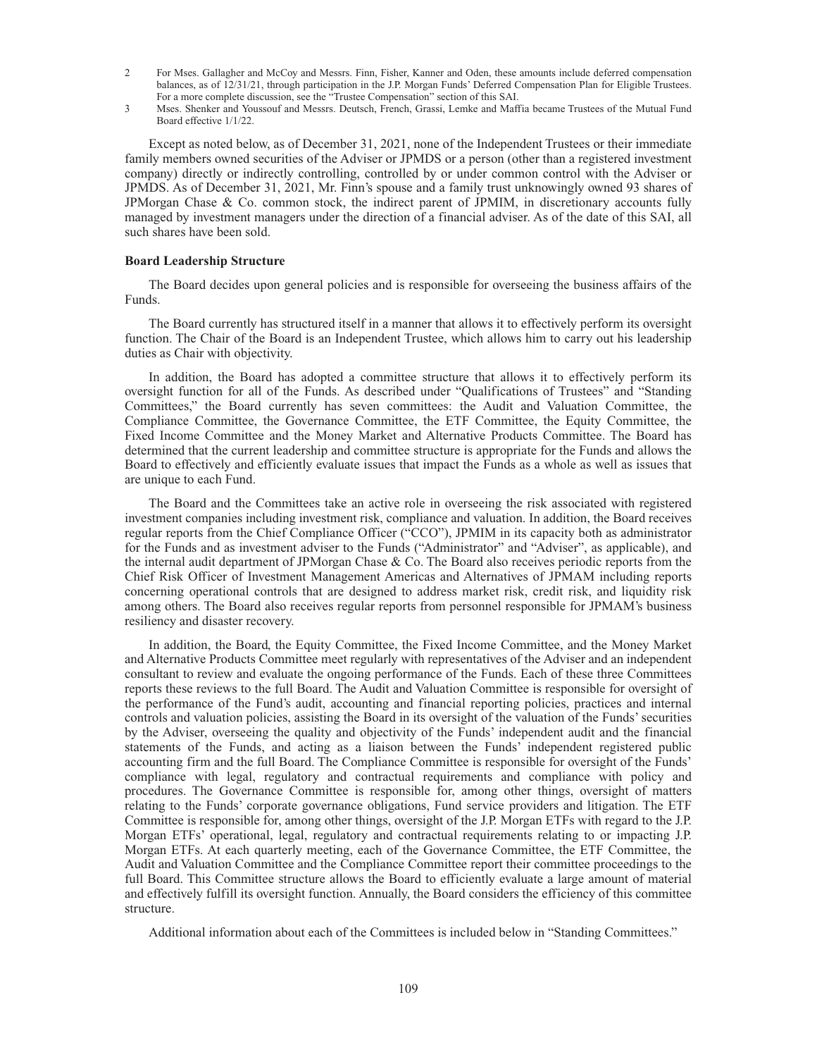- 2 For Mses. Gallagher and McCoy and Messrs. Finn, Fisher, Kanner and Oden, these amounts include deferred compensation balances, as of 12/31/21, through participation in the J.P. Morgan Funds' Deferred Compensation Plan for Eligible Trustees. For a more complete discussion, see the "Trustee Compensation" section of this SAI.
- 3 Mses. Shenker and Youssouf and Messrs. Deutsch, French, Grassi, Lemke and Maffia became Trustees of the Mutual Fund Board effective 1/1/22.

Except as noted below, as of December 31, 2021, none of the Independent Trustees or their immediate family members owned securities of the Adviser or JPMDS or a person (other than a registered investment company) directly or indirectly controlling, controlled by or under common control with the Adviser or JPMDS. As of December 31, 2021, Mr. Finn's spouse and a family trust unknowingly owned 93 shares of JPMorgan Chase & Co. common stock, the indirect parent of JPMIM, in discretionary accounts fully managed by investment managers under the direction of a financial adviser. As of the date of this SAI, all such shares have been sold.

### **Board Leadership Structure**

The Board decides upon general policies and is responsible for overseeing the business affairs of the Funds.

The Board currently has structured itself in a manner that allows it to effectively perform its oversight function. The Chair of the Board is an Independent Trustee, which allows him to carry out his leadership duties as Chair with objectivity.

In addition, the Board has adopted a committee structure that allows it to effectively perform its oversight function for all of the Funds. As described under "Qualifications of Trustees" and "Standing Committees," the Board currently has seven committees: the Audit and Valuation Committee, the Compliance Committee, the Governance Committee, the ETF Committee, the Equity Committee, the Fixed Income Committee and the Money Market and Alternative Products Committee. The Board has determined that the current leadership and committee structure is appropriate for the Funds and allows the Board to effectively and efficiently evaluate issues that impact the Funds as a whole as well as issues that are unique to each Fund.

The Board and the Committees take an active role in overseeing the risk associated with registered investment companies including investment risk, compliance and valuation. In addition, the Board receives regular reports from the Chief Compliance Officer ("CCO"), JPMIM in its capacity both as administrator for the Funds and as investment adviser to the Funds ("Administrator" and "Adviser", as applicable), and the internal audit department of JPMorgan Chase & Co. The Board also receives periodic reports from the Chief Risk Officer of Investment Management Americas and Alternatives of JPMAM including reports concerning operational controls that are designed to address market risk, credit risk, and liquidity risk among others. The Board also receives regular reports from personnel responsible for JPMAM's business resiliency and disaster recovery.

In addition, the Board, the Equity Committee, the Fixed Income Committee, and the Money Market and Alternative Products Committee meet regularly with representatives of the Adviser and an independent consultant to review and evaluate the ongoing performance of the Funds. Each of these three Committees reports these reviews to the full Board. The Audit and Valuation Committee is responsible for oversight of the performance of the Fund's audit, accounting and financial reporting policies, practices and internal controls and valuation policies, assisting the Board in its oversight of the valuation of the Funds' securities by the Adviser, overseeing the quality and objectivity of the Funds' independent audit and the financial statements of the Funds, and acting as a liaison between the Funds' independent registered public accounting firm and the full Board. The Compliance Committee is responsible for oversight of the Funds' compliance with legal, regulatory and contractual requirements and compliance with policy and procedures. The Governance Committee is responsible for, among other things, oversight of matters relating to the Funds' corporate governance obligations, Fund service providers and litigation. The ETF Committee is responsible for, among other things, oversight of the J.P. Morgan ETFs with regard to the J.P. Morgan ETFs' operational, legal, regulatory and contractual requirements relating to or impacting J.P. Morgan ETFs. At each quarterly meeting, each of the Governance Committee, the ETF Committee, the Audit and Valuation Committee and the Compliance Committee report their committee proceedings to the full Board. This Committee structure allows the Board to efficiently evaluate a large amount of material and effectively fulfill its oversight function. Annually, the Board considers the efficiency of this committee structure.

Additional information about each of the Committees is included below in "Standing Committees."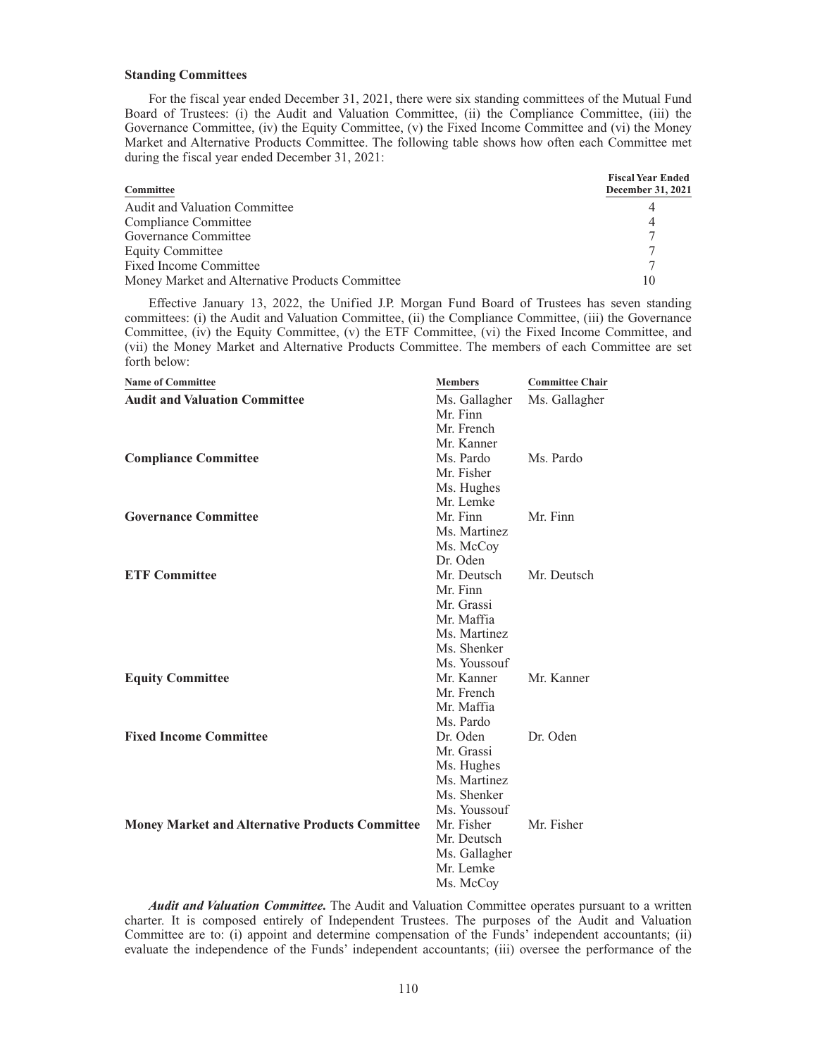# **Standing Committees**

For the fiscal year ended December 31, 2021, there were six standing committees of the Mutual Fund Board of Trustees: (i) the Audit and Valuation Committee, (ii) the Compliance Committee, (iii) the Governance Committee, (iv) the Equity Committee, (v) the Fixed Income Committee and (vi) the Money Market and Alternative Products Committee. The following table shows how often each Committee met during the fiscal year ended December 31, 2021:

| Committee                                       | <b>Fiscal Year Ended</b><br>December 31, 2021 |
|-------------------------------------------------|-----------------------------------------------|
| <b>Audit and Valuation Committee</b>            |                                               |
| Compliance Committee                            | 4                                             |
| Governance Committee                            |                                               |
| <b>Equity Committee</b>                         | $\mathcal{I}$                                 |
| <b>Fixed Income Committee</b>                   |                                               |
| Money Market and Alternative Products Committee | 10                                            |

Effective January 13, 2022, the Unified J.P. Morgan Fund Board of Trustees has seven standing committees: (i) the Audit and Valuation Committee, (ii) the Compliance Committee, (iii) the Governance Committee, (iv) the Equity Committee, (v) the ETF Committee, (vi) the Fixed Income Committee, and (vii) the Money Market and Alternative Products Committee. The members of each Committee are set forth below:

| <b>Name of Committee</b>                               | <b>Members</b> | <b>Committee Chair</b> |
|--------------------------------------------------------|----------------|------------------------|
| <b>Audit and Valuation Committee</b>                   | Ms. Gallagher  | Ms. Gallagher          |
|                                                        | Mr. Finn       |                        |
|                                                        | Mr. French     |                        |
|                                                        | Mr. Kanner     |                        |
| <b>Compliance Committee</b>                            | Ms. Pardo      | Ms. Pardo              |
|                                                        | Mr. Fisher     |                        |
|                                                        | Ms. Hughes     |                        |
|                                                        | Mr. Lemke      |                        |
| <b>Governance Committee</b>                            | Mr. Finn       | Mr. Finn               |
|                                                        | Ms. Martinez   |                        |
|                                                        | Ms. McCoy      |                        |
|                                                        | Dr. Oden       |                        |
| <b>ETF Committee</b>                                   | Mr. Deutsch    | Mr. Deutsch            |
|                                                        | Mr. Finn       |                        |
|                                                        | Mr. Grassi     |                        |
|                                                        | Mr. Maffia     |                        |
|                                                        | Ms. Martinez   |                        |
|                                                        | Ms. Shenker    |                        |
|                                                        | Ms. Youssouf   |                        |
| <b>Equity Committee</b>                                | Mr. Kanner     | Mr. Kanner             |
|                                                        | Mr. French     |                        |
|                                                        | Mr. Maffia     |                        |
|                                                        | Ms. Pardo      |                        |
| <b>Fixed Income Committee</b>                          | Dr. Oden       | Dr. Oden               |
|                                                        | Mr. Grassi     |                        |
|                                                        | Ms. Hughes     |                        |
|                                                        | Ms. Martinez   |                        |
|                                                        | Ms. Shenker    |                        |
|                                                        | Ms. Youssouf   |                        |
| <b>Money Market and Alternative Products Committee</b> | Mr. Fisher     | Mr. Fisher             |
|                                                        | Mr. Deutsch    |                        |
|                                                        | Ms. Gallagher  |                        |
|                                                        | Mr. Lemke      |                        |
|                                                        | Ms. McCoy      |                        |

*Audit and Valuation Committee.* The Audit and Valuation Committee operates pursuant to a written charter. It is composed entirely of Independent Trustees. The purposes of the Audit and Valuation Committee are to: (i) appoint and determine compensation of the Funds' independent accountants; (ii) evaluate the independence of the Funds' independent accountants; (iii) oversee the performance of the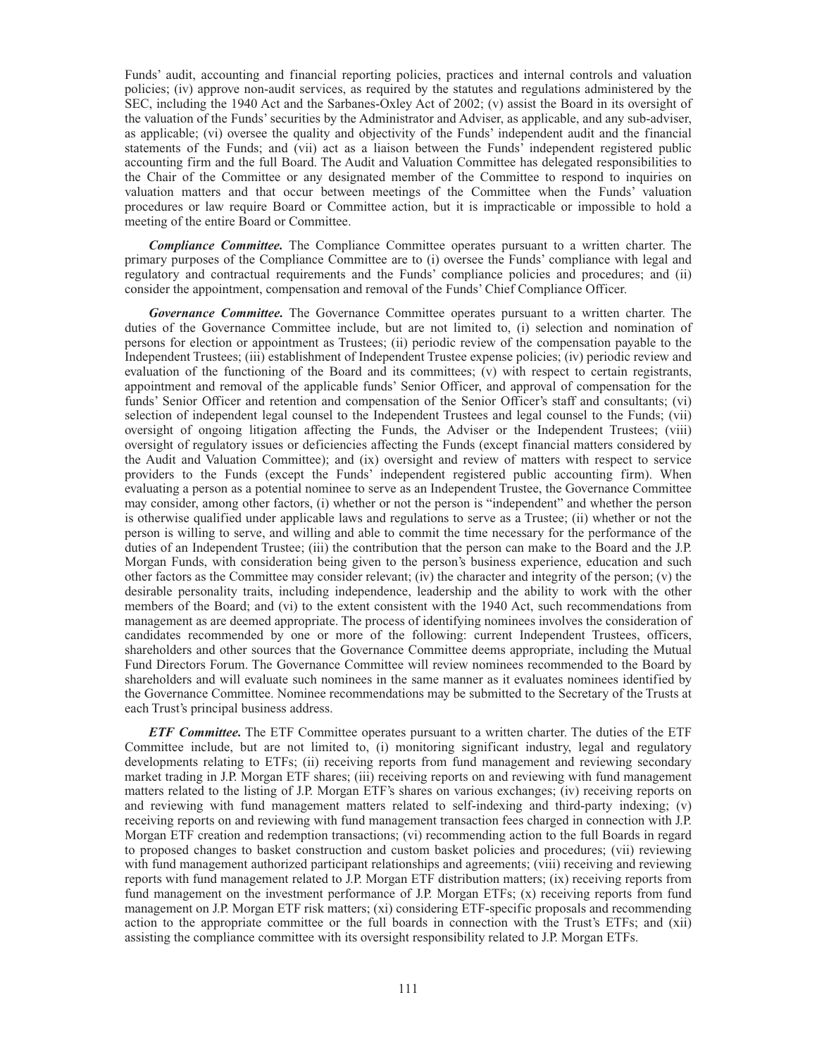Funds' audit, accounting and financial reporting policies, practices and internal controls and valuation policies; (iv) approve non-audit services, as required by the statutes and regulations administered by the SEC, including the 1940 Act and the Sarbanes-Oxley Act of 2002; (v) assist the Board in its oversight of the valuation of the Funds' securities by the Administrator and Adviser, as applicable, and any sub-adviser, as applicable; (vi) oversee the quality and objectivity of the Funds' independent audit and the financial statements of the Funds; and (vii) act as a liaison between the Funds' independent registered public accounting firm and the full Board. The Audit and Valuation Committee has delegated responsibilities to the Chair of the Committee or any designated member of the Committee to respond to inquiries on valuation matters and that occur between meetings of the Committee when the Funds' valuation procedures or law require Board or Committee action, but it is impracticable or impossible to hold a meeting of the entire Board or Committee.

*Compliance Committee.* The Compliance Committee operates pursuant to a written charter. The primary purposes of the Compliance Committee are to (i) oversee the Funds' compliance with legal and regulatory and contractual requirements and the Funds' compliance policies and procedures; and (ii) consider the appointment, compensation and removal of the Funds' Chief Compliance Officer.

*Governance Committee.* The Governance Committee operates pursuant to a written charter. The duties of the Governance Committee include, but are not limited to, (i) selection and nomination of persons for election or appointment as Trustees; (ii) periodic review of the compensation payable to the Independent Trustees; (iii) establishment of Independent Trustee expense policies; (iv) periodic review and evaluation of the functioning of the Board and its committees; (v) with respect to certain registrants, appointment and removal of the applicable funds' Senior Officer, and approval of compensation for the funds' Senior Officer and retention and compensation of the Senior Officer's staff and consultants; (vi) selection of independent legal counsel to the Independent Trustees and legal counsel to the Funds; (vii) oversight of ongoing litigation affecting the Funds, the Adviser or the Independent Trustees; (viii) oversight of regulatory issues or deficiencies affecting the Funds (except financial matters considered by the Audit and Valuation Committee); and (ix) oversight and review of matters with respect to service providers to the Funds (except the Funds' independent registered public accounting firm). When evaluating a person as a potential nominee to serve as an Independent Trustee, the Governance Committee may consider, among other factors, (i) whether or not the person is "independent" and whether the person is otherwise qualified under applicable laws and regulations to serve as a Trustee; (ii) whether or not the person is willing to serve, and willing and able to commit the time necessary for the performance of the duties of an Independent Trustee; (iii) the contribution that the person can make to the Board and the J.P. Morgan Funds, with consideration being given to the person's business experience, education and such other factors as the Committee may consider relevant; (iv) the character and integrity of the person; (v) the desirable personality traits, including independence, leadership and the ability to work with the other members of the Board; and (vi) to the extent consistent with the 1940 Act, such recommendations from management as are deemed appropriate. The process of identifying nominees involves the consideration of candidates recommended by one or more of the following: current Independent Trustees, officers, shareholders and other sources that the Governance Committee deems appropriate, including the Mutual Fund Directors Forum. The Governance Committee will review nominees recommended to the Board by shareholders and will evaluate such nominees in the same manner as it evaluates nominees identified by the Governance Committee. Nominee recommendations may be submitted to the Secretary of the Trusts at each Trust's principal business address.

*ETF Committee.* The ETF Committee operates pursuant to a written charter. The duties of the ETF Committee include, but are not limited to, (i) monitoring significant industry, legal and regulatory developments relating to ETFs; (ii) receiving reports from fund management and reviewing secondary market trading in J.P. Morgan ETF shares; (iii) receiving reports on and reviewing with fund management matters related to the listing of J.P. Morgan ETF's shares on various exchanges; (iv) receiving reports on and reviewing with fund management matters related to self-indexing and third-party indexing; (v) receiving reports on and reviewing with fund management transaction fees charged in connection with J.P. Morgan ETF creation and redemption transactions; (vi) recommending action to the full Boards in regard to proposed changes to basket construction and custom basket policies and procedures; (vii) reviewing with fund management authorized participant relationships and agreements; (viii) receiving and reviewing reports with fund management related to J.P. Morgan ETF distribution matters; (ix) receiving reports from fund management on the investment performance of J.P. Morgan ETFs; (x) receiving reports from fund management on J.P. Morgan ETF risk matters; (xi) considering ETF-specific proposals and recommending action to the appropriate committee or the full boards in connection with the Trust's ETFs; and (xii) assisting the compliance committee with its oversight responsibility related to J.P. Morgan ETFs.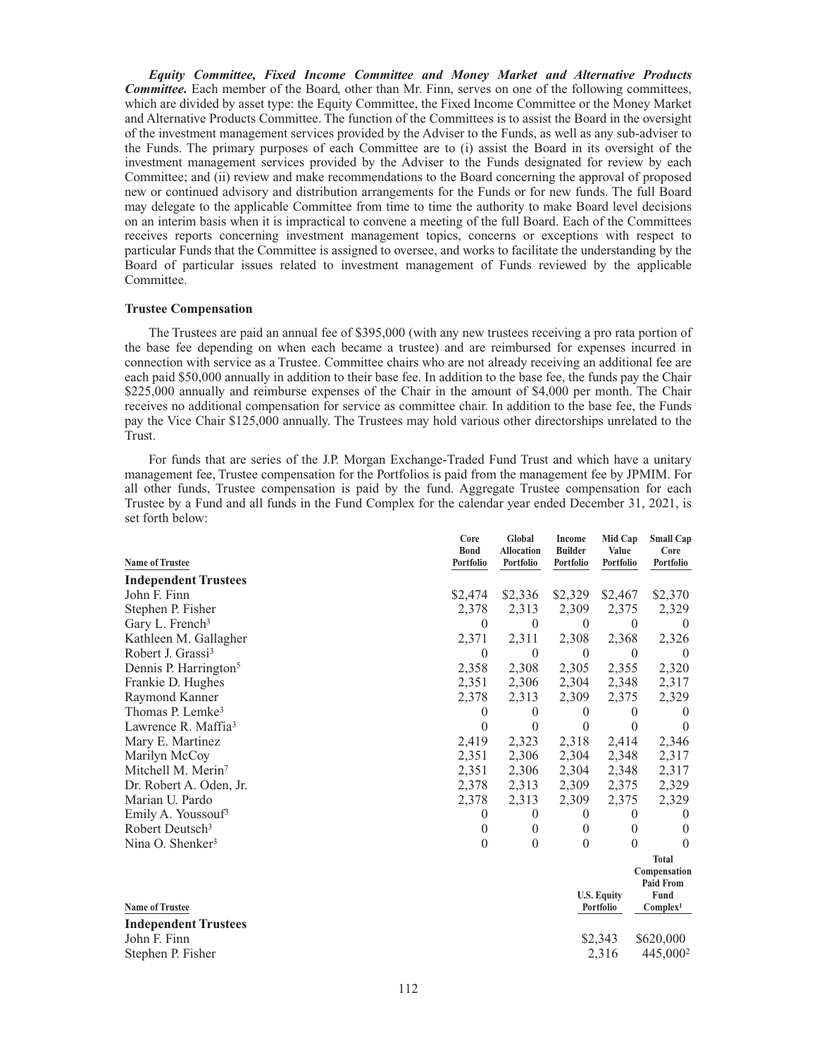*Equity Committee, Fixed Income Committee and Money Market and Alternative Products Committee.* Each member of the Board, other than Mr. Finn, serves on one of the following committees, which are divided by asset type: the Equity Committee, the Fixed Income Committee or the Money Market and Alternative Products Committee. The function of the Committees is to assist the Board in the oversight of the investment management services provided by the Adviser to the Funds, as well as any sub-adviser to the Funds. The primary purposes of each Committee are to (i) assist the Board in its oversight of the investment management services provided by the Adviser to the Funds designated for review by each Committee; and (ii) review and make recommendations to the Board concerning the approval of proposed new or continued advisory and distribution arrangements for the Funds or for new funds. The full Board may delegate to the applicable Committee from time to time the authority to make Board level decisions on an interim basis when it is impractical to convene a meeting of the full Board. Each of the Committees receives reports concerning investment management topics, concerns or exceptions with respect to particular Funds that the Committee is assigned to oversee, and works to facilitate the understanding by the Board of particular issues related to investment management of Funds reviewed by the applicable Committee.

#### **Trustee Compensation**

The Trustees are paid an annual fee of \$395,000 (with any new trustees receiving a pro rata portion of the base fee depending on when each became a trustee) and are reimbursed for expenses incurred in connection with service as a Trustee. Committee chairs who are not already receiving an additional fee are each paid \$50,000 annually in addition to their base fee. In addition to the base fee, the funds pay the Chair \$225,000 annually and reimburse expenses of the Chair in the amount of \$4,000 per month. The Chair receives no additional compensation for service as committee chair. In addition to the base fee, the Funds pay the Vice Chair \$125,000 annually. The Trustees may hold various other directorships unrelated to the Trust.

For funds that are series of the J.P. Morgan Exchange-Traded Fund Trust and which have a unitary management fee, Trustee compensation for the Portfolios is paid from the management fee by JPMIM. For all other funds, Trustee compensation is paid by the fund. Aggregate Trustee compensation for each Trustee by a Fund and all funds in the Fund Complex for the calendar year ended December 31, 2021, is set forth below:

| <b>Name of Trustee</b>            | Core<br><b>Bond</b><br>Portfolio | Global<br><b>Allocation</b><br>Portfolio | Income<br><b>Builder</b><br>Portfolio | Mid Cap<br><b>Value</b><br>Portfolio | <b>Small Cap</b><br>Core<br>Portfolio                    |
|-----------------------------------|----------------------------------|------------------------------------------|---------------------------------------|--------------------------------------|----------------------------------------------------------|
| <b>Independent Trustees</b>       |                                  |                                          |                                       |                                      |                                                          |
| John F. Finn                      | \$2,474                          | \$2,336                                  | \$2,329                               | \$2,467                              | \$2,370                                                  |
| Stephen P. Fisher                 | 2,378                            | 2,313                                    | 2,309                                 | 2,375                                | 2,329                                                    |
| Gary L. French <sup>3</sup>       | $\overline{0}$                   | 0                                        | $\overline{0}$                        | $\theta$                             | $\theta$                                                 |
| Kathleen M. Gallagher             | 2,371                            | 2,311                                    | 2,308                                 | 2,368                                | 2,326                                                    |
| Robert J. Grassi <sup>3</sup>     | $\theta$                         | $\theta$                                 | $\theta$                              | $\theta$                             | $\theta$                                                 |
| Dennis P. Harrington <sup>5</sup> | 2,358                            | 2,308                                    | 2,305                                 | 2,355                                | 2,320                                                    |
| Frankie D. Hughes                 | 2,351                            | 2,306                                    | 2,304                                 | 2,348                                | 2,317                                                    |
| Raymond Kanner                    | 2,378                            | 2,313                                    | 2,309                                 | 2,375                                | 2,329                                                    |
| Thomas P. Lemke <sup>3</sup>      | $\overline{0}$                   | $\theta$                                 | $\theta$                              | $\Omega$                             | $\boldsymbol{0}$                                         |
| Lawrence R. Maffia <sup>3</sup>   | $\overline{0}$                   | $\overline{0}$                           | $\theta$                              | $\theta$                             | $\overline{0}$                                           |
| Mary E. Martinez                  | 2,419                            | 2,323                                    | 2,318                                 | 2,414                                | 2,346                                                    |
| Marilyn McCoy                     | 2,351                            | 2,306                                    | 2,304                                 | 2,348                                | 2,317                                                    |
| Mitchell M. Merin <sup>7</sup>    | 2,351                            | 2,306                                    | 2,304                                 | 2,348                                | 2,317                                                    |
| Dr. Robert A. Oden, Jr.           | 2,378                            | 2,313                                    | 2,309                                 | 2,375                                | 2,329                                                    |
| Marian U. Pardo                   | 2,378                            | 2,313                                    | 2,309                                 | 2,375                                | 2,329                                                    |
| Emily A. Youssouf <sup>3</sup>    | $\theta$                         | $\theta$                                 | $\theta$                              | $\overline{0}$                       | $\overline{0}$                                           |
| Robert Deutsch <sup>3</sup>       | $\boldsymbol{0}$                 | $\boldsymbol{0}$                         | $\theta$                              | $\theta$                             | $\boldsymbol{0}$                                         |
| Nina O. Shenker <sup>3</sup>      | $\mathbf{0}$                     | $\overline{0}$                           | $\theta$                              | $\theta$                             | $\theta$                                                 |
|                                   |                                  |                                          |                                       | <b>U.S. Equity</b>                   | <b>Total</b><br>Compensation<br><b>Paid From</b><br>Fund |
| <b>Name of Trustee</b>            |                                  |                                          |                                       | Portfolio                            | Complex <sup>1</sup>                                     |
| <b>Independent Trustees</b>       |                                  |                                          |                                       |                                      |                                                          |
| John F. Finn                      |                                  |                                          |                                       | \$2,343                              | \$620,000                                                |
| Stephen P. Fisher                 |                                  |                                          |                                       | 2,316                                | 445,000 <sup>2</sup>                                     |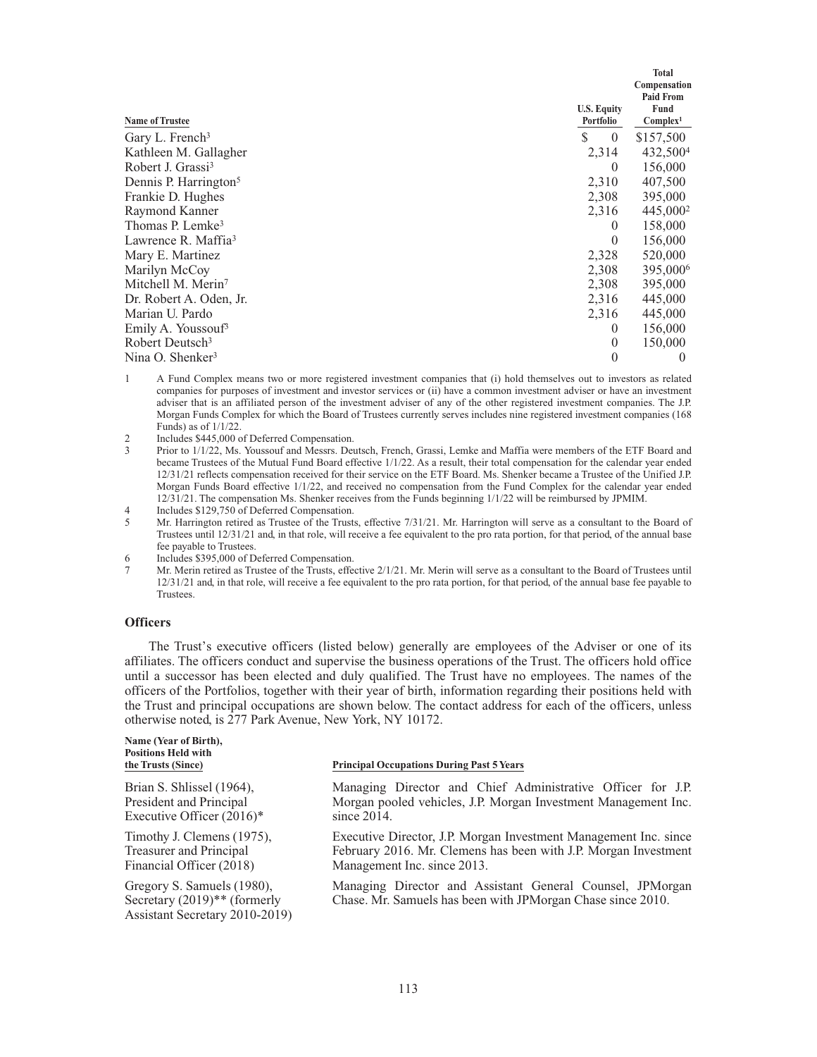| Name of Trustee                   | <b>U.S. Equity</b><br>Portfolio | Total<br>Compensation<br><b>Paid From</b><br>Fund<br>Complex <sup>1</sup> |
|-----------------------------------|---------------------------------|---------------------------------------------------------------------------|
| Gary L. French <sup>3</sup>       | S<br>$\theta$                   | \$157,500                                                                 |
| Kathleen M. Gallagher             | 2,314                           | 432,500 <sup>4</sup>                                                      |
| Robert J. Grassi <sup>3</sup>     | $\Omega$                        | 156,000                                                                   |
| Dennis P. Harrington <sup>5</sup> | 2,310                           | 407,500                                                                   |
| Frankie D. Hughes                 | 2,308                           | 395,000                                                                   |
| Raymond Kanner                    | 2,316                           | 445,000 <sup>2</sup>                                                      |
| Thomas P. Lemke <sup>3</sup>      | $\Omega$                        | 158,000                                                                   |
| Lawrence R. Maffia <sup>3</sup>   | $\theta$                        | 156,000                                                                   |
| Mary E. Martinez                  | 2,328                           | 520,000                                                                   |
| Marilyn McCoy                     | 2,308                           | 395,000 <sup>6</sup>                                                      |
| Mitchell M. Merin <sup>7</sup>    | 2,308                           | 395,000                                                                   |
| Dr. Robert A. Oden, Jr.           | 2,316                           | 445,000                                                                   |
| Marian U. Pardo                   | 2,316                           | 445,000                                                                   |
| Emily A. Youssouf <sup>3</sup>    | $\overline{0}$                  | 156,000                                                                   |
| Robert Deutsch <sup>3</sup>       | $\theta$                        | 150,000                                                                   |
| Nina O. Shenker $3$               | $\overline{0}$                  | $\Omega$                                                                  |

- 1 A Fund Complex means two or more registered investment companies that (i) hold themselves out to investors as related companies for purposes of investment and investor services or (ii) have a common investment adviser or have an investment adviser that is an affiliated person of the investment adviser of any of the other registered investment companies. The J.P. Morgan Funds Complex for which the Board of Trustees currently serves includes nine registered investment companies (168 Funds) as of 1/1/22.
- 2 Includes \$445,000 of Deferred Compensation.<br>3 Prior to 1/1/22 Ms. Youssouf and Messrs. Dep

3 Prior to 1/1/22, Ms. Youssouf and Messrs. Deutsch, French, Grassi, Lemke and Maffia were members of the ETF Board and became Trustees of the Mutual Fund Board effective 1/1/22. As a result, their total compensation for the calendar year ended 12/31/21 reflects compensation received for their service on the ETF Board. Ms. Shenker became a Trustee of the Unified J.P. Morgan Funds Board effective 1/1/22, and received no compensation from the Fund Complex for the calendar year ended 12/31/21. The compensation Ms. Shenker receives from the Funds beginning 1/1/22 will be reimbursed by JPMIM.

4 Includes \$129,750 of Deferred Compensation.<br>5 Mr Harrinoton retired as Trustee of the Trusts

Mr. Harrington retired as Trustee of the Trusts, effective 7/31/21. Mr. Harrington will serve as a consultant to the Board of Trustees until 12/31/21 and, in that role, will receive a fee equivalent to the pro rata portion, for that period, of the annual base fee payable to Trustees.

6 Includes \$395,000 of Deferred Compensation.

7 Mr. Merin retired as Trustee of the Trusts, effective 2/1/21. Mr. Merin will serve as a consultant to the Board of Trustees until 12/31/21 and, in that role, will receive a fee equivalent to the pro rata portion, for that period, of the annual base fee payable to Trustees.

### **Officers**

The Trust's executive officers (listed below) generally are employees of the Adviser or one of its affiliates. The officers conduct and supervise the business operations of the Trust. The officers hold office until a successor has been elected and duly qualified. The Trust have no employees. The names of the officers of the Portfolios, together with their year of birth, information regarding their positions held with the Trust and principal occupations are shown below. The contact address for each of the officers, unless otherwise noted, is 277 Park Avenue, New York, NY 10172.

# **Name (Year of Birth), Positions Held with**

Brian S. Shlissel (1964), President and Principal Executive Officer (2016)\*

Timothy J. Clemens (1975), Treasurer and Principal Financial Officer (2018)

Gregory S. Samuels (1980), Secretary (2019)\*\* (formerly Assistant Secretary 2010-2019)

#### **Principal Occupations During Past 5 Years**

Managing Director and Chief Administrative Officer for J.P. Morgan pooled vehicles, J.P. Morgan Investment Management Inc. since 2014.

Executive Director, J.P. Morgan Investment Management Inc. since February 2016. Mr. Clemens has been with J.P. Morgan Investment Management Inc. since 2013.

Managing Director and Assistant General Counsel, JPMorgan Chase. Mr. Samuels has been with JPMorgan Chase since 2010.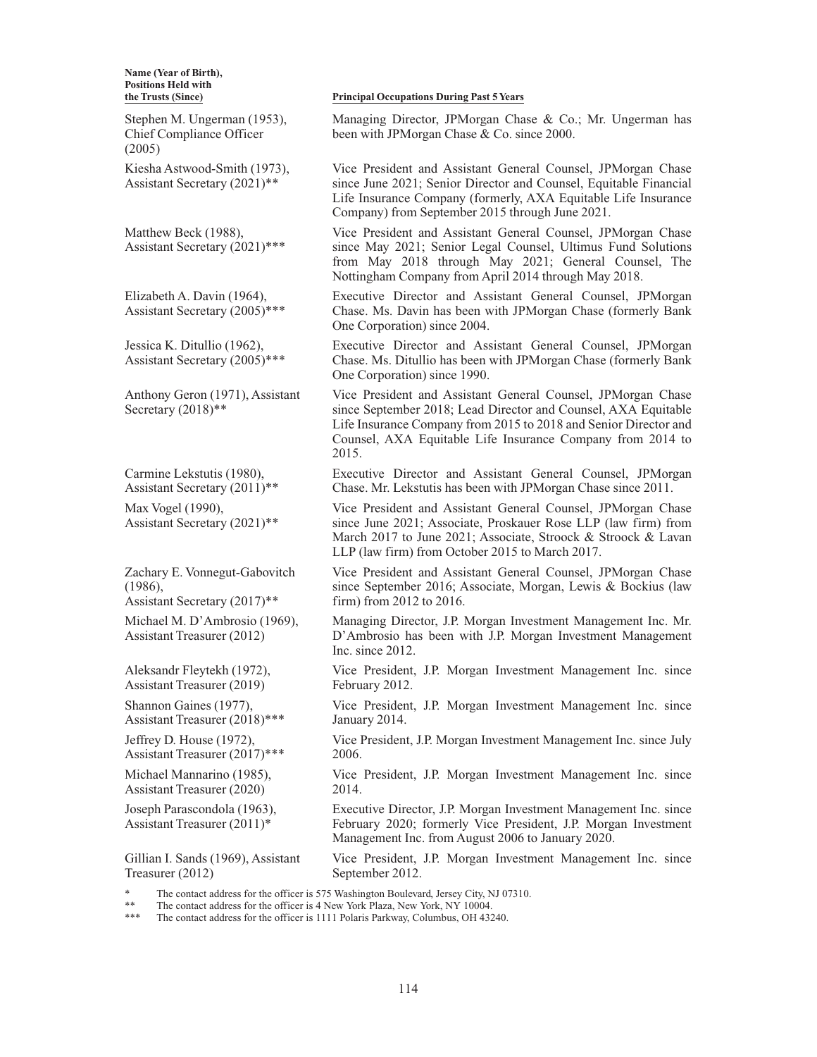**Name (Year of Birth), Positions Held with**

**Principal Occupations During Past 5 Years** Stephen M. Ungerman (1953), Chief Compliance Officer (2005) Managing Director, JPMorgan Chase & Co.; Mr. Ungerman has been with JPMorgan Chase & Co. since 2000. Kiesha Astwood-Smith (1973), Assistant Secretary (2021)\*\* Vice President and Assistant General Counsel, JPMorgan Chase since June 2021; Senior Director and Counsel, Equitable Financial Life Insurance Company (formerly, AXA Equitable Life Insurance Company) from September 2015 through June 2021. Matthew Beck (1988), Assistant Secretary (2021)\*\*\* Vice President and Assistant General Counsel, JPMorgan Chase since May 2021; Senior Legal Counsel, Ultimus Fund Solutions from May 2018 through May 2021; General Counsel, The Nottingham Company from April 2014 through May 2018. Elizabeth A. Davin (1964), Assistant Secretary (2005)\*\*\* Executive Director and Assistant General Counsel, JPMorgan Chase. Ms. Davin has been with JPMorgan Chase (formerly Bank One Corporation) since 2004. Jessica K. Ditullio (1962), Assistant Secretary (2005)\*\*\* Executive Director and Assistant General Counsel, JPMorgan Chase. Ms. Ditullio has been with JPMorgan Chase (formerly Bank One Corporation) since 1990. Anthony Geron (1971), Assistant Secretary  $(2018)$ \*\* Vice President and Assistant General Counsel, JPMorgan Chase since September 2018; Lead Director and Counsel, AXA Equitable Life Insurance Company from 2015 to 2018 and Senior Director and Counsel, AXA Equitable Life Insurance Company from 2014 to 2015. Carmine Lekstutis (1980), Assistant Secretary (2011)\*\* Executive Director and Assistant General Counsel, JPMorgan Chase. Mr. Lekstutis has been with JPMorgan Chase since 2011. Max Vogel (1990), Assistant Secretary (2021)\*\* Vice President and Assistant General Counsel, JPMorgan Chase since June 2021; Associate, Proskauer Rose LLP (law firm) from March 2017 to June 2021; Associate, Stroock & Stroock & Lavan LLP (law firm) from October 2015 to March 2017. Zachary E. Vonnegut-Gabovitch (1986), Assistant Secretary (2017)\*\* Vice President and Assistant General Counsel, JPMorgan Chase since September 2016; Associate, Morgan, Lewis & Bockius (law firm) from 2012 to 2016. Michael M. D'Ambrosio (1969), Assistant Treasurer (2012) Managing Director, J.P. Morgan Investment Management Inc. Mr. D'Ambrosio has been with J.P. Morgan Investment Management Inc. since 2012. Aleksandr Fleytekh (1972), Assistant Treasurer (2019) Vice President, J.P. Morgan Investment Management Inc. since February 2012. Shannon Gaines (1977), Assistant Treasurer (2018)\*\*\* Vice President, J.P. Morgan Investment Management Inc. since January 2014. Jeffrey D. House (1972), Assistant Treasurer (2017)\*\*\* Vice President, J.P. Morgan Investment Management Inc. since July 2006. Michael Mannarino (1985), Assistant Treasurer (2020) Vice President, J.P. Morgan Investment Management Inc. since 2014. Joseph Parascondola (1963), Assistant Treasurer (2011)\* Executive Director, J.P. Morgan Investment Management Inc. since February 2020; formerly Vice President, J.P. Morgan Investment Management Inc. from August 2006 to January 2020. Gillian I. Sands (1969), Assistant Treasurer (2012) Vice President, J.P. Morgan Investment Management Inc. since September 2012.

The contact address for the officer is 575 Washington Boulevard, Jersey City, NJ 07310.

\*\* The contact address for the officer is 4 New York Plaza, New York, NY 10004.

The contact address for the officer is 1111 Polaris Parkway, Columbus, OH 43240.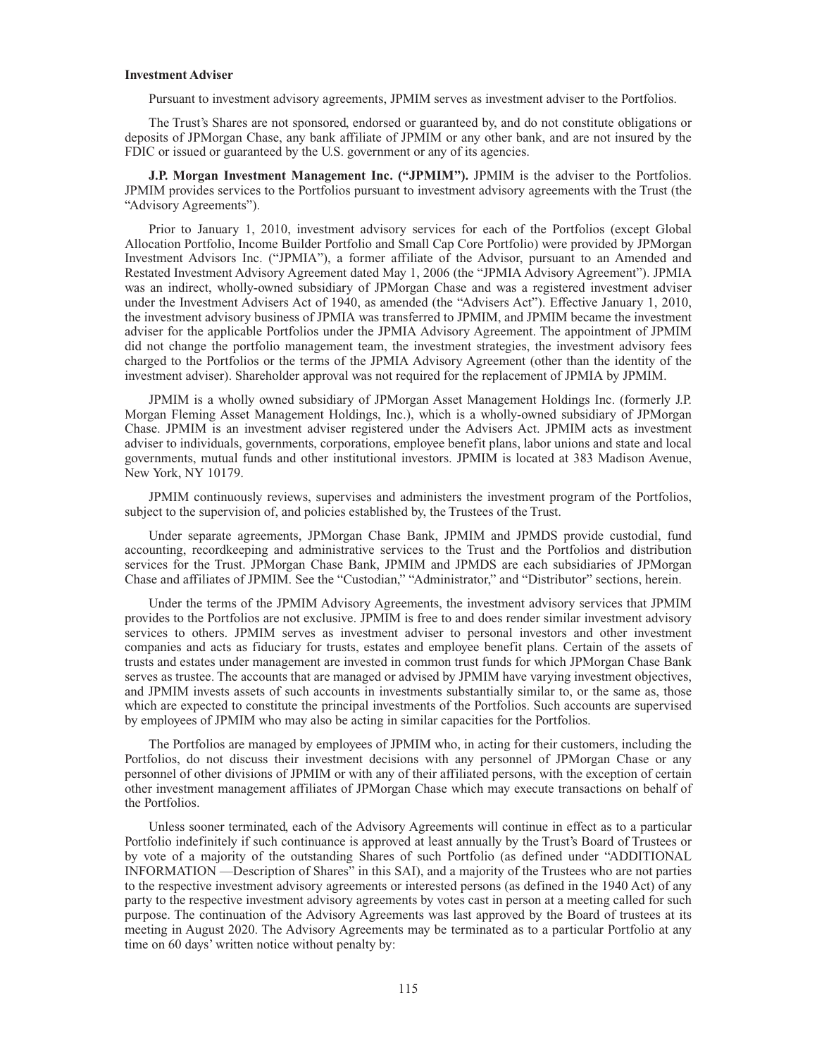#### **Investment Adviser**

Pursuant to investment advisory agreements, JPMIM serves as investment adviser to the Portfolios.

The Trust's Shares are not sponsored, endorsed or guaranteed by, and do not constitute obligations or deposits of JPMorgan Chase, any bank affiliate of JPMIM or any other bank, and are not insured by the FDIC or issued or guaranteed by the U.S. government or any of its agencies.

**J.P. Morgan Investment Management Inc. ("JPMIM").** JPMIM is the adviser to the Portfolios. JPMIM provides services to the Portfolios pursuant to investment advisory agreements with the Trust (the "Advisory Agreements").

Prior to January 1, 2010, investment advisory services for each of the Portfolios (except Global Allocation Portfolio, Income Builder Portfolio and Small Cap Core Portfolio) were provided by JPMorgan Investment Advisors Inc. ("JPMIA"), a former affiliate of the Advisor, pursuant to an Amended and Restated Investment Advisory Agreement dated May 1, 2006 (the "JPMIA Advisory Agreement"). JPMIA was an indirect, wholly-owned subsidiary of JPMorgan Chase and was a registered investment adviser under the Investment Advisers Act of 1940, as amended (the "Advisers Act"). Effective January 1, 2010, the investment advisory business of JPMIA was transferred to JPMIM, and JPMIM became the investment adviser for the applicable Portfolios under the JPMIA Advisory Agreement. The appointment of JPMIM did not change the portfolio management team, the investment strategies, the investment advisory fees charged to the Portfolios or the terms of the JPMIA Advisory Agreement (other than the identity of the investment adviser). Shareholder approval was not required for the replacement of JPMIA by JPMIM.

JPMIM is a wholly owned subsidiary of JPMorgan Asset Management Holdings Inc. (formerly J.P. Morgan Fleming Asset Management Holdings, Inc.), which is a wholly-owned subsidiary of JPMorgan Chase. JPMIM is an investment adviser registered under the Advisers Act. JPMIM acts as investment adviser to individuals, governments, corporations, employee benefit plans, labor unions and state and local governments, mutual funds and other institutional investors. JPMIM is located at 383 Madison Avenue, New York, NY 10179.

JPMIM continuously reviews, supervises and administers the investment program of the Portfolios, subject to the supervision of, and policies established by, the Trustees of the Trust.

Under separate agreements, JPMorgan Chase Bank, JPMIM and JPMDS provide custodial, fund accounting, recordkeeping and administrative services to the Trust and the Portfolios and distribution services for the Trust. JPMorgan Chase Bank, JPMIM and JPMDS are each subsidiaries of JPMorgan Chase and affiliates of JPMIM. See the "Custodian," "Administrator," and "Distributor" sections, herein.

Under the terms of the JPMIM Advisory Agreements, the investment advisory services that JPMIM provides to the Portfolios are not exclusive. JPMIM is free to and does render similar investment advisory services to others. JPMIM serves as investment adviser to personal investors and other investment companies and acts as fiduciary for trusts, estates and employee benefit plans. Certain of the assets of trusts and estates under management are invested in common trust funds for which JPMorgan Chase Bank serves as trustee. The accounts that are managed or advised by JPMIM have varying investment objectives, and JPMIM invests assets of such accounts in investments substantially similar to, or the same as, those which are expected to constitute the principal investments of the Portfolios. Such accounts are supervised by employees of JPMIM who may also be acting in similar capacities for the Portfolios.

The Portfolios are managed by employees of JPMIM who, in acting for their customers, including the Portfolios, do not discuss their investment decisions with any personnel of JPMorgan Chase or any personnel of other divisions of JPMIM or with any of their affiliated persons, with the exception of certain other investment management affiliates of JPMorgan Chase which may execute transactions on behalf of the Portfolios.

Unless sooner terminated, each of the Advisory Agreements will continue in effect as to a particular Portfolio indefinitely if such continuance is approved at least annually by the Trust's Board of Trustees or by vote of a majority of the outstanding Shares of such Portfolio (as defined under "ADDITIONAL INFORMATION —Description of Shares" in this SAI), and a majority of the Trustees who are not parties to the respective investment advisory agreements or interested persons (as defined in the 1940 Act) of any party to the respective investment advisory agreements by votes cast in person at a meeting called for such purpose. The continuation of the Advisory Agreements was last approved by the Board of trustees at its meeting in August 2020. The Advisory Agreements may be terminated as to a particular Portfolio at any time on 60 days' written notice without penalty by: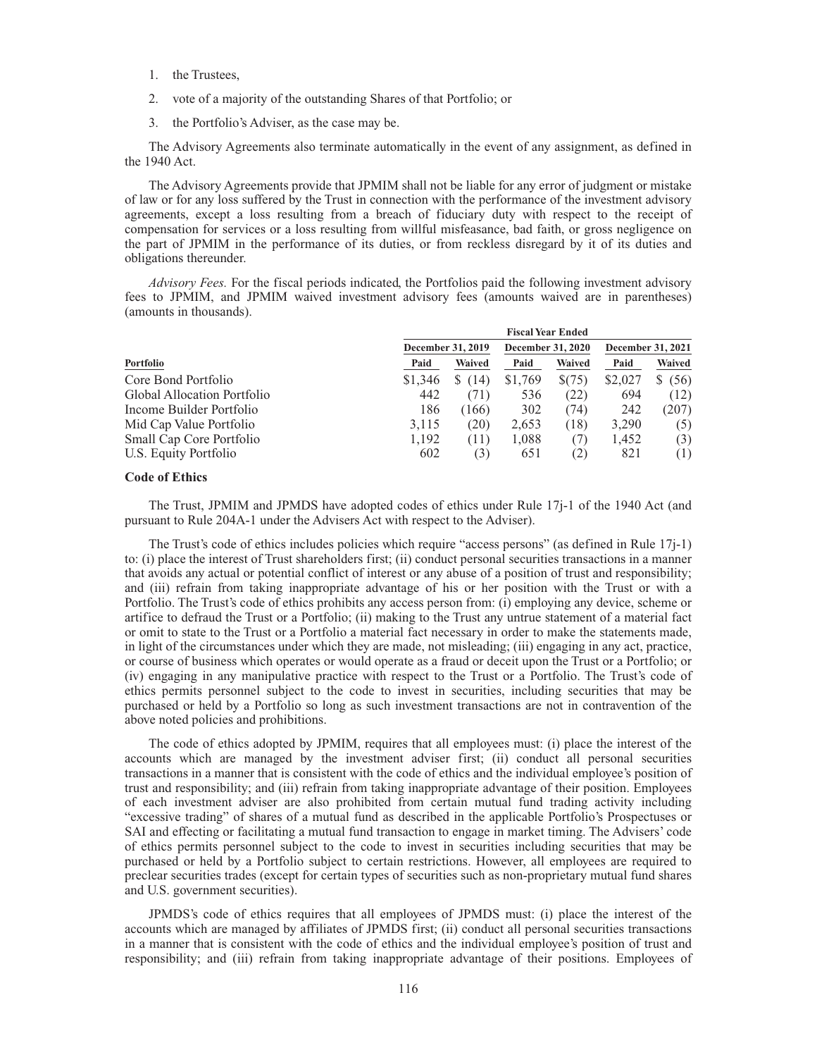- 1. the Trustees,
- 2. vote of a majority of the outstanding Shares of that Portfolio; or
- 3. the Portfolio's Adviser, as the case may be.

The Advisory Agreements also terminate automatically in the event of any assignment, as defined in the 1940 Act.

The Advisory Agreements provide that JPMIM shall not be liable for any error of judgment or mistake of law or for any loss suffered by the Trust in connection with the performance of the investment advisory agreements, except a loss resulting from a breach of fiduciary duty with respect to the receipt of compensation for services or a loss resulting from willful misfeasance, bad faith, or gross negligence on the part of JPMIM in the performance of its duties, or from reckless disregard by it of its duties and obligations thereunder.

*Advisory Fees.* For the fiscal periods indicated, the Portfolios paid the following investment advisory fees to JPMIM, and JPMIM waived investment advisory fees (amounts waived are in parentheses) (amounts in thousands).

|                             | <b>Fiscal Year Ended</b> |            |                          |        |         |                   |
|-----------------------------|--------------------------|------------|--------------------------|--------|---------|-------------------|
|                             | December 31, 2019        |            | <b>December 31, 2020</b> |        |         | December 31, 2021 |
| Portfolio                   | Paid                     | Waived     | Paid                     | Waived | Paid    | Waived            |
| Core Bond Portfolio         | \$1,346                  | (14)<br>S. | \$1,769                  | \$(75) | \$2,027 | (56)              |
| Global Allocation Portfolio | 442                      | (71)       | 536                      | (22)   | 694     | (12)              |
| Income Builder Portfolio    | 186                      | (166)      | 302                      | (74)   | 242     | (207)             |
| Mid Cap Value Portfolio     | 3,115                    | (20)       | 2,653                    | (18)   | 3,290   | (5)               |
| Small Cap Core Portfolio    | 1,192                    | (11)       | 1,088                    | (7)    | 1,452   | (3)               |
| U.S. Equity Portfolio       | 602                      | (3)        | 651                      | (2)    | 821     | (1)               |

# **Code of Ethics**

The Trust, JPMIM and JPMDS have adopted codes of ethics under Rule 17j-1 of the 1940 Act (and pursuant to Rule 204A-1 under the Advisers Act with respect to the Adviser).

The Trust's code of ethics includes policies which require "access persons" (as defined in Rule 17j-1) to: (i) place the interest of Trust shareholders first; (ii) conduct personal securities transactions in a manner that avoids any actual or potential conflict of interest or any abuse of a position of trust and responsibility; and (iii) refrain from taking inappropriate advantage of his or her position with the Trust or with a Portfolio. The Trust's code of ethics prohibits any access person from: (i) employing any device, scheme or artifice to defraud the Trust or a Portfolio; (ii) making to the Trust any untrue statement of a material fact or omit to state to the Trust or a Portfolio a material fact necessary in order to make the statements made, in light of the circumstances under which they are made, not misleading; (iii) engaging in any act, practice, or course of business which operates or would operate as a fraud or deceit upon the Trust or a Portfolio; or (iv) engaging in any manipulative practice with respect to the Trust or a Portfolio. The Trust's code of ethics permits personnel subject to the code to invest in securities, including securities that may be purchased or held by a Portfolio so long as such investment transactions are not in contravention of the above noted policies and prohibitions.

The code of ethics adopted by JPMIM, requires that all employees must: (i) place the interest of the accounts which are managed by the investment adviser first; (ii) conduct all personal securities transactions in a manner that is consistent with the code of ethics and the individual employee's position of trust and responsibility; and (iii) refrain from taking inappropriate advantage of their position. Employees of each investment adviser are also prohibited from certain mutual fund trading activity including "excessive trading" of shares of a mutual fund as described in the applicable Portfolio's Prospectuses or SAI and effecting or facilitating a mutual fund transaction to engage in market timing. The Advisers' code of ethics permits personnel subject to the code to invest in securities including securities that may be purchased or held by a Portfolio subject to certain restrictions. However, all employees are required to preclear securities trades (except for certain types of securities such as non-proprietary mutual fund shares and U.S. government securities).

JPMDS's code of ethics requires that all employees of JPMDS must: (i) place the interest of the accounts which are managed by affiliates of JPMDS first; (ii) conduct all personal securities transactions in a manner that is consistent with the code of ethics and the individual employee's position of trust and responsibility; and (iii) refrain from taking inappropriate advantage of their positions. Employees of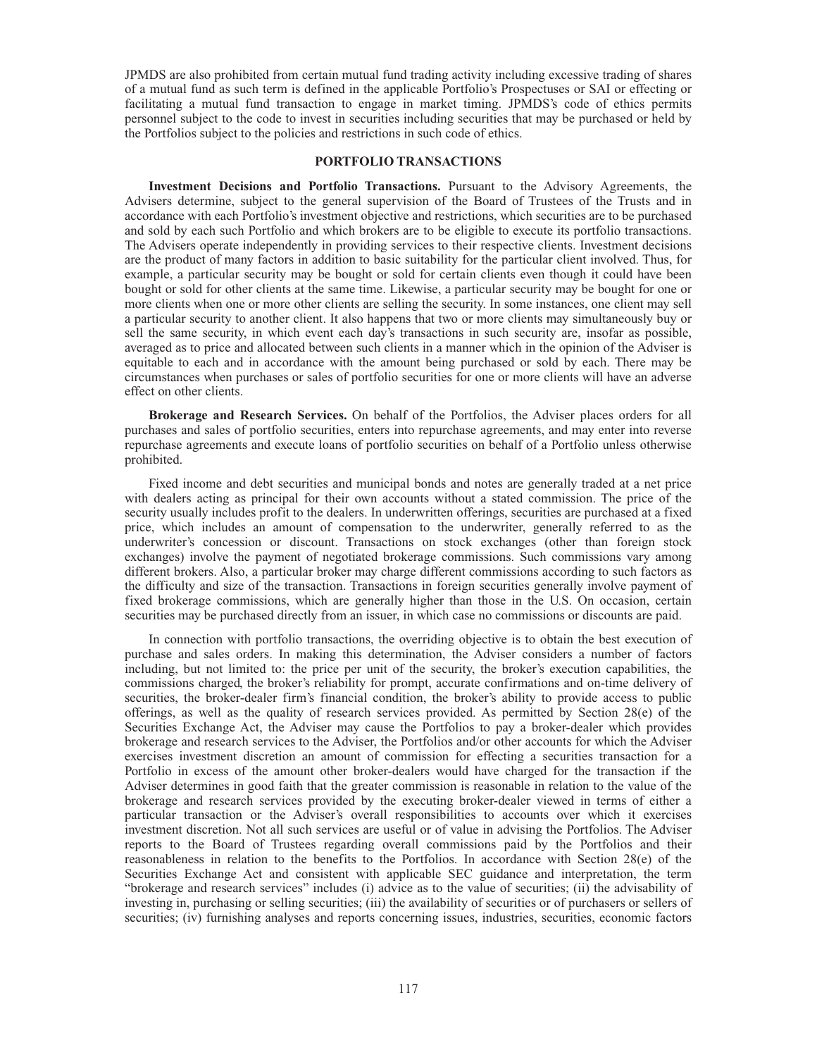JPMDS are also prohibited from certain mutual fund trading activity including excessive trading of shares of a mutual fund as such term is defined in the applicable Portfolio's Prospectuses or SAI or effecting or facilitating a mutual fund transaction to engage in market timing. JPMDS's code of ethics permits personnel subject to the code to invest in securities including securities that may be purchased or held by the Portfolios subject to the policies and restrictions in such code of ethics.

# **PORTFOLIO TRANSACTIONS**

**Investment Decisions and Portfolio Transactions.** Pursuant to the Advisory Agreements, the Advisers determine, subject to the general supervision of the Board of Trustees of the Trusts and in accordance with each Portfolio's investment objective and restrictions, which securities are to be purchased and sold by each such Portfolio and which brokers are to be eligible to execute its portfolio transactions. The Advisers operate independently in providing services to their respective clients. Investment decisions are the product of many factors in addition to basic suitability for the particular client involved. Thus, for example, a particular security may be bought or sold for certain clients even though it could have been bought or sold for other clients at the same time. Likewise, a particular security may be bought for one or more clients when one or more other clients are selling the security. In some instances, one client may sell a particular security to another client. It also happens that two or more clients may simultaneously buy or sell the same security, in which event each day's transactions in such security are, insofar as possible, averaged as to price and allocated between such clients in a manner which in the opinion of the Adviser is equitable to each and in accordance with the amount being purchased or sold by each. There may be circumstances when purchases or sales of portfolio securities for one or more clients will have an adverse effect on other clients.

**Brokerage and Research Services.** On behalf of the Portfolios, the Adviser places orders for all purchases and sales of portfolio securities, enters into repurchase agreements, and may enter into reverse repurchase agreements and execute loans of portfolio securities on behalf of a Portfolio unless otherwise prohibited.

Fixed income and debt securities and municipal bonds and notes are generally traded at a net price with dealers acting as principal for their own accounts without a stated commission. The price of the security usually includes profit to the dealers. In underwritten offerings, securities are purchased at a fixed price, which includes an amount of compensation to the underwriter, generally referred to as the underwriter's concession or discount. Transactions on stock exchanges (other than foreign stock exchanges) involve the payment of negotiated brokerage commissions. Such commissions vary among different brokers. Also, a particular broker may charge different commissions according to such factors as the difficulty and size of the transaction. Transactions in foreign securities generally involve payment of fixed brokerage commissions, which are generally higher than those in the U.S. On occasion, certain securities may be purchased directly from an issuer, in which case no commissions or discounts are paid.

In connection with portfolio transactions, the overriding objective is to obtain the best execution of purchase and sales orders. In making this determination, the Adviser considers a number of factors including, but not limited to: the price per unit of the security, the broker's execution capabilities, the commissions charged, the broker's reliability for prompt, accurate confirmations and on-time delivery of securities, the broker-dealer firm's financial condition, the broker's ability to provide access to public offerings, as well as the quality of research services provided. As permitted by Section 28(e) of the Securities Exchange Act, the Adviser may cause the Portfolios to pay a broker-dealer which provides brokerage and research services to the Adviser, the Portfolios and/or other accounts for which the Adviser exercises investment discretion an amount of commission for effecting a securities transaction for a Portfolio in excess of the amount other broker-dealers would have charged for the transaction if the Adviser determines in good faith that the greater commission is reasonable in relation to the value of the brokerage and research services provided by the executing broker-dealer viewed in terms of either a particular transaction or the Adviser's overall responsibilities to accounts over which it exercises investment discretion. Not all such services are useful or of value in advising the Portfolios. The Adviser reports to the Board of Trustees regarding overall commissions paid by the Portfolios and their reasonableness in relation to the benefits to the Portfolios. In accordance with Section 28(e) of the Securities Exchange Act and consistent with applicable SEC guidance and interpretation, the term "brokerage and research services" includes (i) advice as to the value of securities; (ii) the advisability of investing in, purchasing or selling securities; (iii) the availability of securities or of purchasers or sellers of securities; (iv) furnishing analyses and reports concerning issues, industries, securities, economic factors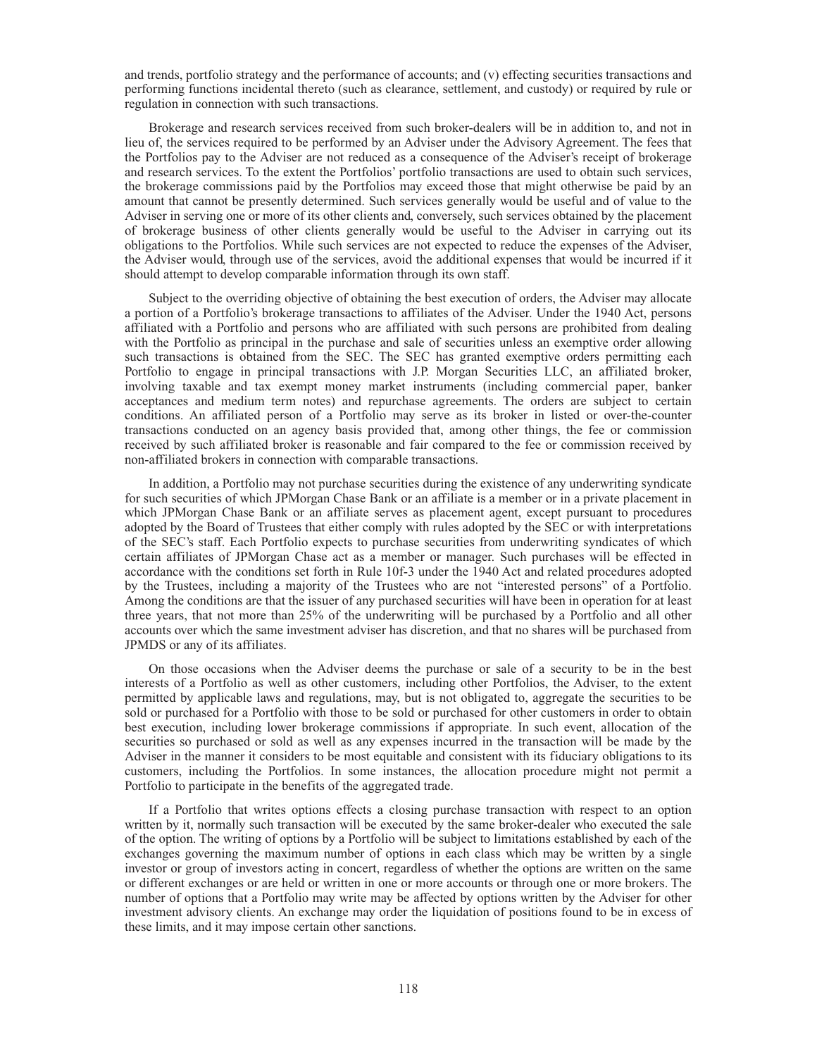and trends, portfolio strategy and the performance of accounts; and (v) effecting securities transactions and performing functions incidental thereto (such as clearance, settlement, and custody) or required by rule or regulation in connection with such transactions.

Brokerage and research services received from such broker-dealers will be in addition to, and not in lieu of, the services required to be performed by an Adviser under the Advisory Agreement. The fees that the Portfolios pay to the Adviser are not reduced as a consequence of the Adviser's receipt of brokerage and research services. To the extent the Portfolios' portfolio transactions are used to obtain such services, the brokerage commissions paid by the Portfolios may exceed those that might otherwise be paid by an amount that cannot be presently determined. Such services generally would be useful and of value to the Adviser in serving one or more of its other clients and, conversely, such services obtained by the placement of brokerage business of other clients generally would be useful to the Adviser in carrying out its obligations to the Portfolios. While such services are not expected to reduce the expenses of the Adviser, the Adviser would, through use of the services, avoid the additional expenses that would be incurred if it should attempt to develop comparable information through its own staff.

Subject to the overriding objective of obtaining the best execution of orders, the Adviser may allocate a portion of a Portfolio's brokerage transactions to affiliates of the Adviser. Under the 1940 Act, persons affiliated with a Portfolio and persons who are affiliated with such persons are prohibited from dealing with the Portfolio as principal in the purchase and sale of securities unless an exemptive order allowing such transactions is obtained from the SEC. The SEC has granted exemptive orders permitting each Portfolio to engage in principal transactions with J.P. Morgan Securities LLC, an affiliated broker, involving taxable and tax exempt money market instruments (including commercial paper, banker acceptances and medium term notes) and repurchase agreements. The orders are subject to certain conditions. An affiliated person of a Portfolio may serve as its broker in listed or over-the-counter transactions conducted on an agency basis provided that, among other things, the fee or commission received by such affiliated broker is reasonable and fair compared to the fee or commission received by non-affiliated brokers in connection with comparable transactions.

In addition, a Portfolio may not purchase securities during the existence of any underwriting syndicate for such securities of which JPMorgan Chase Bank or an affiliate is a member or in a private placement in which JPMorgan Chase Bank or an affiliate serves as placement agent, except pursuant to procedures adopted by the Board of Trustees that either comply with rules adopted by the SEC or with interpretations of the SEC's staff. Each Portfolio expects to purchase securities from underwriting syndicates of which certain affiliates of JPMorgan Chase act as a member or manager. Such purchases will be effected in accordance with the conditions set forth in Rule 10f-3 under the 1940 Act and related procedures adopted by the Trustees, including a majority of the Trustees who are not "interested persons" of a Portfolio. Among the conditions are that the issuer of any purchased securities will have been in operation for at least three years, that not more than 25% of the underwriting will be purchased by a Portfolio and all other accounts over which the same investment adviser has discretion, and that no shares will be purchased from JPMDS or any of its affiliates.

On those occasions when the Adviser deems the purchase or sale of a security to be in the best interests of a Portfolio as well as other customers, including other Portfolios, the Adviser, to the extent permitted by applicable laws and regulations, may, but is not obligated to, aggregate the securities to be sold or purchased for a Portfolio with those to be sold or purchased for other customers in order to obtain best execution, including lower brokerage commissions if appropriate. In such event, allocation of the securities so purchased or sold as well as any expenses incurred in the transaction will be made by the Adviser in the manner it considers to be most equitable and consistent with its fiduciary obligations to its customers, including the Portfolios. In some instances, the allocation procedure might not permit a Portfolio to participate in the benefits of the aggregated trade.

If a Portfolio that writes options effects a closing purchase transaction with respect to an option written by it, normally such transaction will be executed by the same broker-dealer who executed the sale of the option. The writing of options by a Portfolio will be subject to limitations established by each of the exchanges governing the maximum number of options in each class which may be written by a single investor or group of investors acting in concert, regardless of whether the options are written on the same or different exchanges or are held or written in one or more accounts or through one or more brokers. The number of options that a Portfolio may write may be affected by options written by the Adviser for other investment advisory clients. An exchange may order the liquidation of positions found to be in excess of these limits, and it may impose certain other sanctions.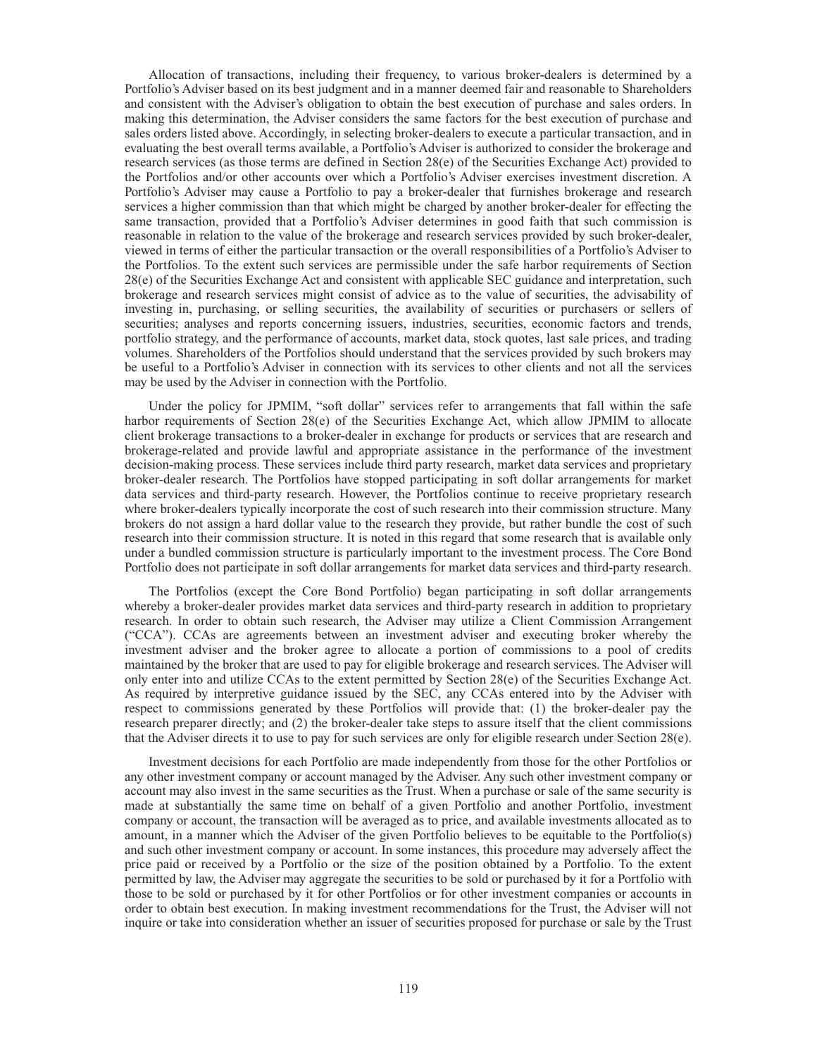Allocation of transactions, including their frequency, to various broker-dealers is determined by a Portfolio's Adviser based on its best judgment and in a manner deemed fair and reasonable to Shareholders and consistent with the Adviser's obligation to obtain the best execution of purchase and sales orders. In making this determination, the Adviser considers the same factors for the best execution of purchase and sales orders listed above. Accordingly, in selecting broker-dealers to execute a particular transaction, and in evaluating the best overall terms available, a Portfolio's Adviser is authorized to consider the brokerage and research services (as those terms are defined in Section 28(e) of the Securities Exchange Act) provided to the Portfolios and/or other accounts over which a Portfolio's Adviser exercises investment discretion. A Portfolio's Adviser may cause a Portfolio to pay a broker-dealer that furnishes brokerage and research services a higher commission than that which might be charged by another broker-dealer for effecting the same transaction, provided that a Portfolio's Adviser determines in good faith that such commission is reasonable in relation to the value of the brokerage and research services provided by such broker-dealer, viewed in terms of either the particular transaction or the overall responsibilities of a Portfolio's Adviser to the Portfolios. To the extent such services are permissible under the safe harbor requirements of Section 28(e) of the Securities Exchange Act and consistent with applicable SEC guidance and interpretation, such brokerage and research services might consist of advice as to the value of securities, the advisability of investing in, purchasing, or selling securities, the availability of securities or purchasers or sellers of securities; analyses and reports concerning issuers, industries, securities, economic factors and trends, portfolio strategy, and the performance of accounts, market data, stock quotes, last sale prices, and trading volumes. Shareholders of the Portfolios should understand that the services provided by such brokers may be useful to a Portfolio's Adviser in connection with its services to other clients and not all the services may be used by the Adviser in connection with the Portfolio.

Under the policy for JPMIM, "soft dollar" services refer to arrangements that fall within the safe harbor requirements of Section 28(e) of the Securities Exchange Act, which allow JPMIM to allocate client brokerage transactions to a broker-dealer in exchange for products or services that are research and brokerage-related and provide lawful and appropriate assistance in the performance of the investment decision-making process. These services include third party research, market data services and proprietary broker-dealer research. The Portfolios have stopped participating in soft dollar arrangements for market data services and third-party research. However, the Portfolios continue to receive proprietary research where broker-dealers typically incorporate the cost of such research into their commission structure. Many brokers do not assign a hard dollar value to the research they provide, but rather bundle the cost of such research into their commission structure. It is noted in this regard that some research that is available only under a bundled commission structure is particularly important to the investment process. The Core Bond Portfolio does not participate in soft dollar arrangements for market data services and third-party research.

The Portfolios (except the Core Bond Portfolio) began participating in soft dollar arrangements whereby a broker-dealer provides market data services and third-party research in addition to proprietary research. In order to obtain such research, the Adviser may utilize a Client Commission Arrangement ("CCA"). CCAs are agreements between an investment adviser and executing broker whereby the investment adviser and the broker agree to allocate a portion of commissions to a pool of credits maintained by the broker that are used to pay for eligible brokerage and research services. The Adviser will only enter into and utilize CCAs to the extent permitted by Section 28(e) of the Securities Exchange Act. As required by interpretive guidance issued by the SEC, any CCAs entered into by the Adviser with respect to commissions generated by these Portfolios will provide that: (1) the broker-dealer pay the research preparer directly; and (2) the broker-dealer take steps to assure itself that the client commissions that the Adviser directs it to use to pay for such services are only for eligible research under Section 28(e).

Investment decisions for each Portfolio are made independently from those for the other Portfolios or any other investment company or account managed by the Adviser. Any such other investment company or account may also invest in the same securities as the Trust. When a purchase or sale of the same security is made at substantially the same time on behalf of a given Portfolio and another Portfolio, investment company or account, the transaction will be averaged as to price, and available investments allocated as to amount, in a manner which the Adviser of the given Portfolio believes to be equitable to the Portfolio(s) and such other investment company or account. In some instances, this procedure may adversely affect the price paid or received by a Portfolio or the size of the position obtained by a Portfolio. To the extent permitted by law, the Adviser may aggregate the securities to be sold or purchased by it for a Portfolio with those to be sold or purchased by it for other Portfolios or for other investment companies or accounts in order to obtain best execution. In making investment recommendations for the Trust, the Adviser will not inquire or take into consideration whether an issuer of securities proposed for purchase or sale by the Trust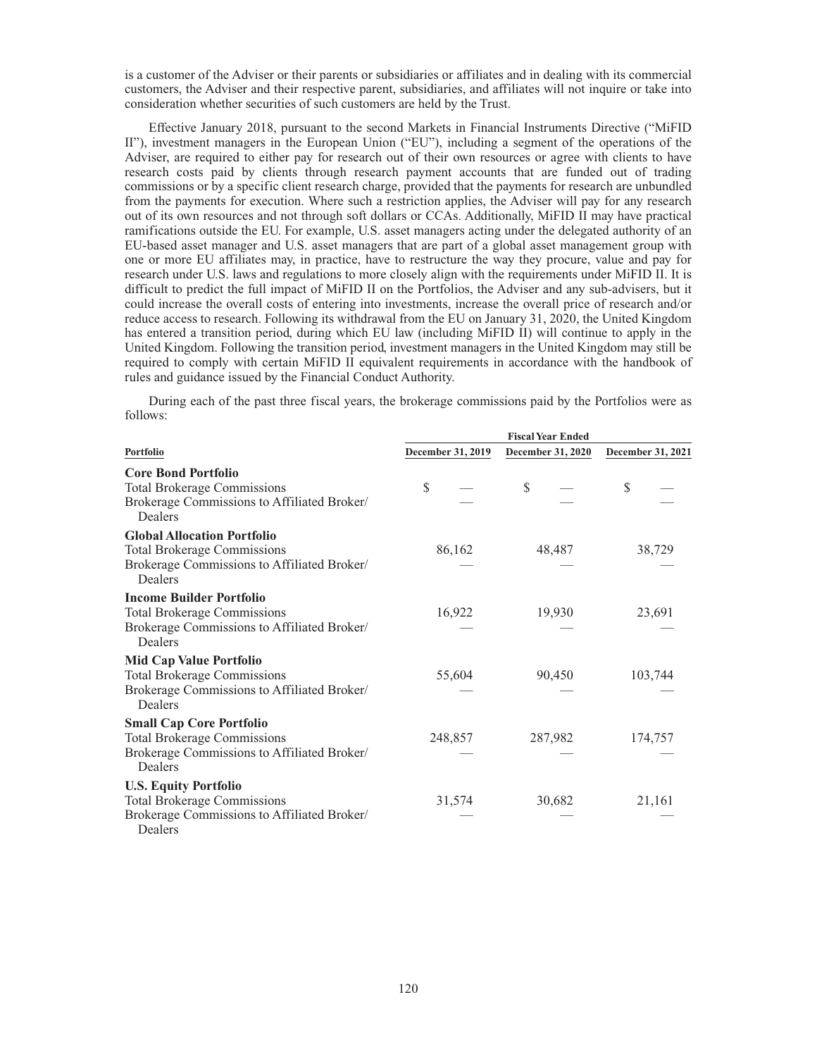is a customer of the Adviser or their parents or subsidiaries or affiliates and in dealing with its commercial customers, the Adviser and their respective parent, subsidiaries, and affiliates will not inquire or take into consideration whether securities of such customers are held by the Trust.

Effective January 2018, pursuant to the second Markets in Financial Instruments Directive ("MiFID II"), investment managers in the European Union ("EU"), including a segment of the operations of the Adviser, are required to either pay for research out of their own resources or agree with clients to have research costs paid by clients through research payment accounts that are funded out of trading commissions or by a specific client research charge, provided that the payments for research are unbundled from the payments for execution. Where such a restriction applies, the Adviser will pay for any research out of its own resources and not through soft dollars or CCAs. Additionally, MiFID II may have practical ramifications outside the EU. For example, U.S. asset managers acting under the delegated authority of an EU-based asset manager and U.S. asset managers that are part of a global asset management group with one or more EU affiliates may, in practice, have to restructure the way they procure, value and pay for research under U.S. laws and regulations to more closely align with the requirements under MiFID II. It is difficult to predict the full impact of MiFID II on the Portfolios, the Adviser and any sub-advisers, but it could increase the overall costs of entering into investments, increase the overall price of research and/or reduce access to research. Following its withdrawal from the EU on January 31, 2020, the United Kingdom has entered a transition period, during which EU law (including MiFID II) will continue to apply in the United Kingdom. Following the transition period, investment managers in the United Kingdom may still be required to comply with certain MiFID II equivalent requirements in accordance with the handbook of rules and guidance issued by the Financial Conduct Authority.

During each of the past three fiscal years, the brokerage commissions paid by the Portfolios were as follows:

|                                                                                                                                    | <b>Fiscal Year Ended</b> |                   |                   |  |  |  |
|------------------------------------------------------------------------------------------------------------------------------------|--------------------------|-------------------|-------------------|--|--|--|
| Portfolio                                                                                                                          | December 31, 2019        | December 31, 2020 | December 31, 2021 |  |  |  |
| <b>Core Bond Portfolio</b><br><b>Total Brokerage Commissions</b><br>Brokerage Commissions to Affiliated Broker/<br>Dealers         | $\mathcal{S}$            | \$                | \$                |  |  |  |
| <b>Global Allocation Portfolio</b><br><b>Total Brokerage Commissions</b><br>Brokerage Commissions to Affiliated Broker/<br>Dealers | 86,162                   | 48,487            | 38,729            |  |  |  |
| <b>Income Builder Portfolio</b><br><b>Total Brokerage Commissions</b><br>Brokerage Commissions to Affiliated Broker/<br>Dealers    | 16,922                   | 19,930            | 23,691            |  |  |  |
| <b>Mid Cap Value Portfolio</b><br><b>Total Brokerage Commissions</b><br>Brokerage Commissions to Affiliated Broker/<br>Dealers     | 55,604                   | 90,450            | 103,744           |  |  |  |
| <b>Small Cap Core Portfolio</b><br><b>Total Brokerage Commissions</b><br>Brokerage Commissions to Affiliated Broker/<br>Dealers    | 248,857                  | 287,982           | 174,757           |  |  |  |
| <b>U.S. Equity Portfolio</b><br><b>Total Brokerage Commissions</b><br>Brokerage Commissions to Affiliated Broker/<br>Dealers       | 31,574                   | 30,682            | 21,161            |  |  |  |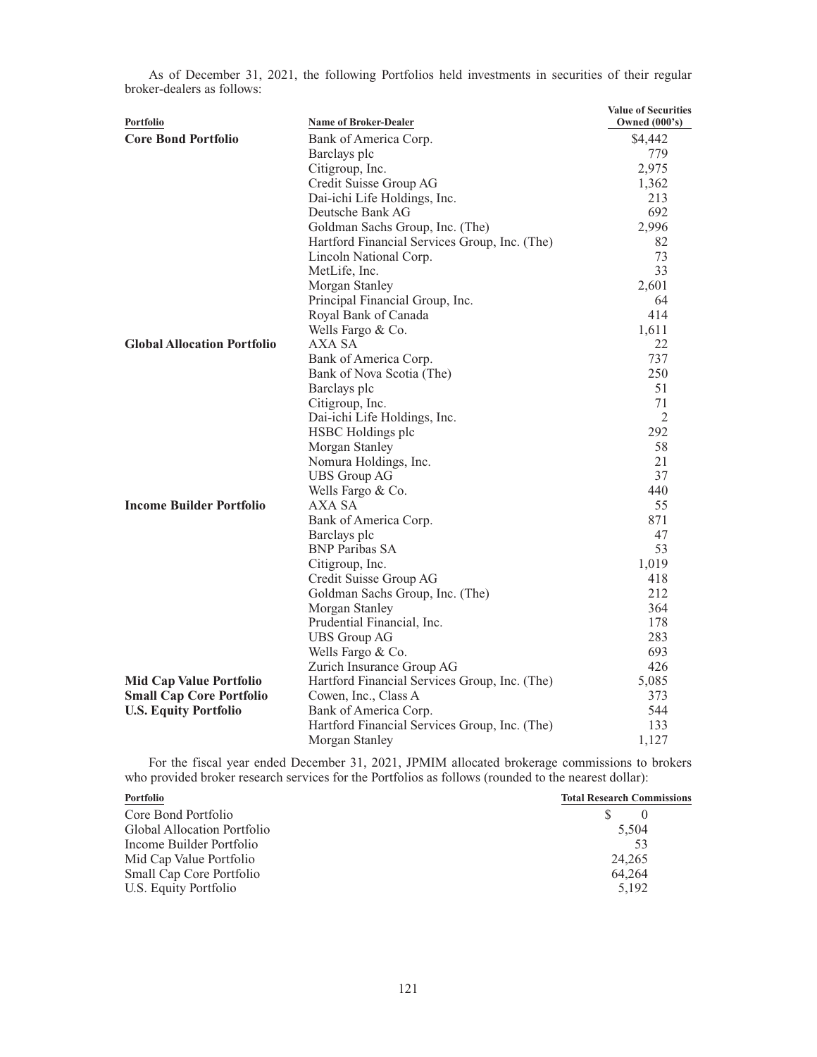| Portfolio                          | <b>Name of Broker-Dealer</b>                  | <b>Value of Securities</b><br>Owned $(000's)$ |
|------------------------------------|-----------------------------------------------|-----------------------------------------------|
| <b>Core Bond Portfolio</b>         | Bank of America Corp.                         | \$4,442                                       |
|                                    | Barclays plc                                  | 779                                           |
|                                    | Citigroup, Inc.                               | 2,975                                         |
|                                    | Credit Suisse Group AG                        | 1,362                                         |
|                                    | Dai-ichi Life Holdings, Inc.                  | 213                                           |
|                                    | Deutsche Bank AG                              | 692                                           |
|                                    | Goldman Sachs Group, Inc. (The)               | 2,996                                         |
|                                    | Hartford Financial Services Group, Inc. (The) | 82                                            |
|                                    | Lincoln National Corp.                        | 73                                            |
|                                    | MetLife, Inc.                                 | 33                                            |
|                                    | Morgan Stanley                                | 2,601                                         |
|                                    | Principal Financial Group, Inc.               | 64                                            |
|                                    | Royal Bank of Canada                          | 414                                           |
|                                    | Wells Fargo & Co.                             | 1,611                                         |
| <b>Global Allocation Portfolio</b> | AXA SA                                        | 22                                            |
|                                    | Bank of America Corp.                         | 737                                           |
|                                    | Bank of Nova Scotia (The)                     | 250                                           |
|                                    | Barclays plc                                  | 51                                            |
|                                    | Citigroup, Inc.                               | 71                                            |
|                                    | Dai-ichi Life Holdings, Inc.                  | 2                                             |
|                                    | <b>HSBC</b> Holdings plc                      | 292                                           |
|                                    | Morgan Stanley                                | 58                                            |
|                                    | Nomura Holdings, Inc.                         | 21                                            |
|                                    | <b>UBS</b> Group AG                           | 37                                            |
|                                    | Wells Fargo & Co.                             | 440                                           |
| <b>Income Builder Portfolio</b>    | AXA SA                                        | 55                                            |
|                                    | Bank of America Corp.                         | 871                                           |
|                                    | Barclays plc                                  | 47                                            |
|                                    | <b>BNP Paribas SA</b>                         | 53                                            |
|                                    | Citigroup, Inc.                               | 1,019                                         |
|                                    | Credit Suisse Group AG                        | 418                                           |
|                                    | Goldman Sachs Group, Inc. (The)               | 212                                           |
|                                    | Morgan Stanley                                | 364                                           |
|                                    | Prudential Financial, Inc.                    | 178                                           |
|                                    | <b>UBS</b> Group AG                           | 283                                           |
|                                    | Wells Fargo & Co.                             | 693                                           |
|                                    | Zurich Insurance Group AG                     | 426                                           |
| <b>Mid Cap Value Portfolio</b>     | Hartford Financial Services Group, Inc. (The) | 5,085                                         |
| <b>Small Cap Core Portfolio</b>    | Cowen, Inc., Class A                          | 373                                           |
| <b>U.S. Equity Portfolio</b>       | Bank of America Corp.                         | 544                                           |
|                                    | Hartford Financial Services Group, Inc. (The) | 133                                           |
|                                    | Morgan Stanley                                | 1,127                                         |

As of December 31, 2021, the following Portfolios held investments in securities of their regular broker-dealers as follows:

For the fiscal year ended December 31, 2021, JPMIM allocated brokerage commissions to brokers who provided broker research services for the Portfolios as follows (rounded to the nearest dollar):

| Portfolio                   | <b>Total Research Commissions</b> |
|-----------------------------|-----------------------------------|
| Core Bond Portfolio         |                                   |
| Global Allocation Portfolio | 5.504                             |
| Income Builder Portfolio    | 53                                |
| Mid Cap Value Portfolio     | 24,265                            |
| Small Cap Core Portfolio    | 64.264                            |
| U.S. Equity Portfolio       | 5.192                             |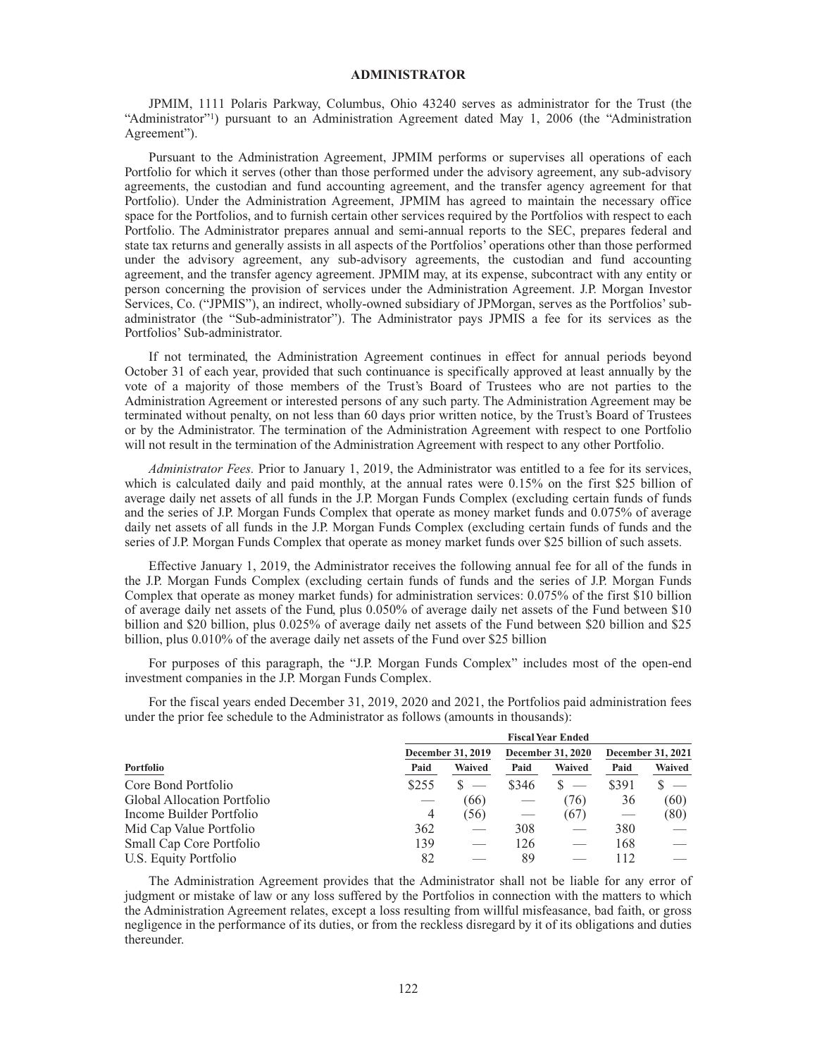# **ADMINISTRATOR**

JPMIM, 1111 Polaris Parkway, Columbus, Ohio 43240 serves as administrator for the Trust (the "Administrator"1) pursuant to an Administration Agreement dated May 1, 2006 (the "Administration Agreement").

Pursuant to the Administration Agreement, JPMIM performs or supervises all operations of each Portfolio for which it serves (other than those performed under the advisory agreement, any sub-advisory agreements, the custodian and fund accounting agreement, and the transfer agency agreement for that Portfolio). Under the Administration Agreement, JPMIM has agreed to maintain the necessary office space for the Portfolios, and to furnish certain other services required by the Portfolios with respect to each Portfolio. The Administrator prepares annual and semi-annual reports to the SEC, prepares federal and state tax returns and generally assists in all aspects of the Portfolios' operations other than those performed under the advisory agreement, any sub-advisory agreements, the custodian and fund accounting agreement, and the transfer agency agreement. JPMIM may, at its expense, subcontract with any entity or person concerning the provision of services under the Administration Agreement. J.P. Morgan Investor Services, Co. ("JPMIS"), an indirect, wholly-owned subsidiary of JPMorgan, serves as the Portfolios' subadministrator (the "Sub-administrator"). The Administrator pays JPMIS a fee for its services as the Portfolios' Sub-administrator.

If not terminated, the Administration Agreement continues in effect for annual periods beyond October 31 of each year, provided that such continuance is specifically approved at least annually by the vote of a majority of those members of the Trust's Board of Trustees who are not parties to the Administration Agreement or interested persons of any such party. The Administration Agreement may be terminated without penalty, on not less than 60 days prior written notice, by the Trust's Board of Trustees or by the Administrator. The termination of the Administration Agreement with respect to one Portfolio will not result in the termination of the Administration Agreement with respect to any other Portfolio.

*Administrator Fees.* Prior to January 1, 2019, the Administrator was entitled to a fee for its services, which is calculated daily and paid monthly, at the annual rates were 0.15% on the first \$25 billion of average daily net assets of all funds in the J.P. Morgan Funds Complex (excluding certain funds of funds and the series of J.P. Morgan Funds Complex that operate as money market funds and 0.075% of average daily net assets of all funds in the J.P. Morgan Funds Complex (excluding certain funds of funds and the series of J.P. Morgan Funds Complex that operate as money market funds over \$25 billion of such assets.

Effective January 1, 2019, the Administrator receives the following annual fee for all of the funds in the J.P. Morgan Funds Complex (excluding certain funds of funds and the series of J.P. Morgan Funds Complex that operate as money market funds) for administration services: 0.075% of the first \$10 billion of average daily net assets of the Fund, plus 0.050% of average daily net assets of the Fund between \$10 billion and \$20 billion, plus 0.025% of average daily net assets of the Fund between \$20 billion and \$25 billion, plus 0.010% of the average daily net assets of the Fund over \$25 billion

For purposes of this paragraph, the "J.P. Morgan Funds Complex" includes most of the open-end investment companies in the J.P. Morgan Funds Complex.

For the fiscal years ended December 31, 2019, 2020 and 2021, the Portfolios paid administration fees under the prior fee schedule to the Administrator as follows (amounts in thousands):

| Portfolio                   | <b>Fiscal Year Ended</b> |                   |       |                          |                                 |                   |  |
|-----------------------------|--------------------------|-------------------|-------|--------------------------|---------------------------------|-------------------|--|
|                             |                          | December 31, 2019 |       | <b>December 31, 2020</b> |                                 | December 31, 2021 |  |
|                             | Paid                     | Waived            | Paid  | Waived                   | Paid                            | Waived            |  |
| Core Bond Portfolio         | \$255                    | \$.               | \$346 |                          | \$391                           |                   |  |
| Global Allocation Portfolio |                          | (66)              |       | (76)                     | 36                              | (60)              |  |
| Income Builder Portfolio    | 4                        | (56)              |       | (67)                     | $\overbrace{\qquad \qquad }^{}$ | (80)              |  |
| Mid Cap Value Portfolio     | 362                      |                   | 308   |                          | 380                             |                   |  |
| Small Cap Core Portfolio    | 139                      |                   | 126   |                          | 168                             |                   |  |
| U.S. Equity Portfolio       | 82                       |                   | 89    |                          | 112                             |                   |  |

The Administration Agreement provides that the Administrator shall not be liable for any error of judgment or mistake of law or any loss suffered by the Portfolios in connection with the matters to which the Administration Agreement relates, except a loss resulting from willful misfeasance, bad faith, or gross negligence in the performance of its duties, or from the reckless disregard by it of its obligations and duties thereunder.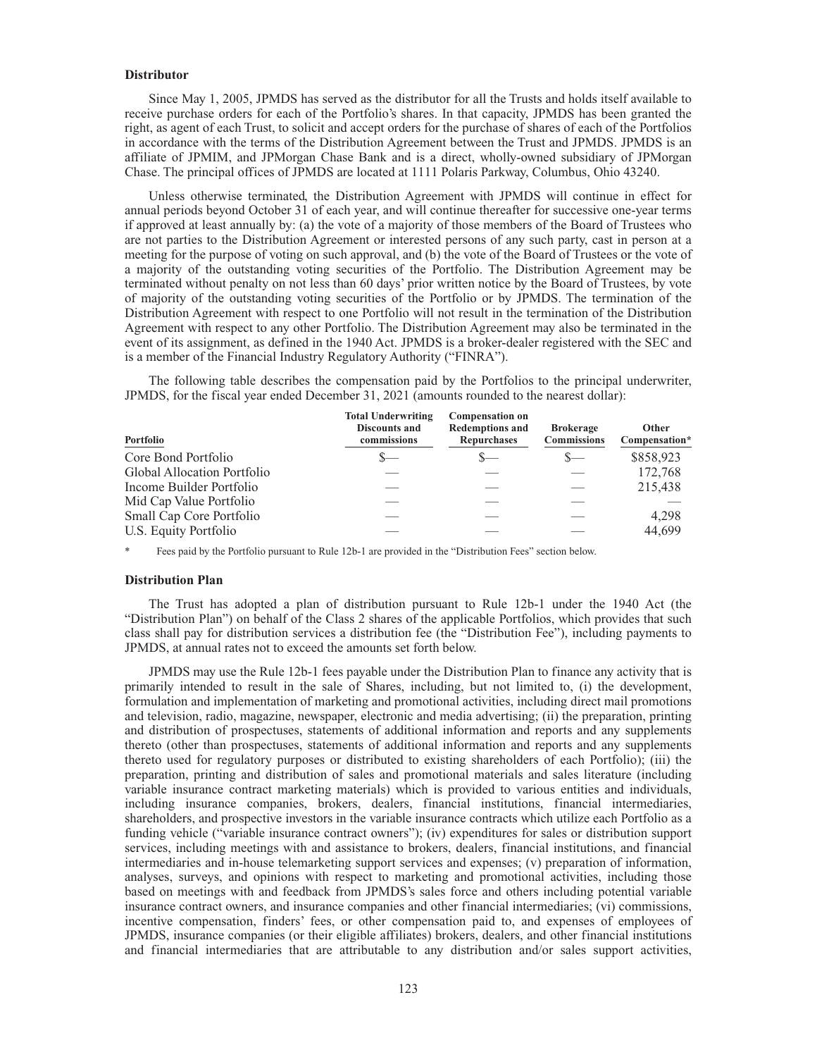# **Distributor**

Since May 1, 2005, JPMDS has served as the distributor for all the Trusts and holds itself available to receive purchase orders for each of the Portfolio's shares. In that capacity, JPMDS has been granted the right, as agent of each Trust, to solicit and accept orders for the purchase of shares of each of the Portfolios in accordance with the terms of the Distribution Agreement between the Trust and JPMDS. JPMDS is an affiliate of JPMIM, and JPMorgan Chase Bank and is a direct, wholly-owned subsidiary of JPMorgan Chase. The principal offices of JPMDS are located at 1111 Polaris Parkway, Columbus, Ohio 43240.

Unless otherwise terminated, the Distribution Agreement with JPMDS will continue in effect for annual periods beyond October 31 of each year, and will continue thereafter for successive one-year terms if approved at least annually by: (a) the vote of a majority of those members of the Board of Trustees who are not parties to the Distribution Agreement or interested persons of any such party, cast in person at a meeting for the purpose of voting on such approval, and (b) the vote of the Board of Trustees or the vote of a majority of the outstanding voting securities of the Portfolio. The Distribution Agreement may be terminated without penalty on not less than 60 days' prior written notice by the Board of Trustees, by vote of majority of the outstanding voting securities of the Portfolio or by JPMDS. The termination of the Distribution Agreement with respect to one Portfolio will not result in the termination of the Distribution Agreement with respect to any other Portfolio. The Distribution Agreement may also be terminated in the event of its assignment, as defined in the 1940 Act. JPMDS is a broker-dealer registered with the SEC and is a member of the Financial Industry Regulatory Authority ("FINRA").

The following table describes the compensation paid by the Portfolios to the principal underwriter, JPMDS, for the fiscal year ended December 31, 2021 (amounts rounded to the nearest dollar):

| Portfolio                   | <b>Total Underwriting</b><br>Discounts and<br>commissions | <b>Compensation on</b><br><b>Redemptions and</b><br><b>Repurchases</b> | <b>Brokerage</b><br><b>Commissions</b> | Other<br>Compensation* |
|-----------------------------|-----------------------------------------------------------|------------------------------------------------------------------------|----------------------------------------|------------------------|
| Core Bond Portfolio         | $S-$                                                      |                                                                        |                                        | \$858,923              |
| Global Allocation Portfolio |                                                           |                                                                        |                                        | 172,768                |
| Income Builder Portfolio    |                                                           |                                                                        |                                        | 215,438                |
| Mid Cap Value Portfolio     |                                                           |                                                                        |                                        |                        |
| Small Cap Core Portfolio    |                                                           |                                                                        |                                        | 4.298                  |
| U.S. Equity Portfolio       |                                                           |                                                                        |                                        | 44,699                 |

\* Fees paid by the Portfolio pursuant to Rule 12b-1 are provided in the "Distribution Fees" section below.

#### **Distribution Plan**

The Trust has adopted a plan of distribution pursuant to Rule 12b-1 under the 1940 Act (the "Distribution Plan") on behalf of the Class 2 shares of the applicable Portfolios, which provides that such class shall pay for distribution services a distribution fee (the "Distribution Fee"), including payments to JPMDS, at annual rates not to exceed the amounts set forth below.

JPMDS may use the Rule 12b-1 fees payable under the Distribution Plan to finance any activity that is primarily intended to result in the sale of Shares, including, but not limited to, (i) the development, formulation and implementation of marketing and promotional activities, including direct mail promotions and television, radio, magazine, newspaper, electronic and media advertising; (ii) the preparation, printing and distribution of prospectuses, statements of additional information and reports and any supplements thereto (other than prospectuses, statements of additional information and reports and any supplements thereto used for regulatory purposes or distributed to existing shareholders of each Portfolio); (iii) the preparation, printing and distribution of sales and promotional materials and sales literature (including variable insurance contract marketing materials) which is provided to various entities and individuals, including insurance companies, brokers, dealers, financial institutions, financial intermediaries, shareholders, and prospective investors in the variable insurance contracts which utilize each Portfolio as a funding vehicle ("variable insurance contract owners"); (iv) expenditures for sales or distribution support services, including meetings with and assistance to brokers, dealers, financial institutions, and financial intermediaries and in-house telemarketing support services and expenses; (v) preparation of information, analyses, surveys, and opinions with respect to marketing and promotional activities, including those based on meetings with and feedback from JPMDS's sales force and others including potential variable insurance contract owners, and insurance companies and other financial intermediaries; (vi) commissions, incentive compensation, finders' fees, or other compensation paid to, and expenses of employees of JPMDS, insurance companies (or their eligible affiliates) brokers, dealers, and other financial institutions and financial intermediaries that are attributable to any distribution and/or sales support activities,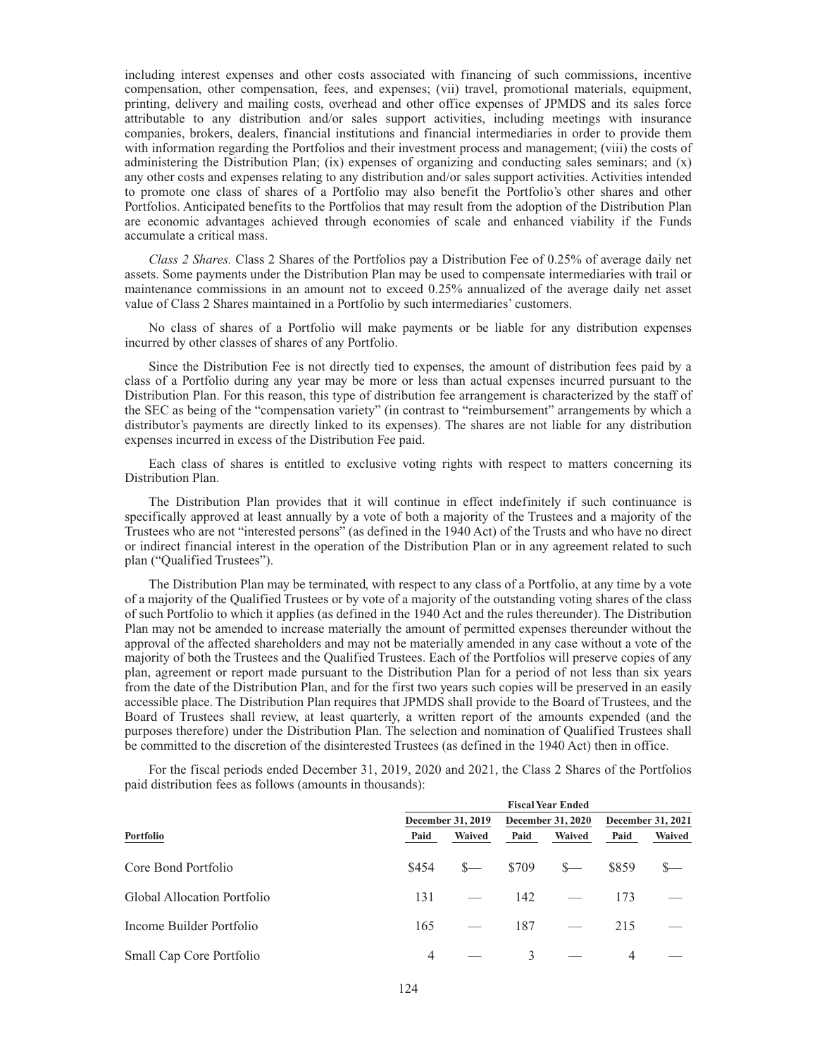including interest expenses and other costs associated with financing of such commissions, incentive compensation, other compensation, fees, and expenses; (vii) travel, promotional materials, equipment, printing, delivery and mailing costs, overhead and other office expenses of JPMDS and its sales force attributable to any distribution and/or sales support activities, including meetings with insurance companies, brokers, dealers, financial institutions and financial intermediaries in order to provide them with information regarding the Portfolios and their investment process and management; (viii) the costs of administering the Distribution Plan;  $(ix)$  expenses of organizing and conducting sales seminars; and  $(x)$ any other costs and expenses relating to any distribution and/or sales support activities. Activities intended to promote one class of shares of a Portfolio may also benefit the Portfolio's other shares and other Portfolios. Anticipated benefits to the Portfolios that may result from the adoption of the Distribution Plan are economic advantages achieved through economies of scale and enhanced viability if the Funds accumulate a critical mass.

*Class 2 Shares.* Class 2 Shares of the Portfolios pay a Distribution Fee of 0.25% of average daily net assets. Some payments under the Distribution Plan may be used to compensate intermediaries with trail or maintenance commissions in an amount not to exceed 0.25% annualized of the average daily net asset value of Class 2 Shares maintained in a Portfolio by such intermediaries' customers.

No class of shares of a Portfolio will make payments or be liable for any distribution expenses incurred by other classes of shares of any Portfolio.

Since the Distribution Fee is not directly tied to expenses, the amount of distribution fees paid by a class of a Portfolio during any year may be more or less than actual expenses incurred pursuant to the Distribution Plan. For this reason, this type of distribution fee arrangement is characterized by the staff of the SEC as being of the "compensation variety" (in contrast to "reimbursement" arrangements by which a distributor's payments are directly linked to its expenses). The shares are not liable for any distribution expenses incurred in excess of the Distribution Fee paid.

Each class of shares is entitled to exclusive voting rights with respect to matters concerning its Distribution Plan.

The Distribution Plan provides that it will continue in effect indefinitely if such continuance is specifically approved at least annually by a vote of both a majority of the Trustees and a majority of the Trustees who are not "interested persons" (as defined in the 1940 Act) of the Trusts and who have no direct or indirect financial interest in the operation of the Distribution Plan or in any agreement related to such plan ("Qualified Trustees").

The Distribution Plan may be terminated, with respect to any class of a Portfolio, at any time by a vote of a majority of the Qualified Trustees or by vote of a majority of the outstanding voting shares of the class of such Portfolio to which it applies (as defined in the 1940 Act and the rules thereunder). The Distribution Plan may not be amended to increase materially the amount of permitted expenses thereunder without the approval of the affected shareholders and may not be materially amended in any case without a vote of the majority of both the Trustees and the Qualified Trustees. Each of the Portfolios will preserve copies of any plan, agreement or report made pursuant to the Distribution Plan for a period of not less than six years from the date of the Distribution Plan, and for the first two years such copies will be preserved in an easily accessible place. The Distribution Plan requires that JPMDS shall provide to the Board of Trustees, and the Board of Trustees shall review, at least quarterly, a written report of the amounts expended (and the purposes therefore) under the Distribution Plan. The selection and nomination of Qualified Trustees shall be committed to the discretion of the disinterested Trustees (as defined in the 1940 Act) then in office.

For the fiscal periods ended December 31, 2019, 2020 and 2021, the Class 2 Shares of the Portfolios paid distribution fees as follows (amounts in thousands):

|                                    | <b>Fiscal Year Ended</b> |        |                          |        |                          |        |  |
|------------------------------------|--------------------------|--------|--------------------------|--------|--------------------------|--------|--|
|                                    | December 31, 2019        |        | <b>December 31, 2020</b> |        | <b>December 31, 2021</b> |        |  |
| Portfolio                          | Paid                     | Waived | Paid                     | Waived | Paid                     | Waived |  |
| Core Bond Portfolio                | \$454                    | $S-$   | \$709                    | $S-$   | \$859                    |        |  |
| <b>Global Allocation Portfolio</b> | 131                      |        | 142                      |        | 173                      |        |  |
| Income Builder Portfolio           | 165                      |        | 187                      |        | 215                      |        |  |
| Small Cap Core Portfolio           | 4                        |        | 3                        |        | $\overline{4}$           |        |  |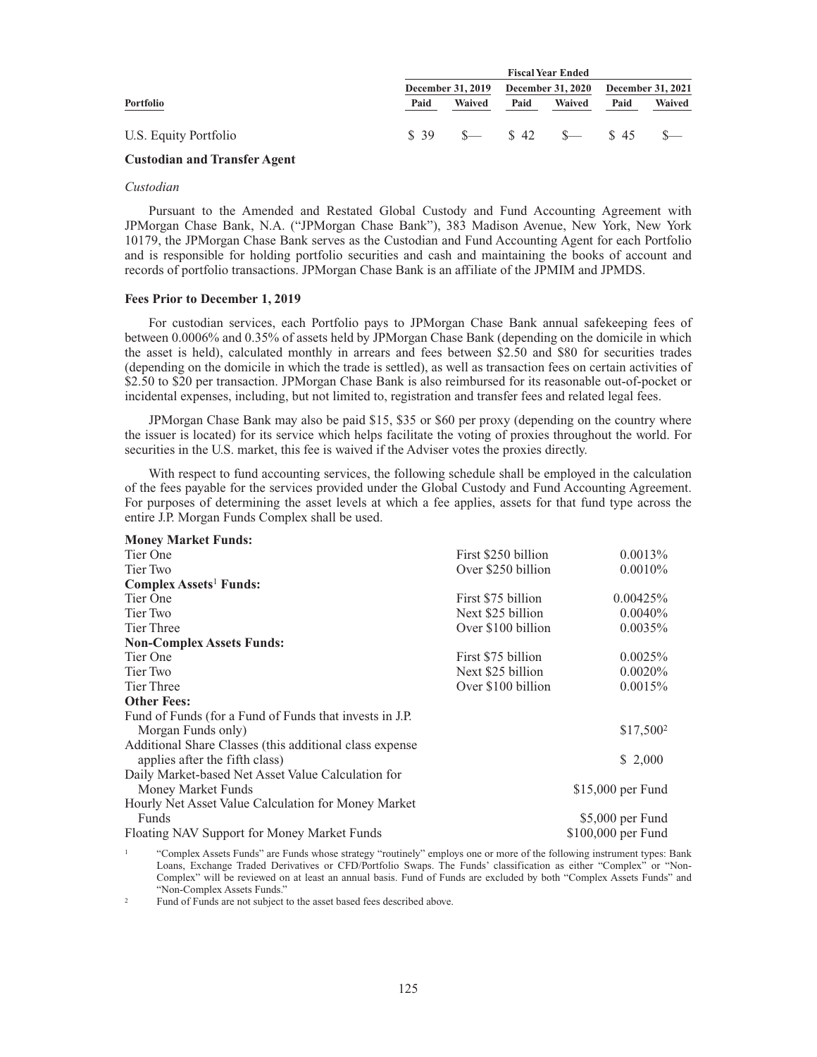| Portfolio                           | <b>Fiscal Year Ended</b> |                                                                                                                |      |                          |      |        |  |  |
|-------------------------------------|--------------------------|----------------------------------------------------------------------------------------------------------------|------|--------------------------|------|--------|--|--|
|                                     | <b>December 31, 2019</b> | <b>December 31, 2020</b>                                                                                       |      | <b>December 31, 2021</b> |      |        |  |  |
|                                     | Paid                     | Waived                                                                                                         | Paid | Waived                   | Paid | Waived |  |  |
| U.S. Equity Portfolio               |                          | $\text{\$}39$ $\text{\$} \text{---}$ $\text{\$}42$ $\text{\$} \text{---}$ $\text{\$}45$ $\text{\$} \text{---}$ |      |                          |      |        |  |  |
| <b>Custodian and Transfer Agent</b> |                          |                                                                                                                |      |                          |      |        |  |  |

#### *Custodian*

Pursuant to the Amended and Restated Global Custody and Fund Accounting Agreement with JPMorgan Chase Bank, N.A. ("JPMorgan Chase Bank"), 383 Madison Avenue, New York, New York 10179, the JPMorgan Chase Bank serves as the Custodian and Fund Accounting Agent for each Portfolio and is responsible for holding portfolio securities and cash and maintaining the books of account and records of portfolio transactions. JPMorgan Chase Bank is an affiliate of the JPMIM and JPMDS.

#### **Fees Prior to December 1, 2019**

For custodian services, each Portfolio pays to JPMorgan Chase Bank annual safekeeping fees of between 0.0006% and 0.35% of assets held by JPMorgan Chase Bank (depending on the domicile in which the asset is held), calculated monthly in arrears and fees between \$2.50 and \$80 for securities trades (depending on the domicile in which the trade is settled), as well as transaction fees on certain activities of \$2.50 to \$20 per transaction. JPMorgan Chase Bank is also reimbursed for its reasonable out-of-pocket or incidental expenses, including, but not limited to, registration and transfer fees and related legal fees.

JPMorgan Chase Bank may also be paid \$15, \$35 or \$60 per proxy (depending on the country where the issuer is located) for its service which helps facilitate the voting of proxies throughout the world. For securities in the U.S. market, this fee is waived if the Adviser votes the proxies directly.

With respect to fund accounting services, the following schedule shall be employed in the calculation of the fees payable for the services provided under the Global Custody and Fund Accounting Agreement. For purposes of determining the asset levels at which a fee applies, assets for that fund type across the entire J.P. Morgan Funds Complex shall be used.

| <b>Money Market Funds:</b>                              |                     |                       |
|---------------------------------------------------------|---------------------|-----------------------|
| Tier One                                                | First \$250 billion | $0.0013\%$            |
| Tier Two                                                | Over \$250 billion  | $0.0010\%$            |
| <b>Complex Assets<sup>1</sup> Funds:</b>                |                     |                       |
| Tier One                                                | First \$75 billion  | 0.00425%              |
| Tier Two                                                | Next \$25 billion   | $0.0040\%$            |
| Tier Three                                              | Over \$100 billion  | $0.0035\%$            |
| <b>Non-Complex Assets Funds:</b>                        |                     |                       |
| Tier One                                                | First \$75 billion  | 0.0025%               |
| Tier Two                                                | Next \$25 billion   | $0.0020\%$            |
| Tier Three                                              | Over \$100 billion  | 0.0015%               |
| <b>Other Fees:</b>                                      |                     |                       |
| Fund of Funds (for a Fund of Funds that invests in J.P. |                     |                       |
| Morgan Funds only)                                      |                     | \$17,500 <sup>2</sup> |
| Additional Share Classes (this additional class expense |                     |                       |
| applies after the fifth class)                          |                     | \$ 2,000              |
| Daily Market-based Net Asset Value Calculation for      |                     |                       |
| Money Market Funds                                      |                     | $$15,000$ per Fund    |
| Hourly Net Asset Value Calculation for Money Market     |                     |                       |
| Funds                                                   |                     | \$5,000 per Fund      |
| Floating NAV Support for Money Market Funds             |                     | \$100,000 per Fund    |

<sup>1</sup> "Complex Assets Funds" are Funds whose strategy "routinely" employs one or more of the following instrument types: Bank Loans, Exchange Traded Derivatives or CFD/Portfolio Swaps. The Funds' classification as either "Complex" or "Non-Complex" will be reviewed on at least an annual basis. Fund of Funds are excluded by both "Complex Assets Funds" and "Non-Complex Assets Funds."

<sup>2</sup> Fund of Funds are not subject to the asset based fees described above.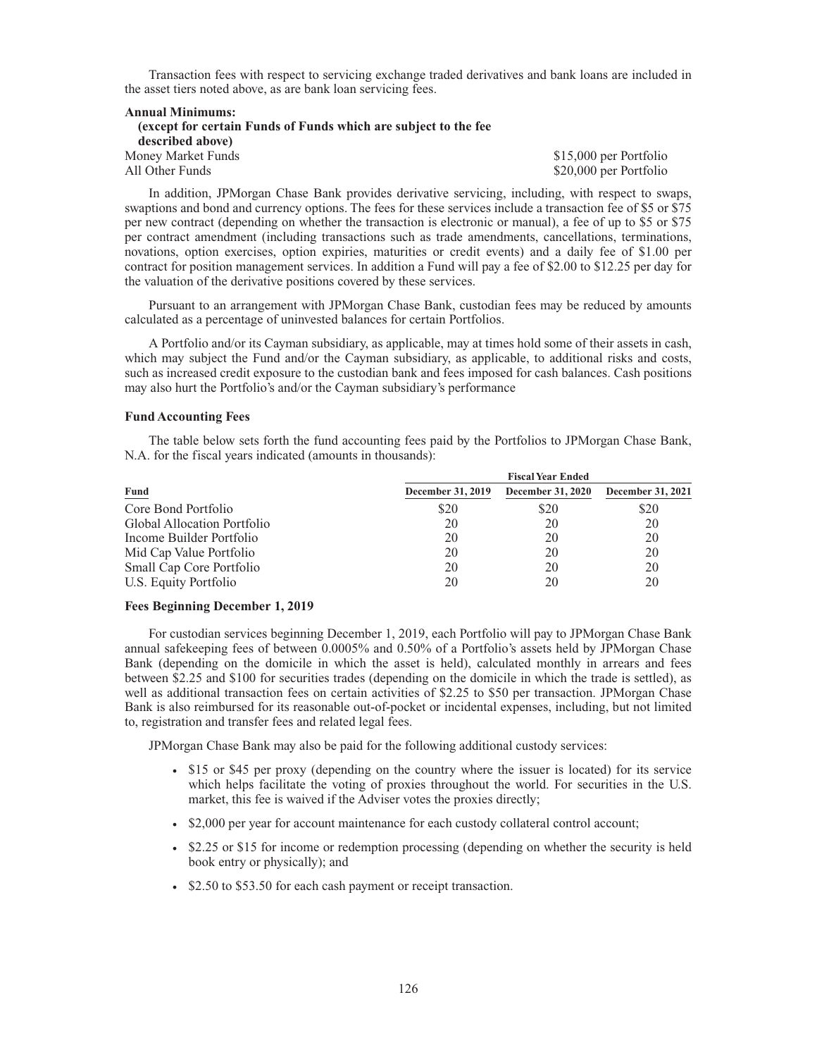Transaction fees with respect to servicing exchange traded derivatives and bank loans are included in the asset tiers noted above, as are bank loan servicing fees.

| <b>Annual Minimums:</b>                                         |                        |
|-----------------------------------------------------------------|------------------------|
| (except for certain Funds of Funds which are subject to the fee |                        |
| described above)                                                |                        |
| Money Market Funds                                              | \$15,000 per Portfolio |
| All Other Funds                                                 | \$20,000 per Portfolio |

In addition, JPMorgan Chase Bank provides derivative servicing, including, with respect to swaps, swaptions and bond and currency options. The fees for these services include a transaction fee of \$5 or \$75 per new contract (depending on whether the transaction is electronic or manual), a fee of up to \$5 or \$75 per contract amendment (including transactions such as trade amendments, cancellations, terminations, novations, option exercises, option expiries, maturities or credit events) and a daily fee of \$1.00 per contract for position management services. In addition a Fund will pay a fee of \$2.00 to \$12.25 per day for the valuation of the derivative positions covered by these services.

Pursuant to an arrangement with JPMorgan Chase Bank, custodian fees may be reduced by amounts calculated as a percentage of uninvested balances for certain Portfolios.

A Portfolio and/or its Cayman subsidiary, as applicable, may at times hold some of their assets in cash, which may subject the Fund and/or the Cayman subsidiary, as applicable, to additional risks and costs, such as increased credit exposure to the custodian bank and fees imposed for cash balances. Cash positions may also hurt the Portfolio's and/or the Cayman subsidiary's performance

### **Fund Accounting Fees**

The table below sets forth the fund accounting fees paid by the Portfolios to JPMorgan Chase Bank, N.A. for the fiscal years indicated (amounts in thousands):

|                             | <b>Fiscal Year Ended</b> |                          |                   |  |  |  |  |
|-----------------------------|--------------------------|--------------------------|-------------------|--|--|--|--|
| Fund                        | <b>December 31, 2019</b> | <b>December 31, 2020</b> | December 31, 2021 |  |  |  |  |
| Core Bond Portfolio         | \$20                     | \$20                     | \$20              |  |  |  |  |
| Global Allocation Portfolio | 20                       | 20                       | 20                |  |  |  |  |
| Income Builder Portfolio    | 20                       | 20                       | 20                |  |  |  |  |
| Mid Cap Value Portfolio     | 20                       | 20                       | 20                |  |  |  |  |
| Small Cap Core Portfolio    | 20                       | 20                       | 20                |  |  |  |  |
| U.S. Equity Portfolio       | 20                       | 20                       | 20                |  |  |  |  |

# **Fees Beginning December 1, 2019**

For custodian services beginning December 1, 2019, each Portfolio will pay to JPMorgan Chase Bank annual safekeeping fees of between 0.0005% and 0.50% of a Portfolio's assets held by JPMorgan Chase Bank (depending on the domicile in which the asset is held), calculated monthly in arrears and fees between \$2.25 and \$100 for securities trades (depending on the domicile in which the trade is settled), as well as additional transaction fees on certain activities of \$2.25 to \$50 per transaction. JPMorgan Chase Bank is also reimbursed for its reasonable out-of-pocket or incidental expenses, including, but not limited to, registration and transfer fees and related legal fees.

JPMorgan Chase Bank may also be paid for the following additional custody services:

- \$15 or \$45 per proxy (depending on the country where the issuer is located) for its service which helps facilitate the voting of proxies throughout the world. For securities in the U.S. market, this fee is waived if the Adviser votes the proxies directly;
- \$2,000 per year for account maintenance for each custody collateral control account;
- \$2.25 or \$15 for income or redemption processing (depending on whether the security is held book entry or physically); and
- \$2.50 to \$53.50 for each cash payment or receipt transaction.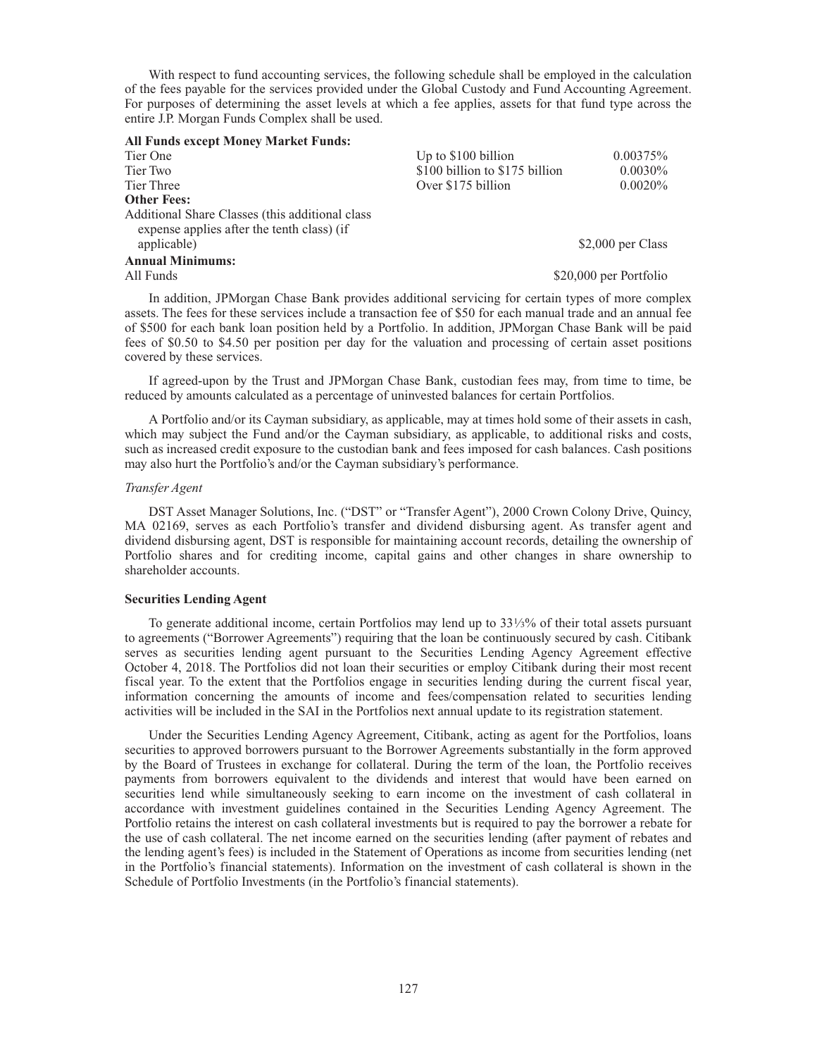With respect to fund accounting services, the following schedule shall be employed in the calculation of the fees payable for the services provided under the Global Custody and Fund Accounting Agreement. For purposes of determining the asset levels at which a fee applies, assets for that fund type across the entire J.P. Morgan Funds Complex shall be used.

| <b>All Funds except Money Market Funds:</b>     |                                |                        |
|-------------------------------------------------|--------------------------------|------------------------|
| Tier One                                        | Up to $$100$ billion           | $0.00375\%$            |
| Tier Two                                        | \$100 billion to \$175 billion | $0.0030\%$             |
| Tier Three                                      | Over \$175 billion             | $0.0020\%$             |
| <b>Other Fees:</b>                              |                                |                        |
| Additional Share Classes (this additional class |                                |                        |
| expense applies after the tenth class) (if      |                                |                        |
| applicable)                                     |                                | \$2,000 per Class      |
| <b>Annual Minimums:</b>                         |                                |                        |
| All Funds                                       |                                | \$20,000 per Portfolio |
|                                                 |                                |                        |

In addition, JPMorgan Chase Bank provides additional servicing for certain types of more complex assets. The fees for these services include a transaction fee of \$50 for each manual trade and an annual fee of \$500 for each bank loan position held by a Portfolio. In addition, JPMorgan Chase Bank will be paid fees of \$0.50 to \$4.50 per position per day for the valuation and processing of certain asset positions covered by these services.

If agreed-upon by the Trust and JPMorgan Chase Bank, custodian fees may, from time to time, be reduced by amounts calculated as a percentage of uninvested balances for certain Portfolios.

A Portfolio and/or its Cayman subsidiary, as applicable, may at times hold some of their assets in cash, which may subject the Fund and/or the Cayman subsidiary, as applicable, to additional risks and costs, such as increased credit exposure to the custodian bank and fees imposed for cash balances. Cash positions may also hurt the Portfolio's and/or the Cayman subsidiary's performance.

#### *Transfer Agent*

DST Asset Manager Solutions, Inc. ("DST" or "Transfer Agent"), 2000 Crown Colony Drive, Quincy, MA 02169, serves as each Portfolio's transfer and dividend disbursing agent. As transfer agent and dividend disbursing agent, DST is responsible for maintaining account records, detailing the ownership of Portfolio shares and for crediting income, capital gains and other changes in share ownership to shareholder accounts.

### **Securities Lending Agent**

To generate additional income, certain Portfolios may lend up to 331⁄3% of their total assets pursuant to agreements ("Borrower Agreements") requiring that the loan be continuously secured by cash. Citibank serves as securities lending agent pursuant to the Securities Lending Agency Agreement effective October 4, 2018. The Portfolios did not loan their securities or employ Citibank during their most recent fiscal year. To the extent that the Portfolios engage in securities lending during the current fiscal year, information concerning the amounts of income and fees/compensation related to securities lending activities will be included in the SAI in the Portfolios next annual update to its registration statement.

Under the Securities Lending Agency Agreement, Citibank, acting as agent for the Portfolios, loans securities to approved borrowers pursuant to the Borrower Agreements substantially in the form approved by the Board of Trustees in exchange for collateral. During the term of the loan, the Portfolio receives payments from borrowers equivalent to the dividends and interest that would have been earned on securities lend while simultaneously seeking to earn income on the investment of cash collateral in accordance with investment guidelines contained in the Securities Lending Agency Agreement. The Portfolio retains the interest on cash collateral investments but is required to pay the borrower a rebate for the use of cash collateral. The net income earned on the securities lending (after payment of rebates and the lending agent's fees) is included in the Statement of Operations as income from securities lending (net in the Portfolio's financial statements). Information on the investment of cash collateral is shown in the Schedule of Portfolio Investments (in the Portfolio's financial statements).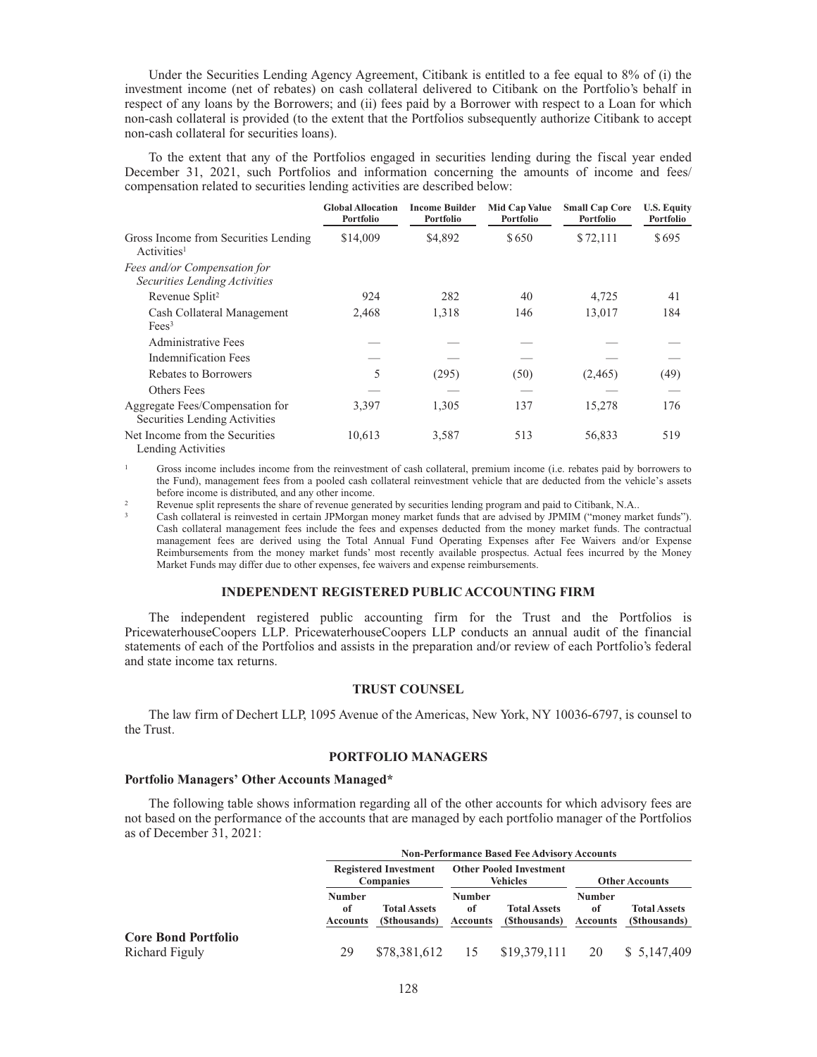Under the Securities Lending Agency Agreement, Citibank is entitled to a fee equal to 8% of (i) the investment income (net of rebates) on cash collateral delivered to Citibank on the Portfolio's behalf in respect of any loans by the Borrowers; and (ii) fees paid by a Borrower with respect to a Loan for which non-cash collateral is provided (to the extent that the Portfolios subsequently authorize Citibank to accept non-cash collateral for securities loans).

To the extent that any of the Portfolios engaged in securities lending during the fiscal year ended December 31, 2021, such Portfolios and information concerning the amounts of income and fees/ compensation related to securities lending activities are described below:

|                                                                  | <b>Global Allocation</b><br>Portfolio | <b>Income Builder</b><br>Portfolio | <b>Mid Cap Value</b><br>Portfolio | <b>Small Cap Core</b><br>Portfolio | <b>U.S. Equity</b><br>Portfolio |
|------------------------------------------------------------------|---------------------------------------|------------------------------------|-----------------------------------|------------------------------------|---------------------------------|
| Gross Income from Securities Lending<br>Activities <sup>1</sup>  | \$14,009                              | \$4,892                            | \$650                             | \$72,111                           | \$695                           |
| Fees and/or Compensation for<br>Securities Lending Activities    |                                       |                                    |                                   |                                    |                                 |
| Revenue Split <sup>2</sup>                                       | 924                                   | 282                                | 40                                | 4,725                              | 41                              |
| Cash Collateral Management<br>Fees <sup>3</sup>                  | 2,468                                 | 1,318                              | 146                               | 13,017                             | 184                             |
| Administrative Fees                                              |                                       |                                    |                                   |                                    |                                 |
| Indemnification Fees                                             |                                       |                                    |                                   |                                    |                                 |
| Rebates to Borrowers                                             | 5                                     | (295)                              | (50)                              | (2,465)                            | (49)                            |
| Others Fees                                                      |                                       |                                    |                                   |                                    |                                 |
| Aggregate Fees/Compensation for<br>Securities Lending Activities | 3,397                                 | 1,305                              | 137                               | 15,278                             | 176                             |
| Net Income from the Securities<br>Lending Activities             | 10,613                                | 3,587                              | 513                               | 56,833                             | 519                             |

<sup>1</sup> Gross income includes income from the reinvestment of cash collateral, premium income (i.e. rebates paid by borrowers to the Fund), management fees from a pooled cash collateral reinvestment vehicle that are deducted from the vehicle's assets before income is distributed, and any other income.

<sup>2</sup> Revenue split represents the share of revenue generated by securities lending program and paid to Citibank, N.A..

Cash collateral is reinvested in certain JPMorgan money market funds that are advised by JPMIM ("money market funds"). Cash collateral management fees include the fees and expenses deducted from the money market funds. The contractual management fees are derived using the Total Annual Fund Operating Expenses after Fee Waivers and/or Expense Reimbursements from the money market funds' most recently available prospectus. Actual fees incurred by the Money Market Funds may differ due to other expenses, fee waivers and expense reimbursements.

#### **INDEPENDENT REGISTERED PUBLIC ACCOUNTING FIRM**

The independent registered public accounting firm for the Trust and the Portfolios is PricewaterhouseCoopers LLP. PricewaterhouseCoopers LLP conducts an annual audit of the financial statements of each of the Portfolios and assists in the preparation and/or review of each Portfolio's federal and state income tax returns.

### **TRUST COUNSEL**

The law firm of Dechert LLP, 1095 Avenue of the Americas, New York, NY 10036-6797, is counsel to the Trust.

# **PORTFOLIO MANAGERS**

#### **Portfolio Managers' Other Accounts Managed\***

The following table shows information regarding all of the other accounts for which advisory fees are not based on the performance of the accounts that are managed by each portfolio manager of the Portfolios as of December 31, 2021:

|                                              |                                        | <b>Non-Performance Based Fee Advisory Accounts</b> |                                                   |                                     |                                        |                                     |  |  |
|----------------------------------------------|----------------------------------------|----------------------------------------------------|---------------------------------------------------|-------------------------------------|----------------------------------------|-------------------------------------|--|--|
|                                              |                                        | <b>Registered Investment</b><br><b>Companies</b>   | <b>Other Pooled Investment</b><br><b>Vehicles</b> |                                     |                                        | <b>Other Accounts</b>               |  |  |
|                                              | <b>Number</b><br>of<br><b>Accounts</b> | <b>Total Assets</b><br>(Sthousands)                | <b>Number</b><br>оf<br>Accounts                   | <b>Total Assets</b><br>(Sthousands) | <b>Number</b><br>of<br><b>Accounts</b> | <b>Total Assets</b><br>(Sthousands) |  |  |
| <b>Core Bond Portfolio</b><br>Richard Figuly | 29                                     | \$78,381,612                                       | -15                                               | \$19,379,111                        | - 20                                   | \$ 5,147,409                        |  |  |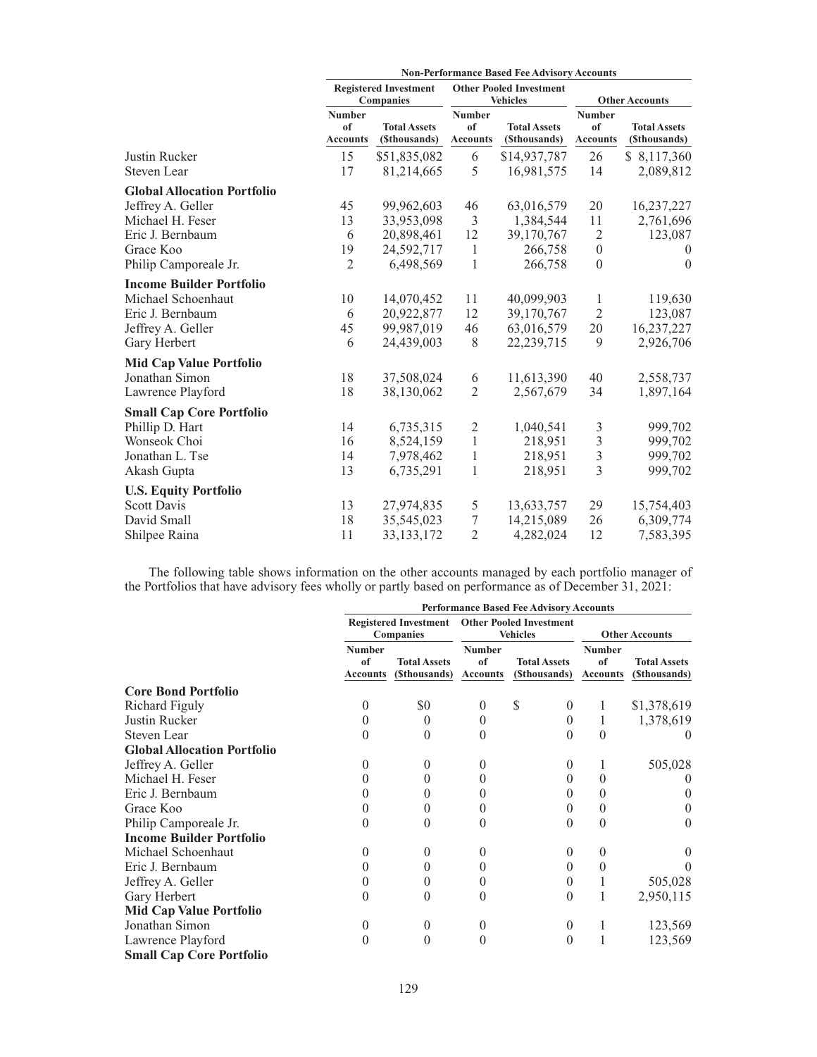|                                    | <b>Non-Performance Based Fee Advisory Accounts</b> |                                           |                                        |                                                   |                                        |                                     |
|------------------------------------|----------------------------------------------------|-------------------------------------------|----------------------------------------|---------------------------------------------------|----------------------------------------|-------------------------------------|
|                                    |                                                    | <b>Registered Investment</b><br>Companies |                                        | <b>Other Pooled Investment</b><br><b>Vehicles</b> |                                        | <b>Other Accounts</b>               |
|                                    | <b>Number</b><br>of<br><b>Accounts</b>             | <b>Total Assets</b><br>(\$thousands)      | <b>Number</b><br>of<br><b>Accounts</b> | <b>Total Assets</b><br>(Sthousands)               | <b>Number</b><br>of<br><b>Accounts</b> | <b>Total Assets</b><br>(Sthousands) |
| Justin Rucker                      | 15                                                 | \$51,835,082                              | 6                                      | \$14,937,787                                      | 26                                     | \$8,117,360                         |
| <b>Steven Lear</b>                 | 17                                                 | 81,214,665                                | 5                                      | 16,981,575                                        | 14                                     | 2,089,812                           |
| <b>Global Allocation Portfolio</b> |                                                    |                                           |                                        |                                                   |                                        |                                     |
| Jeffrey A. Geller                  | 45                                                 | 99,962,603                                | 46                                     | 63,016,579                                        | 20                                     | 16,237,227                          |
| Michael H. Feser                   | 13                                                 | 33,953,098                                | 3                                      | 1,384,544                                         | 11                                     | 2,761,696                           |
| Eric J. Bernbaum                   | 6                                                  | 20,898,461                                | 12                                     | 39,170,767                                        | $\overline{2}$                         | 123,087                             |
| Grace Koo                          | 19                                                 | 24,592,717                                | 1                                      | 266,758                                           | $\boldsymbol{0}$                       | $\theta$                            |
| Philip Camporeale Jr.              | $\overline{2}$                                     | 6,498,569                                 | $\mathbf{1}$                           | 266,758                                           | $\boldsymbol{0}$                       | $\boldsymbol{0}$                    |
| <b>Income Builder Portfolio</b>    |                                                    |                                           |                                        |                                                   |                                        |                                     |
| Michael Schoenhaut                 | 10                                                 | 14,070,452                                | 11                                     | 40,099,903                                        | 1                                      | 119,630                             |
| Eric J. Bernbaum                   | 6                                                  | 20,922,877                                | 12                                     | 39,170,767                                        | $\overline{2}$                         | 123,087                             |
| Jeffrey A. Geller                  | 45                                                 | 99,987,019                                | 46                                     | 63,016,579                                        | 20                                     | 16,237,227                          |
| Gary Herbert                       | 6                                                  | 24,439,003                                | 8                                      | 22,239,715                                        | 9                                      | 2,926,706                           |
| <b>Mid Cap Value Portfolio</b>     |                                                    |                                           |                                        |                                                   |                                        |                                     |
| Jonathan Simon                     | 18                                                 | 37,508,024                                | 6                                      | 11,613,390                                        | 40                                     | 2,558,737                           |
| Lawrence Playford                  | 18                                                 | 38,130,062                                | $\overline{2}$                         | 2,567,679                                         | 34                                     | 1,897,164                           |
| <b>Small Cap Core Portfolio</b>    |                                                    |                                           |                                        |                                                   |                                        |                                     |
| Phillip D. Hart                    | 14                                                 | 6,735,315                                 | $\overline{c}$                         | 1,040,541                                         | $\mathfrak{Z}$                         | 999,702                             |
| Wonseok Choi                       | 16                                                 | 8,524,159                                 | 1                                      | 218,951                                           | 3                                      | 999,702                             |
| Jonathan L. Tse                    | 14                                                 | 7,978,462                                 | 1                                      | 218,951                                           | 3                                      | 999,702                             |
| Akash Gupta                        | 13                                                 | 6,735,291                                 | 1                                      | 218,951                                           | 3                                      | 999,702                             |
| <b>U.S. Equity Portfolio</b>       |                                                    |                                           |                                        |                                                   |                                        |                                     |
| <b>Scott Davis</b>                 | 13                                                 | 27,974,835                                | 5                                      | 13,633,757                                        | 29                                     | 15,754,403                          |
| David Small                        | 18                                                 | 35,545,023                                | $\boldsymbol{7}$                       | 14,215,089                                        | 26                                     | 6,309,774                           |
| Shilpee Raina                      | 11                                                 | 33, 133, 172                              | $\overline{2}$                         | 4,282,024                                         | 12                                     | 7,583,395                           |

The following table shows information on the other accounts managed by each portfolio manager of the Portfolios that have advisory fees wholly or partly based on performance as of December 31, 2021:

|                                    |                                        | <b>Performance Based Fee Advisory Accounts</b>                                                        |                                        |                                     |                                        |                                      |  |  |
|------------------------------------|----------------------------------------|-------------------------------------------------------------------------------------------------------|----------------------------------------|-------------------------------------|----------------------------------------|--------------------------------------|--|--|
|                                    |                                        | <b>Other Pooled Investment</b><br><b>Registered Investment</b><br><b>Vehicles</b><br><b>Companies</b> |                                        |                                     | <b>Other Accounts</b>                  |                                      |  |  |
|                                    | <b>Number</b><br>of<br><b>Accounts</b> | <b>Total Assets</b><br>(Sthousands)                                                                   | <b>Number</b><br>of<br><b>Accounts</b> | <b>Total Assets</b><br>(Sthousands) | <b>Number</b><br>of<br><b>Accounts</b> | <b>Total Assets</b><br>(\$thousands) |  |  |
| <b>Core Bond Portfolio</b>         |                                        |                                                                                                       |                                        |                                     |                                        |                                      |  |  |
| Richard Figuly                     | $\theta$                               | \$0                                                                                                   | 0                                      | \$<br>$\mathbf{0}$                  |                                        | \$1,378,619                          |  |  |
| Justin Rucker                      |                                        | $\theta$                                                                                              | 0                                      | $\theta$                            |                                        | 1,378,619                            |  |  |
| <b>Steven Lear</b>                 | 0                                      | $\theta$                                                                                              | 0                                      | $\theta$                            | 0                                      |                                      |  |  |
| <b>Global Allocation Portfolio</b> |                                        |                                                                                                       |                                        |                                     |                                        |                                      |  |  |
| Jeffrey A. Geller                  | $\theta$                               | $\Omega$                                                                                              | 0                                      | $\theta$                            |                                        | 505,028                              |  |  |
| Michael H. Feser                   |                                        | $\theta$                                                                                              |                                        | $\theta$                            | 0                                      | $_{0}$                               |  |  |
| Eric J. Bernbaum                   |                                        | $\theta$                                                                                              |                                        | 0                                   | 0                                      | 0                                    |  |  |
| Grace Koo                          |                                        | $\theta$                                                                                              |                                        | $\theta$                            | 0                                      |                                      |  |  |
| Philip Camporeale Jr.              |                                        | 0                                                                                                     |                                        | $\theta$                            | 0                                      | $\theta$                             |  |  |
| <b>Income Builder Portfolio</b>    |                                        |                                                                                                       |                                        |                                     |                                        |                                      |  |  |
| Michael Schoenhaut                 |                                        | $\theta$                                                                                              | 0                                      | $\theta$                            | 0                                      |                                      |  |  |
| Eric J. Bernbaum                   |                                        | $\theta$                                                                                              | 0                                      | $\Omega$                            | 0                                      |                                      |  |  |
| Jeffrey A. Geller                  |                                        |                                                                                                       |                                        | $\theta$                            |                                        | 505,028                              |  |  |
| Gary Herbert                       | 0                                      | 0                                                                                                     | 0                                      | $\theta$                            |                                        | 2,950,115                            |  |  |
| <b>Mid Cap Value Portfolio</b>     |                                        |                                                                                                       |                                        |                                     |                                        |                                      |  |  |
| Jonathan Simon                     | 0                                      | $\Omega$                                                                                              | $\theta$                               | $\mathbf{0}$                        |                                        | 123,569                              |  |  |
| Lawrence Playford                  | $\theta$                               | $\theta$                                                                                              | 0                                      | $\theta$                            |                                        | 123,569                              |  |  |
| <b>Small Cap Core Portfolio</b>    |                                        |                                                                                                       |                                        |                                     |                                        |                                      |  |  |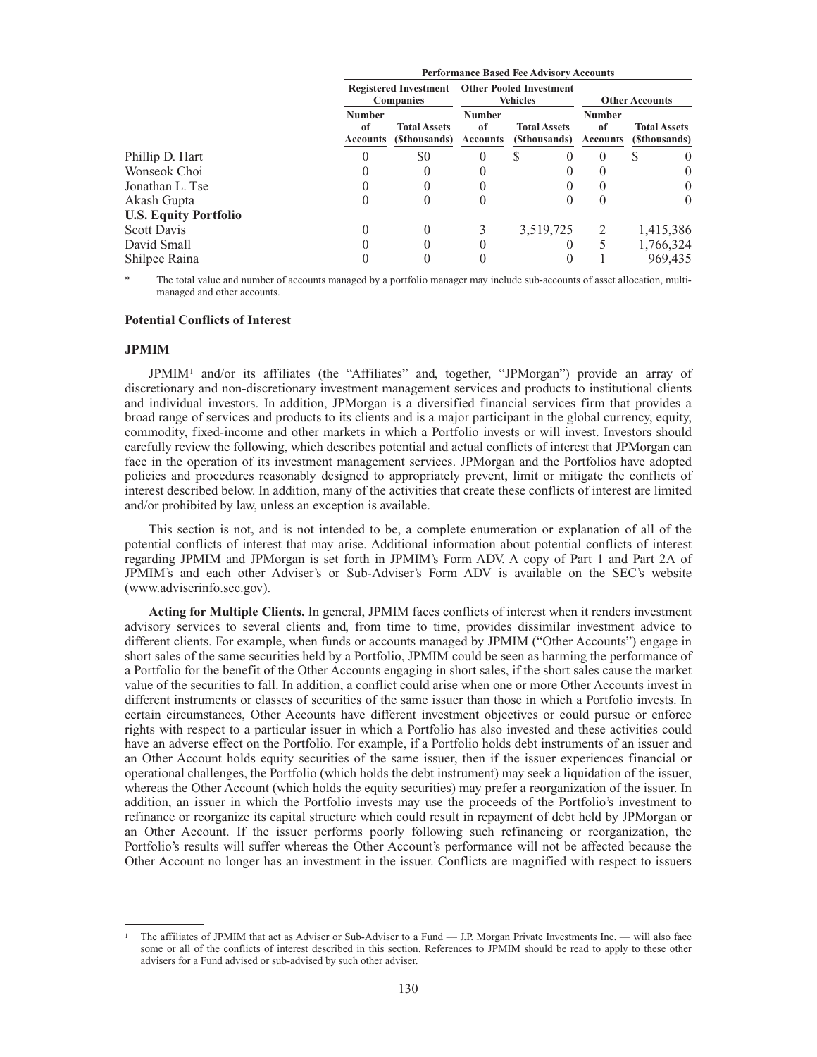| <b>Performance Based Fee Advisory Accounts</b> |                                     |                                        |                                     |                                                                  |                                     |  |  |
|------------------------------------------------|-------------------------------------|----------------------------------------|-------------------------------------|------------------------------------------------------------------|-------------------------------------|--|--|
| <b>Companies</b>                               |                                     |                                        |                                     | <b>Other Accounts</b>                                            |                                     |  |  |
| <b>Number</b><br>of<br><b>Accounts</b>         | <b>Total Assets</b><br>(Sthousands) | <b>Number</b><br>of<br><b>Accounts</b> | <b>Total Assets</b><br>(Sthousands) | <b>Number</b><br>of<br><b>Accounts</b>                           | <b>Total Assets</b><br>(Sthousands) |  |  |
|                                                | \$0                                 | 0                                      | S<br>0                              |                                                                  | S<br>$\theta$                       |  |  |
|                                                |                                     |                                        |                                     |                                                                  | $\theta$                            |  |  |
|                                                | $\theta$                            |                                        |                                     |                                                                  | $\theta$                            |  |  |
|                                                |                                     |                                        |                                     |                                                                  | $\theta$                            |  |  |
|                                                |                                     |                                        |                                     |                                                                  |                                     |  |  |
|                                                | $\Omega$                            |                                        | 3,519,725                           | 2                                                                | 1,415,386                           |  |  |
|                                                | $\theta$                            |                                        | 0                                   |                                                                  | 1,766,324                           |  |  |
|                                                |                                     |                                        |                                     |                                                                  | 969,435                             |  |  |
|                                                |                                     |                                        |                                     | Registered Investment Other Pooled Investment<br><b>Vehicles</b> |                                     |  |  |

The total value and number of accounts managed by a portfolio manager may include sub-accounts of asset allocation, multimanaged and other accounts.

#### **Potential Conflicts of Interest**

#### **JPMIM**

JPMIM1 and/or its affiliates (the "Affiliates" and, together, "JPMorgan") provide an array of discretionary and non-discretionary investment management services and products to institutional clients and individual investors. In addition, JPMorgan is a diversified financial services firm that provides a broad range of services and products to its clients and is a major participant in the global currency, equity, commodity, fixed-income and other markets in which a Portfolio invests or will invest. Investors should carefully review the following, which describes potential and actual conflicts of interest that JPMorgan can face in the operation of its investment management services. JPMorgan and the Portfolios have adopted policies and procedures reasonably designed to appropriately prevent, limit or mitigate the conflicts of interest described below. In addition, many of the activities that create these conflicts of interest are limited and/or prohibited by law, unless an exception is available.

This section is not, and is not intended to be, a complete enumeration or explanation of all of the potential conflicts of interest that may arise. Additional information about potential conflicts of interest regarding JPMIM and JPMorgan is set forth in JPMIM's Form ADV. A copy of Part 1 and Part 2A of JPMIM's and each other Adviser's or Sub-Adviser's Form ADV is available on the SEC's website (www.adviserinfo.sec.gov).

**Acting for Multiple Clients.** In general, JPMIM faces conflicts of interest when it renders investment advisory services to several clients and, from time to time, provides dissimilar investment advice to different clients. For example, when funds or accounts managed by JPMIM ("Other Accounts") engage in short sales of the same securities held by a Portfolio, JPMIM could be seen as harming the performance of a Portfolio for the benefit of the Other Accounts engaging in short sales, if the short sales cause the market value of the securities to fall. In addition, a conflict could arise when one or more Other Accounts invest in different instruments or classes of securities of the same issuer than those in which a Portfolio invests. In certain circumstances, Other Accounts have different investment objectives or could pursue or enforce rights with respect to a particular issuer in which a Portfolio has also invested and these activities could have an adverse effect on the Portfolio. For example, if a Portfolio holds debt instruments of an issuer and an Other Account holds equity securities of the same issuer, then if the issuer experiences financial or operational challenges, the Portfolio (which holds the debt instrument) may seek a liquidation of the issuer, whereas the Other Account (which holds the equity securities) may prefer a reorganization of the issuer. In addition, an issuer in which the Portfolio invests may use the proceeds of the Portfolio's investment to refinance or reorganize its capital structure which could result in repayment of debt held by JPMorgan or an Other Account. If the issuer performs poorly following such refinancing or reorganization, the Portfolio's results will suffer whereas the Other Account's performance will not be affected because the Other Account no longer has an investment in the issuer. Conflicts are magnified with respect to issuers

<sup>1</sup> The affiliates of JPMIM that act as Adviser or Sub-Adviser to a Fund — J.P. Morgan Private Investments Inc. — will also face some or all of the conflicts of interest described in this section. References to JPMIM should be read to apply to these other advisers for a Fund advised or sub-advised by such other adviser.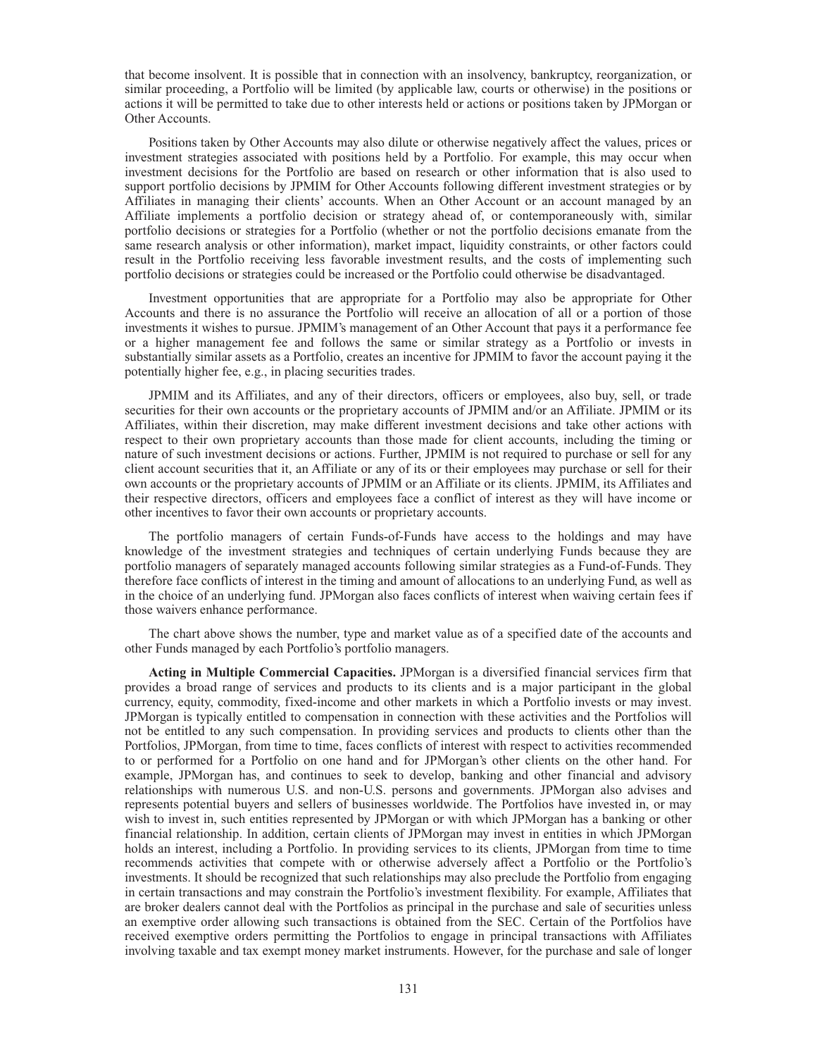that become insolvent. It is possible that in connection with an insolvency, bankruptcy, reorganization, or similar proceeding, a Portfolio will be limited (by applicable law, courts or otherwise) in the positions or actions it will be permitted to take due to other interests held or actions or positions taken by JPMorgan or Other Accounts.

Positions taken by Other Accounts may also dilute or otherwise negatively affect the values, prices or investment strategies associated with positions held by a Portfolio. For example, this may occur when investment decisions for the Portfolio are based on research or other information that is also used to support portfolio decisions by JPMIM for Other Accounts following different investment strategies or by Affiliates in managing their clients' accounts. When an Other Account or an account managed by an Affiliate implements a portfolio decision or strategy ahead of, or contemporaneously with, similar portfolio decisions or strategies for a Portfolio (whether or not the portfolio decisions emanate from the same research analysis or other information), market impact, liquidity constraints, or other factors could result in the Portfolio receiving less favorable investment results, and the costs of implementing such portfolio decisions or strategies could be increased or the Portfolio could otherwise be disadvantaged.

Investment opportunities that are appropriate for a Portfolio may also be appropriate for Other Accounts and there is no assurance the Portfolio will receive an allocation of all or a portion of those investments it wishes to pursue. JPMIM's management of an Other Account that pays it a performance fee or a higher management fee and follows the same or similar strategy as a Portfolio or invests in substantially similar assets as a Portfolio, creates an incentive for JPMIM to favor the account paying it the potentially higher fee, e.g., in placing securities trades.

JPMIM and its Affiliates, and any of their directors, officers or employees, also buy, sell, or trade securities for their own accounts or the proprietary accounts of JPMIM and/or an Affiliate. JPMIM or its Affiliates, within their discretion, may make different investment decisions and take other actions with respect to their own proprietary accounts than those made for client accounts, including the timing or nature of such investment decisions or actions. Further, JPMIM is not required to purchase or sell for any client account securities that it, an Affiliate or any of its or their employees may purchase or sell for their own accounts or the proprietary accounts of JPMIM or an Affiliate or its clients. JPMIM, its Affiliates and their respective directors, officers and employees face a conflict of interest as they will have income or other incentives to favor their own accounts or proprietary accounts.

The portfolio managers of certain Funds-of-Funds have access to the holdings and may have knowledge of the investment strategies and techniques of certain underlying Funds because they are portfolio managers of separately managed accounts following similar strategies as a Fund-of-Funds. They therefore face conflicts of interest in the timing and amount of allocations to an underlying Fund, as well as in the choice of an underlying fund. JPMorgan also faces conflicts of interest when waiving certain fees if those waivers enhance performance.

The chart above shows the number, type and market value as of a specified date of the accounts and other Funds managed by each Portfolio's portfolio managers.

**Acting in Multiple Commercial Capacities.** JPMorgan is a diversified financial services firm that provides a broad range of services and products to its clients and is a major participant in the global currency, equity, commodity, fixed-income and other markets in which a Portfolio invests or may invest. JPMorgan is typically entitled to compensation in connection with these activities and the Portfolios will not be entitled to any such compensation. In providing services and products to clients other than the Portfolios, JPMorgan, from time to time, faces conflicts of interest with respect to activities recommended to or performed for a Portfolio on one hand and for JPMorgan's other clients on the other hand. For example, JPMorgan has, and continues to seek to develop, banking and other financial and advisory relationships with numerous U.S. and non-U.S. persons and governments. JPMorgan also advises and represents potential buyers and sellers of businesses worldwide. The Portfolios have invested in, or may wish to invest in, such entities represented by JPMorgan or with which JPMorgan has a banking or other financial relationship. In addition, certain clients of JPMorgan may invest in entities in which JPMorgan holds an interest, including a Portfolio. In providing services to its clients, JPMorgan from time to time recommends activities that compete with or otherwise adversely affect a Portfolio or the Portfolio's investments. It should be recognized that such relationships may also preclude the Portfolio from engaging in certain transactions and may constrain the Portfolio's investment flexibility. For example, Affiliates that are broker dealers cannot deal with the Portfolios as principal in the purchase and sale of securities unless an exemptive order allowing such transactions is obtained from the SEC. Certain of the Portfolios have received exemptive orders permitting the Portfolios to engage in principal transactions with Affiliates involving taxable and tax exempt money market instruments. However, for the purchase and sale of longer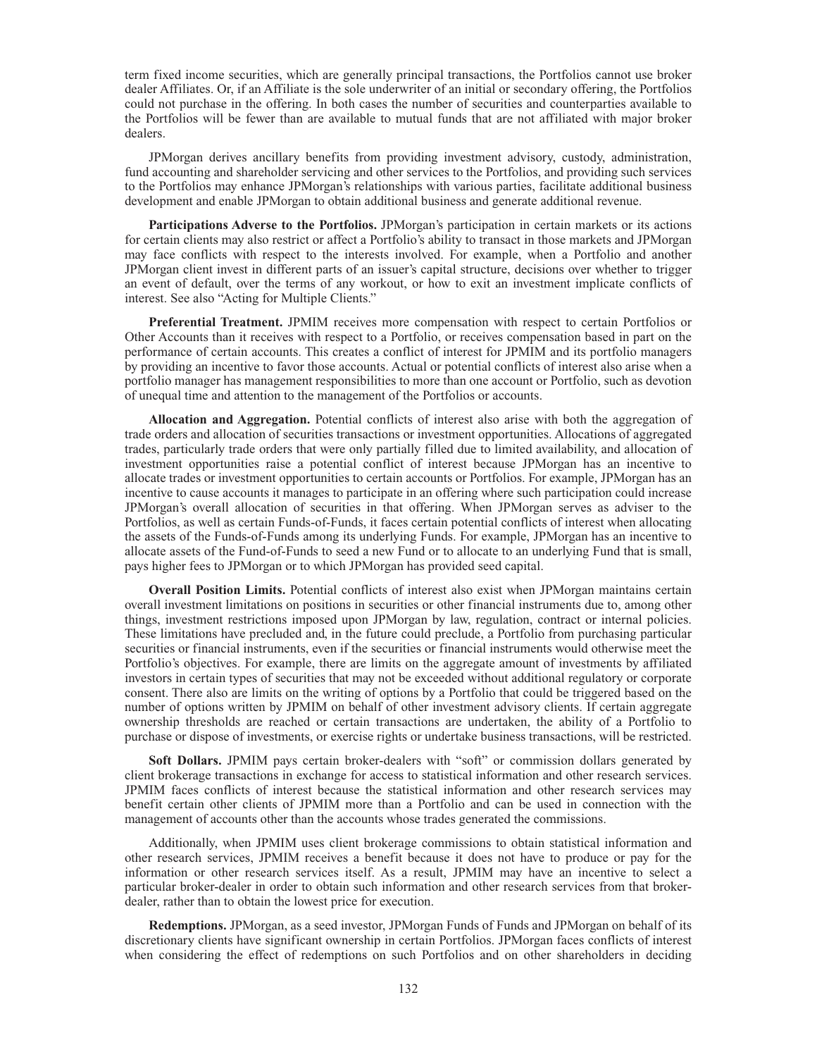term fixed income securities, which are generally principal transactions, the Portfolios cannot use broker dealer Affiliates. Or, if an Affiliate is the sole underwriter of an initial or secondary offering, the Portfolios could not purchase in the offering. In both cases the number of securities and counterparties available to the Portfolios will be fewer than are available to mutual funds that are not affiliated with major broker dealers.

JPMorgan derives ancillary benefits from providing investment advisory, custody, administration, fund accounting and shareholder servicing and other services to the Portfolios, and providing such services to the Portfolios may enhance JPMorgan's relationships with various parties, facilitate additional business development and enable JPMorgan to obtain additional business and generate additional revenue.

**Participations Adverse to the Portfolios.** JPMorgan's participation in certain markets or its actions for certain clients may also restrict or affect a Portfolio's ability to transact in those markets and JPMorgan may face conflicts with respect to the interests involved. For example, when a Portfolio and another JPMorgan client invest in different parts of an issuer's capital structure, decisions over whether to trigger an event of default, over the terms of any workout, or how to exit an investment implicate conflicts of interest. See also "Acting for Multiple Clients."

**Preferential Treatment.** JPMIM receives more compensation with respect to certain Portfolios or Other Accounts than it receives with respect to a Portfolio, or receives compensation based in part on the performance of certain accounts. This creates a conflict of interest for JPMIM and its portfolio managers by providing an incentive to favor those accounts. Actual or potential conflicts of interest also arise when a portfolio manager has management responsibilities to more than one account or Portfolio, such as devotion of unequal time and attention to the management of the Portfolios or accounts.

**Allocation and Aggregation.** Potential conflicts of interest also arise with both the aggregation of trade orders and allocation of securities transactions or investment opportunities. Allocations of aggregated trades, particularly trade orders that were only partially filled due to limited availability, and allocation of investment opportunities raise a potential conflict of interest because JPMorgan has an incentive to allocate trades or investment opportunities to certain accounts or Portfolios. For example, JPMorgan has an incentive to cause accounts it manages to participate in an offering where such participation could increase JPMorgan's overall allocation of securities in that offering. When JPMorgan serves as adviser to the Portfolios, as well as certain Funds-of-Funds, it faces certain potential conflicts of interest when allocating the assets of the Funds-of-Funds among its underlying Funds. For example, JPMorgan has an incentive to allocate assets of the Fund-of-Funds to seed a new Fund or to allocate to an underlying Fund that is small, pays higher fees to JPMorgan or to which JPMorgan has provided seed capital.

**Overall Position Limits.** Potential conflicts of interest also exist when JPMorgan maintains certain overall investment limitations on positions in securities or other financial instruments due to, among other things, investment restrictions imposed upon JPMorgan by law, regulation, contract or internal policies. These limitations have precluded and, in the future could preclude, a Portfolio from purchasing particular securities or financial instruments, even if the securities or financial instruments would otherwise meet the Portfolio's objectives. For example, there are limits on the aggregate amount of investments by affiliated investors in certain types of securities that may not be exceeded without additional regulatory or corporate consent. There also are limits on the writing of options by a Portfolio that could be triggered based on the number of options written by JPMIM on behalf of other investment advisory clients. If certain aggregate ownership thresholds are reached or certain transactions are undertaken, the ability of a Portfolio to purchase or dispose of investments, or exercise rights or undertake business transactions, will be restricted.

**Soft Dollars.** JPMIM pays certain broker-dealers with "soft" or commission dollars generated by client brokerage transactions in exchange for access to statistical information and other research services. JPMIM faces conflicts of interest because the statistical information and other research services may benefit certain other clients of JPMIM more than a Portfolio and can be used in connection with the management of accounts other than the accounts whose trades generated the commissions.

Additionally, when JPMIM uses client brokerage commissions to obtain statistical information and other research services, JPMIM receives a benefit because it does not have to produce or pay for the information or other research services itself. As a result, JPMIM may have an incentive to select a particular broker-dealer in order to obtain such information and other research services from that brokerdealer, rather than to obtain the lowest price for execution.

**Redemptions.** JPMorgan, as a seed investor, JPMorgan Funds of Funds and JPMorgan on behalf of its discretionary clients have significant ownership in certain Portfolios. JPMorgan faces conflicts of interest when considering the effect of redemptions on such Portfolios and on other shareholders in deciding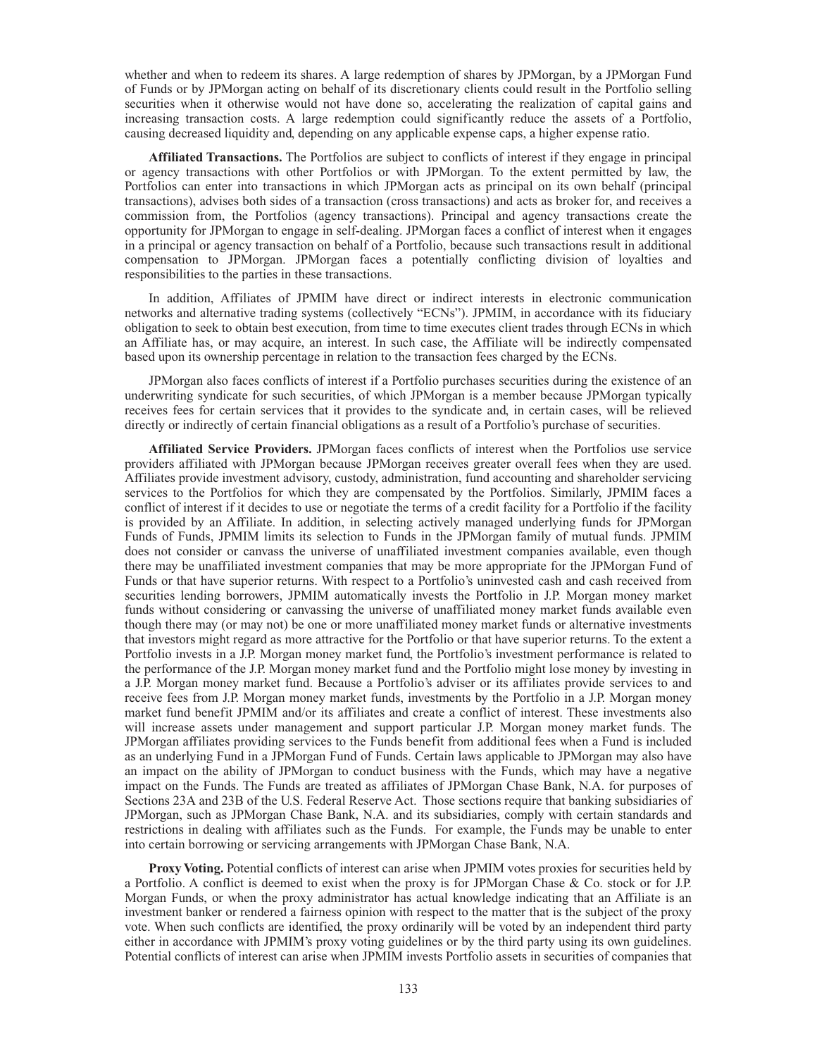whether and when to redeem its shares. A large redemption of shares by JPMorgan, by a JPMorgan Fund of Funds or by JPMorgan acting on behalf of its discretionary clients could result in the Portfolio selling securities when it otherwise would not have done so, accelerating the realization of capital gains and increasing transaction costs. A large redemption could significantly reduce the assets of a Portfolio, causing decreased liquidity and, depending on any applicable expense caps, a higher expense ratio.

**Affiliated Transactions.** The Portfolios are subject to conflicts of interest if they engage in principal or agency transactions with other Portfolios or with JPMorgan. To the extent permitted by law, the Portfolios can enter into transactions in which JPMorgan acts as principal on its own behalf (principal transactions), advises both sides of a transaction (cross transactions) and acts as broker for, and receives a commission from, the Portfolios (agency transactions). Principal and agency transactions create the opportunity for JPMorgan to engage in self-dealing. JPMorgan faces a conflict of interest when it engages in a principal or agency transaction on behalf of a Portfolio, because such transactions result in additional compensation to JPMorgan. JPMorgan faces a potentially conflicting division of loyalties and responsibilities to the parties in these transactions.

In addition, Affiliates of JPMIM have direct or indirect interests in electronic communication networks and alternative trading systems (collectively "ECNs"). JPMIM, in accordance with its fiduciary obligation to seek to obtain best execution, from time to time executes client trades through ECNs in which an Affiliate has, or may acquire, an interest. In such case, the Affiliate will be indirectly compensated based upon its ownership percentage in relation to the transaction fees charged by the ECNs.

JPMorgan also faces conflicts of interest if a Portfolio purchases securities during the existence of an underwriting syndicate for such securities, of which JPMorgan is a member because JPMorgan typically receives fees for certain services that it provides to the syndicate and, in certain cases, will be relieved directly or indirectly of certain financial obligations as a result of a Portfolio's purchase of securities.

**Affiliated Service Providers.** JPMorgan faces conflicts of interest when the Portfolios use service providers affiliated with JPMorgan because JPMorgan receives greater overall fees when they are used. Affiliates provide investment advisory, custody, administration, fund accounting and shareholder servicing services to the Portfolios for which they are compensated by the Portfolios. Similarly, JPMIM faces a conflict of interest if it decides to use or negotiate the terms of a credit facility for a Portfolio if the facility is provided by an Affiliate. In addition, in selecting actively managed underlying funds for JPMorgan Funds of Funds, JPMIM limits its selection to Funds in the JPMorgan family of mutual funds. JPMIM does not consider or canvass the universe of unaffiliated investment companies available, even though there may be unaffiliated investment companies that may be more appropriate for the JPMorgan Fund of Funds or that have superior returns. With respect to a Portfolio's uninvested cash and cash received from securities lending borrowers, JPMIM automatically invests the Portfolio in J.P. Morgan money market funds without considering or canvassing the universe of unaffiliated money market funds available even though there may (or may not) be one or more unaffiliated money market funds or alternative investments that investors might regard as more attractive for the Portfolio or that have superior returns. To the extent a Portfolio invests in a J.P. Morgan money market fund, the Portfolio's investment performance is related to the performance of the J.P. Morgan money market fund and the Portfolio might lose money by investing in a J.P. Morgan money market fund. Because a Portfolio's adviser or its affiliates provide services to and receive fees from J.P. Morgan money market funds, investments by the Portfolio in a J.P. Morgan money market fund benefit JPMIM and/or its affiliates and create a conflict of interest. These investments also will increase assets under management and support particular J.P. Morgan money market funds. The JPMorgan affiliates providing services to the Funds benefit from additional fees when a Fund is included as an underlying Fund in a JPMorgan Fund of Funds. Certain laws applicable to JPMorgan may also have an impact on the ability of JPMorgan to conduct business with the Funds, which may have a negative impact on the Funds. The Funds are treated as affiliates of JPMorgan Chase Bank, N.A. for purposes of Sections 23A and 23B of the U.S. Federal Reserve Act. Those sections require that banking subsidiaries of JPMorgan, such as JPMorgan Chase Bank, N.A. and its subsidiaries, comply with certain standards and restrictions in dealing with affiliates such as the Funds. For example, the Funds may be unable to enter into certain borrowing or servicing arrangements with JPMorgan Chase Bank, N.A.

**Proxy Voting.** Potential conflicts of interest can arise when JPMIM votes proxies for securities held by a Portfolio. A conflict is deemed to exist when the proxy is for JPMorgan Chase & Co. stock or for J.P. Morgan Funds, or when the proxy administrator has actual knowledge indicating that an Affiliate is an investment banker or rendered a fairness opinion with respect to the matter that is the subject of the proxy vote. When such conflicts are identified, the proxy ordinarily will be voted by an independent third party either in accordance with JPMIM's proxy voting guidelines or by the third party using its own guidelines. Potential conflicts of interest can arise when JPMIM invests Portfolio assets in securities of companies that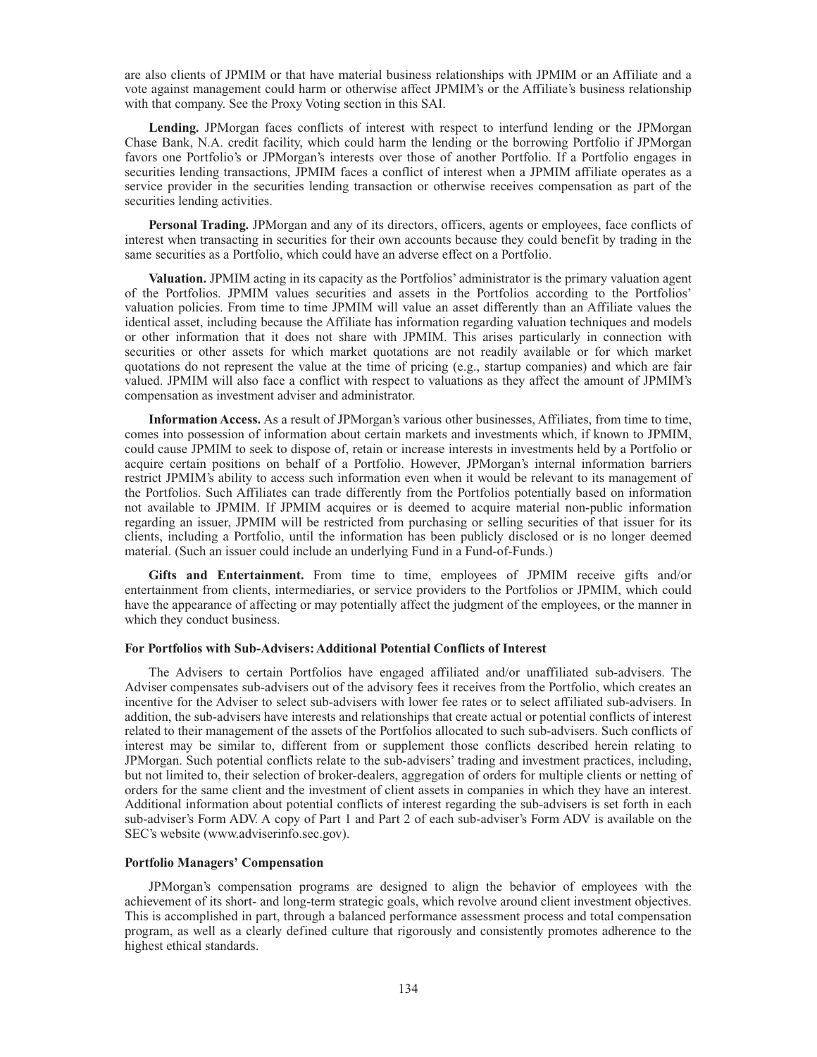are also clients of JPMIM or that have material business relationships with JPMIM or an Affiliate and a vote against management could harm or otherwise affect JPMIM's or the Affiliate's business relationship with that company. See the Proxy Voting section in this SAI.

**Lending.** JPMorgan faces conflicts of interest with respect to interfund lending or the JPMorgan Chase Bank, N.A. credit facility, which could harm the lending or the borrowing Portfolio if JPMorgan favors one Portfolio's or JPMorgan's interests over those of another Portfolio. If a Portfolio engages in securities lending transactions, JPMIM faces a conflict of interest when a JPMIM affiliate operates as a service provider in the securities lending transaction or otherwise receives compensation as part of the securities lending activities.

**Personal Trading.** JPMorgan and any of its directors, officers, agents or employees, face conflicts of interest when transacting in securities for their own accounts because they could benefit by trading in the same securities as a Portfolio, which could have an adverse effect on a Portfolio.

**Valuation.** JPMIM acting in its capacity as the Portfolios' administrator is the primary valuation agent of the Portfolios. JPMIM values securities and assets in the Portfolios according to the Portfolios' valuation policies. From time to time JPMIM will value an asset differently than an Affiliate values the identical asset, including because the Affiliate has information regarding valuation techniques and models or other information that it does not share with JPMIM. This arises particularly in connection with securities or other assets for which market quotations are not readily available or for which market quotations do not represent the value at the time of pricing (e.g., startup companies) and which are fair valued. JPMIM will also face a conflict with respect to valuations as they affect the amount of JPMIM's compensation as investment adviser and administrator.

**Information Access.** As a result of JPMorgan's various other businesses, Affiliates, from time to time, comes into possession of information about certain markets and investments which, if known to JPMIM, could cause JPMIM to seek to dispose of, retain or increase interests in investments held by a Portfolio or acquire certain positions on behalf of a Portfolio. However, JPMorgan's internal information barriers restrict JPMIM's ability to access such information even when it would be relevant to its management of the Portfolios. Such Affiliates can trade differently from the Portfolios potentially based on information not available to JPMIM. If JPMIM acquires or is deemed to acquire material non-public information regarding an issuer, JPMIM will be restricted from purchasing or selling securities of that issuer for its clients, including a Portfolio, until the information has been publicly disclosed or is no longer deemed material. (Such an issuer could include an underlying Fund in a Fund-of-Funds.)

**Gifts and Entertainment.** From time to time, employees of JPMIM receive gifts and/or entertainment from clients, intermediaries, or service providers to the Portfolios or JPMIM, which could have the appearance of affecting or may potentially affect the judgment of the employees, or the manner in which they conduct business.

#### **For Portfolios with Sub-Advisers: Additional Potential Conflicts of Interest**

The Advisers to certain Portfolios have engaged affiliated and/or unaffiliated sub-advisers. The Adviser compensates sub-advisers out of the advisory fees it receives from the Portfolio, which creates an incentive for the Adviser to select sub-advisers with lower fee rates or to select affiliated sub-advisers. In addition, the sub-advisers have interests and relationships that create actual or potential conflicts of interest related to their management of the assets of the Portfolios allocated to such sub-advisers. Such conflicts of interest may be similar to, different from or supplement those conflicts described herein relating to JPMorgan. Such potential conflicts relate to the sub-advisers' trading and investment practices, including, but not limited to, their selection of broker-dealers, aggregation of orders for multiple clients or netting of orders for the same client and the investment of client assets in companies in which they have an interest. Additional information about potential conflicts of interest regarding the sub-advisers is set forth in each sub-adviser's Form ADV. A copy of Part 1 and Part 2 of each sub-adviser's Form ADV is available on the SEC's website (www.adviserinfo.sec.gov).

### **Portfolio Managers' Compensation**

JPMorgan's compensation programs are designed to align the behavior of employees with the achievement of its short- and long-term strategic goals, which revolve around client investment objectives. This is accomplished in part, through a balanced performance assessment process and total compensation program, as well as a clearly defined culture that rigorously and consistently promotes adherence to the highest ethical standards.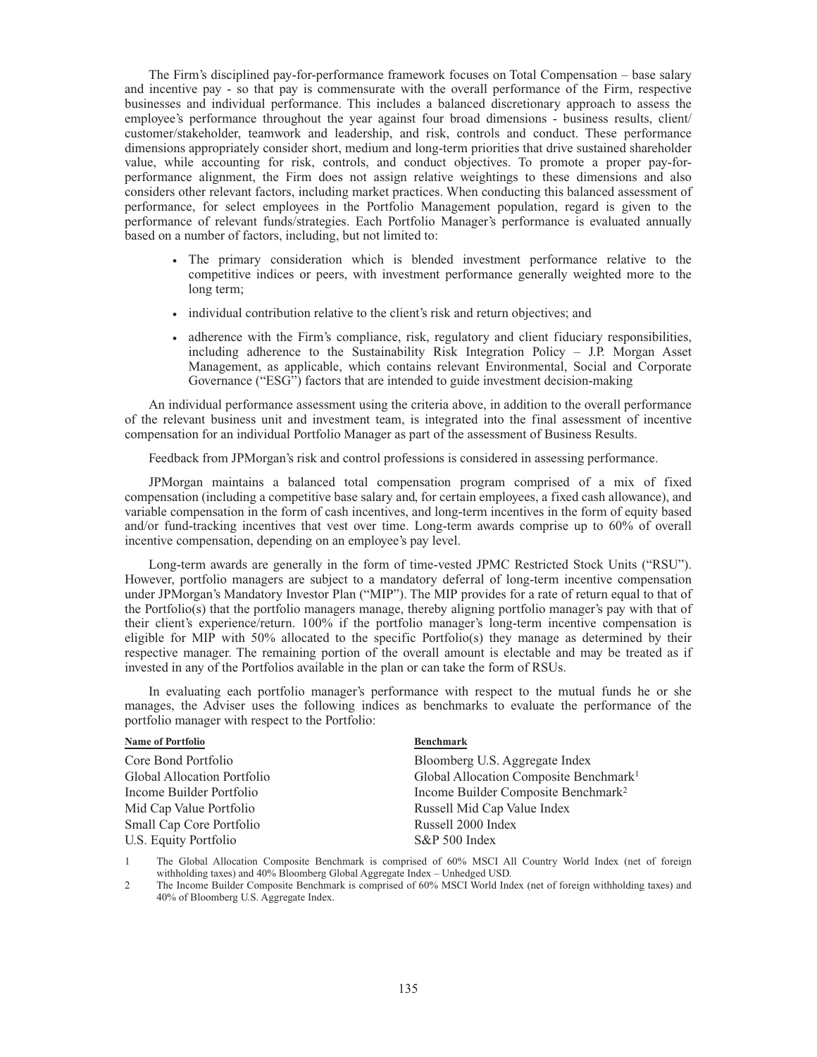The Firm's disciplined pay-for-performance framework focuses on Total Compensation – base salary and incentive pay - so that pay is commensurate with the overall performance of the Firm, respective businesses and individual performance. This includes a balanced discretionary approach to assess the employee's performance throughout the year against four broad dimensions - business results, client/ customer/stakeholder, teamwork and leadership, and risk, controls and conduct. These performance dimensions appropriately consider short, medium and long-term priorities that drive sustained shareholder value, while accounting for risk, controls, and conduct objectives. To promote a proper pay-forperformance alignment, the Firm does not assign relative weightings to these dimensions and also considers other relevant factors, including market practices. When conducting this balanced assessment of performance, for select employees in the Portfolio Management population, regard is given to the performance of relevant funds/strategies. Each Portfolio Manager's performance is evaluated annually based on a number of factors, including, but not limited to:

- The primary consideration which is blended investment performance relative to the competitive indices or peers, with investment performance generally weighted more to the long term;
- individual contribution relative to the client's risk and return objectives; and
- adherence with the Firm's compliance, risk, regulatory and client fiduciary responsibilities, including adherence to the Sustainability Risk Integration Policy – J.P. Morgan Asset Management, as applicable, which contains relevant Environmental, Social and Corporate Governance ("ESG") factors that are intended to guide investment decision-making

An individual performance assessment using the criteria above, in addition to the overall performance of the relevant business unit and investment team, is integrated into the final assessment of incentive compensation for an individual Portfolio Manager as part of the assessment of Business Results.

Feedback from JPMorgan's risk and control professions is considered in assessing performance.

JPMorgan maintains a balanced total compensation program comprised of a mix of fixed compensation (including a competitive base salary and, for certain employees, a fixed cash allowance), and variable compensation in the form of cash incentives, and long-term incentives in the form of equity based and/or fund-tracking incentives that vest over time. Long-term awards comprise up to 60% of overall incentive compensation, depending on an employee's pay level.

Long-term awards are generally in the form of time-vested JPMC Restricted Stock Units ("RSU"). However, portfolio managers are subject to a mandatory deferral of long-term incentive compensation under JPMorgan's Mandatory Investor Plan ("MIP"). The MIP provides for a rate of return equal to that of the Portfolio(s) that the portfolio managers manage, thereby aligning portfolio manager's pay with that of their client's experience/return. 100% if the portfolio manager's long-term incentive compensation is eligible for MIP with 50% allocated to the specific Portfolio(s) they manage as determined by their respective manager. The remaining portion of the overall amount is electable and may be treated as if invested in any of the Portfolios available in the plan or can take the form of RSUs.

In evaluating each portfolio manager's performance with respect to the mutual funds he or she manages, the Adviser uses the following indices as benchmarks to evaluate the performance of the portfolio manager with respect to the Portfolio:

| <b>Name of Portfolio</b>           | <b>Benchmark</b>                                   |
|------------------------------------|----------------------------------------------------|
| Core Bond Portfolio                | Bloomberg U.S. Aggregate Index                     |
| <b>Global Allocation Portfolio</b> | Global Allocation Composite Benchmark <sup>1</sup> |
| Income Builder Portfolio           | Income Builder Composite Benchmark <sup>2</sup>    |
| Mid Cap Value Portfolio            | Russell Mid Cap Value Index                        |
| Small Cap Core Portfolio           | Russell 2000 Index                                 |
| U.S. Equity Portfolio              | S&P 500 Index                                      |
|                                    |                                                    |

1 The Global Allocation Composite Benchmark is comprised of 60% MSCI All Country World Index (net of foreign withholding taxes) and 40% Bloomberg Global Aggregate Index – Unhedged USD.

2 The Income Builder Composite Benchmark is comprised of 60% MSCI World Index (net of foreign withholding taxes) and 40% of Bloomberg U.S. Aggregate Index.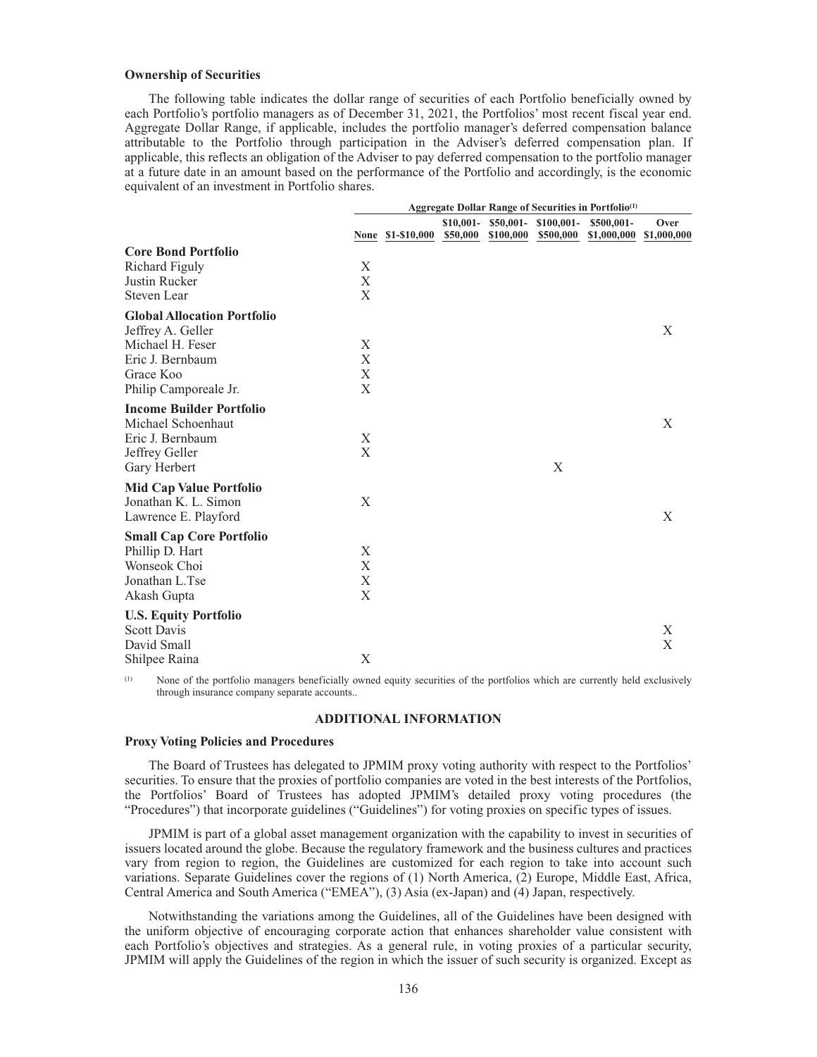#### **Ownership of Securities**

The following table indicates the dollar range of securities of each Portfolio beneficially owned by each Portfolio's portfolio managers as of December 31, 2021, the Portfolios' most recent fiscal year end. Aggregate Dollar Range, if applicable, includes the portfolio manager's deferred compensation balance attributable to the Portfolio through participation in the Adviser's deferred compensation plan. If applicable, this reflects an obligation of the Adviser to pay deferred compensation to the portfolio manager at a future date in an amount based on the performance of the Portfolio and accordingly, is the economic equivalent of an investment in Portfolio shares.

|                                                                                                             | Aggregate Dollar Range of Securities in Portfolio <sup>(1)</sup> |                   |          |  |                                                        |                           |                     |
|-------------------------------------------------------------------------------------------------------------|------------------------------------------------------------------|-------------------|----------|--|--------------------------------------------------------|---------------------------|---------------------|
|                                                                                                             |                                                                  | None \$1-\$10,000 | \$50,000 |  | $$10,001-$ \$50,001- \$100,001-<br>\$100,000 \$500,000 | \$500,001-<br>\$1,000,000 | Over<br>\$1,000,000 |
| <b>Core Bond Portfolio</b>                                                                                  |                                                                  |                   |          |  |                                                        |                           |                     |
| <b>Richard Figuly</b>                                                                                       | X                                                                |                   |          |  |                                                        |                           |                     |
| Justin Rucker                                                                                               | X                                                                |                   |          |  |                                                        |                           |                     |
| <b>Steven Lear</b>                                                                                          | X                                                                |                   |          |  |                                                        |                           |                     |
| <b>Global Allocation Portfolio</b><br>Jeffrey A. Geller                                                     |                                                                  |                   |          |  |                                                        |                           | X                   |
| Michael H. Feser                                                                                            | X                                                                |                   |          |  |                                                        |                           |                     |
| Eric J. Bernbaum                                                                                            | X                                                                |                   |          |  |                                                        |                           |                     |
| Grace Koo                                                                                                   | X                                                                |                   |          |  |                                                        |                           |                     |
| Philip Camporeale Jr.                                                                                       | $\mathbf{X}$                                                     |                   |          |  |                                                        |                           |                     |
| <b>Income Builder Portfolio</b><br>Michael Schoenhaut<br>Eric J. Bernbaum<br>Jeffrey Geller<br>Gary Herbert | X<br>$\mathbf X$                                                 |                   |          |  | X                                                      |                           | X                   |
| <b>Mid Cap Value Portfolio</b><br>Jonathan K. L. Simon<br>Lawrence E. Playford                              | $\mathbf X$                                                      |                   |          |  |                                                        |                           | X                   |
| <b>Small Cap Core Portfolio</b><br>Phillip D. Hart                                                          | X                                                                |                   |          |  |                                                        |                           |                     |
| Wonseok Choi                                                                                                | X                                                                |                   |          |  |                                                        |                           |                     |
| Jonathan L.Tse                                                                                              | X                                                                |                   |          |  |                                                        |                           |                     |
| Akash Gupta                                                                                                 | $\mathbf X$                                                      |                   |          |  |                                                        |                           |                     |
| <b>U.S. Equity Portfolio</b><br><b>Scott Davis</b><br>David Small                                           |                                                                  |                   |          |  |                                                        |                           | X<br>X              |
| Shilpee Raina                                                                                               | X                                                                |                   |          |  |                                                        |                           |                     |

(1) None of the portfolio managers beneficially owned equity securities of the portfolios which are currently held exclusively through insurance company separate accounts..

#### **ADDITIONAL INFORMATION**

#### **Proxy Voting Policies and Procedures**

The Board of Trustees has delegated to JPMIM proxy voting authority with respect to the Portfolios' securities. To ensure that the proxies of portfolio companies are voted in the best interests of the Portfolios, the Portfolios' Board of Trustees has adopted JPMIM's detailed proxy voting procedures (the "Procedures") that incorporate guidelines ("Guidelines") for voting proxies on specific types of issues.

JPMIM is part of a global asset management organization with the capability to invest in securities of issuers located around the globe. Because the regulatory framework and the business cultures and practices vary from region to region, the Guidelines are customized for each region to take into account such variations. Separate Guidelines cover the regions of (1) North America, (2) Europe, Middle East, Africa, Central America and South America ("EMEA"), (3) Asia (ex-Japan) and (4) Japan, respectively.

Notwithstanding the variations among the Guidelines, all of the Guidelines have been designed with the uniform objective of encouraging corporate action that enhances shareholder value consistent with each Portfolio's objectives and strategies. As a general rule, in voting proxies of a particular security, JPMIM will apply the Guidelines of the region in which the issuer of such security is organized. Except as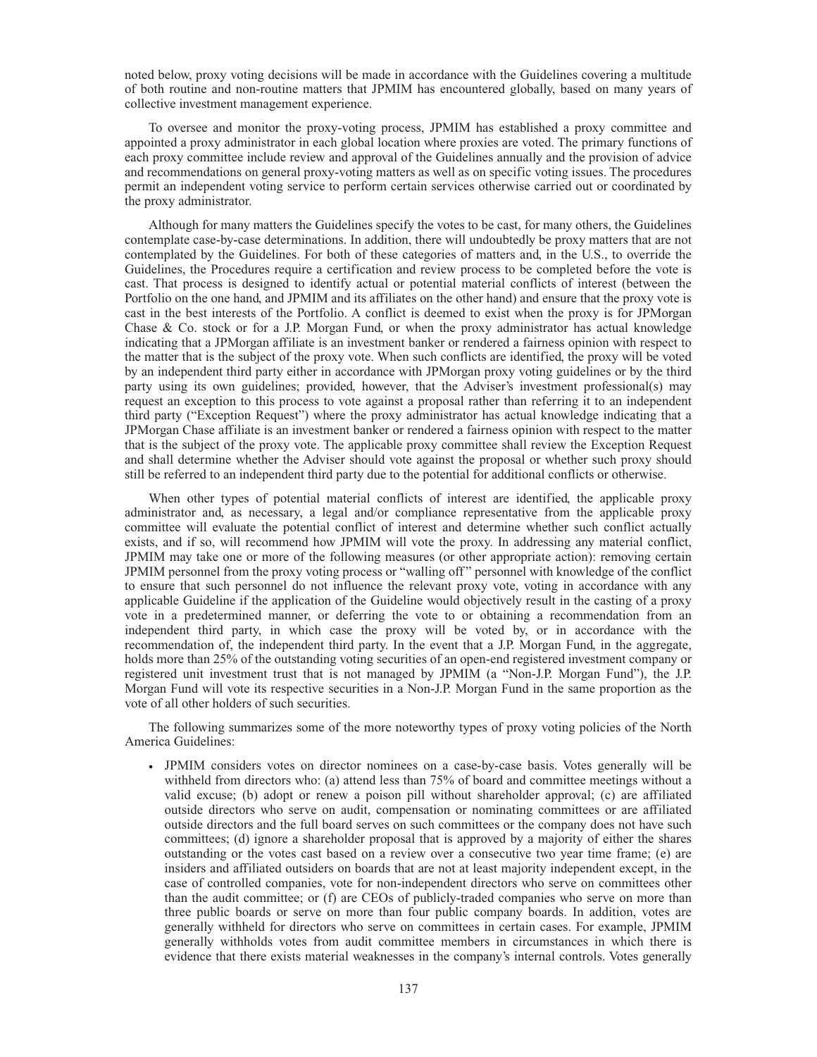noted below, proxy voting decisions will be made in accordance with the Guidelines covering a multitude of both routine and non-routine matters that JPMIM has encountered globally, based on many years of collective investment management experience.

To oversee and monitor the proxy-voting process, JPMIM has established a proxy committee and appointed a proxy administrator in each global location where proxies are voted. The primary functions of each proxy committee include review and approval of the Guidelines annually and the provision of advice and recommendations on general proxy-voting matters as well as on specific voting issues. The procedures permit an independent voting service to perform certain services otherwise carried out or coordinated by the proxy administrator.

Although for many matters the Guidelines specify the votes to be cast, for many others, the Guidelines contemplate case-by-case determinations. In addition, there will undoubtedly be proxy matters that are not contemplated by the Guidelines. For both of these categories of matters and, in the U.S., to override the Guidelines, the Procedures require a certification and review process to be completed before the vote is cast. That process is designed to identify actual or potential material conflicts of interest (between the Portfolio on the one hand, and JPMIM and its affiliates on the other hand) and ensure that the proxy vote is cast in the best interests of the Portfolio. A conflict is deemed to exist when the proxy is for JPMorgan Chase & Co. stock or for a J.P. Morgan Fund, or when the proxy administrator has actual knowledge indicating that a JPMorgan affiliate is an investment banker or rendered a fairness opinion with respect to the matter that is the subject of the proxy vote. When such conflicts are identified, the proxy will be voted by an independent third party either in accordance with JPMorgan proxy voting guidelines or by the third party using its own guidelines; provided, however, that the Adviser's investment professional(s) may request an exception to this process to vote against a proposal rather than referring it to an independent third party ("Exception Request") where the proxy administrator has actual knowledge indicating that a JPMorgan Chase affiliate is an investment banker or rendered a fairness opinion with respect to the matter that is the subject of the proxy vote. The applicable proxy committee shall review the Exception Request and shall determine whether the Adviser should vote against the proposal or whether such proxy should still be referred to an independent third party due to the potential for additional conflicts or otherwise.

When other types of potential material conflicts of interest are identified, the applicable proxy administrator and, as necessary, a legal and/or compliance representative from the applicable proxy committee will evaluate the potential conflict of interest and determine whether such conflict actually exists, and if so, will recommend how JPMIM will vote the proxy. In addressing any material conflict, JPMIM may take one or more of the following measures (or other appropriate action): removing certain JPMIM personnel from the proxy voting process or "walling off " personnel with knowledge of the conflict to ensure that such personnel do not influence the relevant proxy vote, voting in accordance with any applicable Guideline if the application of the Guideline would objectively result in the casting of a proxy vote in a predetermined manner, or deferring the vote to or obtaining a recommendation from an independent third party, in which case the proxy will be voted by, or in accordance with the recommendation of, the independent third party. In the event that a J.P. Morgan Fund, in the aggregate, holds more than 25% of the outstanding voting securities of an open-end registered investment company or registered unit investment trust that is not managed by JPMIM (a "Non-J.P. Morgan Fund"), the J.P. Morgan Fund will vote its respective securities in a Non-J.P. Morgan Fund in the same proportion as the vote of all other holders of such securities.

The following summarizes some of the more noteworthy types of proxy voting policies of the North America Guidelines:

• JPMIM considers votes on director nominees on a case-by-case basis. Votes generally will be withheld from directors who: (a) attend less than 75% of board and committee meetings without a valid excuse; (b) adopt or renew a poison pill without shareholder approval; (c) are affiliated outside directors who serve on audit, compensation or nominating committees or are affiliated outside directors and the full board serves on such committees or the company does not have such committees; (d) ignore a shareholder proposal that is approved by a majority of either the shares outstanding or the votes cast based on a review over a consecutive two year time frame; (e) are insiders and affiliated outsiders on boards that are not at least majority independent except, in the case of controlled companies, vote for non-independent directors who serve on committees other than the audit committee; or (f) are CEOs of publicly-traded companies who serve on more than three public boards or serve on more than four public company boards. In addition, votes are generally withheld for directors who serve on committees in certain cases. For example, JPMIM generally withholds votes from audit committee members in circumstances in which there is evidence that there exists material weaknesses in the company's internal controls. Votes generally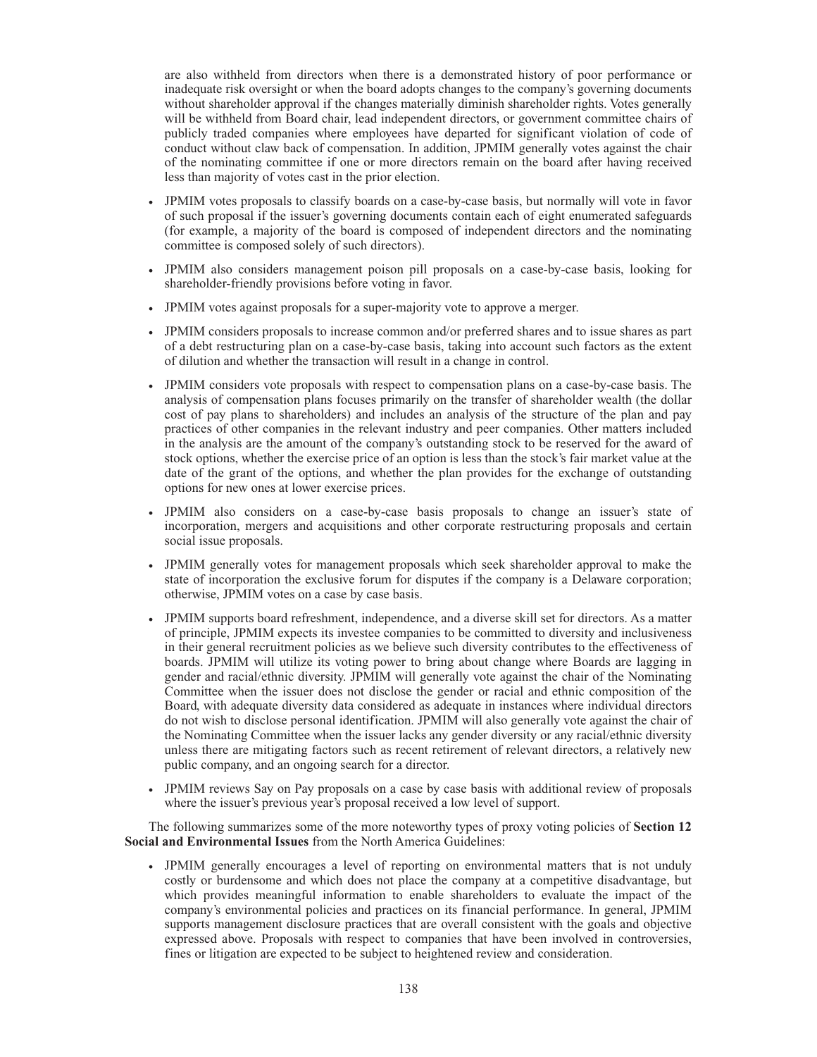are also withheld from directors when there is a demonstrated history of poor performance or inadequate risk oversight or when the board adopts changes to the company's governing documents without shareholder approval if the changes materially diminish shareholder rights. Votes generally will be withheld from Board chair, lead independent directors, or government committee chairs of publicly traded companies where employees have departed for significant violation of code of conduct without claw back of compensation. In addition, JPMIM generally votes against the chair of the nominating committee if one or more directors remain on the board after having received less than majority of votes cast in the prior election.

- JPMIM votes proposals to classify boards on a case-by-case basis, but normally will vote in favor of such proposal if the issuer's governing documents contain each of eight enumerated safeguards (for example, a majority of the board is composed of independent directors and the nominating committee is composed solely of such directors).
- JPMIM also considers management poison pill proposals on a case-by-case basis, looking for shareholder-friendly provisions before voting in favor.
- JPMIM votes against proposals for a super-majority vote to approve a merger.
- JPMIM considers proposals to increase common and/or preferred shares and to issue shares as part of a debt restructuring plan on a case-by-case basis, taking into account such factors as the extent of dilution and whether the transaction will result in a change in control.
- JPMIM considers vote proposals with respect to compensation plans on a case-by-case basis. The analysis of compensation plans focuses primarily on the transfer of shareholder wealth (the dollar cost of pay plans to shareholders) and includes an analysis of the structure of the plan and pay practices of other companies in the relevant industry and peer companies. Other matters included in the analysis are the amount of the company's outstanding stock to be reserved for the award of stock options, whether the exercise price of an option is less than the stock's fair market value at the date of the grant of the options, and whether the plan provides for the exchange of outstanding options for new ones at lower exercise prices.
- JPMIM also considers on a case-by-case basis proposals to change an issuer's state of incorporation, mergers and acquisitions and other corporate restructuring proposals and certain social issue proposals.
- JPMIM generally votes for management proposals which seek shareholder approval to make the state of incorporation the exclusive forum for disputes if the company is a Delaware corporation; otherwise, JPMIM votes on a case by case basis.
- JPMIM supports board refreshment, independence, and a diverse skill set for directors. As a matter of principle, JPMIM expects its investee companies to be committed to diversity and inclusiveness in their general recruitment policies as we believe such diversity contributes to the effectiveness of boards. JPMIM will utilize its voting power to bring about change where Boards are lagging in gender and racial/ethnic diversity. JPMIM will generally vote against the chair of the Nominating Committee when the issuer does not disclose the gender or racial and ethnic composition of the Board, with adequate diversity data considered as adequate in instances where individual directors do not wish to disclose personal identification. JPMIM will also generally vote against the chair of the Nominating Committee when the issuer lacks any gender diversity or any racial/ethnic diversity unless there are mitigating factors such as recent retirement of relevant directors, a relatively new public company, and an ongoing search for a director.
- JPMIM reviews Say on Pay proposals on a case by case basis with additional review of proposals where the issuer's previous year's proposal received a low level of support.

The following summarizes some of the more noteworthy types of proxy voting policies of **Section 12 Social and Environmental Issues** from the North America Guidelines:

• JPMIM generally encourages a level of reporting on environmental matters that is not unduly costly or burdensome and which does not place the company at a competitive disadvantage, but which provides meaningful information to enable shareholders to evaluate the impact of the company's environmental policies and practices on its financial performance. In general, JPMIM supports management disclosure practices that are overall consistent with the goals and objective expressed above. Proposals with respect to companies that have been involved in controversies, fines or litigation are expected to be subject to heightened review and consideration.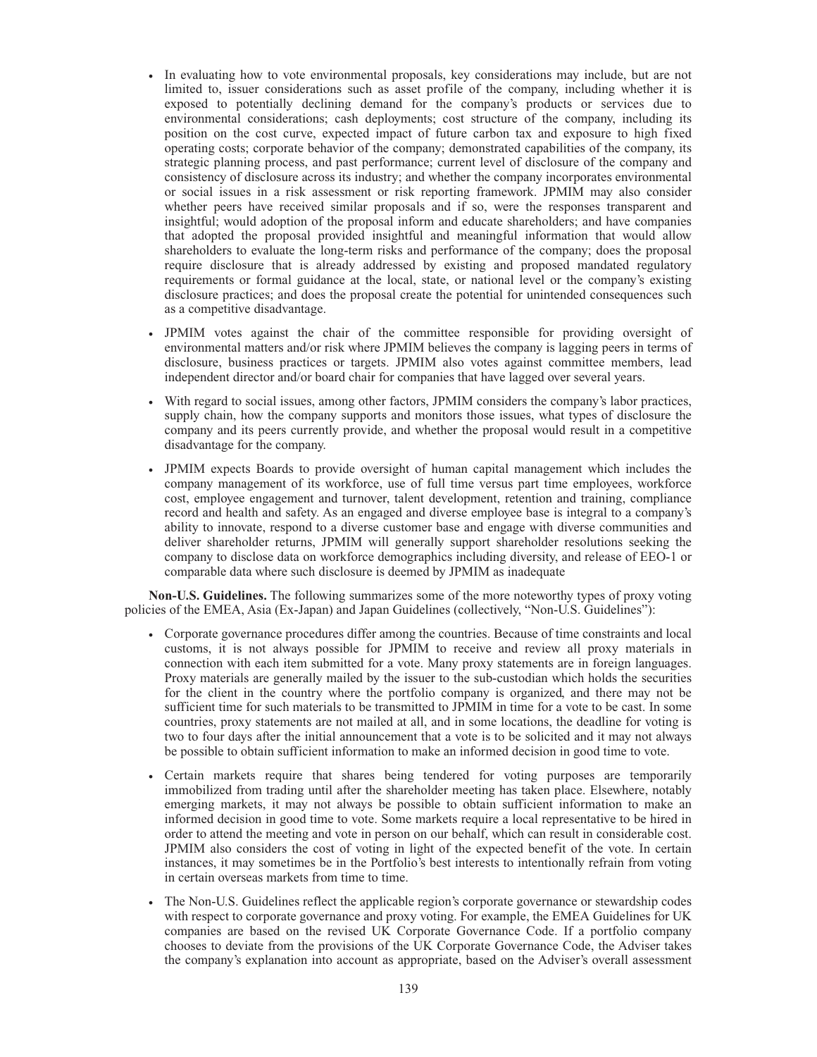- In evaluating how to vote environmental proposals, key considerations may include, but are not limited to, issuer considerations such as asset profile of the company, including whether it is exposed to potentially declining demand for the company's products or services due to environmental considerations; cash deployments; cost structure of the company, including its position on the cost curve, expected impact of future carbon tax and exposure to high fixed operating costs; corporate behavior of the company; demonstrated capabilities of the company, its strategic planning process, and past performance; current level of disclosure of the company and consistency of disclosure across its industry; and whether the company incorporates environmental or social issues in a risk assessment or risk reporting framework. JPMIM may also consider whether peers have received similar proposals and if so, were the responses transparent and insightful; would adoption of the proposal inform and educate shareholders; and have companies that adopted the proposal provided insightful and meaningful information that would allow shareholders to evaluate the long-term risks and performance of the company; does the proposal require disclosure that is already addressed by existing and proposed mandated regulatory requirements or formal guidance at the local, state, or national level or the company's existing disclosure practices; and does the proposal create the potential for unintended consequences such as a competitive disadvantage.
- JPMIM votes against the chair of the committee responsible for providing oversight of environmental matters and/or risk where JPMIM believes the company is lagging peers in terms of disclosure, business practices or targets. JPMIM also votes against committee members, lead independent director and/or board chair for companies that have lagged over several years.
- With regard to social issues, among other factors, JPMIM considers the company's labor practices, supply chain, how the company supports and monitors those issues, what types of disclosure the company and its peers currently provide, and whether the proposal would result in a competitive disadvantage for the company.
- JPMIM expects Boards to provide oversight of human capital management which includes the company management of its workforce, use of full time versus part time employees, workforce cost, employee engagement and turnover, talent development, retention and training, compliance record and health and safety. As an engaged and diverse employee base is integral to a company's ability to innovate, respond to a diverse customer base and engage with diverse communities and deliver shareholder returns, JPMIM will generally support shareholder resolutions seeking the company to disclose data on workforce demographics including diversity, and release of EEO-1 or comparable data where such disclosure is deemed by JPMIM as inadequate

**Non-U.S. Guidelines.** The following summarizes some of the more noteworthy types of proxy voting policies of the EMEA, Asia (Ex-Japan) and Japan Guidelines (collectively, "Non-U.S. Guidelines"):

- Corporate governance procedures differ among the countries. Because of time constraints and local customs, it is not always possible for JPMIM to receive and review all proxy materials in connection with each item submitted for a vote. Many proxy statements are in foreign languages. Proxy materials are generally mailed by the issuer to the sub-custodian which holds the securities for the client in the country where the portfolio company is organized, and there may not be sufficient time for such materials to be transmitted to JPMIM in time for a vote to be cast. In some countries, proxy statements are not mailed at all, and in some locations, the deadline for voting is two to four days after the initial announcement that a vote is to be solicited and it may not always be possible to obtain sufficient information to make an informed decision in good time to vote.
- Certain markets require that shares being tendered for voting purposes are temporarily immobilized from trading until after the shareholder meeting has taken place. Elsewhere, notably emerging markets, it may not always be possible to obtain sufficient information to make an informed decision in good time to vote. Some markets require a local representative to be hired in order to attend the meeting and vote in person on our behalf, which can result in considerable cost. JPMIM also considers the cost of voting in light of the expected benefit of the vote. In certain instances, it may sometimes be in the Portfolio's best interests to intentionally refrain from voting in certain overseas markets from time to time.
- The Non-U.S. Guidelines reflect the applicable region's corporate governance or stewardship codes with respect to corporate governance and proxy voting. For example, the EMEA Guidelines for UK companies are based on the revised UK Corporate Governance Code. If a portfolio company chooses to deviate from the provisions of the UK Corporate Governance Code, the Adviser takes the company's explanation into account as appropriate, based on the Adviser's overall assessment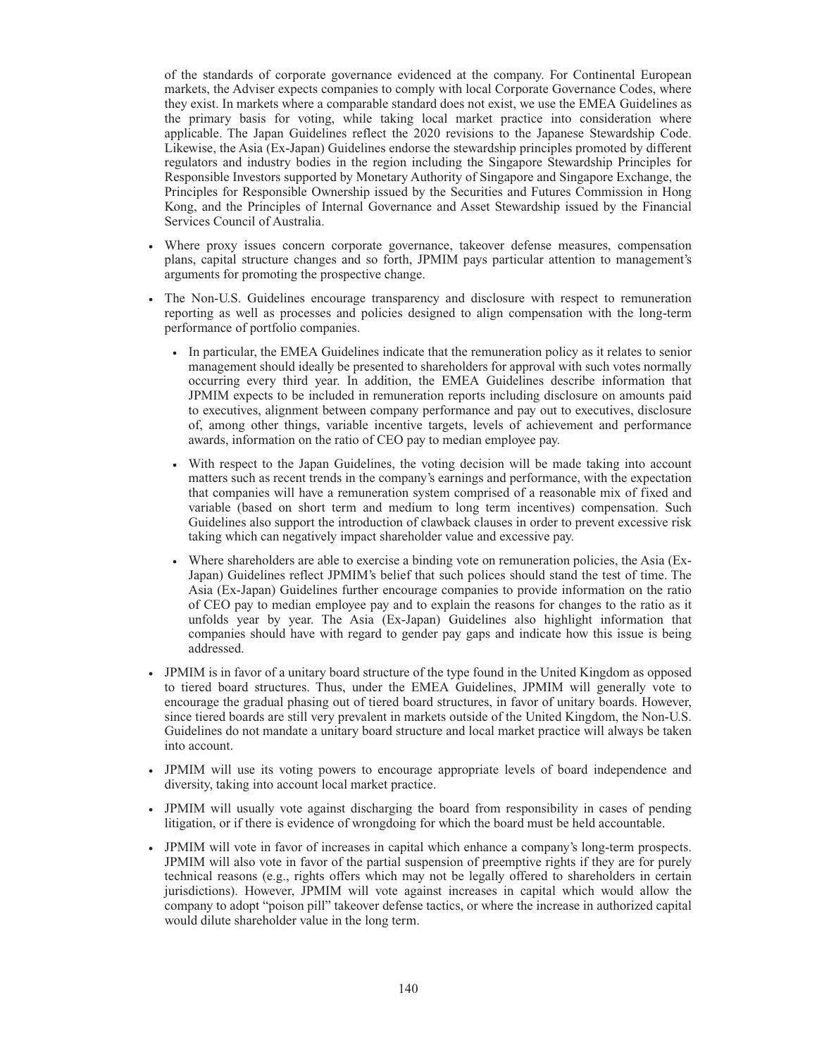of the standards of corporate governance evidenced at the company. For Continental European markets, the Adviser expects companies to comply with local Corporate Governance Codes, where they exist. In markets where a comparable standard does not exist, we use the EMEA Guidelines as the primary basis for voting, while taking local market practice into consideration where applicable. The Japan Guidelines reflect the 2020 revisions to the Japanese Stewardship Code. Likewise, the Asia (Ex-Japan) Guidelines endorse the stewardship principles promoted by different regulators and industry bodies in the region including the Singapore Stewardship Principles for Responsible Investors supported by Monetary Authority of Singapore and Singapore Exchange, the Principles for Responsible Ownership issued by the Securities and Futures Commission in Hong Kong, and the Principles of Internal Governance and Asset Stewardship issued by the Financial Services Council of Australia.

- Where proxy issues concern corporate governance, takeover defense measures, compensation plans, capital structure changes and so forth, JPMIM pays particular attention to management's arguments for promoting the prospective change.
- The Non-U.S. Guidelines encourage transparency and disclosure with respect to remuneration reporting as well as processes and policies designed to align compensation with the long-term performance of portfolio companies.
	- In particular, the EMEA Guidelines indicate that the remuneration policy as it relates to senior management should ideally be presented to shareholders for approval with such votes normally occurring every third year. In addition, the EMEA Guidelines describe information that JPMIM expects to be included in remuneration reports including disclosure on amounts paid to executives, alignment between company performance and pay out to executives, disclosure of, among other things, variable incentive targets, levels of achievement and performance awards, information on the ratio of CEO pay to median employee pay.
	- With respect to the Japan Guidelines, the voting decision will be made taking into account matters such as recent trends in the company's earnings and performance, with the expectation that companies will have a remuneration system comprised of a reasonable mix of fixed and variable (based on short term and medium to long term incentives) compensation. Such Guidelines also support the introduction of clawback clauses in order to prevent excessive risk taking which can negatively impact shareholder value and excessive pay.
	- Where shareholders are able to exercise a binding vote on remuneration policies, the Asia (Ex-Japan) Guidelines reflect JPMIM's belief that such polices should stand the test of time. The Asia (Ex-Japan) Guidelines further encourage companies to provide information on the ratio of CEO pay to median employee pay and to explain the reasons for changes to the ratio as it unfolds year by year. The Asia (Ex-Japan) Guidelines also highlight information that companies should have with regard to gender pay gaps and indicate how this issue is being addressed.
- JPMIM is in favor of a unitary board structure of the type found in the United Kingdom as opposed to tiered board structures. Thus, under the EMEA Guidelines, JPMIM will generally vote to encourage the gradual phasing out of tiered board structures, in favor of unitary boards. However, since tiered boards are still very prevalent in markets outside of the United Kingdom, the Non-U.S. Guidelines do not mandate a unitary board structure and local market practice will always be taken into account.
- JPMIM will use its voting powers to encourage appropriate levels of board independence and diversity, taking into account local market practice.
- JPMIM will usually vote against discharging the board from responsibility in cases of pending litigation, or if there is evidence of wrongdoing for which the board must be held accountable.
- JPMIM will vote in favor of increases in capital which enhance a company's long-term prospects. JPMIM will also vote in favor of the partial suspension of preemptive rights if they are for purely technical reasons (e.g., rights offers which may not be legally offered to shareholders in certain jurisdictions). However, JPMIM will vote against increases in capital which would allow the company to adopt "poison pill" takeover defense tactics, or where the increase in authorized capital would dilute shareholder value in the long term.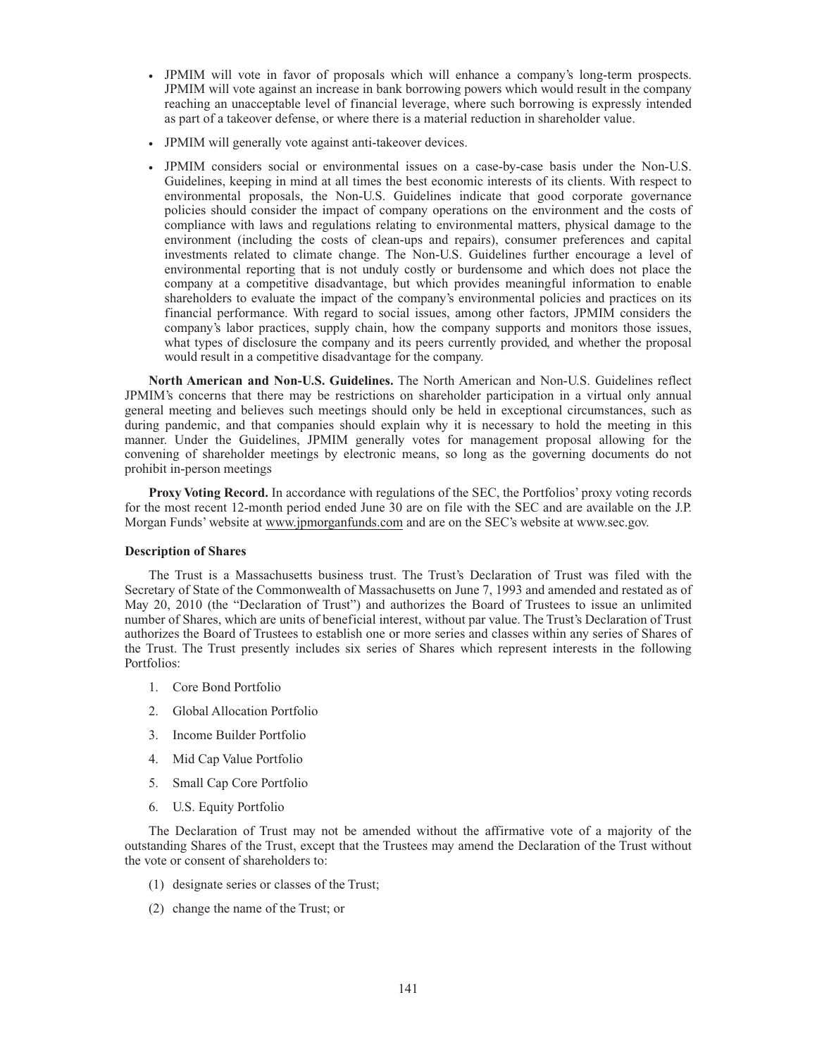- JPMIM will vote in favor of proposals which will enhance a company's long-term prospects. JPMIM will vote against an increase in bank borrowing powers which would result in the company reaching an unacceptable level of financial leverage, where such borrowing is expressly intended as part of a takeover defense, or where there is a material reduction in shareholder value.
- JPMIM will generally vote against anti-takeover devices.
- JPMIM considers social or environmental issues on a case-by-case basis under the Non-U.S. Guidelines, keeping in mind at all times the best economic interests of its clients. With respect to environmental proposals, the Non-U.S. Guidelines indicate that good corporate governance policies should consider the impact of company operations on the environment and the costs of compliance with laws and regulations relating to environmental matters, physical damage to the environment (including the costs of clean-ups and repairs), consumer preferences and capital investments related to climate change. The Non-U.S. Guidelines further encourage a level of environmental reporting that is not unduly costly or burdensome and which does not place the company at a competitive disadvantage, but which provides meaningful information to enable shareholders to evaluate the impact of the company's environmental policies and practices on its financial performance. With regard to social issues, among other factors, JPMIM considers the company's labor practices, supply chain, how the company supports and monitors those issues, what types of disclosure the company and its peers currently provided, and whether the proposal would result in a competitive disadvantage for the company.

**North American and Non-U.S. Guidelines.** The North American and Non-U.S. Guidelines reflect JPMIM's concerns that there may be restrictions on shareholder participation in a virtual only annual general meeting and believes such meetings should only be held in exceptional circumstances, such as during pandemic, and that companies should explain why it is necessary to hold the meeting in this manner. Under the Guidelines, JPMIM generally votes for management proposal allowing for the convening of shareholder meetings by electronic means, so long as the governing documents do not prohibit in-person meetings

**Proxy Voting Record.** In accordance with regulations of the SEC, the Portfolios' proxy voting records for the most recent 12-month period ended June 30 are on file with the SEC and are available on the J.P. Morgan Funds' website at [www.jpmorganfunds.com](http://www.jpmorganfunds.com/) and are on the SEC's website at www.sec.gov.

### **Description of Shares**

The Trust is a Massachusetts business trust. The Trust's Declaration of Trust was filed with the Secretary of State of the Commonwealth of Massachusetts on June 7, 1993 and amended and restated as of May 20, 2010 (the "Declaration of Trust") and authorizes the Board of Trustees to issue an unlimited number of Shares, which are units of beneficial interest, without par value. The Trust's Declaration of Trust authorizes the Board of Trustees to establish one or more series and classes within any series of Shares of the Trust. The Trust presently includes six series of Shares which represent interests in the following Portfolios:

- 1. Core Bond Portfolio
- 2. Global Allocation Portfolio
- 3. Income Builder Portfolio
- 4. Mid Cap Value Portfolio
- 5. Small Cap Core Portfolio
- 6. U.S. Equity Portfolio

The Declaration of Trust may not be amended without the affirmative vote of a majority of the outstanding Shares of the Trust, except that the Trustees may amend the Declaration of the Trust without the vote or consent of shareholders to:

- (1) designate series or classes of the Trust;
- (2) change the name of the Trust; or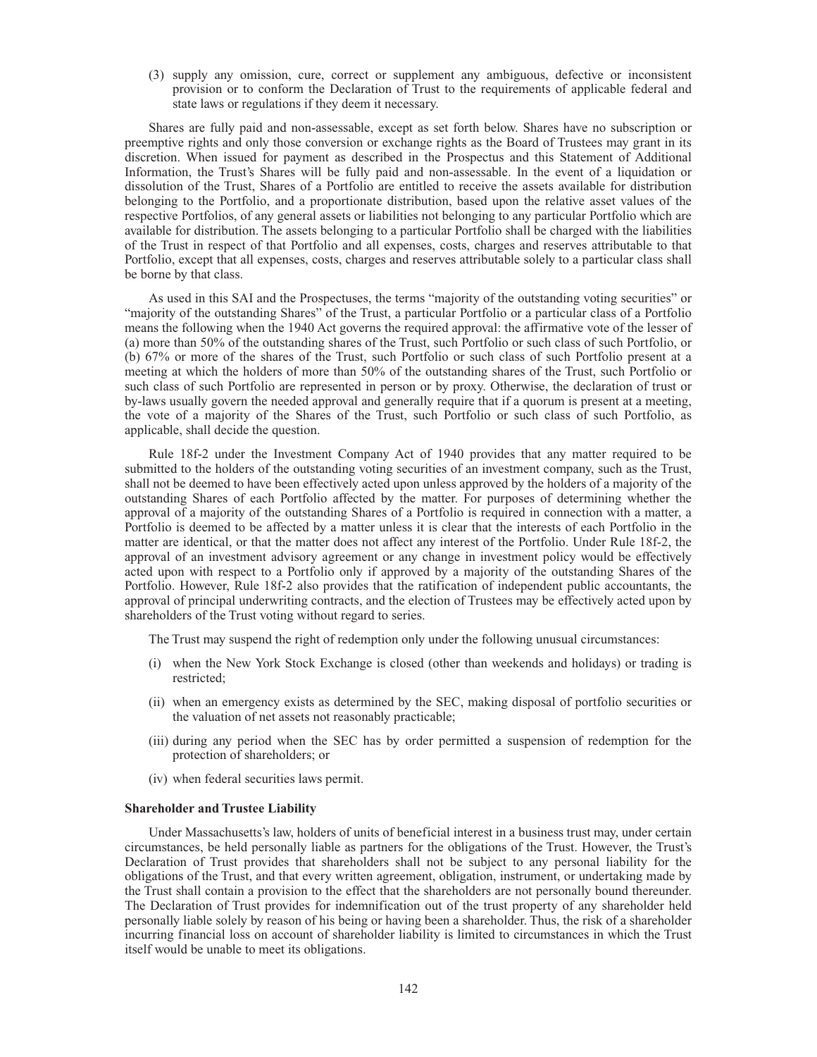(3) supply any omission, cure, correct or supplement any ambiguous, defective or inconsistent provision or to conform the Declaration of Trust to the requirements of applicable federal and state laws or regulations if they deem it necessary.

Shares are fully paid and non-assessable, except as set forth below. Shares have no subscription or preemptive rights and only those conversion or exchange rights as the Board of Trustees may grant in its discretion. When issued for payment as described in the Prospectus and this Statement of Additional Information, the Trust's Shares will be fully paid and non-assessable. In the event of a liquidation or dissolution of the Trust, Shares of a Portfolio are entitled to receive the assets available for distribution belonging to the Portfolio, and a proportionate distribution, based upon the relative asset values of the respective Portfolios, of any general assets or liabilities not belonging to any particular Portfolio which are available for distribution. The assets belonging to a particular Portfolio shall be charged with the liabilities of the Trust in respect of that Portfolio and all expenses, costs, charges and reserves attributable to that Portfolio, except that all expenses, costs, charges and reserves attributable solely to a particular class shall be borne by that class.

As used in this SAI and the Prospectuses, the terms "majority of the outstanding voting securities" or "majority of the outstanding Shares" of the Trust, a particular Portfolio or a particular class of a Portfolio means the following when the 1940 Act governs the required approval: the affirmative vote of the lesser of (a) more than 50% of the outstanding shares of the Trust, such Portfolio or such class of such Portfolio, or (b) 67% or more of the shares of the Trust, such Portfolio or such class of such Portfolio present at a meeting at which the holders of more than 50% of the outstanding shares of the Trust, such Portfolio or such class of such Portfolio are represented in person or by proxy. Otherwise, the declaration of trust or by-laws usually govern the needed approval and generally require that if a quorum is present at a meeting, the vote of a majority of the Shares of the Trust, such Portfolio or such class of such Portfolio, as applicable, shall decide the question.

Rule 18f-2 under the Investment Company Act of 1940 provides that any matter required to be submitted to the holders of the outstanding voting securities of an investment company, such as the Trust, shall not be deemed to have been effectively acted upon unless approved by the holders of a majority of the outstanding Shares of each Portfolio affected by the matter. For purposes of determining whether the approval of a majority of the outstanding Shares of a Portfolio is required in connection with a matter, a Portfolio is deemed to be affected by a matter unless it is clear that the interests of each Portfolio in the matter are identical, or that the matter does not affect any interest of the Portfolio. Under Rule 18f-2, the approval of an investment advisory agreement or any change in investment policy would be effectively acted upon with respect to a Portfolio only if approved by a majority of the outstanding Shares of the Portfolio. However, Rule 18f-2 also provides that the ratification of independent public accountants, the approval of principal underwriting contracts, and the election of Trustees may be effectively acted upon by shareholders of the Trust voting without regard to series.

The Trust may suspend the right of redemption only under the following unusual circumstances:

- (i) when the New York Stock Exchange is closed (other than weekends and holidays) or trading is restricted;
- (ii) when an emergency exists as determined by the SEC, making disposal of portfolio securities or the valuation of net assets not reasonably practicable;
- (iii) during any period when the SEC has by order permitted a suspension of redemption for the protection of shareholders; or
- (iv) when federal securities laws permit.

#### **Shareholder and Trustee Liability**

Under Massachusetts's law, holders of units of beneficial interest in a business trust may, under certain circumstances, be held personally liable as partners for the obligations of the Trust. However, the Trust's Declaration of Trust provides that shareholders shall not be subject to any personal liability for the obligations of the Trust, and that every written agreement, obligation, instrument, or undertaking made by the Trust shall contain a provision to the effect that the shareholders are not personally bound thereunder. The Declaration of Trust provides for indemnification out of the trust property of any shareholder held personally liable solely by reason of his being or having been a shareholder. Thus, the risk of a shareholder incurring financial loss on account of shareholder liability is limited to circumstances in which the Trust itself would be unable to meet its obligations.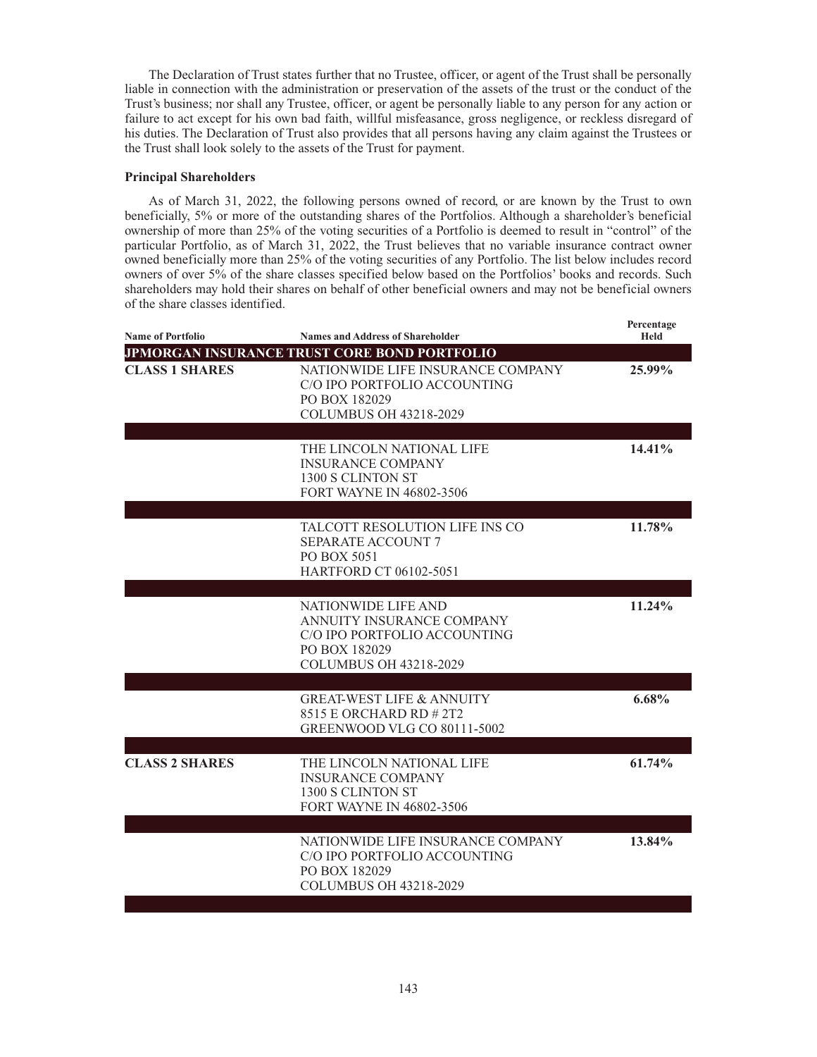The Declaration of Trust states further that no Trustee, officer, or agent of the Trust shall be personally liable in connection with the administration or preservation of the assets of the trust or the conduct of the Trust's business; nor shall any Trustee, officer, or agent be personally liable to any person for any action or failure to act except for his own bad faith, willful misfeasance, gross negligence, or reckless disregard of his duties. The Declaration of Trust also provides that all persons having any claim against the Trustees or the Trust shall look solely to the assets of the Trust for payment.

# **Principal Shareholders**

As of March 31, 2022, the following persons owned of record, or are known by the Trust to own beneficially, 5% or more of the outstanding shares of the Portfolios. Although a shareholder's beneficial ownership of more than 25% of the voting securities of a Portfolio is deemed to result in "control" of the particular Portfolio, as of March 31, 2022, the Trust believes that no variable insurance contract owner owned beneficially more than 25% of the voting securities of any Portfolio. The list below includes record owners of over 5% of the share classes specified below based on the Portfolios' books and records. Such shareholders may hold their shares on behalf of other beneficial owners and may not be beneficial owners of the share classes identified.

| <b>Name of Portfolio</b> | <b>Names and Address of Shareholder</b>                                                                                                   | Percentage<br>Held |
|--------------------------|-------------------------------------------------------------------------------------------------------------------------------------------|--------------------|
|                          | <b>JPMORGAN INSURANCE TRUST CORE BOND PORTFOLIO</b>                                                                                       |                    |
| <b>CLASS 1 SHARES</b>    | NATIONWIDE LIFE INSURANCE COMPANY<br>C/O IPO PORTFOLIO ACCOUNTING<br>PO BOX 182029<br><b>COLUMBUS OH 43218-2029</b>                       | 25.99%             |
|                          | THE LINCOLN NATIONAL LIFE<br><b>INSURANCE COMPANY</b><br>1300 S CLINTON ST<br><b>FORT WAYNE IN 46802-3506</b>                             | 14.41%             |
|                          | TALCOTT RESOLUTION LIFE INS CO<br>SEPARATE ACCOUNT 7<br>PO BOX 5051<br><b>HARTFORD CT 06102-5051</b>                                      | 11.78%             |
|                          | <b>NATIONWIDE LIFE AND</b><br>ANNUITY INSURANCE COMPANY<br>C/O IPO PORTFOLIO ACCOUNTING<br>PO BOX 182029<br><b>COLUMBUS OH 43218-2029</b> | 11.24%             |
|                          | <b>GREAT-WEST LIFE &amp; ANNUITY</b><br>$8515$ E ORCHARD RD $\#$ 2T2<br>GREENWOOD VLG CO 80111-5002                                       | 6.68%              |
| <b>CLASS 2 SHARES</b>    | THE LINCOLN NATIONAL LIFE<br><b>INSURANCE COMPANY</b><br>1300 S CLINTON ST<br>FORT WAYNE IN 46802-3506                                    | 61.74%             |
|                          | NATIONWIDE LIFE INSURANCE COMPANY<br>C/O IPO PORTFOLIO ACCOUNTING<br>PO BOX 182029<br><b>COLUMBUS OH 43218-2029</b>                       | 13.84%             |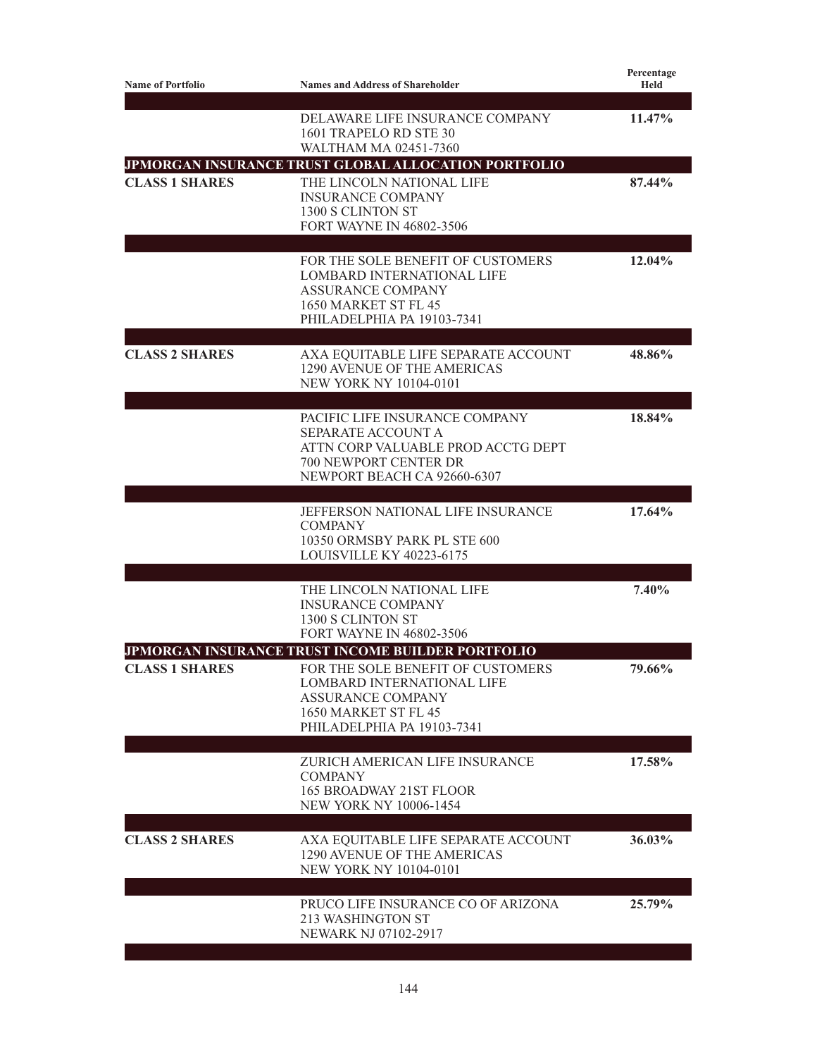| <b>Name of Portfolio</b> | <b>Names and Address of Shareholder</b>                                                                                                                   | Percentage<br>Held |
|--------------------------|-----------------------------------------------------------------------------------------------------------------------------------------------------------|--------------------|
|                          | DELAWARE LIFE INSURANCE COMPANY<br>1601 TRAPELO RD STE 30<br>WALTHAM MA 02451-7360                                                                        | 11.47%             |
|                          | JPMORGAN INSURANCE TRUST GLOBAL ALLOCATION PORTFOLIO                                                                                                      |                    |
| <b>CLASS 1 SHARES</b>    | THE LINCOLN NATIONAL LIFE<br><b>INSURANCE COMPANY</b><br>1300 S CLINTON ST<br>FORT WAYNE IN 46802-3506                                                    | 87.44%             |
|                          | FOR THE SOLE BENEFIT OF CUSTOMERS<br>LOMBARD INTERNATIONAL LIFE<br><b>ASSURANCE COMPANY</b><br>1650 MARKET ST FL 45<br>PHILADELPHIA PA 19103-7341         | 12.04%             |
| <b>CLASS 2 SHARES</b>    | AXA EQUITABLE LIFE SEPARATE ACCOUNT<br>1290 AVENUE OF THE AMERICAS<br>NEW YORK NY 10104-0101                                                              | 48.86%             |
|                          | PACIFIC LIFE INSURANCE COMPANY<br><b>SEPARATE ACCOUNT A</b><br>ATTN CORP VALUABLE PROD ACCTG DEPT<br>700 NEWPORT CENTER DR<br>NEWPORT BEACH CA 92660-6307 | 18.84%             |
|                          | JEFFERSON NATIONAL LIFE INSURANCE<br><b>COMPANY</b><br>10350 ORMSBY PARK PL STE 600<br>LOUISVILLE KY 40223-6175                                           | 17.64%             |
|                          | THE LINCOLN NATIONAL LIFE<br><b>INSURANCE COMPANY</b><br>1300 S CLINTON ST<br><b>FORT WAYNE IN 46802-3506</b>                                             | 7.40%              |
|                          | JPMORGAN INSURANCE TRUST INCOME BUILDER PORTFOLIO                                                                                                         |                    |
| <b>CLASS 1 SHARES</b>    | FOR THE SOLE BENEFIT OF CUSTOMERS<br>LOMBARD INTERNATIONAL LIFE<br><b>ASSURANCE COMPANY</b><br>1650 MARKET ST FL 45<br>PHILADELPHIA PA 19103-7341         | 79.66%             |
|                          | ZURICH AMERICAN LIFE INSURANCE<br><b>COMPANY</b><br>165 BROADWAY 21ST FLOOR<br>NEW YORK NY 10006-1454                                                     | 17.58%             |
| <b>CLASS 2 SHARES</b>    | AXA EQUITABLE LIFE SEPARATE ACCOUNT<br>1290 AVENUE OF THE AMERICAS<br>NEW YORK NY 10104-0101                                                              | 36.03%             |
|                          | PRUCO LIFE INSURANCE CO OF ARIZONA<br>213 WASHINGTON ST<br>NEWARK NJ 07102-2917                                                                           | 25.79%             |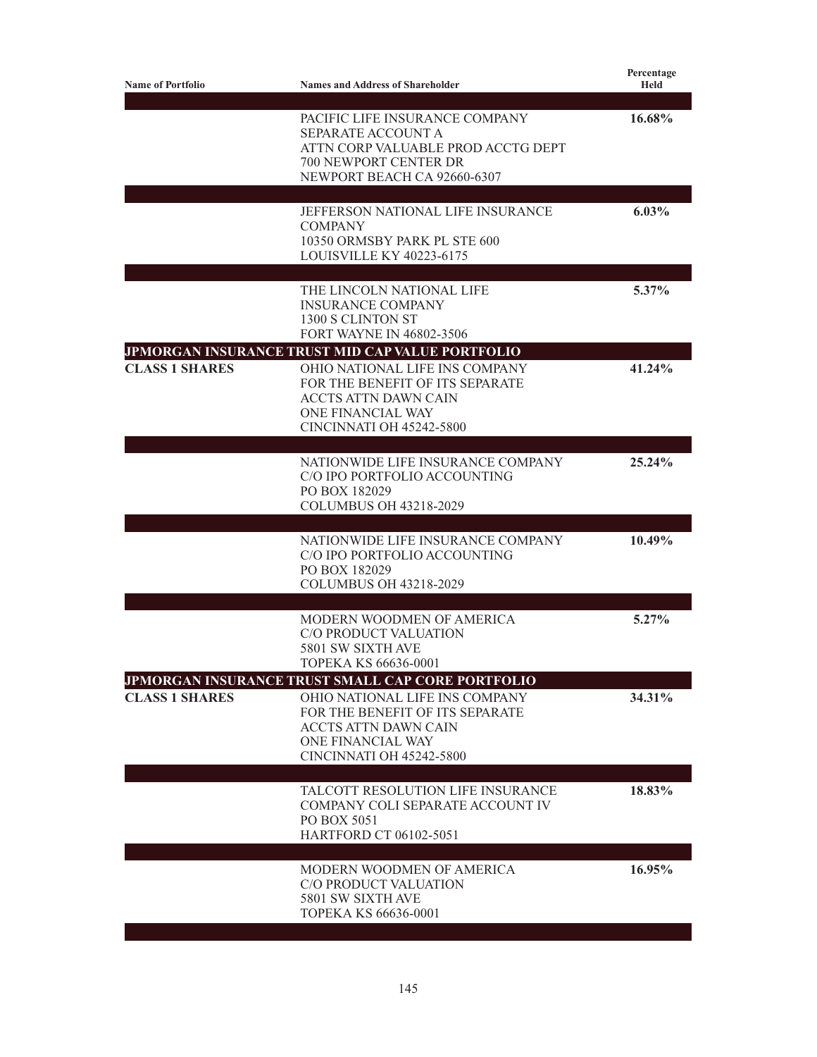| <b>Name of Portfolio</b> | <b>Names and Address of Shareholder</b>                                                                                                                                                                      | Percentage<br>Held |
|--------------------------|--------------------------------------------------------------------------------------------------------------------------------------------------------------------------------------------------------------|--------------------|
|                          | PACIFIC LIFE INSURANCE COMPANY<br><b>SEPARATE ACCOUNT A</b><br>ATTN CORP VALUABLE PROD ACCTG DEPT<br>700 NEWPORT CENTER DR<br>NEWPORT BEACH CA 92660-6307                                                    | 16.68%             |
|                          | JEFFERSON NATIONAL LIFE INSURANCE<br><b>COMPANY</b><br>10350 ORMSBY PARK PL STE 600<br>LOUISVILLE KY 40223-6175                                                                                              | $6.03\%$           |
|                          | THE LINCOLN NATIONAL LIFE<br><b>INSURANCE COMPANY</b><br>1300 S CLINTON ST<br><b>FORT WAYNE IN 46802-3506</b>                                                                                                | 5.37%              |
| <b>CLASS 1 SHARES</b>    | JPMORGAN INSURANCE TRUST MID CAP VALUE PORTFOLIO<br>OHIO NATIONAL LIFE INS COMPANY<br>FOR THE BENEFIT OF ITS SEPARATE<br><b>ACCTS ATTN DAWN CAIN</b><br>ONE FINANCIAL WAY<br><b>CINCINNATI OH 45242-5800</b> | 41.24%             |
|                          | NATIONWIDE LIFE INSURANCE COMPANY<br>C/O IPO PORTFOLIO ACCOUNTING<br>PO BOX 182029<br><b>COLUMBUS OH 43218-2029</b>                                                                                          | 25.24%             |
|                          | NATIONWIDE LIFE INSURANCE COMPANY<br>C/O IPO PORTFOLIO ACCOUNTING<br>PO BOX 182029<br><b>COLUMBUS OH 43218-2029</b>                                                                                          | 10.49%             |
|                          | MODERN WOODMEN OF AMERICA<br>C/O PRODUCT VALUATION<br>5801 SW SIXTH AVE<br>TOPEKA KS 66636-0001                                                                                                              | 5.27%              |
| <b>CLASS 1 SHARES</b>    | JPMORGAN INSURANCE TRUST SMALL CAP CORE PORTFOLIO<br>OHIO NATIONAL LIFE INS COMPANY<br>FOR THE BENEFIT OF ITS SEPARATE<br><b>ACCTS ATTN DAWN CAIN</b><br>ONE FINANCIAL WAY<br>CINCINNATI OH 45242-5800       | 34.31%             |
|                          | TALCOTT RESOLUTION LIFE INSURANCE<br>COMPANY COLI SEPARATE ACCOUNT IV<br>PO BOX 5051<br><b>HARTFORD CT 06102-5051</b>                                                                                        | 18.83%             |
|                          | MODERN WOODMEN OF AMERICA<br><b>C/O PRODUCT VALUATION</b><br>5801 SW SIXTH AVE<br>TOPEKA KS 66636-0001                                                                                                       | 16.95%             |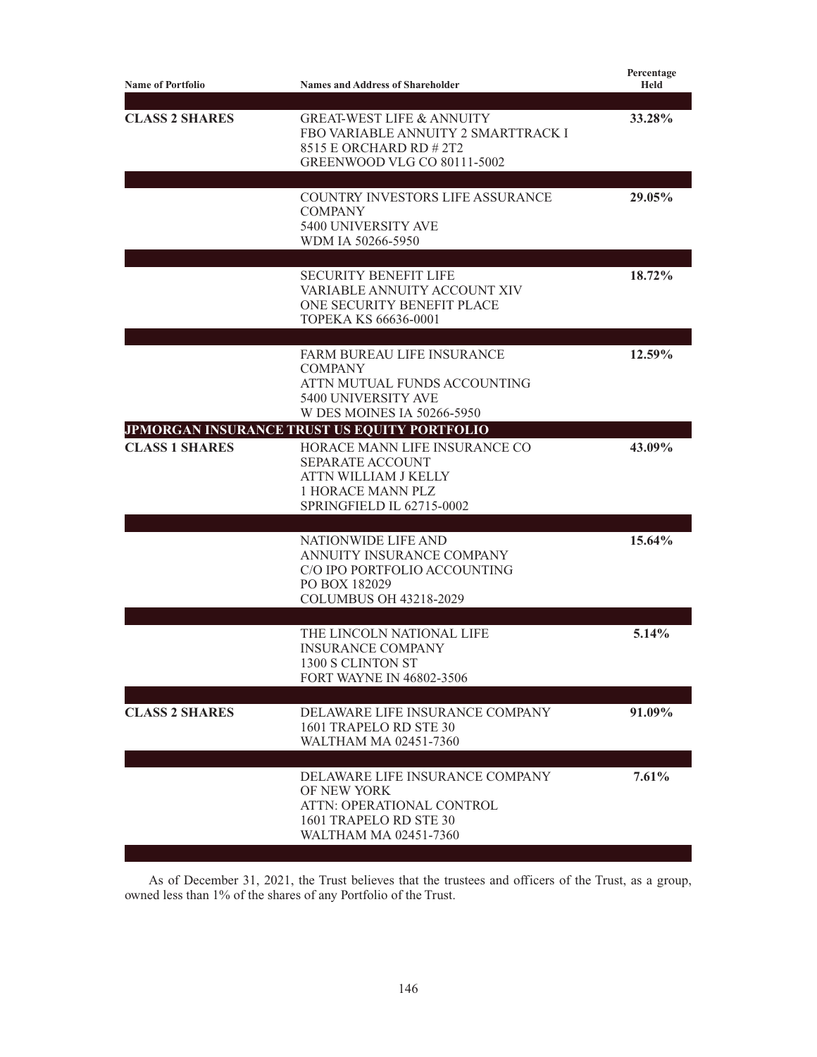| <b>Name of Portfolio</b> | <b>Names and Address of Shareholder</b>                                                                                                                                                   | Percentage<br>Held |
|--------------------------|-------------------------------------------------------------------------------------------------------------------------------------------------------------------------------------------|--------------------|
| <b>CLASS 2 SHARES</b>    | <b>GREAT-WEST LIFE &amp; ANNUITY</b><br>FBO VARIABLE ANNUITY 2 SMARTTRACK I<br>8515 E ORCHARD RD # 2T2<br>GREENWOOD VLG CO 80111-5002                                                     | 33.28%             |
|                          | <b>COUNTRY INVESTORS LIFE ASSURANCE</b><br><b>COMPANY</b><br>5400 UNIVERSITY AVE<br>WDM IA 50266-5950                                                                                     | 29.05%             |
|                          | <b>SECURITY BENEFIT LIFE</b><br>VARIABLE ANNUITY ACCOUNT XIV<br>ONE SECURITY BENEFIT PLACE<br>TOPEKA KS 66636-0001                                                                        | 18.72%             |
|                          | FARM BUREAU LIFE INSURANCE<br><b>COMPANY</b><br>ATTN MUTUAL FUNDS ACCOUNTING<br>5400 UNIVERSITY AVE<br>W DES MOINES IA 50266-5950                                                         | 12.59%             |
| <b>CLASS 1 SHARES</b>    | <b>JPMORGAN INSURANCE TRUST US EQUITY PORTFOLIO</b><br>HORACE MANN LIFE INSURANCE CO<br>SEPARATE ACCOUNT<br>ATTN WILLIAM J KELLY<br><b>1 HORACE MANN PLZ</b><br>SPRINGFIELD IL 62715-0002 | 43.09%             |
|                          | <b>NATIONWIDE LIFE AND</b><br>ANNUITY INSURANCE COMPANY<br>C/O IPO PORTFOLIO ACCOUNTING<br>PO BOX 182029<br><b>COLUMBUS OH 43218-2029</b>                                                 | 15.64%             |
|                          | THE LINCOLN NATIONAL LIFE<br><b>INSURANCE COMPANY</b><br>1300 S CLINTON ST<br>FORT WAYNE IN 46802-3506                                                                                    | 5.14%              |
| <b>CLASS 2 SHARES</b>    | DELAWARE LIFE INSURANCE COMPANY<br>1601 TRAPELO RD STE 30<br>WALTHAM MA 02451-7360                                                                                                        | 91.09%             |
|                          | DELAWARE LIFE INSURANCE COMPANY<br>OF NEW YORK<br>ATTN: OPERATIONAL CONTROL<br>1601 TRAPELO RD STE 30<br>WALTHAM MA 02451-7360                                                            | 7.61%              |

As of December 31, 2021, the Trust believes that the trustees and officers of the Trust, as a group, owned less than 1% of the shares of any Portfolio of the Trust.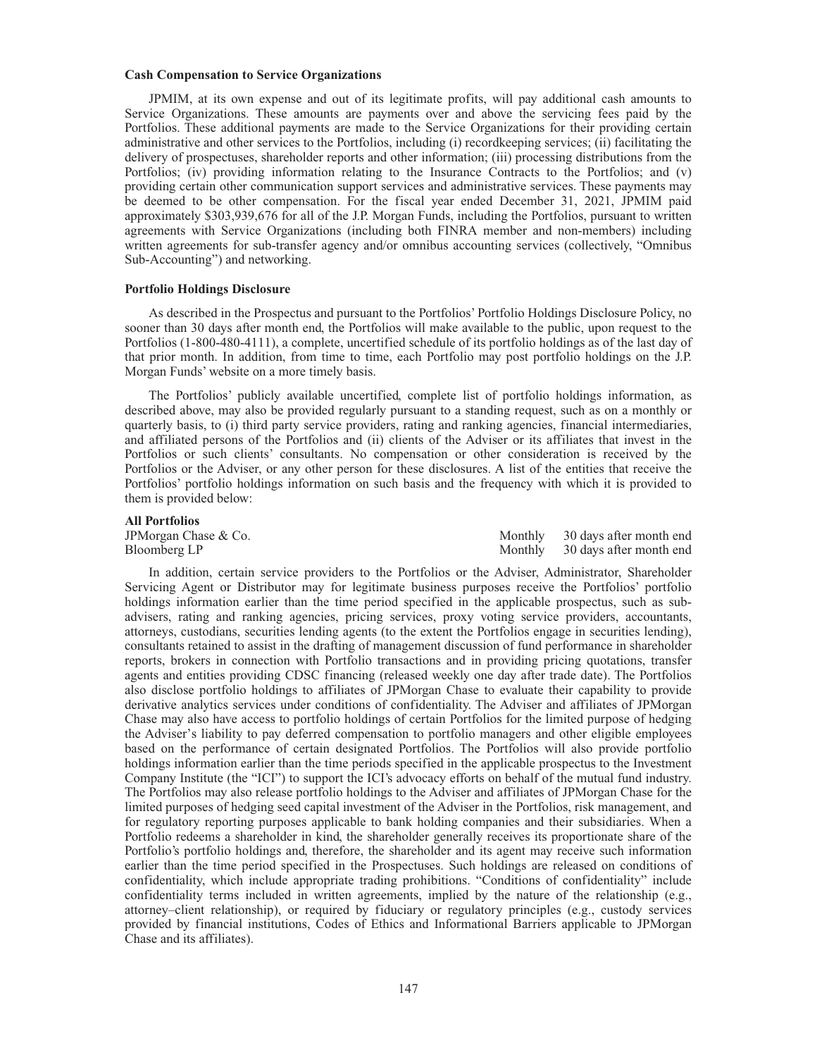#### **Cash Compensation to Service Organizations**

JPMIM, at its own expense and out of its legitimate profits, will pay additional cash amounts to Service Organizations. These amounts are payments over and above the servicing fees paid by the Portfolios. These additional payments are made to the Service Organizations for their providing certain administrative and other services to the Portfolios, including (i) recordkeeping services; (ii) facilitating the delivery of prospectuses, shareholder reports and other information; (iii) processing distributions from the Portfolios; (iv) providing information relating to the Insurance Contracts to the Portfolios; and (v) providing certain other communication support services and administrative services. These payments may be deemed to be other compensation. For the fiscal year ended December 31, 2021, JPMIM paid approximately \$303,939,676 for all of the J.P. Morgan Funds, including the Portfolios, pursuant to written agreements with Service Organizations (including both FINRA member and non-members) including written agreements for sub-transfer agency and/or omnibus accounting services (collectively, "Omnibus Sub-Accounting") and networking.

#### **Portfolio Holdings Disclosure**

As described in the Prospectus and pursuant to the Portfolios' Portfolio Holdings Disclosure Policy, no sooner than 30 days after month end, the Portfolios will make available to the public, upon request to the Portfolios (1-800-480-4111), a complete, uncertified schedule of its portfolio holdings as of the last day of that prior month. In addition, from time to time, each Portfolio may post portfolio holdings on the J.P. Morgan Funds' website on a more timely basis.

The Portfolios' publicly available uncertified, complete list of portfolio holdings information, as described above, may also be provided regularly pursuant to a standing request, such as on a monthly or quarterly basis, to (i) third party service providers, rating and ranking agencies, financial intermediaries, and affiliated persons of the Portfolios and (ii) clients of the Adviser or its affiliates that invest in the Portfolios or such clients' consultants. No compensation or other consideration is received by the Portfolios or the Adviser, or any other person for these disclosures. A list of the entities that receive the Portfolios' portfolio holdings information on such basis and the frequency with which it is provided to them is provided below:

### **All Portfolios**

JPMorgan Chase & Co. Monthly 30 days after month end<br>Bloomberg LP Monthly 30 days after month end 30 days after month end

In addition, certain service providers to the Portfolios or the Adviser, Administrator, Shareholder Servicing Agent or Distributor may for legitimate business purposes receive the Portfolios' portfolio holdings information earlier than the time period specified in the applicable prospectus, such as subadvisers, rating and ranking agencies, pricing services, proxy voting service providers, accountants, attorneys, custodians, securities lending agents (to the extent the Portfolios engage in securities lending), consultants retained to assist in the drafting of management discussion of fund performance in shareholder reports, brokers in connection with Portfolio transactions and in providing pricing quotations, transfer agents and entities providing CDSC financing (released weekly one day after trade date). The Portfolios also disclose portfolio holdings to affiliates of JPMorgan Chase to evaluate their capability to provide derivative analytics services under conditions of confidentiality. The Adviser and affiliates of JPMorgan Chase may also have access to portfolio holdings of certain Portfolios for the limited purpose of hedging the Adviser's liability to pay deferred compensation to portfolio managers and other eligible employees based on the performance of certain designated Portfolios. The Portfolios will also provide portfolio holdings information earlier than the time periods specified in the applicable prospectus to the Investment Company Institute (the "ICI") to support the ICI's advocacy efforts on behalf of the mutual fund industry. The Portfolios may also release portfolio holdings to the Adviser and affiliates of JPMorgan Chase for the limited purposes of hedging seed capital investment of the Adviser in the Portfolios, risk management, and for regulatory reporting purposes applicable to bank holding companies and their subsidiaries. When a Portfolio redeems a shareholder in kind, the shareholder generally receives its proportionate share of the Portfolio's portfolio holdings and, therefore, the shareholder and its agent may receive such information earlier than the time period specified in the Prospectuses. Such holdings are released on conditions of confidentiality, which include appropriate trading prohibitions. "Conditions of confidentiality" include confidentiality terms included in written agreements, implied by the nature of the relationship (e.g., attorney–client relationship), or required by fiduciary or regulatory principles (e.g., custody services provided by financial institutions, Codes of Ethics and Informational Barriers applicable to JPMorgan Chase and its affiliates).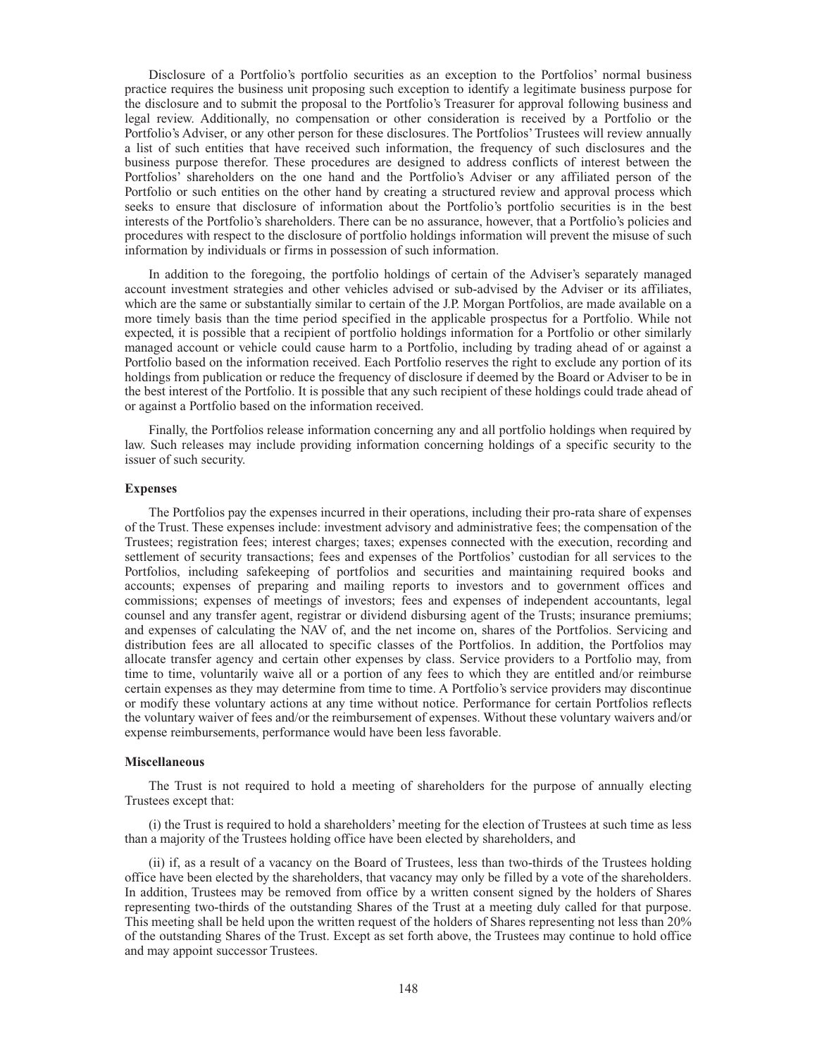Disclosure of a Portfolio's portfolio securities as an exception to the Portfolios' normal business practice requires the business unit proposing such exception to identify a legitimate business purpose for the disclosure and to submit the proposal to the Portfolio's Treasurer for approval following business and legal review. Additionally, no compensation or other consideration is received by a Portfolio or the Portfolio's Adviser, or any other person for these disclosures. The Portfolios' Trustees will review annually a list of such entities that have received such information, the frequency of such disclosures and the business purpose therefor. These procedures are designed to address conflicts of interest between the Portfolios' shareholders on the one hand and the Portfolio's Adviser or any affiliated person of the Portfolio or such entities on the other hand by creating a structured review and approval process which seeks to ensure that disclosure of information about the Portfolio's portfolio securities is in the best interests of the Portfolio's shareholders. There can be no assurance, however, that a Portfolio's policies and procedures with respect to the disclosure of portfolio holdings information will prevent the misuse of such information by individuals or firms in possession of such information.

In addition to the foregoing, the portfolio holdings of certain of the Adviser's separately managed account investment strategies and other vehicles advised or sub-advised by the Adviser or its affiliates, which are the same or substantially similar to certain of the J.P. Morgan Portfolios, are made available on a more timely basis than the time period specified in the applicable prospectus for a Portfolio. While not expected, it is possible that a recipient of portfolio holdings information for a Portfolio or other similarly managed account or vehicle could cause harm to a Portfolio, including by trading ahead of or against a Portfolio based on the information received. Each Portfolio reserves the right to exclude any portion of its holdings from publication or reduce the frequency of disclosure if deemed by the Board or Adviser to be in the best interest of the Portfolio. It is possible that any such recipient of these holdings could trade ahead of or against a Portfolio based on the information received.

Finally, the Portfolios release information concerning any and all portfolio holdings when required by law. Such releases may include providing information concerning holdings of a specific security to the issuer of such security.

#### **Expenses**

The Portfolios pay the expenses incurred in their operations, including their pro-rata share of expenses of the Trust. These expenses include: investment advisory and administrative fees; the compensation of the Trustees; registration fees; interest charges; taxes; expenses connected with the execution, recording and settlement of security transactions; fees and expenses of the Portfolios' custodian for all services to the Portfolios, including safekeeping of portfolios and securities and maintaining required books and accounts; expenses of preparing and mailing reports to investors and to government offices and commissions; expenses of meetings of investors; fees and expenses of independent accountants, legal counsel and any transfer agent, registrar or dividend disbursing agent of the Trusts; insurance premiums; and expenses of calculating the NAV of, and the net income on, shares of the Portfolios. Servicing and distribution fees are all allocated to specific classes of the Portfolios. In addition, the Portfolios may allocate transfer agency and certain other expenses by class. Service providers to a Portfolio may, from time to time, voluntarily waive all or a portion of any fees to which they are entitled and/or reimburse certain expenses as they may determine from time to time. A Portfolio's service providers may discontinue or modify these voluntary actions at any time without notice. Performance for certain Portfolios reflects the voluntary waiver of fees and/or the reimbursement of expenses. Without these voluntary waivers and/or expense reimbursements, performance would have been less favorable.

#### **Miscellaneous**

The Trust is not required to hold a meeting of shareholders for the purpose of annually electing Trustees except that:

(i) the Trust is required to hold a shareholders' meeting for the election of Trustees at such time as less than a majority of the Trustees holding office have been elected by shareholders, and

(ii) if, as a result of a vacancy on the Board of Trustees, less than two-thirds of the Trustees holding office have been elected by the shareholders, that vacancy may only be filled by a vote of the shareholders. In addition, Trustees may be removed from office by a written consent signed by the holders of Shares representing two-thirds of the outstanding Shares of the Trust at a meeting duly called for that purpose. This meeting shall be held upon the written request of the holders of Shares representing not less than 20% of the outstanding Shares of the Trust. Except as set forth above, the Trustees may continue to hold office and may appoint successor Trustees.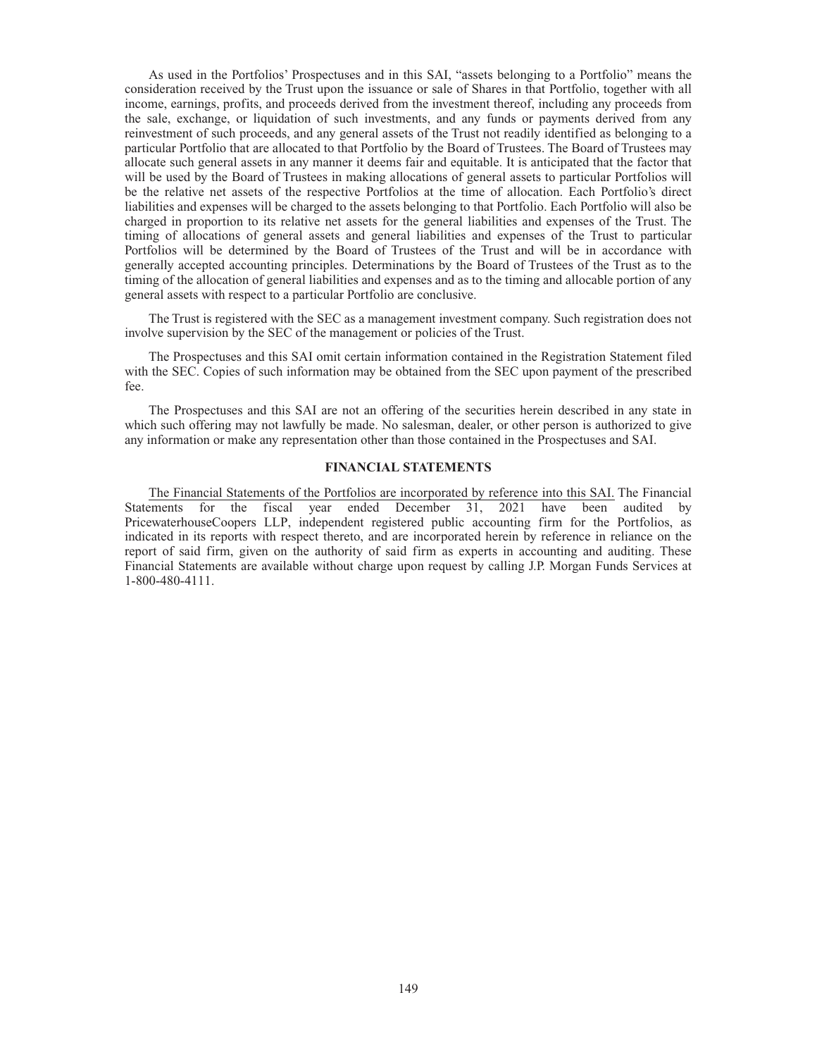As used in the Portfolios' Prospectuses and in this SAI, "assets belonging to a Portfolio" means the consideration received by the Trust upon the issuance or sale of Shares in that Portfolio, together with all income, earnings, profits, and proceeds derived from the investment thereof, including any proceeds from the sale, exchange, or liquidation of such investments, and any funds or payments derived from any reinvestment of such proceeds, and any general assets of the Trust not readily identified as belonging to a particular Portfolio that are allocated to that Portfolio by the Board of Trustees. The Board of Trustees may allocate such general assets in any manner it deems fair and equitable. It is anticipated that the factor that will be used by the Board of Trustees in making allocations of general assets to particular Portfolios will be the relative net assets of the respective Portfolios at the time of allocation. Each Portfolio's direct liabilities and expenses will be charged to the assets belonging to that Portfolio. Each Portfolio will also be charged in proportion to its relative net assets for the general liabilities and expenses of the Trust. The timing of allocations of general assets and general liabilities and expenses of the Trust to particular Portfolios will be determined by the Board of Trustees of the Trust and will be in accordance with generally accepted accounting principles. Determinations by the Board of Trustees of the Trust as to the timing of the allocation of general liabilities and expenses and as to the timing and allocable portion of any general assets with respect to a particular Portfolio are conclusive.

The Trust is registered with the SEC as a management investment company. Such registration does not involve supervision by the SEC of the management or policies of the Trust.

The Prospectuses and this SAI omit certain information contained in the Registration Statement filed with the SEC. Copies of such information may be obtained from the SEC upon payment of the prescribed fee.

The Prospectuses and this SAI are not an offering of the securities herein described in any state in which such offering may not lawfully be made. No salesman, dealer, or other person is authorized to give any information or make any representation other than those contained in the Prospectuses and SAI.

### **FINANCIAL STATEMENTS**

[The Financial Statements of the Portfolios are incorporated by reference into this SAI.](https://www.sec.gov/Archives/edgar/data/0000909221/000119312522048451/d213000dncsr.htm) The Financial Statements for the fiscal year ended December 31, 2021 have been audited by PricewaterhouseCoopers LLP, independent registered public accounting firm for the Portfolios, as indicated in its reports with respect thereto, and are incorporated herein by reference in reliance on the report of said firm, given on the authority of said firm as experts in accounting and auditing. These Financial Statements are available without charge upon request by calling J.P. Morgan Funds Services at 1-800-480-4111.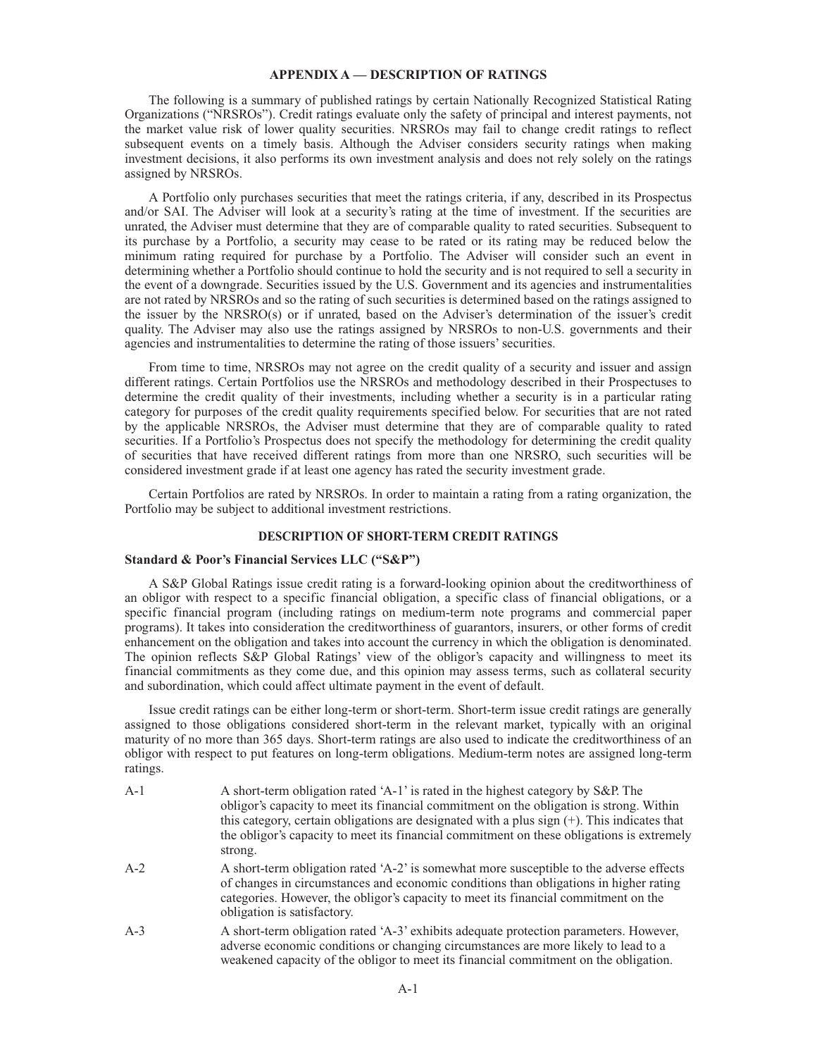# **APPENDIX A — DESCRIPTION OF RATINGS**

The following is a summary of published ratings by certain Nationally Recognized Statistical Rating Organizations ("NRSROs"). Credit ratings evaluate only the safety of principal and interest payments, not the market value risk of lower quality securities. NRSROs may fail to change credit ratings to reflect subsequent events on a timely basis. Although the Adviser considers security ratings when making investment decisions, it also performs its own investment analysis and does not rely solely on the ratings assigned by NRSROs.

A Portfolio only purchases securities that meet the ratings criteria, if any, described in its Prospectus and/or SAI. The Adviser will look at a security's rating at the time of investment. If the securities are unrated, the Adviser must determine that they are of comparable quality to rated securities. Subsequent to its purchase by a Portfolio, a security may cease to be rated or its rating may be reduced below the minimum rating required for purchase by a Portfolio. The Adviser will consider such an event in determining whether a Portfolio should continue to hold the security and is not required to sell a security in the event of a downgrade. Securities issued by the U.S. Government and its agencies and instrumentalities are not rated by NRSROs and so the rating of such securities is determined based on the ratings assigned to the issuer by the NRSRO(s) or if unrated, based on the Adviser's determination of the issuer's credit quality. The Adviser may also use the ratings assigned by NRSROs to non-U.S. governments and their agencies and instrumentalities to determine the rating of those issuers' securities.

From time to time, NRSROs may not agree on the credit quality of a security and issuer and assign different ratings. Certain Portfolios use the NRSROs and methodology described in their Prospectuses to determine the credit quality of their investments, including whether a security is in a particular rating category for purposes of the credit quality requirements specified below. For securities that are not rated by the applicable NRSROs, the Adviser must determine that they are of comparable quality to rated securities. If a Portfolio's Prospectus does not specify the methodology for determining the credit quality of securities that have received different ratings from more than one NRSRO, such securities will be considered investment grade if at least one agency has rated the security investment grade.

Certain Portfolios are rated by NRSROs. In order to maintain a rating from a rating organization, the Portfolio may be subject to additional investment restrictions.

# **DESCRIPTION OF SHORT-TERM CREDIT RATINGS**

#### **Standard & Poor's Financial Services LLC ("S&P")**

A S&P Global Ratings issue credit rating is a forward-looking opinion about the creditworthiness of an obligor with respect to a specific financial obligation, a specific class of financial obligations, or a specific financial program (including ratings on medium-term note programs and commercial paper programs). It takes into consideration the creditworthiness of guarantors, insurers, or other forms of credit enhancement on the obligation and takes into account the currency in which the obligation is denominated. The opinion reflects S&P Global Ratings' view of the obligor's capacity and willingness to meet its financial commitments as they come due, and this opinion may assess terms, such as collateral security and subordination, which could affect ultimate payment in the event of default.

Issue credit ratings can be either long-term or short-term. Short-term issue credit ratings are generally assigned to those obligations considered short-term in the relevant market, typically with an original maturity of no more than 365 days. Short-term ratings are also used to indicate the creditworthiness of an obligor with respect to put features on long-term obligations. Medium-term notes are assigned long-term ratings.

| $A-1$ | A short-term obligation rated 'A-1' is rated in the highest category by S&P. The<br>obligor's capacity to meet its financial commitment on the obligation is strong. Within<br>this category, certain obligations are designated with a plus sign $(+)$ . This indicates that<br>the obligor's capacity to meet its financial commitment on these obligations is extremely<br>strong. |
|-------|---------------------------------------------------------------------------------------------------------------------------------------------------------------------------------------------------------------------------------------------------------------------------------------------------------------------------------------------------------------------------------------|
| $A-2$ | A short-term obligation rated 'A-2' is somewhat more susceptible to the adverse effects<br>of changes in circumstances and economic conditions than obligations in higher rating<br>categories. However, the obligor's capacity to meet its financial commitment on the<br>obligation is satisfactory.                                                                                |
| $A-3$ | A short-term obligation rated 'A-3' exhibits adequate protection parameters. However,<br>adverse economic conditions or changing circumstances are more likely to lead to a<br>weakened capacity of the obligor to meet its financial commitment on the obligation.                                                                                                                   |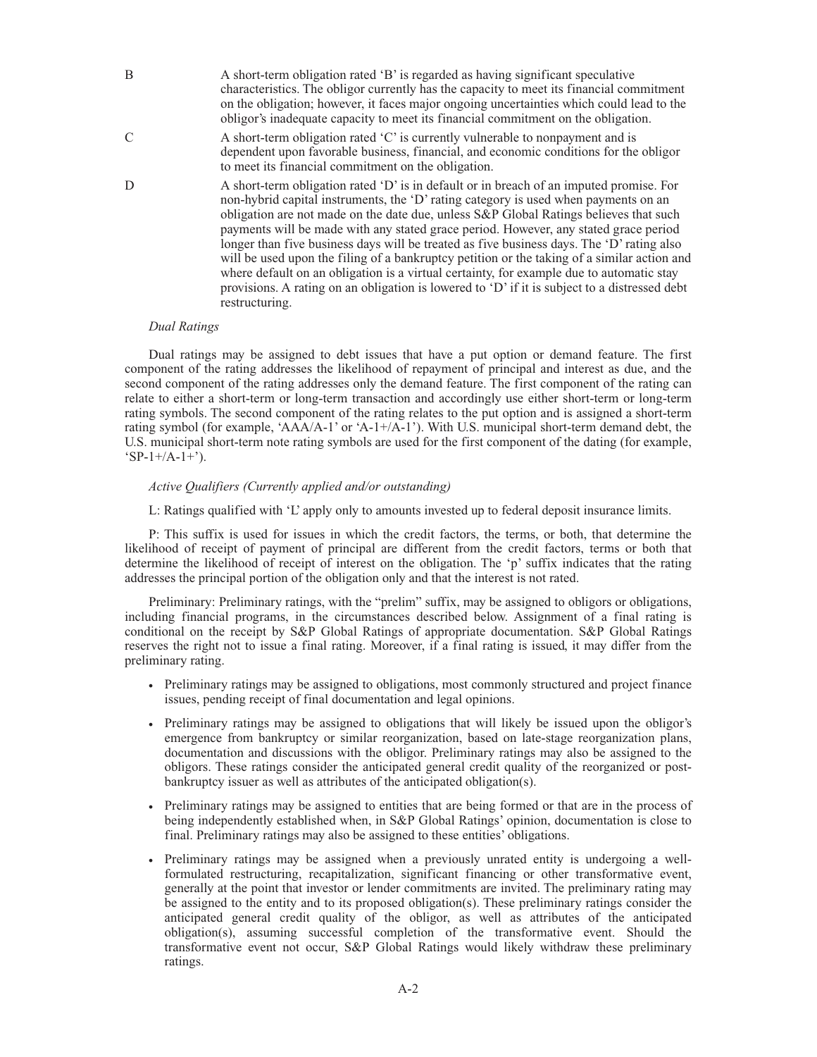| B             | A short-term obligation rated 'B' is regarded as having significant speculative<br>characteristics. The obligor currently has the capacity to meet its financial commitment<br>on the obligation; however, it faces major ongoing uncertainties which could lead to the<br>obligor's inadequate capacity to meet its financial commitment on the obligation.                                                                                                                                                                                                                                                                                                                                                                                                               |
|---------------|----------------------------------------------------------------------------------------------------------------------------------------------------------------------------------------------------------------------------------------------------------------------------------------------------------------------------------------------------------------------------------------------------------------------------------------------------------------------------------------------------------------------------------------------------------------------------------------------------------------------------------------------------------------------------------------------------------------------------------------------------------------------------|
| $\mathcal{C}$ | A short-term obligation rated 'C' is currently vulnerable to nonpayment and is<br>dependent upon favorable business, financial, and economic conditions for the obligor<br>to meet its financial commitment on the obligation.                                                                                                                                                                                                                                                                                                                                                                                                                                                                                                                                             |
| D             | A short-term obligation rated 'D' is in default or in breach of an imputed promise. For<br>non-hybrid capital instruments, the 'D' rating category is used when payments on an<br>obligation are not made on the date due, unless S&P Global Ratings believes that such<br>payments will be made with any stated grace period. However, any stated grace period<br>longer than five business days will be treated as five business days. The 'D' rating also<br>will be used upon the filing of a bankruptcy petition or the taking of a similar action and<br>where default on an obligation is a virtual certainty, for example due to automatic stay<br>provisions. A rating on an obligation is lowered to 'D' if it is subject to a distressed debt<br>restructuring. |

#### *Dual Ratings*

Dual ratings may be assigned to debt issues that have a put option or demand feature. The first component of the rating addresses the likelihood of repayment of principal and interest as due, and the second component of the rating addresses only the demand feature. The first component of the rating can relate to either a short-term or long-term transaction and accordingly use either short-term or long-term rating symbols. The second component of the rating relates to the put option and is assigned a short-term rating symbol (for example, 'AAA/A-1' or 'A-1+/A-1'). With U.S. municipal short-term demand debt, the U.S. municipal short-term note rating symbols are used for the first component of the dating (for example,  $`SP-1+/A-1+').$ 

## *Active Qualifiers (Currently applied and/or outstanding)*

L: Ratings qualified with 'L' apply only to amounts invested up to federal deposit insurance limits.

P: This suffix is used for issues in which the credit factors, the terms, or both, that determine the likelihood of receipt of payment of principal are different from the credit factors, terms or both that determine the likelihood of receipt of interest on the obligation. The 'p' suffix indicates that the rating addresses the principal portion of the obligation only and that the interest is not rated.

Preliminary: Preliminary ratings, with the "prelim" suffix, may be assigned to obligors or obligations, including financial programs, in the circumstances described below. Assignment of a final rating is conditional on the receipt by S&P Global Ratings of appropriate documentation. S&P Global Ratings reserves the right not to issue a final rating. Moreover, if a final rating is issued, it may differ from the preliminary rating.

- Preliminary ratings may be assigned to obligations, most commonly structured and project finance issues, pending receipt of final documentation and legal opinions.
- Preliminary ratings may be assigned to obligations that will likely be issued upon the obligor's emergence from bankruptcy or similar reorganization, based on late-stage reorganization plans, documentation and discussions with the obligor. Preliminary ratings may also be assigned to the obligors. These ratings consider the anticipated general credit quality of the reorganized or postbankruptcy issuer as well as attributes of the anticipated obligation(s).
- Preliminary ratings may be assigned to entities that are being formed or that are in the process of being independently established when, in S&P Global Ratings' opinion, documentation is close to final. Preliminary ratings may also be assigned to these entities' obligations.
- Preliminary ratings may be assigned when a previously unrated entity is undergoing a wellformulated restructuring, recapitalization, significant financing or other transformative event, generally at the point that investor or lender commitments are invited. The preliminary rating may be assigned to the entity and to its proposed obligation(s). These preliminary ratings consider the anticipated general credit quality of the obligor, as well as attributes of the anticipated obligation(s), assuming successful completion of the transformative event. Should the transformative event not occur, S&P Global Ratings would likely withdraw these preliminary ratings.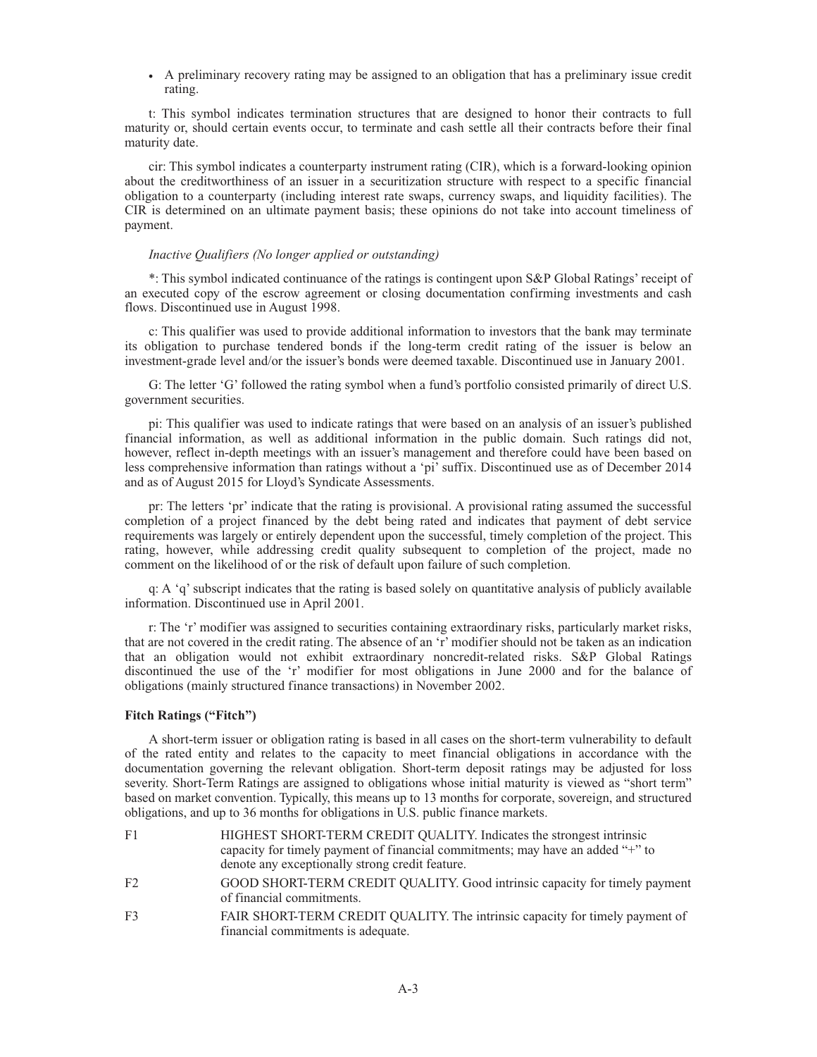• A preliminary recovery rating may be assigned to an obligation that has a preliminary issue credit rating.

t: This symbol indicates termination structures that are designed to honor their contracts to full maturity or, should certain events occur, to terminate and cash settle all their contracts before their final maturity date.

cir: This symbol indicates a counterparty instrument rating (CIR), which is a forward-looking opinion about the creditworthiness of an issuer in a securitization structure with respect to a specific financial obligation to a counterparty (including interest rate swaps, currency swaps, and liquidity facilities). The CIR is determined on an ultimate payment basis; these opinions do not take into account timeliness of payment.

## *Inactive Qualifiers (No longer applied or outstanding)*

\*: This symbol indicated continuance of the ratings is contingent upon S&P Global Ratings' receipt of an executed copy of the escrow agreement or closing documentation confirming investments and cash flows. Discontinued use in August 1998.

c: This qualifier was used to provide additional information to investors that the bank may terminate its obligation to purchase tendered bonds if the long-term credit rating of the issuer is below an investment-grade level and/or the issuer's bonds were deemed taxable. Discontinued use in January 2001.

G: The letter 'G' followed the rating symbol when a fund's portfolio consisted primarily of direct U.S. government securities.

pi: This qualifier was used to indicate ratings that were based on an analysis of an issuer's published financial information, as well as additional information in the public domain. Such ratings did not, however, reflect in-depth meetings with an issuer's management and therefore could have been based on less comprehensive information than ratings without a 'pi' suffix. Discontinued use as of December 2014 and as of August 2015 for Lloyd's Syndicate Assessments.

pr: The letters 'pr' indicate that the rating is provisional. A provisional rating assumed the successful completion of a project financed by the debt being rated and indicates that payment of debt service requirements was largely or entirely dependent upon the successful, timely completion of the project. This rating, however, while addressing credit quality subsequent to completion of the project, made no comment on the likelihood of or the risk of default upon failure of such completion.

q: A 'q' subscript indicates that the rating is based solely on quantitative analysis of publicly available information. Discontinued use in April 2001.

r: The 'r' modifier was assigned to securities containing extraordinary risks, particularly market risks, that are not covered in the credit rating. The absence of an 'r' modifier should not be taken as an indication that an obligation would not exhibit extraordinary noncredit-related risks. S&P Global Ratings discontinued the use of the 'r' modifier for most obligations in June 2000 and for the balance of obligations (mainly structured finance transactions) in November 2002.

## **Fitch Ratings ("Fitch")**

A short-term issuer or obligation rating is based in all cases on the short-term vulnerability to default of the rated entity and relates to the capacity to meet financial obligations in accordance with the documentation governing the relevant obligation. Short-term deposit ratings may be adjusted for loss severity. Short-Term Ratings are assigned to obligations whose initial maturity is viewed as "short term" based on market convention. Typically, this means up to 13 months for corporate, sovereign, and structured obligations, and up to 36 months for obligations in U.S. public finance markets.

- F1 HIGHEST SHORT-TERM CREDIT QUALITY. Indicates the strongest intrinsic capacity for timely payment of financial commitments; may have an added "+" to denote any exceptionally strong credit feature.
- F2 GOOD SHORT-TERM CREDIT QUALITY. Good intrinsic capacity for timely payment of financial commitments.
- F3 FAIR SHORT-TERM CREDIT QUALITY. The intrinsic capacity for timely payment of financial commitments is adequate.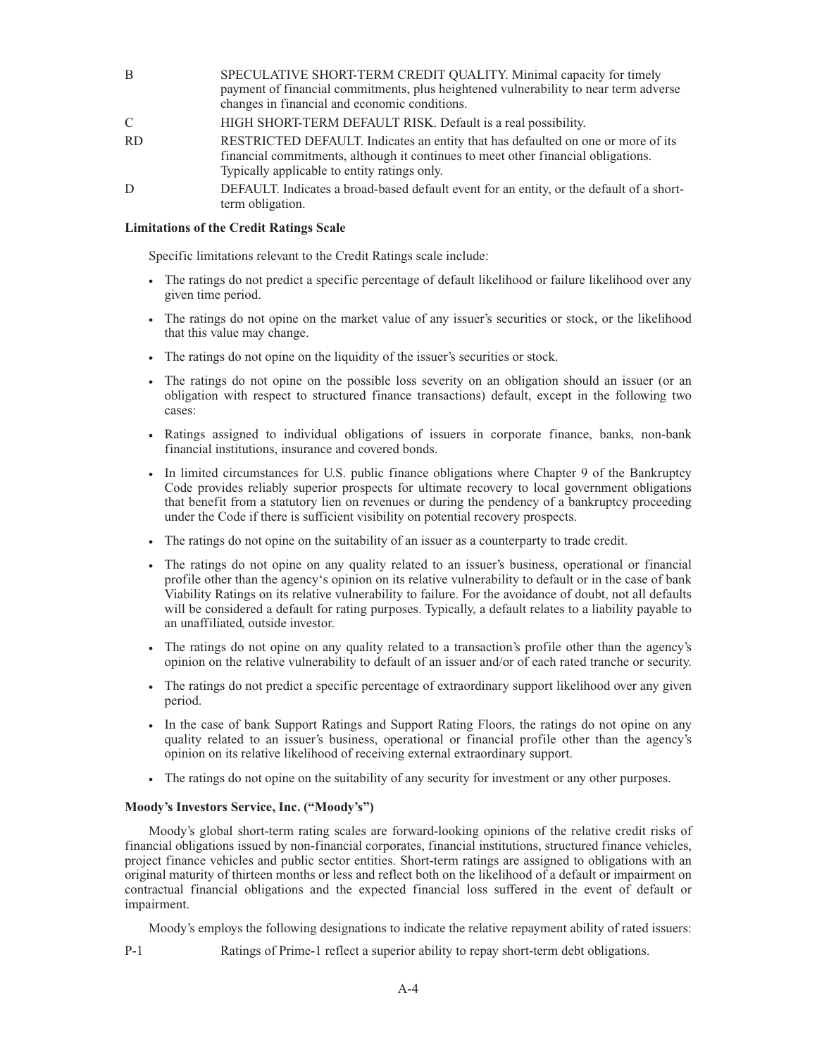| B             | SPECULATIVE SHORT-TERM CREDIT QUALITY. Minimal capacity for timely<br>payment of financial commitments, plus heightened vulnerability to near term adverse<br>changes in financial and economic conditions.           |
|---------------|-----------------------------------------------------------------------------------------------------------------------------------------------------------------------------------------------------------------------|
| $\mathcal{C}$ | HIGH SHORT-TERM DEFAULT RISK. Default is a real possibility.                                                                                                                                                          |
| <b>RD</b>     | RESTRICTED DEFAULT. Indicates an entity that has defaulted on one or more of its<br>financial commitments, although it continues to meet other financial obligations.<br>Typically applicable to entity ratings only. |
| D             | DEFAULT. Indicates a broad-based default event for an entity, or the default of a short-<br>term obligation.                                                                                                          |

## **Limitations of the Credit Ratings Scale**

Specific limitations relevant to the Credit Ratings scale include:

- The ratings do not predict a specific percentage of default likelihood or failure likelihood over any given time period.
- The ratings do not opine on the market value of any issuer's securities or stock, or the likelihood that this value may change.
- The ratings do not opine on the liquidity of the issuer's securities or stock.
- The ratings do not opine on the possible loss severity on an obligation should an issuer (or an obligation with respect to structured finance transactions) default, except in the following two cases:
- Ratings assigned to individual obligations of issuers in corporate finance, banks, non-bank financial institutions, insurance and covered bonds.
- In limited circumstances for U.S. public finance obligations where Chapter 9 of the Bankruptcy Code provides reliably superior prospects for ultimate recovery to local government obligations that benefit from a statutory lien on revenues or during the pendency of a bankruptcy proceeding under the Code if there is sufficient visibility on potential recovery prospects.
- The ratings do not opine on the suitability of an issuer as a counterparty to trade credit.
- The ratings do not opine on any quality related to an issuer's business, operational or financial profile other than the agency's opinion on its relative vulnerability to default or in the case of bank Viability Ratings on its relative vulnerability to failure. For the avoidance of doubt, not all defaults will be considered a default for rating purposes. Typically, a default relates to a liability payable to an unaffiliated, outside investor.
- The ratings do not opine on any quality related to a transaction's profile other than the agency's opinion on the relative vulnerability to default of an issuer and/or of each rated tranche or security.
- The ratings do not predict a specific percentage of extraordinary support likelihood over any given period.
- In the case of bank Support Ratings and Support Rating Floors, the ratings do not opine on any quality related to an issuer's business, operational or financial profile other than the agency's opinion on its relative likelihood of receiving external extraordinary support.
- The ratings do not opine on the suitability of any security for investment or any other purposes.

# **Moody's Investors Service, Inc. ("Moody's")**

Moody's global short-term rating scales are forward-looking opinions of the relative credit risks of financial obligations issued by non-financial corporates, financial institutions, structured finance vehicles, project finance vehicles and public sector entities. Short-term ratings are assigned to obligations with an original maturity of thirteen months or less and reflect both on the likelihood of a default or impairment on contractual financial obligations and the expected financial loss suffered in the event of default or impairment.

Moody's employs the following designations to indicate the relative repayment ability of rated issuers: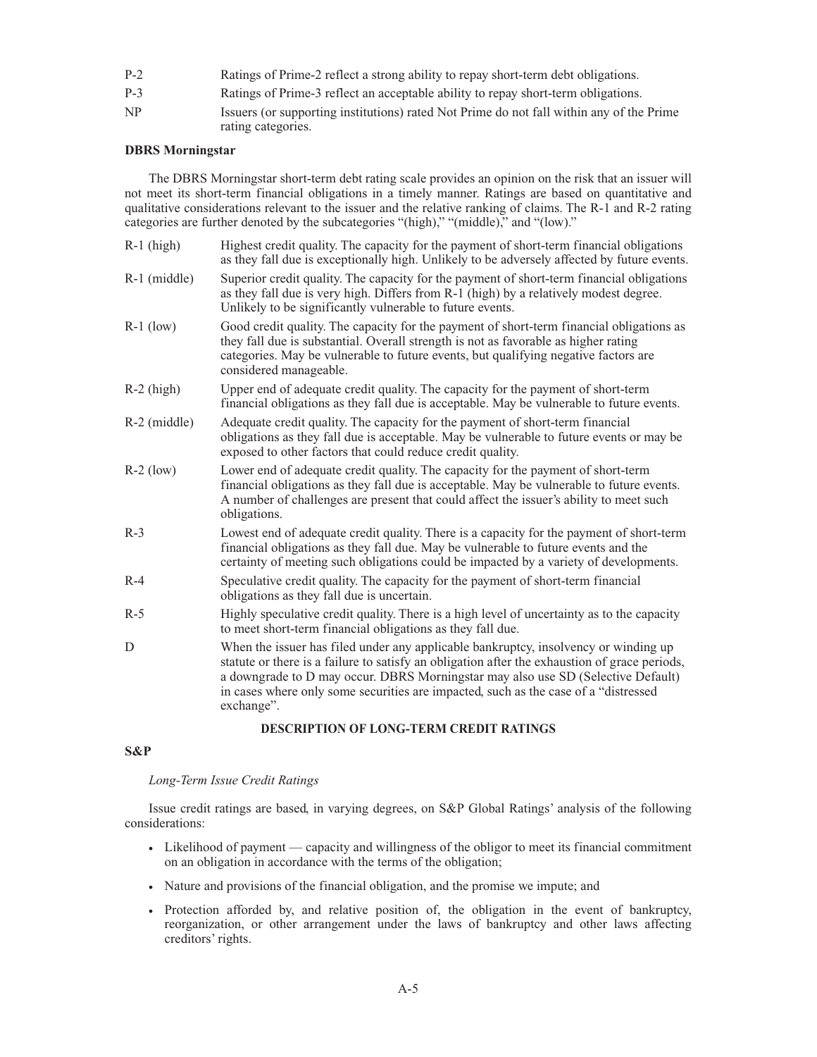| P-2 |  |  | Ratings of Prime-2 reflect a strong ability to repay short-term debt obligations. |
|-----|--|--|-----------------------------------------------------------------------------------|
|-----|--|--|-----------------------------------------------------------------------------------|

- P-3 Ratings of Prime-3 reflect an acceptable ability to repay short-term obligations.
- NP Issuers (or supporting institutions) rated Not Prime do not fall within any of the Prime rating categories.

## **DBRS Morningstar**

The DBRS Morningstar short-term debt rating scale provides an opinion on the risk that an issuer will not meet its short-term financial obligations in a timely manner. Ratings are based on quantitative and qualitative considerations relevant to the issuer and the relative ranking of claims. The R-1 and R-2 rating categories are further denoted by the subcategories "(high)," "(middle)," and "(low)."

| $R-1$ (high)   | Highest credit quality. The capacity for the payment of short-term financial obligations<br>as they fall due is exceptionally high. Unlikely to be adversely affected by future events.                                                                                                                                                                                        |
|----------------|--------------------------------------------------------------------------------------------------------------------------------------------------------------------------------------------------------------------------------------------------------------------------------------------------------------------------------------------------------------------------------|
| R-1 (middle)   | Superior credit quality. The capacity for the payment of short-term financial obligations<br>as they fall due is very high. Differs from R-1 (high) by a relatively modest degree.<br>Unlikely to be significantly vulnerable to future events.                                                                                                                                |
| $R-1$ (low)    | Good credit quality. The capacity for the payment of short-term financial obligations as<br>they fall due is substantial. Overall strength is not as favorable as higher rating<br>categories. May be vulnerable to future events, but qualifying negative factors are<br>considered manageable.                                                                               |
| $R-2$ (high)   | Upper end of adequate credit quality. The capacity for the payment of short-term<br>financial obligations as they fall due is acceptable. May be vulnerable to future events.                                                                                                                                                                                                  |
| $R-2$ (middle) | Adequate credit quality. The capacity for the payment of short-term financial<br>obligations as they fall due is acceptable. May be vulnerable to future events or may be<br>exposed to other factors that could reduce credit quality.                                                                                                                                        |
| $R-2$ (low)    | Lower end of adequate credit quality. The capacity for the payment of short-term<br>financial obligations as they fall due is acceptable. May be vulnerable to future events.<br>A number of challenges are present that could affect the issuer's ability to meet such<br>obligations.                                                                                        |
| $R-3$          | Lowest end of adequate credit quality. There is a capacity for the payment of short-term<br>financial obligations as they fall due. May be vulnerable to future events and the<br>certainty of meeting such obligations could be impacted by a variety of developments.                                                                                                        |
| $R-4$          | Speculative credit quality. The capacity for the payment of short-term financial<br>obligations as they fall due is uncertain.                                                                                                                                                                                                                                                 |
| $R-5$          | Highly speculative credit quality. There is a high level of uncertainty as to the capacity<br>to meet short-term financial obligations as they fall due.                                                                                                                                                                                                                       |
| D              | When the issuer has filed under any applicable bankruptcy, insolvency or winding up<br>statute or there is a failure to satisfy an obligation after the exhaustion of grace periods,<br>a downgrade to D may occur. DBRS Morningstar may also use SD (Selective Default)<br>in cases where only some securities are impacted, such as the case of a "distressed"<br>exchange". |
|                | <b>DECOUPTION OF LONG TEDM CREDIT BATIMOR</b>                                                                                                                                                                                                                                                                                                                                  |

#### **DESCRIPTION OF LONG-TERM CREDIT RATINGS**

# **S&P**

# *Long-Term Issue Credit Ratings*

Issue credit ratings are based, in varying degrees, on S&P Global Ratings' analysis of the following considerations:

- Likelihood of payment capacity and willingness of the obligor to meet its financial commitment on an obligation in accordance with the terms of the obligation;
- Nature and provisions of the financial obligation, and the promise we impute; and
- Protection afforded by, and relative position of, the obligation in the event of bankruptcy, reorganization, or other arrangement under the laws of bankruptcy and other laws affecting creditors' rights.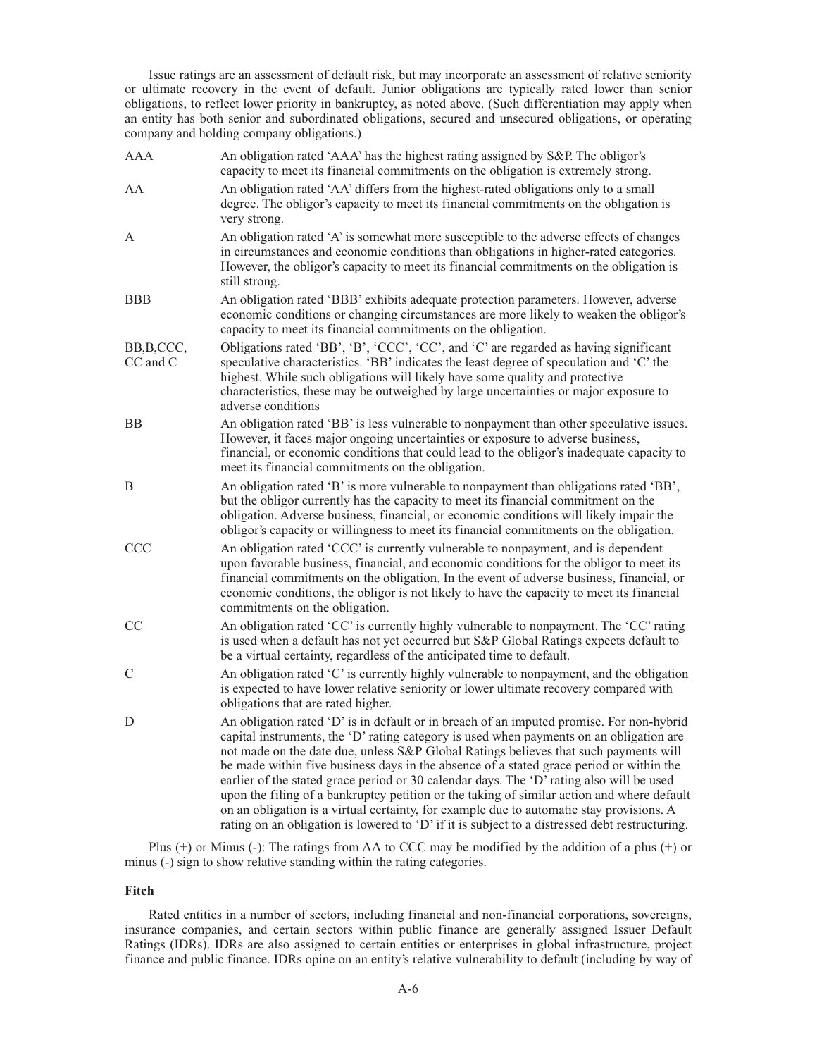Issue ratings are an assessment of default risk, but may incorporate an assessment of relative seniority or ultimate recovery in the event of default. Junior obligations are typically rated lower than senior obligations, to reflect lower priority in bankruptcy, as noted above. (Such differentiation may apply when an entity has both senior and subordinated obligations, secured and unsecured obligations, or operating company and holding company obligations.)

| AAA                       | An obligation rated 'AAA' has the highest rating assigned by S&P. The obligor's<br>capacity to meet its financial commitments on the obligation is extremely strong.                                                                                                                                                                                                                                                                                                                                                                                                                                                                                                                                                                                           |
|---------------------------|----------------------------------------------------------------------------------------------------------------------------------------------------------------------------------------------------------------------------------------------------------------------------------------------------------------------------------------------------------------------------------------------------------------------------------------------------------------------------------------------------------------------------------------------------------------------------------------------------------------------------------------------------------------------------------------------------------------------------------------------------------------|
| AA                        | An obligation rated 'AA' differs from the highest-rated obligations only to a small<br>degree. The obligor's capacity to meet its financial commitments on the obligation is<br>very strong.                                                                                                                                                                                                                                                                                                                                                                                                                                                                                                                                                                   |
| А                         | An obligation rated 'A' is somewhat more susceptible to the adverse effects of changes<br>in circumstances and economic conditions than obligations in higher-rated categories.<br>However, the obligor's capacity to meet its financial commitments on the obligation is<br>still strong.                                                                                                                                                                                                                                                                                                                                                                                                                                                                     |
| <b>BBB</b>                | An obligation rated 'BBB' exhibits adequate protection parameters. However, adverse<br>economic conditions or changing circumstances are more likely to weaken the obligor's<br>capacity to meet its financial commitments on the obligation.                                                                                                                                                                                                                                                                                                                                                                                                                                                                                                                  |
| BB,B,CCC,<br>$CC$ and $C$ | Obligations rated 'BB', 'B', 'CCC', 'CC', and 'C' are regarded as having significant<br>speculative characteristics. 'BB' indicates the least degree of speculation and 'C' the<br>highest. While such obligations will likely have some quality and protective<br>characteristics, these may be outweighed by large uncertainties or major exposure to<br>adverse conditions                                                                                                                                                                                                                                                                                                                                                                                  |
| <b>BB</b>                 | An obligation rated 'BB' is less vulnerable to nonpayment than other speculative issues.<br>However, it faces major ongoing uncertainties or exposure to adverse business,<br>financial, or economic conditions that could lead to the obligor's inadequate capacity to<br>meet its financial commitments on the obligation.                                                                                                                                                                                                                                                                                                                                                                                                                                   |
| Β                         | An obligation rated 'B' is more vulnerable to nonpayment than obligations rated 'BB',<br>but the obligor currently has the capacity to meet its financial commitment on the<br>obligation. Adverse business, financial, or economic conditions will likely impair the<br>obligor's capacity or willingness to meet its financial commitments on the obligation.                                                                                                                                                                                                                                                                                                                                                                                                |
| <b>CCC</b>                | An obligation rated 'CCC' is currently vulnerable to nonpayment, and is dependent<br>upon favorable business, financial, and economic conditions for the obligor to meet its<br>financial commitments on the obligation. In the event of adverse business, financial, or<br>economic conditions, the obligor is not likely to have the capacity to meet its financial<br>commitments on the obligation.                                                                                                                                                                                                                                                                                                                                                        |
| <b>CC</b>                 | An obligation rated 'CC' is currently highly vulnerable to nonpayment. The 'CC' rating<br>is used when a default has not yet occurred but S&P Global Ratings expects default to<br>be a virtual certainty, regardless of the anticipated time to default.                                                                                                                                                                                                                                                                                                                                                                                                                                                                                                      |
| C                         | An obligation rated 'C' is currently highly vulnerable to nonpayment, and the obligation<br>is expected to have lower relative seniority or lower ultimate recovery compared with<br>obligations that are rated higher.                                                                                                                                                                                                                                                                                                                                                                                                                                                                                                                                        |
| D                         | An obligation rated 'D' is in default or in breach of an imputed promise. For non-hybrid<br>capital instruments, the 'D' rating category is used when payments on an obligation are<br>not made on the date due, unless S&P Global Ratings believes that such payments will<br>be made within five business days in the absence of a stated grace period or within the<br>earlier of the stated grace period or 30 calendar days. The 'D' rating also will be used<br>upon the filing of a bankruptcy petition or the taking of similar action and where default<br>on an obligation is a virtual certainty, for example due to automatic stay provisions. A<br>rating on an obligation is lowered to 'D' if it is subject to a distressed debt restructuring. |

Plus (+) or Minus (-): The ratings from AA to CCC may be modified by the addition of a plus (+) or minus (-) sign to show relative standing within the rating categories.

#### **Fitch**

Rated entities in a number of sectors, including financial and non-financial corporations, sovereigns, insurance companies, and certain sectors within public finance are generally assigned Issuer Default Ratings (IDRs). IDRs are also assigned to certain entities or enterprises in global infrastructure, project finance and public finance. IDRs opine on an entity's relative vulnerability to default (including by way of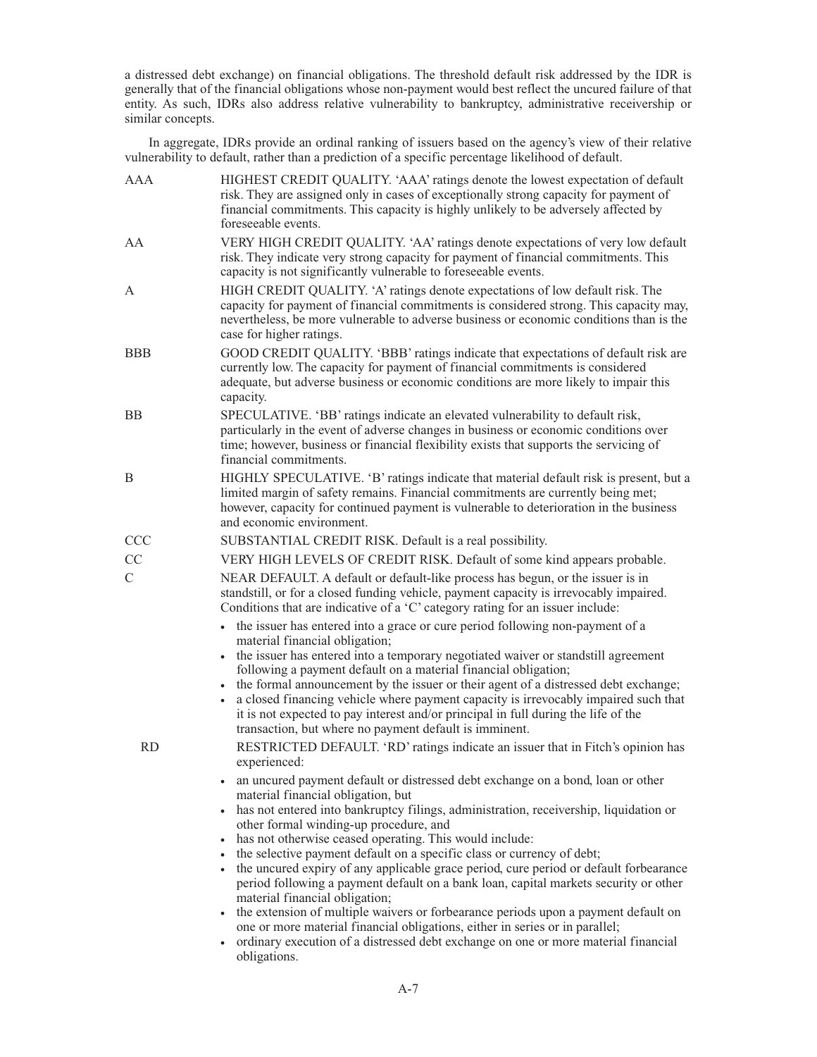a distressed debt exchange) on financial obligations. The threshold default risk addressed by the IDR is generally that of the financial obligations whose non-payment would best reflect the uncured failure of that entity. As such, IDRs also address relative vulnerability to bankruptcy, administrative receivership or similar concepts.

In aggregate, IDRs provide an ordinal ranking of issuers based on the agency's view of their relative vulnerability to default, rather than a prediction of a specific percentage likelihood of default.

| AAA        | HIGHEST CREDIT QUALITY. 'AAA' ratings denote the lowest expectation of default<br>risk. They are assigned only in cases of exceptionally strong capacity for payment of<br>financial commitments. This capacity is highly unlikely to be adversely affected by<br>foreseeable events.                                                                                                                                                                                                                                                                                                                                                                                                                                                                                                                                                                                                                                               |
|------------|-------------------------------------------------------------------------------------------------------------------------------------------------------------------------------------------------------------------------------------------------------------------------------------------------------------------------------------------------------------------------------------------------------------------------------------------------------------------------------------------------------------------------------------------------------------------------------------------------------------------------------------------------------------------------------------------------------------------------------------------------------------------------------------------------------------------------------------------------------------------------------------------------------------------------------------|
| AA         | VERY HIGH CREDIT QUALITY. 'AA' ratings denote expectations of very low default<br>risk. They indicate very strong capacity for payment of financial commitments. This<br>capacity is not significantly vulnerable to foreseeable events.                                                                                                                                                                                                                                                                                                                                                                                                                                                                                                                                                                                                                                                                                            |
| А          | HIGH CREDIT QUALITY. 'A' ratings denote expectations of low default risk. The<br>capacity for payment of financial commitments is considered strong. This capacity may,<br>nevertheless, be more vulnerable to adverse business or economic conditions than is the<br>case for higher ratings.                                                                                                                                                                                                                                                                                                                                                                                                                                                                                                                                                                                                                                      |
| BBB        | GOOD CREDIT QUALITY. 'BBB' ratings indicate that expectations of default risk are<br>currently low. The capacity for payment of financial commitments is considered<br>adequate, but adverse business or economic conditions are more likely to impair this<br>capacity.                                                                                                                                                                                                                                                                                                                                                                                                                                                                                                                                                                                                                                                            |
| ΒB         | SPECULATIVE. 'BB' ratings indicate an elevated vulnerability to default risk,<br>particularly in the event of adverse changes in business or economic conditions over<br>time; however, business or financial flexibility exists that supports the servicing of<br>financial commitments.                                                                                                                                                                                                                                                                                                                                                                                                                                                                                                                                                                                                                                           |
| B          | HIGHLY SPECULATIVE. 'B' ratings indicate that material default risk is present, but a<br>limited margin of safety remains. Financial commitments are currently being met;<br>however, capacity for continued payment is vulnerable to deterioration in the business<br>and economic environment.                                                                                                                                                                                                                                                                                                                                                                                                                                                                                                                                                                                                                                    |
| $\rm{CCC}$ | SUBSTANTIAL CREDIT RISK. Default is a real possibility.                                                                                                                                                                                                                                                                                                                                                                                                                                                                                                                                                                                                                                                                                                                                                                                                                                                                             |
| CC         | VERY HIGH LEVELS OF CREDIT RISK. Default of some kind appears probable.                                                                                                                                                                                                                                                                                                                                                                                                                                                                                                                                                                                                                                                                                                                                                                                                                                                             |
| C          | NEAR DEFAULT. A default or default-like process has begun, or the issuer is in<br>standstill, or for a closed funding vehicle, payment capacity is irrevocably impaired.<br>Conditions that are indicative of a 'C' category rating for an issuer include:                                                                                                                                                                                                                                                                                                                                                                                                                                                                                                                                                                                                                                                                          |
|            | • the issuer has entered into a grace or cure period following non-payment of a<br>material financial obligation;<br>• the issuer has entered into a temporary negotiated waiver or standstill agreement<br>following a payment default on a material financial obligation;<br>• the formal announcement by the issuer or their agent of a distressed debt exchange;<br>a closed financing vehicle where payment capacity is irrevocably impaired such that<br>it is not expected to pay interest and/or principal in full during the life of the<br>transaction, but where no payment default is imminent.                                                                                                                                                                                                                                                                                                                         |
| <b>RD</b>  | RESTRICTED DEFAULT. 'RD' ratings indicate an issuer that in Fitch's opinion has<br>experienced:                                                                                                                                                                                                                                                                                                                                                                                                                                                                                                                                                                                                                                                                                                                                                                                                                                     |
|            | an uncured payment default or distressed debt exchange on a bond, loan or other<br>material financial obligation, but<br>has not entered into bankruptcy filings, administration, receivership, liquidation or<br>$\bullet$<br>other formal winding-up procedure, and<br>has not otherwise ceased operating. This would include:<br>$\bullet$<br>the selective payment default on a specific class or currency of debt;<br>the uncured expiry of any applicable grace period, cure period or default forbearance<br>period following a payment default on a bank loan, capital markets security or other<br>material financial obligation;<br>the extension of multiple waivers or forbearance periods upon a payment default on<br>$\bullet$<br>one or more material financial obligations, either in series or in parallel;<br>ordinary execution of a distressed debt exchange on one or more material financial<br>obligations. |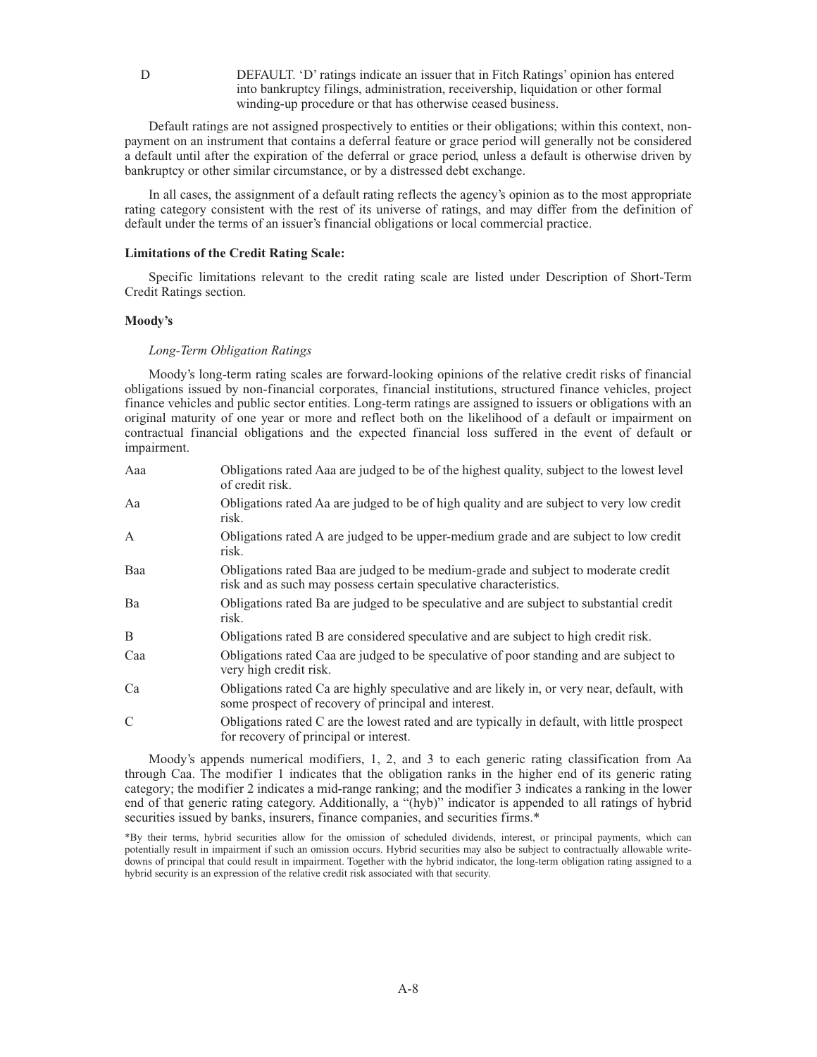D DEFAULT. 'D' ratings indicate an issuer that in Fitch Ratings' opinion has entered into bankruptcy filings, administration, receivership, liquidation or other formal winding-up procedure or that has otherwise ceased business.

Default ratings are not assigned prospectively to entities or their obligations; within this context, nonpayment on an instrument that contains a deferral feature or grace period will generally not be considered a default until after the expiration of the deferral or grace period, unless a default is otherwise driven by bankruptcy or other similar circumstance, or by a distressed debt exchange.

In all cases, the assignment of a default rating reflects the agency's opinion as to the most appropriate rating category consistent with the rest of its universe of ratings, and may differ from the definition of default under the terms of an issuer's financial obligations or local commercial practice.

#### **Limitations of the Credit Rating Scale:**

Specific limitations relevant to the credit rating scale are listed under Description of Short-Term Credit Ratings section.

#### **Moody's**

#### *Long-Term Obligation Ratings*

Moody's long-term rating scales are forward-looking opinions of the relative credit risks of financial obligations issued by non-financial corporates, financial institutions, structured finance vehicles, project finance vehicles and public sector entities. Long-term ratings are assigned to issuers or obligations with an original maturity of one year or more and reflect both on the likelihood of a default or impairment on contractual financial obligations and the expected financial loss suffered in the event of default or impairment.

| Aaa           | Obligations rated Aaa are judged to be of the highest quality, subject to the lowest level<br>of credit risk.                                           |
|---------------|---------------------------------------------------------------------------------------------------------------------------------------------------------|
| Aa            | Obligations rated Aa are judged to be of high quality and are subject to very low credit<br>risk.                                                       |
| A             | Obligations rated A are judged to be upper-medium grade and are subject to low credit<br>risk.                                                          |
| Baa           | Obligations rated Baa are judged to be medium-grade and subject to moderate credit<br>risk and as such may possess certain speculative characteristics. |
| Ba            | Obligations rated Ba are judged to be speculative and are subject to substantial credit<br>risk.                                                        |
| B             | Obligations rated B are considered speculative and are subject to high credit risk.                                                                     |
| Caa           | Obligations rated Caa are judged to be speculative of poor standing and are subject to<br>very high credit risk.                                        |
| Ca            | Obligations rated Ca are highly speculative and are likely in, or very near, default, with<br>some prospect of recovery of principal and interest.      |
| $\mathcal{C}$ | Obligations rated C are the lowest rated and are typically in default, with little prospect<br>for recovery of principal or interest.                   |

Moody's appends numerical modifiers, 1, 2, and 3 to each generic rating classification from Aa through Caa. The modifier 1 indicates that the obligation ranks in the higher end of its generic rating category; the modifier 2 indicates a mid-range ranking; and the modifier 3 indicates a ranking in the lower end of that generic rating category. Additionally, a "(hyb)" indicator is appended to all ratings of hybrid securities issued by banks, insurers, finance companies, and securities firms.<sup>\*</sup>

<sup>\*</sup>By their terms, hybrid securities allow for the omission of scheduled dividends, interest, or principal payments, which can potentially result in impairment if such an omission occurs. Hybrid securities may also be subject to contractually allowable writedowns of principal that could result in impairment. Together with the hybrid indicator, the long-term obligation rating assigned to a hybrid security is an expression of the relative credit risk associated with that security.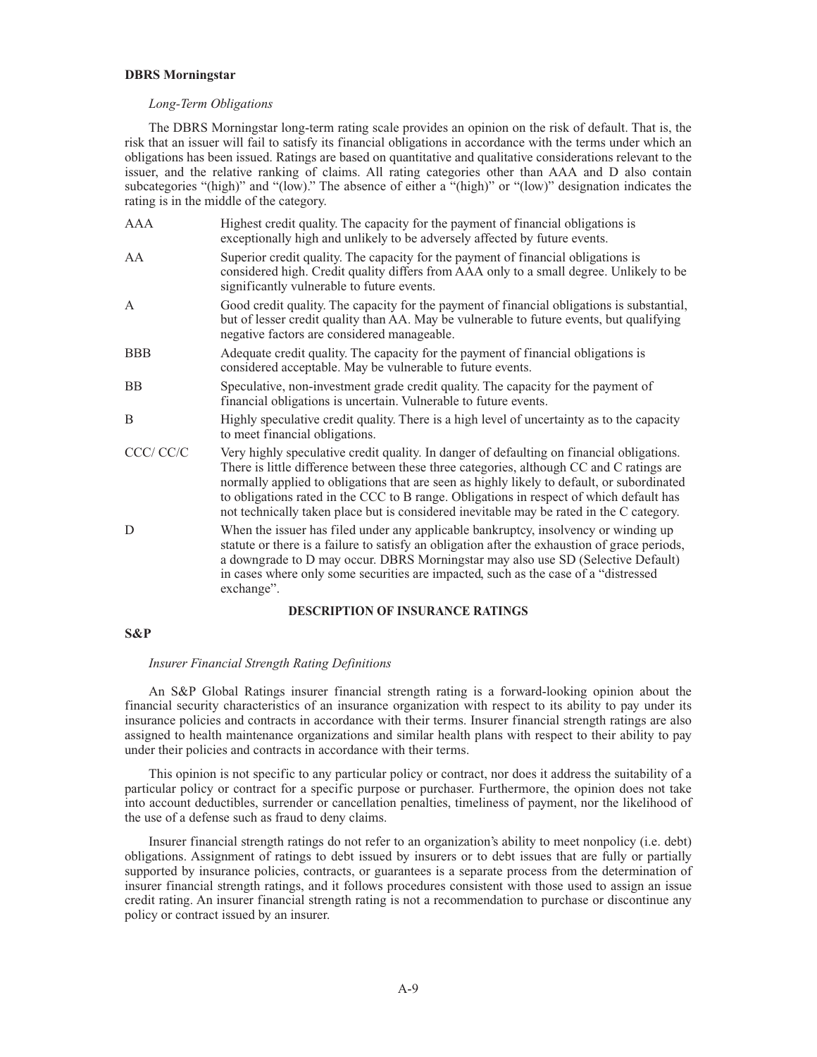#### **DBRS Morningstar**

## *Long-Term Obligations*

The DBRS Morningstar long-term rating scale provides an opinion on the risk of default. That is, the risk that an issuer will fail to satisfy its financial obligations in accordance with the terms under which an obligations has been issued. Ratings are based on quantitative and qualitative considerations relevant to the issuer, and the relative ranking of claims. All rating categories other than AAA and D also contain subcategories "(high)" and "(low)." The absence of either a "(high)" or "(low)" designation indicates the rating is in the middle of the category.

| AAA                                     | Highest credit quality. The capacity for the payment of financial obligations is<br>exceptionally high and unlikely to be adversely affected by future events.                                                                                                                                                                                                                                                                                                             |
|-----------------------------------------|----------------------------------------------------------------------------------------------------------------------------------------------------------------------------------------------------------------------------------------------------------------------------------------------------------------------------------------------------------------------------------------------------------------------------------------------------------------------------|
| AA                                      | Superior credit quality. The capacity for the payment of financial obligations is<br>considered high. Credit quality differs from AAA only to a small degree. Unlikely to be<br>significantly vulnerable to future events.                                                                                                                                                                                                                                                 |
| A                                       | Good credit quality. The capacity for the payment of financial obligations is substantial,<br>but of lesser credit quality than AA. May be vulnerable to future events, but qualifying<br>negative factors are considered manageable.                                                                                                                                                                                                                                      |
| <b>BBB</b>                              | Adequate credit quality. The capacity for the payment of financial obligations is<br>considered acceptable. May be vulnerable to future events.                                                                                                                                                                                                                                                                                                                            |
| <b>BB</b>                               | Speculative, non-investment grade credit quality. The capacity for the payment of<br>financial obligations is uncertain. Vulnerable to future events.                                                                                                                                                                                                                                                                                                                      |
| B                                       | Highly speculative credit quality. There is a high level of uncertainty as to the capacity<br>to meet financial obligations.                                                                                                                                                                                                                                                                                                                                               |
| CCC/CC/C                                | Very highly speculative credit quality. In danger of defaulting on financial obligations.<br>There is little difference between these three categories, although CC and C ratings are<br>normally applied to obligations that are seen as highly likely to default, or subordinated<br>to obligations rated in the CCC to B range. Obligations in respect of which default has<br>not technically taken place but is considered inevitable may be rated in the C category. |
| D                                       | When the issuer has filed under any applicable bankruptcy, insolvency or winding up<br>statute or there is a failure to satisfy an obligation after the exhaustion of grace periods,<br>a downgrade to D may occur. DBRS Morningstar may also use SD (Selective Default)<br>in cases where only some securities are impacted, such as the case of a "distressed<br>exchange".                                                                                              |
| <b>DESCRIPTION OF INSURANCE RATINGS</b> |                                                                                                                                                                                                                                                                                                                                                                                                                                                                            |

#### **S&P**

## *Insurer Financial Strength Rating Definitions*

An S&P Global Ratings insurer financial strength rating is a forward-looking opinion about the financial security characteristics of an insurance organization with respect to its ability to pay under its insurance policies and contracts in accordance with their terms. Insurer financial strength ratings are also assigned to health maintenance organizations and similar health plans with respect to their ability to pay under their policies and contracts in accordance with their terms.

This opinion is not specific to any particular policy or contract, nor does it address the suitability of a particular policy or contract for a specific purpose or purchaser. Furthermore, the opinion does not take into account deductibles, surrender or cancellation penalties, timeliness of payment, nor the likelihood of the use of a defense such as fraud to deny claims.

Insurer financial strength ratings do not refer to an organization's ability to meet nonpolicy (i.e. debt) obligations. Assignment of ratings to debt issued by insurers or to debt issues that are fully or partially supported by insurance policies, contracts, or guarantees is a separate process from the determination of insurer financial strength ratings, and it follows procedures consistent with those used to assign an issue credit rating. An insurer financial strength rating is not a recommendation to purchase or discontinue any policy or contract issued by an insurer.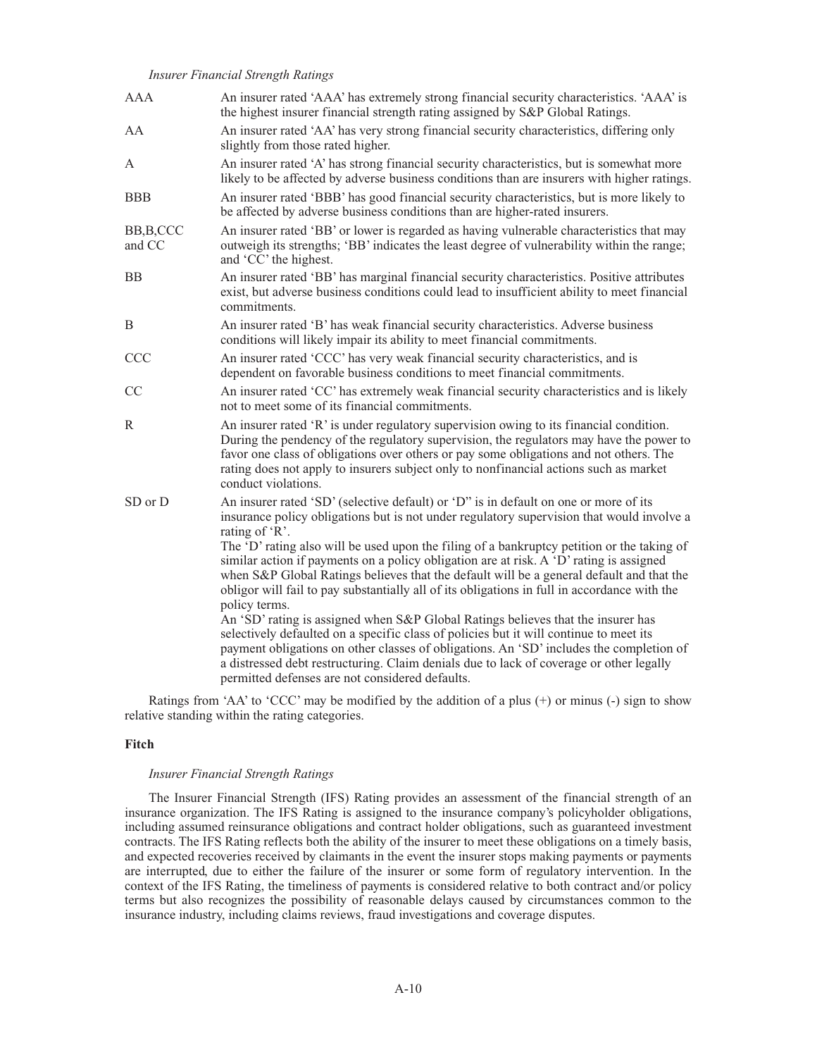## *Insurer Financial Strength Ratings*

| <b>AAA</b>         | An insurer rated 'AAA' has extremely strong financial security characteristics. 'AAA' is<br>the highest insurer financial strength rating assigned by S&P Global Ratings.                                                                                                                                                                                                                                           |
|--------------------|---------------------------------------------------------------------------------------------------------------------------------------------------------------------------------------------------------------------------------------------------------------------------------------------------------------------------------------------------------------------------------------------------------------------|
| AA                 | An insurer rated 'AA' has very strong financial security characteristics, differing only<br>slightly from those rated higher.                                                                                                                                                                                                                                                                                       |
| A                  | An insurer rated 'A' has strong financial security characteristics, but is somewhat more<br>likely to be affected by adverse business conditions than are insurers with higher ratings.                                                                                                                                                                                                                             |
| <b>BBB</b>         | An insurer rated 'BBB' has good financial security characteristics, but is more likely to<br>be affected by adverse business conditions than are higher-rated insurers.                                                                                                                                                                                                                                             |
| BB,B,CCC<br>and CC | An insurer rated 'BB' or lower is regarded as having vulnerable characteristics that may<br>outweigh its strengths; 'BB' indicates the least degree of vulnerability within the range;<br>and 'CC' the highest.                                                                                                                                                                                                     |
| <b>BB</b>          | An insurer rated 'BB' has marginal financial security characteristics. Positive attributes<br>exist, but adverse business conditions could lead to insufficient ability to meet financial<br>commitments.                                                                                                                                                                                                           |
| B                  | An insurer rated 'B' has weak financial security characteristics. Adverse business<br>conditions will likely impair its ability to meet financial commitments.                                                                                                                                                                                                                                                      |
| <b>CCC</b>         | An insurer rated 'CCC' has very weak financial security characteristics, and is<br>dependent on favorable business conditions to meet financial commitments.                                                                                                                                                                                                                                                        |
| CC                 | An insurer rated 'CC' has extremely weak financial security characteristics and is likely<br>not to meet some of its financial commitments.                                                                                                                                                                                                                                                                         |
| R                  | An insurer rated 'R' is under regulatory supervision owing to its financial condition.<br>During the pendency of the regulatory supervision, the regulators may have the power to<br>favor one class of obligations over others or pay some obligations and not others. The<br>rating does not apply to insurers subject only to nonfinancial actions such as market<br>conduct violations.                         |
| SD or D            | An insurer rated 'SD' (selective default) or 'D" is in default on one or more of its<br>insurance policy obligations but is not under regulatory supervision that would involve a<br>rating of 'R'.                                                                                                                                                                                                                 |
|                    | The 'D' rating also will be used upon the filing of a bankruptcy petition or the taking of<br>similar action if payments on a policy obligation are at risk. A 'D' rating is assigned<br>when S&P Global Ratings believes that the default will be a general default and that the<br>obligor will fail to pay substantially all of its obligations in full in accordance with the<br>policy terms.                  |
|                    | An 'SD' rating is assigned when S&P Global Ratings believes that the insurer has<br>selectively defaulted on a specific class of policies but it will continue to meet its<br>payment obligations on other classes of obligations. An 'SD' includes the completion of<br>a distressed debt restructuring. Claim denials due to lack of coverage or other legally<br>permitted defenses are not considered defaults. |

Ratings from 'AA' to 'CCC' may be modified by the addition of a plus  $(+)$  or minus  $(-)$  sign to show relative standing within the rating categories.

# **Fitch**

### *Insurer Financial Strength Ratings*

The Insurer Financial Strength (IFS) Rating provides an assessment of the financial strength of an insurance organization. The IFS Rating is assigned to the insurance company's policyholder obligations, including assumed reinsurance obligations and contract holder obligations, such as guaranteed investment contracts. The IFS Rating reflects both the ability of the insurer to meet these obligations on a timely basis, and expected recoveries received by claimants in the event the insurer stops making payments or payments are interrupted, due to either the failure of the insurer or some form of regulatory intervention. In the context of the IFS Rating, the timeliness of payments is considered relative to both contract and/or policy terms but also recognizes the possibility of reasonable delays caused by circumstances common to the insurance industry, including claims reviews, fraud investigations and coverage disputes.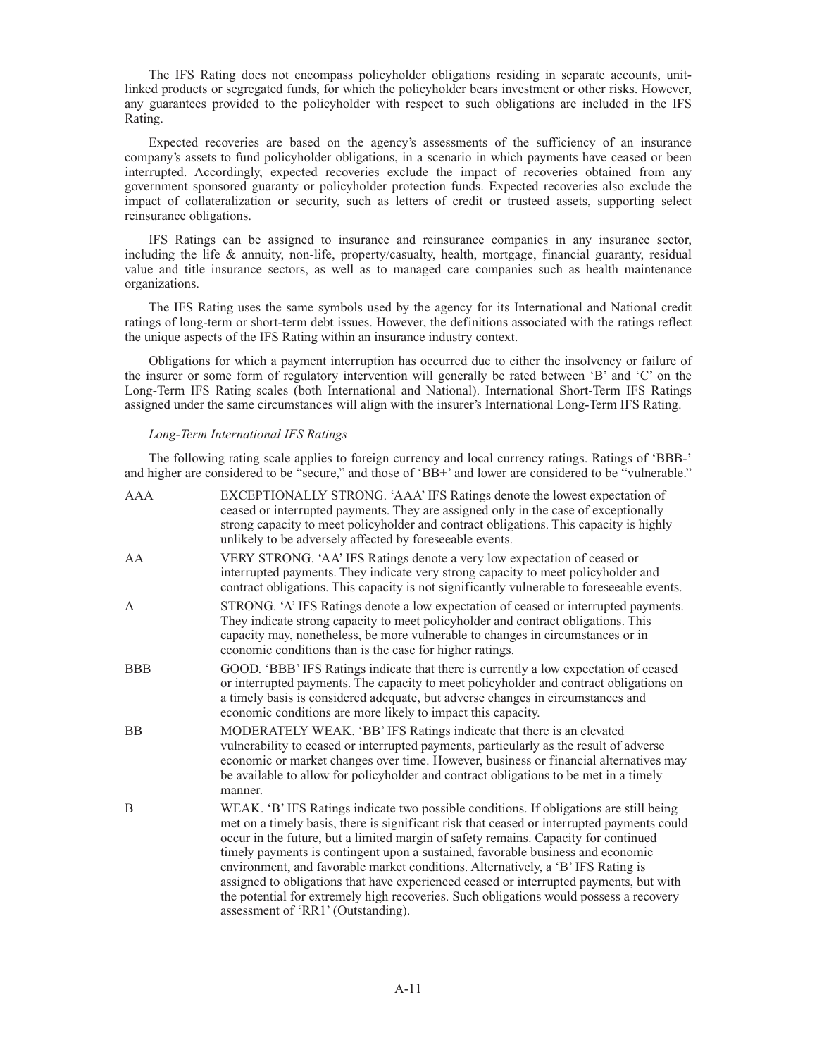The IFS Rating does not encompass policyholder obligations residing in separate accounts, unitlinked products or segregated funds, for which the policyholder bears investment or other risks. However, any guarantees provided to the policyholder with respect to such obligations are included in the IFS Rating.

Expected recoveries are based on the agency's assessments of the sufficiency of an insurance company's assets to fund policyholder obligations, in a scenario in which payments have ceased or been interrupted. Accordingly, expected recoveries exclude the impact of recoveries obtained from any government sponsored guaranty or policyholder protection funds. Expected recoveries also exclude the impact of collateralization or security, such as letters of credit or trusteed assets, supporting select reinsurance obligations.

IFS Ratings can be assigned to insurance and reinsurance companies in any insurance sector, including the life & annuity, non-life, property/casualty, health, mortgage, financial guaranty, residual value and title insurance sectors, as well as to managed care companies such as health maintenance organizations.

The IFS Rating uses the same symbols used by the agency for its International and National credit ratings of long-term or short-term debt issues. However, the definitions associated with the ratings reflect the unique aspects of the IFS Rating within an insurance industry context.

Obligations for which a payment interruption has occurred due to either the insolvency or failure of the insurer or some form of regulatory intervention will generally be rated between 'B' and 'C' on the Long-Term IFS Rating scales (both International and National). International Short-Term IFS Ratings assigned under the same circumstances will align with the insurer's International Long-Term IFS Rating.

### *Long-Term International IFS Ratings*

The following rating scale applies to foreign currency and local currency ratings. Ratings of 'BBB-' and higher are considered to be "secure," and those of 'BB+' and lower are considered to be "vulnerable."

| AAA        | EXCEPTIONALLY STRONG. 'AAA' IFS Ratings denote the lowest expectation of<br>ceased or interrupted payments. They are assigned only in the case of exceptionally<br>strong capacity to meet policyholder and contract obligations. This capacity is highly<br>unlikely to be adversely affected by foreseeable events.                                                                                                                                                                                                                                                                                                                                                        |
|------------|------------------------------------------------------------------------------------------------------------------------------------------------------------------------------------------------------------------------------------------------------------------------------------------------------------------------------------------------------------------------------------------------------------------------------------------------------------------------------------------------------------------------------------------------------------------------------------------------------------------------------------------------------------------------------|
| AA         | VERY STRONG. 'AA' IFS Ratings denote a very low expectation of ceased or<br>interrupted payments. They indicate very strong capacity to meet policyholder and<br>contract obligations. This capacity is not significantly vulnerable to foreseeable events.                                                                                                                                                                                                                                                                                                                                                                                                                  |
| A          | STRONG. 'A' IFS Ratings denote a low expectation of ceased or interrupted payments.<br>They indicate strong capacity to meet policyholder and contract obligations. This<br>capacity may, nonetheless, be more vulnerable to changes in circumstances or in<br>economic conditions than is the case for higher ratings.                                                                                                                                                                                                                                                                                                                                                      |
| <b>BBB</b> | GOOD. 'BBB' IFS Ratings indicate that there is currently a low expectation of ceased<br>or interrupted payments. The capacity to meet policyholder and contract obligations on<br>a timely basis is considered adequate, but adverse changes in circumstances and<br>economic conditions are more likely to impact this capacity.                                                                                                                                                                                                                                                                                                                                            |
| <b>BB</b>  | MODERATELY WEAK. 'BB' IFS Ratings indicate that there is an elevated<br>vulnerability to ceased or interrupted payments, particularly as the result of adverse<br>economic or market changes over time. However, business or financial alternatives may<br>be available to allow for policyholder and contract obligations to be met in a timely<br>manner.                                                                                                                                                                                                                                                                                                                  |
| B          | WEAK. 'B' IFS Ratings indicate two possible conditions. If obligations are still being<br>met on a timely basis, there is significant risk that ceased or interrupted payments could<br>occur in the future, but a limited margin of safety remains. Capacity for continued<br>timely payments is contingent upon a sustained, favorable business and economic<br>environment, and favorable market conditions. Alternatively, a 'B' IFS Rating is<br>assigned to obligations that have experienced ceased or interrupted payments, but with<br>the potential for extremely high recoveries. Such obligations would possess a recovery<br>assessment of 'RR1' (Outstanding). |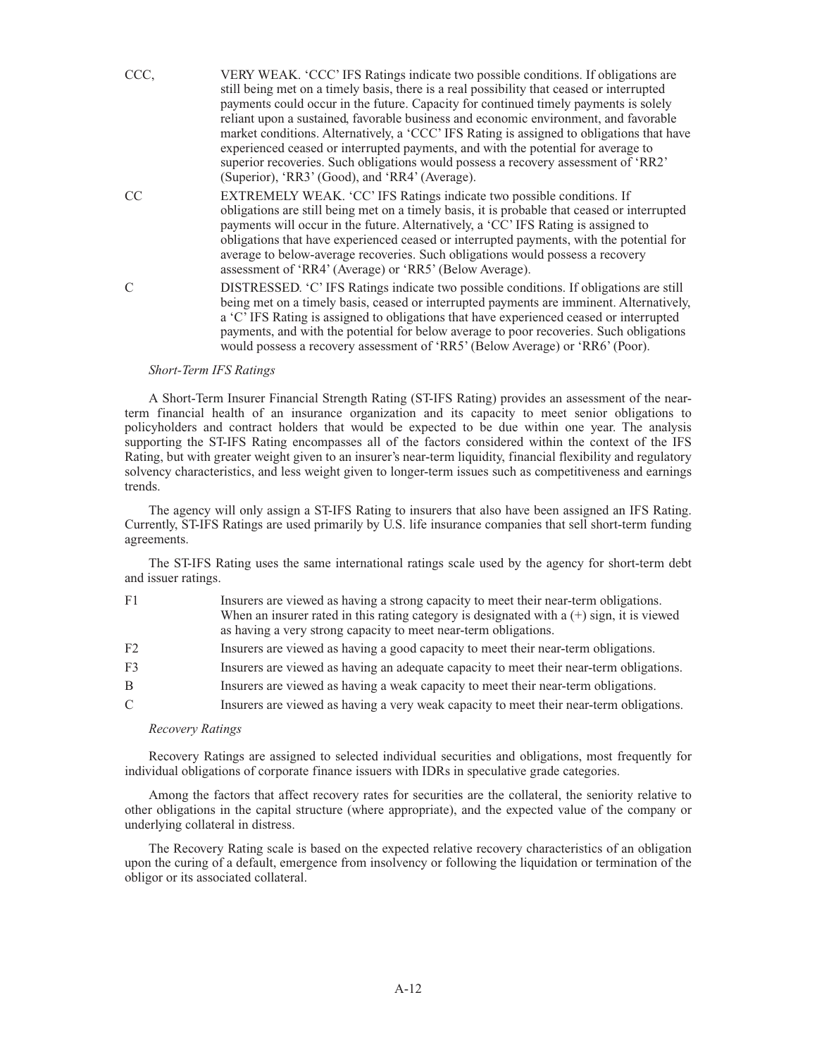| CCC. | VERY WEAK. 'CCC' IFS Ratings indicate two possible conditions. If obligations are<br>still being met on a timely basis, there is a real possibility that ceased or interrupted<br>payments could occur in the future. Capacity for continued timely payments is solely<br>reliant upon a sustained, favorable business and economic environment, and favorable<br>market conditions. Alternatively, a 'CCC' IFS Rating is assigned to obligations that have<br>experienced ceased or interrupted payments, and with the potential for average to<br>superior recoveries. Such obligations would possess a recovery assessment of 'RR2'<br>(Superior), 'RR3' (Good), and 'RR4' (Average). |
|------|------------------------------------------------------------------------------------------------------------------------------------------------------------------------------------------------------------------------------------------------------------------------------------------------------------------------------------------------------------------------------------------------------------------------------------------------------------------------------------------------------------------------------------------------------------------------------------------------------------------------------------------------------------------------------------------|
| CC   | EXTREMELY WEAK. 'CC' IFS Ratings indicate two possible conditions. If<br>obligations are still being met on a timely basis, it is probable that ceased or interrupted<br>payments will occur in the future. Alternatively, a 'CC' IFS Rating is assigned to<br>obligations that have experienced ceased or interrupted payments, with the potential for<br>average to below-average recoveries. Such obligations would possess a recovery<br>assessment of 'RR4' (Average) or 'RR5' (Below Average).                                                                                                                                                                                     |
|      | DISTRESSED. 'C' IFS Ratings indicate two possible conditions. If obligations are still<br>being met on a timely basis, ceased or interrupted payments are imminent. Alternatively,<br>a 'C' IFS Rating is assigned to obligations that have experienced ceased or interrupted<br>payments, and with the potential for below average to poor recoveries. Such obligations<br>would possess a recovery assessment of 'RR5' (Below Average) or 'RR6' (Poor).                                                                                                                                                                                                                                |

#### *Short-Term IFS Ratings*

A Short-Term Insurer Financial Strength Rating (ST-IFS Rating) provides an assessment of the nearterm financial health of an insurance organization and its capacity to meet senior obligations to policyholders and contract holders that would be expected to be due within one year. The analysis supporting the ST-IFS Rating encompasses all of the factors considered within the context of the IFS Rating, but with greater weight given to an insurer's near-term liquidity, financial flexibility and regulatory solvency characteristics, and less weight given to longer-term issues such as competitiveness and earnings trends.

The agency will only assign a ST-IFS Rating to insurers that also have been assigned an IFS Rating. Currently, ST-IFS Ratings are used primarily by U.S. life insurance companies that sell short-term funding agreements.

The ST-IFS Rating uses the same international ratings scale used by the agency for short-term debt and issuer ratings.

| F <sub>1</sub> | Insurers are viewed as having a strong capacity to meet their near-term obligations.<br>When an insurer rated in this rating category is designated with a $(+)$ sign, it is viewed<br>as having a very strong capacity to meet near-term obligations. |
|----------------|--------------------------------------------------------------------------------------------------------------------------------------------------------------------------------------------------------------------------------------------------------|
| F <sub>2</sub> | Insurers are viewed as having a good capacity to meet their near-term obligations.                                                                                                                                                                     |
| F <sub>3</sub> | Insurers are viewed as having an adequate capacity to meet their near-term obligations.                                                                                                                                                                |
| B              | Insurers are viewed as having a weak capacity to meet their near-term obligations.                                                                                                                                                                     |
| C              | Insurers are viewed as having a very weak capacity to meet their near-term obligations.                                                                                                                                                                |

#### *Recovery Ratings*

Recovery Ratings are assigned to selected individual securities and obligations, most frequently for individual obligations of corporate finance issuers with IDRs in speculative grade categories.

Among the factors that affect recovery rates for securities are the collateral, the seniority relative to other obligations in the capital structure (where appropriate), and the expected value of the company or underlying collateral in distress.

The Recovery Rating scale is based on the expected relative recovery characteristics of an obligation upon the curing of a default, emergence from insolvency or following the liquidation or termination of the obligor or its associated collateral.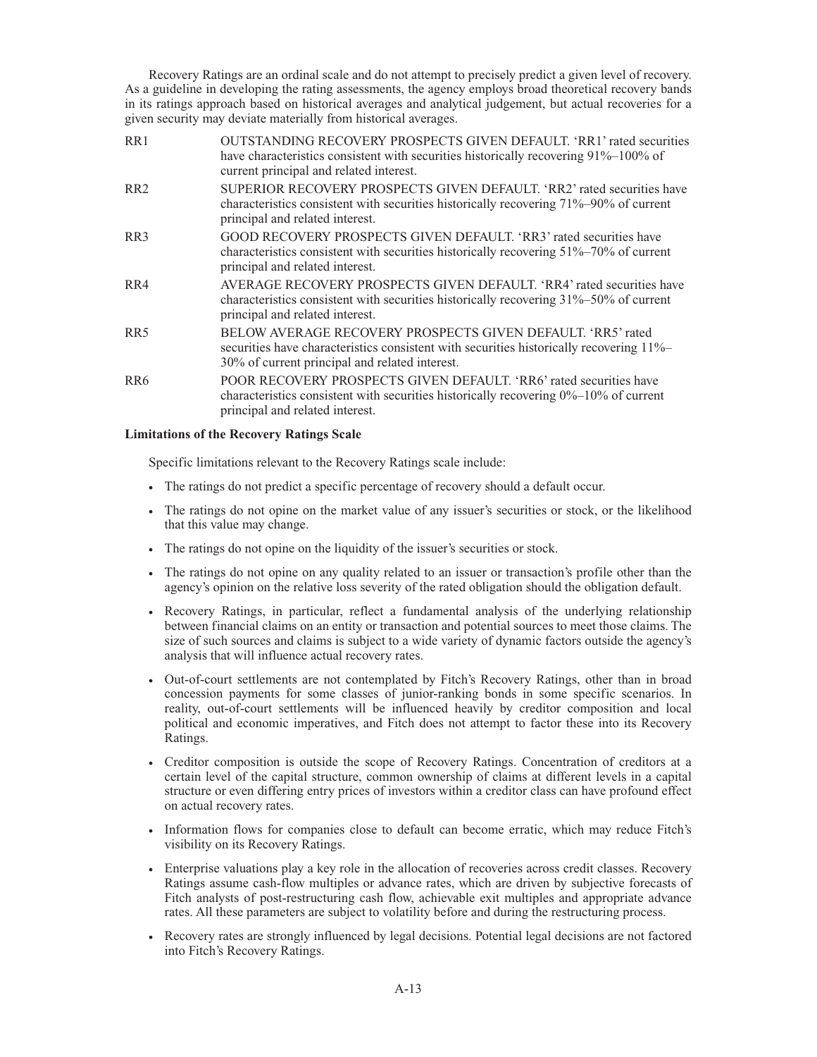Recovery Ratings are an ordinal scale and do not attempt to precisely predict a given level of recovery. As a guideline in developing the rating assessments, the agency employs broad theoretical recovery bands in its ratings approach based on historical averages and analytical judgement, but actual recoveries for a given security may deviate materially from historical averages.

| RR1             | <b>OUTSTANDING RECOVERY PROSPECTS GIVEN DEFAULT. 'RR1' rated securities</b><br>have characteristics consistent with securities historically recovering 91%–100% of<br>current principal and related interest. |
|-----------------|---------------------------------------------------------------------------------------------------------------------------------------------------------------------------------------------------------------|
| RR <sub>2</sub> | SUPERIOR RECOVERY PROSPECTS GIVEN DEFAULT. 'RR2' rated securities have<br>characteristics consistent with securities historically recovering 71%–90% of current<br>principal and related interest.            |
| RR <sub>3</sub> | GOOD RECOVERY PROSPECTS GIVEN DEFAULT. 'RR3' rated securities have<br>characteristics consistent with securities historically recovering 51%–70% of current<br>principal and related interest.                |
| RR4             | AVERAGE RECOVERY PROSPECTS GIVEN DEFAULT. 'RR4' rated securities have<br>characteristics consistent with securities historically recovering 31%–50% of current<br>principal and related interest.             |
| RR <sub>5</sub> | BELOW AVERAGE RECOVERY PROSPECTS GIVEN DEFAULT. 'RR5' rated<br>securities have characteristics consistent with securities historically recovering 11%–<br>30% of current principal and related interest.      |
| RR <sub>6</sub> | POOR RECOVERY PROSPECTS GIVEN DEFAULT. 'RR6' rated securities have<br>characteristics consistent with securities historically recovering $0\%$ –10% of current<br>principal and related interest.             |

## **Limitations of the Recovery Ratings Scale**

Specific limitations relevant to the Recovery Ratings scale include:

- The ratings do not predict a specific percentage of recovery should a default occur.
- The ratings do not opine on the market value of any issuer's securities or stock, or the likelihood that this value may change.
- The ratings do not opine on the liquidity of the issuer's securities or stock.
- The ratings do not opine on any quality related to an issuer or transaction's profile other than the agency's opinion on the relative loss severity of the rated obligation should the obligation default.
- Recovery Ratings, in particular, reflect a fundamental analysis of the underlying relationship between financial claims on an entity or transaction and potential sources to meet those claims. The size of such sources and claims is subject to a wide variety of dynamic factors outside the agency's analysis that will influence actual recovery rates.
- Out-of-court settlements are not contemplated by Fitch's Recovery Ratings, other than in broad concession payments for some classes of junior-ranking bonds in some specific scenarios. In reality, out-of-court settlements will be influenced heavily by creditor composition and local political and economic imperatives, and Fitch does not attempt to factor these into its Recovery Ratings.
- Creditor composition is outside the scope of Recovery Ratings. Concentration of creditors at a certain level of the capital structure, common ownership of claims at different levels in a capital structure or even differing entry prices of investors within a creditor class can have profound effect on actual recovery rates.
- Information flows for companies close to default can become erratic, which may reduce Fitch's visibility on its Recovery Ratings.
- Enterprise valuations play a key role in the allocation of recoveries across credit classes. Recovery Ratings assume cash-flow multiples or advance rates, which are driven by subjective forecasts of Fitch analysts of post-restructuring cash flow, achievable exit multiples and appropriate advance rates. All these parameters are subject to volatility before and during the restructuring process.
- Recovery rates are strongly influenced by legal decisions. Potential legal decisions are not factored into Fitch's Recovery Ratings.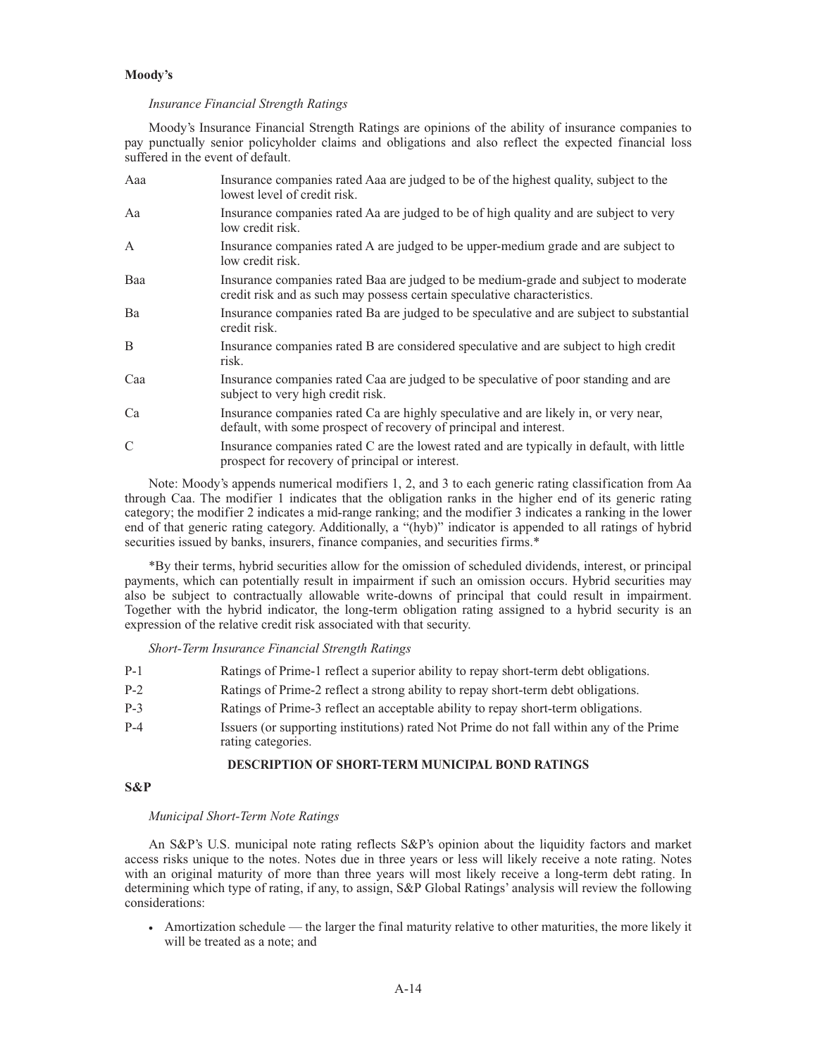## **Moody's**

## *Insurance Financial Strength Ratings*

Moody's Insurance Financial Strength Ratings are opinions of the ability of insurance companies to pay punctually senior policyholder claims and obligations and also reflect the expected financial loss suffered in the event of default.

| Aaa           | Insurance companies rated Aaa are judged to be of the highest quality, subject to the<br>lowest level of credit risk.                                           |
|---------------|-----------------------------------------------------------------------------------------------------------------------------------------------------------------|
| Aa            | Insurance companies rated Aa are judged to be of high quality and are subject to very<br>low credit risk.                                                       |
| $\mathsf{A}$  | Insurance companies rated A are judged to be upper-medium grade and are subject to<br>low credit risk.                                                          |
| Baa           | Insurance companies rated Baa are judged to be medium-grade and subject to moderate<br>credit risk and as such may possess certain speculative characteristics. |
| Ba            | Insurance companies rated Ba are judged to be speculative and are subject to substantial<br>credit risk.                                                        |
| <sup>B</sup>  | Insurance companies rated B are considered speculative and are subject to high credit<br>risk.                                                                  |
| Caa           | Insurance companies rated Caa are judged to be speculative of poor standing and are<br>subject to very high credit risk.                                        |
| Ca            | Insurance companies rated Ca are highly speculative and are likely in, or very near,<br>default, with some prospect of recovery of principal and interest.      |
| $\mathcal{C}$ | Insurance companies rated C are the lowest rated and are typically in default, with little<br>prospect for recovery of principal or interest.                   |

Note: Moody's appends numerical modifiers 1, 2, and 3 to each generic rating classification from Aa through Caa. The modifier 1 indicates that the obligation ranks in the higher end of its generic rating category; the modifier 2 indicates a mid-range ranking; and the modifier 3 indicates a ranking in the lower end of that generic rating category. Additionally, a "(hyb)" indicator is appended to all ratings of hybrid securities issued by banks, insurers, finance companies, and securities firms.\*

\*By their terms, hybrid securities allow for the omission of scheduled dividends, interest, or principal payments, which can potentially result in impairment if such an omission occurs. Hybrid securities may also be subject to contractually allowable write-downs of principal that could result in impairment. Together with the hybrid indicator, the long-term obligation rating assigned to a hybrid security is an expression of the relative credit risk associated with that security.

*Short-Term Insurance Financial Strength Ratings*

- P-1 Ratings of Prime-1 reflect a superior ability to repay short-term debt obligations.
- P-2 Ratings of Prime-2 reflect a strong ability to repay short-term debt obligations.
- P-3 Ratings of Prime-3 reflect an acceptable ability to repay short-term obligations.
- P-4 Issuers (or supporting institutions) rated Not Prime do not fall within any of the Prime rating categories.

## **DESCRIPTION OF SHORT-TERM MUNICIPAL BOND RATINGS**

# **S&P**

# *Municipal Short-Term Note Ratings*

An S&P's U.S. municipal note rating reflects S&P's opinion about the liquidity factors and market access risks unique to the notes. Notes due in three years or less will likely receive a note rating. Notes with an original maturity of more than three years will most likely receive a long-term debt rating. In determining which type of rating, if any, to assign, S&P Global Ratings' analysis will review the following considerations:

• Amortization schedule — the larger the final maturity relative to other maturities, the more likely it will be treated as a note; and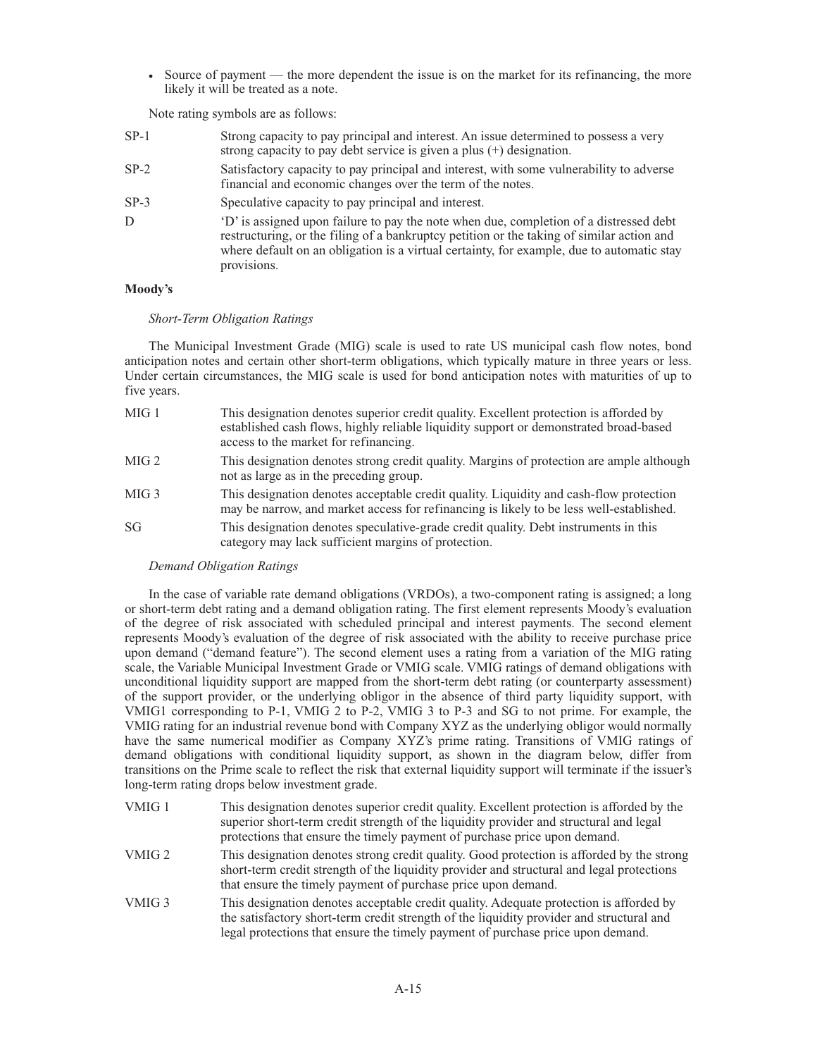• Source of payment — the more dependent the issue is on the market for its refinancing, the more likely it will be treated as a note.

Note rating symbols are as follows:

| $SP-1$ | Strong capacity to pay principal and interest. An issue determined to possess a very<br>strong capacity to pay debt service is given a plus $(+)$ designation.                                                                                                                                  |
|--------|-------------------------------------------------------------------------------------------------------------------------------------------------------------------------------------------------------------------------------------------------------------------------------------------------|
| $SP-2$ | Satisfactory capacity to pay principal and interest, with some vulnerability to adverse<br>financial and economic changes over the term of the notes.                                                                                                                                           |
| $SP-3$ | Speculative capacity to pay principal and interest.                                                                                                                                                                                                                                             |
| D      | "D' is assigned upon failure to pay the note when due, completion of a distressed debt<br>restructuring, or the filing of a bankruptcy petition or the taking of similar action and<br>where default on an obligation is a virtual certainty, for example, due to automatic stay<br>provisions. |

# **Moody's**

# *Short-Term Obligation Ratings*

The Municipal Investment Grade (MIG) scale is used to rate US municipal cash flow notes, bond anticipation notes and certain other short-term obligations, which typically mature in three years or less. Under certain circumstances, the MIG scale is used for bond anticipation notes with maturities of up to five years.

| MIG <sub>1</sub> | This designation denotes superior credit quality. Excellent protection is afforded by<br>established cash flows, highly reliable liquidity support or demonstrated broad-based<br>access to the market for refinancing. |
|------------------|-------------------------------------------------------------------------------------------------------------------------------------------------------------------------------------------------------------------------|
| MIG <sub>2</sub> | This designation denotes strong credit quality. Margins of protection are ample although<br>not as large as in the preceding group.                                                                                     |
| MIG <sub>3</sub> | This designation denotes acceptable credit quality. Liquidity and cash-flow protection<br>may be narrow, and market access for refinancing is likely to be less well-established.                                       |
| SG               | This designation denotes speculative-grade credit quality. Debt instruments in this<br>category may lack sufficient margins of protection.                                                                              |

# *Demand Obligation Ratings*

In the case of variable rate demand obligations (VRDOs), a two-component rating is assigned; a long or short-term debt rating and a demand obligation rating. The first element represents Moody's evaluation of the degree of risk associated with scheduled principal and interest payments. The second element represents Moody's evaluation of the degree of risk associated with the ability to receive purchase price upon demand ("demand feature"). The second element uses a rating from a variation of the MIG rating scale, the Variable Municipal Investment Grade or VMIG scale. VMIG ratings of demand obligations with unconditional liquidity support are mapped from the short-term debt rating (or counterparty assessment) of the support provider, or the underlying obligor in the absence of third party liquidity support, with VMIG1 corresponding to P-1, VMIG 2 to P-2, VMIG 3 to P-3 and SG to not prime. For example, the VMIG rating for an industrial revenue bond with Company XYZ as the underlying obligor would normally have the same numerical modifier as Company XYZ's prime rating. Transitions of VMIG ratings of demand obligations with conditional liquidity support, as shown in the diagram below, differ from transitions on the Prime scale to reflect the risk that external liquidity support will terminate if the issuer's long-term rating drops below investment grade.

| VMIG 1 | This designation denotes superior credit quality. Excellent protection is afforded by the |
|--------|-------------------------------------------------------------------------------------------|
|        | superior short-term credit strength of the liquidity provider and structural and legal    |
|        | protections that ensure the timely payment of purchase price upon demand.                 |

- VMIG 2 This designation denotes strong credit quality. Good protection is afforded by the strong short-term credit strength of the liquidity provider and structural and legal protections that ensure the timely payment of purchase price upon demand.
- VMIG 3 This designation denotes acceptable credit quality. Adequate protection is afforded by the satisfactory short-term credit strength of the liquidity provider and structural and legal protections that ensure the timely payment of purchase price upon demand.